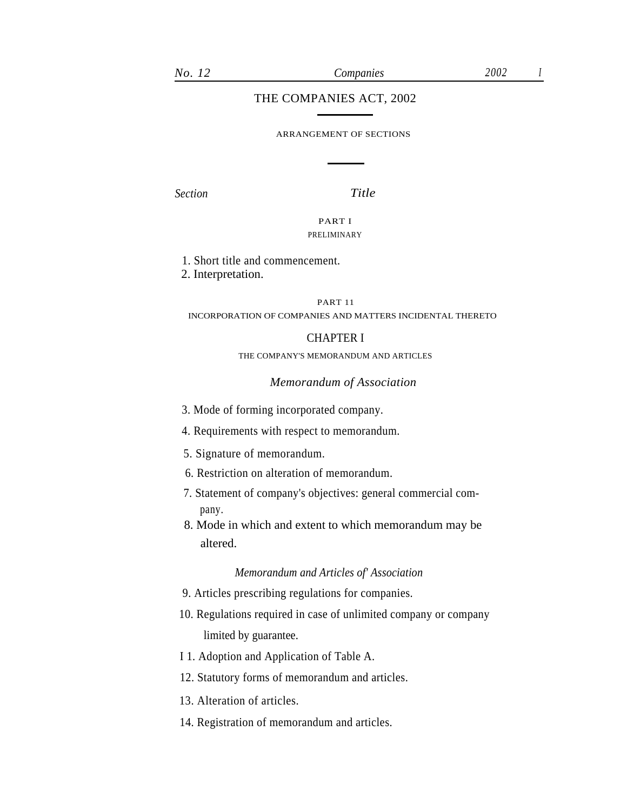## THE COMPANIES ACT, 2002

#### ARRANGEMENT OF SECTIONS

*Section Title*

PART I PRELIMINARY

- 1. Short title and commencement.
- 2. Interpretation.

PART 11 INCORPORATION OF COMPANIES AND MATTERS INCIDENTAL THERETO

## CHAPTER I

THE COMPANY'S MEMORANDUM AND ARTICLES

### *Memorandum of Association*

- 3. Mode of forming incorporated company.
- 4. Requirements with respect to memorandum.
- 5. Signature of memorandum.
- 6. Restriction on alteration of memorandum.
- 7. Statement of company's objectives: general commercial company.
- 8. Mode in which and extent to which memorandum may be altered.

### *Memorandum and Articles of' Association*

- 9. Articles prescribing regulations for companies.
- 10. Regulations required in case of unlimited company or company limited by guarantee.
- I 1. Adoption and Application of Table A.
- 12. Statutory forms of memorandum and articles.
- 13. Alteration of articles.
- 14. Registration of memorandum and articles.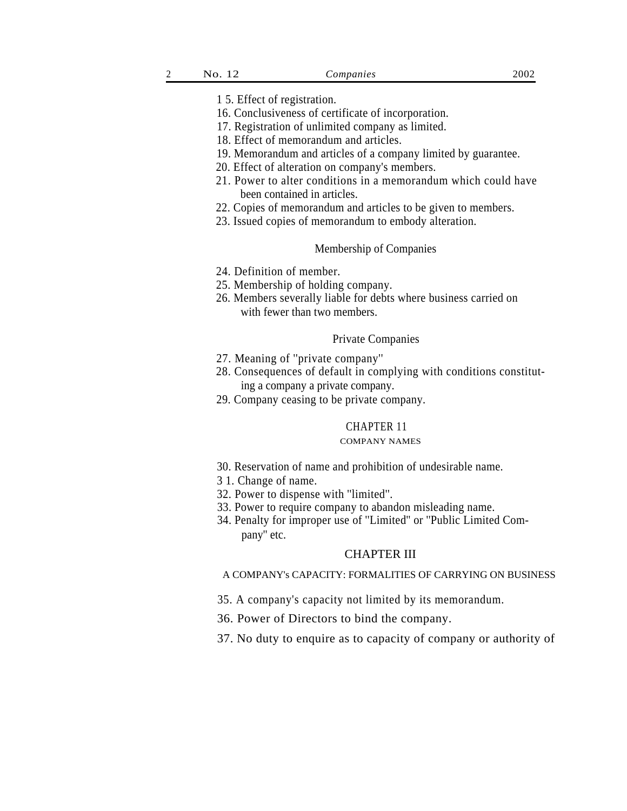- 1 5. Effect of registration.
- 16. Conclusiveness of certificate of incorporation.
- 17. Registration of unlimited company as limited.
- 18. Effect of memorandum and articles.
- 19. Memorandum and articles of a company limited by guarantee.
- 20. Effect of alteration on company's members.
- 21. Power to alter conditions in a memorandum which could have been contained in articles.
- 22. Copies of memorandum and articles to be given to members.
- 23. Issued copies of memorandum to embody alteration.

### Membership of Companies

- 24. Definition of member.
- 25. Membership of holding company.
- 26. Members severally liable for debts where business carried on with fewer than two members.

## Private Companies

- 27. Meaning of ''private company''
- 28. Consequences of default in complying with conditions constituting a company a private company.
- 29. Company ceasing to be private company.

#### CHAPTER 11

### COMPANY NAMES

- 30. Reservation of name and prohibition of undesirable name.
- 3 1. Change of name.
- 32. Power to dispense with ''limited''.
- 33. Power to require company to abandon misleading name.
- 34. Penalty for improper use of ''Limited'' or ''Public Limited Company'' etc.

### CHAPTER III

A COMPANY's CAPACITY: FORMALITIES OF CARRYING ON BUSINESS

- 35. A company's capacity not limited by its memorandum.
- 36. Power of Directors to bind the company.
- 37. No duty to enquire as to capacity of company or authority of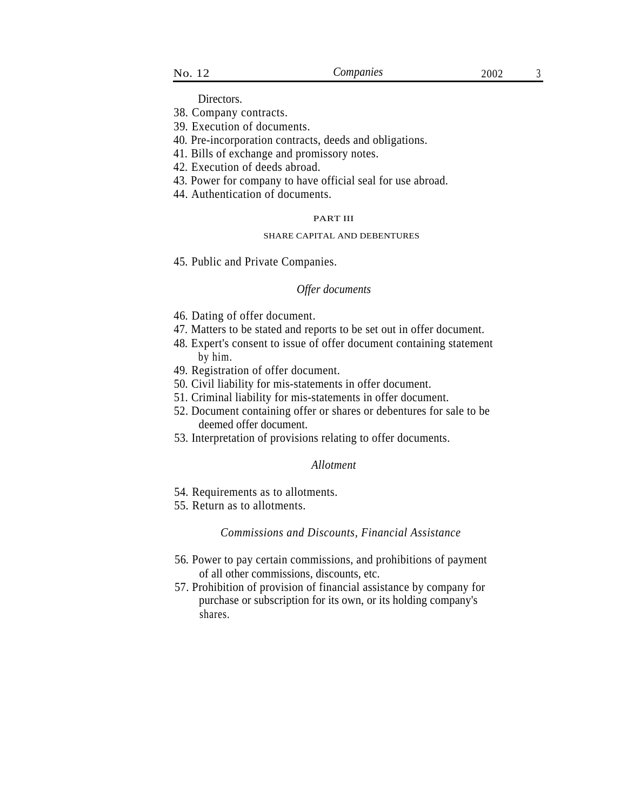Directors.

- 38*.* Company contracts.
- 39*.* Execution of documents.
- 40*.* Pre-incorporation contracts, deeds and obligations.
- 41*.* Bills of exchange and promissory notes.
- 42*.* Execution of deeds abroad.
- 43*.* Power for company to have official seal for use abroad.
- 44. Authentication of documents.

### PART III

## SHARE CAPITAL AND DEBENTURES

45*.* Public and Private Companies.

## *Offer documents*

- 46*.* Dating of offer document.
- 47*.* Matters to be stated and reports to be set out in offer document.
- 48*.* Expert's consent to issue of offer document containing statement by him.
- 49*.* Registration of offer document.
- 50*.* Civil liability for mis-statements in offer document.
- 51*.* Criminal liability for mis-statements in offer document.
- 52. Document containing offer or shares or debentures for sale to be deemed offer document.
- 53*.* Interpretation of provisions relating to offer documents.

### *Allotment*

- 54*.* Requirements as to allotments.
- 55*.* Return as to allotments.

## *Commissions and Discounts, Financial Assistance*

- 56*.* Power to pay certain commissions, and prohibitions of payment of all other commissions, discounts, etc.
- 57. Prohibition of provision of financial assistance by company for purchase or subscription for its own, or its holding company's shares.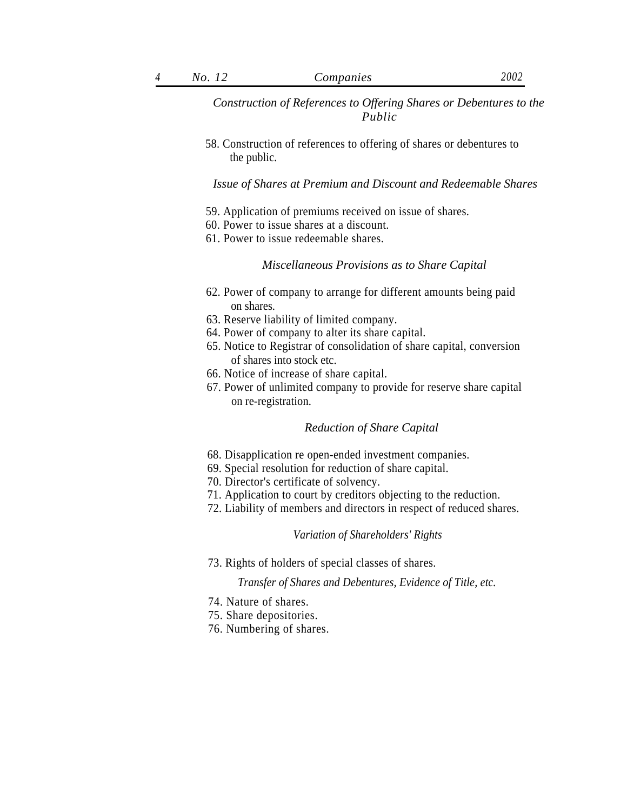*Construction of References to Offering Shares or Debentures to the Public*

58. Construction of references to offering of shares or debentures to the public.

*Issue of Shares at Premium and Discount and Redeemable Shares*

- 59. Application of premiums received on issue of shares.
- 60. Power to issue shares at a discount.
- 61. Power to issue redeemable shares.

## *Miscellaneous Provisions as to Share Capital*

- 62. Power of company to arrange for different amounts being paid on shares.
- 63. Reserve liability of limited company.
- 64. Power of company to alter its share capital.
- 65. Notice to Registrar of consolidation of share capital, conversion of shares into stock etc.
- 66. Notice of increase of share capital.
- 67. Power of unlimited company to provide for reserve share capital on re-registration.

## *Reduction of Share Capital*

- 68. Disapplication re open-ended investment companies.
- 69. Special resolution for reduction of share capital.
- 70. Director's certificate of solvency.
- 71. Application to court by creditors objecting to the reduction.
- 72. Liability of members and directors in respect of reduced shares.

### *Variation of Shareholders' Rights*

73. Rights of holders of special classes of shares.

## *Transfer of Shares and Debentures, Evidence of Title, etc.*

- 74. Nature of shares.
- 75. Share depositories.
- 76. Numbering of shares.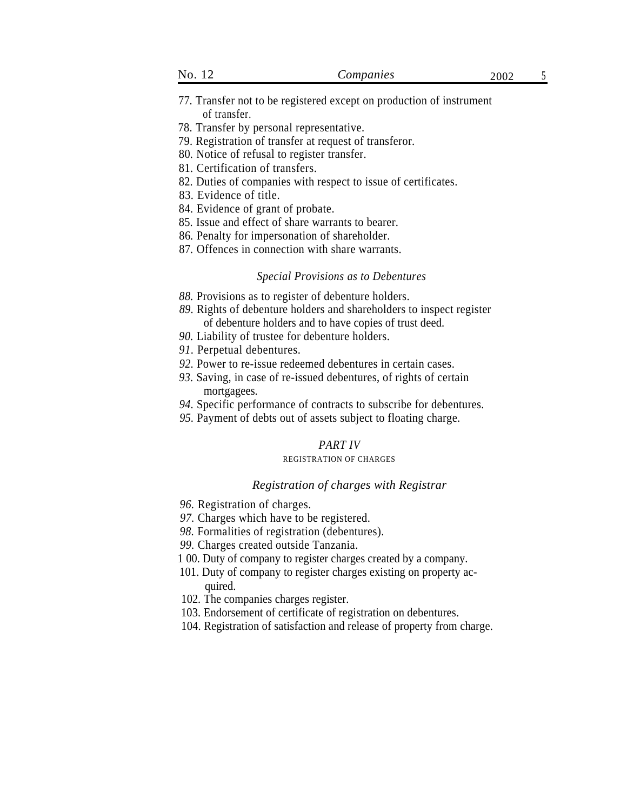- 77*.* Transfer not to be registered except on production of instrument of transfer.
- 78*.* Transfer by personal representative.
- 79. Registration of transfer at request of transferor.
- 80*.* Notice of refusal to register transfer.
- 81*.* Certification of transfers.
- 82*.* Duties of companies with respect to issue of certificates.
- 83*.* Evidence of title.
- 84*.* Evidence of grant of probate.
- 85*.* Issue and effect of share warrants to bearer.
- 86*.* Penalty for impersonation of shareholder.
- 87*.* Offences in connection with share warrants.

## *Special Provisions as to Debentures*

- *88.* Provisions as to register of debenture holders.
- *89.* Rights of debenture holders and shareholders to inspect register of debenture holders and to have copies of trust deed.
- *90.* Liability of trustee for debenture holders.
- *91.* Perpetual debentures.
- *92.* Power to re-issue redeemed debentures in certain cases.
- *93.* Saving, in case of re-issued debentures, of rights of certain mortgagees.
- *94.* Specific performance of contracts to subscribe for debentures.
- *95.* Payment of debts out of assets subject to floating charge.

## *PART IV*

### REGISTRATION OF CHARGES

## *Registration of charges with Registrar*

- *96.* Registration of charges.
- *97.* Charges which have to be registered.
- *98.* Formalities of registration (debentures).
- *99.* Charges created outside Tanzania.
- 1 00. Duty of company to register charges created by a company.
- 101. Duty of company to register charges existing on property acquired.
- 102*.* The companies charges register.
- 103. Endorsement of certificate of registration on debentures.
- 104. Registration of satisfaction and release of property from charge.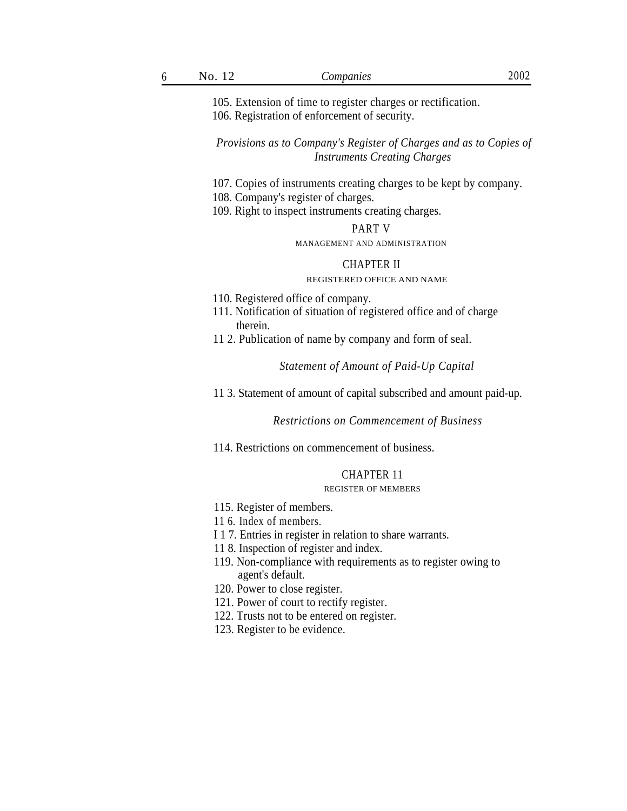105. Extension of time to register charges or rectification. 106*.* Registration of enforcement of security.

*Provisions as to Company's Register of Charges and as to Copies of Instruments Creating Charges*

- 107. Copies of instruments creating charges to be kept by company.
- 108. Company's register of charges.
- 109. Right to inspect instruments creating charges.

### PART V

#### MANAGEMENT AND ADMINISTRATION

## CHAPTER II

### REGISTERED OFFICE AND NAME

- 110. Registered office of company.
- 111. Notification of situation of registered office and of charge therein.
- 11 2. Publication of name by company and form of seal.

## *Statement of Amount of Paid-Up Capital*

11 3. Statement of amount of capital subscribed and amount paid-up.

#### *Restrictions on Commencement of Business*

114. Restrictions on commencement of business.

## CHAPTER 11

### REGISTER OF MEMBERS

- 115. Register of members.
- 11 6*.* Index of members.
- I 1 7. Entries in register in relation to share warrants.
- 11 8. Inspection of register and index.
- 119. Non-compliance with requirements as to register owing to agent's default.
- 120. Power to close register.
- 121. Power of court to rectify register.
- 122. Trusts not to be entered on register.
- 123. Register to be evidence.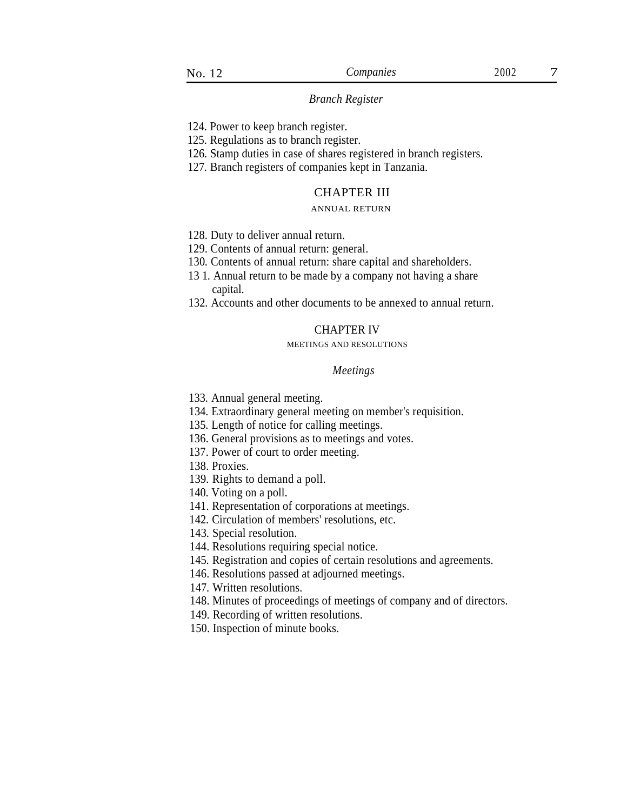### *Branch Register*

- 124. Power to keep branch register.
- 125. Regulations as to branch register.
- 126*.* Stamp duties in case of shares registered in branch registers.
- 127*.* Branch registers of companies kept in Tanzania.

## CHAPTER III

### ANNUAL RETURN

- 128. Duty to deliver annual return.
- 129. Contents of annual return: general.
- 130*.* Contents of annual return: share capital and shareholders.
- 13 1*.* Annual return to be made by a company not having a share capital.
- 132*.* Accounts and other documents to be annexed to annual return.

## CHAPTER IV

## MEETINGS AND RESOLUTIONS

## *Meetings*

133*.* Annual general meeting.

- 134*.* Extraordinary general meeting on member's requisition.
- 135*.* Length of notice for calling meetings.
- 136. General provisions as to meetings and votes.
- 137. Power of court to order meeting.

138. Proxies.

- 139*.* Rights to demand a poll.
- 140*.* Voting on a poll.
- 141. Representation of corporations at meetings.
- 142*.* Circulation of members' resolutions, etc.

143*.* Special resolution.

- 144. Resolutions requiring special notice.
- 145*.* Registration and copies of certain resolutions and agreements.
- 146. Resolutions passed at adjourned meetings.

147*.* Written resolutions.

- 148. Minutes of proceedings of meetings of company and of directors.
- 149*.* Recording of written resolutions.
- 150. Inspection of minute books.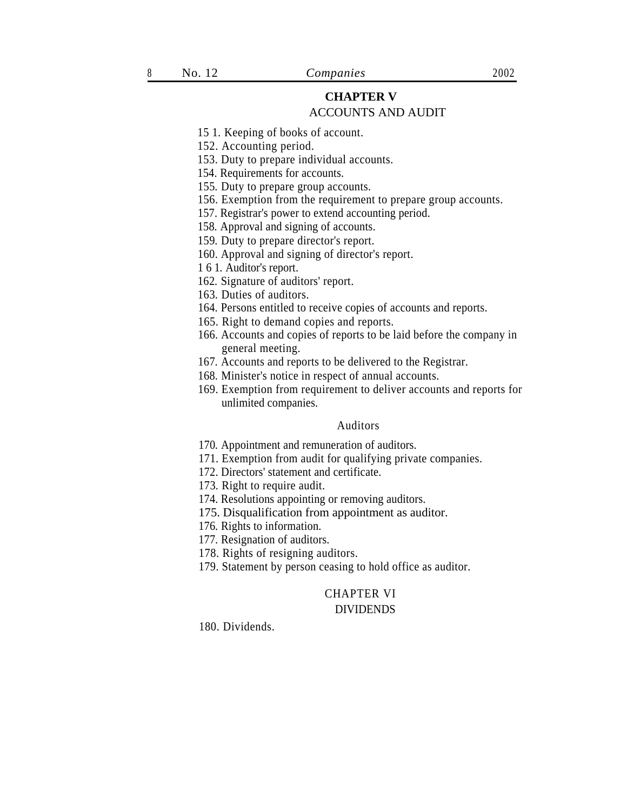# **CHAPTER V**

## ACCOUNTS AND AUDIT

15 1*.* Keeping of books of account.

152. Accounting period.

- 153. Duty to prepare individual accounts.
- 154. Requirements for accounts.
- 155*.* Duty to prepare group accounts.
- 156. Exemption from the requirement to prepare group accounts.
- 157. Registrar's power to extend accounting period.
- 158*.* Approval and signing of accounts.
- 159*.* Duty to prepare director's report.
- 160. Approval and signing of director's report.
- 1 6 1*.* Auditor's report.
- 162*.* Signature of auditors' report.
- 163*.* Duties of auditors.
- 164*.* Persons entitled to receive copies of accounts and reports.
- 165. Right to demand copies and reports.
- 166. Accounts and copies of reports to be laid before the company in general meeting.
- 167*.* Accounts and reports to be delivered to the Registrar.
- 168*.* Minister's notice in respect of annual accounts.
- 169. Exemption from requirement to deliver accounts and reports for unlimited companies.

#### Auditors

- 170*.* Appointment and remuneration of auditors.
- 171. Exemption from audit for qualifying private companies.
- 172. Directors' statement and certificate.
- 173*.* Right to require audit.
- 174. Resolutions appointing or removing auditors.
- 175. Disqualification from appointment as auditor.
- 176*.* Rights to information.
- 177*.* Resignation of auditors.
- 178. Rights of resigning auditors.
- 179. Statement by person ceasing to hold office as auditor.

## CHAPTER VI

### DIVIDENDS

180. Dividends.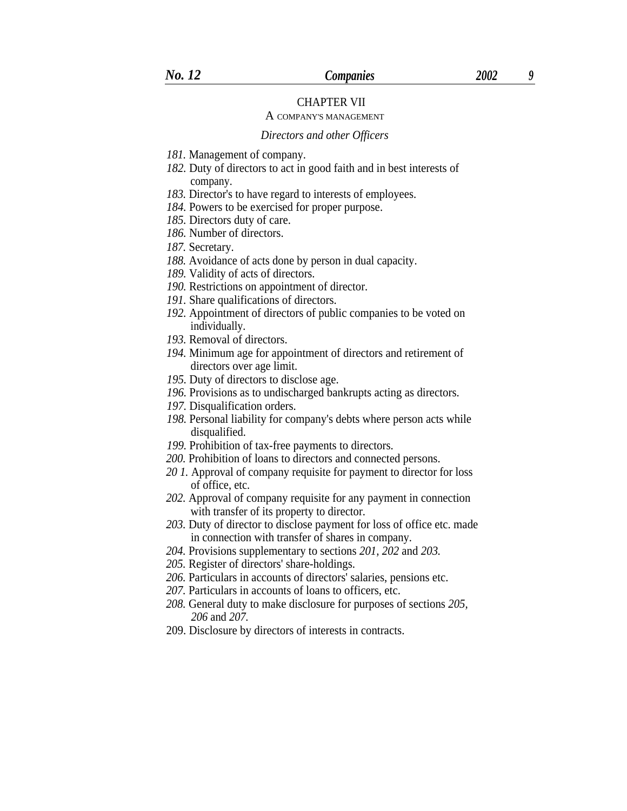## CHAPTER VII

#### A COMPANY'S MANAGEMENT

### *Directors and other Officers*

- *181.* Management of company.
- *182.* Duty of directors to act in good faith and in best interests of company.
- *183.* Director's to have regard to interests of employees.
- *184.* Powers to be exercised for proper purpose.
- *185.* Directors duty of care.
- *186.* Number of directors.
- *187.* Secretary.
- *188.* Avoidance of acts done by person in dual capacity.
- *189.* Validity of acts of directors.
- *190.* Restrictions on appointment of director.
- *191.* Share qualifications of directors.
- *192.* Appointment of directors of public companies to be voted on individually.
- *193.* Removal of directors.
- *194.* Minimum age for appointment of directors and retirement of directors over age limit.
- *195.* Duty of directors to disclose age.
- *196.* Provisions as to undischarged bankrupts acting as directors.
- *197.* Disqualification orders.
- *198.* Personal liability for company's debts where person acts while disqualified.
- *199.* Prohibition of tax-free payments to directors.
- *200.* Prohibition of loans to directors and connected persons.
- *20 1.* Approval of company requisite for payment to director for loss of office, etc.
- *202.* Approval of company requisite for any payment in connection with transfer of its property to director.
- *203.* Duty of director to disclose payment for loss of office etc. made in connection with transfer of shares in company.
- *204.* Provisions supplementary to sections *201, 202* and *203.*
- *205.* Register of directors' share-holdings.
- *206.* Particulars in accounts of directors' salaries, pensions etc.
- 207. Particulars in accounts of loans to officers, etc.
- *208.* General duty to make disclosure for purposes of sections *205, 206* and *207.*
- 209. Disclosure by directors of interests in contracts.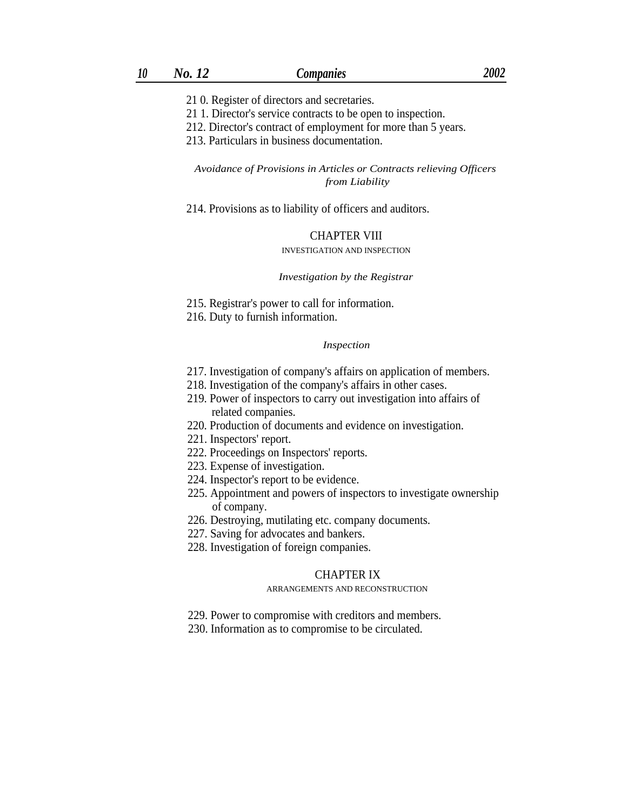- 21 0. Register of directors and secretaries.
- 21 1. Director's service contracts to be open to inspection.
- 212. Director's contract of employment for more than 5 years.
- 213. Particulars in business documentation.

*Avoidance of Provisions in Articles or Contracts relieving Officers from Liability*

214. Provisions as to liability of officers and auditors.

### CHAPTER VIII

#### INVESTIGATION AND INSPECTION

#### *Investigation by the Registrar*

- 215. Registrar's power to call for information.
- 216. Duty to furnish information.

#### *Inspection*

- 217. Investigation of company's affairs on application of members.
- 218. Investigation of the company's affairs in other cases.
- 219. Power of inspectors to carry out investigation into affairs of related companies.
- 220. Production of documents and evidence on investigation.
- 221. Inspectors' report.
- 222. Proceedings on Inspectors' reports.
- 223. Expense of investigation.
- 224. Inspector's report to be evidence.
- 225. Appointment and powers of inspectors to investigate ownership of company.
- 226. Destroying, mutilating etc. company documents.
- 227. Saving for advocates and bankers.
- 228. Investigation of foreign companies.

### CHAPTER IX

#### ARRANGEMENTS AND RECONSTRUCTION

- 229. Power to compromise with creditors and members.
- 230. Information as to compromise to be circulated.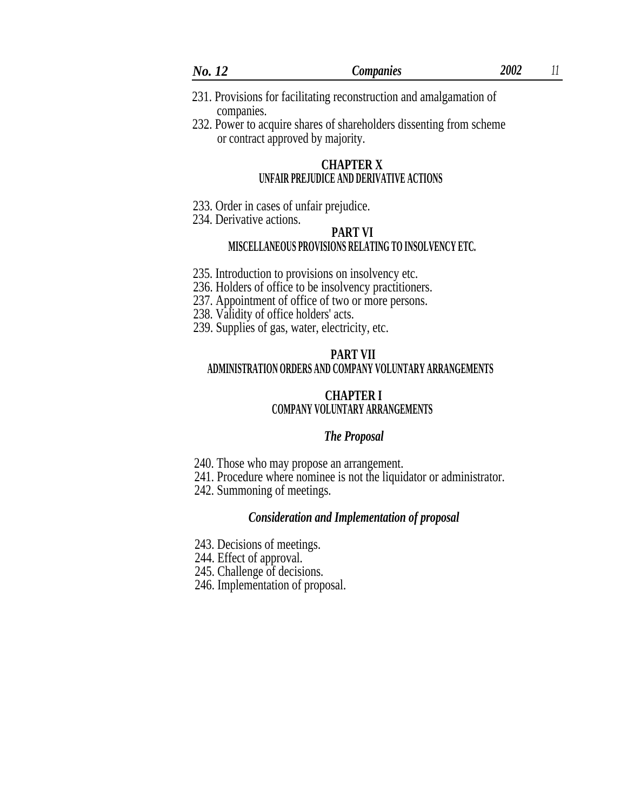| No.   |   |        |               |  | <b>Companies</b> |  | $200^\circ$<br>900F |  |
|-------|---|--------|---------------|--|------------------|--|---------------------|--|
| --- - | . | $\sim$ | $\sim$ $\sim$ |  |                  |  |                     |  |

- 231. Provisions for facilitating reconstruction and amalgamation of companies.
- 232. Power to acquire shares of shareholders dissenting from scheme or contract approved by majority.

## **CHAPTER X UNFAIR PREJUDICE AND DERIVATIVE ACTIONS**

- 233. Order in cases of unfair prejudice.
- 234. Derivative actions.

## **PART VI MISCELLANEOUS PROVISIONS RELATING TO INSOLVENCY ETC.**

- 235. Introduction to provisions on insolvency etc.
- 236. Holders of office to be insolvency practitioners.
- 237. Appointment of office of two or more persons.
- 238. Validity of office holders' acts.
- 239. Supplies of gas, water, electricity, etc.

## **PART VII**

## **ADMINISTRATION ORDERS AND COMPANY VOLUNTARY ARRANGEMENTS**

## **CHAPTER I COMPANY VOLUNTARY ARRANGEMENTS**

## *The Proposal*

- 240. Those who may propose an arrangement.
- 241. Procedure where nominee is not the liquidator or administrator.
- 242. Summoning of meetings.

## *Consideration and Implementation of proposal*

243. Decisions of meetings.

244. Effect of approval.

- 245. Challenge of decisions.
- 246. Implementation of proposal.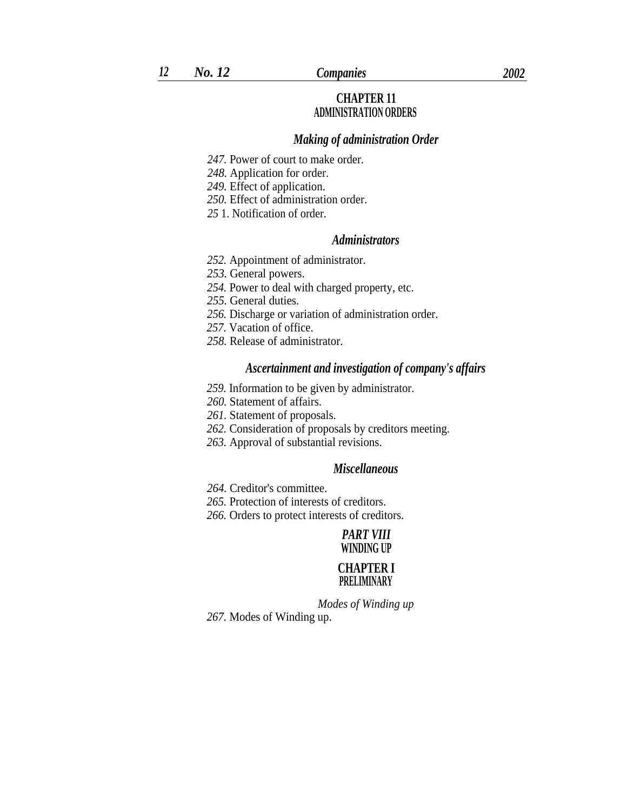## **CHAPTER 11 ADMINISTRATION ORDERS**

## *Making of administration Order*

- 247. Power of court to make order.
- *248.* Application for order.
- *249.* Effect of application.
- *250.* Effect of administration order.
- *25* 1. Notification of order.

## *Administrators*

- *252.* Appointment of administrator.
- *253.* General powers.
- *254.* Power to deal with charged property, etc.
- *255.* General duties.
- *256.* Discharge or variation of administration order.
- *257.* Vacation of office.
- *258.* Release of administrator.

## *Ascertainment and investigation of company's affairs*

- *259.* Information to be given by administrator.
- *260.* Statement of affairs.
- *261.* Statement of proposals.
- *262.* Consideration of proposals by creditors meeting.
- *263.* Approval of substantial revisions.

## *Miscellaneous*

- *264.* Creditor's committee.
- *265.* Protection of interests of creditors.
- *266.* Orders to protect interests of creditors.

## *PART VIII* **WINDING UP**

## **CHAPTER I PRELIMINARY**

*Modes of Winding up*

*267.* Modes of Winding up.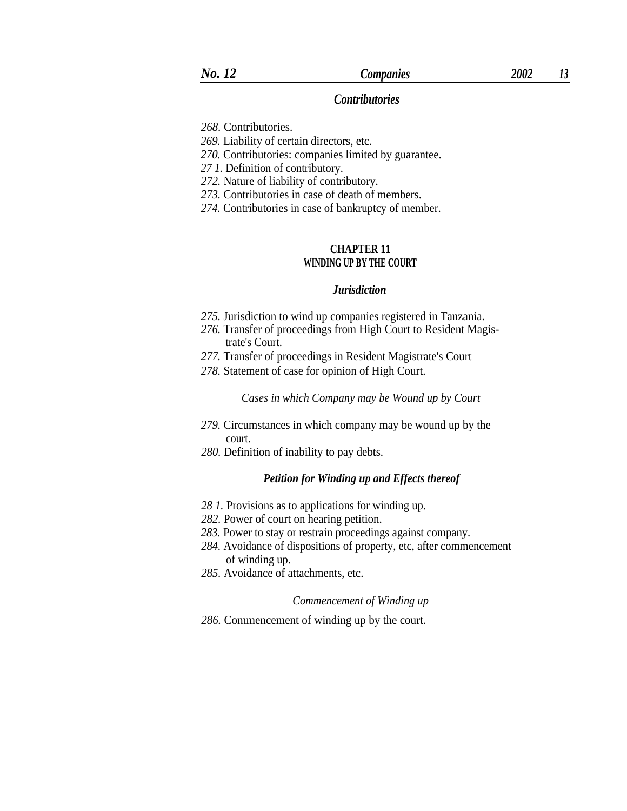## *Contributories*

*268.* Contributories.

*269.* Liability of certain directors, etc.

*270.* Contributories: companies limited by guarantee.

*27 1.* Definition of contributory.

*272.* Nature of liability of contributory.

*273.* Contributories in case of death of members.

*274.* Contributories in case of bankruptcy of member.

### **CHAPTER 11 WINDING UP BY THE COURT**

## *Jurisdiction*

- *275.* Jurisdiction to wind up companies registered in Tanzania.
- *276.* Transfer of proceedings from High Court to Resident Magistrate's Court.
- *277.* Transfer of proceedings in Resident Magistrate's Court
- *278.* Statement of case for opinion of High Court.

## *Cases in which Company may be Wound up by Court*

- *279.* Circumstances in which company may be wound up by the court.
- *280.* Definition of inability to pay debts.

## *Petition for Winding up and Effects thereof*

- *28 1.* Provisions as to applications for winding up.
- *282.* Power of court on hearing petition.
- *283.* Power to stay or restrain proceedings against company.
- *284.* Avoidance of dispositions of property, etc, after commencement of winding up.
- *285.* Avoidance of attachments, etc.

#### *Commencement of Winding up*

*286.* Commencement of winding up by the court.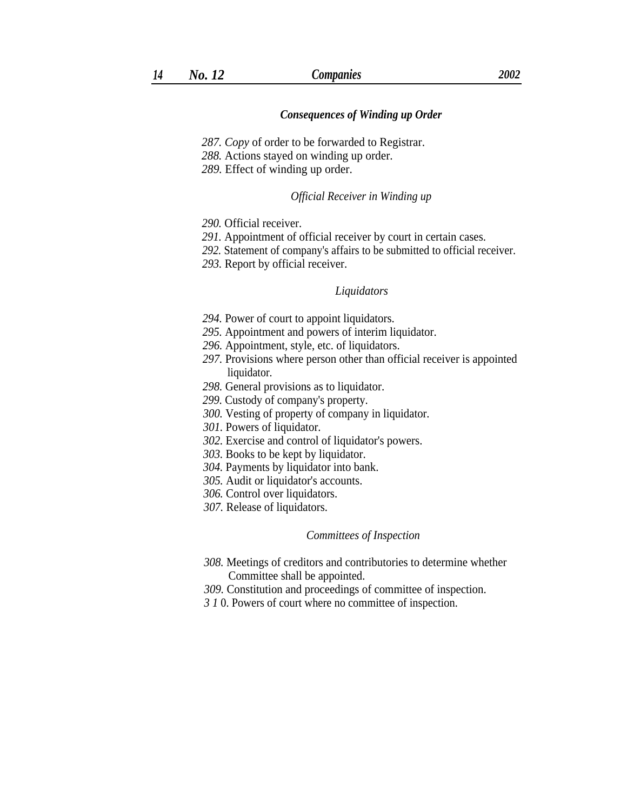## *Consequences of Winding up Order*

- *287. Copy* of order to be forwarded to Registrar.
- *288.* Actions stayed on winding up order.
- *289.* Effect of winding up order.

### *Official Receiver in Winding up*

- *290.* Official receiver.
- *291.* Appointment of official receiver by court in certain cases.
- *292.* Statement of company's affairs to be submitted to official receiver.
- *293.* Report by official receiver.

#### *Liquidators*

- *294.* Power of court to appoint liquidators.
- *295.* Appointment and powers of interim liquidator.
- *296.* Appointment, style, etc. of liquidators.
- *297.* Provisions where person other than official receiver is appointed liquidator.
- *298.* General provisions as to liquidator.
- *299.* Custody of company's property.
- *300.* Vesting of property of company in liquidator.
- *301.* Powers of liquidator.
- *302.* Exercise and control of liquidator's powers.
- *303.* Books to be kept by liquidator.
- *304.* Payments by liquidator into bank.
- *305.* Audit or liquidator's accounts.
- *306.* Control over liquidators.
- *307.* Release of liquidators.

### *Committees of Inspection*

- *308.* Meetings of creditors and contributories to determine whether Committee shall be appointed.
- *309.* Constitution and proceedings of committee of inspection.
- *3 1* 0. Powers of court where no committee of inspection.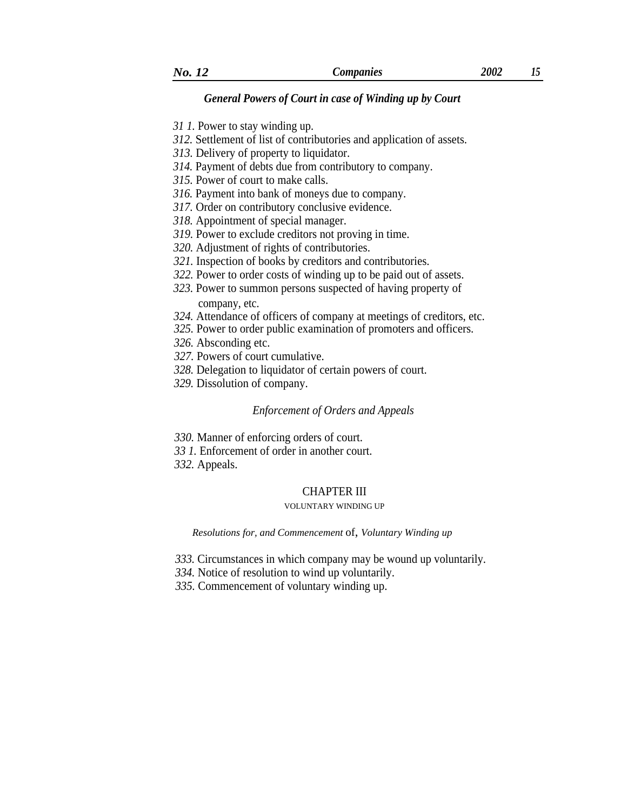## *General Powers of Court in case of Winding up by Court*

- *31 1.* Power to stay winding up.
- *312.* Settlement of list of contributories and application of assets.
- *313.* Delivery of property to liquidator.
- *314.* Payment of debts due from contributory to company.
- *315.* Power of court to make calls.
- *316.* Payment into bank of moneys due to company.
- *317.* Order on contributory conclusive evidence.
- *318.* Appointment of special manager.
- *319.* Power to exclude creditors not proving in time.
- *320.* Adjustment of rights of contributories.
- *321.* Inspection of books by creditors and contributories.
- *322.* Power to order costs of winding up to be paid out of assets.
- *323.* Power to summon persons suspected of having property of company, etc.
- *324.* Attendance of officers of company at meetings of creditors, etc.
- *325.* Power to order public examination of promoters and officers.
- *326.* Absconding etc.
- *327.* Powers of court cumulative.
- *328.* Delegation to liquidator of certain powers of court.
- *329.* Dissolution of company.

## *Enforcement of Orders and Appeals*

- *330.* Manner of enforcing orders of court.
- *33 1.* Enforcement of order in another court.
- *332.* Appeals.

### CHAPTER III

### VOLUNTARY WINDING UP

### *Resolutions for, and Commencement* of, *Voluntary Winding up*

- *333.* Circumstances in which company may be wound up voluntarily.
- *334.* Notice of resolution to wind up voluntarily.
- *335.* Commencement of voluntary winding up.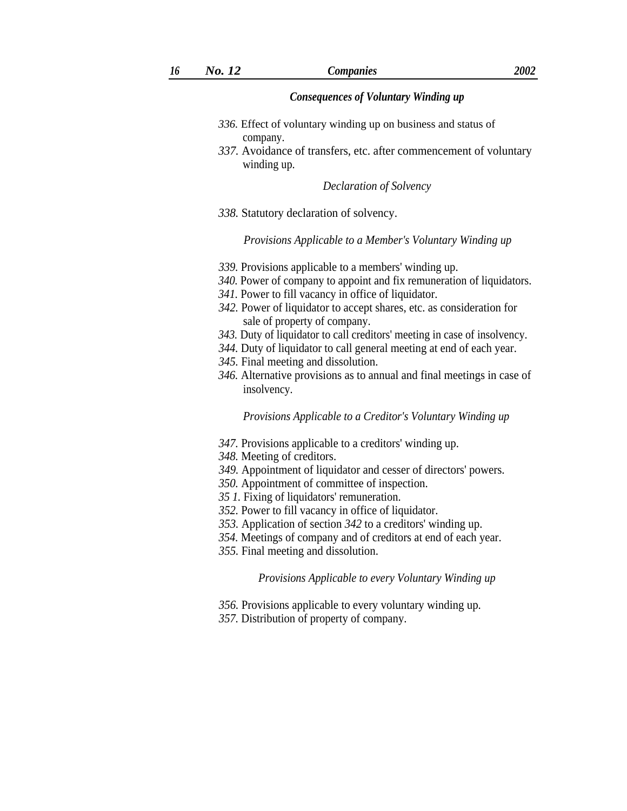## *Consequences of Voluntary Winding up*

- *336.* Effect of voluntary winding up on business and status of company.
- *337.* Avoidance of transfers, etc. after commencement of voluntary winding up.

*Declaration of Solvency*

*338.* Statutory declaration of solvency.

*Provisions Applicable to a Member's Voluntary Winding up*

- *339.* Provisions applicable to a members' winding up.
- *340.* Power of company to appoint and fix remuneration of liquidators.
- *341.* Power to fill vacancy in office of liquidator.
- *342.* Power of liquidator to accept shares, etc. as consideration for sale of property of company.
- *343.* Duty of liquidator to call creditors' meeting in case of insolvency.
- *344.* Duty of liquidator to call general meeting at end of each year.
- *345.* Final meeting and dissolution.
- *346.* Alternative provisions as to annual and final meetings in case of insolvency.

*Provisions Applicable to a Creditor's Voluntary Winding up*

- *347.* Provisions applicable to a creditors' winding up.
- *348.* Meeting of creditors.
- *349.* Appointment of liquidator and cesser of directors' powers.
- *350.* Appointment of committee of inspection.
	- *35 1.* Fixing of liquidators' remuneration.
	- *352.* Power to fill vacancy in office of liquidator.
	- *353.* Application of section *342* to a creditors' winding up.
- *354.* Meetings of company and of creditors at end of each year.
	- *355.* Final meeting and dissolution.

*Provisions Applicable to every Voluntary Winding up*

- *356.* Provisions applicable to every voluntary winding up.
- *357.* Distribution of property of company.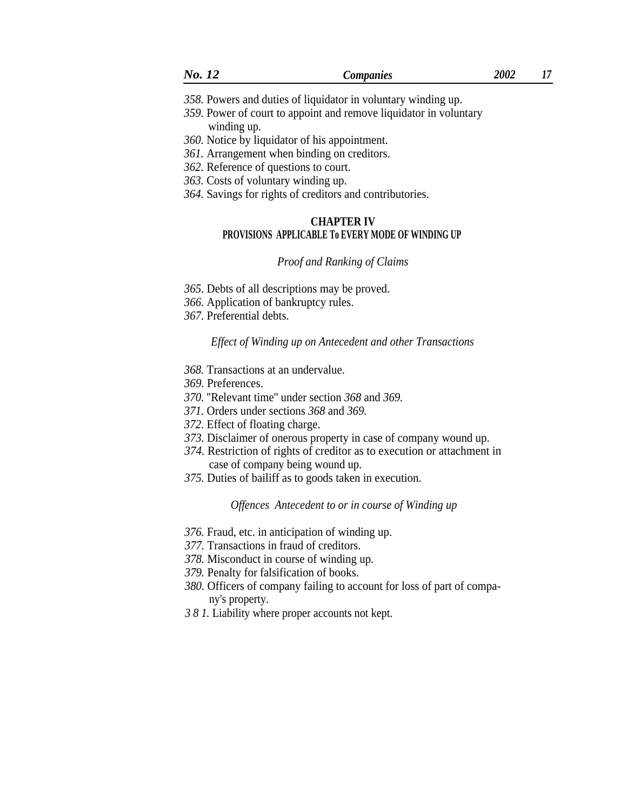| No.<br>┸┵ | <i>Companies</i> | 2002 | 15 |
|-----------|------------------|------|----|
|           |                  |      |    |

- *358.* Powers and duties of liquidator in voluntary winding up.
- *359.* Power of court to appoint and remove liquidator in voluntary winding up.
- *360.* Notice by liquidator of his appointment.
- *361.* Arrangement when binding on creditors.
- *362.* Reference of questions to court.
- *363.* Costs of voluntary winding up.
- *364.* Savings for rights of creditors and contributories.

## **CHAPTER IV PROVISIONS APPLICABLE To EVERY MODE OF WINDING UP**

## *Proof and Ranking of Claims*

- *365.* Debts of all descriptions may be proved.
- *366.* Application of bankruptcy rules.
- *367.* Preferential debts.

## *Effect of Winding up on Antecedent and other Transactions*

- *368.* Transactions at an undervalue.
- *369.* Preferences.
- *370.* ''Relevant time'' under section *368* and *369.*
- *371.* Orders under sections *368* and *369.*
- *372.* Effect of floating charge.
- *373.* Disclaimer of onerous property in case of company wound up.
- *374.* Restriction of rights of creditor as to execution or attachment in case of company being wound up.
- *375.* Duties of bailiff as to goods taken in execution.

## *Offences Antecedent to or in course of Winding up*

- *376.* Fraud, etc. in anticipation of winding up.
- *377.* Transactions in fraud of creditors.
- *378.* Misconduct in course of winding up.
- *379.* Penalty for falsification of books.
- *380.* Officers of company failing to account for loss of part of company's property.
- *3 8 1.* Liability where proper accounts not kept.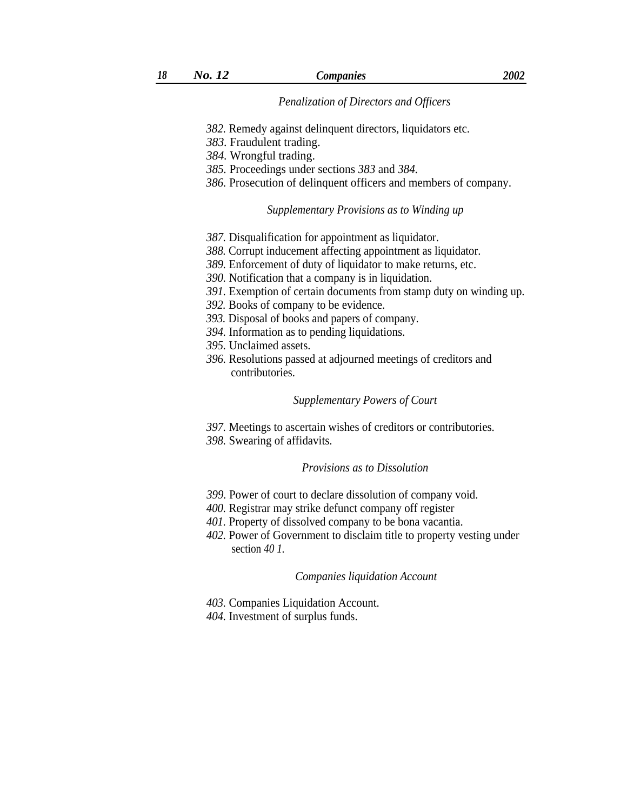## *Penalization of Directors and Officers*

- *382.* Remedy against delinquent directors, liquidators etc.
- *383.* Fraudulent trading.
- *384.* Wrongful trading.
- *385.* Proceedings under sections *383* and *384.*
- *386.* Prosecution of delinquent officers and members of company.

### *Supplementary Provisions as to Winding up*

- *387.* Disqualification for appointment as liquidator.
- *388.* Corrupt inducement affecting appointment as liquidator.
- *389.* Enforcement of duty of liquidator to make returns, etc.
- *390.* Notification that a company is in liquidation.
- *391.* Exemption of certain documents from stamp duty on winding up.
- *392.* Books of company to be evidence.
- *393.* Disposal of books and papers of company.
- *394.* Information as to pending liquidations.
- *395.* Unclaimed assets.
- *396.* Resolutions passed at adjourned meetings of creditors and contributories.

## *Supplementary Powers of Court*

- *397.* Meetings to ascertain wishes of creditors or contributories.
- *398.* Swearing of affidavits.

### *Provisions as to Dissolution*

- *399.* Power of court to declare dissolution of company void.
- *400.* Registrar may strike defunct company off register
- *401.* Property of dissolved company to be bona vacantia.
- *402.* Power of Government to disclaim title to property vesting under section *40 1.*

### *Companies liquidation Account*

- *403.* Companies Liquidation Account.
- *404.* Investment of surplus funds.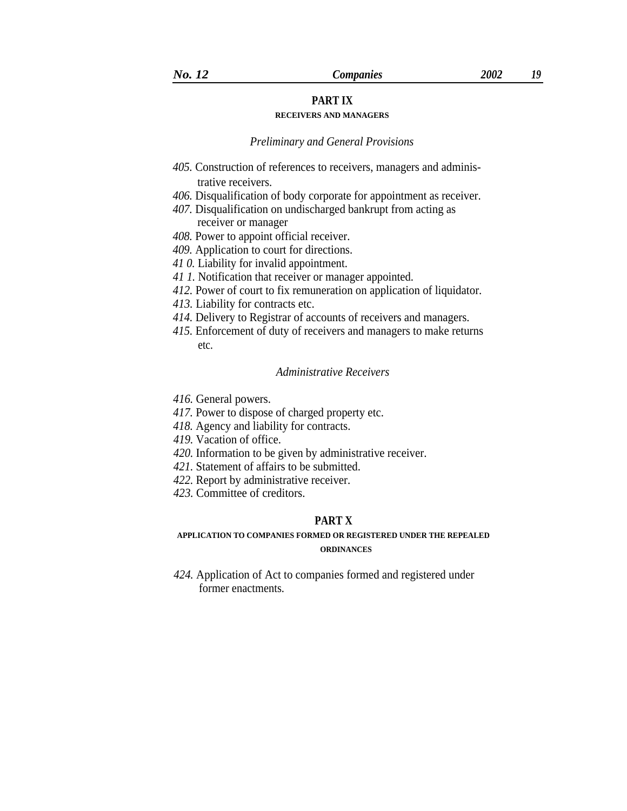## **PART IX**

### **RECEIVERS AND MANAGERS**

## *Preliminary and General Provisions*

- *405.* Construction of references to receivers, managers and administrative receivers.
- *406.* Disqualification of body corporate for appointment as receiver.
- *407.* Disqualification on undischarged bankrupt from acting as receiver or manager
- *408.* Power to appoint official receiver.
- *409.* Application to court for directions.
- *41 0.* Liability for invalid appointment.
- *41 1.* Notification that receiver or manager appointed.
- *412.* Power of court to fix remuneration on application of liquidator.
- *413.* Liability for contracts etc.
- *414.* Delivery to Registrar of accounts of receivers and managers.
- *415.* Enforcement of duty of receivers and managers to make returns etc.

## *Administrative Receivers*

- *416.* General powers.
- *417.* Power to dispose of charged property etc.
- *418.* Agency and liability for contracts.
- *419.* Vacation of office.
- *420.* Information to be given by administrative receiver.
- *421.* Statement of affairs to be submitted.
- *422.* Report by administrative receiver.
- *423.* Committee of creditors.

## **PART X**

## **APPLICATION TO COMPANIES FORMED OR REGISTERED UNDER THE REPEALED ORDINANCES**

*424.* Application of Act to companies formed and registered under former enactments.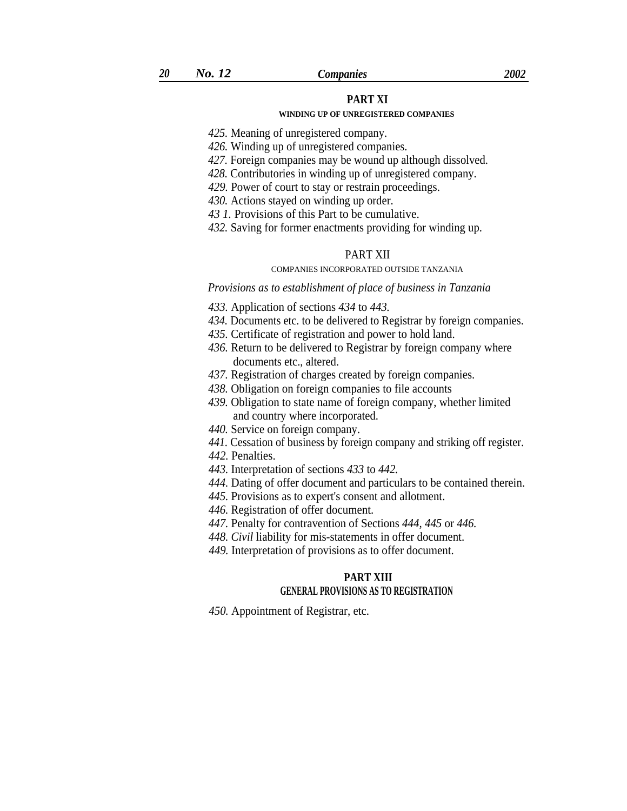### **PART XI**

## **WINDING UP OF UNREGISTERED COMPANIES**

*425.* Meaning of unregistered company.

*426.* Winding up of unregistered companies.

*427.* Foreign companies may be wound up although dissolved.

*428.* Contributories in winding up of unregistered company.

*429.* Power of court to stay or restrain proceedings.

*430.* Actions stayed on winding up order.

*43 1.* Provisions of this Part to be cumulative.

*432.* Saving for former enactments providing for winding up.

#### PART XII

#### COMPANIES INCORPORATED OUTSIDE TANZANIA

*Provisions as to establishment of place of business in Tanzania*

*433.* Application of sections *434* to *443.*

- *434.* Documents etc. to be delivered to Registrar by foreign companies.
- *435.* Certificate of registration and power to hold land.
- *436.* Return to be delivered to Registrar by foreign company where documents etc., altered.
- *437.* Registration of charges created by foreign companies.
- *438.* Obligation on foreign companies to file accounts
- *439.* Obligation to state name of foreign company, whether limited and country where incorporated.
- *440.* Service on foreign company.
- *441.* Cessation of business by foreign company and striking off register.

*442.* Penalties.

- *443.* Interpretation of sections *433* to *442.*
- *444.* Dating of offer document and particulars to be contained therein.
- *445.* Provisions as to expert's consent and allotment.
- *446.* Registration of offer document.
- *447.* Penalty for contravention of Sections *444, 445* or *446.*
- *448. Civil* liability for mis-statements in offer document.
- *449.* Interpretation of provisions as to offer document.

## **PART XIII GENERAL PROVISIONS AS TO REGISTRATION**

*450.* Appointment of Registrar, etc.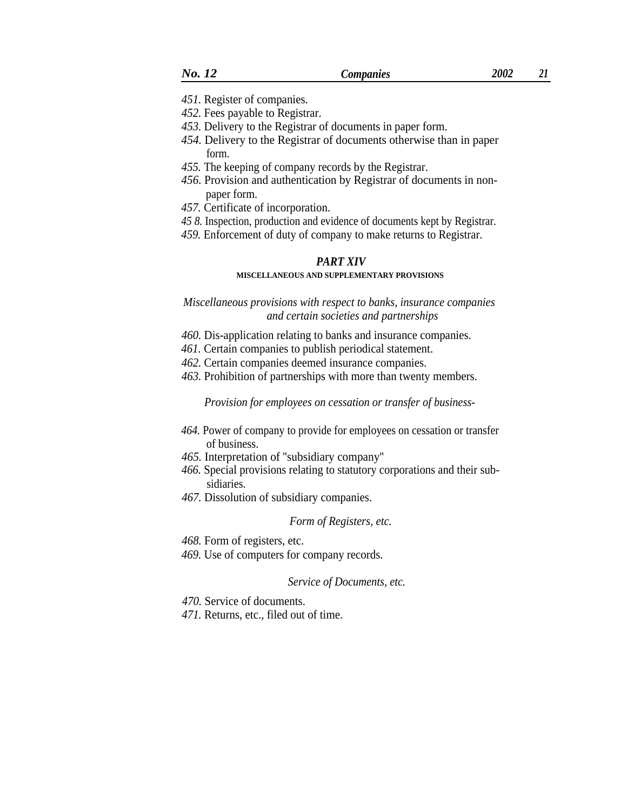- *451.* Register of companies.
- *452.* Fees payable to Registrar.
- *453.* Delivery to the Registrar of documents in paper form.
- *454.* Delivery to the Registrar of documents otherwise than in paper form.
- *455.* The keeping of company records by the Registrar.
- *456.* Provision and authentication by Registrar of documents in nonpaper form.
- *457.* Certificate of incorporation.
- *45 8.* Inspection, production and evidence of documents kept by Registrar.
- *459.* Enforcement of duty of company to make returns to Registrar.

### *PART XIV* **MISCELLANEOUS AND SUPPLEMENTARY PROVISIONS**

*Miscellaneous provisions with respect to banks, insurance companies and certain societies and partnerships*

- *460.* Dis-application relating to banks and insurance companies.
- *461.* Certain companies to publish periodical statement.
- *462.* Certain companies deemed insurance companies.
- *463.* Prohibition of partnerships with more than twenty members.

*Provision for employees on cessation or transfer of business-*

- *464.* Power of company to provide for employees on cessation or transfer of business.
- *465.* Interpretation of ''subsidiary company''
- *466.* Special provisions relating to statutory corporations and their subsidiaries.
- *467.* Dissolution of subsidiary companies.

### *Form of Registers, etc.*

*468.* Form of registers, etc.

*469.* Use of computers for company records.

### *Service of Documents, etc.*

- *470.* Service of documents.
- *471.* Returns, etc., filed out of time.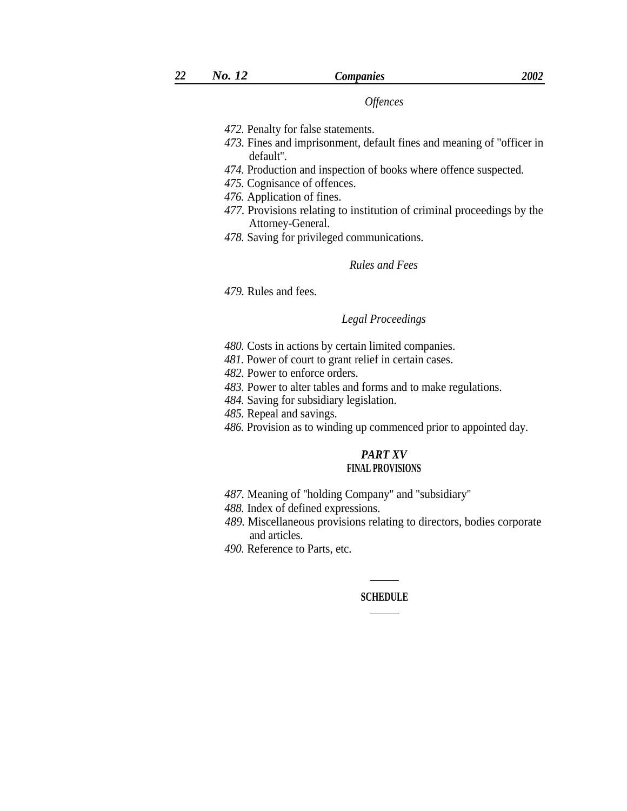## *Offences*

- *472.* Penalty for false statements.
- *473.* Fines and imprisonment, default fines and meaning of ''officer in default''.
- *474.* Production and inspection of books where offence suspected.
- *475.* Cognisance of offences.
- *476.* Application of fines.
- *477.* Provisions relating to institution of criminal proceedings by the Attorney-General.
- *478.* Saving for privileged communications.

## *Rules and Fees*

*479.* Rules and fees.

## *Legal Proceedings*

- *480.* Costs in actions by certain limited companies.
- 481. Power of court to grant relief in certain cases.
- *482.* Power to enforce orders.
- *483.* Power to alter tables and forms and to make regulations.
- *484.* Saving for subsidiary legislation.
- *485.* Repeal and savings.
- *486.* Provision as to winding up commenced prior to appointed day.

## *PART XV* **FINAL PROVISIONS**

- *487.* Meaning of ''holding Company'' and ''subsidiary''
- *488.* Index of defined expressions.
- *489.* Miscellaneous provisions relating to directors, bodies corporate and articles.
- *490.* Reference to Parts, etc.

### **SCHEDULE**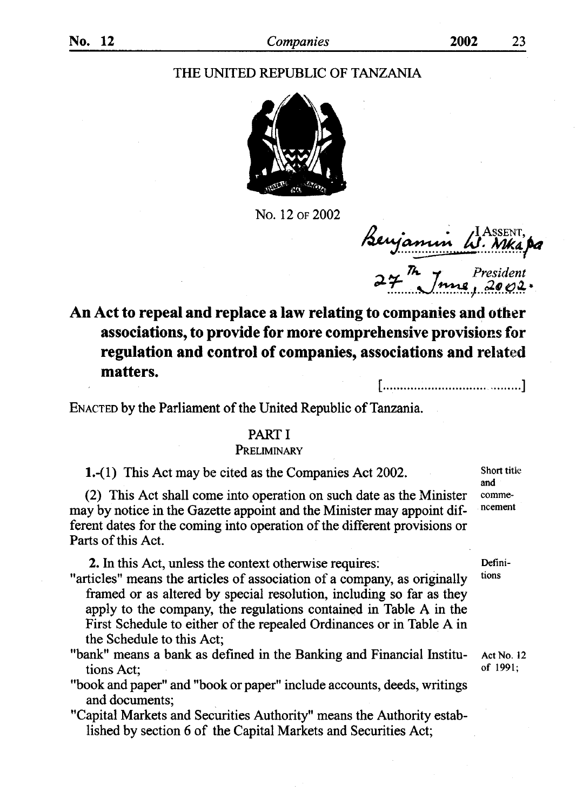#### No. 12 *Companies* 2002 23

### THE UNITED REPUBLIC OF TANZANIA



No. 12 OF 2002

Benjamın W. Mka**pa** 

 $27\frac{m}{\mu}$  June,  $2002$ .

## An Act to repeal and replace a law relating to companies and other associations, to provide for more comprehensive provisions for regulation and control of companies, associations and related matters. [ .............................. , ........ ]

ENACTED by the Parliament of the United Republic of Tanzania.

### PART I

### **PRELIMINARY**

1.-( 1) This Act may be cited as the Companies Act 2002.

(2) This Act shall come into operation on such date as the Minister may by notice in the Gazette appoint and the Minister may appoint different dates for the coming into operation of the different provisions or Parts of this Act.

2. In this Act, unless the context otherwise requires:

- "articles" means the articles of association of a company, as originally framed or as altered by special resolution, including so far as they apply to the company, the regulations contained in Table  $A$  in the First Schedule to either of the repealed Ordinances or in Table A in the Schedule to this Act;
- "bank" means a bank as defined in the Banking and Financial Institutions Act;
- "book and paper" and "book or paper" include accounts, deeds, writings and documents;
- "Capital Markets and Securities Authority" means the Authority established by section 6 of the Capital Markets and Securities Act;

Short title and commencement

Definitions

Act No, 12 of 1991;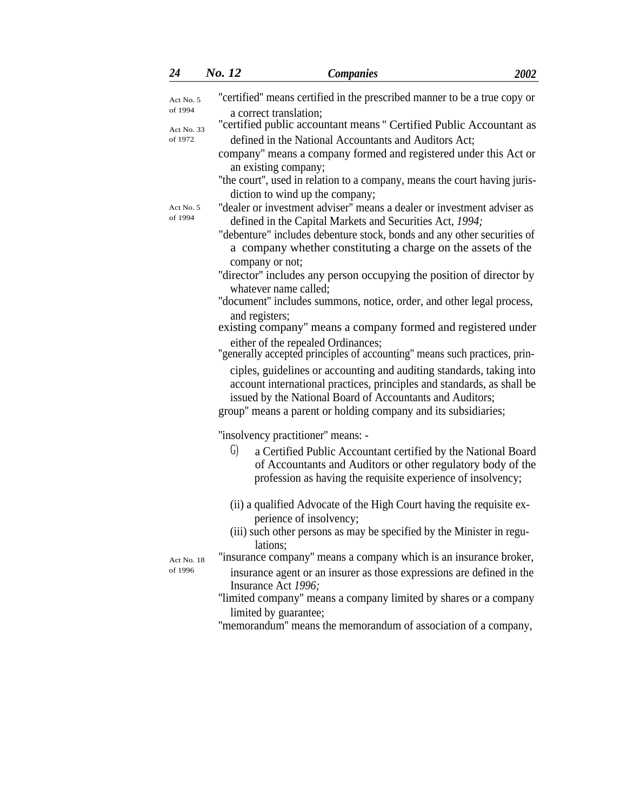| 24                   | No. 12          | <b>Companies</b>                                                                                                                                                                             | 2002 |
|----------------------|-----------------|----------------------------------------------------------------------------------------------------------------------------------------------------------------------------------------------|------|
| Act No. 5            |                 | "certified" means certified in the prescribed manner to be a true copy or                                                                                                                    |      |
| of 1994              |                 | a correct translation;                                                                                                                                                                       |      |
| Act No. 33           |                 | "certified public accountant means" Certified Public Accountant as                                                                                                                           |      |
| of 1972              |                 | defined in the National Accountants and Auditors Act;                                                                                                                                        |      |
|                      |                 | company" means a company formed and registered under this Act or<br>an existing company;                                                                                                     |      |
|                      |                 | "the court", used in relation to a company, means the court having juris-                                                                                                                    |      |
|                      |                 | diction to wind up the company;                                                                                                                                                              |      |
| Act No. 5<br>of 1994 |                 | "dealer or investment adviser" means a dealer or investment adviser as<br>defined in the Capital Markets and Securities Act, 1994;                                                           |      |
|                      |                 | "debenture" includes debenture stock, bonds and any other securities of                                                                                                                      |      |
|                      |                 | a company whether constituting a charge on the assets of the                                                                                                                                 |      |
|                      | company or not; | "director" includes any person occupying the position of director by                                                                                                                         |      |
|                      |                 | whatever name called;                                                                                                                                                                        |      |
|                      | and registers;  | "document" includes summons, notice, order, and other legal process,                                                                                                                         |      |
|                      |                 | existing company" means a company formed and registered under                                                                                                                                |      |
|                      |                 | either of the repealed Ordinances;                                                                                                                                                           |      |
|                      |                 | "generally accepted principles of accounting" means such practices, prin-                                                                                                                    |      |
|                      |                 | ciples, guidelines or accounting and auditing standards, taking into<br>account international practices, principles and standards, as shall be                                               |      |
|                      |                 | issued by the National Board of Accountants and Auditors;                                                                                                                                    |      |
|                      |                 | group" means a parent or holding company and its subsidiaries;                                                                                                                               |      |
|                      |                 | "insolvency practitioner" means: -                                                                                                                                                           |      |
|                      | G)              | a Certified Public Accountant certified by the National Board<br>of Accountants and Auditors or other regulatory body of the<br>profession as having the requisite experience of insolvency; |      |
| Act No. 18           |                 | (ii) a qualified Advocate of the High Court having the requisite ex-                                                                                                                         |      |
|                      |                 | perience of insolvency;                                                                                                                                                                      |      |
|                      |                 | (iii) such other persons as may be specified by the Minister in regu-<br>lations;                                                                                                            |      |
|                      |                 | "insurance company" means a company which is an insurance broker,                                                                                                                            |      |
| of 1996              |                 | insurance agent or an insurer as those expressions are defined in the<br>Insurance Act 1996:                                                                                                 |      |
|                      |                 | "limited company" means a company limited by shares or a company                                                                                                                             |      |
|                      |                 | limited by guarantee;                                                                                                                                                                        |      |
|                      |                 | "memorandum" means the memorandum of association of a company,                                                                                                                               |      |
|                      |                 |                                                                                                                                                                                              |      |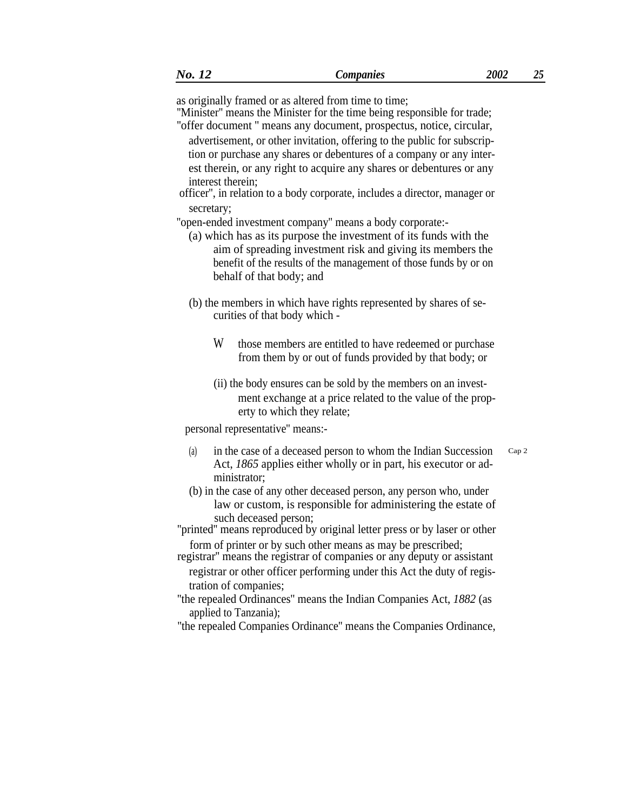as originally framed or as altered from time to time;

''Minister'' means the Minister for the time being responsible for trade; ''offer document '' means any document, prospectus, notice, circular,

advertisement, or other invitation, offering to the public for subscription or purchase any shares or debentures of a company or any interest therein, or any right to acquire any shares or debentures or any interest therein;

 officer'', in relation to a body corporate, includes a director, manager or secretary;

''open-ended investment company'' means a body corporate:-

- (a) which has as its purpose the investment of its funds with the aim of spreading investment risk and giving its members the benefit of the results of the management of those funds by or on behalf of that body; and
- (b) the members in which have rights represented by shares of securities of that body which -
	- W those members are entitled to have redeemed or purchase from them by or out of funds provided by that body; or
	- (ii) the body ensures can be sold by the members on an investment exchange at a price related to the value of the property to which they relate;

personal representative'' means:-

- (a) in the case of a deceased person to whom the Indian Succession Act, *1865* applies either wholly or in part, his executor or ad-Cap 2 ministrator;
- (b) in the case of any other deceased person, any person who, under law or custom, is responsible for administering the estate of such deceased person;

''printed'' means reproduced by original letter press or by laser or other form of printer or by such other means as may be prescribed;

registrar'' means the registrar of companies or any deputy or assistant registrar or other officer performing under this Act the duty of registration of companies;

''the repealed Ordinances'' means the Indian Companies Act, *1882* (as applied to Tanzania);

''the repealed Companies Ordinance'' means the Companies Ordinance,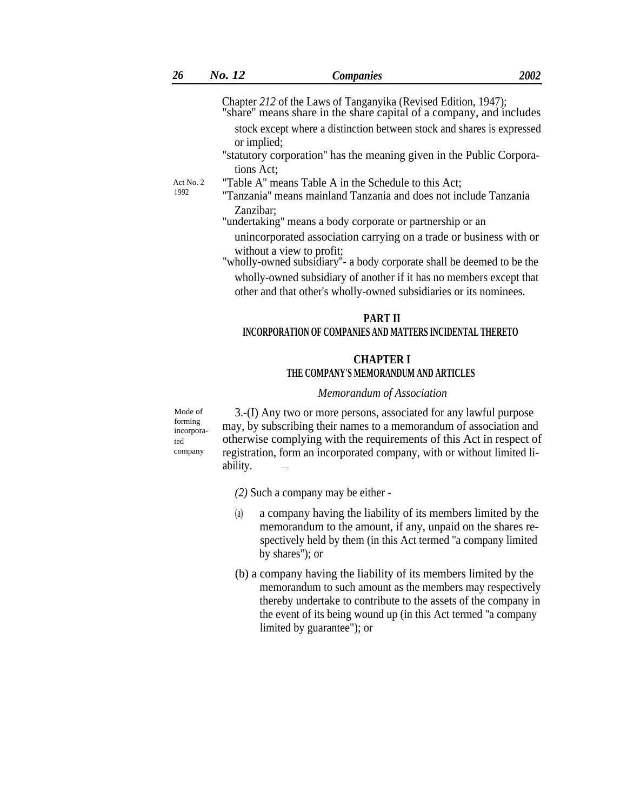Chapter *212* of the Laws of Tanganyika (Revised Edition, 1947); ''share'' means share in the share capital of a company, and includes stock except where a distinction between stock and shares is expressed or implied; ''statutory corporation'' has the meaning given in the Public Corporations Act; ''Table A'' means Table A in the Schedule to this Act; ''Tanzania'' means mainland Tanzania and does not include Tanzania Act No. 2 Zanzibar; ''undertaking'' means a body corporate or partnership or an unincorporated association carrying on a trade or business with or without a view to profit; ''wholly-owned subsidiary''- a body corporate shall be deemed to be the

## wholly-owned subsidiary of another if it has no members except that other and that other's wholly-owned subsidiaries or its nominees.

### **PART II**

## **INCORPORATION OF COMPANIES AND MATTERS INCIDENTAL THERETO**

### **CHAPTER I THE COMPANY'S MEMORANDUM AND ARTICLES**

### *Memorandum of Association*

Mode of forming incorporated company

1992

3.-(I) Any two or more persons, associated for any lawful purpose may, by subscribing their names to a memorandum of association and otherwise complying with the requirements of this Act in respect of registration, form an incorporated company, with or without limited liability.

*(2)* Such a company may be either -

- (a) a company having the liability of its members limited by the memorandum to the amount, if any, unpaid on the shares respectively held by them (in this Act termed ''a company limited by shares''); or
- (b) a company having the liability of its members limited by the memorandum to such amount as the members may respectively thereby undertake to contribute to the assets of the company in the event of its being wound up (in this Act termed ''a company limited by guarantee"); or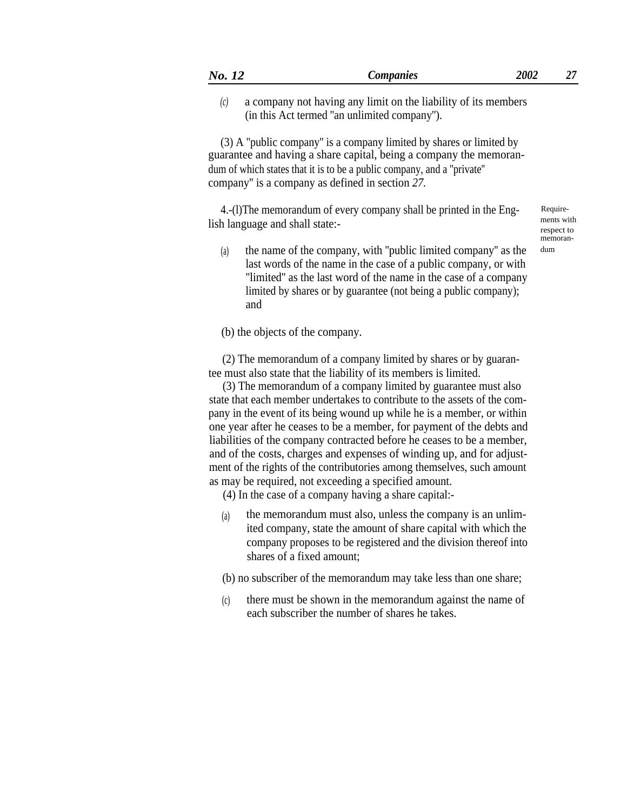| No. 12 | <b>Companies</b> | 2002 | 87 |
|--------|------------------|------|----|
|        |                  |      |    |

a company not having any limit on the liability of its members (in this Act termed ''an unlimited company''). *(c)*

(3) A ''public company'' is a company limited by shares or limited by guarantee and having a share capital, being a company the memorandum of which states that it is to be a public company, and a ''private'' company'' is a company as defined in section *27.*

4.-(l)The memorandum of every company shall be printed in the English language and shall state:-

Requirements with respect to memoran-

(a) the name of the company, with "public limited company" as the  $\frac{dum}{dt}$ last words of the name in the case of a public company, or with ''limited'' as the last word of the name in the case of a company limited by shares or by guarantee (not being a public company); and

(b) the objects of the company.

(2) The memorandum of a company limited by shares or by guarantee must also state that the liability of its members is limited.

(3) The memorandum of a company limited by guarantee must also state that each member undertakes to contribute to the assets of the company in the event of its being wound up while he is a member, or within one year after he ceases to be a member, for payment of the debts and liabilities of the company contracted before he ceases to be a member, and of the costs, charges and expenses of winding up, and for adjustment of the rights of the contributories among themselves, such amount as may be required, not exceeding a specified amount.

(4) In the case of a company having a share capital:-

the memorandum must also, unless the company is an unlimited company, state the amount of share capital with which the company proposes to be registered and the division thereof into shares of a fixed amount; (a)

(b) no subscriber of the memorandum may take less than one share;

there must be shown in the memorandum against the name of each subscriber the number of shares he takes. (c)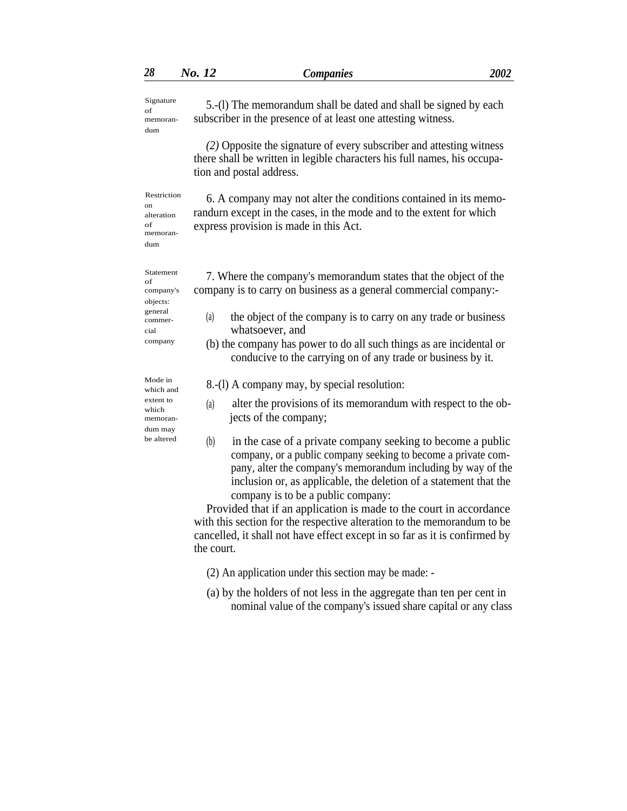of memorandum

Restriction on alteration of memorandum

 $S_{\text{is}\text{parameter}}$  5.-(1) The memorandum shall be dated and shall be signed by each subscriber in the presence of at least one attesting witness.

> *(2)* Opposite the signature of every subscriber and attesting witness there shall be written in legible characters his full names, his occupation and postal address.

6. A company may not alter the conditions contained in its memorandurn except in the cases, in the mode and to the extent for which express provision is made in this Act.

Statement 7. Where the company's memorandum states that the object of the company is to carry on business as a general commercial company:-

- $\epsilon_{\text{commer}}$  (a) the object of the company is to carry on any trade or business cial whatsoever, and
	- (b) the company has power to do all such things as are incidental or conducive to the carrying on of any trade or business by it.
- Mode in  $8-(1)$  A company may, by special resolution:
- $\epsilon_{\text{x,} \text{t}}$  (a) alter the provisions of its memorandum with respect to the objects of the company;
	- (b) in the case of a private company seeking to become a public company, or a public company seeking to become a private company, alter the company's memorandum including by way of the inclusion or, as applicable, the deletion of a statement that the company is to be a public company:

Provided that if an application is made to the court in accordance with this section for the respective alteration to the memorandum to be cancelled, it shall not have effect except in so far as it is confirmed by the court.

- (2) An application under this section may be made: -
- (a) by the holders of not less in the aggregate than ten per cent in nominal value of the company's issued share capital or any class

of company's objects: general company

which memorandum may be altered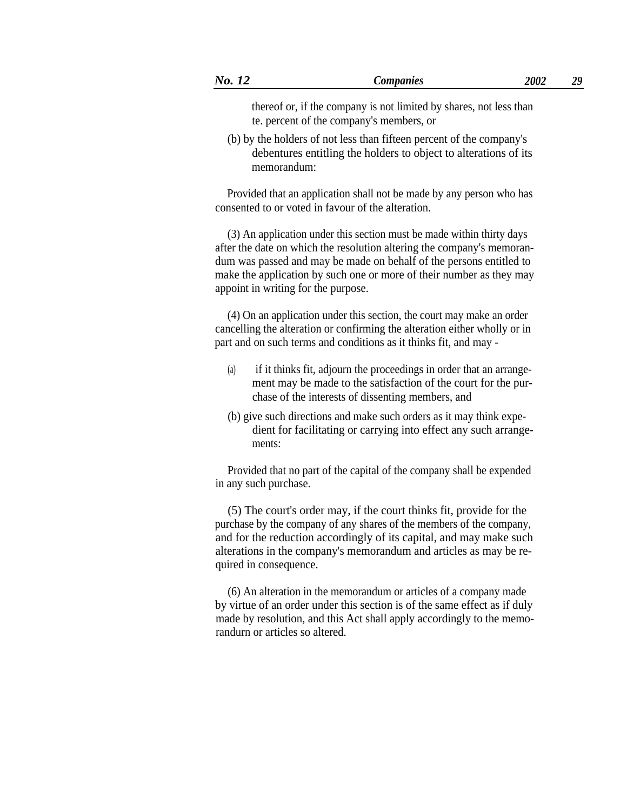thereof or, if the company is not limited by shares, not less than te. percent of the company's members, or

(b) by the holders of not less than fifteen percent of the company's debentures entitling the holders to object to alterations of its memorandum:

Provided that an application shall not be made by any person who has consented to or voted in favour of the alteration.

(3) An application under this section must be made within thirty days after the date on which the resolution altering the company's memorandum was passed and may be made on behalf of the persons entitled to make the application by such one or more of their number as they may appoint in writing for the purpose.

(4) On an application under this section, the court may make an order cancelling the alteration or confirming the alteration either wholly or in part and on such terms and conditions as it thinks fit, and may -

- if it thinks fit, adjourn the proceedings in order that an arrangement may be made to the satisfaction of the court for the purchase of the interests of dissenting members, and (a)
- (b) give such directions and make such orders as it may think expedient for facilitating or carrying into effect any such arrangements:

Provided that no part of the capital of the company shall be expended in any such purchase.

(5) The court's order may, if the court thinks fit, provide for the purchase by the company of any shares of the members of the company, and for the reduction accordingly of its capital, and may make such alterations in the company's memorandum and articles as may be required in consequence.

(6) An alteration in the memorandum or articles of a company made by virtue of an order under this section is of the same effect as if duly made by resolution, and this Act shall apply accordingly to the memorandurn or articles so altered.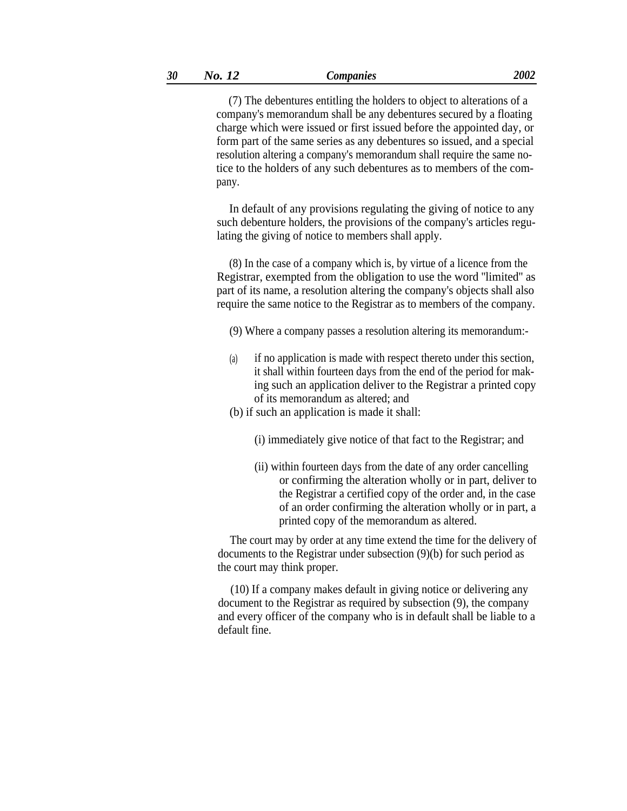(7) The debentures entitling the holders to object to alterations of a company's memorandum shall be any debentures secured by a floating charge which were issued or first issued before the appointed day, or form part of the same series as any debentures so issued, and a special resolution altering a company's memorandum shall require the same notice to the holders of any such debentures as to members of the company.

In default of any provisions regulating the giving of notice to any such debenture holders, the provisions of the company's articles regulating the giving of notice to members shall apply.

(8) In the case of a company which is, by virtue of a licence from the Registrar, exempted from the obligation to use the word ''limited'' as part of its name, a resolution altering the company's objects shall also require the same notice to the Registrar as to members of the company.

(9) Where a company passes a resolution altering its memorandum:-

- if no application is made with respect thereto under this section, it shall within fourteen days from the end of the period for making such an application deliver to the Registrar a printed copy of its memorandum as altered; and (a)
- (b) if such an application is made it shall:
	- (i) immediately give notice of that fact to the Registrar; and
	- (ii) within fourteen days from the date of any order cancelling or confirming the alteration wholly or in part, deliver to the Registrar a certified copy of the order and, in the case of an order confirming the alteration wholly or in part, a printed copy of the memorandum as altered.

The court may by order at any time extend the time for the delivery of documents to the Registrar under subsection (9)(b) for such period as the court may think proper.

(10) If a company makes default in giving notice or delivering any document to the Registrar as required by subsection (9), the company and every officer of the company who is in default shall be liable to a default fine.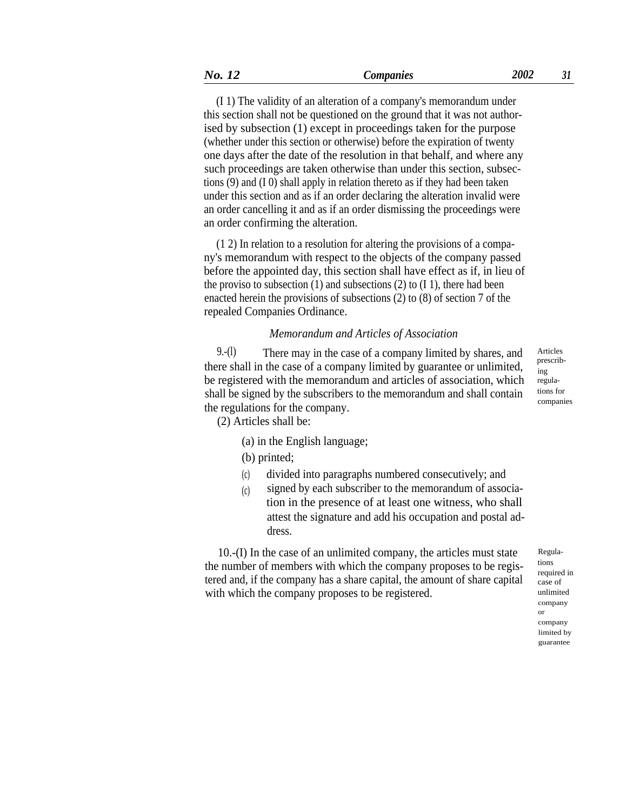(I 1) The validity of an alteration of a company's memorandum under this section shall not be questioned on the ground that it was not authorised by subsection (1) except in proceedings taken for the purpose (whether under this section or otherwise) before the expiration of twenty one days after the date of the resolution in that behalf, and where any such proceedings are taken otherwise than under this section, subsections (9) and (I 0) shall apply in relation thereto as if they had been taken under this section and as if an order declaring the alteration invalid were an order cancelling it and as if an order dismissing the proceedings were an order confirming the alteration.

(1 2) In relation to a resolution for altering the provisions of a company's memorandum with respect to the objects of the company passed before the appointed day, this section shall have effect as if, in lieu of the proviso to subsection  $(1)$  and subsections  $(2)$  to  $(1 1)$ , there had been enacted herein the provisions of subsections (2) to (8) of section 7 of the repealed Companies Ordinance.

## *Memorandum and Articles of Association*

9.-(l) There may in the case of a company limited by shares, and  $\frac{\text{Articles}}{\text{mescrib}}$ there shall in the case of a company limited by guarantee or unlimited. be registered with the memorandum and articles of association, which shall be signed by the subscribers to the memorandum and shall contain companies<br>the regulations for the company.

(2) Articles shall be:

- (a) in the English language;
- (b) printed;
- divided into paragraphs numbered consecutively; and  $(c)$
- signed by each subscriber to the memorandum of association in the presence of at least one witness, who shall attest the signature and add his occupation and postal address. (c)

10.-(I) In the case of an unlimited company, the articles must state the number of members with which the company proposes to be registered and, if the company has a share capital, the amount of share capital with which the company proposes to be registered.

Regula-

ing regulations for

tions required in case of unlimited company or company limited by guarantee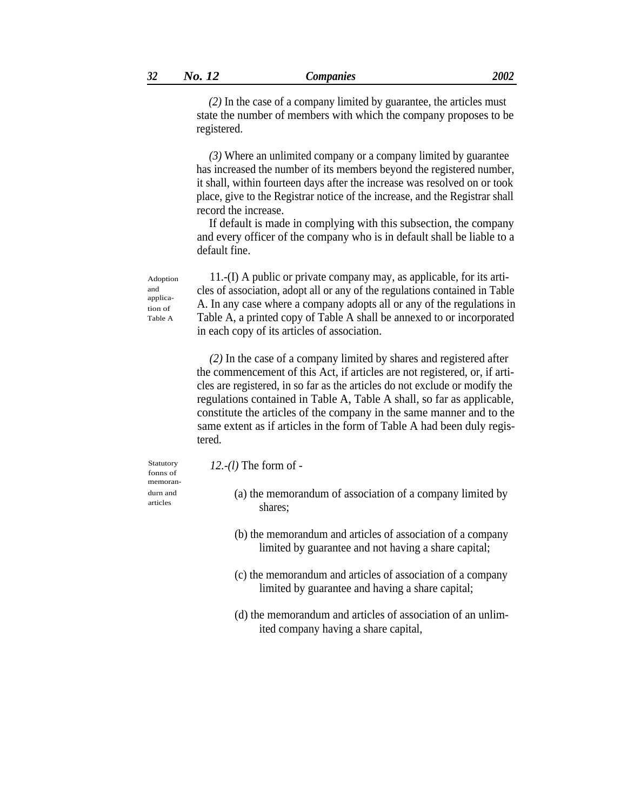*(2)* In the case of a company limited by guarantee, the articles must state the number of members with which the company proposes to be registered.

*(3)* Where an unlimited company or a company limited by guarantee has increased the number of its members beyond the registered number, it shall, within fourteen days after the increase was resolved on or took place, give to the Registrar notice of the increase, and the Registrar shall record the increase.

If default is made in complying with this subsection, the company and every officer of the company who is in default shall be liable to a default fine.

11.-(I) A public or private company may, as applicable, for its articles of association, adopt all or any of the regulations contained in Table A. In any case where a company adopts all or any of the regulations in Table A, a printed copy of Table A shall be annexed to or incorporated in each copy of its articles of association.

*(2)* In the case of a company limited by shares and registered after the commencement of this Act, if articles are not registered, or, if articles are registered, in so far as the articles do not exclude or modify the regulations contained in Table A, Table A shall, so far as applicable, constitute the articles of the company in the same manner and to the same extent as if articles in the form of Table A had been duly registered.

 $12.-(l)$  The form of  $$ fonns of memoran-

Adoption and application of Table A

- 
- durn and (a) the memorandum of association of a company limited by articles shares;
	- (b) the memorandum and articles of association of a company limited by guarantee and not having a share capital;
	- (c) the memorandum and articles of association of a company limited by guarantee and having a share capital;
	- (d) the memorandum and articles of association of an unlimited company having a share capital,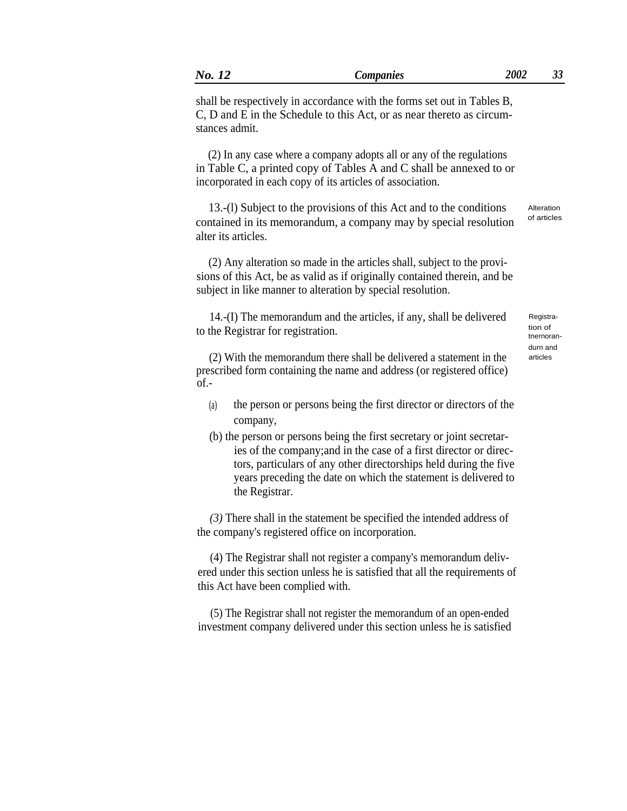shall be respectively in accordance with the forms set out in Tables B, C, D and E in the Schedule to this Act, or as near thereto as circumstances admit.

(2) In any case where a company adopts all or any of the regulations in Table C, a printed copy of Tables A and C shall be annexed to or incorporated in each copy of its articles of association.

13.-(l) Subject to the provisions of this Act and to the conditions contained in its memorandum, a company may by special resolution alter its articles. Alteration of articles

(2) Any alteration so made in the articles shall, subject to the provisions of this Act, be as valid as if originally contained therein, and be subject in like manner to alteration by special resolution.

14.-(I) The memorandum and the articles, if any, shall be delivered to the Registrar for registration.

Registration of tnernorandurn and articles

(2) With the memorandum there shall be delivered a statement in the prescribed form containing the name and address (or registered office) of.-

- (a) the person or persons being the first director or directors of the company,
- (b) the person or persons being the first secretary or joint secretaries of the company;and in the case of a first director or directors, particulars of any other directorships held during the five years preceding the date on which the statement is delivered to the Registrar.

*(3)* There shall in the statement be specified the intended address of the company's registered office on incorporation.

(4) The Registrar shall not register a company's memorandum delivered under this section unless he is satisfied that all the requirements of this Act have been complied with.

(5) The Registrar shall not register the memorandum of an open-ended investment company delivered under this section unless he is satisfied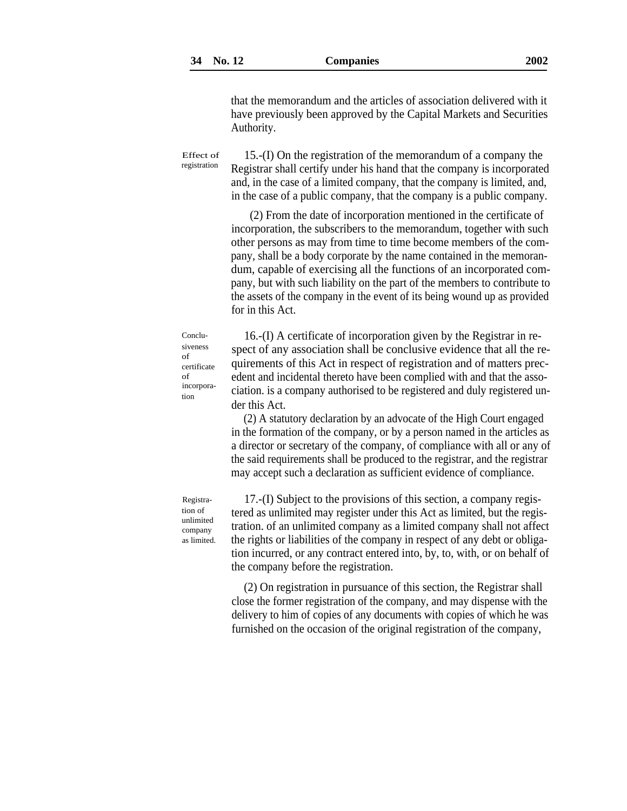that the memorandum and the articles of association delivered with it have previously been approved by the Capital Markets and Securities Authority.

15.-(I) On the registration of the memorandum of a company the Registrar shall certify under his hand that the company is incorporated and, in the case of a limited company, that the company is limited, and, in the case of a public company, that the company is a public company. Effect of registration

> (2) From the date of incorporation mentioned in the certificate of incorporation, the subscribers to the memorandum, together with such other persons as may from time to time become members of the company, shall be a body corporate by the name contained in the memorandum, capable of exercising all the functions of an incorporated company, but with such liability on the part of the members to contribute to the assets of the company in the event of its being wound up as provided for in this Act.

16.-(I) A certificate of incorporation given by the Registrar in respect of any association shall be conclusive evidence that all the requirements of this Act in respect of registration and of matters precedent and incidental thereto have been complied with and that the association. is a company authorised to be registered and duly registered under this Act.

(2) A statutory declaration by an advocate of the High Court engaged in the formation of the company, or by a person named in the articles as a director or secretary of the company, of compliance with all or any of the said requirements shall be produced to the registrar, and the registrar may accept such a declaration as sufficient evidence of compliance.

Registration of unlimited company as limited.

Conclusiveness of certificate of incorporation

> 17.-(I) Subject to the provisions of this section, a company registered as unlimited may register under this Act as limited, but the registration. of an unlimited company as a limited company shall not affect the rights or liabilities of the company in respect of any debt or obligation incurred, or any contract entered into, by, to, with, or on behalf of the company before the registration.

(2) On registration in pursuance of this section, the Registrar shall close the former registration of the company, and may dispense with the delivery to him of copies of any documents with copies of which he was furnished on the occasion of the original registration of the company,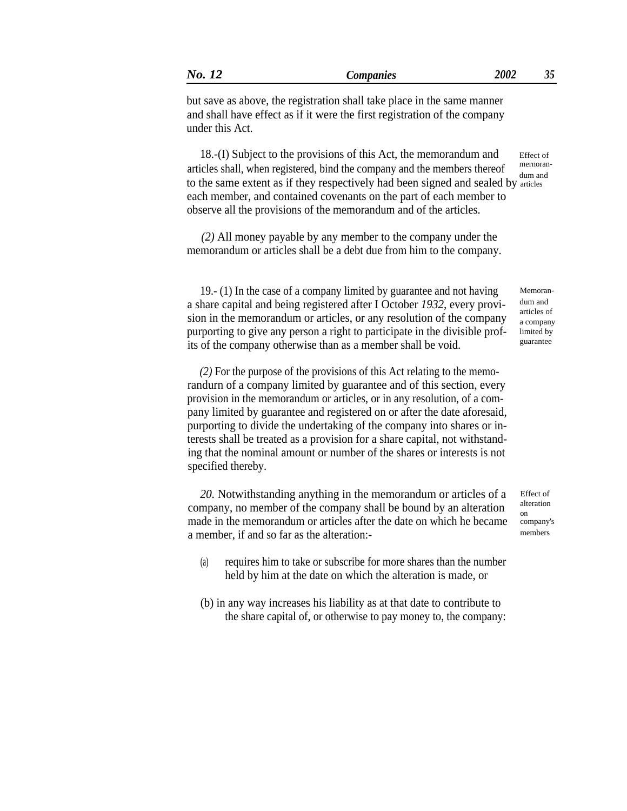but save as above, the registration shall take place in the same manner and shall have effect as if it were the first registration of the company under this Act.

18.-(I) Subject to the provisions of this Act, the memorandum and articles shall, when registered, bind the company and the members thereof Effect of mernorandum and to the same extent as if they respectively had been signed and sealed by articles each member, and contained covenants on the part of each member to observe all the provisions of the memorandum and of the articles.

*(2)* All money payable by any member to the company under the memorandum or articles shall be a debt due from him to the company.

19.- (1) In the case of a company limited by guarantee and not having a share capital and being registered after I October *1932,* every provision in the memorandum or articles, or any resolution of the company purporting to give any person a right to participate in the divisible profits of the company otherwise than as a member shall be void.

*(2)* For the purpose of the provisions of this Act relating to the memorandurn of a company limited by guarantee and of this section, every provision in the memorandum or articles, or in any resolution, of a company limited by guarantee and registered on or after the date aforesaid, purporting to divide the undertaking of the company into shares or interests shall be treated as a provision for a share capital, not withstanding that the nominal amount or number of the shares or interests is not specified thereby.

*20.* Notwithstanding anything in the memorandum or articles of a company, no member of the company shall be bound by an alteration made in the memorandum or articles after the date on which he became a member, if and so far as the alteration:-

- requires him to take or subscribe for more shares than the number held by him at the date on which the alteration is made, or (a)
- (b) in any way increases his liability as at that date to contribute to the share capital of, or otherwise to pay money to, the company:

Effect of alteration on company's

members

Memorandum and articles of a company limited by guarantee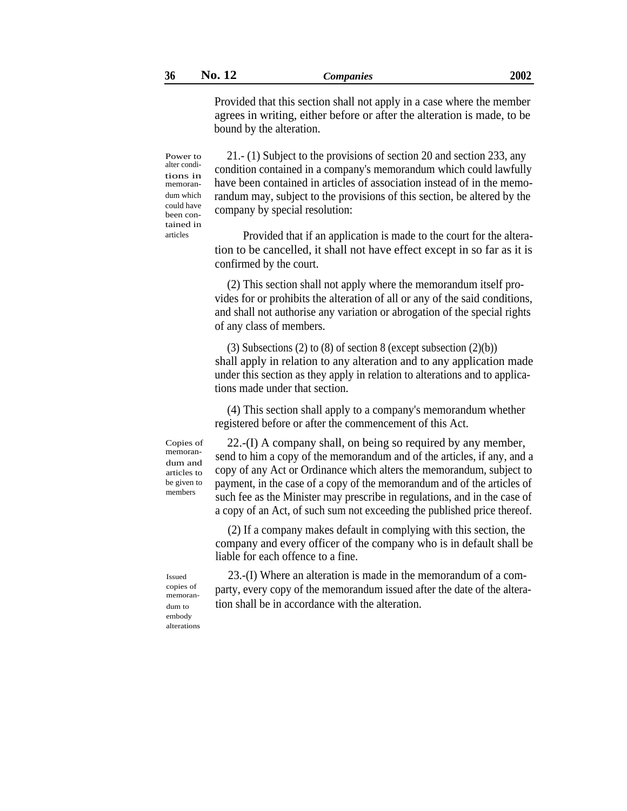Provided that this section shall not apply in a case where the member agrees in writing, either before or after the alteration is made, to be bound by the alteration.

Power to alter conditions in memorandum which could have been contained in articles

21.- (1) Subject to the provisions of section 20 and section 233, any condition contained in a company's memorandum which could lawfully have been contained in articles of association instead of in the memorandum may, subject to the provisions of this section, be altered by the company by special resolution:

Provided that if an application is made to the court for the alteration to be cancelled, it shall not have effect except in so far as it is confirmed by the court.

(2) This section shall not apply where the memorandum itself provides for or prohibits the alteration of all or any of the said conditions, and shall not authorise any variation or abrogation of the special rights of any class of members.

(3) Subsections (2) to (8) of section 8 (except subsection  $(2)(b)$ ) shall apply in relation to any alteration and to any application made under this section as they apply in relation to alterations and to applications made under that section.

(4) This section shall apply to a company's memorandum whether registered before or after the commencement of this Act.

Copies of memorandum and articles to be given to members

22.-(I) A company shall, on being so required by any member, send to him a copy of the memorandum and of the articles, if any, and a copy of any Act or Ordinance which alters the memorandum, subject to payment, in the case of a copy of the memorandum and of the articles of such fee as the Minister may prescribe in regulations, and in the case of a copy of an Act, of such sum not exceeding the published price thereof.

(2) If a company makes default in complying with this section, the company and every officer of the company who is in default shall be liable for each offence to a fine.

Issued copies of memorandum to embody alterations

23.-(I) Where an alteration is made in the memorandum of a comparty, every copy of the memorandum issued after the date of the alteration shall be in accordance with the alteration.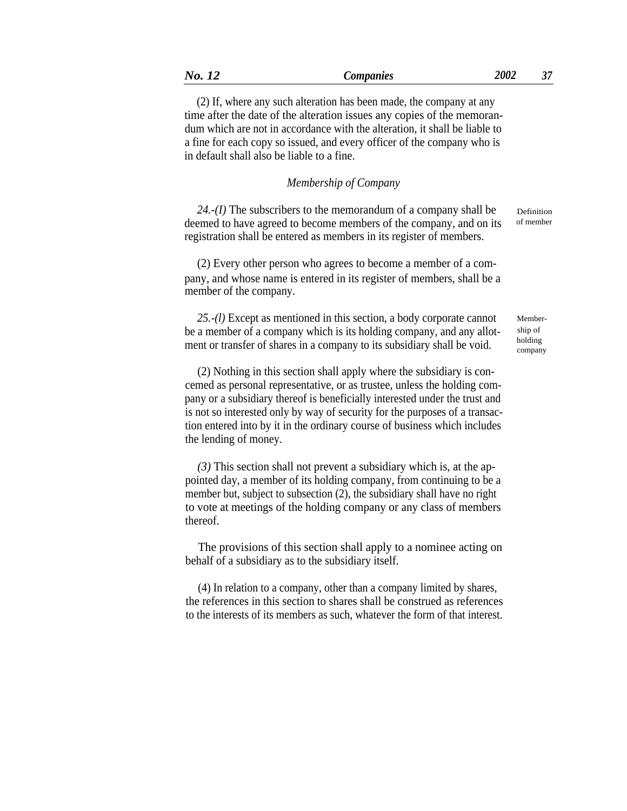| $\sqrt{ }$<br><i>Sompanies</i> | 2002 | . . |
|--------------------------------|------|-----|
|                                |      |     |

(2) If, where any such alteration has been made, the company at any time after the date of the alteration issues any copies of the memorandum which are not in accordance with the alteration, it shall be liable to a fine for each copy so issued, and every officer of the company who is in default shall also be liable to a fine.

### *Membership of Company*

*24.-(I)* The subscribers to the memorandum of a company shall be deemed to have agreed to become members of the company, and on its registration shall be entered as members in its register of members.

(2) Every other person who agrees to become a member of a company, and whose name is entered in its register of members, shall be a member of the company.

*25.-(l)* Except as mentioned in this section, a body corporate cannot be a member of a company which is its holding company, and any allotment or transfer of shares in a company to its subsidiary shall be void.

(2) Nothing in this section shall apply where the subsidiary is concemed as personal representative, or as trustee, unless the holding company or a subsidiary thereof is beneficially interested under the trust and is not so interested only by way of security for the purposes of a transaction entered into by it in the ordinary course of business which includes the lending of money.

*(3)* This section shall not prevent a subsidiary which is, at the appointed day, a member of its holding company, from continuing to be a member but, subject to subsection (2), the subsidiary shall have no right to vote at meetings of the holding company or any class of members thereof.

The provisions of this section shall apply to a nominee acting on behalf of a subsidiary as to the subsidiary itself.

(4) In relation to a company, other than a company limited by shares, the references in this section to shares shall be construed as references to the interests of its members as such, whatever the form of that interest. Membership of holding company

Definition of member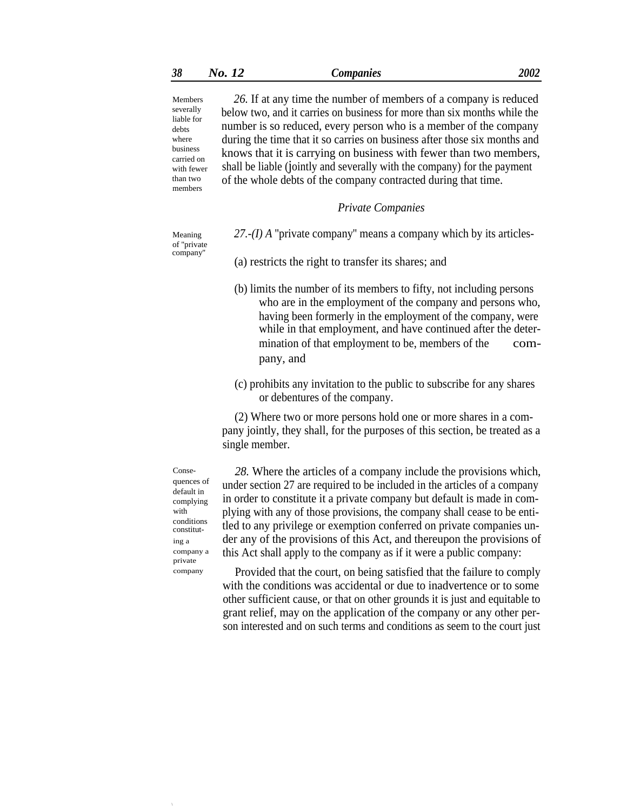| 38 | __ | <i>annior</i><br>unico<br>--- | ווי |
|----|----|-------------------------------|-----|
|    |    |                               |     |

Members severally liable for debts where business carried on with fewer than two members

*26.* If at any time the number of members of a company is reduced below two, and it carries on business for more than six months while the number is so reduced, every person who is a member of the company during the time that it so carries on business after those six months and knows that it is carrying on business with fewer than two members, shall be liable (jointly and severally with the company) for the payment of the whole debts of the company contracted during that time.

#### *Private Companies*

of ''private company''

Meaning *27.-(I) A* ''private company'' means a company which by its articles-

- (a) restricts the right to transfer its shares; and
- (b) limits the number of its members to fifty, not including persons who are in the employment of the company and persons who, having been formerly in the employment of the company, were while in that employment, and have continued after the determination of that employment to be, members of the company, and
- (c) prohibits any invitation to the public to subscribe for any shares or debentures of the company.

(2) Where two or more persons hold one or more shares in a company jointly, they shall, for the purposes of this section, be treated as a single member.

Consequences of default in complying with conditions constituting a company a private company

*28.* Where the articles of a company include the provisions which, under section 27 are required to be included in the articles of a company in order to constitute it a private company but default is made in complying with any of those provisions, the company shall cease to be entitled to any privilege or exemption conferred on private companies under any of the provisions of this Act, and thereupon the provisions of this Act shall apply to the company as if it were a public company:

Provided that the court, on being satisfied that the failure to comply with the conditions was accidental or due to inadvertence or to some other sufficient cause, or that on other grounds it is just and equitable to grant relief, may on the application of the company or any other person interested and on such terms and conditions as seem to the court just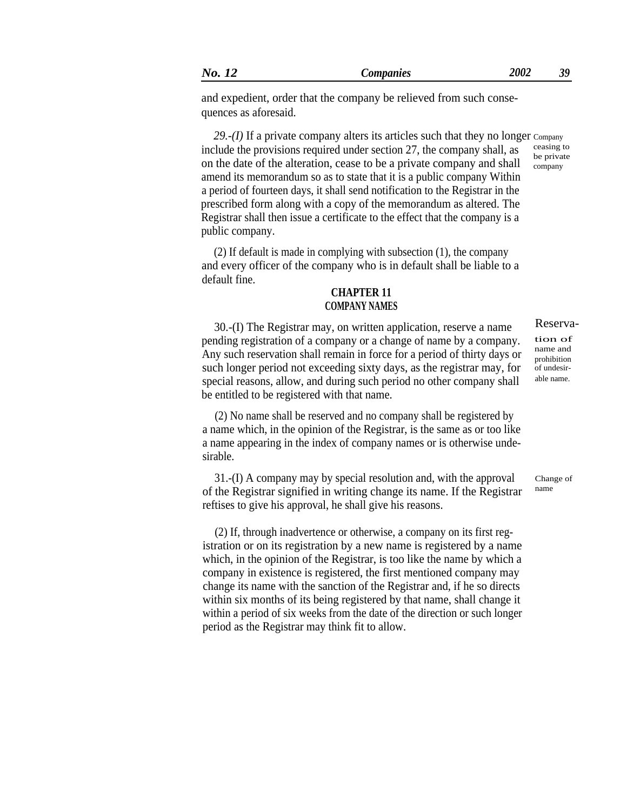and expedient, order that the company be relieved from such consequences as aforesaid.

29.- $(I)$  If a private company alters its articles such that they no longer company<br>clude the provisions required under section  $27$  the company shall as  $\epsilon$ <sup>ceasing to</sup> include the provisions required under section  $27$ , the company shall, as on the date of the alteration, cease to be a private company and shall amend its memorandum so as to state that it is a public company Within a period of fourteen days, it shall send notification to the Registrar in the prescribed form along with a copy of the memorandum as altered. The Registrar shall then issue a certificate to the effect that the company is a public company. be private company

(2) If default is made in complying with subsection (1), the company and every officer of the company who is in default shall be liable to a default fine.

# **CHAPTER 11 COMPANY NAMES**

30.-(I) The Registrar may, on written application, reserve a name pending registration of a company or a change of name by a company. Any such reservation shall remain in force for a period of thirty days or such longer period not exceeding sixty days, as the registrar may, for special reasons, allow, and during such period no other company shall be entitled to be registered with that name.

(2) No name shall be reserved and no company shall be registered by a name which, in the opinion of the Registrar, is the same as or too like a name appearing in the index of company names or is otherwise undesirable.

31.-(I) A company may by special resolution and, with the approval of the Registrar signified in writing change its name. If the Registrar reftises to give his approval, he shall give his reasons.

(2) If, through inadvertence or otherwise, a company on its first registration or on its registration by a new name is registered by a name which, in the opinion of the Registrar, is too like the name by which a company in existence is registered, the first mentioned company may change its name with the sanction of the Registrar and, if he so directs within six months of its being registered by that name, shall change it within a period of six weeks from the date of the direction or such longer period as the Registrar may think fit to allow.

#### Reserva-

tion of name and prohibition of undesirable name.

Change of name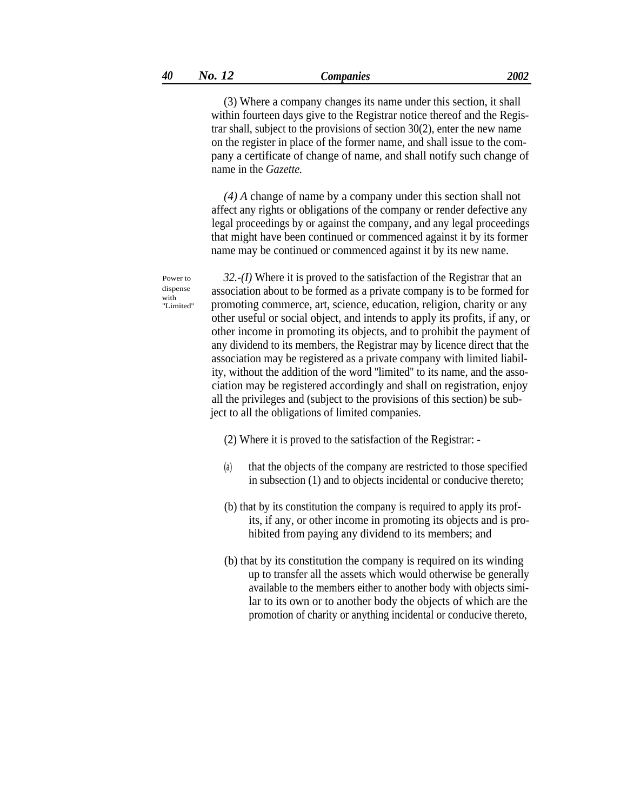(3) Where a company changes its name under this section, it shall within fourteen days give to the Registrar notice thereof and the Registrar shall, subject to the provisions of section 30(2), enter the new name on the register in place of the former name, and shall issue to the company a certificate of change of name, and shall notify such change of name in the *Gazette.*

*(4) A* change of name by a company under this section shall not affect any rights or obligations of the company or render defective any legal proceedings by or against the company, and any legal proceedings that might have been continued or commenced against it by its former name may be continued or commenced against it by its new name.

Power to dispense with ''Limited''

*32.-(I)* Where it is proved to the satisfaction of the Registrar that an association about to be formed as a private company is to be formed for promoting commerce, art, science, education, religion, charity or any other useful or social object, and intends to apply its profits, if any, or other income in promoting its objects, and to prohibit the payment of any dividend to its members, the Registrar may by licence direct that the association may be registered as a private company with limited liability, without the addition of the word ''limited'' to its name, and the association may be registered accordingly and shall on registration, enjoy all the privileges and (subject to the provisions of this section) be subject to all the obligations of limited companies.

(2) Where it is proved to the satisfaction of the Registrar: -

- (a) that the objects of the company are restricted to those specified in subsection (1) and to objects incidental or conducive thereto;
- (b) that by its constitution the company is required to apply its profits, if any, or other income in promoting its objects and is prohibited from paying any dividend to its members; and
- (b) that by its constitution the company is required on its winding up to transfer all the assets which would otherwise be generally available to the members either to another body with objects similar to its own or to another body the objects of which are the promotion of charity or anything incidental or conducive thereto,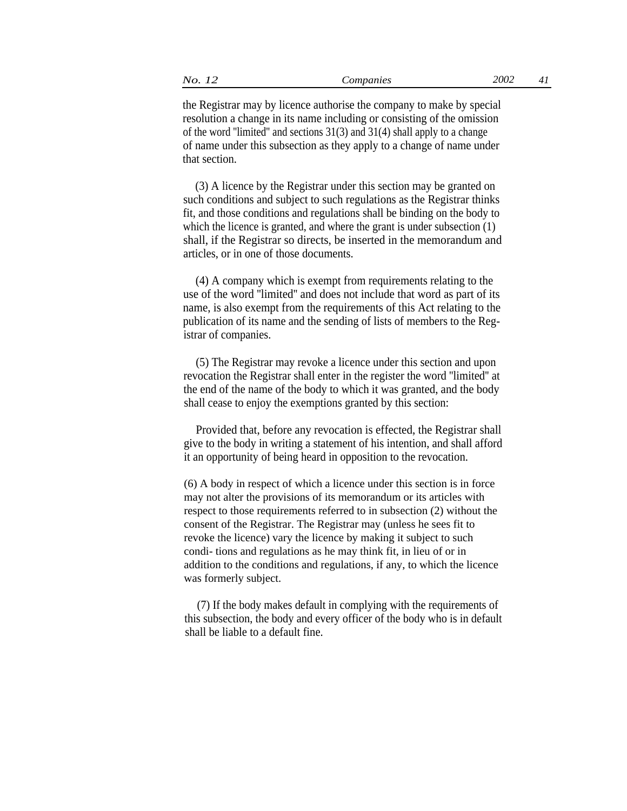| 2002<br>No. 12<br>Companies |  |  |  | 41 |
|-----------------------------|--|--|--|----|
|-----------------------------|--|--|--|----|

the Registrar may by licence authorise the company to make by special resolution a change in its name including or consisting of the omission of the word ''limited'' and sections 31(3) and 31(4) shall apply to a change of name under this subsection as they apply to a change of name under that section.

(3) A licence by the Registrar under this section may be granted on such conditions and subject to such regulations as the Registrar thinks fit, and those conditions and regulations shall be binding on the body to which the licence is granted, and where the grant is under subsection  $(1)$ shall, if the Registrar so directs, be inserted in the memorandum and articles, or in one of those documents.

(4) A company which is exempt from requirements relating to the use of the word ''limited'' and does not include that word as part of its name, is also exempt from the requirements of this Act relating to the publication of its name and the sending of lists of members to the Registrar of companies.

(5) The Registrar may revoke a licence under this section and upon revocation the Registrar shall enter in the register the word ''limited'' at the end of the name of the body to which it was granted, and the body shall cease to enjoy the exemptions granted by this section:

Provided that, before any revocation is effected, the Registrar shall give to the body in writing a statement of his intention, and shall afford it an opportunity of being heard in opposition to the revocation.

(6) A body in respect of which a licence under this section is in force may not alter the provisions of its memorandum or its articles with respect to those requirements referred to in subsection (2) without the consent of the Registrar. The Registrar may (unless he sees fit to revoke the licence) vary the licence by making it subject to such condi- tions and regulations as he may think fit, in lieu of or in addition to the conditions and regulations, if any, to which the licence was formerly subject.

(7) If the body makes default in complying with the requirements of this subsection, the body and every officer of the body who is in default shall be liable to a default fine.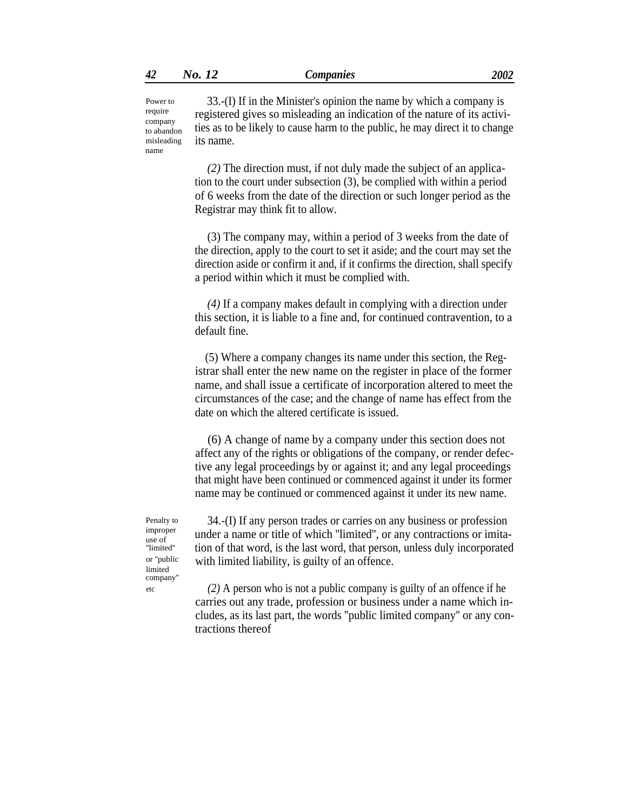Power to require company to abandon misleading name

33.-(I) If in the Minister's opinion the name by which a company is registered gives so misleading an indication of the nature of its activities as to be likely to cause harm to the public, he may direct it to change its name.

*(2)* The direction must, if not duly made the subject of an application to the court under subsection (3), be complied with within a period of 6 weeks from the date of the direction or such longer period as the Registrar may think fit to allow.

(3) The company may, within a period of 3 weeks from the date of the direction, apply to the court to set it aside; and the court may set the direction aside or confirm it and, if it confirms the direction, shall specify a period within which it must be complied with.

*(4)* If a company makes default in complying with a direction under this section, it is liable to a fine and, for continued contravention, to a default fine.

(5) Where a company changes its name under this section, the Registrar shall enter the new name on the register in place of the former name, and shall issue a certificate of incorporation altered to meet the circumstances of the case; and the change of name has effect from the date on which the altered certificate is issued.

(6) A change of name by a company under this section does not affect any of the rights or obligations of the company, or render defective any legal proceedings by or against it; and any legal proceedings that might have been continued or commenced against it under its former name may be continued or commenced against it under its new name.

Penalty to improper use of ''limited'' or ''public limited company'' etc

34.-(I) If any person trades or carries on any business or profession under a name or title of which ''limited'', or any contractions or imitation of that word, is the last word, that person, unless duly incorporated with limited liability, is guilty of an offence.

*(2)* A person who is not a public company is guilty of an offence if he carries out any trade, profession or business under a name which includes, as its last part, the words ''public limited company'' or any contractions thereof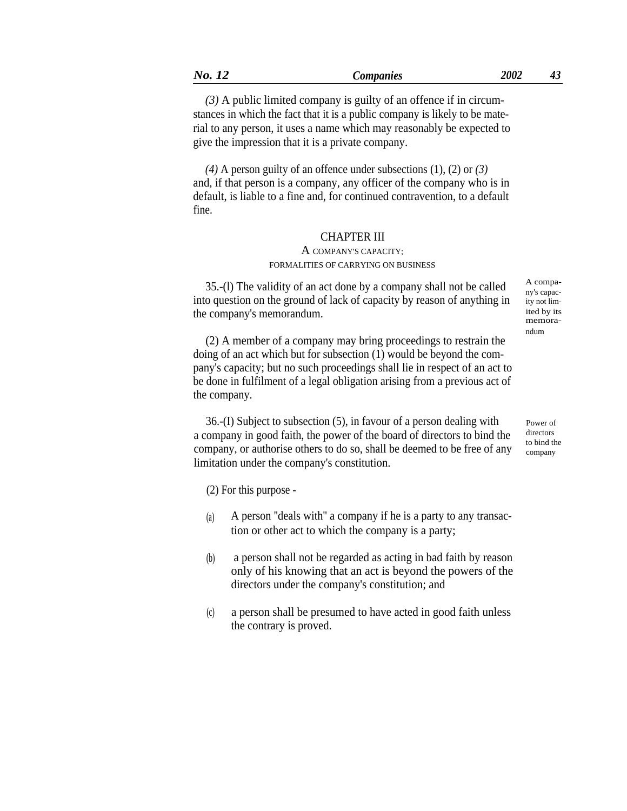*(3)* A public limited company is guilty of an offence if in circumstances in which the fact that it is a public company is likely to be material to any person, it uses a name which may reasonably be expected to give the impression that it is a private company.

*(4)* A person guilty of an offence under subsections (1), (2) or *(3)* and, if that person is a company, any officer of the company who is in default, is liable to a fine and, for continued contravention, to a default fine.

# CHAPTER III

#### A COMPANY'S CAPACITY; FORMALITIES OF CARRYING ON BUSINESS

35.-(l) The validity of an act done by a company shall not be called  $A^{1}$ into question on the ground of lack of capacity by reason of anything in the company's memorandum.

(2) A member of a company may bring proceedings to restrain the doing of an act which but for subsection (1) would be beyond the company's capacity; but no such proceedings shall lie in respect of an act to be done in fulfilment of a legal obligation arising from a previous act of the company.

36.-(I) Subject to subsection (5), in favour of a person dealing with a company in good faith, the power of the board of directors to bind the company, or authorise others to do so, shall be deemed to be free of any limitation under the company's constitution.

(2) For this purpose -

- A person ''deals with'' a company if he is a party to any transaction or other act to which the company is a party; (a)
- a person shall not be regarded as acting in bad faith by reason only of his knowing that an act is beyond the powers of the directors under the company's constitution; and (b)
- (c) a person shall be presumed to have acted in good faith unless the contrary is proved.

ny's capacity not limited by its memorandum

Power of directors to bind the company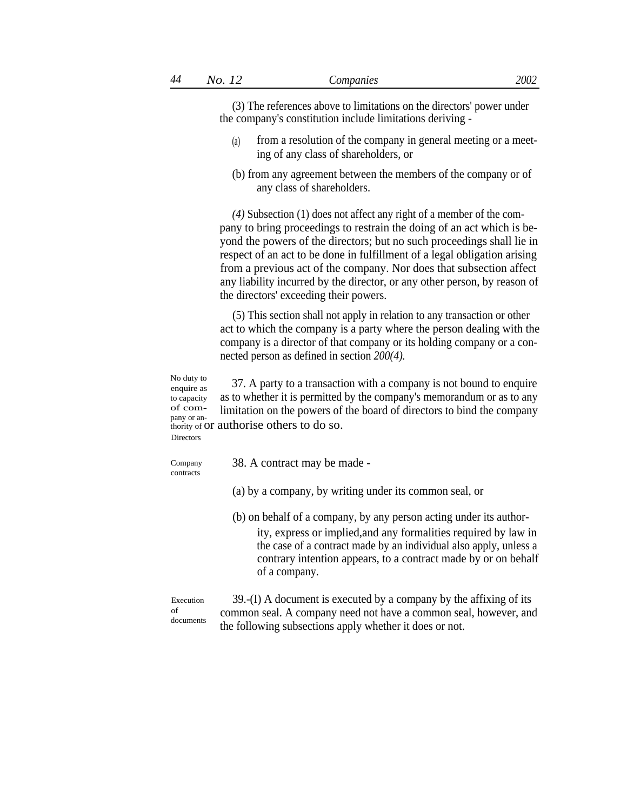(3) The references above to limitations on the directors' power under the company's constitution include limitations deriving -

- from a resolution of the company in general meeting or a meeting of any class of shareholders, or (a)
- (b) from any agreement between the members of the company or of any class of shareholders.

*(4)* Subsection (1) does not affect any right of a member of the company to bring proceedings to restrain the doing of an act which is beyond the powers of the directors; but no such proceedings shall lie in respect of an act to be done in fulfillment of a legal obligation arising from a previous act of the company. Nor does that subsection affect any liability incurred by the director, or any other person, by reason of the directors' exceeding their powers.

(5) This section shall not apply in relation to any transaction or other act to which the company is a party where the person dealing with the company is a director of that company or its holding company or a connected person as defined in section *200(4).*

No duty to 37. A party to a transaction with a company is not bound to enquire as to whether it is permitted by the company's memorandum or as to any limitation on the powers of the board of directors to bind the company enquire as to capacity of company or anthority of or authorise others to do so. Directors

Company 38. A contract may be made contracts

- (a) by a company, by writing under its common seal, or
- (b) on behalf of a company, by any person acting under its author-

ity, express or implied,and any formalities required by law in the case of a contract made by an individual also apply, unless a contrary intention appears, to a contract made by or on behalf of a company.

Execution of documents

39.-(I) A document is executed by a company by the affixing of its common seal. A company need not have a common seal, however, and the following subsections apply whether it does or not.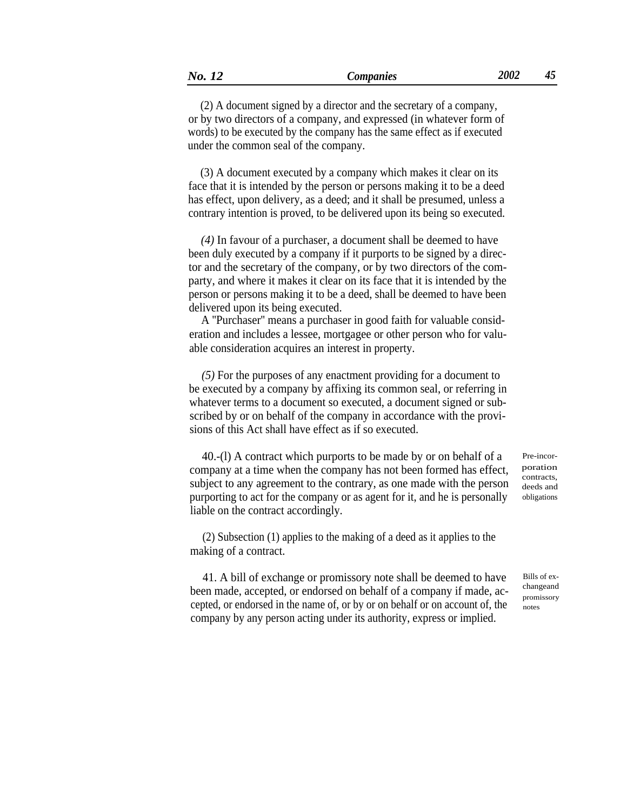(2) A document signed by a director and the secretary of a company, or by two directors of a company, and expressed (in whatever form of words) to be executed by the company has the same effect as if executed under the common seal of the company.

(3) A document executed by a company which makes it clear on its face that it is intended by the person or persons making it to be a deed has effect, upon delivery, as a deed; and it shall be presumed, unless a contrary intention is proved, to be delivered upon its being so executed.

*(4)* In favour of a purchaser, a document shall be deemed to have been duly executed by a company if it purports to be signed by a director and the secretary of the company, or by two directors of the comparty, and where it makes it clear on its face that it is intended by the person or persons making it to be a deed, shall be deemed to have been delivered upon its being executed.

A ''Purchaser'' means a purchaser in good faith for valuable consideration and includes a lessee, mortgagee or other person who for valuable consideration acquires an interest in property.

*(5)* For the purposes of any enactment providing for a document to be executed by a company by affixing its common seal, or referring in whatever terms to a document so executed, a document signed or subscribed by or on behalf of the company in accordance with the provisions of this Act shall have effect as if so executed.

40.-(l) A contract which purports to be made by or on behalf of a company at a time when the company has not been formed has effect, subject to any agreement to the contrary, as one made with the person purporting to act for the company or as agent for it, and he is personally liable on the contract accordingly.

(2) Subsection (1) applies to the making of a deed as it applies to the making of a contract.

41. A bill of exchange or promissory note shall be deemed to have been made, accepted, or endorsed on behalf of a company if made, accepted, or endorsed in the name of, or by or on behalf or on account of, the company by any person acting under its authority, express or implied.

Pre-incorporation contracts, deeds and obligations

Bills of exchangeand promissory notes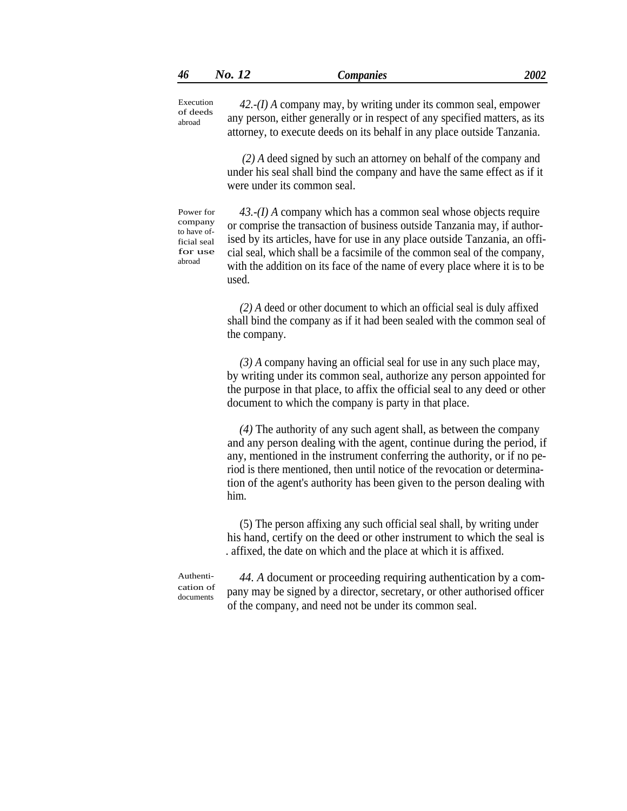Execution of deeds abroad

*42.-(I) A* company may, by writing under its common seal, empower any person, either generally or in respect of any specified matters, as its attorney, to execute deeds on its behalf in any place outside Tanzania.

*(2) A* deed signed by such an attorney on behalf of the company and under his seal shall bind the company and have the same effect as if it were under its common seal.

Power for company to have official seal for use abroad

*43.-(I) A* company which has a common seal whose objects require or comprise the transaction of business outside Tanzania may, if authorised by its articles, have for use in any place outside Tanzania, an official seal, which shall be a facsimile of the common seal of the company, with the addition on its face of the name of every place where it is to be used.

*(2) A* deed or other document to which an official seal is duly affixed shall bind the company as if it had been sealed with the common seal of the company.

*(3) A* company having an official seal for use in any such place may, by writing under its common seal, authorize any person appointed for the purpose in that place, to affix the official seal to any deed or other document to which the company is party in that place.

*(4)* The authority of any such agent shall, as between the company and any person dealing with the agent, continue during the period, if any, mentioned in the instrument conferring the authority, or if no period is there mentioned, then until notice of the revocation or determination of the agent's authority has been given to the person dealing with him.

(5) The person affixing any such official seal shall, by writing under his hand, certify on the deed or other instrument to which the seal is . affixed, the date on which and the place at which it is affixed.

Authentication of documents

*44. A* document or proceeding requiring authentication by a company may be signed by a director, secretary, or other authorised officer of the company, and need not be under its common seal.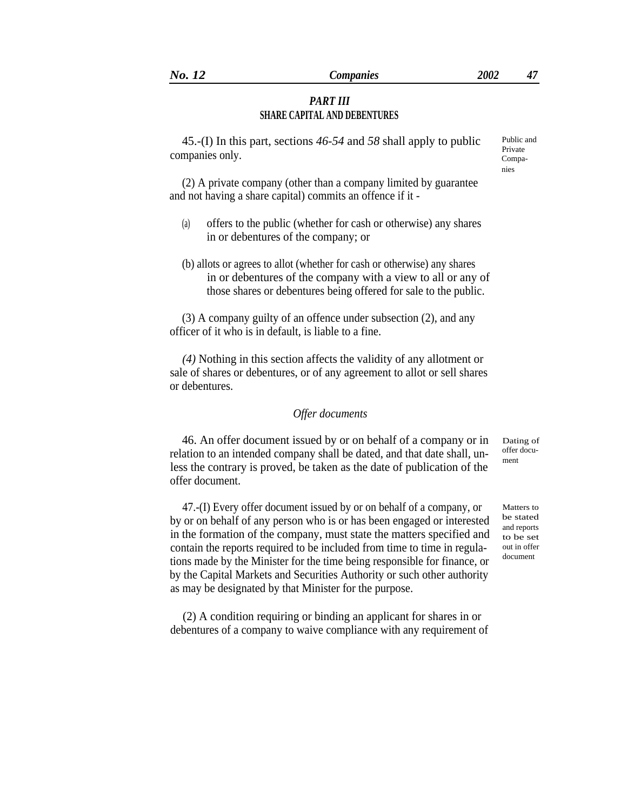# *PART III* **SHARE CAPITAL AND DEBENTURES**

45.-(I) In this part, sections *46-54* and *58* shall apply to public companies only.

Public and Private Companies

(2) A private company (other than a company limited by guarantee and not having a share capital) commits an offence if it -

- (a) offers to the public (whether for cash or otherwise) any shares in or debentures of the company; or
- (b) allots or agrees to allot (whether for cash or otherwise) any shares in or debentures of the company with a view to all or any of those shares or debentures being offered for sale to the public.

(3) A company guilty of an offence under subsection (2), and any officer of it who is in default, is liable to a fine.

*(4)* Nothing in this section affects the validity of any allotment or sale of shares or debentures, or of any agreement to allot or sell shares or debentures.

#### *Offer documents*

46. An offer document issued by or on behalf of a company or in relation to an intended company shall be dated, and that date shall, unless the contrary is proved, be taken as the date of publication of the offer document.

47.-(I) Every offer document issued by or on behalf of a company, or by or on behalf of any person who is or has been engaged or interested in the formation of the company, must state the matters specified and contain the reports required to be included from time to time in regulations made by the Minister for the time being responsible for finance, or by the Capital Markets and Securities Authority or such other authority as may be designated by that Minister for the purpose.

Dating of offer document

Matters to be stated and reports to be set out in offer document

(2) A condition requiring or binding an applicant for shares in or debentures of a company to waive compliance with any requirement of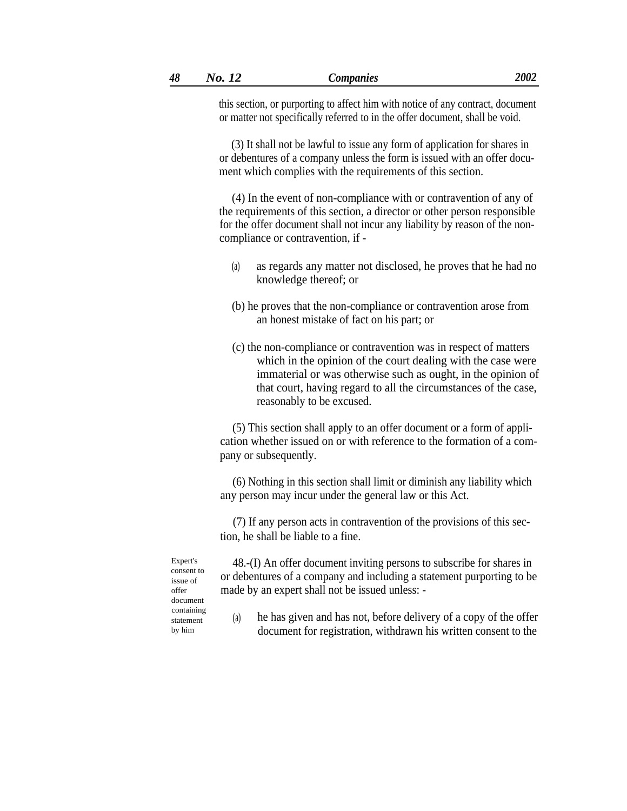this section, or purporting to affect him with notice of any contract, document or matter not specifically referred to in the offer document, shall be void.

(3) It shall not be lawful to issue any form of application for shares in or debentures of a company unless the form is issued with an offer document which complies with the requirements of this section.

(4) In the event of non-compliance with or contravention of any of the requirements of this section, a director or other person responsible for the offer document shall not incur any liability by reason of the noncompliance or contravention, if -

- as regards any matter not disclosed, he proves that he had no knowledge thereof; or (a)
- (b) he proves that the non-compliance or contravention arose from an honest mistake of fact on his part; or
- (c) the non-compliance or contravention was in respect of matters which in the opinion of the court dealing with the case were immaterial or was otherwise such as ought, in the opinion of that court, having regard to all the circumstances of the case, reasonably to be excused.

(5) This section shall apply to an offer document or a form of application whether issued on or with reference to the formation of a company or subsequently.

(6) Nothing in this section shall limit or diminish any liability which any person may incur under the general law or this Act.

(7) If any person acts in contravention of the provisions of this section, he shall be liable to a fine.

Expert's consent to issue of offer document statement by him

48.-(I) An offer document inviting persons to subscribe for shares in or debentures of a company and including a statement purporting to be made by an expert shall not be issued unless: -

containing he has given and has not, before delivery of a copy of the offer document for registration, withdrawn his written consent to the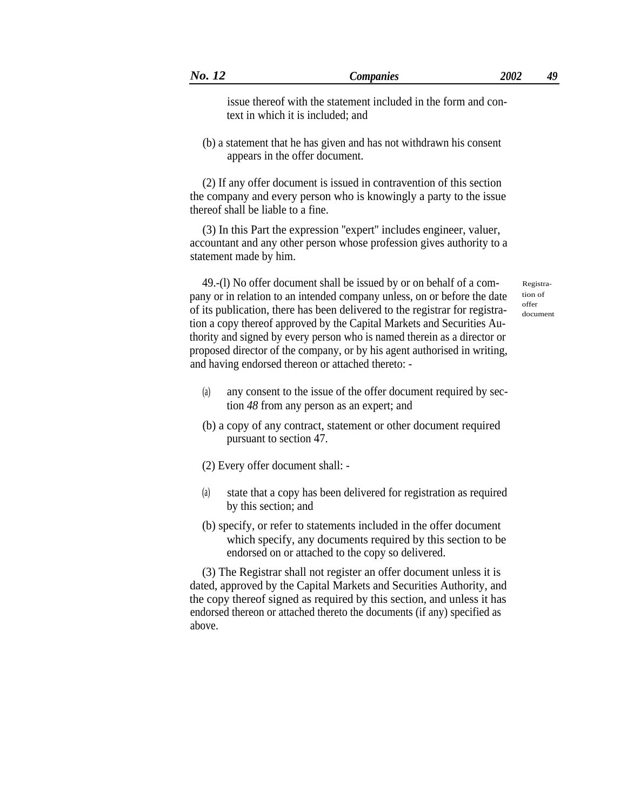issue thereof with the statement included in the form and context in which it is included; and

(b) a statement that he has given and has not withdrawn his consent appears in the offer document.

(2) If any offer document is issued in contravention of this section the company and every person who is knowingly a party to the issue thereof shall be liable to a fine.

(3) In this Part the expression ''expert'' includes engineer, valuer, accountant and any other person whose profession gives authority to a statement made by him.

49.-(l) No offer document shall be issued by or on behalf of a company or in relation to an intended company unless, on or before the date of its publication, there has been delivered to the registrar for registration a copy thereof approved by the Capital Markets and Securities Authority and signed by every person who is named therein as a director or proposed director of the company, or by his agent authorised in writing, and having endorsed thereon or attached thereto: -

Registration of offer document

- (a) any consent to the issue of the offer document required by section *48* from any person as an expert; and
- (b) a copy of any contract, statement or other document required pursuant to section 47.

(2) Every offer document shall: -

- (a) state that a copy has been delivered for registration as required by this section; and
- (b) specify, or refer to statements included in the offer document which specify, any documents required by this section to be endorsed on or attached to the copy so delivered.

(3) The Registrar shall not register an offer document unless it is dated, approved by the Capital Markets and Securities Authority, and the copy thereof signed as required by this section, and unless it has endorsed thereon or attached thereto the documents (if any) specified as above.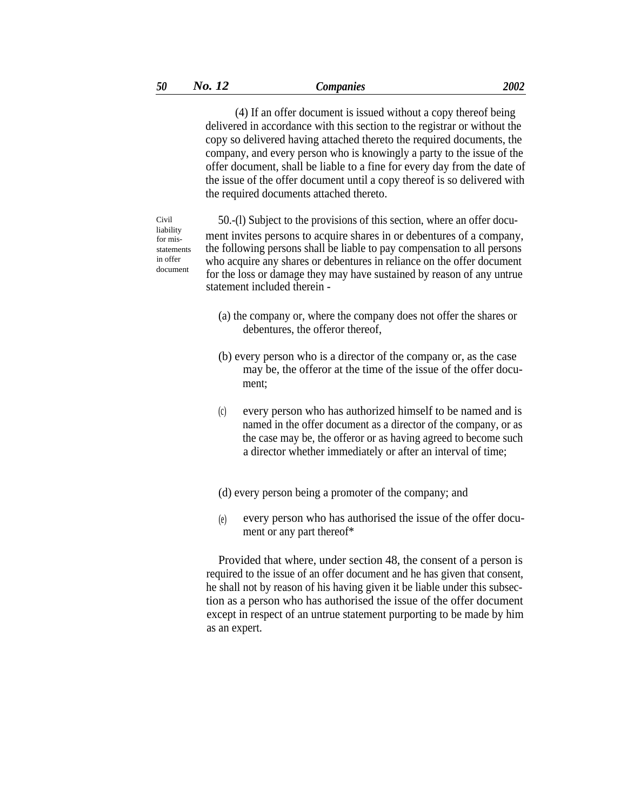(4) If an offer document is issued without a copy thereof being delivered in accordance with this section to the registrar or without the copy so delivered having attached thereto the required documents, the company, and every person who is knowingly a party to the issue of the offer document, shall be liable to a fine for every day from the date of the issue of the offer document until a copy thereof is so delivered with the required documents attached thereto.

for misstatements in offer document

Civil 50.-(l) Subject to the provisions of this section, where an offer document invites persons to acquire shares in or debentures of a company, the following persons shall be liable to pay compensation to all persons who acquire any shares or debentures in reliance on the offer document for the loss or damage they may have sustained by reason of any untrue statement included therein -

- (a) the company or, where the company does not offer the shares or debentures, the offeror thereof,
- (b) every person who is a director of the company or, as the case may be, the offeror at the time of the issue of the offer document;
- (c) every person who has authorized himself to be named and is named in the offer document as a director of the company, or as the case may be, the offeror or as having agreed to become such a director whether immediately or after an interval of time;
- (d) every person being a promoter of the company; and
- every person who has authorised the issue of the offer document or any part thereof\* (e)

Provided that where, under section 48, the consent of a person is required to the issue of an offer document and he has given that consent, he shall not by reason of his having given it be liable under this subsection as a person who has authorised the issue of the offer document except in respect of an untrue statement purporting to be made by him as an expert.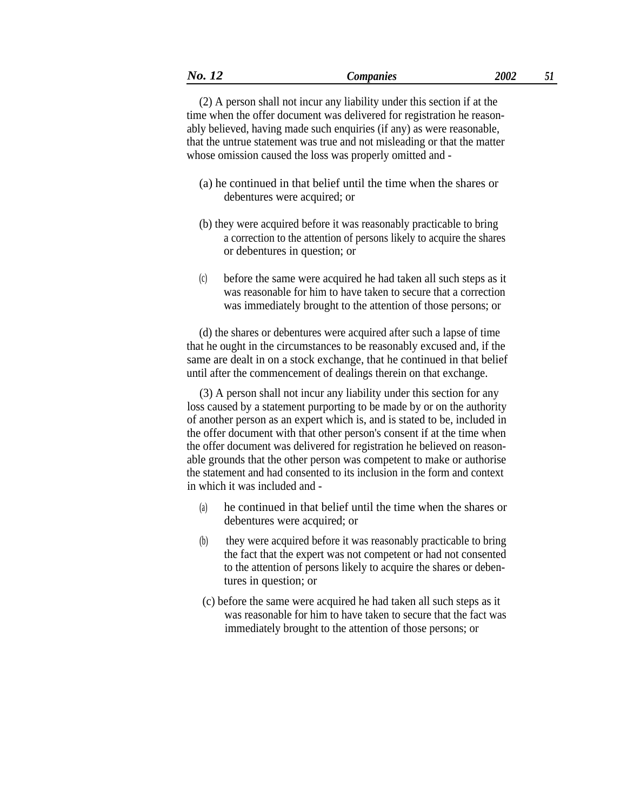(2) A person shall not incur any liability under this section if at the time when the offer document was delivered for registration he reasonably believed, having made such enquiries (if any) as were reasonable, that the untrue statement was true and not misleading or that the matter whose omission caused the loss was properly omitted and -

- (a) he continued in that belief until the time when the shares or debentures were acquired; or
- (b) they were acquired before it was reasonably practicable to bring a correction to the attention of persons likely to acquire the shares or debentures in question; or
- (c) before the same were acquired he had taken all such steps as it was reasonable for him to have taken to secure that a correction was immediately brought to the attention of those persons; or

(d) the shares or debentures were acquired after such a lapse of time that he ought in the circumstances to be reasonably excused and, if the same are dealt in on a stock exchange, that he continued in that belief until after the commencement of dealings therein on that exchange.

(3) A person shall not incur any liability under this section for any loss caused by a statement purporting to be made by or on the authority of another person as an expert which is, and is stated to be, included in the offer document with that other person's consent if at the time when the offer document was delivered for registration he believed on reasonable grounds that the other person was competent to make or authorise the statement and had consented to its inclusion in the form and context in which it was included and -

- (a) he continued in that belief until the time when the shares or debentures were acquired; or
- (b) they were acquired before it was reasonably practicable to bring the fact that the expert was not competent or had not consented to the attention of persons likely to acquire the shares or debentures in question; or
- (c) before the same were acquired he had taken all such steps as it was reasonable for him to have taken to secure that the fact was immediately brought to the attention of those persons; or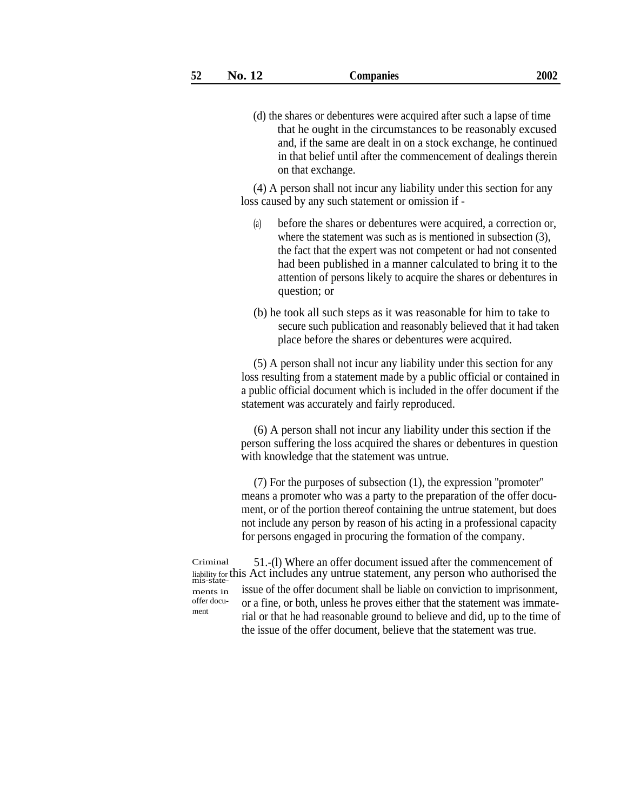(d) the shares or debentures were acquired after such a lapse of time that he ought in the circumstances to be reasonably excused and, if the same are dealt in on a stock exchange, he continued in that belief until after the commencement of dealings therein on that exchange.

(4) A person shall not incur any liability under this section for any loss caused by any such statement or omission if -

- before the shares or debentures were acquired, a correction or, where the statement was such as is mentioned in subsection  $(3)$ , the fact that the expert was not competent or had not consented had been published in a manner calculated to bring it to the attention of persons likely to acquire the shares or debentures in question; or (a)
- (b) he took all such steps as it was reasonable for him to take to secure such publication and reasonably believed that it had taken place before the shares or debentures were acquired.

(5) A person shall not incur any liability under this section for any loss resulting from a statement made by a public official or contained in a public official document which is included in the offer document if the statement was accurately and fairly reproduced.

(6) A person shall not incur any liability under this section if the person suffering the loss acquired the shares or debentures in question with knowledge that the statement was untrue.

(7) For the purposes of subsection (1), the expression ''promoter'' means a promoter who was a party to the preparation of the offer document, or of the portion thereof containing the untrue statement, but does not include any person by reason of his acting in a professional capacity for persons engaged in procuring the formation of the company.

Criminal 51.-(l) Where an offer document issued after the commencement of liability for this Act includes any untrue statement, any person who authorised the mis-stateissue of the offer document shall be liable on conviction to imprisonment, or a fine, or both, unless he proves either that the statement was immaterial or that he had reasonable ground to believe and did, up to the time of the issue of the offer document, believe that the statement was true. ments in offer document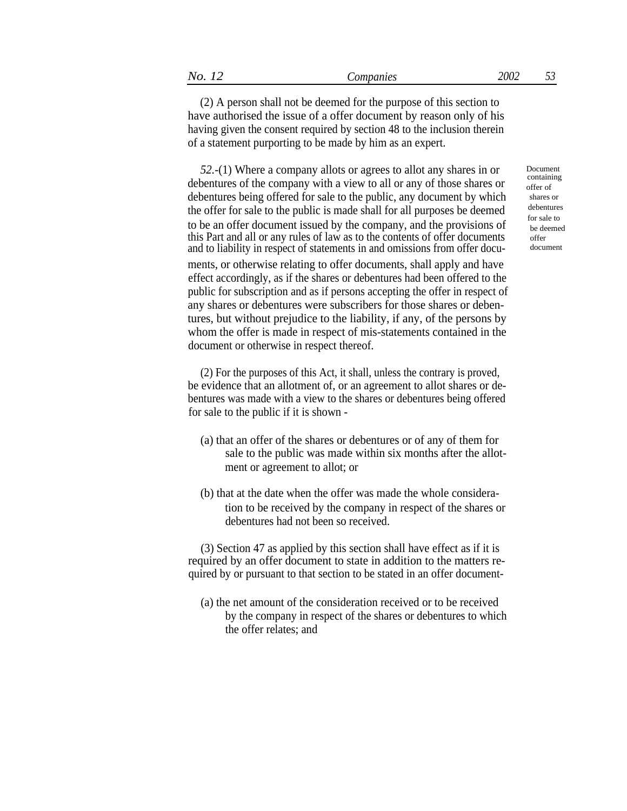(2) A person shall not be deemed for the purpose of this section to have authorised the issue of a offer document by reason only of his having given the consent required by section 48 to the inclusion therein of a statement purporting to be made by him as an expert.

*52.-*(1) Where a company allots or agrees to allot any shares in or debentures of the company with a view to all or any of those shares or debentures being offered for sale to the public, any document by which the offer for sale to the public is made shall for all purposes be deemed for sale to to be an offer document issued by the company, and the provisions of the deeme this Part and all or any rules of law as to the contents of offer documents and to liability in respect of statements in and omissions from offer documents, or otherwise relating to offer documents, shall apply and have effect accordingly, as if the shares or debentures had been offered to the public for subscription and as if persons accepting the offer in respect of any shares or debentures were subscribers for those shares or debentures, but without prejudice to the liability, if any, of the persons by whom the offer is made in respect of mis-statements contained in the document or otherwise in respect thereof.

(2) For the purposes of this Act, it shall, unless the contrary is proved, be evidence that an allotment of, or an agreement to allot shares or debentures was made with a view to the shares or debentures being offered for sale to the public if it is shown -

- (a) that an offer of the shares or debentures or of any of them for sale to the public was made within six months after the allotment or agreement to allot; or
- (b) that at the date when the offer was made the whole consideration to be received by the company in respect of the shares or debentures had not been so received.

(3) Section 47 as applied by this section shall have effect as if it is required by an offer document to state in addition to the matters required by or pursuant to that section to be stated in an offer document-

(a) the net amount of the consideration received or to be received by the company in respect of the shares or debentures to which the offer relates; and

Document containing offer of shares or debentures be deemed offer document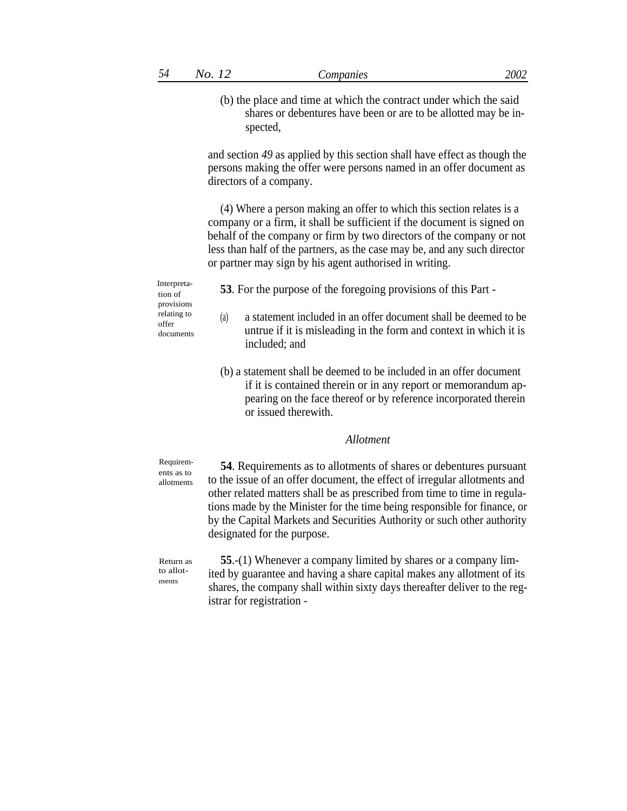(b) the place and time at which the contract under which the said shares or debentures have been or are to be allotted may be inspected,

and section *49* as applied by this section shall have effect as though the persons making the offer were persons named in an offer document as directors of a company.

(4) Where a person making an offer to which this section relates is a company or a firm, it shall be sufficient if the document is signed on behalf of the company or firm by two directors of the company or not less than half of the partners, as the case may be, and any such director or partner may sign by his agent authorised in writing.

provisions offer documents

- Interpreta- **<sup>53</sup>**. For the purpose of the foregoing provisions of this Part tion of
- relating to (a) a statement included in an offer document shall be deemed to be untrue if it is misleading in the form and context in which it is included; and
	- (b) a statement shall be deemed to be included in an offer document if it is contained therein or in any report or memorandum appearing on the face thereof or by reference incorporated therein or issued therewith.

# *Allotment*

ents as to allotments

Requirem- **54**. Requirements as to allotments of shares or debentures pursuant to the issue of an offer document, the effect of irregular allotments and other related matters shall be as prescribed from time to time in regulations made by the Minister for the time being responsible for finance, or by the Capital Markets and Securities Authority or such other authority designated for the purpose.

Return as to allotments

**55**.-(1) Whenever a company limited by shares or a company limited by guarantee and having a share capital makes any allotment of its shares, the company shall within sixty days thereafter deliver to the registrar for registration -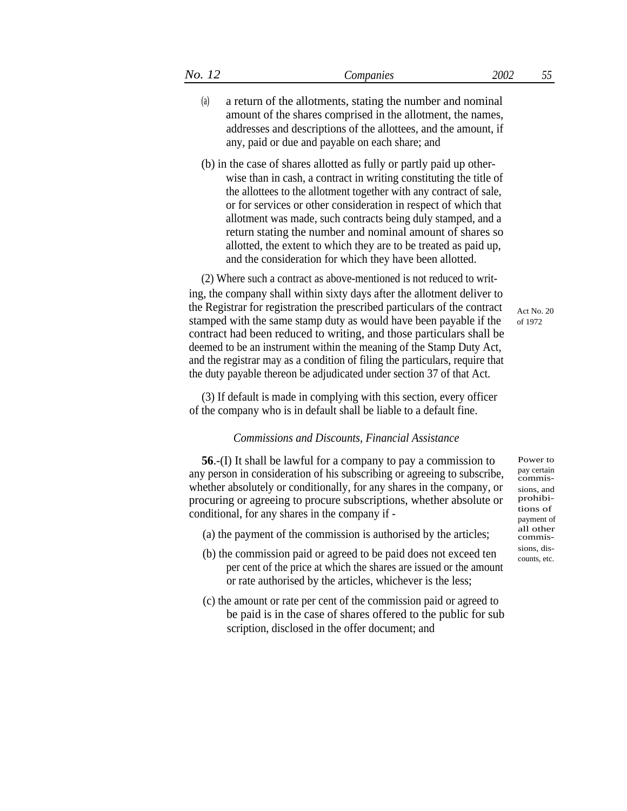- (a) a return of the allotments, stating the number and nominal amount of the shares comprised in the allotment, the names, addresses and descriptions of the allottees, and the amount, if any, paid or due and payable on each share; and
- (b) in the case of shares allotted as fully or partly paid up otherwise than in cash, a contract in writing constituting the title of the allottees to the allotment together with any contract of sale, or for services or other consideration in respect of which that allotment was made, such contracts being duly stamped, and a return stating the number and nominal amount of shares so allotted, the extent to which they are to be treated as paid up, and the consideration for which they have been allotted.

(2) Where such a contract as above-mentioned is not reduced to writing, the company shall within sixty days after the allotment deliver to the Registrar for registration the prescribed particulars of the contract stamped with the same stamp duty as would have been payable if the contract had been reduced to writing, and those particulars shall be deemed to be an instrument within the meaning of the Stamp Duty Act, and the registrar may as a condition of filing the particulars, require that the duty payable thereon be adjudicated under section 37 of that Act.

(3) If default is made in complying with this section, every officer of the company who is in default shall be liable to a default fine.

#### *Commissions and Discounts, Financial Assistance*

**56**.-(I) It shall be lawful for a company to pay a commission to any person in consideration of his subscribing or agreeing to subscribe, whether absolutely or conditionally, for any shares in the company, or procuring or agreeing to procure subscriptions, whether absolute or conditional, for any shares in the company if -

- (a) the payment of the commission is authorised by the articles;  $\frac{all \ other}{commis-}$
- (b) the commission paid or agreed to be paid does not exceed ten  $\frac{\text{sions, diss}}{\text{counts, etc.}}$ per cent of the price at which the shares are issued or the amount or rate authorised by the articles, whichever is the less;
- (c) the amount or rate per cent of the commission paid or agreed to be paid is in the case of shares offered to the public for sub scription, disclosed in the offer document; and

Power to pay certain commissions, and prohibitions of payment of

Act No. 20 of 1972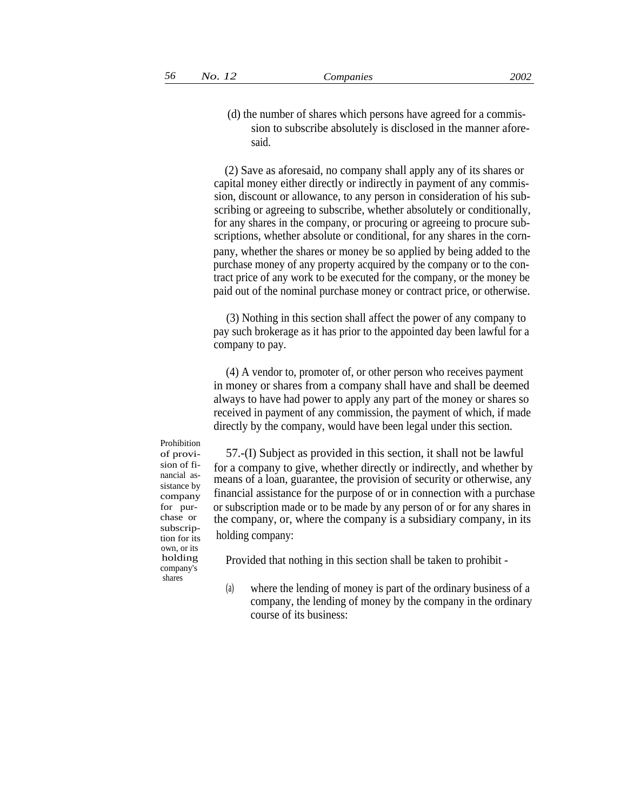(d) the number of shares which persons have agreed for a commission to subscribe absolutely is disclosed in the manner aforesaid.

(2) Save as aforesaid, no company shall apply any of its shares or capital money either directly or indirectly in payment of any commission, discount or allowance, to any person in consideration of his subscribing or agreeing to subscribe, whether absolutely or conditionally, for any shares in the company, or procuring or agreeing to procure subscriptions, whether absolute or conditional, for any shares in the cornpany, whether the shares or money be so applied by being added to the purchase money of any property acquired by the company or to the contract price of any work to be executed for the company, or the money be paid out of the nominal purchase money or contract price, or otherwise.

(3) Nothing in this section shall affect the power of any company to pay such brokerage as it has prior to the appointed day been lawful for a company to pay.

(4) A vendor to, promoter of, or other person who receives payment in money or shares from a company shall have and shall be deemed always to have had power to apply any part of the money or shares so received in payment of any commission, the payment of which, if made directly by the company, would have been legal under this section.

Prohibition of provision of financial assistance by company for purchase or subscription for its own, or its company's shares

57.-(I) Subject as provided in this section, it shall not be lawful for a company to give, whether directly or indirectly, and whether by means of a loan, guarantee, the provision of security or otherwise, any financial assistance for the purpose of or in connection with a purchase or subscription made or to be made by any person of or for any shares in the company, or, where the company is a subsidiary company, in its holding company:

holding Provided that nothing in this section shall be taken to prohibit -

(a) where the lending of money is part of the ordinary business of a company, the lending of money by the company in the ordinary course of its business: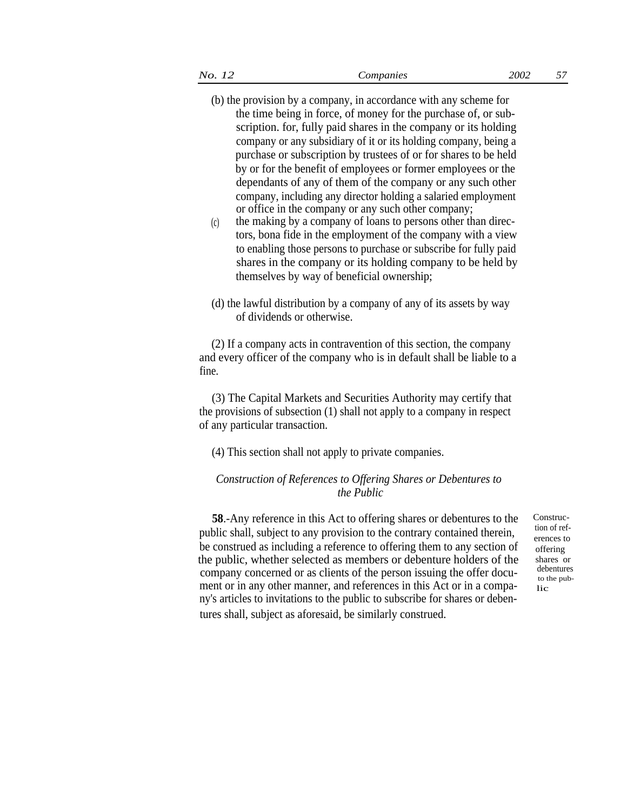- (b) the provision by a company, in accordance with any scheme for the time being in force, of money for the purchase of, or subscription. for, fully paid shares in the company or its holding company or any subsidiary of it or its holding company, being a purchase or subscription by trustees of or for shares to be held by or for the benefit of employees or former employees or the dependants of any of them of the company or any such other company, including any director holding a salaried employment or office in the company or any such other company;
- the making by a company of loans to persons other than directors, bona fide in the employment of the company with a view to enabling those persons to purchase or subscribe for fully paid shares in the company or its holding company to be held by themselves by way of beneficial ownership;  $(c)$
- (d) the lawful distribution by a company of any of its assets by way of dividends or otherwise.

(2) If a company acts in contravention of this section, the company and every officer of the company who is in default shall be liable to a fine.

(3) The Capital Markets and Securities Authority may certify that the provisions of subsection (1) shall not apply to a company in respect of any particular transaction.

(4) This section shall not apply to private companies.

# *Construction of References to Offering Shares or Debentures to the Public*

**58**.-Any reference in this Act to offering shares or debentures to the public shall, subject to any provision to the contrary contained therein, be construed as including a reference to offering them to any section of the public, whether selected as members or debenture holders of the company concerned or as clients of the person issuing the offer docu-<br>debentures ment or in any other manner, and references in this Act or in a company's articles to invitations to the public to subscribe for shares or debentures shall, subject as aforesaid, be similarly construed.

Construction of references to to the public offering shares or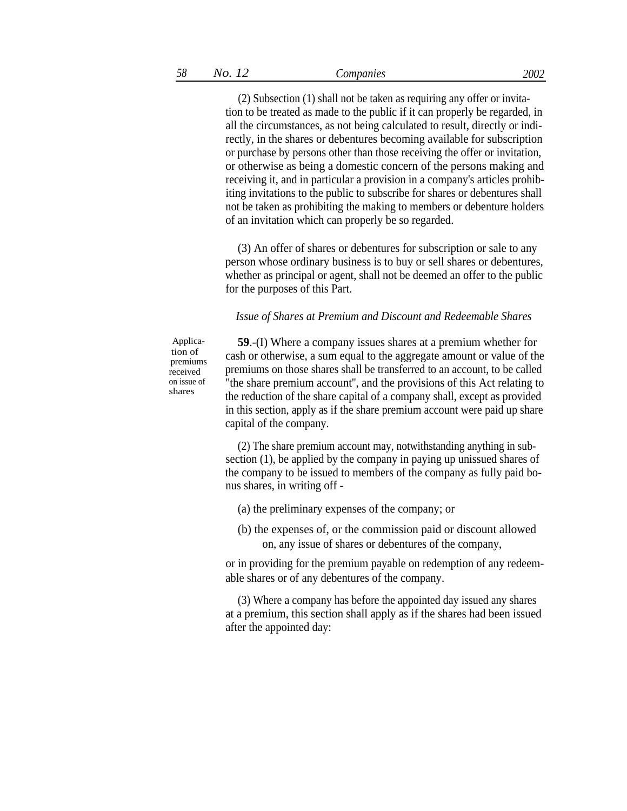(2) Subsection (1) shall not be taken as requiring any offer or invitation to be treated as made to the public if it can properly be regarded, in all the circumstances, as not being calculated to result, directly or indirectly, in the shares or debentures becoming available for subscription or purchase by persons other than those receiving the offer or invitation, or otherwise as being a domestic concern of the persons making and receiving it, and in particular a provision in a company's articles prohibiting invitations to the public to subscribe for shares or debentures shall not be taken as prohibiting the making to members or debenture holders of an invitation which can properly be so regarded.

(3) An offer of shares or debentures for subscription or sale to any person whose ordinary business is to buy or sell shares or debentures, whether as principal or agent, shall not be deemed an offer to the public for the purposes of this Part.

### *Issue of Shares at Premium and Discount and Redeemable Shares*

Application of premiums received on issue of shares

**59**.-(I) Where a company issues shares at a premium whether for cash or otherwise, a sum equal to the aggregate amount or value of the premiums on those shares shall be transferred to an account, to be called ''the share premium account'', and the provisions of this Act relating to the reduction of the share capital of a company shall, except as provided in this section, apply as if the share premium account were paid up share capital of the company.

(2) The share premium account may, notwithstanding anything in subsection (1), be applied by the company in paying up unissued shares of the company to be issued to members of the company as fully paid bonus shares, in writing off -

- (a) the preliminary expenses of the company; or
- (b) the expenses of, or the commission paid or discount allowed on, any issue of shares or debentures of the company,

or in providing for the premium payable on redemption of any redeemable shares or of any debentures of the company.

(3) Where a company has before the appointed day issued any shares at a premium, this section shall apply as if the shares had been issued after the appointed day: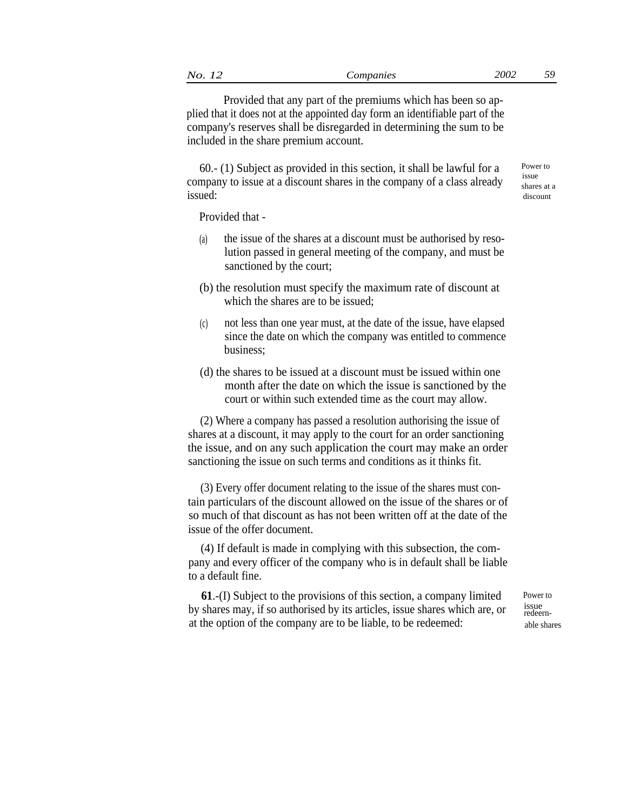Provided that any part of the premiums which has been so applied that it does not at the appointed day form an identifiable part of the company's reserves shall be disregarded in determining the sum to be included in the share premium account.

60.- (1) Subject as provided in this section, it shall be lawful for a company to issue at a discount shares in the company of a class already issued:

Power to issue shares at a discount

Provided that -

- the issue of the shares at a discount must be authorised by resolution passed in general meeting of the company, and must be sanctioned by the court; (a)
- (b) the resolution must specify the maximum rate of discount at which the shares are to be issued;
- not less than one year must, at the date of the issue, have elapsed since the date on which the company was entitled to commence business;  $(c)$
- (d) the shares to be issued at a discount must be issued within one month after the date on which the issue is sanctioned by the court or within such extended time as the court may allow.

(2) Where a company has passed a resolution authorising the issue of shares at a discount, it may apply to the court for an order sanctioning the issue, and on any such application the court may make an order sanctioning the issue on such terms and conditions as it thinks fit.

(3) Every offer document relating to the issue of the shares must contain particulars of the discount allowed on the issue of the shares or of so much of that discount as has not been written off at the date of the issue of the offer document.

(4) If default is made in complying with this subsection, the company and every officer of the company who is in default shall be liable to a default fine.

**61**.-(I) Subject to the provisions of this section, a company limited by shares may, if so authorised by its articles, issue shares which are, or at the option of the company are to be liable, to be redeemed:

Power to issue redeernable shares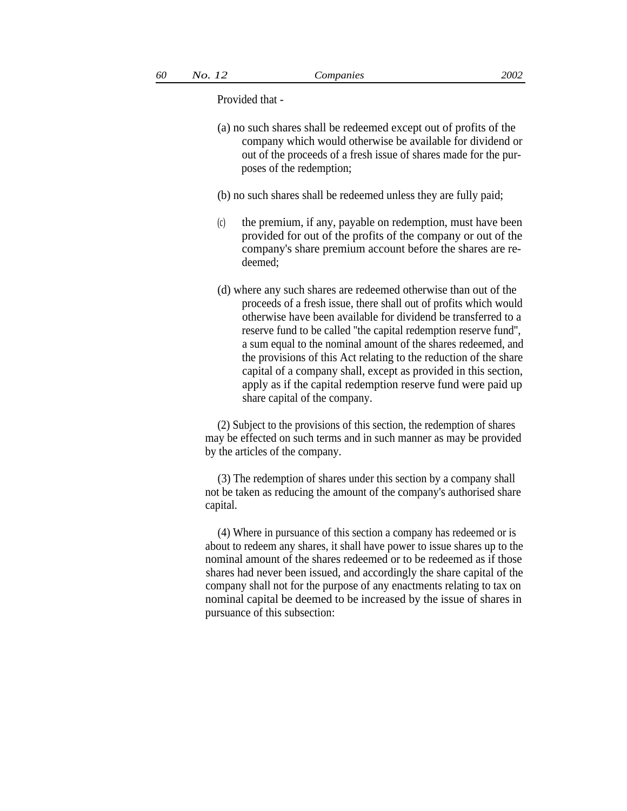Provided that -

(a) no such shares shall be redeemed except out of profits of the company which would otherwise be available for dividend or out of the proceeds of a fresh issue of shares made for the purposes of the redemption;

(b) no such shares shall be redeemed unless they are fully paid;

- (c) the premium, if any, payable on redemption, must have been provided for out of the profits of the company or out of the company's share premium account before the shares are redeemed;
- (d) where any such shares are redeemed otherwise than out of the proceeds of a fresh issue, there shall out of profits which would otherwise have been available for dividend be transferred to a reserve fund to be called ''the capital redemption reserve fund'', a sum equal to the nominal amount of the shares redeemed, and the provisions of this Act relating to the reduction of the share capital of a company shall, except as provided in this section, apply as if the capital redemption reserve fund were paid up share capital of the company.

(2) Subject to the provisions of this section, the redemption of shares may be effected on such terms and in such manner as may be provided by the articles of the company.

(3) The redemption of shares under this section by a company shall not be taken as reducing the amount of the company's authorised share capital.

(4) Where in pursuance of this section a company has redeemed or is about to redeem any shares, it shall have power to issue shares up to the nominal amount of the shares redeemed or to be redeemed as if those shares had never been issued, and accordingly the share capital of the company shall not for the purpose of any enactments relating to tax on nominal capital be deemed to be increased by the issue of shares in pursuance of this subsection: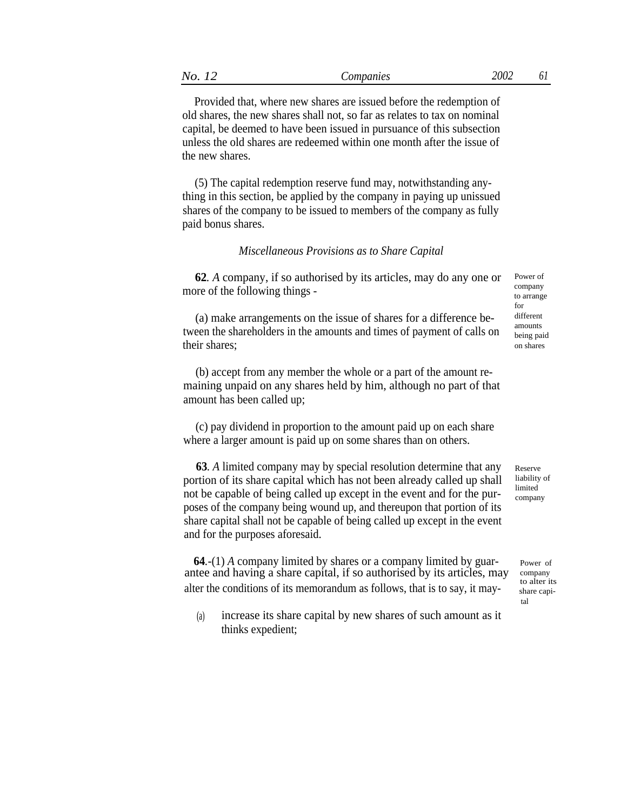Provided that, where new shares are issued before the redemption of old shares, the new shares shall not, so far as relates to tax on nominal capital, be deemed to have been issued in pursuance of this subsection unless the old shares are redeemed within one month after the issue of the new shares.

(5) The capital redemption reserve fund may, notwithstanding anything in this section, be applied by the company in paying up unissued shares of the company to be issued to members of the company as fully paid bonus shares.

# *Miscellaneous Provisions as to Share Capital*

**62***. A* company, if so authorised by its articles, may do any one or more of the following things -

(a) make arrangements on the issue of shares for a difference between the shareholders in the amounts and times of payment of calls on their shares;

(b) accept from any member the whole or a part of the amount remaining unpaid on any shares held by him, although no part of that amount has been called up;

(c) pay dividend in proportion to the amount paid up on each share where a larger amount is paid up on some shares than on others.

**63***. A* limited company may by special resolution determine that any portion of its share capital which has not been already called up shall not be capable of being called up except in the event and for the purposes of the company being wound up, and thereupon that portion of its share capital shall not be capable of being called up except in the event and for the purposes aforesaid.

**64***.*-(1) *A* company limited by shares or a company limited by guarantee and having a share capital, if so authorised by its articles, may alter the conditions of its memorandum as follows, that is to say, it may-<br>share capi-

increase its share capital by new shares of such amount as it thinks expedient; (a)

Reserve liability of limited company

> tal Power of company

Power of company to arrange for

different amounts being paid on shares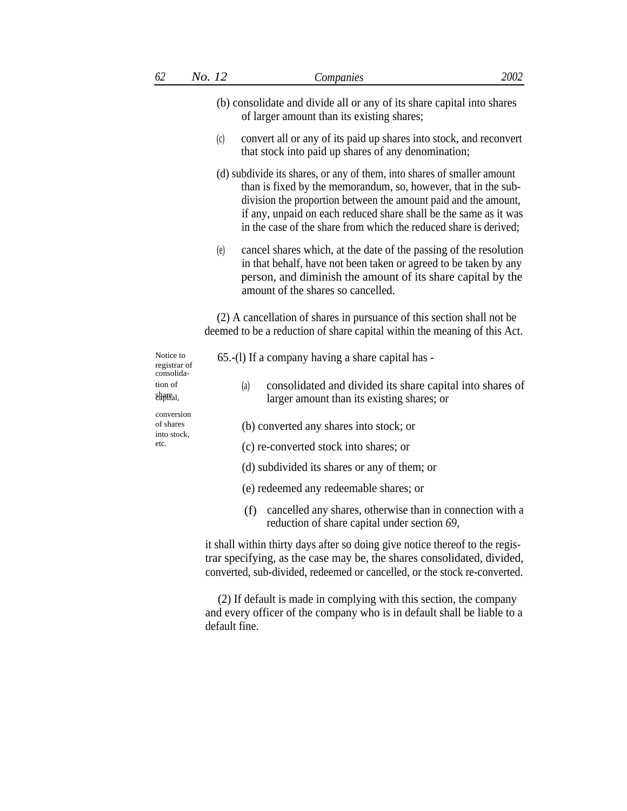|                                                | (b) consolidate and divide all or any of its share capital into shares<br>of larger amount than its existing shares;                                                                                                                                                                                                                                  |
|------------------------------------------------|-------------------------------------------------------------------------------------------------------------------------------------------------------------------------------------------------------------------------------------------------------------------------------------------------------------------------------------------------------|
|                                                | convert all or any of its paid up shares into stock, and reconvert<br>(c)<br>that stock into paid up shares of any denomination;                                                                                                                                                                                                                      |
|                                                | (d) subdivide its shares, or any of them, into shares of smaller amount<br>than is fixed by the memorandum, so, however, that in the sub-<br>division the proportion between the amount paid and the amount,<br>if any, unpaid on each reduced share shall be the same as it was<br>in the case of the share from which the reduced share is derived; |
|                                                | cancel shares which, at the date of the passing of the resolution<br>(e)<br>in that behalf, have not been taken or agreed to be taken by any<br>person, and diminish the amount of its share capital by the<br>amount of the shares so cancelled.                                                                                                     |
|                                                | (2) A cancellation of shares in pursuance of this section shall not be<br>deemed to be a reduction of share capital within the meaning of this Act.                                                                                                                                                                                                   |
| Notice to<br>registrar of<br>consolida-        | 65.-(1) If a company having a share capital has -                                                                                                                                                                                                                                                                                                     |
| tion of<br>shareal,                            | consolidated and divided its share capital into shares of<br>(a)<br>larger amount than its existing shares; or                                                                                                                                                                                                                                        |
| conversion<br>of shares<br>into stock,<br>etc. | (b) converted any shares into stock; or                                                                                                                                                                                                                                                                                                               |
|                                                | (c) re-converted stock into shares; or                                                                                                                                                                                                                                                                                                                |
|                                                | (d) subdivided its shares or any of them; or                                                                                                                                                                                                                                                                                                          |
|                                                | (e) redeemed any redeemable shares; or                                                                                                                                                                                                                                                                                                                |
|                                                | cancelled any shares, otherwise than in connection with a<br>(f)<br>reduction of share capital under section 69,                                                                                                                                                                                                                                      |

it shall within thirty days after so doing give notice thereof to the registrar specifying, as the case may be, the shares consolidated, divided, converted, sub-divided, redeemed or cancelled, or the stock re-converted.

(2) If default is made in complying with this section, the company and every officer of the company who is in default shall be liable to a default fine.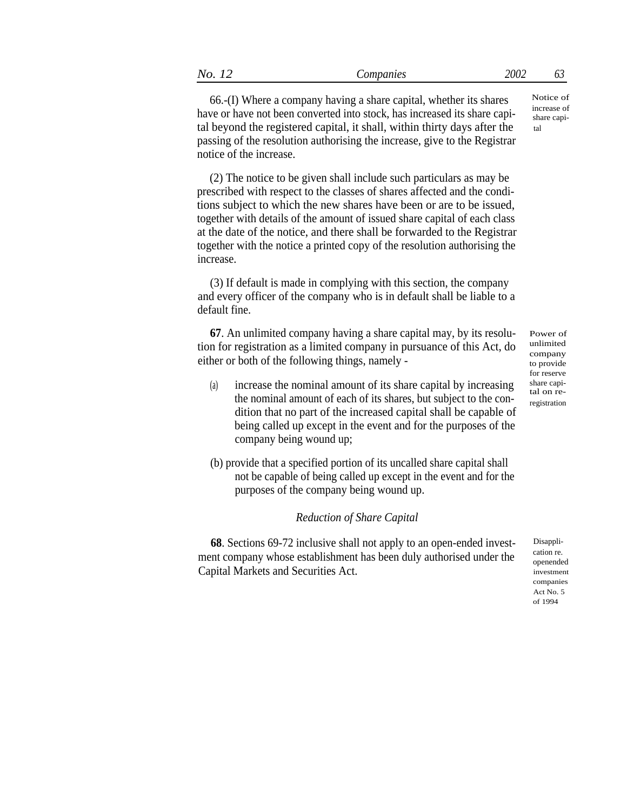| No.<br>- | companies | 2002 | U. |
|----------|-----------|------|----|
|----------|-----------|------|----|

66.-(I) Where a company having a share capital, whether its shares have or have not been converted into stock, has increased its share capital beyond the registered capital, it shall, within thirty days after the passing of the resolution authorising the increase, give to the Registrar notice of the increase.

(2) The notice to be given shall include such particulars as may be prescribed with respect to the classes of shares affected and the conditions subject to which the new shares have been or are to be issued, together with details of the amount of issued share capital of each class at the date of the notice, and there shall be forwarded to the Registrar together with the notice a printed copy of the resolution authorising the increase.

(3) If default is made in complying with this section, the company and every officer of the company who is in default shall be liable to a default fine.

**67**. An unlimited company having a share capital may, by its resolution for registration as a limited company in pursuance of this Act, do either or both of the following things, namely -

- (a) increase the nominal amount of its share capital by increasing share capithe nominal amount of each of its shares, but subject to the condition that no part of the increased capital shall be capable of being called up except in the event and for the purposes of the company being wound up;
- (b) provide that a specified portion of its uncalled share capital shall not be capable of being called up except in the event and for the purposes of the company being wound up.

# *Reduction of Share Capital*

**68**. Sections 69-72 inclusive shall not apply to an open-ended investment company whose establishment has been duly authorised under the Capital Markets and Securities Act.

Disapplication re. openended investment companies Act No. 5 of 1994

Power of unlimited company to provide for reserve share capi-<br>tal on reregistration

Notice of increase of share capital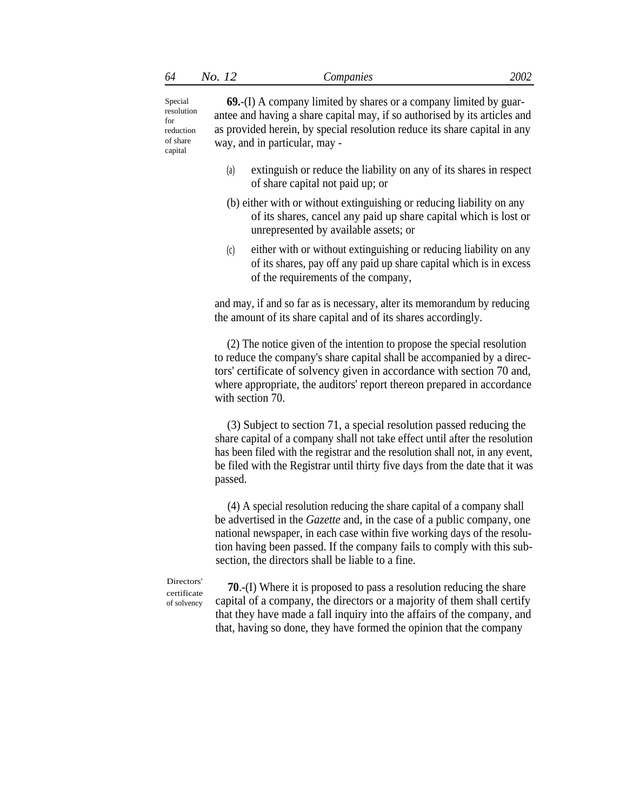Special resolution for reduction of share capital

**69.**-(I) A company limited by shares or a company limited by guarantee and having a share capital may, if so authorised by its articles and as provided herein, by special resolution reduce its share capital in any way, and in particular, may -

- extinguish or reduce the liability on any of its shares in respect of share capital not paid up; or (a)
- (b) either with or without extinguishing or reducing liability on any of its shares, cancel any paid up share capital which is lost or unrepresented by available assets; or
- either with or without extinguishing or reducing liability on any of its shares, pay off any paid up share capital which is in excess of the requirements of the company,  $(c)$

and may, if and so far as is necessary, alter its memorandum by reducing the amount of its share capital and of its shares accordingly.

(2) The notice given of the intention to propose the special resolution to reduce the company's share capital shall be accompanied by a directors' certificate of solvency given in accordance with section 70 and, where appropriate, the auditors' report thereon prepared in accordance with section 70.

(3) Subject to section 71, a special resolution passed reducing the share capital of a company shall not take effect until after the resolution has been filed with the registrar and the resolution shall not, in any event, be filed with the Registrar until thirty five days from the date that it was passed.

(4) A special resolution reducing the share capital of a company shall be advertised in the *Gazette* and, in the case of a public company, one national newspaper, in each case within five working days of the resolution having been passed. If the company fails to comply with this subsection, the directors shall be liable to a fine.

certificate of solvency

Directors' **70.-(I)** Where it is proposed to pass a resolution reducing the share capital of a company, the directors or a majority of them shall certify that they have made a fall inquiry into the affairs of the company, and that, having so done, they have formed the opinion that the company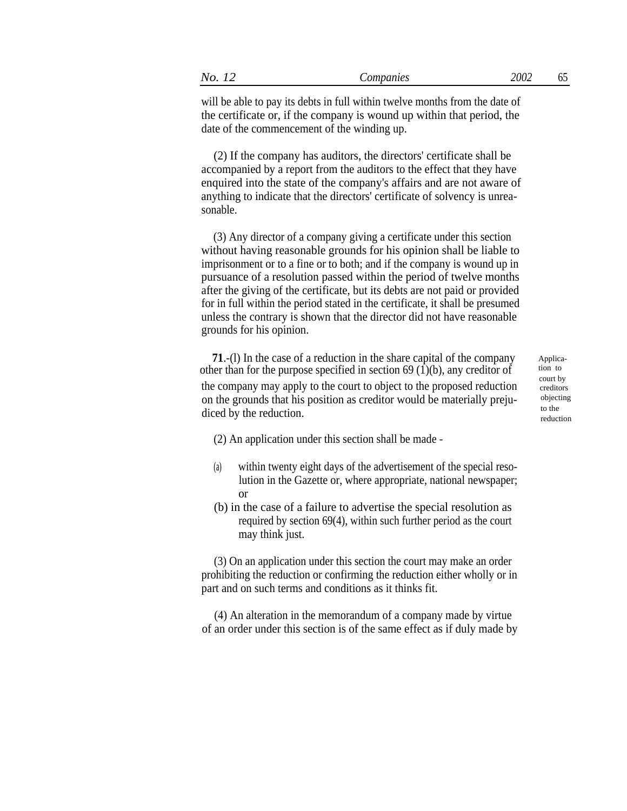will be able to pay its debts in full within twelve months from the date of the certificate or, if the company is wound up within that period, the date of the commencement of the winding up.

(2) If the company has auditors, the directors' certificate shall be accompanied by a report from the auditors to the effect that they have enquired into the state of the company's affairs and are not aware of anything to indicate that the directors' certificate of solvency is unreasonable.

(3) Any director of a company giving a certificate under this section without having reasonable grounds for his opinion shall be liable to imprisonment or to a fine or to both; and if the company is wound up in pursuance of a resolution passed within the period of twelve months after the giving of the certificate, but its debts are not paid or provided for in full within the period stated in the certificate, it shall be presumed unless the contrary is shown that the director did not have reasonable grounds for his opinion.

**71**.-(l) In the case of a reduction in the share capital of the company other than for the purpose specified in section 69 (1)(b), any creditor of the company may apply to the court to object to the proposed reduction on the grounds that his position as creditor would be materially prejudiced by the reduction.

court by creditors objecting to the reduction Application to

(2) An application under this section shall be made -

- within twenty eight days of the advertisement of the special resolution in the Gazette or, where appropriate, national newspaper; (a) or
- (b) in the case of a failure to advertise the special resolution as required by section 69(4), within such further period as the court may think just.

(3) On an application under this section the court may make an order prohibiting the reduction or confirming the reduction either wholly or in part and on such terms and conditions as it thinks fit.

(4) An alteration in the memorandum of a company made by virtue of an order under this section is of the same effect as if duly made by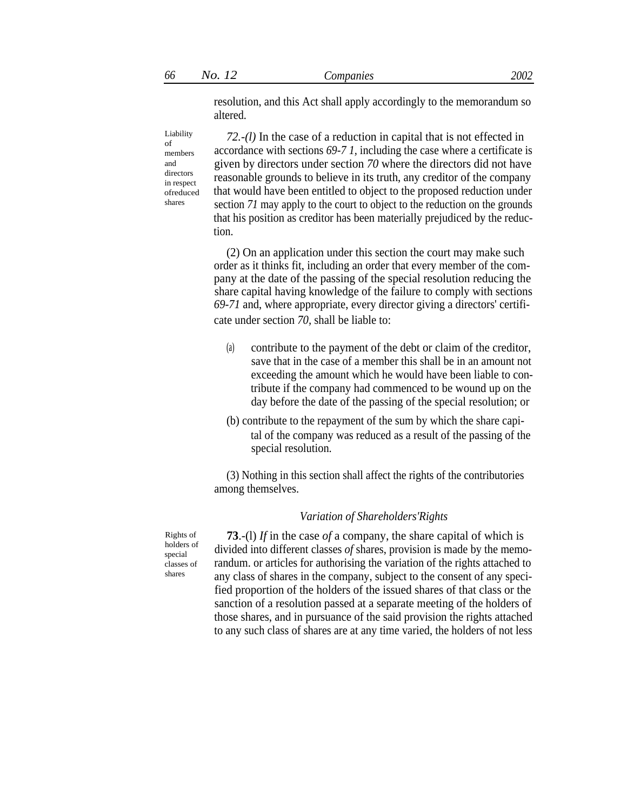resolution, and this Act shall apply accordingly to the memorandum so altered.

of members and directors in respect ofreduced shares

Liability *72.-(l)* In the case of a reduction in capital that is not effected in accordance with sections *69-7 1,* including the case where a certificate is given by directors under section *70* where the directors did not have reasonable grounds to believe in its truth, any creditor of the company that would have been entitled to object to the proposed reduction under section *71* may apply to the court to object to the reduction on the grounds that his position as creditor has been materially prejudiced by the reduction.

> (2) On an application under this section the court may make such order as it thinks fit, including an order that every member of the company at the date of the passing of the special resolution reducing the share capital having knowledge of the failure to comply with sections *69-71* and, where appropriate, every director giving a directors' certificate under section *70,* shall be liable to:

- (a) contribute to the payment of the debt or claim of the creditor, save that in the case of a member this shall be in an amount not exceeding the amount which he would have been liable to contribute if the company had commenced to be wound up on the day before the date of the passing of the special resolution; or
- (b) contribute to the repayment of the sum by which the share capital of the company was reduced as a result of the passing of the special resolution.

(3) Nothing in this section shall affect the rights of the contributories among themselves.

#### *Variation of Shareholders'Rights*

Rights of holders of special classes of shares

**73**.-(l) *If* in the case *of* a company, the share capital of which is divided into different classes *of* shares, provision is made by the memorandum. or articles for authorising the variation of the rights attached to any class of shares in the company, subject to the consent of any specified proportion of the holders of the issued shares of that class or the sanction of a resolution passed at a separate meeting of the holders of those shares, and in pursuance of the said provision the rights attached to any such class of shares are at any time varied, the holders of not less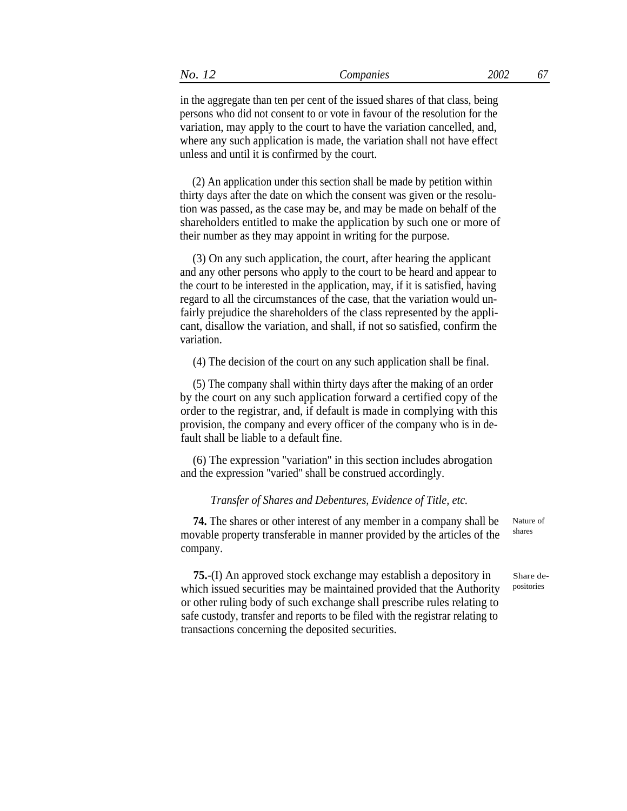| $\sim$ $\sim$<br>No<br>$\overline{\phantom{a}}$<br>$\overline{\phantom{a}}$ | companies | 2002 |  |
|-----------------------------------------------------------------------------|-----------|------|--|
|-----------------------------------------------------------------------------|-----------|------|--|

in the aggregate than ten per cent of the issued shares of that class, being persons who did not consent to or vote in favour of the resolution for the variation, may apply to the court to have the variation cancelled, and, where any such application is made, the variation shall not have effect unless and until it is confirmed by the court.

(2) An application under this section shall be made by petition within thirty days after the date on which the consent was given or the resolution was passed, as the case may be, and may be made on behalf of the shareholders entitled to make the application by such one or more of their number as they may appoint in writing for the purpose.

(3) On any such application, the court, after hearing the applicant and any other persons who apply to the court to be heard and appear to the court to be interested in the application, may, if it is satisfied, having regard to all the circumstances of the case, that the variation would unfairly prejudice the shareholders of the class represented by the applicant, disallow the variation, and shall, if not so satisfied, confirm the variation.

(4) The decision of the court on any such application shall be final.

(5) The company shall within thirty days after the making of an order by the court on any such application forward a certified copy of the order to the registrar, and, if default is made in complying with this provision, the company and every officer of the company who is in default shall be liable to a default fine.

(6) The expression ''variation'' in this section includes abrogation and the expression ''varied'' shall be construed accordingly.

# *Transfer of Shares and Debentures, Evidence of Title, etc.*

**74.** The shares or other interest of any member in a company shall be movable property transferable in manner provided by the articles of the company.

**75.**-(I) An approved stock exchange may establish a depository in which issued securities may be maintained provided that the Authority or other ruling body of such exchange shall prescribe rules relating to safe custody, transfer and reports to be filed with the registrar relating to transactions concerning the deposited securities.

Nature of shares

Share depositories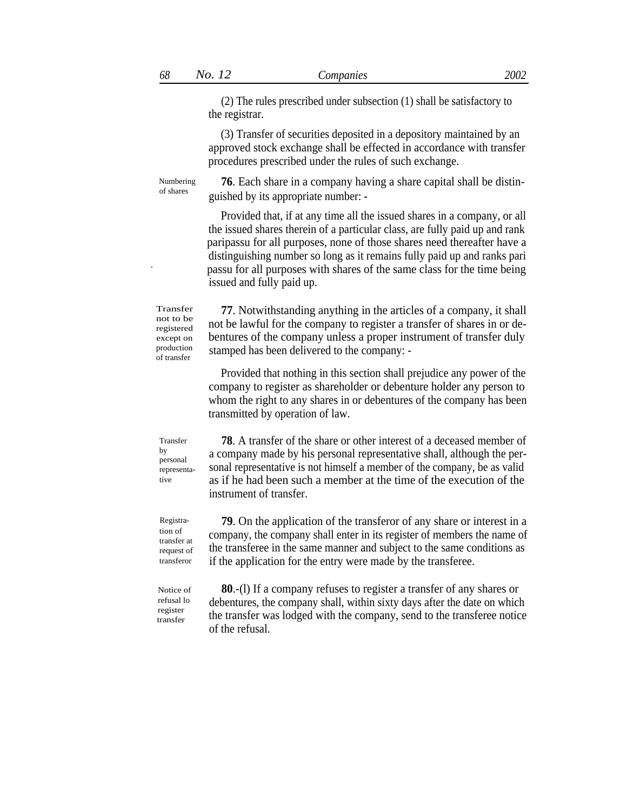(2) The rules prescribed under subsection (1) shall be satisfactory to the registrar.

(3) Transfer of securities deposited in a depository maintained by an approved stock exchange shall be effected in accordance with transfer procedures prescribed under the rules of such exchange.

Numbering of shares

.

**76**. Each share in a company having a share capital shall be distinguished by its appropriate number: -

Provided that, if at any time all the issued shares in a company, or all the issued shares therein of a particular class, are fully paid up and rank paripassu for all purposes, none of those shares need thereafter have a distinguishing number so long as it remains fully paid up and ranks pari passu for all purposes with shares of the same class for the time being issued and fully paid up.

not to be registered except on production of transfer

Transfer **77**. Notwithstanding anything in the articles of a company, it shall not be lawful for the company to register a transfer of shares in or debentures of the company unless a proper instrument of transfer duly stamped has been delivered to the company: -

> Provided that nothing in this section shall prejudice any power of the company to register as shareholder or debenture holder any person to whom the right to any shares in or debentures of the company has been transmitted by operation of law.

**78**. A transfer of the share or other interest of a deceased member of a company made by his personal representative shall, although the personal representative is not himself a member of the company, be as valid as if he had been such a member at the time of the execution of the instrument of transfer.

**79**. On the application of the transferor of any share or interest in a company, the company shall enter in its register of members the name of the transferee in the same manner and subject to the same conditions as if the application for the entry were made by the transferee.

Notice of refusal lo register transfer

**80**.-(l) If a company refuses to register a transfer of any shares or debentures, the company shall, within sixty days after the date on which the transfer was lodged with the company, send to the transferee notice of the refusal.

Transfer by personal representative

Registration of transfer at request of transferor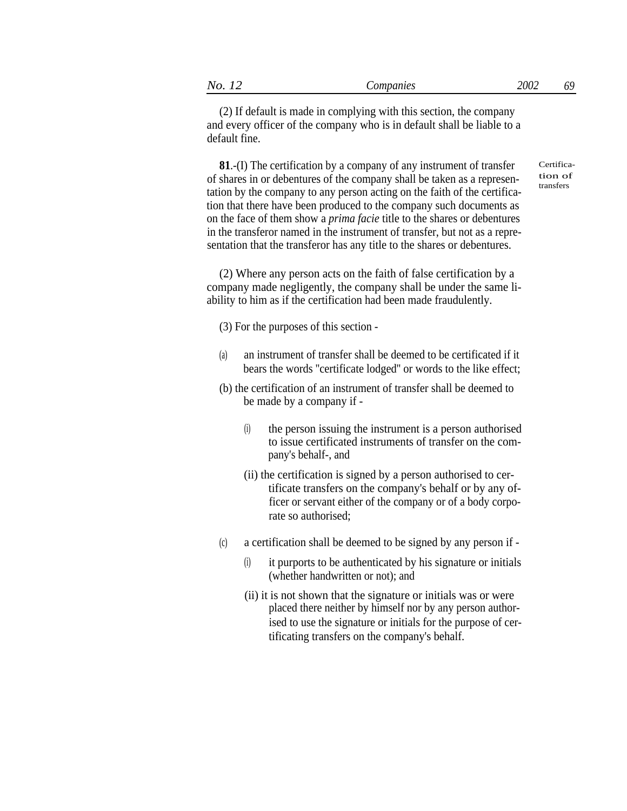| - -<br>. .<br>╭<br>companies<br>W | 2002 | $\sim$<br>ີ |
|-----------------------------------|------|-------------|
|-----------------------------------|------|-------------|

(2) If default is made in complying with this section, the company and every officer of the company who is in default shall be liable to a default fine.

**81**.-(I) The certification by a company of any instrument of transfer of shares in or debentures of the company shall be taken as a representation by the company to any person acting on the faith of the certification that there have been produced to the company such documents as on the face of them show a *prima facie* title to the shares or debentures in the transferor named in the instrument of transfer, but not as a representation that the transferor has any title to the shares or debentures.

Certification of transfers

(2) Where any person acts on the faith of false certification by a company made negligently, the company shall be under the same liability to him as if the certification had been made fraudulently.

(3) For the purposes of this section -

- (a) an instrument of transfer shall be deemed to be certificated if it bears the words ''certificate lodged'' or words to the like effect;
- (b) the certification of an instrument of transfer shall be deemed to be made by a company if -
	- (i) the person issuing the instrument is a person authorised to issue certificated instruments of transfer on the company's behalf-, and
	- (ii) the certification is signed by a person authorised to certificate transfers on the company's behalf or by any officer or servant either of the company or of a body corporate so authorised;
- (c) a certification shall be deemed to be signed by any person if
	- $(i)$  it purports to be authenticated by his signature or initials (whether handwritten or not); and
	- (ii) it is not shown that the signature or initials was or were placed there neither by himself nor by any person authorised to use the signature or initials for the purpose of certificating transfers on the company's behalf.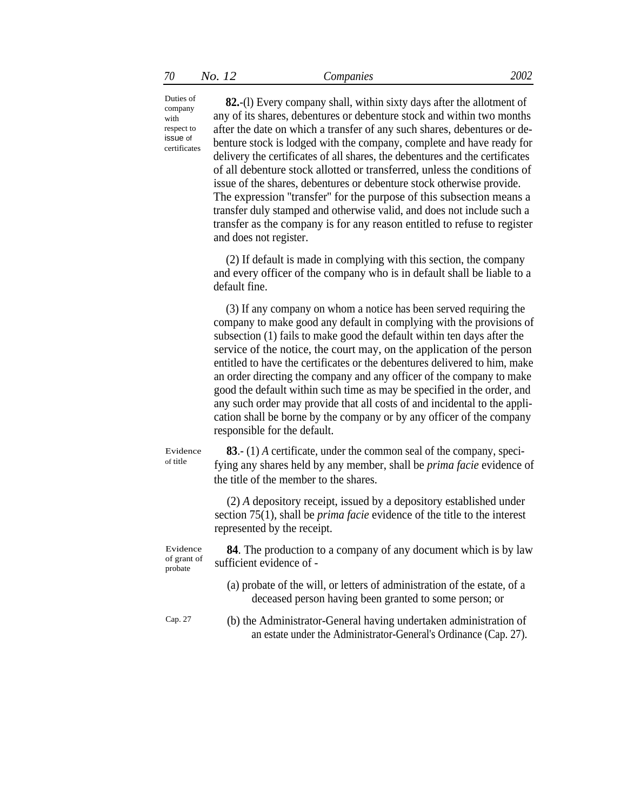company with respect to issue of certificates

Duties of **82.**-(l) Every company shall, within sixty days after the allotment of any of its shares, debentures or debenture stock and within two months after the date on which a transfer of any such shares, debentures or debenture stock is lodged with the company, complete and have ready for delivery the certificates of all shares, the debentures and the certificates of all debenture stock allotted or transferred, unless the conditions of issue of the shares, debentures or debenture stock otherwise provide. The expression ''transfer'' for the purpose of this subsection means a transfer duly stamped and otherwise valid, and does not include such a transfer as the company is for any reason entitled to refuse to register and does not register.

> (2) If default is made in complying with this section, the company and every officer of the company who is in default shall be liable to a default fine.

> (3) If any company on whom a notice has been served requiring the company to make good any default in complying with the provisions of subsection (1) fails to make good the default within ten days after the service of the notice, the court may, on the application of the person entitled to have the certificates or the debentures delivered to him, make an order directing the company and any officer of the company to make good the default within such time as may be specified in the order, and any such order may provide that all costs of and incidental to the application shall be borne by the company or by any officer of the company responsible for the default.

**83**.- (1) *A* certificate, under the common seal of the company, specifying any shares held by any member, shall be *prima facie* evidence of the title of the member to the shares. Evidence of title

> (2) *A* depository receipt, issued by a depository established under section 75(1)*,* shall be *prima facie* evidence of the title to the interest represented by the receipt.

**84**. The production to a company of any document which is by law sufficient evidence of - Evidence of grant of probate

> (a) probate of the will, or letters of administration of the estate, of a deceased person having been granted to some person; or

Cap. 27

(b) the Administrator-General having undertaken administration of an estate under the Administrator-General's Ordinance (Cap. 27).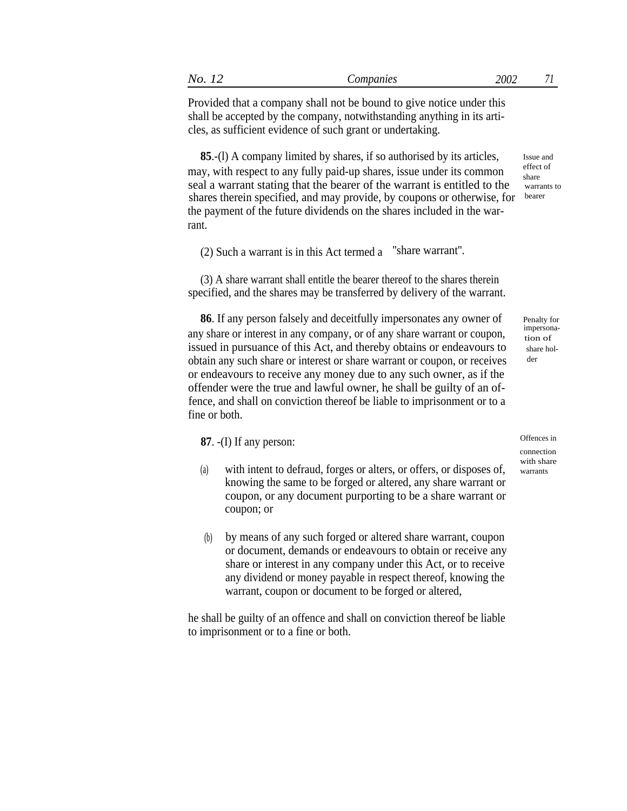Provided that a company shall not be bound to give notice under this shall be accepted by the company, notwithstanding anything in its articles, as sufficient evidence of such grant or undertaking.

**85**.-(l) A company limited by shares, if so authorised by its articles, may, with respect to any fully paid-up shares, issue under its common seal a warrant stating that the bearer of the warrant is entitled to the shares therein specified, and may provide, by coupons or otherwise, for the payment of the future dividends on the shares included in the warrant.

Issue and effect of share warrants to bearer

 $(2)$  Such a warrant is in this Act termed a "share warrant".

(3) A share warrant shall entitle the bearer thereof to the shares therein specified, and the shares may be transferred by delivery of the warrant.

**86**. If any person falsely and deceitfully impersonates any owner of any share or interest in any company, or of any share warrant or coupon,  $\frac{1}{2}$ issued in pursuance of this Act, and thereby obtains or endeavours to obtain any such share or interest or share warrant or coupon, or receives or endeavours to receive any money due to any such owner, as if the offender were the true and lawful owner, he shall be guilty of an offence, and shall on conviction thereof be liable to imprisonment or to a fine or both.

**87**. -(I) If any person: Offences in

- (a) with intent to defraud, forges or alters, or offers, or disposes of, knowing the same to be forged or altered, any share warrant or coupon, or any document purporting to be a share warrant or coupon; or
- by means of any such forged or altered share warrant, coupon or document, demands or endeavours to obtain or receive any share or interest in any company under this Act, or to receive any dividend or money payable in respect thereof, knowing the warrant, coupon or document to be forged or altered, (b)

he shall be guilty of an offence and shall on conviction thereof be liable to imprisonment or to a fine or both.

tion of share holder Penalty for

connection with share warrants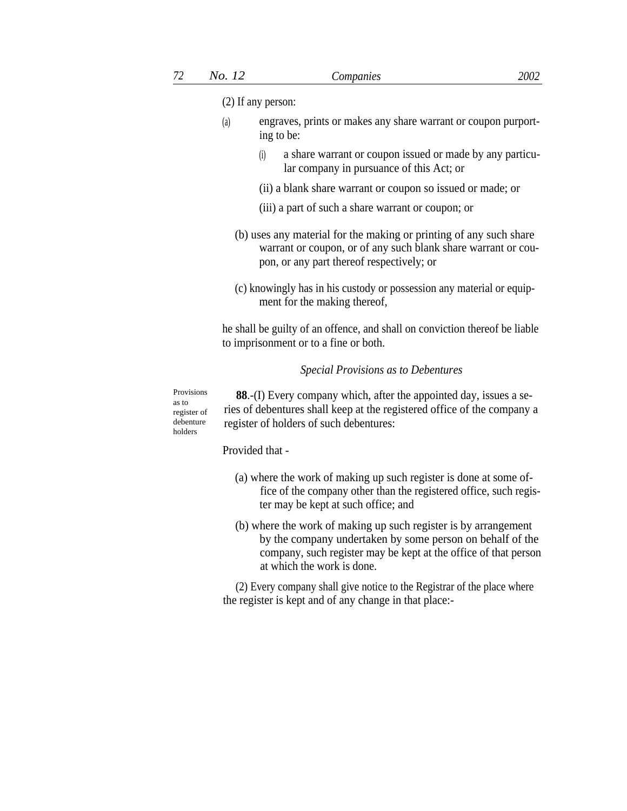(2) If any person:

- engraves, prints or makes any share warrant or coupon purporting to be: (a)
	- a share warrant or coupon issued or made by any particular company in pursuance of this Act; or (i)
	- (ii) a blank share warrant or coupon so issued or made; or
	- (iii) a part of such a share warrant or coupon; or
	- (b) uses any material for the making or printing of any such share warrant or coupon, or of any such blank share warrant or coupon, or any part thereof respectively; or
	- (c) knowingly has in his custody or possession any material or equipment for the making thereof,

he shall be guilty of an offence, and shall on conviction thereof be liable to imprisonment or to a fine or both.

#### *Special Provisions as to Debentures*

as to register of debenture holders

Provisions **88**.-(I) Every company which, after the appointed day, issues a series of debentures shall keep at the registered office of the company a register of holders of such debentures:

Provided that -

- (a) where the work of making up such register is done at some office of the company other than the registered office, such register may be kept at such office; and
- (b) where the work of making up such register is by arrangement by the company undertaken by some person on behalf of the company, such register may be kept at the office of that person at which the work is done.

(2) Every company shall give notice to the Registrar of the place where the register is kept and of any change in that place:-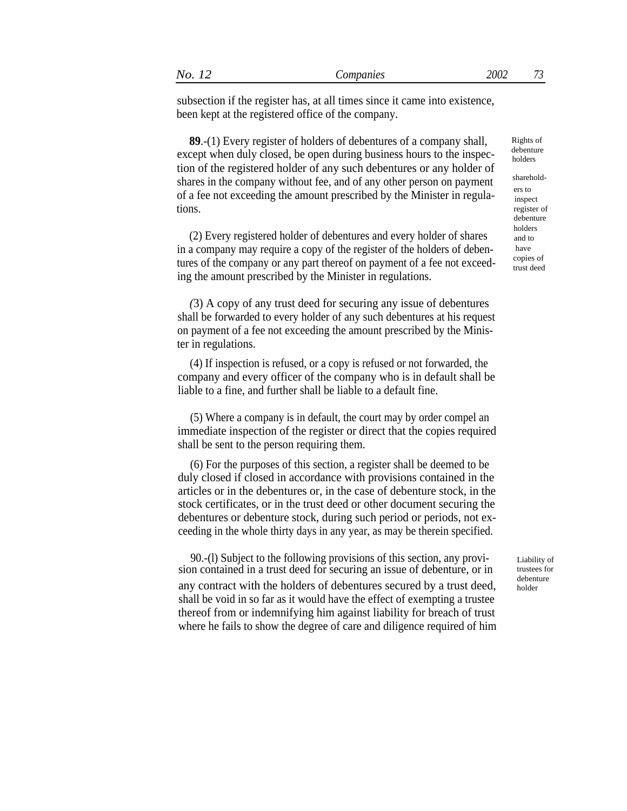subsection if the register has, at all times since it came into existence, been kept at the registered office of the company.

**89**.-(1) Every register of holders of debentures of a company shall, except when duly closed, be open during business hours to the inspection of the registered holder of any such debentures or any holder of shares in the company without fee, and of any other person on payment shareholdof a fee not exceeding the amount prescribed by the Minister in regulations.

(2) Every registered holder of debentures and every holder of shares  $\frac{\text{holders}}{\text{and to}}$ in a company may require a copy of the register of the holders of debentures of the company or any part thereof on payment of a fee not exceeding the amount prescribed by the Minister in regulations.

*(*3) A copy of any trust deed for securing any issue of debentures shall be forwarded to every holder of any such debentures at his request on payment of a fee not exceeding the amount prescribed by the Minister in regulations.

(4) If inspection is refused, or a copy is refused or not forwarded, the company and every officer of the company who is in default shall be liable to a fine, and further shall be liable to a default fine.

(5) Where a company is in default, the court may by order compel an immediate inspection of the register or direct that the copies required shall be sent to the person requiring them.

(6) For the purposes of this section, a register shall be deemed to be duly closed if closed in accordance with provisions contained in the articles or in the debentures or, in the case of debenture stock, in the stock certificates, or in the trust deed or other document securing the debentures or debenture stock, during such period or periods, not exceeding in the whole thirty days in any year, as may be therein specified.

90.-(l) Subject to the following provisions of this section, any provision contained in a trust deed for securing an issue of debenture, or in any contract with the holders of debentures secured by a trust deed, shall be void in so far as it would have the effect of exempting a trustee thereof from or indemnifying him against liability for breach of trust where he fails to show the degree of care and diligence required of him

Liability of trustees for debenture holder

Rights of debenture holders

ers to inspect register of debenture and to have copies of trust deed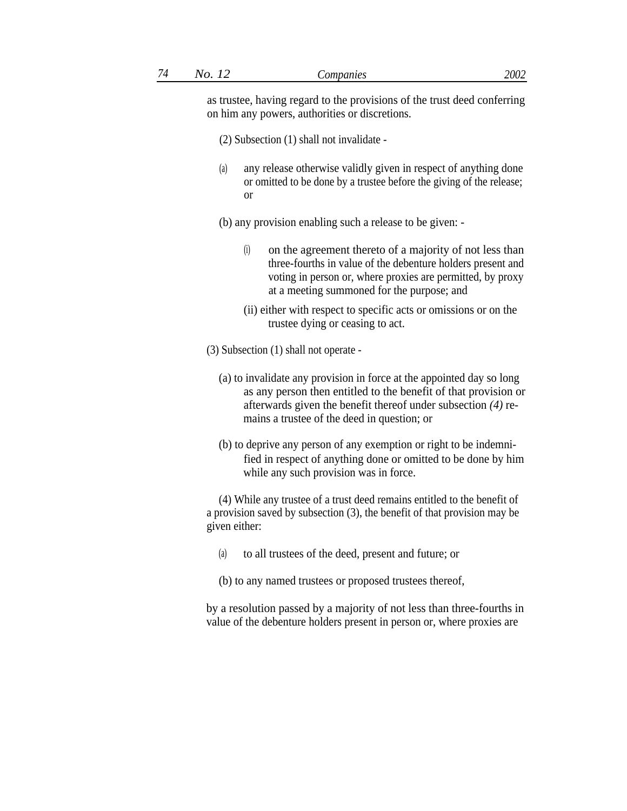as trustee, having regard to the provisions of the trust deed conferring on him any powers, authorities or discretions.

(2) Subsection (1) shall not invalidate -

(a) any release otherwise validly given in respect of anything done or omitted to be done by a trustee before the giving of the release; or

(b) any provision enabling such a release to be given: -

- (i) on the agreement thereto of a majority of not less than three-fourths in value of the debenture holders present and voting in person or, where proxies are permitted, by proxy at a meeting summoned for the purpose; and
- (ii) either with respect to specific acts or omissions or on the trustee dying or ceasing to act.

(3) Subsection (1) shall not operate -

- (a) to invalidate any provision in force at the appointed day so long as any person then entitled to the benefit of that provision or afterwards given the benefit thereof under subsection *(4)* remains a trustee of the deed in question; or
- (b) to deprive any person of any exemption or right to be indemnified in respect of anything done or omitted to be done by him while any such provision was in force.

(4) While any trustee of a trust deed remains entitled to the benefit of a provision saved by subsection (3), the benefit of that provision may be given either:

- (a) to all trustees of the deed, present and future; or
- (b) to any named trustees or proposed trustees thereof,

by a resolution passed by a majority of not less than three-fourths in value of the debenture holders present in person or, where proxies are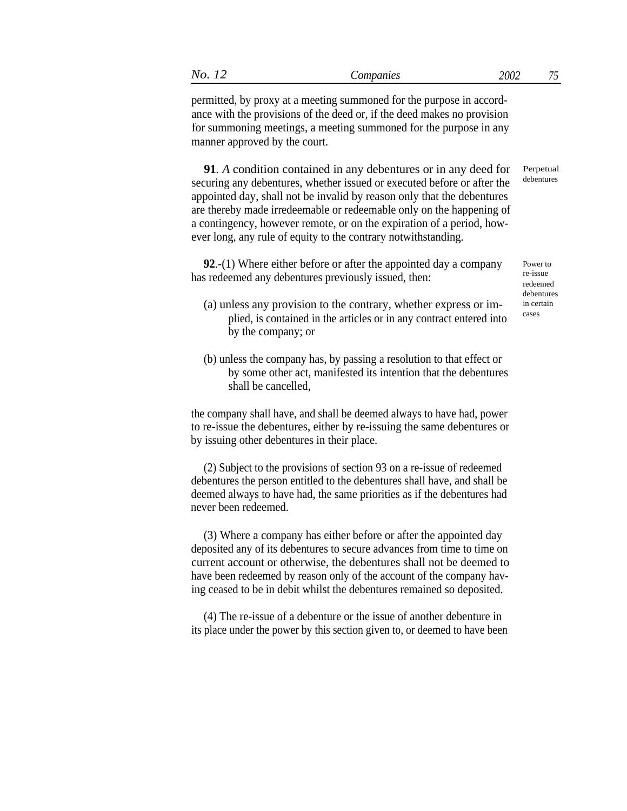permitted, by proxy at a meeting summoned for the purpose in accordance with the provisions of the deed or, if the deed makes no provision for summoning meetings, a meeting summoned for the purpose in any manner approved by the court.

**91***. A* condition contained in any debentures or in any deed for securing any debentures, whether issued or executed before or after the appointed day, shall not be invalid by reason only that the debentures are thereby made irredeemable or redeemable only on the happening of a contingency, however remote, or on the expiration of a period, however long, any rule of equity to the contrary notwithstanding.

**92**.-(1) Where either before or after the appointed day a company has redeemed any debentures previously issued, then:

re-issue redeemed debentures

Power to

Perpetual debentures

- (a) unless any provision to the contrary, whether express or im-<br> $\frac{1}{100}$  in certain plied, is contained in the articles or in any contract entered into by the company; or
- (b) unless the company has, by passing a resolution to that effect or by some other act, manifested its intention that the debentures shall be cancelled,

the company shall have, and shall be deemed always to have had, power to re-issue the debentures, either by re-issuing the same debentures or by issuing other debentures in their place.

(2) Subject to the provisions of section 93 on a re-issue of redeemed debentures the person entitled to the debentures shall have, and shall be deemed always to have had, the same priorities as if the debentures had never been redeemed.

(3) Where a company has either before or after the appointed day deposited any of its debentures to secure advances from time to time on current account or otherwise, the debentures shall not be deemed to have been redeemed by reason only of the account of the company having ceased to be in debit whilst the debentures remained so deposited.

(4) The re-issue of a debenture or the issue of another debenture in its place under the power by this section given to, or deemed to have been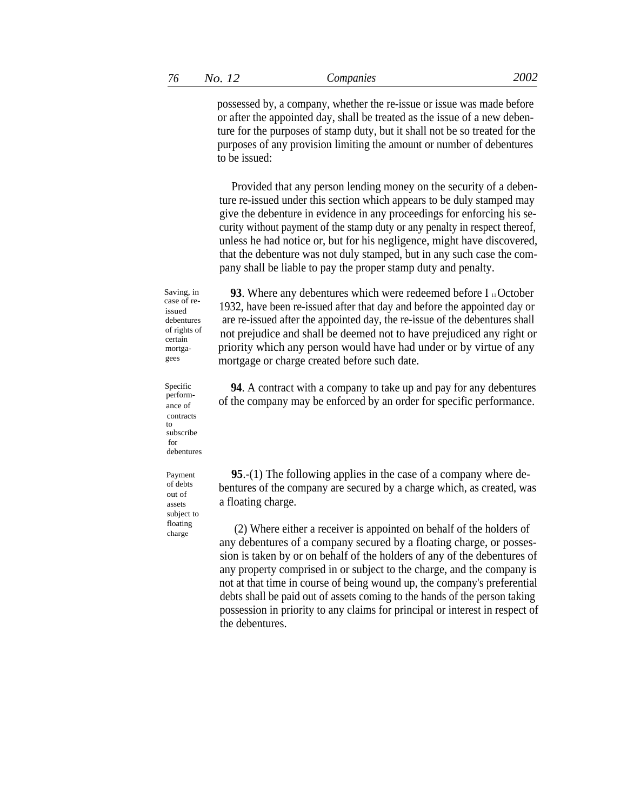possessed by, a company, whether the re-issue or issue was made before or after the appointed day, shall be treated as the issue of a new debenture for the purposes of stamp duty, but it shall not be so treated for the purposes of any provision limiting the amount or number of debentures to be issued:

Provided that any person lending money on the security of a debenture re-issued under this section which appears to be duly stamped may give the debenture in evidence in any proceedings for enforcing his security without payment of the stamp duty or any penalty in respect thereof, unless he had notice or, but for his negligence, might have discovered, that the debenture was not duly stamped, but in any such case the company shall be liable to pay the proper stamp duty and penalty.

**93**. Where any debentures which were redeemed before I **11** October 1932, have been re-issued after that day and before the appointed day or are re-issued after the appointed day, the re-issue of the debentures shall not prejudice and shall be deemed not to have prejudiced any right or priority which any person would have had under or by virtue of any mortgage or charge created before such date.

**94**. A contract with a company to take up and pay for any debentures of the company may be enforced by an order for specific performance.

ance of contracts to subscribe for debentures

Specific perform-

Saving, in case of reissued

debentures of rights of certain mortgagees

Payment of debts out of assets subject to charge

**95**.-(1) The following applies in the case of a company where debentures of the company are secured by a charge which, as created, was a floating charge.

floating (2) Where either a receiver is appointed on behalf of the holders of any debentures of a company secured by a floating charge, or possession is taken by or on behalf of the holders of any of the debentures of any property comprised in or subject to the charge, and the company is not at that time in course of being wound up, the company's preferential debts shall be paid out of assets coming to the hands of the person taking possession in priority to any claims for principal or interest in respect of the debentures.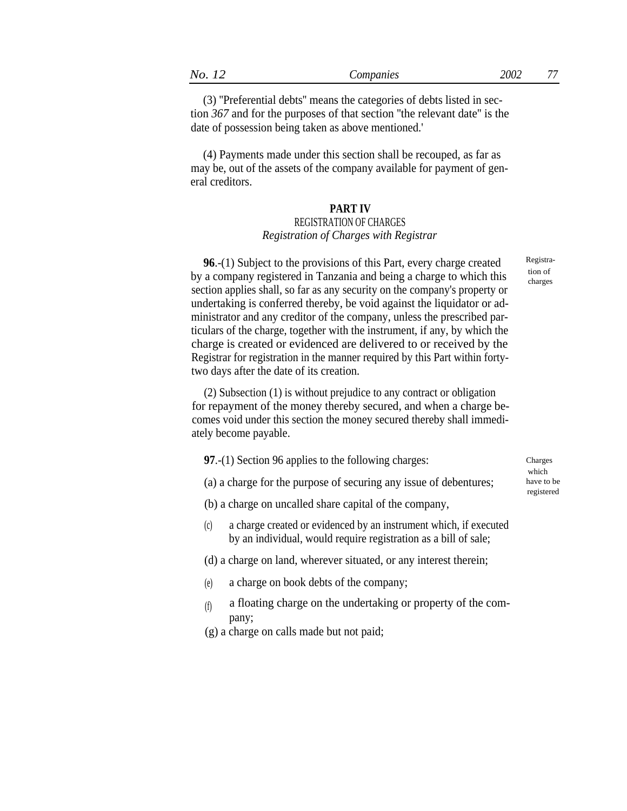(3) ''Preferential debts'' means the categories of debts listed in section *367* and for the purposes of that section ''the relevant date'' is the date of possession being taken as above mentioned.'

(4) Payments made under this section shall be recouped, as far as may be, out of the assets of the company available for payment of general creditors.

#### **PART IV** REGISTRATION OF CHARGES

# *Registration of Charges with Registrar*

**96**.-(1) Subject to the provisions of this Part, every charge created by a company registered in Tanzania and being a charge to which this section applies shall, so far as any security on the company's property or undertaking is conferred thereby, be void against the liquidator or administrator and any creditor of the company, unless the prescribed particulars of the charge, together with the instrument, if any, by which the charge is created or evidenced are delivered to or received by the Registrar for registration in the manner required by this Part within fortytwo days after the date of its creation.

(2) Subsection (1) is without prejudice to any contract or obligation for repayment of the money thereby secured, and when a charge becomes void under this section the money secured thereby shall immediately become payable.

- **97**.-(1) Section 96 applies to the following charges:
- (a) a charge for the purpose of securing any issue of debentures;
- (b) a charge on uncalled share capital of the company,
- a charge created or evidenced by an instrument which, if executed by an individual, would require registration as a bill of sale;  $(c)$

(d) a charge on land, wherever situated, or any interest therein;

- (e) a charge on book debts of the company;
- (f) a floating charge on the undertaking or property of the company;
- (g) a charge on calls made but not paid;

tion of charges

Charges which have to be registered

Registra-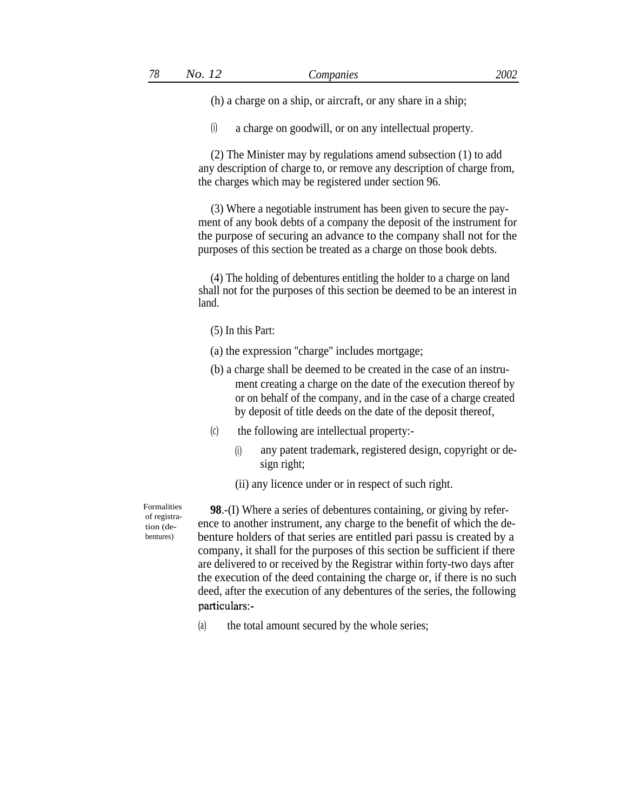(h) a charge on a ship, or aircraft, or any share in a ship;

(i) a charge on goodwill, or on any intellectual property.

(2) The Minister may by regulations amend subsection (1) to add any description of charge to, or remove any description of charge from, the charges which may be registered under section 96.

(3) Where a negotiable instrument has been given to secure the payment of any book debts of a company the deposit of the instrument for the purpose of securing an advance to the company shall not for the purposes of this section be treated as a charge on those book debts.

(4) The holding of debentures entitling the holder to a charge on land shall not for the purposes of this section be deemed to be an interest in land.

(5) In this Part:

(a) the expression ''charge'' includes mortgage;

- (b) a charge shall be deemed to be created in the case of an instrument creating a charge on the date of the execution thereof by or on behalf of the company, and in the case of a charge created by deposit of title deeds on the date of the deposit thereof,
- (c) the following are intellectual property:
	- any patent trademark, registered design, copyright or design right; (i)
	- (ii) any licence under or in respect of such right.

of registration (debentures)

Formalities **98**.-(I) Where a series of debentures containing, or giving by reference to another instrument, any charge to the benefit of which the debenture holders of that series are entitled pari passu is created by a company, it shall for the purposes of this section be sufficient if there are delivered to or received by the Registrar within forty-two days after the execution of the deed containing the charge or, if there is no such deed, after the execution of any debentures of the series, the following particulars:-

(a) the total amount secured by the whole series;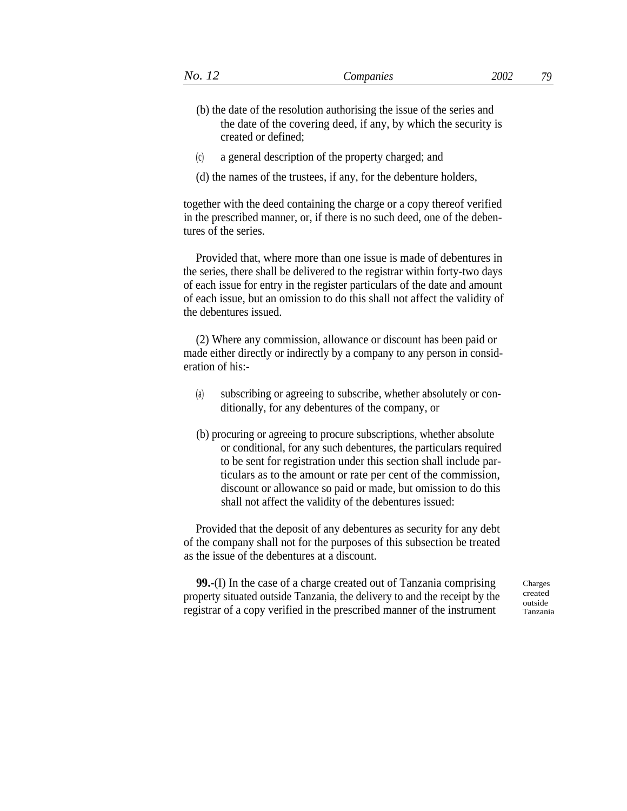- (b) the date of the resolution authorising the issue of the series and the date of the covering deed, if any, by which the security is created or defined;
- (c) a general description of the property charged; and
- (d) the names of the trustees, if any, for the debenture holders,

together with the deed containing the charge or a copy thereof verified in the prescribed manner, or, if there is no such deed, one of the debentures of the series.

Provided that, where more than one issue is made of debentures in the series, there shall be delivered to the registrar within forty-two days of each issue for entry in the register particulars of the date and amount of each issue, but an omission to do this shall not affect the validity of the debentures issued.

(2) Where any commission, allowance or discount has been paid or made either directly or indirectly by a company to any person in consideration of his:-

- (a) subscribing or agreeing to subscribe, whether absolutely or conditionally, for any debentures of the company, or
- (b) procuring or agreeing to procure subscriptions, whether absolute or conditional, for any such debentures, the particulars required to be sent for registration under this section shall include particulars as to the amount or rate per cent of the commission, discount or allowance so paid or made, but omission to do this shall not affect the validity of the debentures issued:

Provided that the deposit of any debentures as security for any debt of the company shall not for the purposes of this subsection be treated as the issue of the debentures at a discount.

**99.**-(I) In the case of a charge created out of Tanzania comprising property situated outside Tanzania, the delivery to and the receipt by the registrar of a copy verified in the prescribed manner of the instrument

Charges created outside Tanzania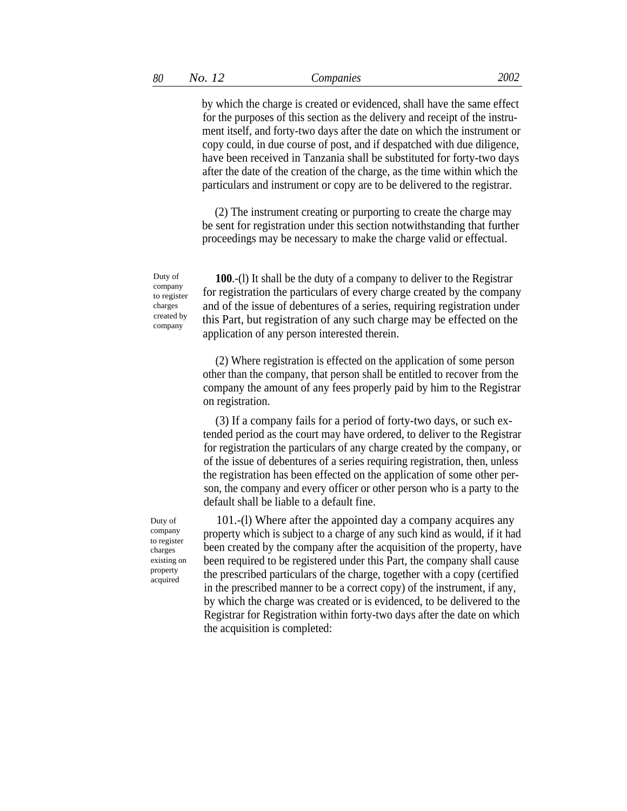by which the charge is created or evidenced, shall have the same effect for the purposes of this section as the delivery and receipt of the instrument itself, and forty-two days after the date on which the instrument or copy could, in due course of post, and if despatched with due diligence, have been received in Tanzania shall be substituted for forty-two days after the date of the creation of the charge, as the time within which the particulars and instrument or copy are to be delivered to the registrar.

(2) The instrument creating or purporting to create the charge may be sent for registration under this section notwithstanding that further proceedings may be necessary to make the charge valid or effectual.

**100**.-(l) It shall be the duty of a company to deliver to the Registrar for registration the particulars of every charge created by the company and of the issue of debentures of a series, requiring registration under this Part, but registration of any such charge may be effected on the application of any person interested therein.

(2) Where registration is effected on the application of some person other than the company, that person shall be entitled to recover from the company the amount of any fees properly paid by him to the Registrar on registration.

(3) If a company fails for a period of forty-two days, or such extended period as the court may have ordered, to deliver to the Registrar for registration the particulars of any charge created by the company, or of the issue of debentures of a series requiring registration, then, unless the registration has been effected on the application of some other person, the company and every officer or other person who is a party to the default shall be liable to a default fine.

101.-(l) Where after the appointed day a company acquires any property which is subject to a charge of any such kind as would, if it had been created by the company after the acquisition of the property, have been required to be registered under this Part, the company shall cause the prescribed particulars of the charge, together with a copy (certified in the prescribed manner to be a correct copy) of the instrument, if any, by which the charge was created or is evidenced, to be delivered to the Registrar for Registration within forty-two days after the date on which the acquisition is completed:

created by company

Duty of company to register charges

Duty of company to register charges existing on property acquired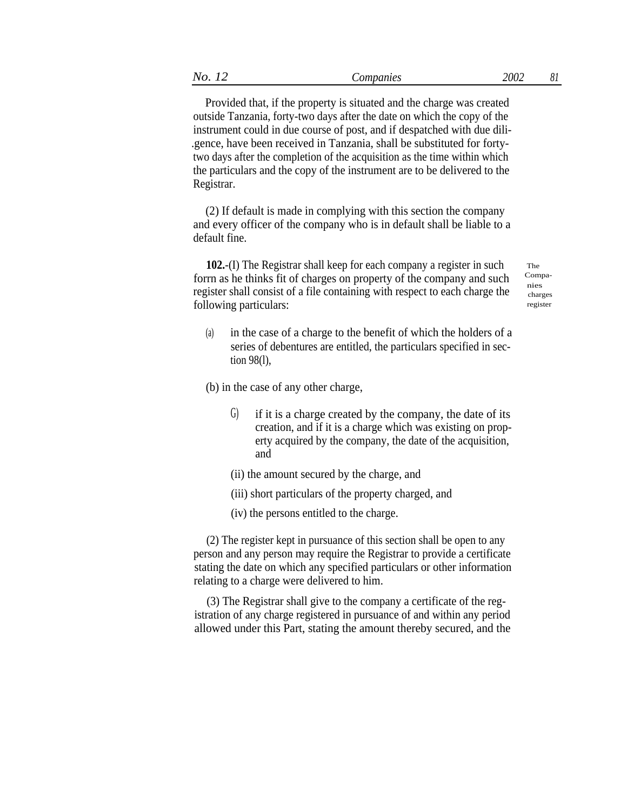| $ -$<br>$N\Omega$<br>companies | 2002 | $_{01}$ |
|--------------------------------|------|---------|
|--------------------------------|------|---------|

Provided that, if the property is situated and the charge was created outside Tanzania, forty-two days after the date on which the copy of the instrument could in due course of post, and if despatched with due dili- .gence, have been received in Tanzania, shall be substituted for fortytwo days after the completion of the acquisition as the time within which the particulars and the copy of the instrument are to be delivered to the Registrar.

(2) If default is made in complying with this section the company and every officer of the company who is in default shall be liable to a default fine.

**102.**-(I) The Registrar shall keep for each company a register in such forrn as he thinks fit of charges on property of the company and such register shall consist of a file containing with respect to each charge the following particulars:

The Companies charges register

(a) in the case of a charge to the benefit of which the holders of a series of debentures are entitled, the particulars specified in section 98(l),

(b) in the case of any other charge,

- $G$  if it is a charge created by the company, the date of its creation, and if it is a charge which was existing on property acquired by the company, the date of the acquisition, and
- (ii) the amount secured by the charge, and
- (iii) short particulars of the property charged, and
- (iv) the persons entitled to the charge.

(2) The register kept in pursuance of this section shall be open to any person and any person may require the Registrar to provide a certificate stating the date on which any specified particulars or other information relating to a charge were delivered to him.

(3) The Registrar shall give to the company a certificate of the registration of any charge registered in pursuance of and within any period allowed under this Part, stating the amount thereby secured, and the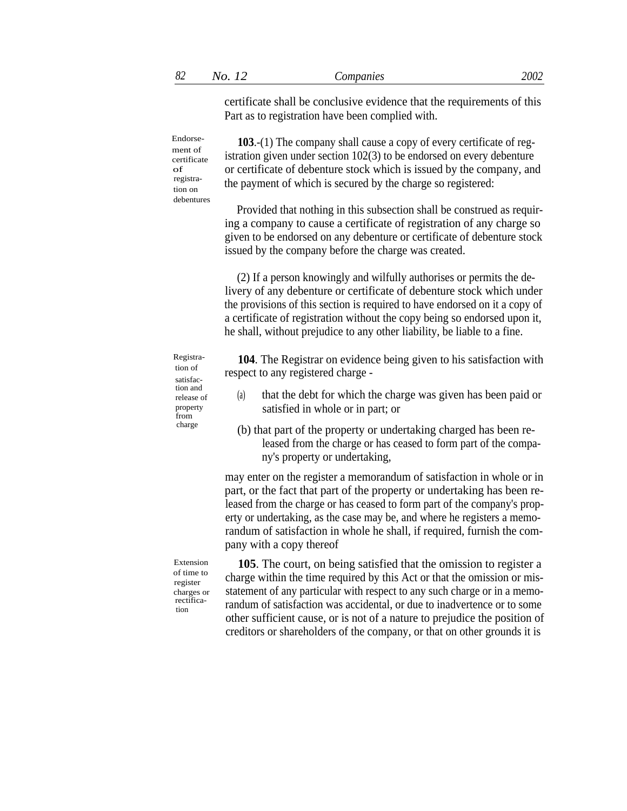certificate shall be conclusive evidence that the requirements of this Part as to registration have been complied with.

Endorsement of certificate of registration on debentures

**103**.-(1) The company shall cause a copy of every certificate of registration given under section 102(3) to be endorsed on every debenture or certificate of debenture stock which is issued by the company, and the payment of which is secured by the charge so registered:

Provided that nothing in this subsection shall be construed as requiring a company to cause a certificate of registration of any charge so given to be endorsed on any debenture or certificate of debenture stock issued by the company before the charge was created.

(2) If a person knowingly and wilfully authorises or permits the delivery of any debenture or certificate of debenture stock which under the provisions of this section is required to have endorsed on it a copy of a certificate of registration without the copy being so endorsed upon it, he shall, without prejudice to any other liability, be liable to a fine.

**104**. The Registrar on evidence being given to his satisfaction with respect to any registered charge -

- (a) that the debt for which the charge was given has been paid or satisfied in whole or in part; or
- (b) that part of the property or undertaking charged has been released from the charge or has ceased to form part of the company's property or undertaking,

may enter on the register a memorandum of satisfaction in whole or in part, or the fact that part of the property or undertaking has been released from the charge or has ceased to form part of the company's property or undertaking, as the case may be, and where he registers a memorandum of satisfaction in whole he shall, if required, furnish the company with a copy thereof

Extension of time to register charges or rectification

**105**. The court, on being satisfied that the omission to register a charge within the time required by this Act or that the omission or misstatement of any particular with respect to any such charge or in a memorandum of satisfaction was accidental, or due to inadvertence or to some other sufficient cause, or is not of a nature to prejudice the position of creditors or shareholders of the company, or that on other grounds it is

Registration of tion and release of property from<br>charge satisfac-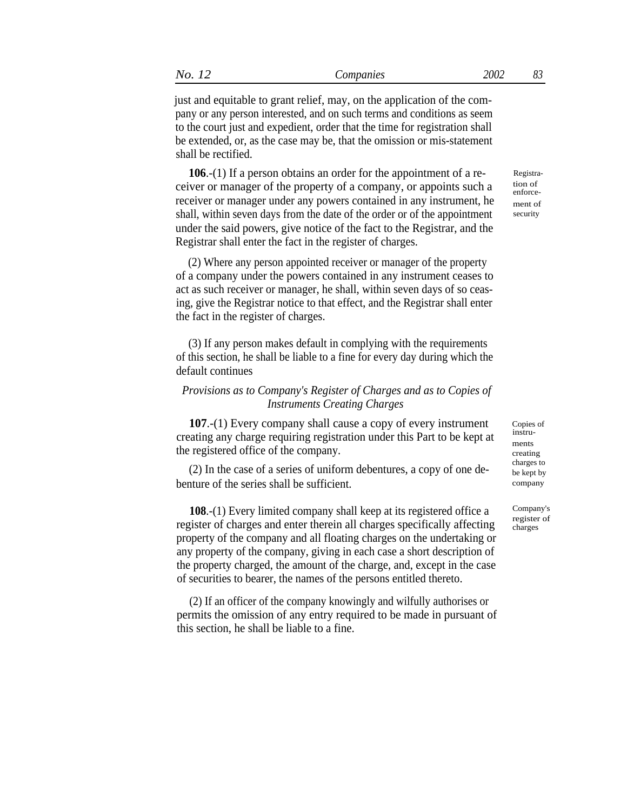| $N_O$ | <i>Sompanies</i> | 2002 | 02 |
|-------|------------------|------|----|
|       |                  |      | 89 |

just and equitable to grant relief, may, on the application of the company or any person interested, and on such terms and conditions as seem to the court just and expedient, order that the time for registration shall be extended, or, as the case may be, that the omission or mis-statement shall be rectified.

**106.**-(1) If a person obtains an order for the appointment of a receiver or manager of the property of a company, or appoints such a receiver or manager under any powers contained in any instrument, he shall, within seven days from the date of the order or of the appointment under the said powers, give notice of the fact to the Registrar, and the Registrar shall enter the fact in the register of charges.

(2) Where any person appointed receiver or manager of the property of a company under the powers contained in any instrument ceases to act as such receiver or manager, he shall, within seven days of so ceasing, give the Registrar notice to that effect, and the Registrar shall enter the fact in the register of charges.

(3) If any person makes default in complying with the requirements of this section, he shall be liable to a fine for every day during which the default continues

## *Provisions as to Company's Register of Charges and as to Copies of Instruments Creating Charges*

**107**.-(1) Every company shall cause a copy of every instrument creating any charge requiring registration under this Part to be kept at the registered office of the company.

(2) In the case of a series of uniform debentures, a copy of one debenture of the series shall be sufficient.

**108**.-(1) Every limited company shall keep at its registered office a register of charges and enter therein all charges specifically affecting property of the company and all floating charges on the undertaking or any property of the company, giving in each case a short description of the property charged, the amount of the charge, and, except in the case of securities to bearer, the names of the persons entitled thereto.

(2) If an officer of the company knowingly and wilfully authorises or permits the omission of any entry required to be made in pursuant of this section, he shall be liable to a fine.

Copies of instruments creating be kept by company

Registration of enforcement of security

Company's register of charges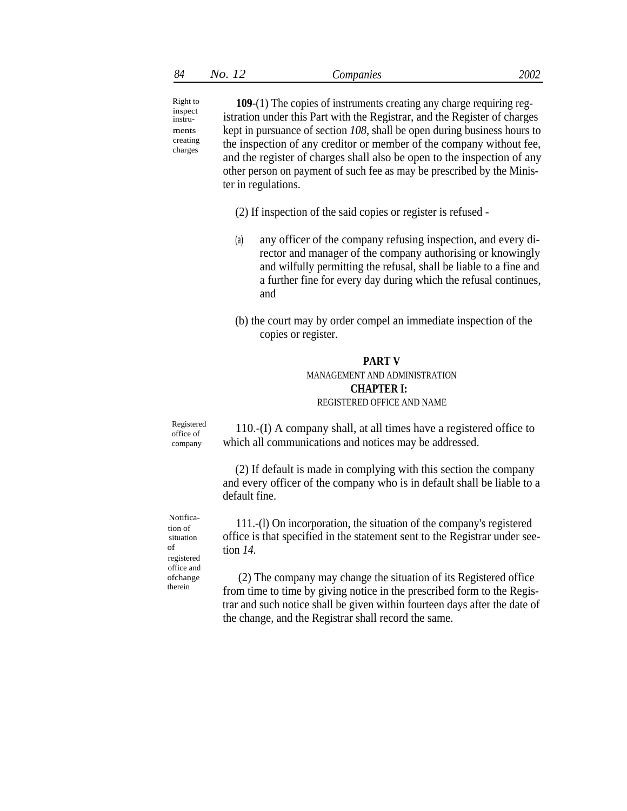| 84 | No. 12 | Companies | 2002 |
|----|--------|-----------|------|
|    |        |           |      |

Right to **109**-(1) The copies of instruments creating any charge requiring registration under this Part with the Registrar, and the Register of charges kept in pursuance of section *108,* shall be open during business hours to the inspection of any creditor or member of the company without fee, and the register of charges shall also be open to the inspection of any other person on payment of such fee as may be prescribed by the Minister in regulations. inspect instruments creating charges

- (2) If inspection of the said copies or register is refused -
- any officer of the company refusing inspection, and every director and manager of the company authorising or knowingly and wilfully permitting the refusal, shall be liable to a fine and a further fine for every day during which the refusal continues, and (a)
- (b) the court may by order compel an immediate inspection of the copies or register.

# **PART V** MANAGEMENT AND ADMINISTRATION **CHAPTER I:** REGISTERED OFFICE AND NAME

office of company

 $R_{\text{e}^{\text{gistered}}}$  110.-(I) A company shall, at all times have a registered office to which all communications and notices may be addressed.

> (2) If default is made in complying with this section the company and every officer of the company who is in default shall be liable to a default fine.

tion of situation of registered office and ofchange therein

Notifica- 111.-(l) On incorporation, the situation of the company's registered office is that specified in the statement sent to the Registrar under seetion *14.*

> (2) The company may change the situation of its Registered office from time to time by giving notice in the prescribed form to the Registrar and such notice shall be given within fourteen days after the date of the change, and the Registrar shall record the same.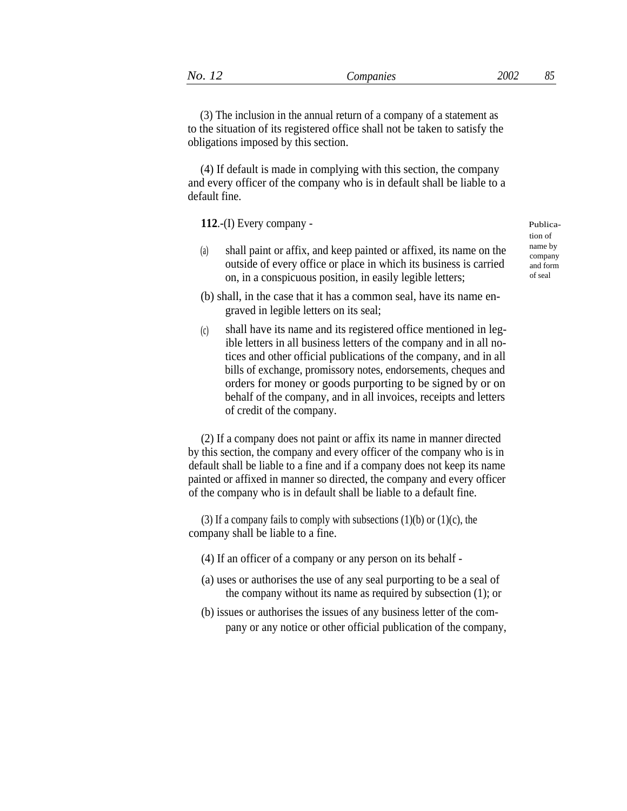(3) The inclusion in the annual return of a company of a statement as to the situation of its registered office shall not be taken to satisfy the obligations imposed by this section.

(4) If default is made in complying with this section, the company and every officer of the company who is in default shall be liable to a default fine.

**112.**-(I) Every company - Publica-

- shall paint or affix, and keep painted or affixed, its name on the  $\frac{\text{name by}}{\text{common}}$ outside of every office or place in which its business is carried on, in a conspicuous position, in easily legible letters; (a)
- (b) shall, in the case that it has a common seal, have its name engraved in legible letters on its seal;
- shall have its name and its registered office mentioned in legible letters in all business letters of the company and in all notices and other official publications of the company, and in all bills of exchange, promissory notes, endorsements, cheques and orders for money or goods purporting to be signed by or on behalf of the company, and in all invoices, receipts and letters of credit of the company. (c)

(2) If a company does not paint or affix its name in manner directed by this section, the company and every officer of the company who is in default shall be liable to a fine and if a company does not keep its name painted or affixed in manner so directed, the company and every officer of the company who is in default shall be liable to a default fine.

(3) If a company fails to comply with subsections  $(1)(b)$  or  $(1)(c)$ , the company shall be liable to a fine.

- (4) If an officer of a company or any person on its behalf -
- (a) uses or authorises the use of any seal purporting to be a seal of the company without its name as required by subsection (1); or
- (b) issues or authorises the issues of any business letter of the company or any notice or other official publication of the company,

tion of company and form of seal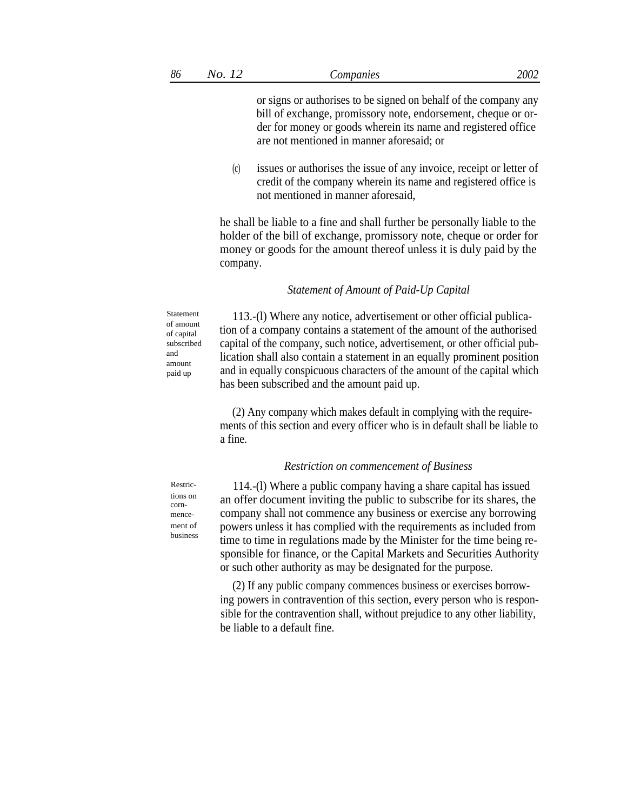or signs or authorises to be signed on behalf of the company any bill of exchange, promissory note, endorsement, cheque or order for money or goods wherein its name and registered office are not mentioned in manner aforesaid; or

(c) issues or authorises the issue of any invoice, receipt or letter of credit of the company wherein its name and registered office is not mentioned in manner aforesaid,

he shall be liable to a fine and shall further be personally liable to the holder of the bill of exchange, promissory note, cheque or order for money or goods for the amount thereof unless it is duly paid by the company.

#### *Statement of Amount of Paid-Up Capital*

of amount of capital subscribed and amount paid up

Statement 113.-(l) Where any notice, advertisement or other official publication of a company contains a statement of the amount of the authorised capital of the company, such notice, advertisement, or other official publication shall also contain a statement in an equally prominent position and in equally conspicuous characters of the amount of the capital which has been subscribed and the amount paid up.

> (2) Any company which makes default in complying with the requirements of this section and every officer who is in default shall be liable to a fine.

#### *Restriction on commencement of Business*

Restrictions on cornmencement of business

114.-(l) Where a public company having a share capital has issued an offer document inviting the public to subscribe for its shares, the company shall not commence any business or exercise any borrowing powers unless it has complied with the requirements as included from time to time in regulations made by the Minister for the time being responsible for finance, or the Capital Markets and Securities Authority or such other authority as may be designated for the purpose.

(2) If any public company commences business or exercises borrowing powers in contravention of this section, every person who is responsible for the contravention shall, without prejudice to any other liability, be liable to a default fine.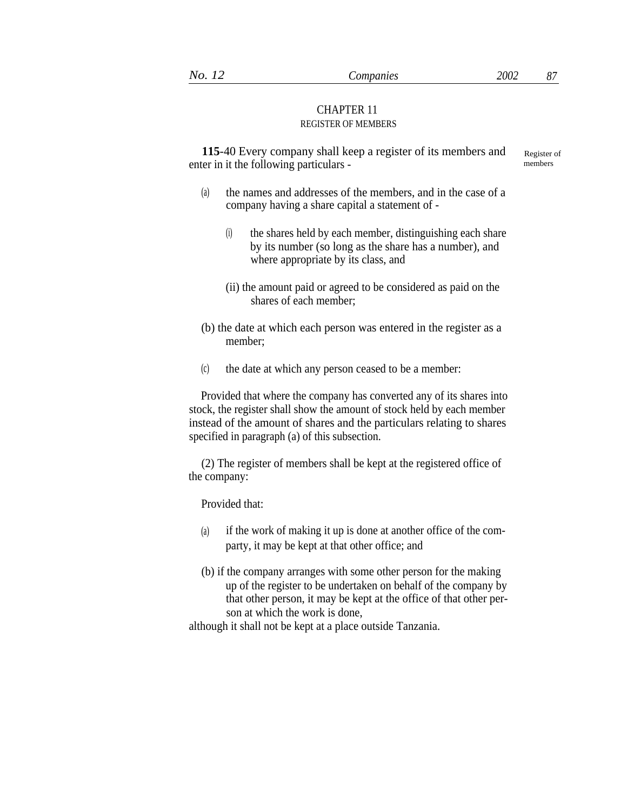## CHAPTER 11 REGISTER OF MEMBERS

**115**-40 Every company shall keep a register of its members and enter in it the following particulars -

Register of members

- (a) the names and addresses of the members, and in the case of a company having a share capital a statement of -
	- (i) the shares held by each member, distinguishing each share by its number (so long as the share has a number), and where appropriate by its class, and
	- (ii) the amount paid or agreed to be considered as paid on the shares of each member;
- (b) the date at which each person was entered in the register as a member;
- (c) the date at which any person ceased to be a member:

Provided that where the company has converted any of its shares into stock, the register shall show the amount of stock held by each member instead of the amount of shares and the particulars relating to shares specified in paragraph (a) of this subsection.

(2) The register of members shall be kept at the registered office of the company:

Provided that:

- if the work of making it up is done at another office of the comparty, it may be kept at that other office; and (a)
- (b) if the company arranges with some other person for the making up of the register to be undertaken on behalf of the company by that other person, it may be kept at the office of that other person at which the work is done,

although it shall not be kept at a place outside Tanzania.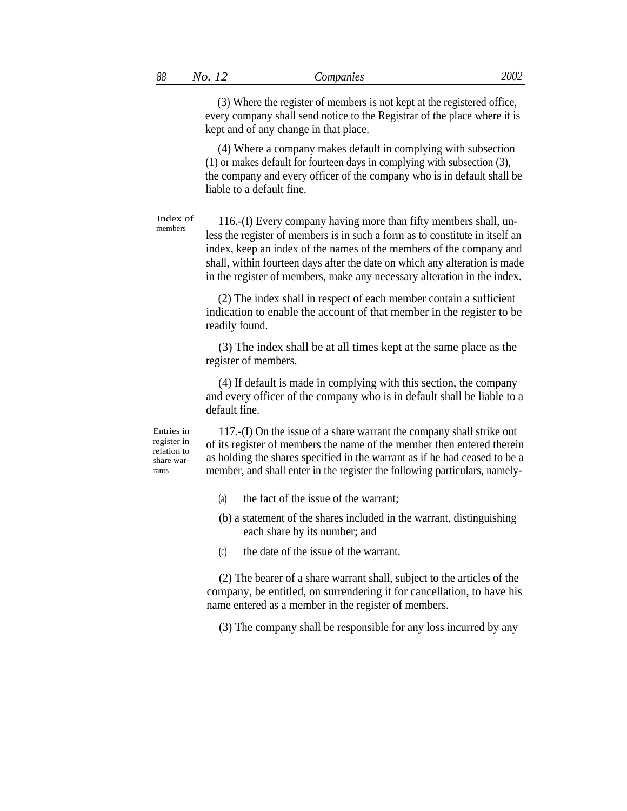(3) Where the register of members is not kept at the registered office, every company shall send notice to the Registrar of the place where it is kept and of any change in that place.

(4) Where a company makes default in complying with subsection (1) or makes default for fourteen days in complying with subsection (3), the company and every officer of the company who is in default shall be liable to a default fine.

Index of 116.-(I) Every company having more than fifty members shall, unless the register of members is in such a form as to constitute in itself an index, keep an index of the names of the members of the company and shall, within fourteen days after the date on which any alteration is made in the register of members, make any necessary alteration in the index. members

> (2) The index shall in respect of each member contain a sufficient indication to enable the account of that member in the register to be readily found.

(3) The index shall be at all times kept at the same place as the register of members.

(4) If default is made in complying with this section, the company and every officer of the company who is in default shall be liable to a default fine.

Entries in register in relation to share warrants

117.-(I) On the issue of a share warrant the company shall strike out of its register of members the name of the member then entered therein as holding the shares specified in the warrant as if he had ceased to be a member, and shall enter in the register the following particulars, namely-

- (a) the fact of the issue of the warrant;
- (b) a statement of the shares included in the warrant, distinguishing each share by its number; and
- (c) the date of the issue of the warrant.

(2) The bearer of a share warrant shall, subject to the articles of the company, be entitled, on surrendering it for cancellation, to have his name entered as a member in the register of members.

(3) The company shall be responsible for any loss incurred by any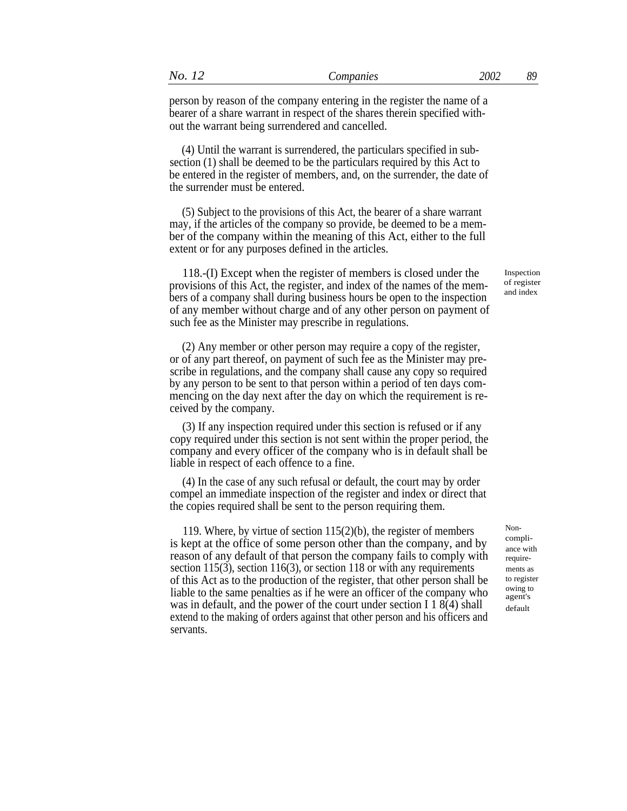person by reason of the company entering in the register the name of a bearer of a share warrant in respect of the shares therein specified without the warrant being surrendered and cancelled.

(4) Until the warrant is surrendered, the particulars specified in subsection (1) shall be deemed to be the particulars required by this Act to be entered in the register of members, and, on the surrender, the date of the surrender must be entered.

(5) Subject to the provisions of this Act, the bearer of a share warrant may, if the articles of the company so provide, be deemed to be a member of the company within the meaning of this Act, either to the full extent or for any purposes defined in the articles.

118.-(I) Except when the register of members is closed under the provisions of this Act, the register, and index of the names of the members of a company shall during business hours be open to the inspection of any member without charge and of any other person on payment of such fee as the Minister may prescribe in regulations.

Inspection of register and index

(2) Any member or other person may require a copy of the register, or of any part thereof, on payment of such fee as the Minister may prescribe in regulations, and the company shall cause any copy so required by any person to be sent to that person within a period of ten days commencing on the day next after the day on which the requirement is received by the company.

(3) If any inspection required under this section is refused or if any copy required under this section is not sent within the proper period, the company and every officer of the company who is in default shall be liable in respect of each offence to a fine.

(4) In the case of any such refusal or default, the court may by order compel an immediate inspection of the register and index or direct that the copies required shall be sent to the person requiring them.

119. Where, by virtue of section  $115(2)(b)$ , the register of members Nonis kept at the office of some person other than the company, and by reason of any default of that person the company fails to comply with section 115(3), section 116(3), or section 118 or with any requirements of this Act as to the production of the register, that other person shall be liable to the same penalties as if he were an officer of the company who was in default, and the power of the court under section I 1 8(4) shall extend to the making of orders against that other person and his officers and servants.

compliance with requirements as to register owing to agent's default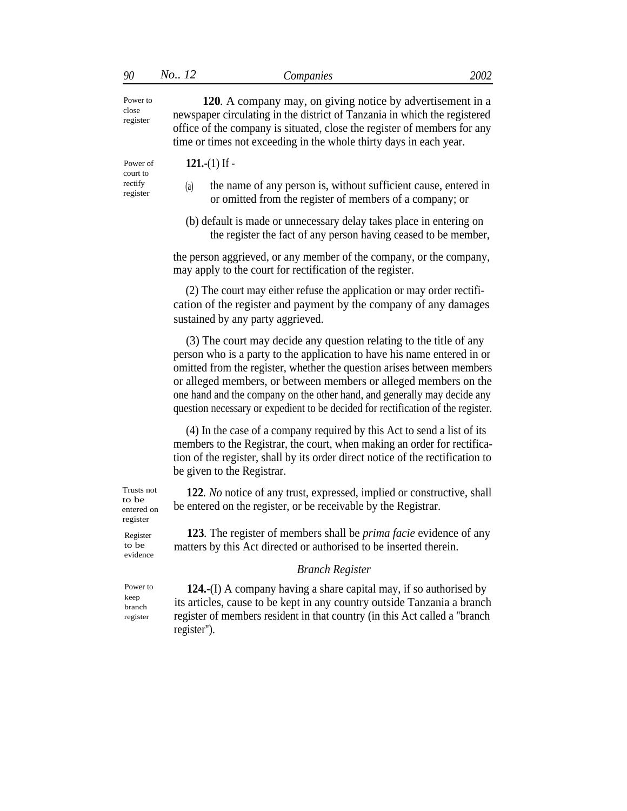**120***.* A company may, on giving notice by advertisement in a newspaper circulating in the district of Tanzania in which the registered office of the company is situated, close the register of members for any time or times not exceeding in the whole thirty days in each year.

Power of **121.-**(1) If court to rectify (a) register

Power to close register

- - the name of any person is, without sufficient cause, entered in or omitted from the register of members of a company; or
	- (b) default is made or unnecessary delay takes place in entering on the register the fact of any person having ceased to be member,

the person aggrieved, or any member of the company, or the company, may apply to the court for rectification of the register.

(2) The court may either refuse the application or may order rectification of the register and payment by the company of any damages sustained by any party aggrieved.

(3) The court may decide any question relating to the title of any person who is a party to the application to have his name entered in or omitted from the register, whether the question arises between members or alleged members, or between members or alleged members on the one hand and the company on the other hand, and generally may decide any question necessary or expedient to be decided for rectification of the register.

(4) In the case of a company required by this Act to send a list of its members to the Registrar, the court, when making an order for rectification of the register, shall by its order direct notice of the rectification to be given to the Registrar.

**122***. No* notice of any trust, expressed, implied or constructive, shall be entered on the register, or be receivable by the Registrar.

**123***.* The register of members shall be *prima facie* evidence of any matters by this Act directed or authorised to be inserted therein.

## *Branch Register*

**124.**-(I) A company having a share capital may, if so authorised by its articles, cause to be kept in any country outside Tanzania a branch register of members resident in that country (in this Act called a ''branch register'').

Trusts not to be entered on register

Register to be evidence

Power to keep branch register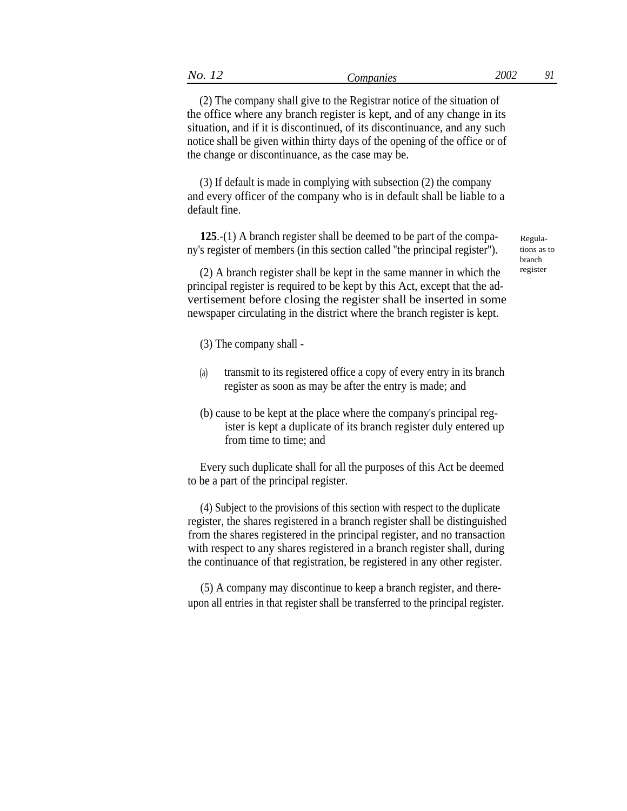| - -<br>$N_{\rm A}$<br>. . | ompanies | $200^\circ$ | - |
|---------------------------|----------|-------------|---|
|                           |          |             |   |

(2) The company shall give to the Registrar notice of the situation of the office where any branch register is kept, and of any change in its situation, and if it is discontinued, of its discontinuance, and any such notice shall be given within thirty days of the opening of the office or of the change or discontinuance, as the case may be.

(3) If default is made in complying with subsection (2) the company and every officer of the company who is in default shall be liable to a default fine.

**125**.-(1) A branch register shall be deemed to be part of the company's register of members (in this section called ''the principal register'').

(2) A branch register shall be kept in the same manner in which the  $\frac{register}{}$ principal register is required to be kept by this Act, except that the advertisement before closing the register shall be inserted in some newspaper circulating in the district where the branch register is kept.

(3) The company shall -

- transmit to its registered office a copy of every entry in its branch register as soon as may be after the entry is made; and (a)
- (b) cause to be kept at the place where the company's principal register is kept a duplicate of its branch register duly entered up from time to time; and

Every such duplicate shall for all the purposes of this Act be deemed to be a part of the principal register.

(4) Subject to the provisions of this section with respect to the duplicate register, the shares registered in a branch register shall be distinguished from the shares registered in the principal register, and no transaction with respect to any shares registered in a branch register shall, during the continuance of that registration, be registered in any other register.

(5) A company may discontinue to keep a branch register, and thereupon all entries in that register shall be transferred to the principal register. Regulations as to branch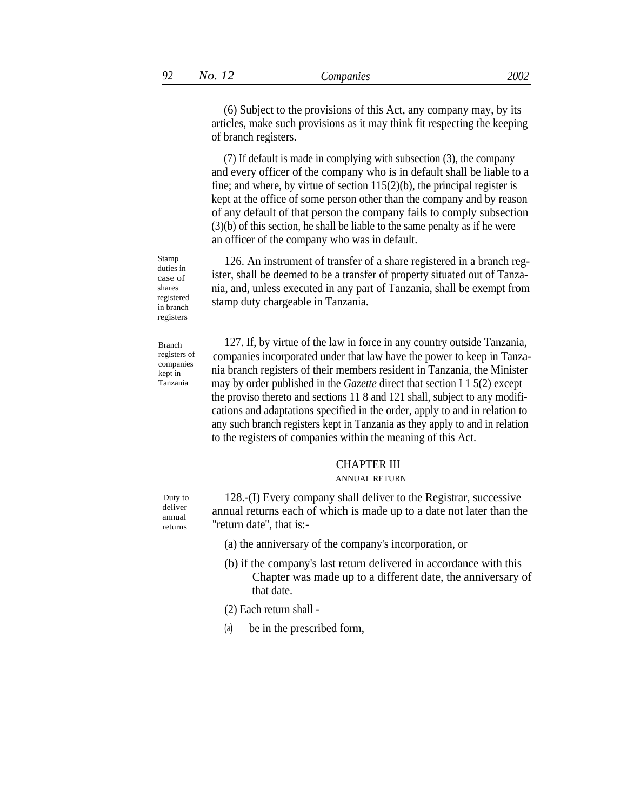(6) Subject to the provisions of this Act, any company may, by its articles, make such provisions as it may think fit respecting the keeping of branch registers.

(7) If default is made in complying with subsection (3), the company and every officer of the company who is in default shall be liable to a fine; and where, by virtue of section  $115(2)(b)$ , the principal register is kept at the office of some person other than the company and by reason of any default of that person the company fails to comply subsection (3)(b) of this section, he shall be liable to the same penalty as if he were an officer of the company who was in default.

126. An instrument of transfer of a share registered in a branch register, shall be deemed to be a transfer of property situated out of Tanzania, and, unless executed in any part of Tanzania, shall be exempt from stamp duty chargeable in Tanzania.

127. If, by virtue of the law in force in any country outside Tanzania, companies incorporated under that law have the power to keep in Tanzania branch registers of their members resident in Tanzania, the Minister may by order published in the *Gazette* direct that section I 1 5(2) except the proviso thereto and sections 11 8 and 121 shall, subject to any modifications and adaptations specified in the order, apply to and in relation to any such branch registers kept in Tanzania as they apply to and in relation to the registers of companies within the meaning of this Act.

## CHAPTER III

#### ANNUAL RETURN

128.-(I) Every company shall deliver to the Registrar, successive annual returns each of which is made up to a date not later than the "return date", that is:-

(a) the anniversary of the company's incorporation, or

(b) if the company's last return delivered in accordance with this Chapter was made up to a different date, the anniversary of that date.

(2) Each return shall -

(a) be in the prescribed form,

Stamp duties in case of shares registered in branch registers

Branch registers of companies kept in Tanzania

> Duty to deliver annual returns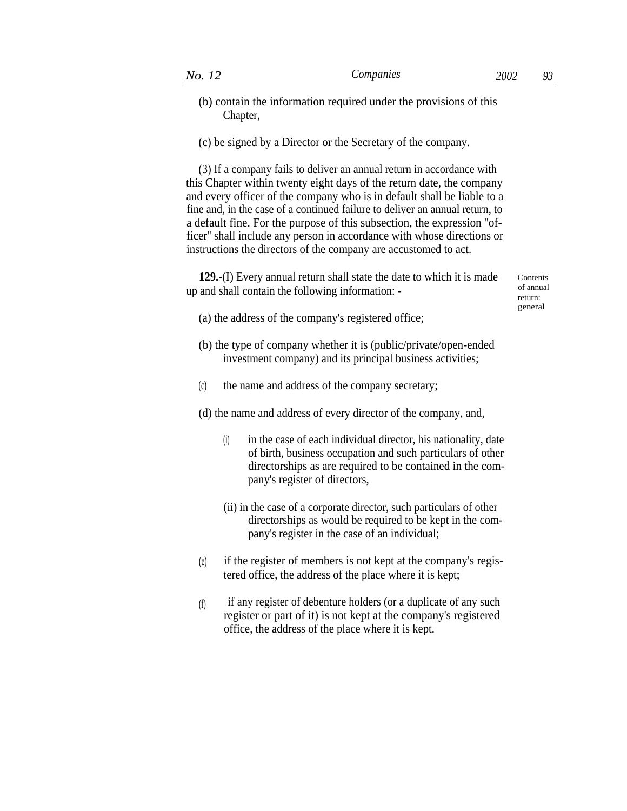(b) contain the information required under the provisions of this Chapter,

(c) be signed by a Director or the Secretary of the company.

(3) If a company fails to deliver an annual return in accordance with this Chapter within twenty eight days of the return date, the company and every officer of the company who is in default shall be liable to a fine and, in the case of a continued failure to deliver an annual return, to a default fine. For the purpose of this subsection, the expression ''officer'' shall include any person in accordance with whose directions or instructions the directors of the company are accustomed to act.

**129.**-(I) Every annual return shall state the date to which it is made up and shall contain the following information: -

**Contents** of annual return: general

- (a) the address of the company's registered office;
- (b) the type of company whether it is (public/private/open-ended investment company) and its principal business activities;
- (c) the name and address of the company secretary;

(d) the name and address of every director of the company, and,

- $(i)$  in the case of each individual director, his nationality, date of birth, business occupation and such particulars of other directorships as are required to be contained in the company's register of directors,
- (ii) in the case of a corporate director, such particulars of other directorships as would be required to be kept in the company's register in the case of an individual;
- if the register of members is not kept at the company's registered office, the address of the place where it is kept; (e)
- if any register of debenture holders (or a duplicate of any such register or part of it) is not kept at the company's registered office, the address of the place where it is kept. (f)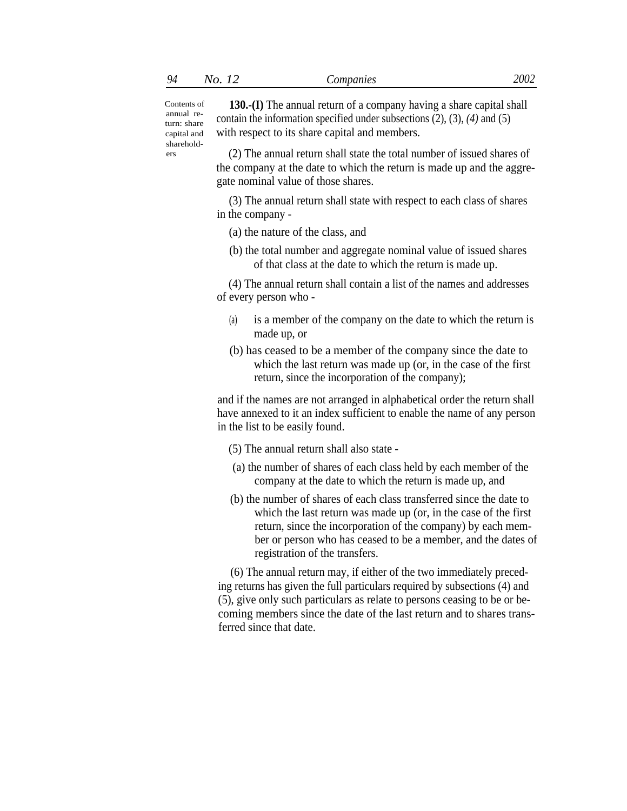Contents of annual return: share capital and sharehold ers

**130.-(I)** The annual return of a company having a share capital shall contain the information specified under subsections (2), (3), *(4)* and (5) with respect to its share capital and members.

(2) The annual return shall state the total number of issued shares of the company at the date to which the return is made up and the aggregate nominal value of those shares.

(3) The annual return shall state with respect to each class of shares in the company -

- (a) the nature of the class, and
- (b) the total number and aggregate nominal value of issued shares of that class at the date to which the return is made up.

(4) The annual return shall contain a list of the names and addresses of every person who -

- (a) is a member of the company on the date to which the return is made up, or
- (b) has ceased to be a member of the company since the date to which the last return was made up (or, in the case of the first return, since the incorporation of the company);

and if the names are not arranged in alphabetical order the return shall have annexed to it an index sufficient to enable the name of any person in the list to be easily found.

- (5) The annual return shall also state -
- (a) the number of shares of each class held by each member of the company at the date to which the return is made up, and
- (b) the number of shares of each class transferred since the date to which the last return was made up (or, in the case of the first return, since the incorporation of the company) by each member or person who has ceased to be a member, and the dates of registration of the transfers.

(6) The annual return may, if either of the two immediately preceding returns has given the full particulars required by subsections (4) and (5), give only such particulars as relate to persons ceasing to be or becoming members since the date of the last return and to shares transferred since that date.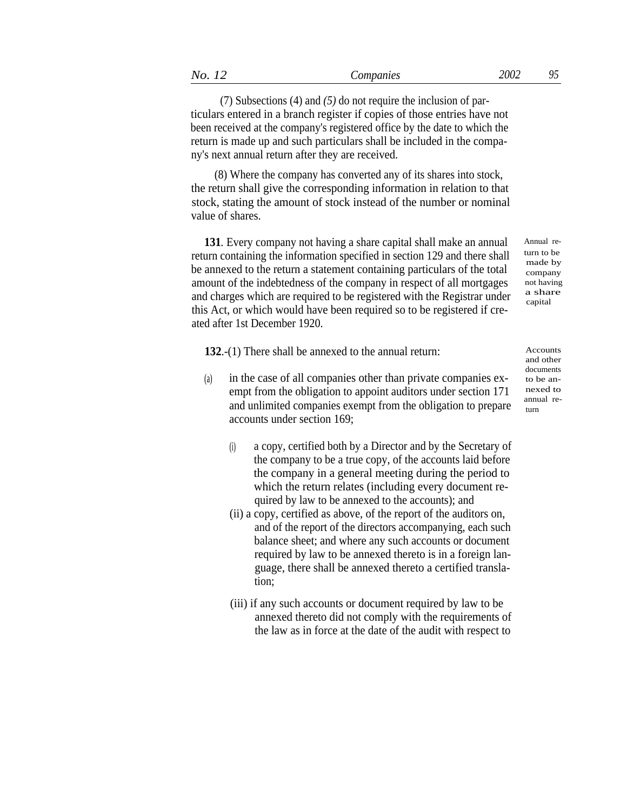| No.<br>companies | 2002 | $\Omega$<br>$\overline{\phantom{a}}$ |
|------------------|------|--------------------------------------|
|------------------|------|--------------------------------------|

(7) Subsections (4) and *(5)* do not require the inclusion of particulars entered in a branch register if copies of those entries have not been received at the company's registered office by the date to which the return is made up and such particulars shall be included in the company's next annual return after they are received.

(8) Where the company has converted any of its shares into stock, the return shall give the corresponding information in relation to that stock, stating the amount of stock instead of the number or nominal value of shares.

**131***.* Every company not having a share capital shall make an annual return containing the information specified in section 129 and there shall be annexed to the return a statement containing particulars of the total amount of the indebtedness of the company in respect of all mortgages and charges which are required to be registered with the Registrar under this Act, or which would have been required so to be registered if created after 1st December 1920.

**132.**-(1) There shall be annexed to the annual return: Accounts

- (a) in the case of all companies other than private companies  $ex-$  to be anempt from the obligation to appoint auditors under section 171 and unlimited companies exempt from the obligation to prepare accounts under section 169;
	- a copy, certified both by a Director and by the Secretary of the company to be a true copy, of the accounts laid before the company in a general meeting during the period to which the return relates (including every document required by law to be annexed to the accounts); and (i)
	- (ii) a copy, certified as above, of the report of the auditors on, and of the report of the directors accompanying, each such balance sheet; and where any such accounts or document required by law to be annexed thereto is in a foreign language, there shall be annexed thereto a certified translation;
	- (iii) if any such accounts or document required by law to be annexed thereto did not comply with the requirements of the law as in force at the date of the audit with respect to

turn to be made by company not having a share capital

Annual re-

and other documents nexed to annual return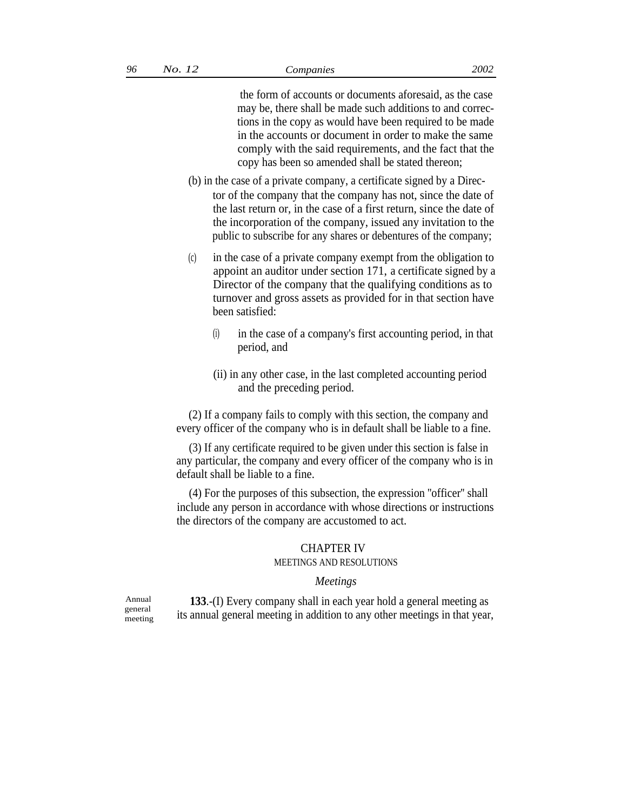the form of accounts or documents aforesaid, as the case may be, there shall be made such additions to and corrections in the copy as would have been required to be made in the accounts or document in order to make the same comply with the said requirements, and the fact that the copy has been so amended shall be stated thereon;

- (b) in the case of a private company, a certificate signed by a Director of the company that the company has not, since the date of the last return or, in the case of a first return, since the date of the incorporation of the company, issued any invitation to the public to subscribe for any shares or debentures of the company;
- (c) in the case of a private company exempt from the obligation to appoint an auditor under section 171, a certificate signed by a Director of the company that the qualifying conditions as to turnover and gross assets as provided for in that section have been satisfied:
	- $(i)$  in the case of a company's first accounting period, in that period, and
	- (ii) in any other case, in the last completed accounting period and the preceding period.

(2) If a company fails to comply with this section, the company and every officer of the company who is in default shall be liable to a fine.

(3) If any certificate required to be given under this section is false in any particular, the company and every officer of the company who is in default shall be liable to a fine.

(4) For the purposes of this subsection, the expression ''officer'' shall include any person in accordance with whose directions or instructions the directors of the company are accustomed to act.

## CHAPTER IV

## MEETINGS AND RESOLUTIONS

#### *Meetings*

**133**.-(I) Every company shall in each year hold a general meeting as its annual general meeting in addition to any other meetings in that year,

Annual general meeting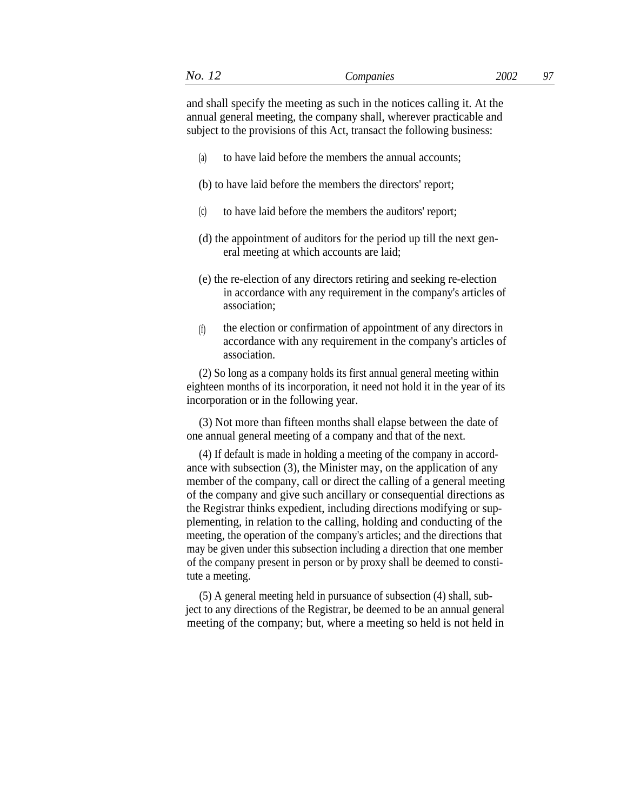and shall specify the meeting as such in the notices calling it. At the annual general meeting, the company shall, wherever practicable and subject to the provisions of this Act, transact the following business:

- (a) to have laid before the members the annual accounts;
- (b) to have laid before the members the directors' report;
- (c) to have laid before the members the auditors' report;
- (d) the appointment of auditors for the period up till the next general meeting at which accounts are laid;
- (e) the re-election of any directors retiring and seeking re-election in accordance with any requirement in the company's articles of association;
- the election or confirmation of appointment of any directors in accordance with any requirement in the company's articles of association. (f)

(2) So long as a company holds its first annual general meeting within eighteen months of its incorporation, it need not hold it in the year of its incorporation or in the following year.

(3) Not more than fifteen months shall elapse between the date of one annual general meeting of a company and that of the next.

(4) If default is made in holding a meeting of the company in accordance with subsection (3), the Minister may, on the application of any member of the company, call or direct the calling of a general meeting of the company and give such ancillary or consequential directions as the Registrar thinks expedient, including directions modifying or supplementing, in relation to the calling, holding and conducting of the meeting, the operation of the company's articles; and the directions that may be given under this subsection including a direction that one member of the company present in person or by proxy shall be deemed to constitute a meeting.

(5) A general meeting held in pursuance of subsection (4) shall, subject to any directions of the Registrar, be deemed to be an annual general meeting of the company; but, where a meeting so held is not held in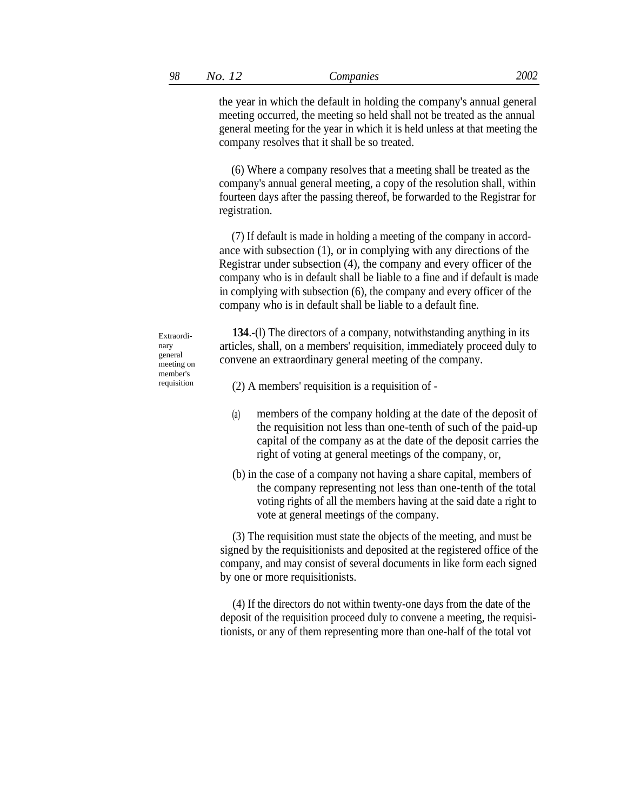the year in which the default in holding the company's annual general meeting occurred, the meeting so held shall not be treated as the annual general meeting for the year in which it is held unless at that meeting the company resolves that it shall be so treated.

(6) Where a company resolves that a meeting shall be treated as the company's annual general meeting, a copy of the resolution shall, within fourteen days after the passing thereof, be forwarded to the Registrar for registration.

(7) If default is made in holding a meeting of the company in accordance with subsection (1), or in complying with any directions of the Registrar under subsection (4), the company and every officer of the company who is in default shall be liable to a fine and if default is made in complying with subsection (6), the company and every officer of the company who is in default shall be liable to a default fine.

**134**.-(l) The directors of a company, notwithstanding anything in its articles, shall, on a members' requisition, immediately proceed duly to convene an extraordinary general meeting of the company.

(2) A members' requisition is a requisition of -

- members of the company holding at the date of the deposit of the requisition not less than one-tenth of such of the paid-up capital of the company as at the date of the deposit carries the right of voting at general meetings of the company, or, (a)
- (b) in the case of a company not having a share capital, members of the company representing not less than one-tenth of the total voting rights of all the members having at the said date a right to vote at general meetings of the company.

(3) The requisition must state the objects of the meeting, and must be signed by the requisitionists and deposited at the registered office of the company, and may consist of several documents in like form each signed by one or more requisitionists.

(4) If the directors do not within twenty-one days from the date of the deposit of the requisition proceed duly to convene a meeting, the requisitionists, or any of them representing more than one-half of the total vot

Extraordinary general meeting on member's requisition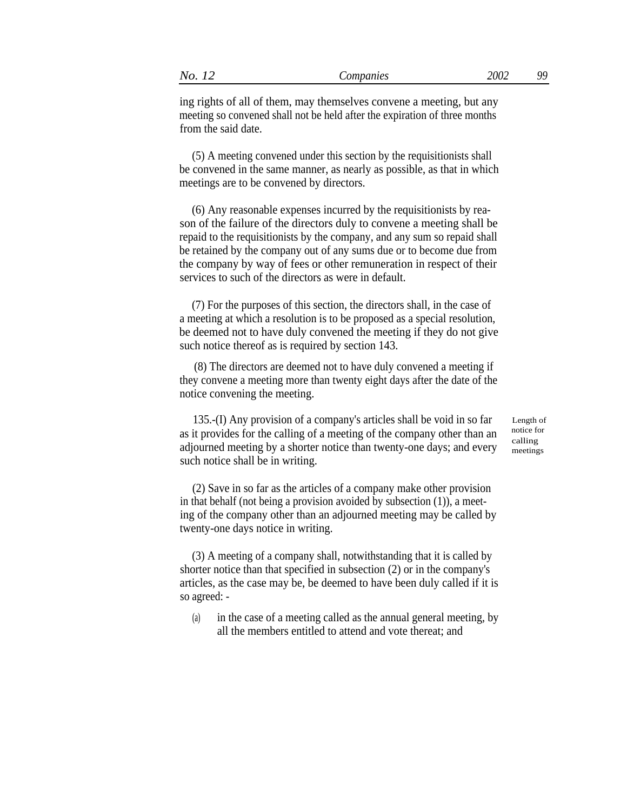ing rights of all of them, may themselves convene a meeting, but any meeting so convened shall not be held after the expiration of three months from the said date.

(5) A meeting convened under this section by the requisitionists shall be convened in the same manner, as nearly as possible, as that in which meetings are to be convened by directors.

(6) Any reasonable expenses incurred by the requisitionists by reason of the failure of the directors duly to convene a meeting shall be repaid to the requisitionists by the company, and any sum so repaid shall be retained by the company out of any sums due or to become due from the company by way of fees or other remuneration in respect of their services to such of the directors as were in default.

(7) For the purposes of this section, the directors shall, in the case of a meeting at which a resolution is to be proposed as a special resolution, be deemed not to have duly convened the meeting if they do not give such notice thereof as is required by section 143.

(8) The directors are deemed not to have duly convened a meeting if they convene a meeting more than twenty eight days after the date of the notice convening the meeting.

135.-(I) Any provision of a company's articles shall be void in so far as it provides for the calling of a meeting of the company other than an adjourned meeting by a shorter notice than twenty-one days; and every such notice shall be in writing.

Length of notice for calling meetings

(2) Save in so far as the articles of a company make other provision in that behalf (not being a provision avoided by subsection (1)), a meeting of the company other than an adjourned meeting may be called by twenty-one days notice in writing.

(3) A meeting of a company shall, notwithstanding that it is called by shorter notice than that specified in subsection (2) or in the company's articles, as the case may be, be deemed to have been duly called if it is so agreed: -

(a) in the case of a meeting called as the annual general meeting, by all the members entitled to attend and vote thereat; and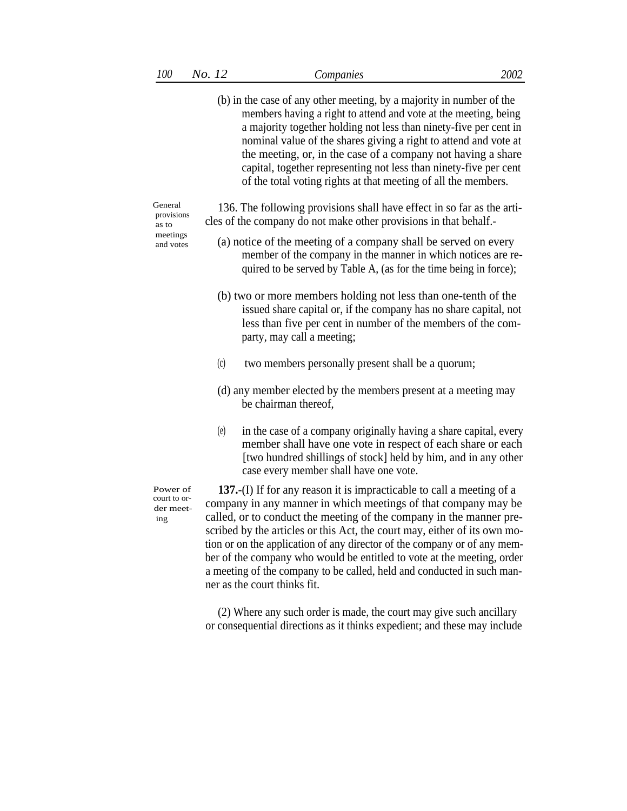as to meetings

General 136. The following provisions shall have effect in so far as the arti-<br>provisions cles of the company do not make other provisions in that behalf.

- and votes (a) notice of the meeting of a company shall be served on every member of the company in the manner in which notices are required to be served by Table A, (as for the time being in force);
	- (b) two or more members holding not less than one-tenth of the issued share capital or, if the company has no share capital, not less than five per cent in number of the members of the comparty, may call a meeting;
	- (c) two members personally present shall be a quorum;
	- (d) any member elected by the members present at a meeting may be chairman thereof,
	- (e) in the case of a company originally having a share capital, every member shall have one vote in respect of each share or each [two hundred shillings of stock] held by him, and in any other case every member shall have one vote.

Power of court to order meeting

**137.**-(I) If for any reason it is impracticable to call a meeting of a company in any manner in which meetings of that company may be called, or to conduct the meeting of the company in the manner prescribed by the articles or this Act, the court may, either of its own motion or on the application of any director of the company or of any member of the company who would be entitled to vote at the meeting, order a meeting of the company to be called, held and conducted in such manner as the court thinks fit.

(2) Where any such order is made, the court may give such ancillary or consequential directions as it thinks expedient; and these may include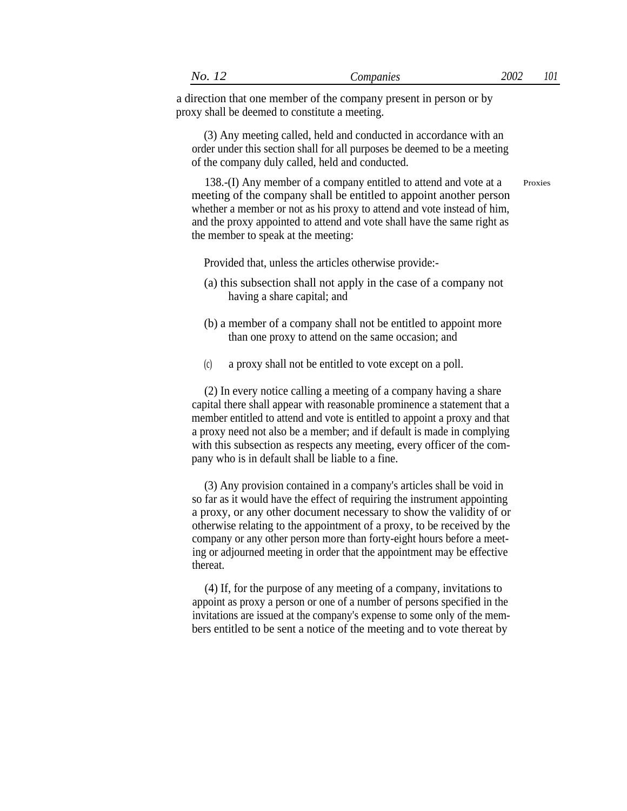a direction that one member of the company present in person or by proxy shall be deemed to constitute a meeting.

(3) Any meeting called, held and conducted in accordance with an order under this section shall for all purposes be deemed to be a meeting of the company duly called, held and conducted.

138.-(I) Any member of a company entitled to attend and vote at a meeting of the company shall be entitled to appoint another person whether a member or not as his proxy to attend and vote instead of him, and the proxy appointed to attend and vote shall have the same right as the member to speak at the meeting: Proxies

Provided that, unless the articles otherwise provide:-

- (a) this subsection shall not apply in the case of a company not having a share capital; and
- (b) a member of a company shall not be entitled to appoint more than one proxy to attend on the same occasion; and
- (c) a proxy shall not be entitled to vote except on a poll.

(2) In every notice calling a meeting of a company having a share capital there shall appear with reasonable prominence a statement that a member entitled to attend and vote is entitled to appoint a proxy and that a proxy need not also be a member; and if default is made in complying with this subsection as respects any meeting, every officer of the company who is in default shall be liable to a fine.

(3) Any provision contained in a company's articles shall be void in so far as it would have the effect of requiring the instrument appointing a proxy, or any other document necessary to show the validity of or otherwise relating to the appointment of a proxy, to be received by the company or any other person more than forty-eight hours before a meeting or adjourned meeting in order that the appointment may be effective thereat.

(4) If, for the purpose of any meeting of a company, invitations to appoint as proxy a person or one of a number of persons specified in the invitations are issued at the company's expense to some only of the members entitled to be sent a notice of the meeting and to vote thereat by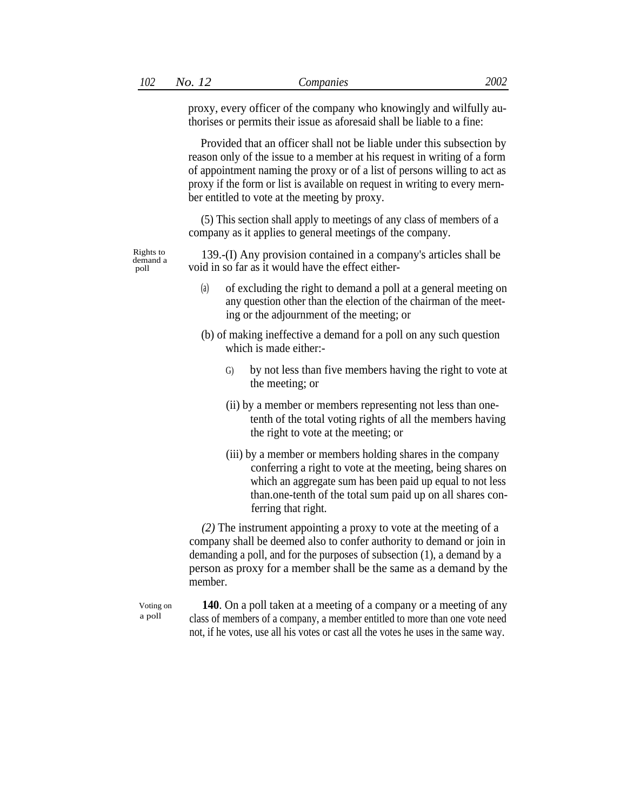proxy, every officer of the company who knowingly and wilfully authorises or permits their issue as aforesaid shall be liable to a fine:

Provided that an officer shall not be liable under this subsection by reason only of the issue to a member at his request in writing of a form of appointment naming the proxy or of a list of persons willing to act as proxy if the form or list is available on request in writing to every mernber entitled to vote at the meeting by proxy.

(5) This section shall apply to meetings of any class of members of a company as it applies to general meetings of the company.

Rights to demand a poll

139.-(I) Any provision contained in a company's articles shall be void in so far as it would have the effect either-

- (a) of excluding the right to demand a poll at a general meeting on any question other than the election of the chairman of the meeting or the adjournment of the meeting; or
- (b) of making ineffective a demand for a poll on any such question which is made either:
	- by not less than five members having the right to vote at the meeting; or G)
	- (ii) by a member or members representing not less than onetenth of the total voting rights of all the members having the right to vote at the meeting; or
	- (iii) by a member or members holding shares in the company conferring a right to vote at the meeting, being shares on which an aggregate sum has been paid up equal to not less than.one-tenth of the total sum paid up on all shares conferring that right.

*(2)* The instrument appointing a proxy to vote at the meeting of a company shall be deemed also to confer authority to demand or join in demanding a poll, and for the purposes of subsection (1), a demand by a person as proxy for a member shall be the same as a demand by the member.

Voting on a poll

**140**. On a poll taken at a meeting of a company or a meeting of any class of members of a company, a member entitled to more than one vote need not, if he votes, use all his votes or cast all the votes he uses in the same way.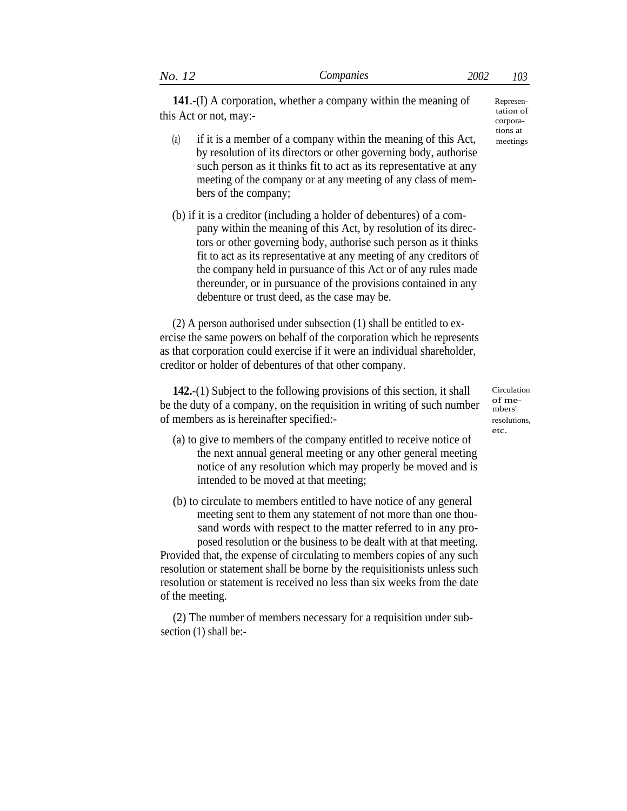| Ν۵ | Companies | .UJ |
|----|-----------|-----|
|    |           |     |

**141**.-(I) A corporation, whether a company within the meaning of this Act or not, may:-<br>
external this Act or not, may:-

- (a) if it is a member of a company within the meaning of this Act, by resolution of its directors or other governing body, authorise such person as it thinks fit to act as its representative at any meeting of the company or at any meeting of any class of members of the company;
- (b) if it is a creditor (including a holder of debentures) of a company within the meaning of this Act, by resolution of its directors or other governing body, authorise such person as it thinks fit to act as its representative at any meeting of any creditors of the company held in pursuance of this Act or of any rules made thereunder, or in pursuance of the provisions contained in any debenture or trust deed, as the case may be.

(2) A person authorised under subsection (1) shall be entitled to exercise the same powers on behalf of the corporation which he represents as that corporation could exercise if it were an individual shareholder, creditor or holder of debentures of that other company.

**142.**-(1) Subject to the following provisions of this section, it shall be the duty of a company, on the requisition in writing of such number of members as is hereinafter specified:-

- (a) to give to members of the company entitled to receive notice of the next annual general meeting or any other general meeting notice of any resolution which may properly be moved and is intended to be moved at that meeting;
- (b) to circulate to members entitled to have notice of any general meeting sent to them any statement of not more than one thousand words with respect to the matter referred to in any proposed resolution or the business to be dealt with at that meeting.

Provided that, the expense of circulating to members copies of any such resolution or statement shall be borne by the requisitionists unless such resolution or statement is received no less than six weeks from the date of the meeting.

(2) The number of members necessary for a requisition under subsection (1) shall be:-

Circulation of members' resolutions, etc.

tions at

meetings

Represen-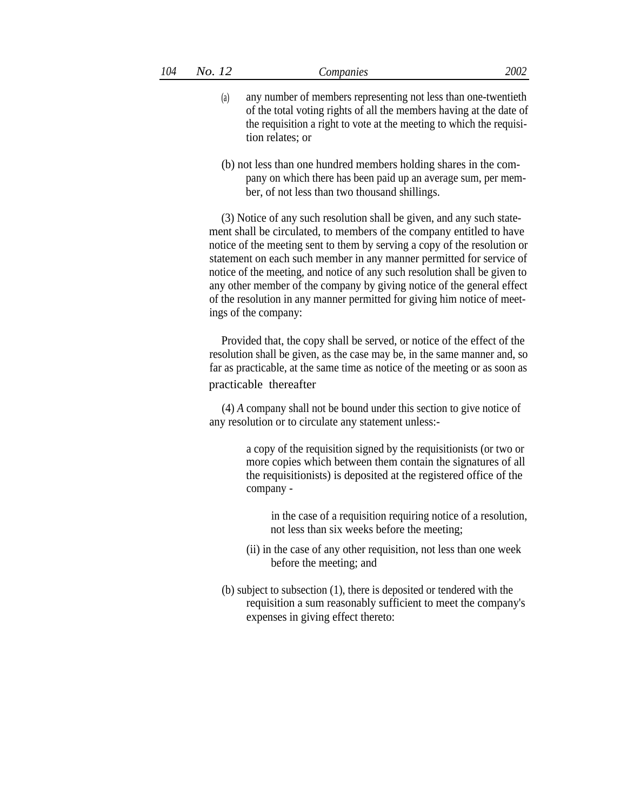- any number of members representing not less than one-twentieth of the total voting rights of all the members having at the date of the requisition a right to vote at the meeting to which the requisition relates; or (a)
- (b) not less than one hundred members holding shares in the company on which there has been paid up an average sum, per member, of not less than two thousand shillings.

(3) Notice of any such resolution shall be given, and any such statement shall be circulated, to members of the company entitled to have notice of the meeting sent to them by serving a copy of the resolution or statement on each such member in any manner permitted for service of notice of the meeting, and notice of any such resolution shall be given to any other member of the company by giving notice of the general effect of the resolution in any manner permitted for giving him notice of meetings of the company:

Provided that, the copy shall be served, or notice of the effect of the resolution shall be given, as the case may be, in the same manner and, so far as practicable, at the same time as notice of the meeting or as soon as practicable thereafter

(4) *A* company shall not be bound under this section to give notice of any resolution or to circulate any statement unless:-

> a copy of the requisition signed by the requisitionists (or two or more copies which between them contain the signatures of all the requisitionists) is deposited at the registered office of the company -

in the case of a requisition requiring notice of a resolution, not less than six weeks before the meeting;

- (ii) in the case of any other requisition, not less than one week before the meeting; and
- (b) subject to subsection (1), there is deposited or tendered with the requisition a sum reasonably sufficient to meet the company's expenses in giving effect thereto: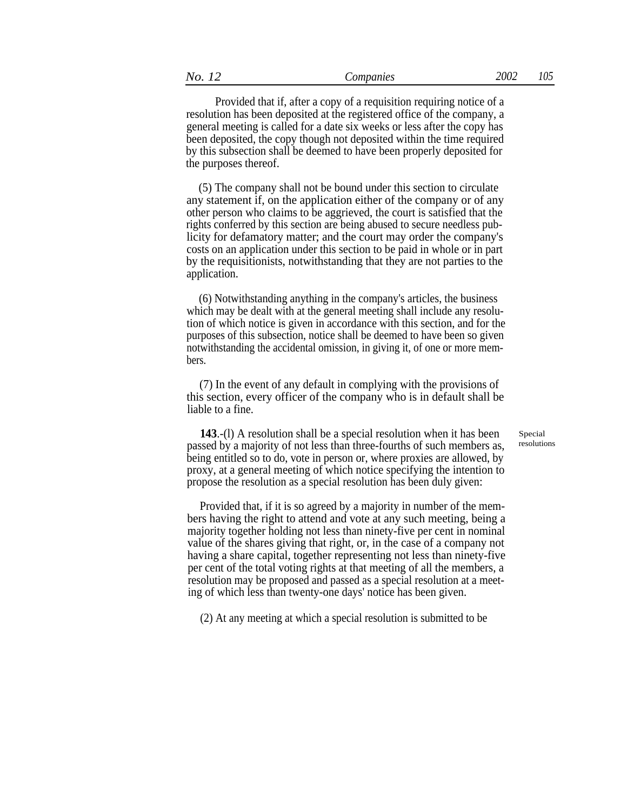| $\Delta$<br>Companies | 2002 | $\Lambda$<br>v |
|-----------------------|------|----------------|
|-----------------------|------|----------------|

Provided that if, after a copy of a requisition requiring notice of a resolution has been deposited at the registered office of the company, a general meeting is called for a date six weeks or less after the copy has been deposited, the copy though not deposited within the time required by this subsection shall be deemed to have been properly deposited for the purposes thereof.

(5) The company shall not be bound under this section to circulate any statement if, on the application either of the company or of any other person who claims to be aggrieved, the court is satisfied that the rights conferred by this section are being abused to secure needless publicity for defamatory matter; and the court may order the company's costs on an application under this section to be paid in whole or in part by the requisitionists, notwithstanding that they are not parties to the application.

(6) Notwithstanding anything in the company's articles, the business which may be dealt with at the general meeting shall include any resolution of which notice is given in accordance with this section, and for the purposes of this subsection, notice shall be deemed to have been so given notwithstanding the accidental omission, in giving it, of one or more members.

(7) In the event of any default in complying with the provisions of this section, every officer of the company who is in default shall be liable to a fine.

**143**.-(l) A resolution shall be a special resolution when it has been passed by a majority of not less than three-fourths of such members as, being entitled so to do, vote in person or, where proxies are allowed, by proxy, at a general meeting of which notice specifying the intention to propose the resolution as a special resolution has been duly given:

Provided that, if it is so agreed by a majority in number of the members having the right to attend and vote at any such meeting, being a majority together holding not less than ninety-five per cent in nominal value of the shares giving that right, or, in the case of a company not having a share capital, together representing not less than ninety-five per cent of the total voting rights at that meeting of all the members, a resolution may be proposed and passed as a special resolution at a meeting of which less than twenty-one days' notice has been given.

(2) At any meeting at which a special resolution is submitted to be

Special resolutions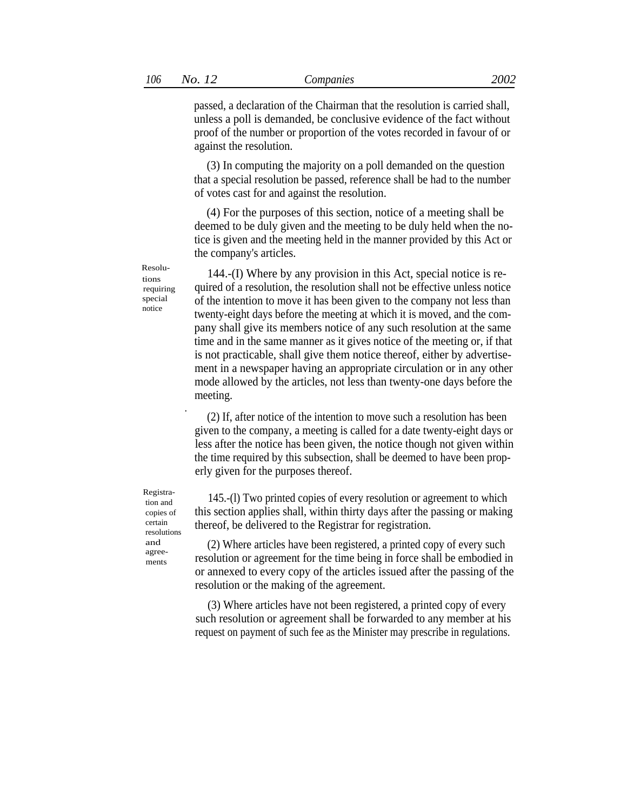passed, a declaration of the Chairman that the resolution is carried shall, unless a poll is demanded, be conclusive evidence of the fact without proof of the number or proportion of the votes recorded in favour of or against the resolution.

(3) In computing the majority on a poll demanded on the question that a special resolution be passed, reference shall be had to the number of votes cast for and against the resolution.

(4) For the purposes of this section, notice of a meeting shall be deemed to be duly given and the meeting to be duly held when the notice is given and the meeting held in the manner provided by this Act or the company's articles.

 $R_{\text{esolu-}}$  144.-(I) Where by any provision in this Act, special notice is required of a resolution, the resolution shall not be effective unless notice of the intention to move it has been given to the company not less than twenty-eight days before the meeting at which it is moved, and the company shall give its members notice of any such resolution at the same time and in the same manner as it gives notice of the meeting or, if that is not practicable, shall give them notice thereof, either by advertisement in a newspaper having an appropriate circulation or in any other mode allowed by the articles, not less than twenty-one days before the meeting.

> (2) If, after notice of the intention to move such a resolution has been given to the company, a meeting is called for a date twenty-eight days or less after the notice has been given, the notice though not given within the time required by this subsection, shall be deemed to have been properly given for the purposes thereof.

 $Resistra-$  145.-(l) Two printed copies of every resolution or agreement to which this section applies shall, within thirty days after the passing or making thereof, be delivered to the Registrar for registration.

> (2) Where articles have been registered, a printed copy of every such resolution or agreement for the time being in force shall be embodied in or annexed to every copy of the articles issued after the passing of the resolution or the making of the agreement.

> (3) Where articles have not been registered, a printed copy of every such resolution or agreement shall be forwarded to any member at his request on payment of such fee as the Minister may prescribe in regulations.

tions requiring special notice

tion and copies of certain resolutions

and agreements .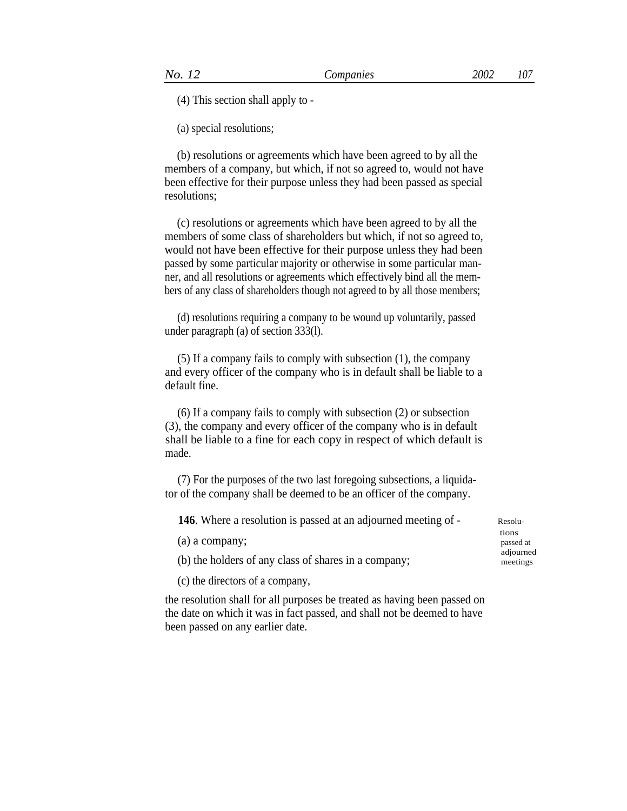(4) This section shall apply to -

(a) special resolutions;

(b) resolutions or agreements which have been agreed to by all the members of a company, but which, if not so agreed to, would not have been effective for their purpose unless they had been passed as special resolutions;

(c) resolutions or agreements which have been agreed to by all the members of some class of shareholders but which, if not so agreed to, would not have been effective for their purpose unless they had been passed by some particular majority or otherwise in some particular manner, and all resolutions or agreements which effectively bind all the members of any class of shareholders though not agreed to by all those members;

(d) resolutions requiring a company to be wound up voluntarily, passed under paragraph (a) of section 333(l).

(5) If a company fails to comply with subsection (1), the company and every officer of the company who is in default shall be liable to a default fine.

(6) If a company fails to comply with subsection (2) or subsection (3), the company and every officer of the company who is in default shall be liable to a fine for each copy in respect of which default is made.

(7) For the purposes of the two last foregoing subsections, a liquidator of the company shall be deemed to be an officer of the company.

**146**. Where a resolution is passed at an adjourned meeting of - Resolu-

(a) a company; passed at

(b) the holders of any class of shares in a company; meetings

(c) the directors of a company,

the resolution shall for all purposes be treated as having been passed on the date on which it was in fact passed, and shall not be deemed to have been passed on any earlier date.

tions adjourned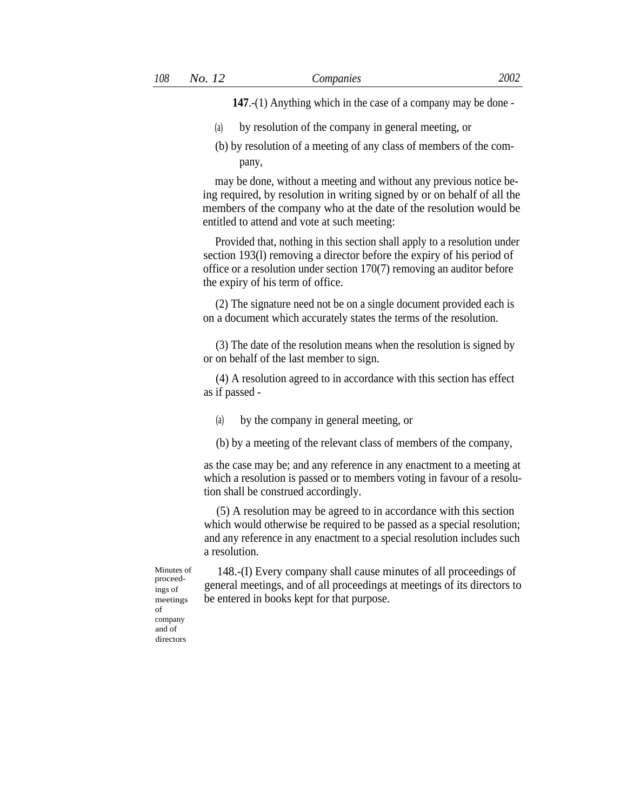**147**.-(1) Anything which in the case of a company may be done -

- (a) by resolution of the company in general meeting, or
- (b) by resolution of a meeting of any class of members of the company,

may be done, without a meeting and without any previous notice being required, by resolution in writing signed by or on behalf of all the members of the company who at the date of the resolution would be entitled to attend and vote at such meeting:

Provided that, nothing in this section shall apply to a resolution under section 193(l) removing a director before the expiry of his period of office or a resolution under section 170(7) removing an auditor before the expiry of his term of office.

(2) The signature need not be on a single document provided each is on a document which accurately states the terms of the resolution.

(3) The date of the resolution means when the resolution is signed by or on behalf of the last member to sign.

(4) A resolution agreed to in accordance with this section has effect as if passed -

(a) by the company in general meeting, or

(b) by a meeting of the relevant class of members of the company,

as the case may be; and any reference in any enactment to a meeting at which a resolution is passed or to members voting in favour of a resolution shall be construed accordingly.

(5) A resolution may be agreed to in accordance with this section which would otherwise be required to be passed as a special resolution; and any reference in any enactment to a special resolution includes such a resolution.

Minutes of proceedings of meetings of company and of directors

148.-(I) Every company shall cause minutes of all proceedings of general meetings, and of all proceedings at meetings of its directors to be entered in books kept for that purpose.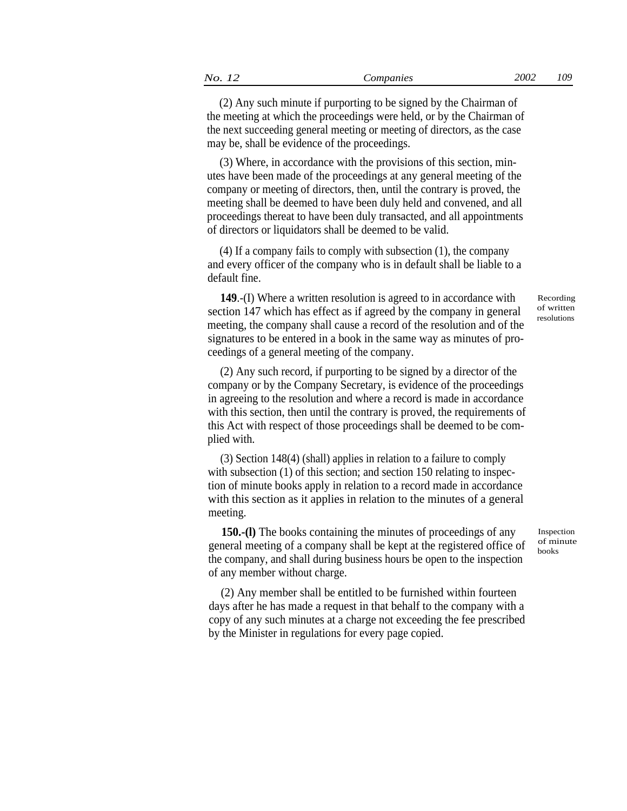(2) Any such minute if purporting to be signed by the Chairman of the meeting at which the proceedings were held, or by the Chairman of the next succeeding general meeting or meeting of directors, as the case may be, shall be evidence of the proceedings.

(3) Where, in accordance with the provisions of this section, minutes have been made of the proceedings at any general meeting of the company or meeting of directors, then, until the contrary is proved, the meeting shall be deemed to have been duly held and convened, and all proceedings thereat to have been duly transacted, and all appointments of directors or liquidators shall be deemed to be valid.

(4) If a company fails to comply with subsection (1), the company and every officer of the company who is in default shall be liable to a default fine.

**149**.-(I) Where a written resolution is agreed to in accordance with section 147 which has effect as if agreed by the company in general meeting, the company shall cause a record of the resolution and of the signatures to be entered in a book in the same way as minutes of proceedings of a general meeting of the company.

(2) Any such record, if purporting to be signed by a director of the company or by the Company Secretary, is evidence of the proceedings in agreeing to the resolution and where a record is made in accordance with this section, then until the contrary is proved, the requirements of this Act with respect of those proceedings shall be deemed to be complied with.

(3) Section 148(4) (shall) applies in relation to a failure to comply with subsection (1) of this section; and section 150 relating to inspection of minute books apply in relation to a record made in accordance with this section as it applies in relation to the minutes of a general meeting.

**150.-(l)** The books containing the minutes of proceedings of any general meeting of a company shall be kept at the registered office of the company, and shall during business hours be open to the inspection of any member without charge.

(2) Any member shall be entitled to be furnished within fourteen days after he has made a request in that behalf to the company with a copy of any such minutes at a charge not exceeding the fee prescribed by the Minister in regulations for every page copied.

Recording of written resolutions

Inspection of minute books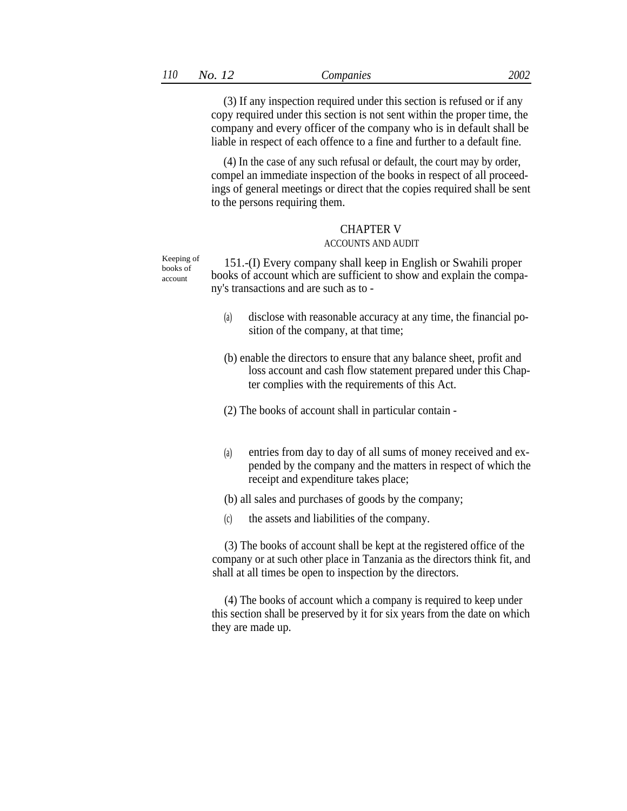(3) If any inspection required under this section is refused or if any copy required under this section is not sent within the proper time, the company and every officer of the company who is in default shall be liable in respect of each offence to a fine and further to a default fine.

(4) In the case of any such refusal or default, the court may by order, compel an immediate inspection of the books in respect of all proceedings of general meetings or direct that the copies required shall be sent to the persons requiring them.

## CHAPTER V

### ACCOUNTS AND AUDIT

Keeping of  $151-(I)$  Every company shall keep in English or Swahili proper books of account which are sufficient to show and explain the company's transactions and are such as to -

- (a) disclose with reasonable accuracy at any time, the financial position of the company, at that time;
- (b) enable the directors to ensure that any balance sheet, profit and loss account and cash flow statement prepared under this Chapter complies with the requirements of this Act.
- (2) The books of account shall in particular contain -
- entries from day to day of all sums of money received and expended by the company and the matters in respect of which the receipt and expenditure takes place; (a)
- (b) all sales and purchases of goods by the company;
- (c) the assets and liabilities of the company.

(3) The books of account shall be kept at the registered office of the company or at such other place in Tanzania as the directors think fit, and shall at all times be open to inspection by the directors.

(4) The books of account which a company is required to keep under this section shall be preserved by it for six years from the date on which they are made up.

books of account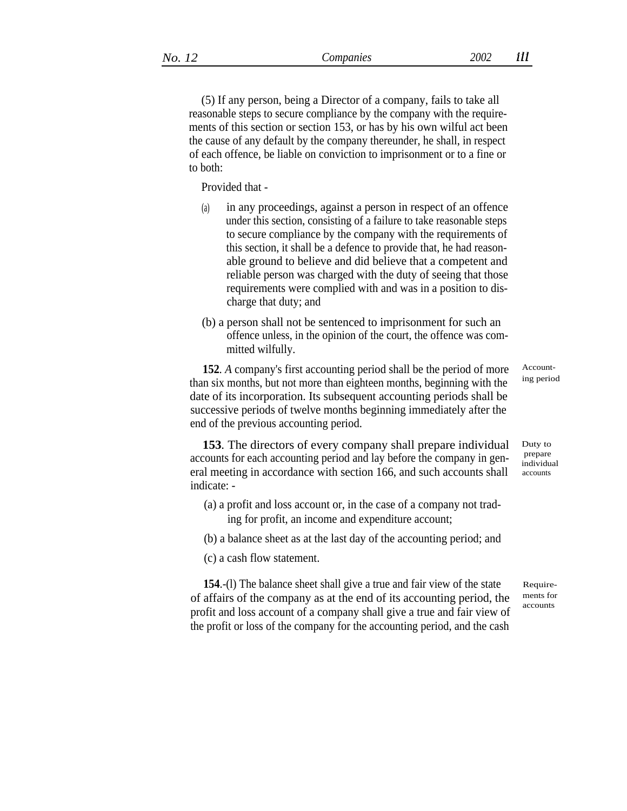(5) If any person, being a Director of a company, fails to take all reasonable steps to secure compliance by the company with the requirements of this section or section 153, or has by his own wilful act been the cause of any default by the company thereunder, he shall, in respect of each offence, be liable on conviction to imprisonment or to a fine or to both:

Provided that -

- in any proceedings, against a person in respect of an offence under this section, consisting of a failure to take reasonable steps to secure compliance by the company with the requirements of this section, it shall be a defence to provide that, he had reasonable ground to believe and did believe that a competent and reliable person was charged with the duty of seeing that those requirements were complied with and was in a position to discharge that duty; and (a)
- (b) a person shall not be sentenced to imprisonment for such an offence unless, in the opinion of the court, the offence was committed wilfully.

**152***. A* company's first accounting period shall be the period of more than six months, but not more than eighteen months, beginning with the date of its incorporation. Its subsequent accounting periods shall be successive periods of twelve months beginning immediately after the end of the previous accounting period.

**153***.* The directors of every company shall prepare individual accounts for each accounting period and lay before the company in general meeting in accordance with section 166, and such accounts shall indicate: -

- (a) a profit and loss account or, in the case of a company not trading for profit, an income and expenditure account;
- (b) a balance sheet as at the last day of the accounting period; and
- (c) a cash flow statement.

**154**.-(l) The balance sheet shall give a true and fair view of the state of affairs of the company as at the end of its accounting period, the profit and loss account of a company shall give a true and fair view of the profit or loss of the company for the accounting period, and the cash

ing period

Account-

Duty to prepare individual accounts

Requirements for accounts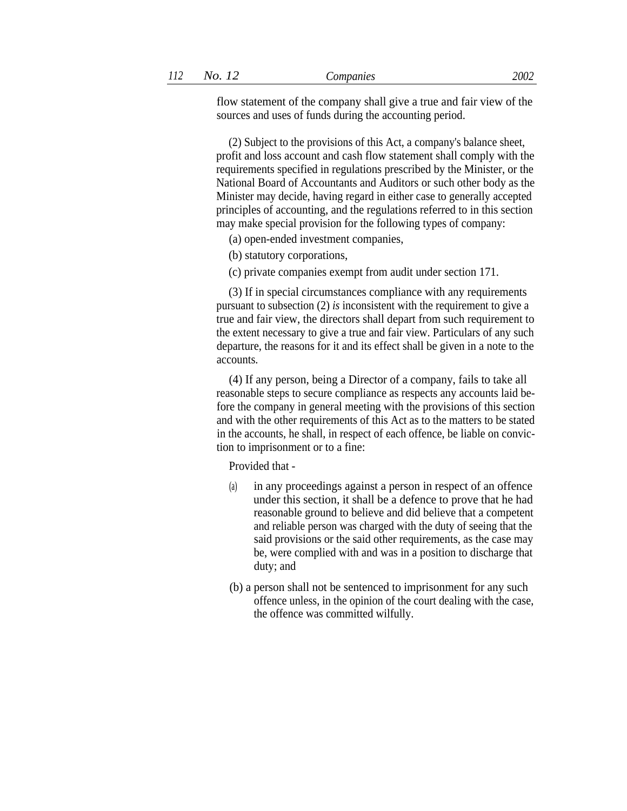flow statement of the company shall give a true and fair view of the sources and uses of funds during the accounting period.

(2) Subject to the provisions of this Act, a company's balance sheet, profit and loss account and cash flow statement shall comply with the requirements specified in regulations prescribed by the Minister, or the National Board of Accountants and Auditors or such other body as the Minister may decide, having regard in either case to generally accepted principles of accounting, and the regulations referred to in this section may make special provision for the following types of company:

(a) open-ended investment companies,

(b) statutory corporations,

(c) private companies exempt from audit under section 171.

(3) If in special circumstances compliance with any requirements pursuant to subsection (2) *is* inconsistent with the requirement to give a true and fair view, the directors shall depart from such requirement to the extent necessary to give a true and fair view. Particulars of any such departure, the reasons for it and its effect shall be given in a note to the accounts.

(4) If any person, being a Director of a company, fails to take all reasonable steps to secure compliance as respects any accounts laid before the company in general meeting with the provisions of this section and with the other requirements of this Act as to the matters to be stated in the accounts, he shall, in respect of each offence, be liable on conviction to imprisonment or to a fine:

Provided that -

- (a) in any proceedings against a person in respect of an offence under this section, it shall be a defence to prove that he had reasonable ground to believe and did believe that a competent and reliable person was charged with the duty of seeing that the said provisions or the said other requirements, as the case may be, were complied with and was in a position to discharge that duty; and
- (b) a person shall not be sentenced to imprisonment for any such offence unless, in the opinion of the court dealing with the case, the offence was committed wilfully.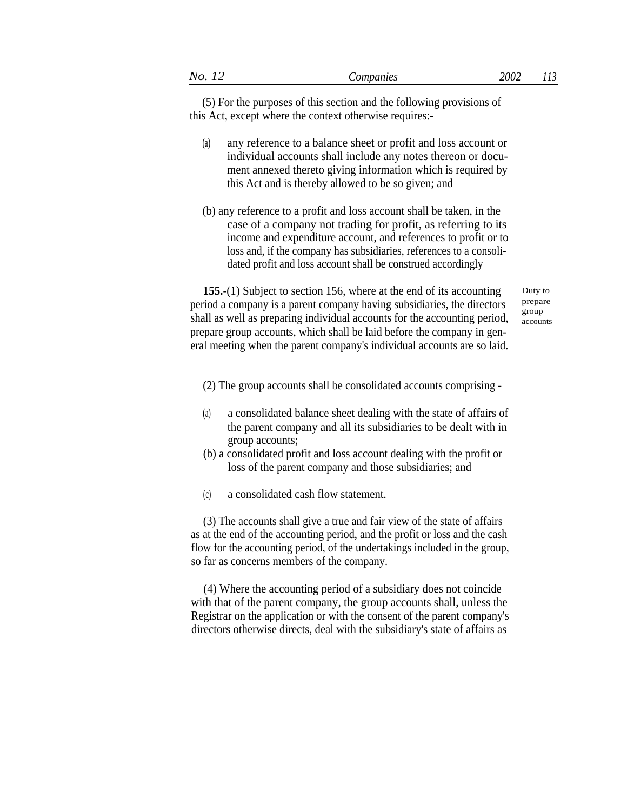| シレビントン<br>$ -$<br>-<br>$-0$<br>$\ddot{\,}\,$<br>.<br>. |
|--------------------------------------------------------|
|                                                        |

(5) For the purposes of this section and the following provisions of this Act, except where the context otherwise requires:-

- (a) any reference to a balance sheet or profit and loss account or individual accounts shall include any notes thereon or document annexed thereto giving information which is required by this Act and is thereby allowed to be so given; and
- (b) any reference to a profit and loss account shall be taken, in the case of a company not trading for profit, as referring to its income and expenditure account, and references to profit or to loss and, if the company has subsidiaries, references to a consolidated profit and loss account shall be construed accordingly

**155.**-(1) Subject to section 156, where at the end of its accounting period a company is a parent company having subsidiaries, the directors shall as well as preparing individual accounts for the accounting period, prepare group accounts, which shall be laid before the company in general meeting when the parent company's individual accounts are so laid.

Duty to prepare group accounts

- (2) The group accounts shall be consolidated accounts comprising -
- (a) a consolidated balance sheet dealing with the state of affairs of the parent company and all its subsidiaries to be dealt with in group accounts;
- (b) a consolidated profit and loss account dealing with the profit or loss of the parent company and those subsidiaries; and
- (c) a consolidated cash flow statement.

(3) The accounts shall give a true and fair view of the state of affairs as at the end of the accounting period, and the profit or loss and the cash flow for the accounting period, of the undertakings included in the group, so far as concerns members of the company.

(4) Where the accounting period of a subsidiary does not coincide with that of the parent company, the group accounts shall, unless the Registrar on the application or with the consent of the parent company's directors otherwise directs, deal with the subsidiary's state of affairs as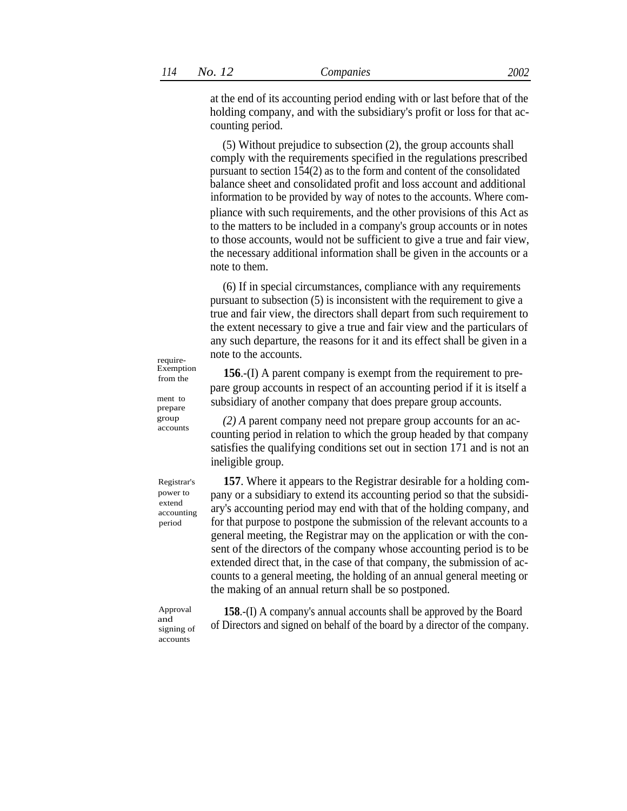at the end of its accounting period ending with or last before that of the holding company, and with the subsidiary's profit or loss for that accounting period.

(5) Without prejudice to subsection (2)*,* the group accounts shall comply with the requirements specified in the regulations prescribed pursuant to section 154(2) as to the form and content of the consolidated balance sheet and consolidated profit and loss account and additional information to be provided by way of notes to the accounts. Where compliance with such requirements, and the other provisions of this Act as to the matters to be included in a company's group accounts or in notes to those accounts, would not be sufficient to give a true and fair view, the necessary additional information shall be given in the accounts or a note to them.

(6) If in special circumstances, compliance with any requirements pursuant to subsection (5) is inconsistent with the requirement to give a true and fair view, the directors shall depart from such requirement to the extent necessary to give a true and fair view and the particulars of any such departure, the reasons for it and its effect shall be given in a note to the accounts.

Exemption **156**.-(I) A parent company is exempt from the requirement to prepare group accounts in respect of an accounting period if it is itself a subsidiary of another company that does prepare group accounts.

> *(2) A* parent company need not prepare group accounts for an accounting period in relation to which the group headed by that company satisfies the qualifying conditions set out in section 171 and is not an ineligible group.

> **157**. Where it appears to the Registrar desirable for a holding company or a subsidiary to extend its accounting period so that the subsidiary's accounting period may end with that of the holding company, and for that purpose to postpone the submission of the relevant accounts to a general meeting, the Registrar may on the application or with the consent of the directors of the company whose accounting period is to be extended direct that, in the case of that company, the submission of accounts to a general meeting, the holding of an annual general meeting or the making of an annual return shall be so postponed.

> **158**.-(I) A company's annual accounts shall be approved by the Board of Directors and signed on behalf of the board by a director of the company.

from the ment to

require-

prepare group accounts

Registrar's power to extend accounting period

Approval and signing of

accounts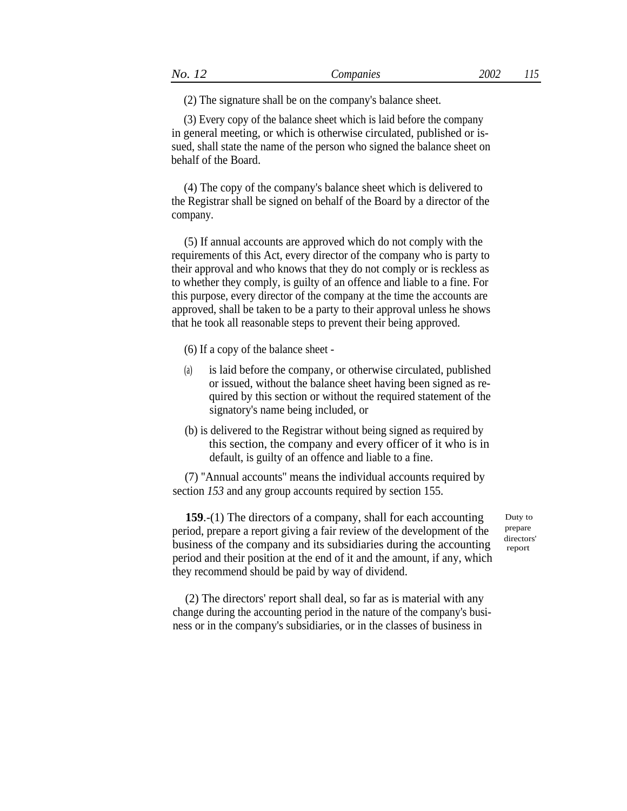(2) The signature shall be on the company's balance sheet.

(3) Every copy of the balance sheet which is laid before the company in general meeting, or which is otherwise circulated, published or issued, shall state the name of the person who signed the balance sheet on behalf of the Board.

(4) The copy of the company's balance sheet which is delivered to the Registrar shall be signed on behalf of the Board by a director of the company.

(5) If annual accounts are approved which do not comply with the requirements of this Act, every director of the company who is party to their approval and who knows that they do not comply or is reckless as to whether they comply, is guilty of an offence and liable to a fine. For this purpose, every director of the company at the time the accounts are approved, shall be taken to be a party to their approval unless he shows that he took all reasonable steps to prevent their being approved.

(6) If a copy of the balance sheet -

- (a) is laid before the company, or otherwise circulated, published or issued, without the balance sheet having been signed as required by this section or without the required statement of the signatory's name being included, or
- (b) is delivered to the Registrar without being signed as required by this section, the company and every officer of it who is in default, is guilty of an offence and liable to a fine.

(7) ''Annual accounts'' means the individual accounts required by section *153* and any group accounts required by section 155.

**159**.-(1) The directors of a company, shall for each accounting period, prepare a report giving a fair review of the development of the business of the company and its subsidiaries during the accounting period and their position at the end of it and the amount, if any, which they recommend should be paid by way of dividend.

Duty to prepare directors' report

(2) The directors' report shall deal, so far as is material with any change during the accounting period in the nature of the company's business or in the company's subsidiaries, or in the classes of business in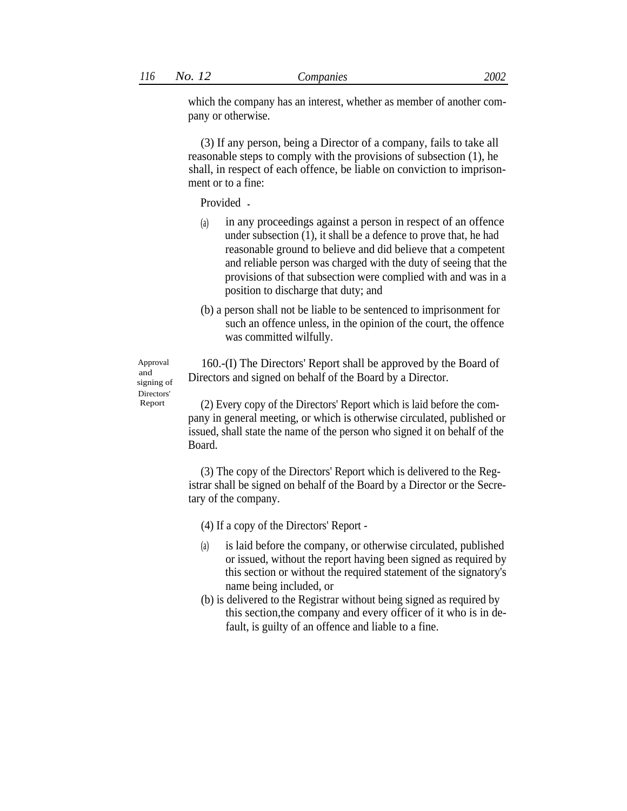which the company has an interest, whether as member of another company or otherwise.

(3) If any person, being a Director of a company, fails to take all reasonable steps to comply with the provisions of subsection (1), he shall, in respect of each offence, be liable on conviction to imprisonment or to a fine:

Provided -

- in any proceedings against a person in respect of an offence under subsection (1), it shall be a defence to prove that, he had reasonable ground to believe and did believe that a competent and reliable person was charged with the duty of seeing that the provisions of that subsection were complied with and was in a position to discharge that duty; and (a)
- (b) a person shall not be liable to be sentenced to imprisonment for such an offence unless, in the opinion of the court, the offence was committed wilfully.

160.-(I) The Directors' Report shall be approved by the Board of Directors and signed on behalf of the Board by a Director.

(2) Every copy of the Directors' Report which is laid before the company in general meeting, or which is otherwise circulated, published or issued, shall state the name of the person who signed it on behalf of the Board.

(3) The copy of the Directors' Report which is delivered to the Registrar shall be signed on behalf of the Board by a Director or the Secretary of the company.

(4) If a copy of the Directors' Report -

- (a) is laid before the company, or otherwise circulated, published or issued, without the report having been signed as required by this section or without the required statement of the signatory's name being included, or
- (b) is delivered to the Registrar without being signed as required by this section,the company and every officer of it who is in default, is guilty of an offence and liable to a fine.

Approval and signing of Directors' Report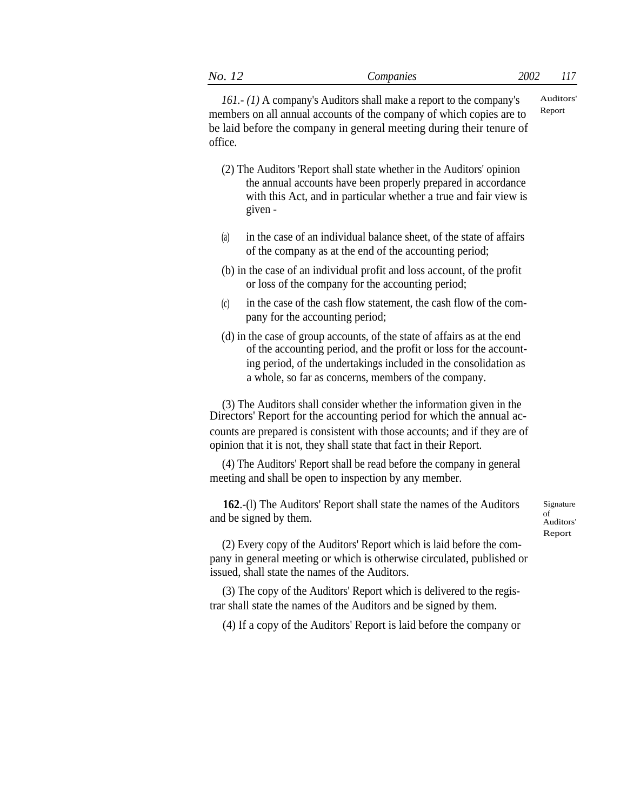| No<br>∸ | companies | 2002 | . . |
|---------|-----------|------|-----|
|         |           |      |     |

*161.- (1)* A company's Auditors shall make a report to the company's members on all annual accounts of the company of which copies are to be laid before the company in general meeting during their tenure of office. Auditors' Report

- (2) The Auditors 'Report shall state whether in the Auditors' opinion the annual accounts have been properly prepared in accordance with this Act, and in particular whether a true and fair view is given -
- (a) in the case of an individual balance sheet, of the state of affairs of the company as at the end of the accounting period;
- (b) in the case of an individual profit and loss account, of the profit or loss of the company for the accounting period;
- in the case of the cash flow statement, the cash flow of the company for the accounting period;  $(c)$
- (d) in the case of group accounts, of the state of affairs as at the end of the accounting period, and the profit or loss for the accounting period, of the undertakings included in the consolidation as a whole, so far as concerns, members of the company.

(3) The Auditors shall consider whether the information given in the Directors' Report for the accounting period for which the annual accounts are prepared is consistent with those accounts; and if they are of opinion that it is not, they shall state that fact in their Report.

(4) The Auditors' Report shall be read before the company in general meeting and shall be open to inspection by any member.

**162**.-(l) The Auditors' Report shall state the names of the Auditors and be signed by them.

Signature of Auditors' Report

(2) Every copy of the Auditors' Report which is laid before the company in general meeting or which is otherwise circulated, published or issued, shall state the names of the Auditors.

(3) The copy of the Auditors' Report which is delivered to the registrar shall state the names of the Auditors and be signed by them.

(4) If a copy of the Auditors' Report is laid before the company or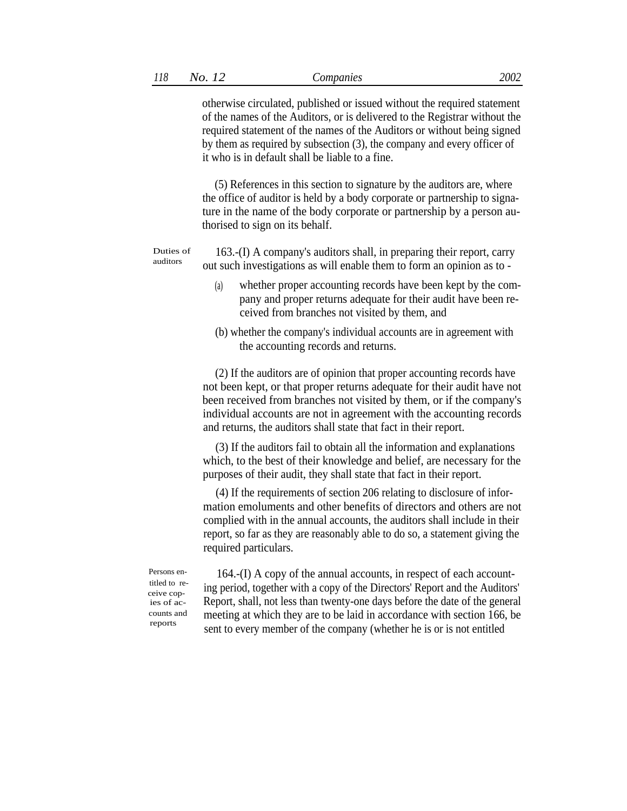otherwise circulated, published or issued without the required statement of the names of the Auditors, or is delivered to the Registrar without the required statement of the names of the Auditors or without being signed by them as required by subsection (3), the company and every officer of it who is in default shall be liable to a fine.

(5) References in this section to signature by the auditors are, where the office of auditor is held by a body corporate or partnership to signature in the name of the body corporate or partnership by a person authorised to sign on its behalf.

Duties of auditors

163.-(I) A company's auditors shall, in preparing their report, carry out such investigations as will enable them to form an opinion as to -

- whether proper accounting records have been kept by the company and proper returns adequate for their audit have been received from branches not visited by them, and (a)
- (b) whether the company's individual accounts are in agreement with the accounting records and returns.

(2) If the auditors are of opinion that proper accounting records have not been kept, or that proper returns adequate for their audit have not been received from branches not visited by them, or if the company's individual accounts are not in agreement with the accounting records and returns, the auditors shall state that fact in their report.

(3) If the auditors fail to obtain all the information and explanations which, to the best of their knowledge and belief, are necessary for the purposes of their audit, they shall state that fact in their report.

(4) If the requirements of section 206 relating to disclosure of information emoluments and other benefits of directors and others are not complied with in the annual accounts, the auditors shall include in their report, so far as they are reasonably able to do so, a statement giving the required particulars.

Persons entitled to receive copies of accounts and reports

164.-(I) A copy of the annual accounts, in respect of each accounting period, together with a copy of the Directors' Report and the Auditors' Report, shall, not less than twenty-one days before the date of the general meeting at which they are to be laid in accordance with section 166, be sent to every member of the company (whether he is or is not entitled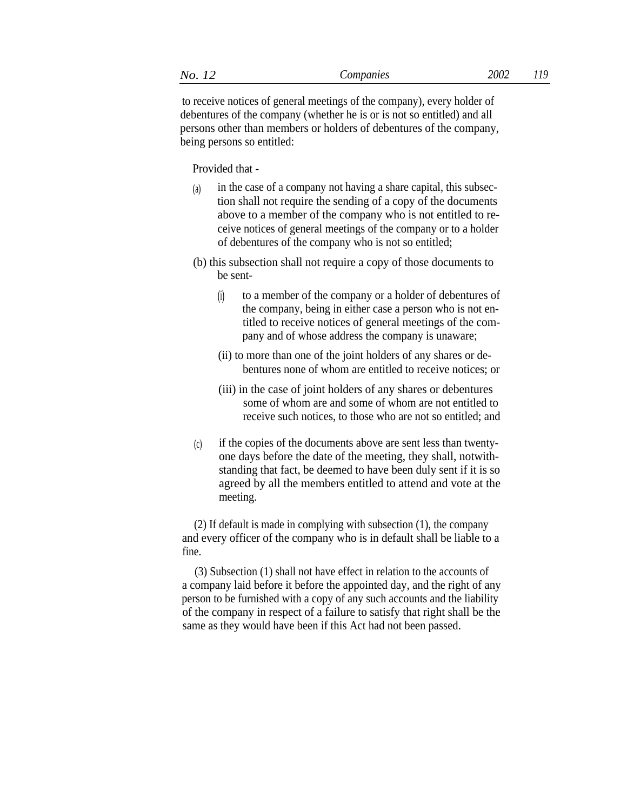to receive notices of general meetings of the company), every holder of debentures of the company (whether he is or is not so entitled) and all persons other than members or holders of debentures of the company, being persons so entitled:

# Provided that -

- in the case of a company not having a share capital, this subsection shall not require the sending of a copy of the documents above to a member of the company who is not entitled to receive notices of general meetings of the company or to a holder of debentures of the company who is not so entitled; (a)
- (b) this subsection shall not require a copy of those documents to be sent
	- to a member of the company or a holder of debentures of the company, being in either case a person who is not entitled to receive notices of general meetings of the company and of whose address the company is unaware; (i)
	- (ii) to more than one of the joint holders of any shares or debentures none of whom are entitled to receive notices; or
	- (iii) in the case of joint holders of any shares or debentures some of whom are and some of whom are not entitled to receive such notices, to those who are not so entitled; and
- if the copies of the documents above are sent less than twentyone days before the date of the meeting, they shall, notwithstanding that fact, be deemed to have been duly sent if it is so agreed by all the members entitled to attend and vote at the meeting.  $(c)$

(2) If default is made in complying with subsection (1), the company and every officer of the company who is in default shall be liable to a fine.

(3) Subsection (1) shall not have effect in relation to the accounts of a company laid before it before the appointed day, and the right of any person to be furnished with a copy of any such accounts and the liability of the company in respect of a failure to satisfy that right shall be the same as they would have been if this Act had not been passed.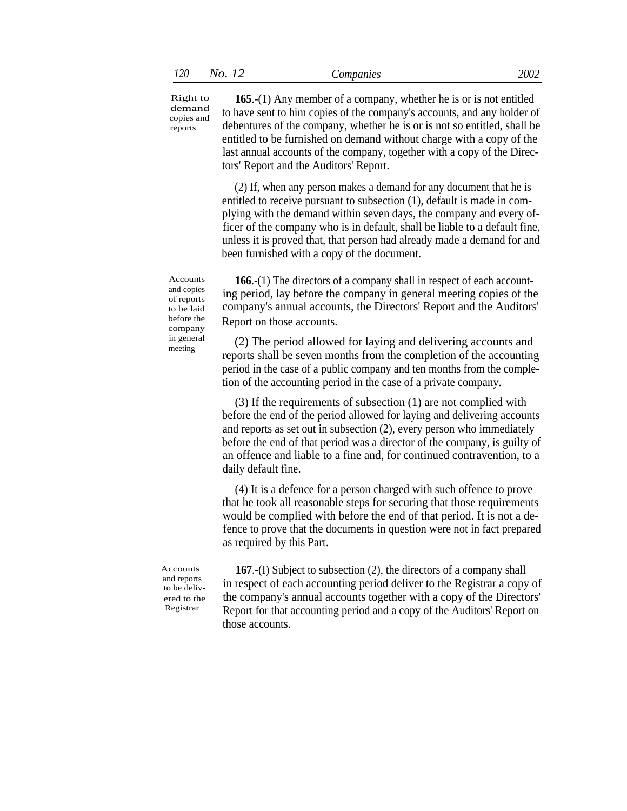Right to demand copies and reports

**165**.-(1) Any member of a company, whether he is or is not entitled to have sent to him copies of the company's accounts, and any holder of debentures of the company, whether he is or is not so entitled, shall be entitled to be furnished on demand without charge with a copy of the last annual accounts of the company, together with a copy of the Directors' Report and the Auditors' Report.

(2) If*,* when any person makes a demand for any document that he is entitled to receive pursuant to subsection (1), default is made in complying with the demand within seven days, the company and every officer of the company who is in default, shall be liable to a default fine, unless it is proved that, that person had already made a demand for and been furnished with a copy of the document.

**166.**-(1) The directors of a company shall in respect of each accounting period, lay before the company in general meeting copies of the company's annual accounts, the Directors' Report and the Auditors' before the Report on those accounts.

in general (2) The period allowed for laying and delivering accounts and reports shall be seven months from the completion of the accounting period in the case of a public company and ten months from the completion of the accounting period in the case of a private company.

> (3) If the requirements of subsection (1) are not complied with before the end of the period allowed for laying and delivering accounts and reports as set out in subsection (2)*,* every person who immediately before the end of that period was a director of the company, is guilty of an offence and liable to a fine and, for continued contravention, to a daily default fine.

> (4) It is a defence for a person charged with such offence to prove that he took all reasonable steps for securing that those requirements would be complied with before the end of that period. It is not a defence to prove that the documents in question were not in fact prepared as required by this Part.

**Accounts** and reports to be delivered to the Registrar

**167**.-(I) Subject to subsection (2), the directors of a company shall in respect of each accounting period deliver to the Registrar a copy of the company's annual accounts together with a copy of the Directors' Report for that accounting period and a copy of the Auditors' Report on those accounts.

Accounts and copies of reports to be laid company meeting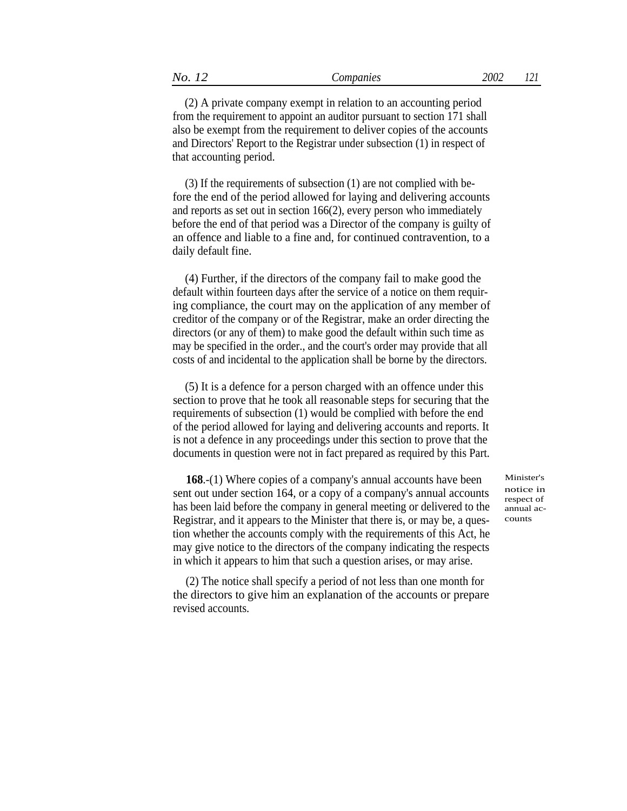(2) A private company exempt in relation to an accounting period from the requirement to appoint an auditor pursuant to section 171 shall also be exempt from the requirement to deliver copies of the accounts and Directors' Report to the Registrar under subsection (1) in respect of that accounting period.

(3) If the requirements of subsection (1) are not complied with before the end of the period allowed for laying and delivering accounts and reports as set out in section 166(2)*,* every person who immediately before the end of that period was a Director of the company is guilty of an offence and liable to a fine and, for continued contravention, to a daily default fine.

(4) Further, if the directors of the company fail to make good the default within fourteen days after the service of a notice on them requiring compliance, the court may on the application of any member of creditor of the company or of the Registrar, make an order directing the directors (or any of them) to make good the default within such time as may be specified in the order., and the court's order may provide that all costs of and incidental to the application shall be borne by the directors.

(5) It is a defence for a person charged with an offence under this section to prove that he took all reasonable steps for securing that the requirements of subsection (1) would be complied with before the end of the period allowed for laying and delivering accounts and reports. It is not a defence in any proceedings under this section to prove that the documents in question were not in fact prepared as required by this Part.

**168.**-(1) Where copies of a company's annual accounts have been sent out under section 164*,* or a copy of a company's annual accounts has been laid before the company in general meeting or delivered to the Registrar, and it appears to the Minister that there is, or may be, a question whether the accounts comply with the requirements of this Act, he may give notice to the directors of the company indicating the respects in which it appears to him that such a question arises, or may arise.

(2) The notice shall specify a period of not less than one month for the directors to give him an explanation of the accounts or prepare revised accounts.

Minister's notice in respect of annual accounts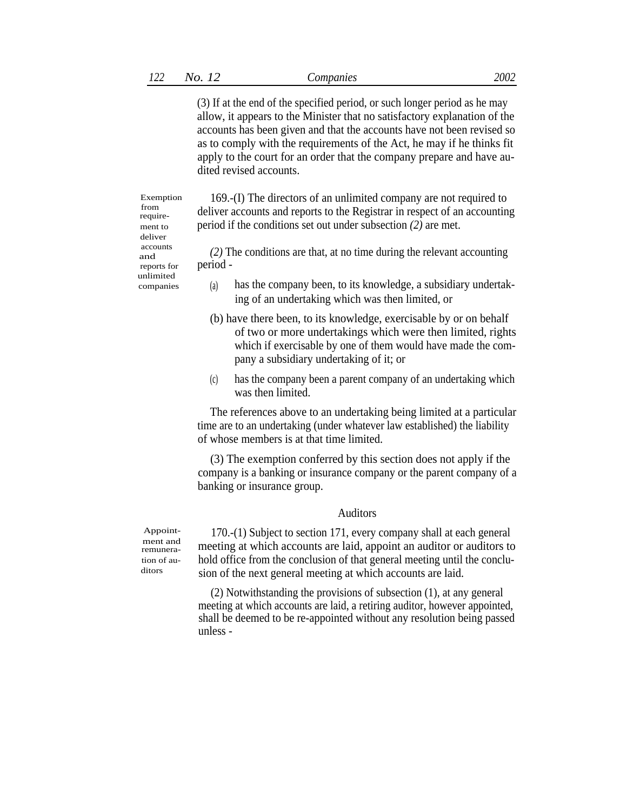(3) If at the end of the specified period, or such longer period as he may allow, it appears to the Minister that no satisfactory explanation of the accounts has been given and that the accounts have not been revised so as to comply with the requirements of the Act, he may if he thinks fit apply to the court for an order that the company prepare and have audited revised accounts.

169.-(I) The directors of an unlimited company are not required to deliver accounts and reports to the Registrar in respect of an accounting period if the conditions set out under subsection *(2)* are met.

accounts *(2)* The conditions are that, at no time during the relevant accounting reports for **period** period -

- has the company been, to its knowledge, a subsidiary undertaking of an undertaking which was then limited, or
- (b) have there been, to its knowledge, exercisable by or on behalf of two or more undertakings which were then limited, rights which if exercisable by one of them would have made the company a subsidiary undertaking of it; or
- (c) has the company been a parent company of an undertaking which was then limited.

The references above to an undertaking being limited at a particular time are to an undertaking (under whatever law established) the liability of whose members is at that time limited.

(3) The exemption conferred by this section does not apply if the company is a banking or insurance company or the parent company of a banking or insurance group.

#### Auditors

170.-(1) Subject to section 171, every company shall at each general meeting at which accounts are laid, appoint an auditor or auditors to hold office from the conclusion of that general meeting until the conclusion of the next general meeting at which accounts are laid.

(2) Notwithstanding the provisions of subsection (1), at any general meeting at which accounts are laid, a retiring auditor, however appointed, shall be deemed to be re-appointed without any resolution being passed unless -

Appointment and remuneration of auditors

Exemption from requirement to deliver unlimited companies (a)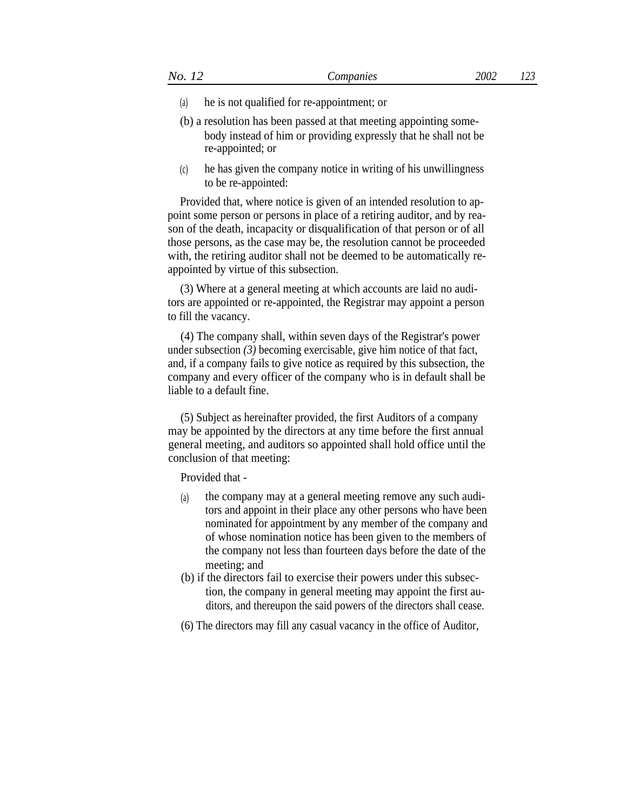- (a) he is not qualified for re-appointment; or
- (b) a resolution has been passed at that meeting appointing somebody instead of him or providing expressly that he shall not be re-appointed; or
- he has given the company notice in writing of his unwillingness to be re-appointed: (c)

Provided that, where notice is given of an intended resolution to appoint some person or persons in place of a retiring auditor, and by reason of the death, incapacity or disqualification of that person or of all those persons, as the case may be, the resolution cannot be proceeded with, the retiring auditor shall not be deemed to be automatically reappointed by virtue of this subsection.

(3) Where at a general meeting at which accounts are laid no auditors are appointed or re-appointed, the Registrar may appoint a person to fill the vacancy.

(4) The company shall, within seven days of the Registrar's power under subsection (3) becoming exercisable, give him notice of that fact, and, if a company fails to give notice as required by this subsection, the company and every officer of the company who is in default shall be liable to a default fine.

(5) Subject as hereinafter provided, the first Auditors of a company may be appointed by the directors at any time before the first annual general meeting, and auditors so appointed shall hold office until the conclusion of that meeting:

Provided that -

- the company may at a general meeting remove any such auditors and appoint in their place any other persons who have been nominated for appointment by any member of the company and of whose nomination notice has been given to the members of the company not less than fourteen days before the date of the (a) meeting; and
- (b) if the directors fail to exercise their powers under this subsection, the company in general meeting may appoint the first auditors, and thereupon the said powers of the directors shall cease.
- (6) The directors may fill any casual vacancy in the office of Auditor,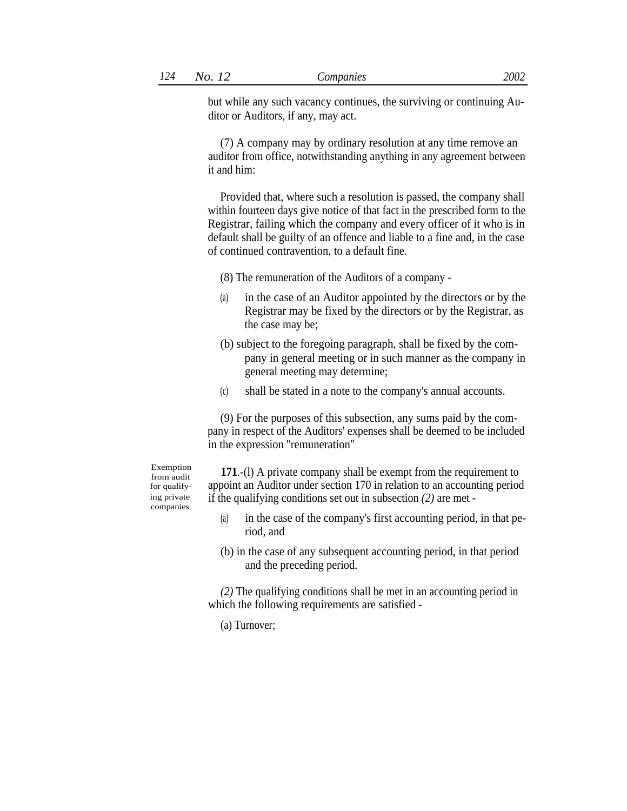but while any such vacancy continues, the surviving or continuing Auditor or Auditors, if any, may act.

(7) A company may by ordinary resolution at any time remove an auditor from office, notwithstanding anything in any agreement between it and him:

Provided that, where such a resolution is passed, the company shall within fourteen days give notice of that fact in the prescribed form to the Registrar, failing which the company and every officer of it who is in default shall be guilty of an offence and liable to a fine and, in the case of continued contravention, to a default fine.

(8) The remuneration of the Auditors of a company -

- (a) in the case of an Auditor appointed by the directors or by the Registrar may be fixed by the directors or by the Registrar, as the case may be;
- (b) subject to the foregoing paragraph, shall be fixed by the company in general meeting or in such manner as the company in general meeting may determine;
- (c) shall be stated in a note to the company's annual accounts.

(9) For the purposes of this subsection, any sums paid by the company in respect of the Auditors' expenses shall be deemed to be included in the expression ''remuneration''

from audit for qualifying private companies

Exemption **171.**-(l) A private company shall be exempt from the requirement to appoint an Auditor under section 170 in relation to an accounting period if the qualifying conditions set out in subsection *(2)* are met -

- (a) in the case of the company's first accounting period, in that period, and
- (b) in the case of any subsequent accounting period, in that period and the preceding period.

*(2)* The qualifying conditions shall be met in an accounting period in which the following requirements are satisfied -

(a) Turnover;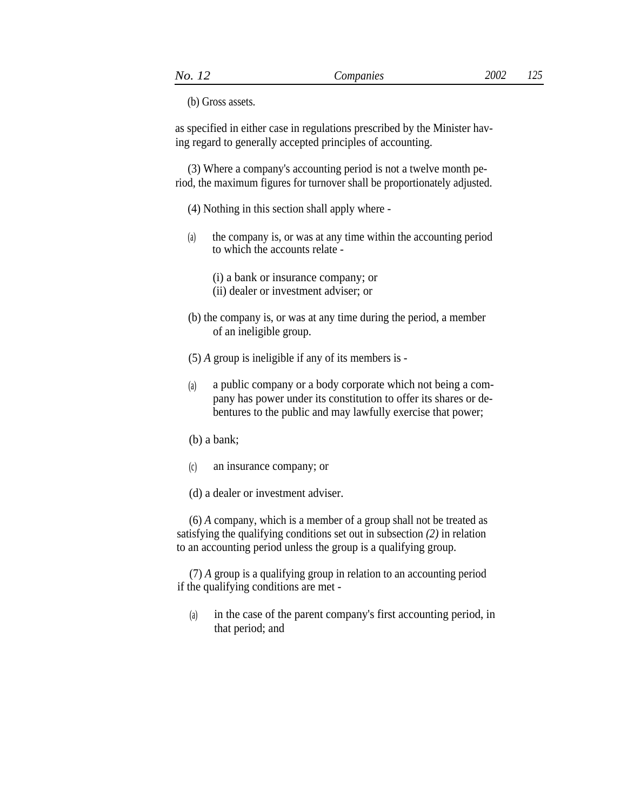(b) Gross assets.

as specified in either case in regulations prescribed by the Minister having regard to generally accepted principles of accounting.

(3) Where a company's accounting period is not a twelve month period, the maximum figures for turnover shall be proportionately adjusted.

(4) Nothing in this section shall apply where -

- the company is, or was at any time within the accounting period to which the accounts relate - (a)
	- (i) a bank or insurance company; or (ii) dealer or investment adviser; or
- (b) the company is, or was at any time during the period, a member of an ineligible group.
- (5) *A* group is ineligible if any of its members is -
- a public company or a body corporate which not being a company has power under its constitution to offer its shares or debentures to the public and may lawfully exercise that power; (a)
- (b) a bank;
- (c) an insurance company; or
- (d) a dealer or investment adviser.

(6) *A* company, which is a member of a group shall not be treated as satisfying the qualifying conditions set out in subsection *(2)* in relation to an accounting period unless the group is a qualifying group.

(7) *A* group is a qualifying group in relation to an accounting period if the qualifying conditions are met -

in the case of the parent company's first accounting period, in that period; and (a)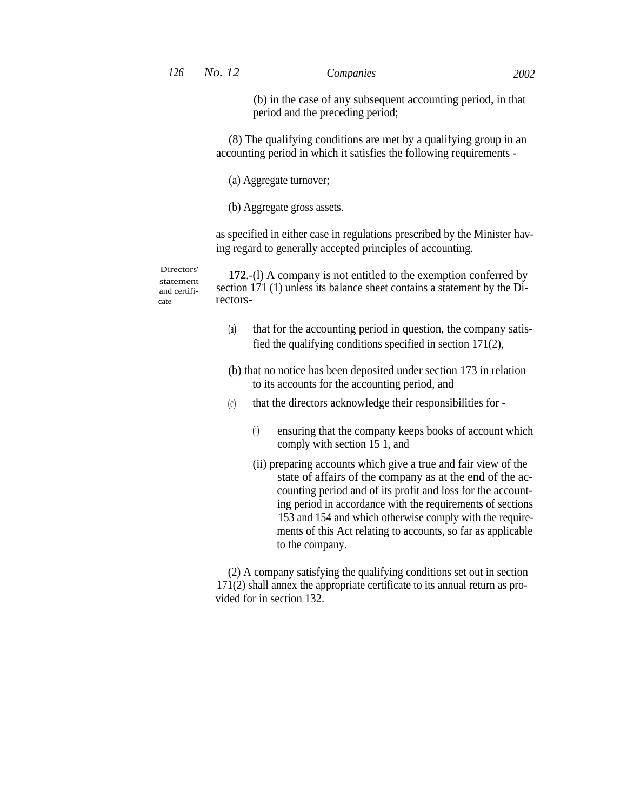(b) in the case of any subsequent accounting period, in that period and the preceding period;

(8) The qualifying conditions are met by a qualifying group in an accounting period in which it satisfies the following requirements -

(a) Aggregate turnover;

(b) Aggregate gross assets.

as specified in either case in regulations prescribed by the Minister having regard to generally accepted principles of accounting.

statement and certificate

Directors' **<sup>172</sup>**.-(l) A company is not entitled to the exemption conferred by section 171 (1) unless its balance sheet contains a statement by the Directors-

- (a) that for the accounting period in question, the company satisfied the qualifying conditions specified in section 171(2),
- (b) that no notice has been deposited under section 173 in relation to its accounts for the accounting period, and
- (c) that the directors acknowledge their responsibilities for
	- (i) ensuring that the company keeps books of account which comply with section 15 1, and
	- (ii) preparing accounts which give a true and fair view of the state of affairs of the company as at the end of the accounting period and of its profit and loss for the accounting period in accordance with the requirements of sections 153 and 154 and which otherwise comply with the requirements of this Act relating to accounts, so far as applicable to the company.

(2) A company satisfying the qualifying conditions set out in section 171(2) shall annex the appropriate certificate to its annual return as provided for in section 132.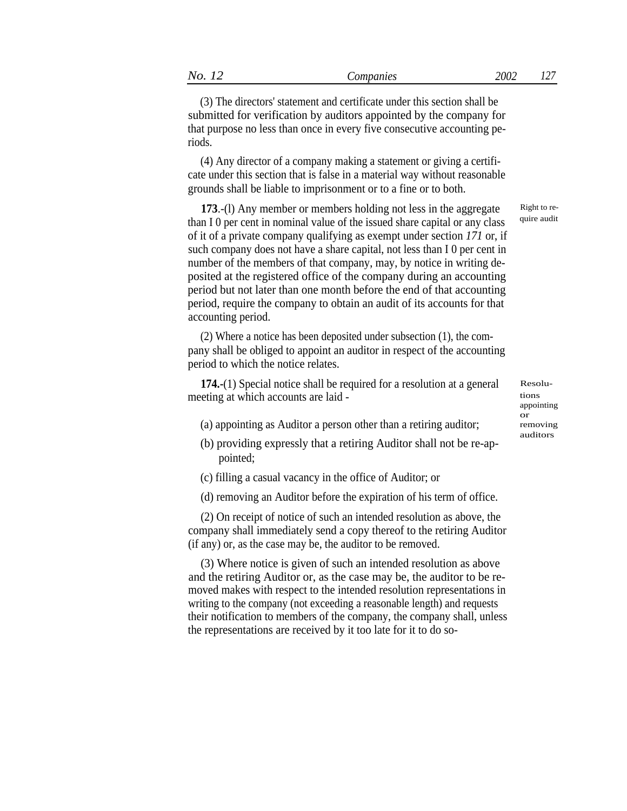(3) The directors' statement and certificate under this section shall be submitted for verification by auditors appointed by the company for that purpose no less than once in every five consecutive accounting periods.

(4) Any director of a company making a statement or giving a certificate under this section that is false in a material way without reasonable grounds shall be liable to imprisonment or to a fine or to both.

**173**.-(l) Any member or members holding not less in the aggregate than I 0 per cent in nominal value of the issued share capital or any class of it of a private company qualifying as exempt under section *171* or, if such company does not have a share capital, not less than I 0 per cent in number of the members of that company, may, by notice in writing deposited at the registered office of the company during an accounting period but not later than one month before the end of that accounting period, require the company to obtain an audit of its accounts for that accounting period.

(2) Where a notice has been deposited under subsection (1), the company shall be obliged to appoint an auditor in respect of the accounting period to which the notice relates.

**174.-**(1) Special notice shall be required for a resolution at a general meeting at which accounts are laid -

Resolutions appointing or<br>removing auditors

- $(a)$  appointing as Auditor a person other than a retiring auditor;
- (b) providing expressly that a retiring Auditor shall not be re-appointed;
- (c) filling a casual vacancy in the office of Auditor; or
- (d) removing an Auditor before the expiration of his term of office.

(2) On receipt of notice of such an intended resolution as above, the company shall immediately send a copy thereof to the retiring Auditor (if any) or, as the case may be, the auditor to be removed.

(3) Where notice is given of such an intended resolution as above and the retiring Auditor or, as the case may be, the auditor to be removed makes with respect to the intended resolution representations in writing to the company (not exceeding a reasonable length) and requests their notification to members of the company, the company shall, unless the representations are received by it too late for it to do soRight to require audit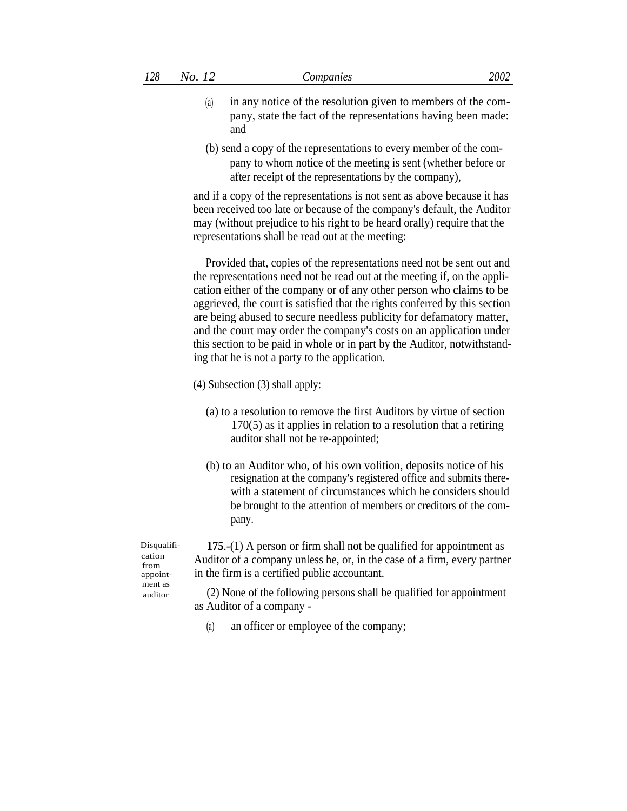- in any notice of the resolution given to members of the company, state the fact of the representations having been made: and (a)
- (b) send a copy of the representations to every member of the company to whom notice of the meeting is sent (whether before or after receipt of the representations by the company),

and if a copy of the representations is not sent as above because it has been received too late or because of the company's default, the Auditor may (without prejudice to his right to be heard orally) require that the representations shall be read out at the meeting:

Provided that, copies of the representations need not be sent out and the representations need not be read out at the meeting if, on the application either of the company or of any other person who claims to be aggrieved, the court is satisfied that the rights conferred by this section are being abused to secure needless publicity for defamatory matter, and the court may order the company's costs on an application under this section to be paid in whole or in part by the Auditor, notwithstanding that he is not a party to the application.

- (4) Subsection (3) shall apply:
	- (a) to a resolution to remove the first Auditors by virtue of section 170(5) as it applies in relation to a resolution that a retiring auditor shall not be re-appointed;
	- (b) to an Auditor who, of his own volition, deposits notice of his resignation at the company's registered office and submits therewith a statement of circumstances which he considers should be brought to the attention of members or creditors of the company.

**175**.-(1) A person or firm shall not be qualified for appointment as Auditor of a company unless he, or, in the case of a firm, every partner in the firm is a certified public accountant.

(2) None of the following persons shall be qualified for appointment as Auditor of a company -

(a) an officer or employee of the company;

Disqualification from appointment as auditor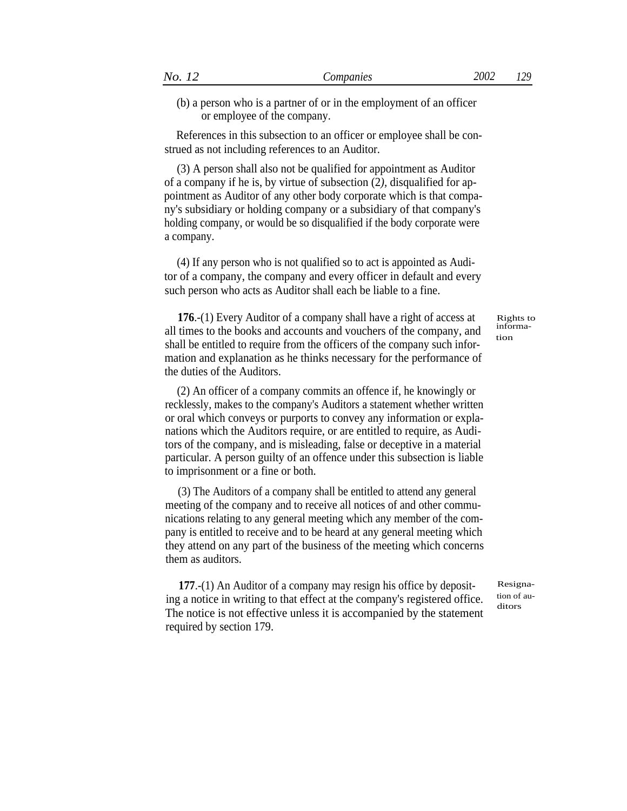(b) a person who is a partner of or in the employment of an officer or employee of the company.

References in this subsection to an officer or employee shall be construed as not including references to an Auditor.

(3) A person shall also not be qualified for appointment as Auditor of a company if he is, by virtue of subsection (2*),* disqualified for appointment as Auditor of any other body corporate which is that company's subsidiary or holding company or a subsidiary of that company's holding company, or would be so disqualified if the body corporate were a company.

(4) If any person who is not qualified so to act is appointed as Auditor of a company, the company and every officer in default and every such person who acts as Auditor shall each be liable to a fine.

**176**.-(1) Every Auditor of a company shall have a right of access at all times to the books and accounts and vouchers of the company, and shall be entitled to require from the officers of the company such information and explanation as he thinks necessary for the performance of the duties of the Auditors.

(2) An officer of a company commits an offence if, he knowingly or recklessly, makes to the company's Auditors a statement whether written or oral which conveys or purports to convey any information or explanations which the Auditors require, or are entitled to require, as Auditors of the company, and is misleading, false or deceptive in a material particular. A person guilty of an offence under this subsection is liable to imprisonment or a fine or both.

(3) The Auditors of a company shall be entitled to attend any general meeting of the company and to receive all notices of and other communications relating to any general meeting which any member of the company is entitled to receive and to be heard at any general meeting which they attend on any part of the business of the meeting which concerns them as auditors.

**177**.-(1) An Auditor of a company may resign his office by depositing a notice in writing to that effect at the company's registered office. The notice is not effective unless it is accompanied by the statement required by section 179.

information

Rights to

Resignation of auditors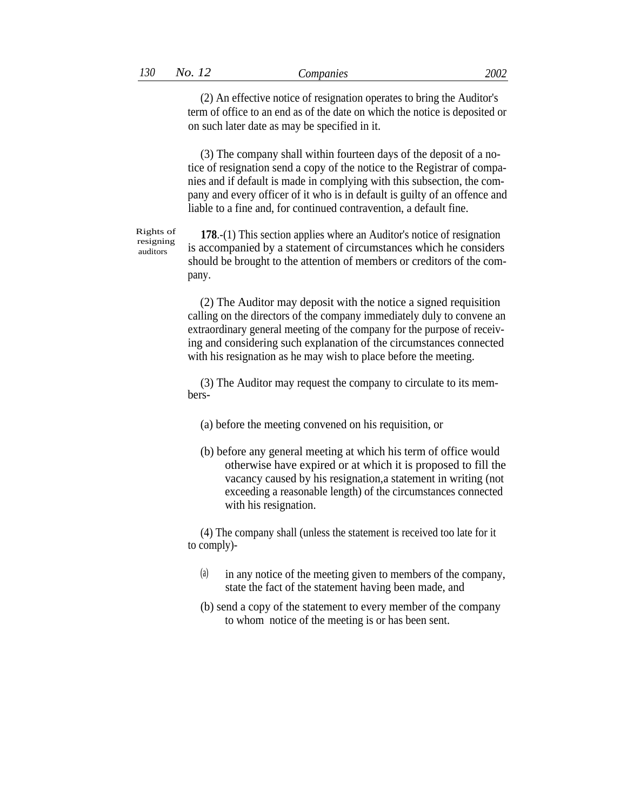(2) An effective notice of resignation operates to bring the Auditor's term of office to an end as of the date on which the notice is deposited or on such later date as may be specified in it.

(3) The company shall within fourteen days of the deposit of a notice of resignation send a copy of the notice to the Registrar of companies and if default is made in complying with this subsection, the company and every officer of it who is in default is guilty of an offence and liable to a fine and, for continued contravention, a default fine.

resigning auditors

Rights of **178**.-(1) This section applies where an Auditor's notice of resignation is accompanied by a statement of circumstances which he considers should be brought to the attention of members or creditors of the company.

> (2) The Auditor may deposit with the notice a signed requisition calling on the directors of the company immediately duly to convene an extraordinary general meeting of the company for the purpose of receiving and considering such explanation of the circumstances connected with his resignation as he may wish to place before the meeting.

(3) The Auditor may request the company to circulate to its members-

- (a) before the meeting convened on his requisition, or
- (b) before any general meeting at which his term of office would otherwise have expired or at which it is proposed to fill the vacancy caused by his resignation,a statement in writing (not exceeding a reasonable length) of the circumstances connected with his resignation.

(4) The company shall (unless the statement is received too late for it to comply)-

- (a) in any notice of the meeting given to members of the company, state the fact of the statement having been made, and
- (b) send a copy of the statement to every member of the company to whom notice of the meeting is or has been sent.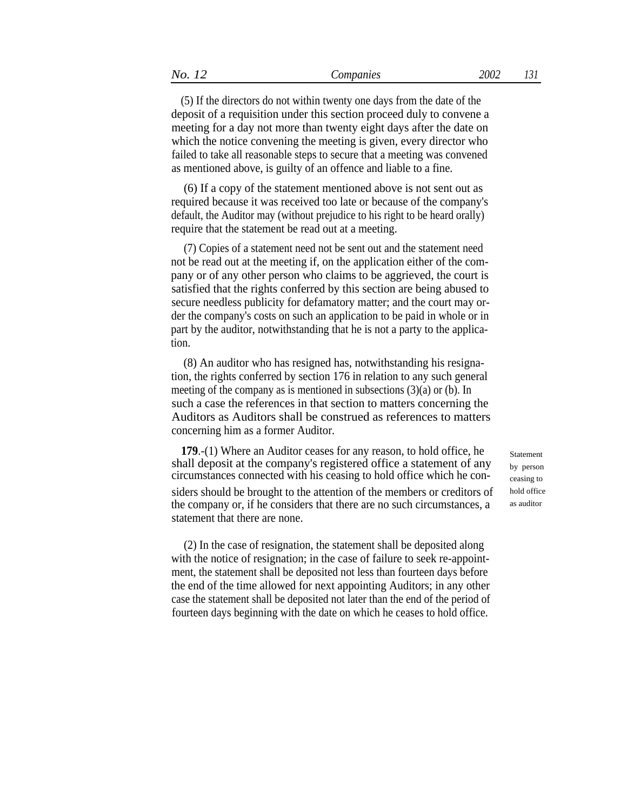(5) If the directors do not within twenty one days from the date of the deposit of a requisition under this section proceed duly to convene a meeting for a day not more than twenty eight days after the date on which the notice convening the meeting is given, every director who failed to take all reasonable steps to secure that a meeting was convened as mentioned above, is guilty of an offence and liable to a fine.

(6) If a copy of the statement mentioned above is not sent out as required because it was received too late or because of the company's default, the Auditor may (without prejudice to his right to be heard orally) require that the statement be read out at a meeting.

(7) Copies of a statement need not be sent out and the statement need not be read out at the meeting if, on the application either of the company or of any other person who claims to be aggrieved, the court is satisfied that the rights conferred by this section are being abused to secure needless publicity for defamatory matter; and the court may order the company's costs on such an application to be paid in whole or in part by the auditor, notwithstanding that he is not a party to the application.

(8) An auditor who has resigned has, notwithstanding his resignation, the rights conferred by section 176 in relation to any such general meeting of the company as is mentioned in subsections (3)(a) or (b). In such a case the references in that section to matters concerning the Auditors as Auditors shall be construed as references to matters concerning him as a former Auditor.

**179**.-(1) Where an Auditor ceases for any reason, to hold office, he shall deposit at the company's registered office a statement of any circumstances connected with his ceasing to hold office which he considers should be brought to the attention of the members or creditors of the company or, if he considers that there are no such circumstances, a statement that there are none.

Statement by person ceasing to hold office as auditor

(2) In the case of resignation, the statement shall be deposited along with the notice of resignation; in the case of failure to seek re-appointment, the statement shall be deposited not less than fourteen days before the end of the time allowed for next appointing Auditors; in any other case the statement shall be deposited not later than the end of the period of fourteen days beginning with the date on which he ceases to hold office.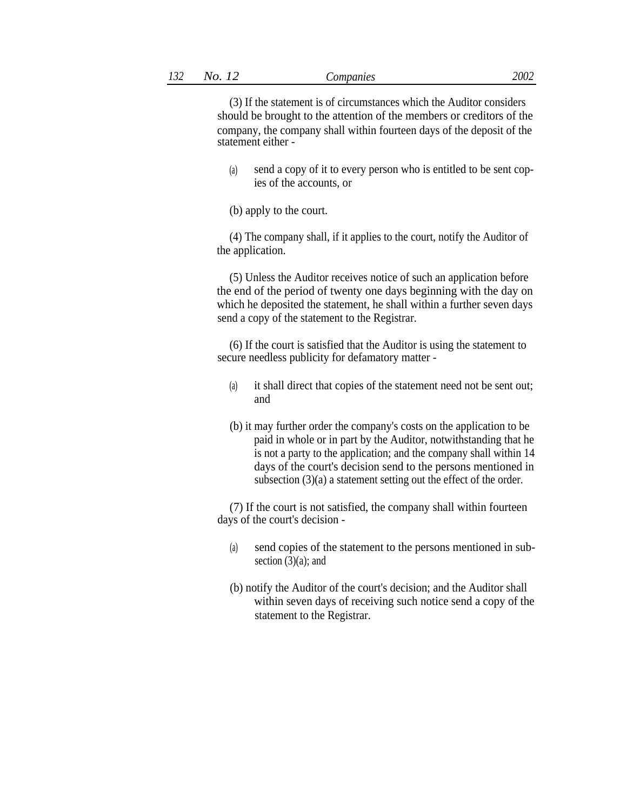(3) If the statement is of circumstances which the Auditor considers should be brought to the attention of the members or creditors of the company, the company shall within fourteen days of the deposit of the statement either -

send a copy of it to every person who is entitled to be sent copies of the accounts, or (a)

(b) apply to the court.

(4) The company shall, if it applies to the court, notify the Auditor of the application.

(5) Unless the Auditor receives notice of such an application before the end of the period of twenty one days beginning with the day on which he deposited the statement, he shall within a further seven days send a copy of the statement to the Registrar.

(6) If the court is satisfied that the Auditor is using the statement to secure needless publicity for defamatory matter -

- (a) it shall direct that copies of the statement need not be sent out; and
- (b) it may further order the company's costs on the application to be paid in whole or in part by the Auditor, notwithstanding that he is not a party to the application; and the company shall within 14 days of the court's decision send to the persons mentioned in subsection (3)(a) a statement setting out the effect of the order.

(7) If the court is not satisfied, the company shall within fourteen days of the court's decision -

- send copies of the statement to the persons mentioned in subsection (3)(a); and (a)
- (b) notify the Auditor of the court's decision; and the Auditor shall within seven days of receiving such notice send a copy of the statement to the Registrar.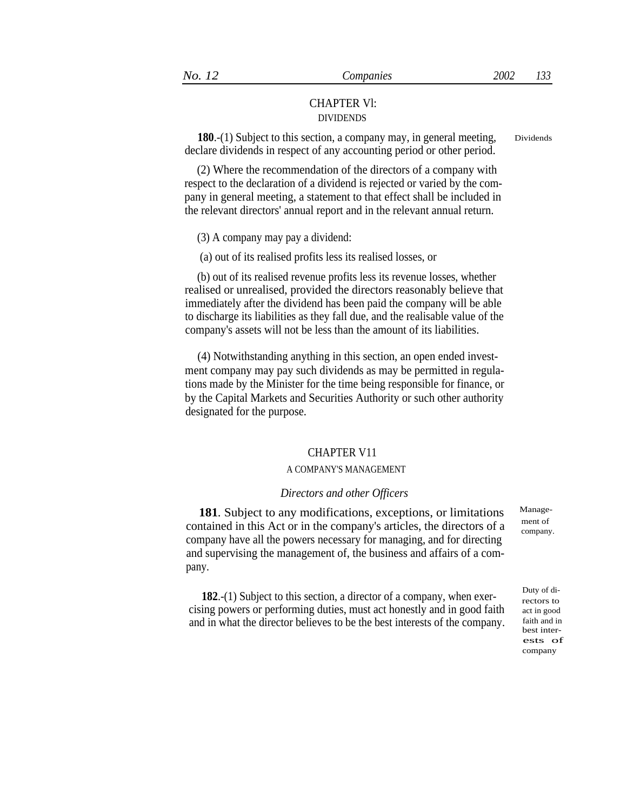# CHAPTER Vl: DIVIDENDS

**180**.-(1) Subject to this section, a company may, in general meeting, declare dividends in respect of any accounting period or other period.

Dividends

(2) Where the recommendation of the directors of a company with respect to the declaration of a dividend is rejected or varied by the company in general meeting, a statement to that effect shall be included in the relevant directors' annual report and in the relevant annual return.

(3) A company may pay a dividend:

(a) out of its realised profits less its realised losses, or

(b) out of its realised revenue profits less its revenue losses, whether realised or unrealised, provided the directors reasonably believe that immediately after the dividend has been paid the company will be able to discharge its liabilities as they fall due, and the realisable value of the company's assets will not be less than the amount of its liabilities.

(4) Notwithstanding anything in this section, an open ended investment company may pay such dividends as may be permitted in regulations made by the Minister for the time being responsible for finance, or by the Capital Markets and Securities Authority or such other authority designated for the purpose.

## CHAPTER V11

#### A COMPANY'S MANAGEMENT

### *Directors and other Officers*

**181***.* Subject to any modifications, exceptions, or limitations contained in this Act or in the company's articles, the directors of a company have all the powers necessary for managing, and for directing and supervising the management of, the business and affairs of a company.

**182.**-(1) Subject to this section, a director of a company, when exercising powers or performing duties, must act honestly and in good faith and in what the director believes to be the best interests of the company.

Management of company.

rectors to act in good faith and in best interests of company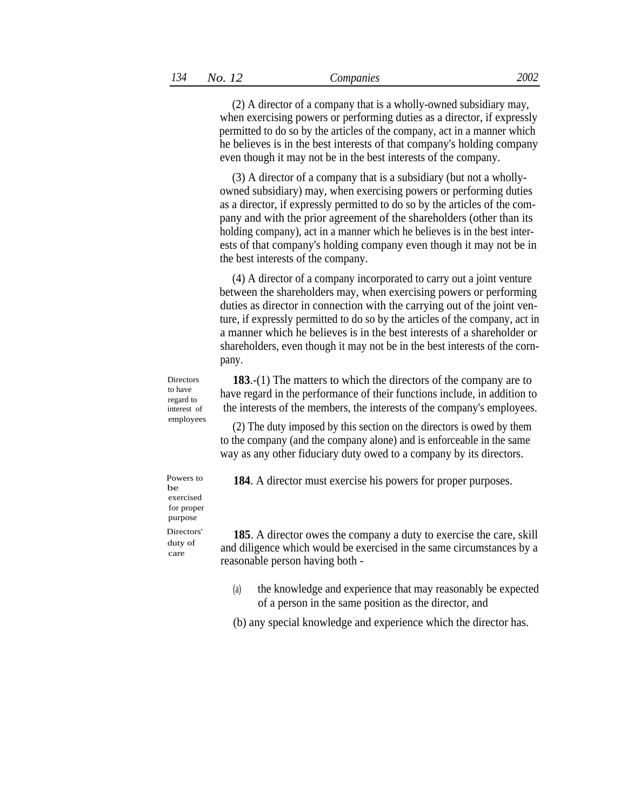(2) A director of a company that is a wholly-owned subsidiary may, when exercising powers or performing duties as a director, if expressly permitted to do so by the articles of the company, act in a manner which he believes is in the best interests of that company's holding company even though it may not be in the best interests of the company.

(3) A director of a company that is a subsidiary (but not a whollyowned subsidiary) may, when exercising powers or performing duties as a director, if expressly permitted to do so by the articles of the company and with the prior agreement of the shareholders (other than its holding company), act in a manner which he believes is in the best interests of that company's holding company even though it may not be in the best interests of the company.

(4) A director of a company incorporated to carry out a joint venture between the shareholders may, when exercising powers or performing duties as director in connection with the carrying out of the joint venture, if expressly permitted to do so by the articles of the company, act in a manner which he believes is in the best interests of a shareholder or shareholders, even though it may not be in the best interests of the cornpany.

**Directors** to have regard to employees interest of

**183**.-(1) The matters to which the directors of the company are to have regard in the performance of their functions include, in addition to the interests of the members, the interests of the company's employees.

(2) The duty imposed by this section on the directors is owed by them to the company (and the company alone) and is enforceable in the same way as any other fiduciary duty owed to a company by its directors.

Powers to **184**. A director must exercise his powers for proper purposes.

be exercised for proper purpose

duty of care

Directors' **185**. A director owes the company a duty to exercise the care, skill and diligence which would be exercised in the same circumstances by a reasonable person having both -

> (a) the knowledge and experience that may reasonably be expected of a person in the same position as the director, and

(b) any special knowledge and experience which the director has.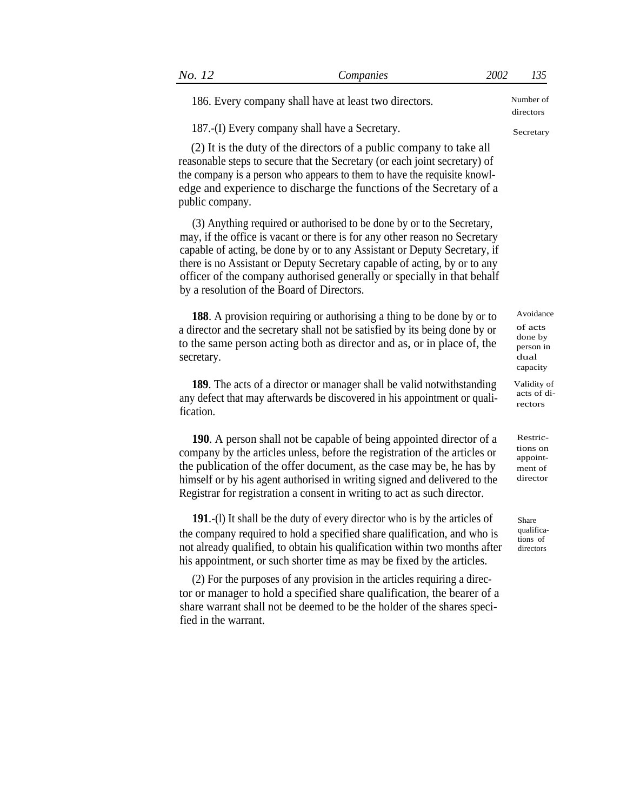| No. 12                                                                                                                                                                                                                                                                                                                                                                             | Companies                                                                                                                                                                                                                                                                                                                                                                                 | 2002                                                    | 135                                                              |
|------------------------------------------------------------------------------------------------------------------------------------------------------------------------------------------------------------------------------------------------------------------------------------------------------------------------------------------------------------------------------------|-------------------------------------------------------------------------------------------------------------------------------------------------------------------------------------------------------------------------------------------------------------------------------------------------------------------------------------------------------------------------------------------|---------------------------------------------------------|------------------------------------------------------------------|
|                                                                                                                                                                                                                                                                                                                                                                                    | 186. Every company shall have at least two directors.                                                                                                                                                                                                                                                                                                                                     |                                                         | Number of<br>directors                                           |
| 187.-(I) Every company shall have a Secretary.                                                                                                                                                                                                                                                                                                                                     |                                                                                                                                                                                                                                                                                                                                                                                           |                                                         | Secretary                                                        |
| public company.                                                                                                                                                                                                                                                                                                                                                                    | (2) It is the duty of the directors of a public company to take all<br>reasonable steps to secure that the Secretary (or each joint secretary) of<br>the company is a person who appears to them to have the requisite knowl-<br>edge and experience to discharge the functions of the Secretary of a                                                                                     |                                                         |                                                                  |
| by a resolution of the Board of Directors.                                                                                                                                                                                                                                                                                                                                         | (3) Anything required or authorised to be done by or to the Secretary,<br>may, if the office is vacant or there is for any other reason no Secretary<br>capable of acting, be done by or to any Assistant or Deputy Secretary, if<br>there is no Assistant or Deputy Secretary capable of acting, by or to any<br>officer of the company authorised generally or specially in that behalf |                                                         |                                                                  |
| secretary.                                                                                                                                                                                                                                                                                                                                                                         | <b>188.</b> A provision requiring or authorising a thing to be done by or to<br>a director and the secretary shall not be satisfied by its being done by or<br>to the same person acting both as director and as, or in place of, the                                                                                                                                                     |                                                         | Avoidance<br>of acts<br>done by<br>person in<br>dual<br>capacity |
| fication.                                                                                                                                                                                                                                                                                                                                                                          | 189. The acts of a director or manager shall be valid notwithstanding<br>any defect that may afterwards be discovered in his appointment or quali-                                                                                                                                                                                                                                        |                                                         | Validity of<br>acts of di-<br>rectors                            |
| 190. A person shall not be capable of being appointed director of a<br>company by the articles unless, before the registration of the articles or<br>the publication of the offer document, as the case may be, he has by<br>himself or by his agent authorised in writing signed and delivered to the<br>Registrar for registration a consent in writing to act as such director. |                                                                                                                                                                                                                                                                                                                                                                                           | Restric-<br>tions on<br>appoint-<br>ment of<br>director |                                                                  |
|                                                                                                                                                                                                                                                                                                                                                                                    | 191.-(1) It shall be the duty of every director who is by the articles of<br>the company required to hold a specified share qualification, and who is<br>not already qualified, to obtain his qualification within two months after<br>his appointment, or such shorter time as may be fixed by the articles.                                                                             |                                                         | Share<br>qualifica-<br>tions of<br>directors                     |
| fied in the warrant.                                                                                                                                                                                                                                                                                                                                                               | (2) For the purposes of any provision in the articles requiring a direc-<br>tor or manager to hold a specified share qualification, the bearer of a<br>share warrant shall not be deemed to be the holder of the shares speci-                                                                                                                                                            |                                                         |                                                                  |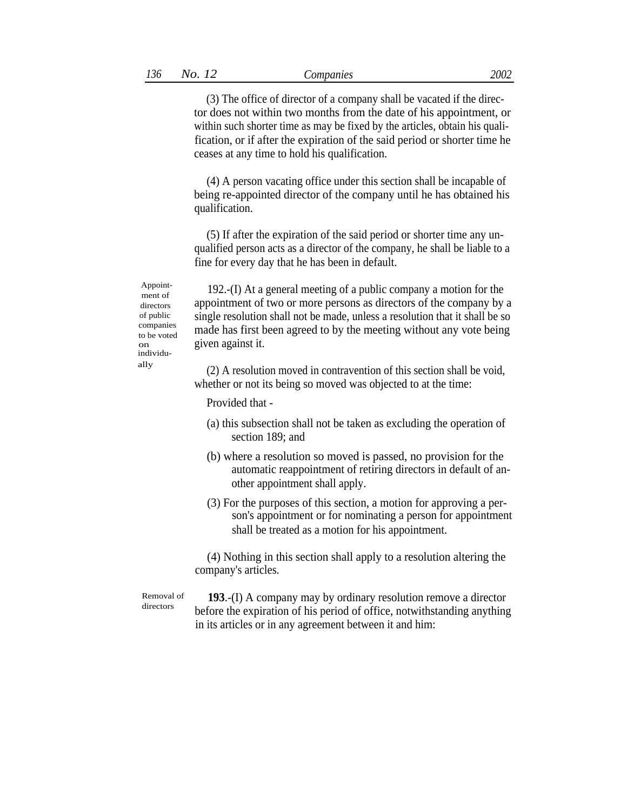(3) The office of director of a company shall be vacated if the director does not within two months from the date of his appointment, or within such shorter time as may be fixed by the articles, obtain his qualification, or if after the expiration of the said period or shorter time he ceases at any time to hold his qualification.

(4) A person vacating office under this section shall be incapable of being re-appointed director of the company until he has obtained his qualification.

(5) If after the expiration of the said period or shorter time any unqualified person acts as a director of the company, he shall be liable to a fine for every day that he has been in default.

ment of directors of public companies to be voted on individu-

Appoint-<br>192.-(I) At a general meeting of a public company a motion for the appointment of two or more persons as directors of the company by a single resolution shall not be made, unless a resolution that it shall be so made has first been agreed to by the meeting without any vote being given against it.

ally (2) A resolution moved in contravention of this section shall be void, whether or not its being so moved was objected to at the time:

Provided that -

- (a) this subsection shall not be taken as excluding the operation of section 189; and
- (b) where a resolution so moved is passed, no provision for the automatic reappointment of retiring directors in default of another appointment shall apply.
- (3) For the purposes of this section, a motion for approving a person's appointment or for nominating a person for appointment shall be treated as a motion for his appointment.

(4) Nothing in this section shall apply to a resolution altering the company's articles.

Removal of directors

**193**.-(I) A company may by ordinary resolution remove a director before the expiration of his period of office, notwithstanding anything in its articles or in any agreement between it and him: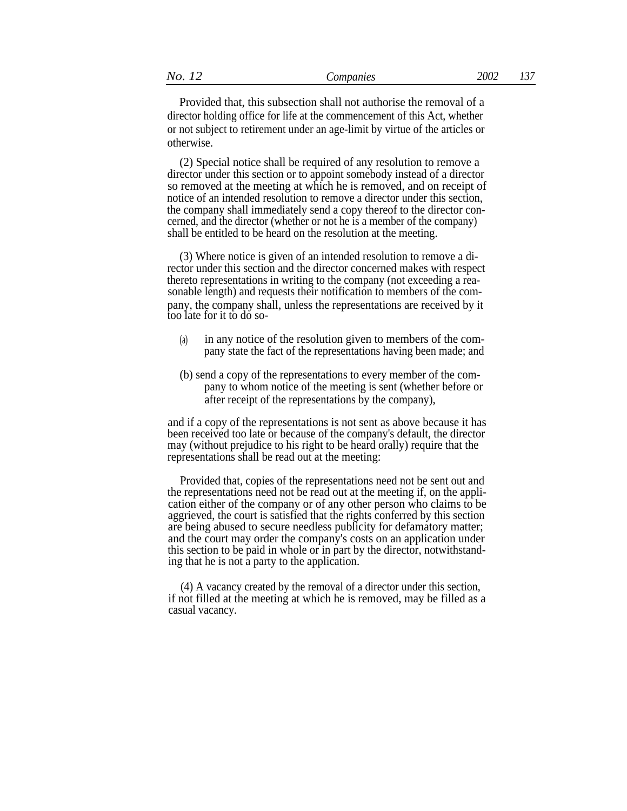(2) Special notice shall be required of any resolution to remove a director under this section or to appoint somebody instead of a director so removed at the meeting at which he is removed, and on receipt of notice of an intended resolution to remove a director under this section, the company shall immediately send a copy thereof to the director concerned, and the director (whether or not he is a member of the company) shall be entitled to be heard on the resolution at the meeting.

(3) Where notice is given of an intended resolution to remove a director under this section and the director concerned makes with respect thereto representations in writing to the company (not exceeding a reasonable length) and requests their notification to members of the company, the company shall, unless the representations are received by it too late for it to do so-

- in any notice of the resolution given to members of the company state the fact of the representations having been made; and (a)
- (b) send a copy of the representations to every member of the company to whom notice of the meeting is sent (whether before or after receipt of the representations by the company),

and if a copy of the representations is not sent as above because it has been received too late or because of the company's default, the director may (without prejudice to his right to be heard orally) require that the representations shall be read out at the meeting:

Provided that, copies of the representations need not be sent out and the representations need not be read out at the meeting if, on the application either of the company or of any other person who claims to be aggrieved, the court is satisfied that the rights conferred by this section are being abused to secure needless publicity for defamatory matter; and the court may order the company's costs on an application under this section to be paid in whole or in part by the director, notwithstanding that he is not a party to the application.

(4) A vacancy created by the removal of a director under this section, if not filled at the meeting at which he is removed, may be filled as a casual vacancy.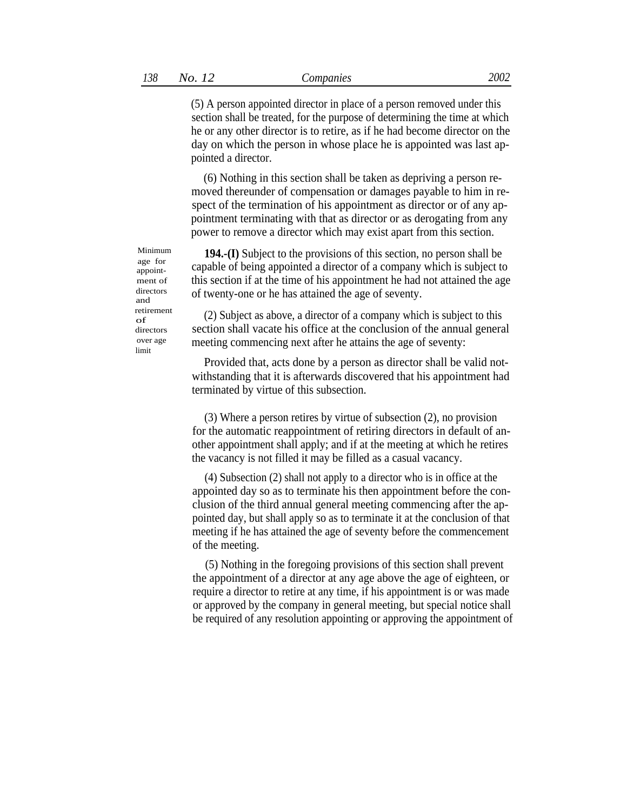(5) A person appointed director in place of a person removed under this section shall be treated, for the purpose of determining the time at which he or any other director is to retire, as if he had become director on the day on which the person in whose place he is appointed was last appointed a director.

(6) Nothing in this section shall be taken as depriving a person removed thereunder of compensation or damages payable to him in respect of the termination of his appointment as director or of any appointment terminating with that as director or as derogating from any power to remove a director which may exist apart from this section.

**194.-(I)** Subject to the provisions of this section, no person shall be capable of being appointed a director of a company which is subject to this section if at the time of his appointment he had not attained the age of twenty-one or he has attained the age of seventy.

retirement (2) Subject as above, a director of a company which is subject to this section shall vacate his office at the conclusion of the annual general meeting commencing next after he attains the age of seventy:

> Provided that, acts done by a person as director shall be valid notwithstanding that it is afterwards discovered that his appointment had terminated by virtue of this subsection.

> (3) Where a person retires by virtue of subsection (2), no provision for the automatic reappointment of retiring directors in default of another appointment shall apply; and if at the meeting at which he retires the vacancy is not filled it may be filled as a casual vacancy.

> (4) Subsection (2) shall not apply to a director who is in office at the appointed day so as to terminate his then appointment before the conclusion of the third annual general meeting commencing after the appointed day, but shall apply so as to terminate it at the conclusion of that meeting if he has attained the age of seventy before the commencement of the meeting.

> (5) Nothing in the foregoing provisions of this section shall prevent the appointment of a director at any age above the age of eighteen, or require a director to retire at any time, if his appointment is or was made or approved by the company in general meeting, but special notice shall be required of any resolution appointing or approving the appointment of

Minimum age for appointment of directors and of directors over age limit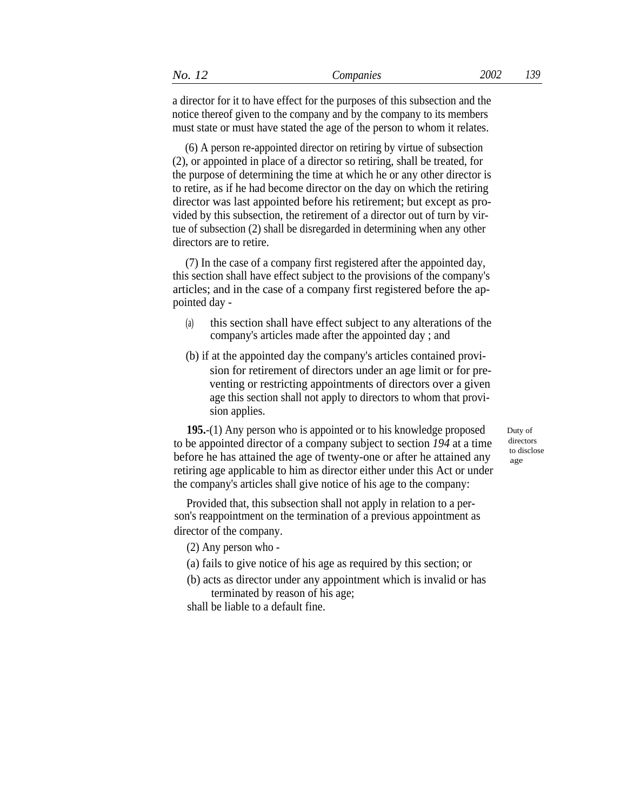a director for it to have effect for the purposes of this subsection and the notice thereof given to the company and by the company to its members must state or must have stated the age of the person to whom it relates.

(6) A person re-appointed director on retiring by virtue of subsection (2), or appointed in place of a director so retiring, shall be treated, for the purpose of determining the time at which he or any other director is to retire, as if he had become director on the day on which the retiring director was last appointed before his retirement; but except as provided by this subsection, the retirement of a director out of turn by virtue of subsection (2) shall be disregarded in determining when any other directors are to retire.

(7) In the case of a company first registered after the appointed day, this section shall have effect subject to the provisions of the company's articles; and in the case of a company first registered before the appointed day -

- this section shall have effect subject to any alterations of the company's articles made after the appointed day ; and (a)
- (b) if at the appointed day the company's articles contained provision for retirement of directors under an age limit or for preventing or restricting appointments of directors over a given age this section shall not apply to directors to whom that provision applies.

**195.**-(1) Any person who is appointed or to his knowledge proposed to be appointed director of a company subject to section *194* at a time before he has attained the age of twenty-one or after he attained any retiring age applicable to him as director either under this Act or under the company's articles shall give notice of his age to the company:

Provided that, this subsection shall not apply in relation to a person's reappointment on the termination of a previous appointment as director of the company.

- (2) Any person who -
- (a) fails to give notice of his age as required by this section; or
- (b) acts as director under any appointment which is invalid or has terminated by reason of his age;

shall be liable to a default fine.

Duty of directors to disclose age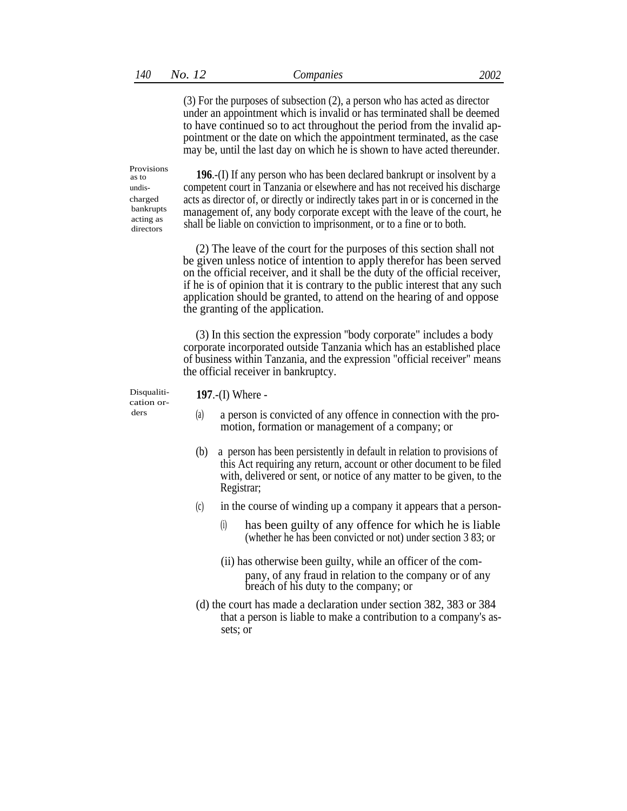(3) For the purposes of subsection (2), a person who has acted as director under an appointment which is invalid or has terminated shall be deemed to have continued so to act throughout the period from the invalid appointment or the date on which the appointment terminated, as the case may be, until the last day on which he is shown to have acted thereunder.

as to undischarged bankrupts acting as directors

Provisions **<sup>196</sup>**.-(I) If any person who has been declared bankrupt or insolvent by a competent court in Tanzania or elsewhere and has not received his discharge acts as director of, or directly or indirectly takes part in or is concerned in the management of, any body corporate except with the leave of the court, he shall be liable on conviction to imprisonment, or to a fine or to both.

> (2) The leave of the court for the purposes of this section shall not be given unless notice of intention to apply therefor has been served on the official receiver, and it shall be the duty of the official receiver, if he is of opinion that it is contrary to the public interest that any such application should be granted, to attend on the hearing of and oppose the granting of the application.

> (3) In this section the expression ''body corporate" includes a body corporate incorporated outside Tanzania which has an established place of business within Tanzania, and the expression "official receiver" means the official receiver in bankruptcy.

cation or ders

Disqualiti- **197**.-(I) Where -

- (a) a person is convicted of any offence in connection with the promotion, formation or management of a company; or
- (b) a person has been persistently in default in relation to provisions of this Act requiring any return, account or other document to be filed with, delivered or sent, or notice of any matter to be given, to the Registrar;
- (c) in the course of winding up a company it appears that a person-
	- (i) has been guilty of any offence for which he is liable (whether he has been convicted or not) under section 3 83; or
	- (ii) has otherwise been guilty, while an officer of the company, of any fraud in relation to the company or of any breach of his duty to the company; or
- (d) the court has made a declaration under section 382, 383 or 384 that a person is liable to make a contribution to a company's assets; or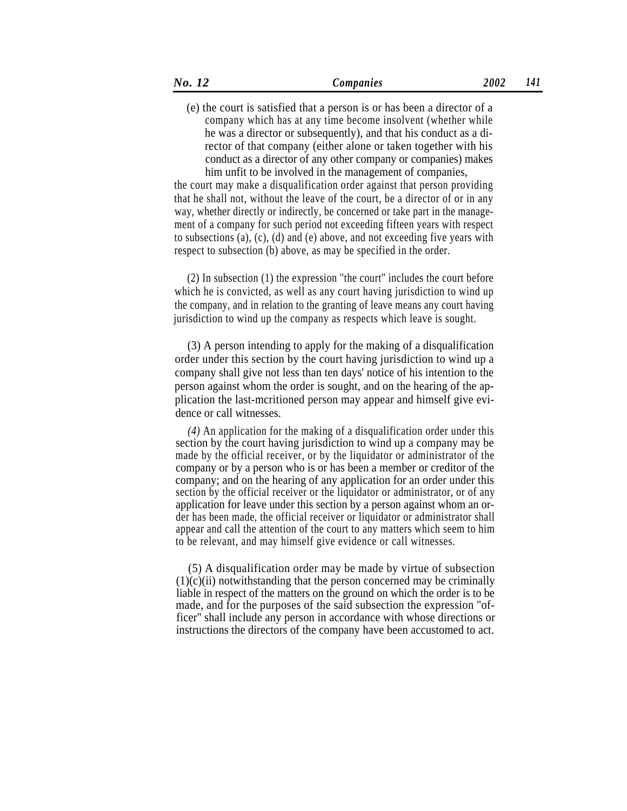(e) the court is satisfied that a person is or has been a director of a company which has at any time become insolvent (whether while he was a director or subsequently), and that his conduct as a director of that company (either alone or taken together with his conduct as a director of any other company or companies) makes him unfit to be involved in the management of companies,

the court may make a disqualification order against that person providing that he shall not, without the leave of the court, be a director of or in any way, whether directly or indirectly, be concerned or take part in the management of a company for such period not exceeding fifteen years with respect to subsections (a), (c), (d) and (e) above, and not exceeding five years with respect to subsection (b) above, as may be specified in the order.

(2) In subsection (1) the expression ''the court'' includes the court before which he is convicted, as well as any court having jurisdiction to wind up the company, and in relation to the granting of leave means any court having jurisdiction to wind up the company as respects which leave is sought.

(3) A person intending to apply for the making of a disqualification order under this section by the court having jurisdiction to wind up a company shall give not less than ten days' notice of his intention to the person against whom the order is sought, and on the hearing of the application the last-mcritioned person may appear and himself give evidence or call witnesses.

*(4)* An application for the making of a disqualification order under this section by the court having jurisdiction to wind up a company may be made by the official receiver, or by the liquidator or administrator of the company or by a person who is or has been a member or creditor of the company; and on the hearing of any application for an order under this section by the official receiver or the liquidator or administrator, or of any application for leave under this section by a person against whom an order has been made, the official receiver or liquidator or administrator shall appear and call the attention of the court to any matters which seem to him to be relevant, and may himself give evidence or call witnesses.

(5) A disqualification order may be made by virtue of subsection  $(1)(c)(ii)$  notwithstanding that the person concerned may be criminally liable in respect of the matters on the ground on which the order is to be made, and for the purposes of the said subsection the expression ''officer'' shall include any person in accordance with whose directions or instructions the directors of the company have been accustomed to act.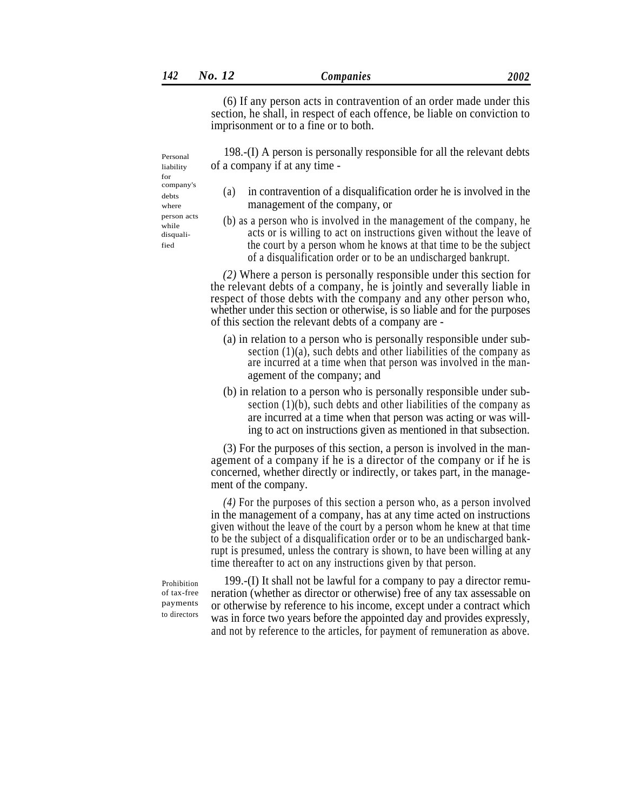(6) If any person acts in contravention of an order made under this section, he shall, in respect of each offence, be liable on conviction to imprisonment or to a fine or to both.

198.-(I) A person is personally responsible for all the relevant debts of a company if at any time -

Personal liability for company's debts where disqualified

- (a) in contravention of a disqualification order he is involved in the management of the company, or
- person acts (b) as a person who is involved in the management of the company, he acts or is willing to act on instructions given without the leave of the court by a person whom he knows at that time to be the subject of a disqualification order or to be an undischarged bankrupt.

*(2)* Where a person is personally responsible under this section for the relevant debts of a company, he is jointly and severally liable in respect of those debts with the company and any other person who, whether under this section or otherwise, is so liable and for the purposes of this section the relevant debts of a company are -

- (a) in relation to a person who is personally responsible under subsection (1)(a), such debts and other liabilities of the company as are incurred at a time when that person was involved in the management of the company; and
- (b) in relation to a person who is personally responsible under subsection (1)(b), such debts and other liabilities of the company as are incurred at a time when that person was acting or was willing to act on instructions given as mentioned in that subsection.

(3) For the purposes of this section, a person is involved in the management of a company if he is a director of the company or if he is concerned, whether directly or indirectly, or takes part, in the management of the company.

*(4)* For the purposes of this section a person who, as a person involved in the management of a company, has at any time acted on instructions given without the leave of the court by a person whom he knew at that time to be the subject of a disqualification order or to be an undischarged bankrupt is presumed, unless the contrary is shown, to have been willing at any time thereafter to act on any instructions given by that person.

Prohibition of tax-free payments to directors

199.-(I) It shall not be lawful for a company to pay a director remuneration (whether as director or otherwise) free of any tax assessable on or otherwise by reference to his income, except under a contract which was in force two years before the appointed day and provides expressly, and not by reference to the articles, for payment of remuneration as above.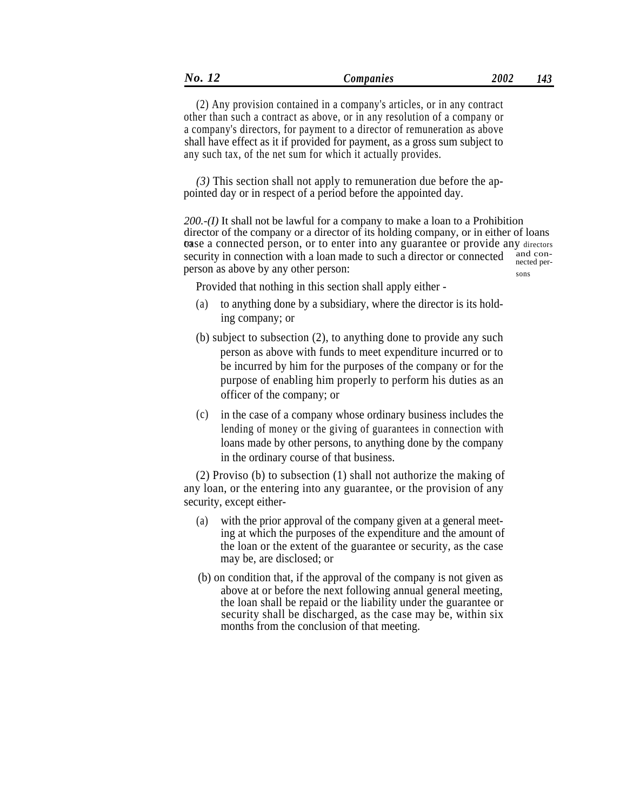(2) Any provision contained in a company's articles, or in any contract other than such a contract as above, or in any resolution of a company or a company's directors, for payment to a director of remuneration as above shall have effect as it if provided for payment, as a gross sum subject to any such tax, of the net sum for which it actually provides.

*(3)* This section shall not apply to remuneration due before the appointed day or in respect of a period before the appointed day.

*200.-(I)* It shall not be lawful for a company to make a loan to a Prohibition director of the company or a director of its holding company, or in either of loans **base a connected person, or to enter into any guarantee or provide any** directors security in connection with a loan made to such a director or connected and consecurity in connection with a loan made to such a director or connected and conperson as above by any other person: sons

Provided that nothing in this section shall apply either -

- (a) to anything done by a subsidiary, where the director is its holding company; or
- (b) subject to subsection (2), to anything done to provide any such person as above with funds to meet expenditure incurred or to be incurred by him for the purposes of the company or for the purpose of enabling him properly to perform his duties as an officer of the company; or
- (c) in the case of a company whose ordinary business includes the lending of money or the giving of guarantees in connection with loans made by other persons, to anything done by the company in the ordinary course of that business.

(2) Proviso (b) to subsection (1) shall not authorize the making of any loan, or the entering into any guarantee, or the provision of any security, except either-

- with the prior approval of the company given at a general meeting at which the purposes of the expenditure and the amount of the loan or the extent of the guarantee or security, as the case may be, are disclosed; or (a)
- (b) on condition that, if the approval of the company is not given as above at or before the next following annual general meeting, the loan shall be repaid or the liability under the guarantee or security shall be discharged, as the case may be, within six months from the conclusion of that meeting.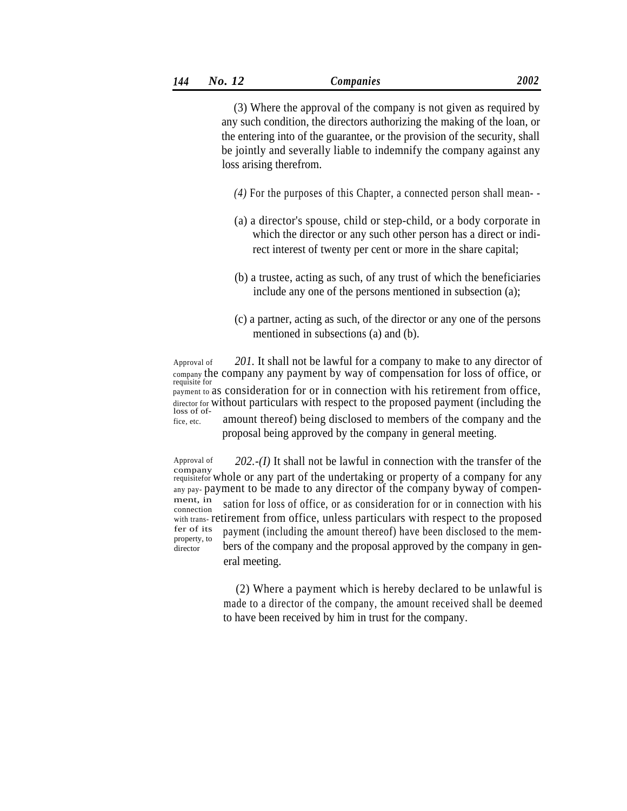(3) Where the approval of the company is not given as required by any such condition, the directors authorizing the making of the loan, or the entering into of the guarantee, or the provision of the security, shall be jointly and severally liable to indemnify the company against any loss arising therefrom.

*(4)* For the purposes of this Chapter, a connected person shall mean- -

- (a) a director's spouse, child or step-child, or a body corporate in which the director or any such other person has a direct or indirect interest of twenty per cent or more in the share capital;
- (b) a trustee, acting as such, of any trust of which the beneficiaries include any one of the persons mentioned in subsection (a);
- (c) a partner, acting as such, of the director or any one of the persons mentioned in subsections (a) and (b).

Approval of *201.* It shall not be lawful for a company to make to any director of company the company any payment by way of compensation for loss of office, or requisite for payment to as consideration for or in connection with his retirement from office, director for without particulars with respect to the proposed payment (including the loss of ofamount thereof) being disclosed to members of the company and the proposal being approved by the company in general meeting. fice, etc.

Approval of *202.-(I)* It shall not be lawful in connection with the transfer of the company requisitefor whole or any part of the undertaking or property of a company for any any pay- payment to be made to any director of the company byway of compen-<br>ment, in extinction for last of office, or as consideration for an in equation with his ment, in sation for loss of office, or as consideration for or in connection with his connection with trans- retirement from office, unless particulars with respect to the proposed fer of its property, to director payment (including the amount thereof) have been disclosed to the members of the company and the proposal approved by the company in general meeting.

> (2) Where a payment which is hereby declared to be unlawful is made to a director of the company, the amount received shall be deemed to have been received by him in trust for the company.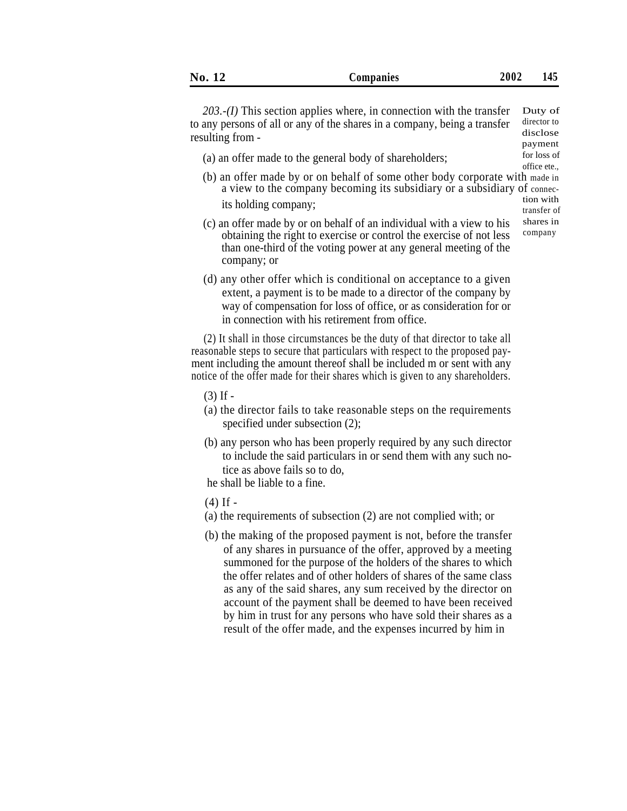*203.-(I)* This section applies where, in connection with the transfer to any persons of all or any of the shares in a company, being a transfer resulting from - Duty of

(a) an offer made to the general body of shareholders; for loss of office ete.

director to disclose payment

- (b) an offer made by or on behalf of some other body corporate with made in a view to the company becoming its subsidiary or a subsidiary of connecits holding company; the interval of the company of the transfer of the transfer of the transfer of the transfer of
- (c) an offer made by or on behalf of an individual with a view to his shares in obtaining the right to exercise or control the exercise of not less than one-third of the voting power at any general meeting of the company; or
- (d) any other offer which is conditional on acceptance to a given extent, a payment is to be made to a director of the company by way of compensation for loss of office, or as consideration for or in connection with his retirement from office.

(2) It shall in those circumstances be the duty of that director to take all reasonable steps to secure that particulars with respect to the proposed payment including the amount thereof shall be included m or sent with any notice of the offer made for their shares which is given to any shareholders.

- (3) If -
- (a) the director fails to take reasonable steps on the requirements specified under subsection (2);
- (b) any person who has been properly required by any such director to include the said particulars in or send them with any such notice as above fails so to do,
- he shall be liable to a fine.
- $(4)$  If  $-$
- (a) the requirements of subsection (2) are not complied with; or
- (b) the making of the proposed payment is not, before the transfer of any shares in pursuance of the offer, approved by a meeting summoned for the purpose of the holders of the shares to which the offer relates and of other holders of shares of the same class as any of the said shares, any sum received by the director on account of the payment shall be deemed to have been received by him in trust for any persons who have sold their shares as a result of the offer made, and the expenses incurred by him in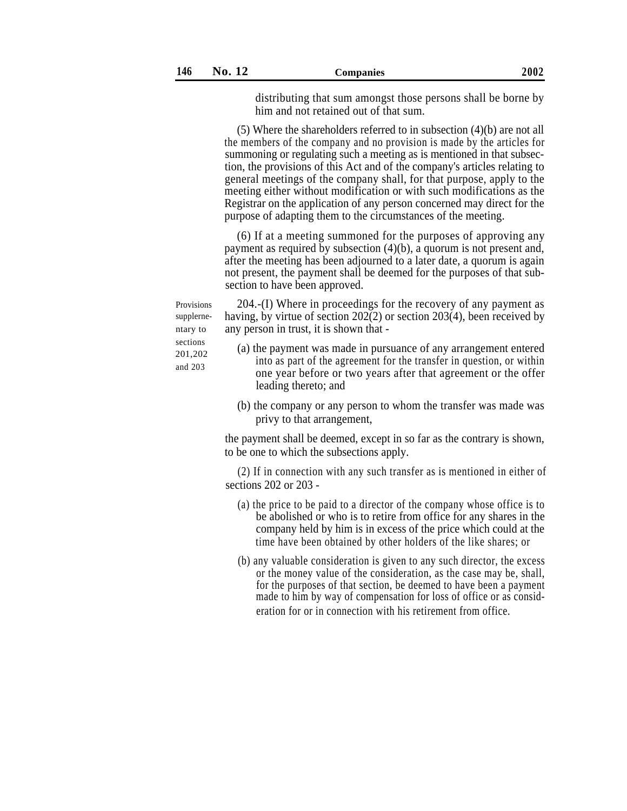distributing that sum amongst those persons shall be borne by him and not retained out of that sum.

(5) Where the shareholders referred to in subsection (4)(b) are not all the members of the company and no provision is made by the articles for summoning or regulating such a meeting as is mentioned in that subsection, the provisions of this Act and of the company's articles relating to general meetings of the company shall, for that purpose, apply to the meeting either without modification or with such modifications as the Registrar on the application of any person concerned may direct for the purpose of adapting them to the circumstances of the meeting.

(6) If at a meeting summoned for the purposes of approving any payment as required by subsection (4)(b), a quorum is not present and, after the meeting has been adjourned to a later date, a quorum is again not present, the payment shall be deemed for the purposes of that subsection to have been approved.

204.-(I) Where in proceedings for the recovery of any payment as having, by virtue of section 202(2) or section 203(4), been received by any person in trust, it is shown that -

- sections (a) the payment was made in pursuance of any arrangement entered into as part of the agreement for the transfer in question, or within one year before or two years after that agreement or the offer leading thereto; and
	- (b) the company or any person to whom the transfer was made was privy to that arrangement,

the payment shall be deemed, except in so far as the contrary is shown, to be one to which the subsections apply.

(2) If in connection with any such transfer as is mentioned in either of sections 202 or 203 -

- (a) the price to be paid to a director of the company whose office is to be abolished or who is to retire from office for any shares in the company held by him is in excess of the price which could at the time have been obtained by other holders of the like shares; or
- (b) any valuable consideration is given to any such director, the excess or the money value of the consideration, as the case may be, shall, for the purposes of that section, be deemed to have been a payment made to him by way of compensation for loss of office or as consideration for or in connection with his retirement from office.

Provisions supplernentary to and 203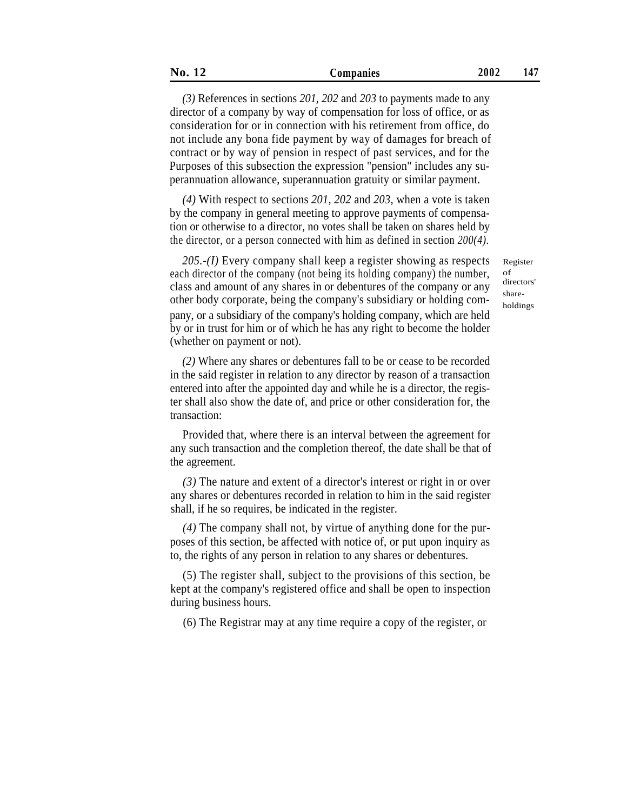*(3)* References in sections *201, 202* and *203* to payments made to any director of a company by way of compensation for loss of office, or as consideration for or in connection with his retirement from office, do not include any bona fide payment by way of damages for breach of contract or by way of pension in respect of past services, and for the Purposes of this subsection the expression ''pension'' includes any superannuation allowance, superannuation gratuity or similar payment.

*(4)* With respect to sections *201, 202* and *203,* when a vote is taken by the company in general meeting to approve payments of compensation or otherwise to a director, no votes shall be taken on shares held by the director, or a person connected with him as defined in section *200(4).*

*205.-(I)* Every company shall keep a register showing as respects each director of the company (not being its holding company) the number, class and amount of any shares in or debentures of the company or any other body corporate, being the company's subsidiary or holding company, or a subsidiary of the company's holding company, which are held by or in trust for him or of which he has any right to become the holder (whether on payment or not).

Register of directors' shareholdings

*(2)* Where any shares or debentures fall to be or cease to be recorded in the said register in relation to any director by reason of a transaction entered into after the appointed day and while he is a director, the register shall also show the date of, and price or other consideration for, the transaction:

Provided that, where there is an interval between the agreement for any such transaction and the completion thereof, the date shall be that of the agreement.

*(3)* The nature and extent of a director's interest or right in or over any shares or debentures recorded in relation to him in the said register shall, if he so requires, be indicated in the register.

*(4)* The company shall not, by virtue of anything done for the purposes of this section, be affected with notice of, or put upon inquiry as to, the rights of any person in relation to any shares or debentures.

(5) The register shall, subject to the provisions of this section, be kept at the company's registered office and shall be open to inspection during business hours.

(6) The Registrar may at any time require a copy of the register, or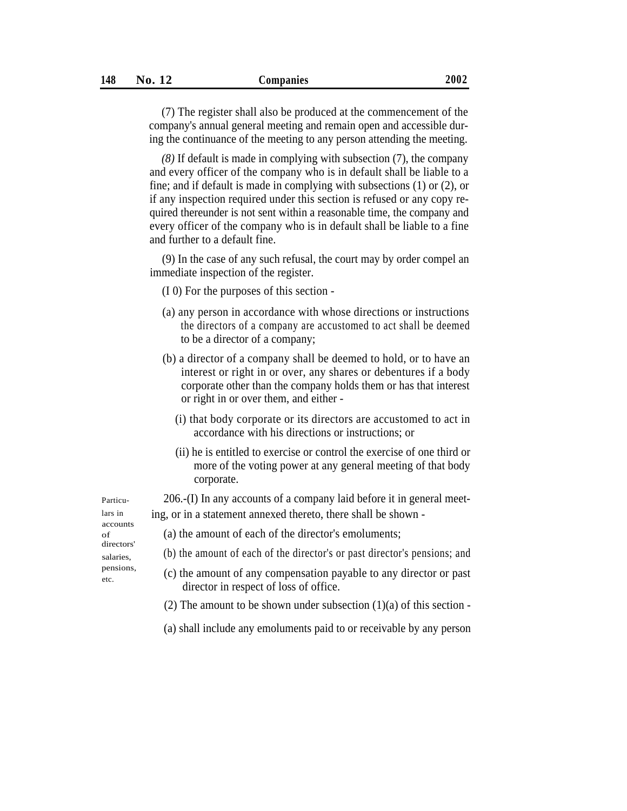(7) The register shall also be produced at the commencement of the company's annual general meeting and remain open and accessible during the continuance of the meeting to any person attending the meeting.

*(8)* If default is made in complying with subsection (7), the company and every officer of the company who is in default shall be liable to a fine; and if default is made in complying with subsections (1) or (2), or if any inspection required under this section is refused or any copy required thereunder is not sent within a reasonable time, the company and every officer of the company who is in default shall be liable to a fine and further to a default fine.

(9) In the case of any such refusal, the court may by order compel an immediate inspection of the register.

(I 0) For the purposes of this section -

- (a) any person in accordance with whose directions or instructions the directors of a company are accustomed to act shall be deemed to be a director of a company;
- (b) a director of a company shall be deemed to hold, or to have an interest or right in or over, any shares or debentures if a body corporate other than the company holds them or has that interest or right in or over them, and either -
	- (i) that body corporate or its directors are accustomed to act in accordance with his directions or instructions; or
	- (ii) he is entitled to exercise or control the exercise of one third or more of the voting power at any general meeting of that body corporate.

Particu- 206.-(I) In any accounts of a company laid before it in general meetlars in ing, or in a statement annexed thereto, there shall be shown -

- (a) the amount of each of the director's emoluments;
- (b) the amount of each of the director's or past director's pensions; and
- pensions, (c) the amount of any compensation payable to any director or past director in respect of loss of office.
	- (2) The amount to be shown under subsection  $(1)(a)$  of this section -
	- (a) shall include any emoluments paid to or receivable by any person

accounts of directors' salaries,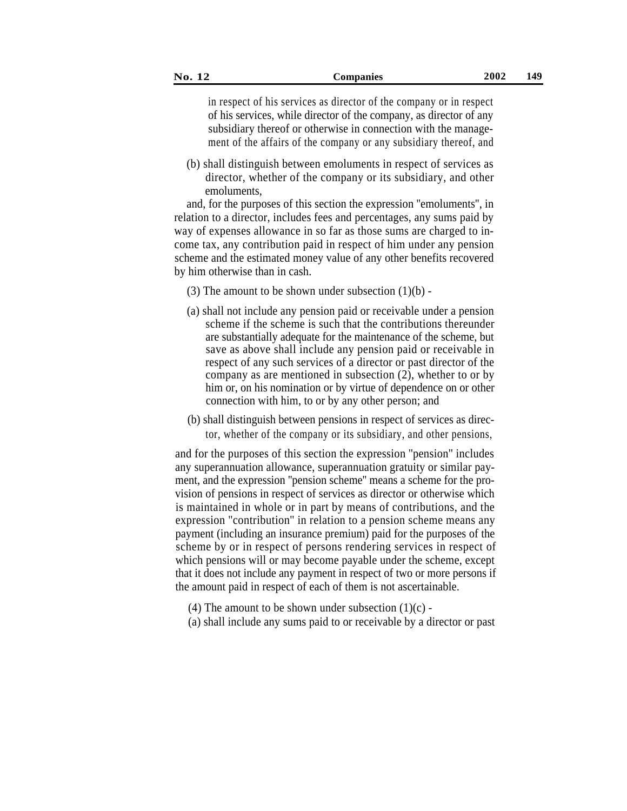in respect of his services as director of the company or in respect of his services, while director of the company, as director of any subsidiary thereof or otherwise in connection with the management of the affairs of the company or any subsidiary thereof, and

(b) shall distinguish between emoluments in respect of services as director, whether of the company or its subsidiary, and other emoluments,

and, for the purposes of this section the expression ''emoluments'', in relation to a director, includes fees and percentages, any sums paid by way of expenses allowance in so far as those sums are charged to income tax, any contribution paid in respect of him under any pension scheme and the estimated money value of any other benefits recovered by him otherwise than in cash.

- (3) The amount to be shown under subsection  $(1)(b)$ .
- (a) shall not include any pension paid or receivable under a pension scheme if the scheme is such that the contributions thereunder are substantially adequate for the maintenance of the scheme, but save as above shall include any pension paid or receivable in respect of any such services of a director or past director of the company as are mentioned in subsection (2), whether to or by him or, on his nomination or by virtue of dependence on or other connection with him, to or by any other person; and
- (b) shall distinguish between pensions in respect of services as director, whether of the company or its subsidiary, and other pensions,

and for the purposes of this section the expression ''pension'' includes any superannuation allowance, superannuation gratuity or similar payment, and the expression ''pension scheme'' means a scheme for the provision of pensions in respect of services as director or otherwise which is maintained in whole or in part by means of contributions, and the expression ''contribution'' in relation to a pension scheme means any payment (including an insurance premium) paid for the purposes of the scheme by or in respect of persons rendering services in respect of which pensions will or may become payable under the scheme, except that it does not include any payment in respect of two or more persons if the amount paid in respect of each of them is not ascertainable.

- (4) The amount to be shown under subsection  $(1)(c)$  -
- (a) shall include any sums paid to or receivable by a director or past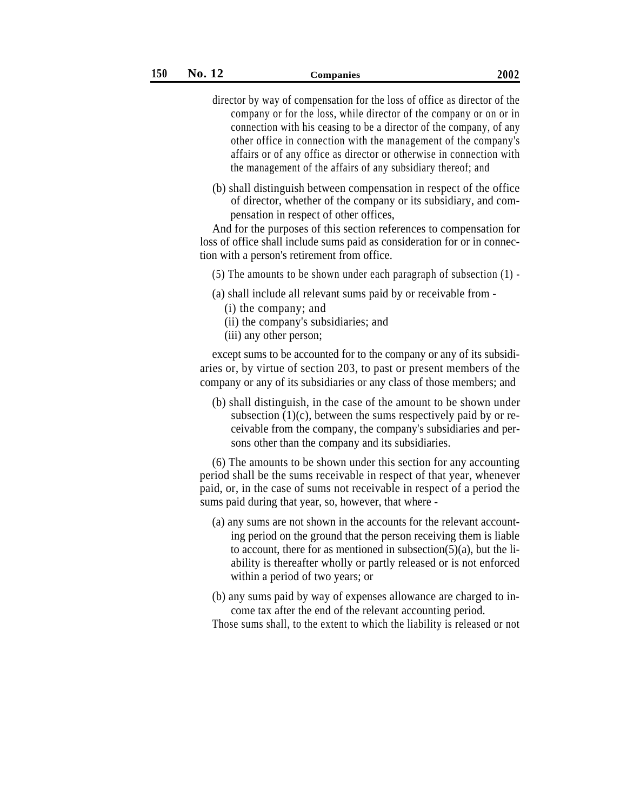- director by way of compensation for the loss of office as director of the company or for the loss, while director of the company or on or in connection with his ceasing to be a director of the company, of any other office in connection with the management of the company's affairs or of any office as director or otherwise in connection with the management of the affairs of any subsidiary thereof; and
- (b) shall distinguish between compensation in respect of the office of director, whether of the company or its subsidiary, and compensation in respect of other offices,

And for the purposes of this section references to compensation for loss of office shall include sums paid as consideration for or in connection with a person's retirement from office.

- (5) The amounts to be shown under each paragraph of subsection (1) -
- (a) shall include all relevant sums paid by or receivable from
	- (i) the company; and
	- (ii) the company's subsidiaries; and
	- (iii) any other person;

except sums to be accounted for to the company or any of its subsidiaries or, by virtue of section 203, to past or present members of the company or any of its subsidiaries or any class of those members; and

(b) shall distinguish, in the case of the amount to be shown under subsection  $(1)(c)$ , between the sums respectively paid by or receivable from the company, the company's subsidiaries and persons other than the company and its subsidiaries.

(6) The amounts to be shown under this section for any accounting period shall be the sums receivable in respect of that year, whenever paid, or, in the case of sums not receivable in respect of a period the sums paid during that year, so, however, that where -

- (a) any sums are not shown in the accounts for the relevant accounting period on the ground that the person receiving them is liable to account, there for as mentioned in subsection(5)(a), but the liability is thereafter wholly or partly released or is not enforced within a period of two years; or
- (b) any sums paid by way of expenses allowance are charged to income tax after the end of the relevant accounting period.
- Those sums shall, to the extent to which the liability is released or not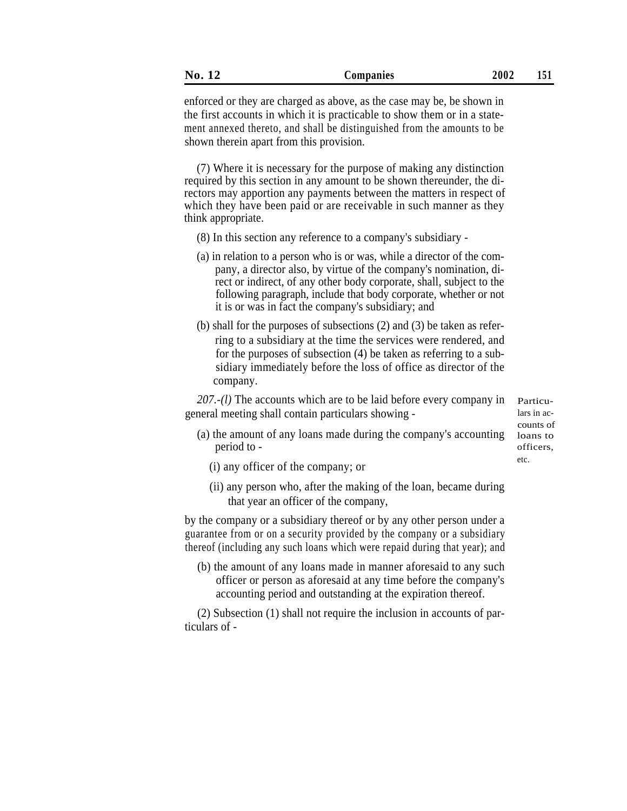| No.<br><b>12</b> | $\mathcal{L}$ ompanies | 2002 | 151 |
|------------------|------------------------|------|-----|
|------------------|------------------------|------|-----|

enforced or they are charged as above, as the case may be, be shown in the first accounts in which it is practicable to show them or in a statement annexed thereto, and shall be distinguished from the amounts to be shown therein apart from this provision.

(7) Where it is necessary for the purpose of making any distinction required by this section in any amount to be shown thereunder, the directors may apportion any payments between the matters in respect of which they have been paid or are receivable in such manner as they think appropriate.

- (8) In this section any reference to a company's subsidiary -
- (a) in relation to a person who is or was, while a director of the company, a director also, by virtue of the company's nomination, direct or indirect, of any other body corporate, shall, subject to the following paragraph, include that body corporate, whether or not it is or was in fact the company's subsidiary; and
- (b) shall for the purposes of subsections (2) and (3) be taken as referring to a subsidiary at the time the services were rendered, and for the purposes of subsection (4) be taken as referring to a subsidiary immediately before the loss of office as director of the company.

*207.-(l)* The accounts which are to be laid before every company in general meeting shall contain particulars showing -

Particulars in accounts of loans to officers,

- (a) the amount of any loans made during the company's accounting period to
	- etc. (i) any officer of the company; or
	- (ii) any person who, after the making of the loan, became during that year an officer of the company,

by the company or a subsidiary thereof or by any other person under a guarantee from or on a security provided by the company or a subsidiary thereof (including any such loans which were repaid during that year); and

(b) the amount of any loans made in manner aforesaid to any such officer or person as aforesaid at any time before the company's accounting period and outstanding at the expiration thereof.

(2) Subsection (1) shall not require the inclusion in accounts of particulars of -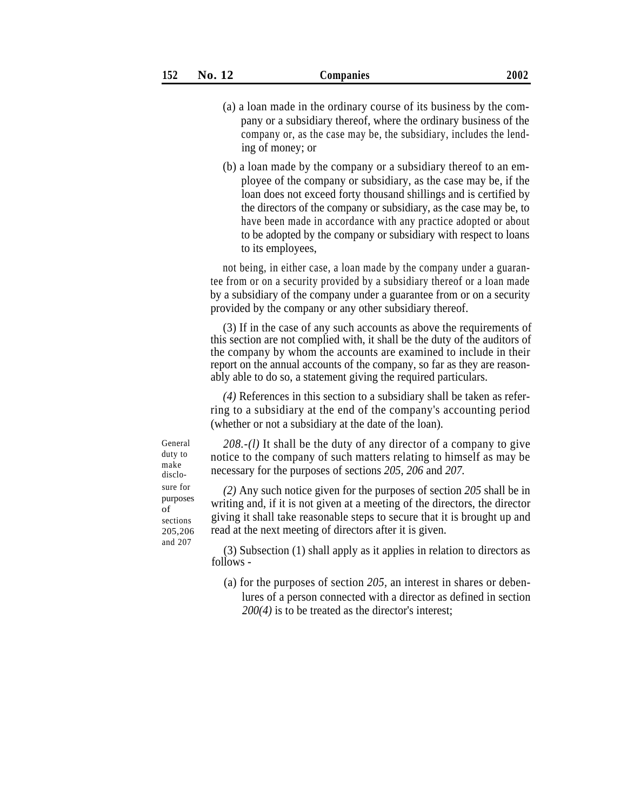- (a) a loan made in the ordinary course of its business by the company or a subsidiary thereof, where the ordinary business of the company or, as the case may be, the subsidiary, includes the lending of money; or
- (b) a loan made by the company or a subsidiary thereof to an employee of the company or subsidiary, as the case may be, if the loan does not exceed forty thousand shillings and is certified by the directors of the company or subsidiary, as the case may be, to have been made in accordance with any practice adopted or about to be adopted by the company or subsidiary with respect to loans to its employees,

not being, in either case, a loan made by the company under a guarantee from or on a security provided by a subsidiary thereof or a loan made by a subsidiary of the company under a guarantee from or on a security provided by the company or any other subsidiary thereof.

(3) If in the case of any such accounts as above the requirements of this section are not complied with, it shall be the duty of the auditors of the company by whom the accounts are examined to include in their report on the annual accounts of the company, so far as they are reasonably able to do so, a statement giving the required particulars.

*(4)* References in this section to a subsidiary shall be taken as referring to a subsidiary at the end of the company's accounting period (whether or not a subsidiary at the date of the loan).

General duty to make disclopurposes of sections 205,206 and 207

*208.-(l)* It shall be the duty of any director of a company to give notice to the company of such matters relating to himself as may be necessary for the purposes of sections *205, 206* and *207.*

sure for *(2)* Any such notice given for the purposes of section *205* shall be in writing and, if it is not given at a meeting of the directors, the director giving it shall take reasonable steps to secure that it is brought up and read at the next meeting of directors after it is given.

> (3) Subsection (1) shall apply as it applies in relation to directors as follows -

(a) for the purposes of section *205,* an interest in shares or debenlures of a person connected with a director as defined in section *200(4)* is to be treated as the director's interest;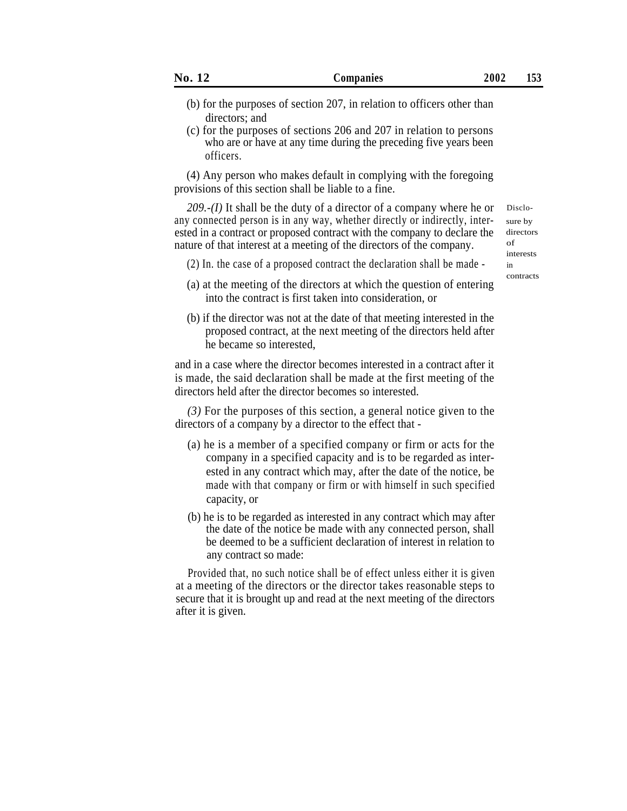- (b) for the purposes of section 207, in relation to officers other than directors; and
- (c) for the purposes of sections 206 and 207 in relation to persons who are or have at any time during the preceding five years been officers.

(4) Any person who makes default in complying with the foregoing provisions of this section shall be liable to a fine.

*209.-(I)* It shall be the duty of a director of a company where he or any connected person is in any way, whether directly or indirectly, interested in a contract or proposed contract with the company to declare the nature of that interest at a meeting of the directors of the company.

Disclosure by directors of interests contracts

- (2) In. the case of a proposed contract the declaration shall be made in
- (a) at the meeting of the directors at which the question of entering into the contract is first taken into consideration, or
- (b) if the director was not at the date of that meeting interested in the proposed contract, at the next meeting of the directors held after he became so interested,

and in a case where the director becomes interested in a contract after it is made, the said declaration shall be made at the first meeting of the directors held after the director becomes so interested.

*(3)* For the purposes of this section, a general notice given to the directors of a company by a director to the effect that -

- (a) he is a member of a specified company or firm or acts for the company in a specified capacity and is to be regarded as interested in any contract which may, after the date of the notice, be made with that company or firm or with himself in such specified capacity, or
- (b) he is to be regarded as interested in any contract which may after the date of the notice be made with any connected person, shall be deemed to be a sufficient declaration of interest in relation to any contract so made:

Provided that, no such notice shall be of effect unless either it is given at a meeting of the directors or the director takes reasonable steps to secure that it is brought up and read at the next meeting of the directors after it is given.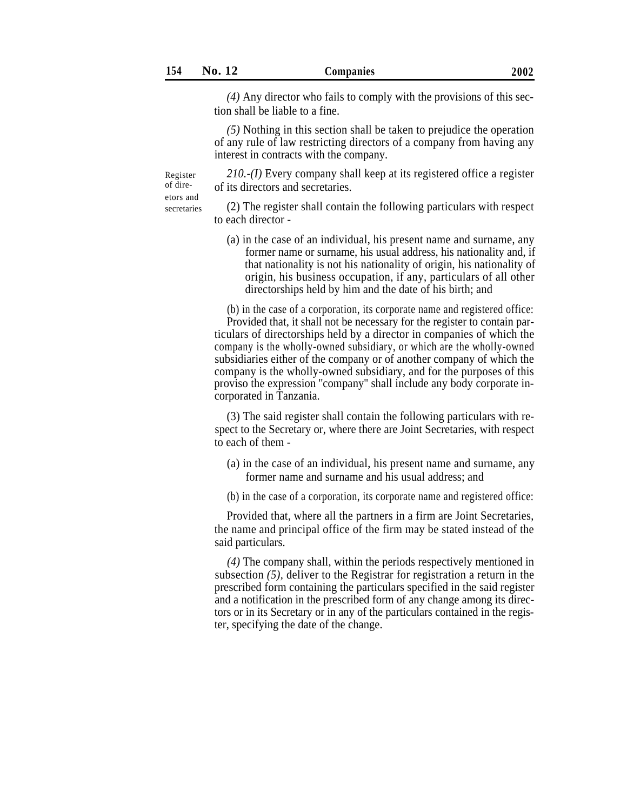*(4)* Any director who fails to comply with the provisions of this section shall be liable to a fine.

*(5)* Nothing in this section shall be taken to prejudice the operation of any rule of law restricting directors of a company from having any interest in contracts with the company.

*210.-(I)* Every company shall keep at its registered office a register of its directors and secretaries.

(2) The register shall contain the following particulars with respect to each director -

(a) in the case of an individual, his present name and surname, any former name or surname, his usual address, his nationality and, if that nationality is not his nationality of origin, his nationality of origin, his business occupation, if any, particulars of all other directorships held by him and the date of his birth; and

(b) in the case of a corporation, its corporate name and registered office:

Provided that, it shall not be necessary for the register to contain particulars of directorships held by a director in companies of which the company is the wholly-owned subsidiary, or which are the wholly-owned subsidiaries either of the company or of another company of which the company is the wholly-owned subsidiary, and for the purposes of this proviso the expression ''company'' shall include any body corporate incorporated in Tanzania.

(3) The said register shall contain the following particulars with respect to the Secretary or, where there are Joint Secretaries, with respect to each of them -

- (a) in the case of an individual, his present name and surname, any former name and surname and his usual address; and
- (b) in the case of a corporation, its corporate name and registered office:

Provided that, where all the partners in a firm are Joint Secretaries, the name and principal office of the firm may be stated instead of the said particulars.

*(4)* The company shall, within the periods respectively mentioned in subsection *(5),* deliver to the Registrar for registration a return in the prescribed form containing the particulars specified in the said register and a notification in the prescribed form of any change among its directors or in its Secretary or in any of the particulars contained in the register, specifying the date of the change.

Register of direetors and secretaries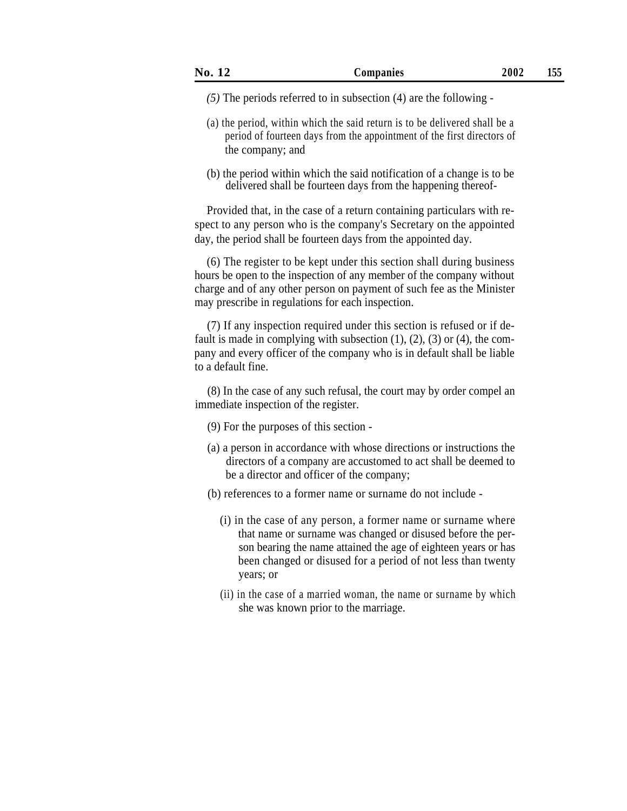- *(5)* The periods referred to in subsection (4) are the following -
- (a) the period, within which the said return is to be delivered shall be a period of fourteen days from the appointment of the first directors of the company; and
- (b) the period within which the said notification of a change is to be delivered shall be fourteen days from the happening thereof-

Provided that, in the case of a return containing particulars with respect to any person who is the company's Secretary on the appointed day, the period shall be fourteen days from the appointed day.

(6) The register to be kept under this section shall during business hours be open to the inspection of any member of the company without charge and of any other person on payment of such fee as the Minister may prescribe in regulations for each inspection.

(7) If any inspection required under this section is refused or if default is made in complying with subsection  $(1)$ ,  $(2)$ ,  $(3)$  or  $(4)$ , the company and every officer of the company who is in default shall be liable to a default fine.

(8) In the case of any such refusal, the court may by order compel an immediate inspection of the register.

- (9) For the purposes of this section -
- (a) a person in accordance with whose directions or instructions the directors of a company are accustomed to act shall be deemed to be a director and officer of the company;
- (b) references to a former name or surname do not include
	- (i) in the case of any person, a former name or surname where that name or surname was changed or disused before the person bearing the name attained the age of eighteen years or has been changed or disused for a period of not less than twenty years; or
	- (ii) in the case of a married woman, the name or surname by which she was known prior to the marriage.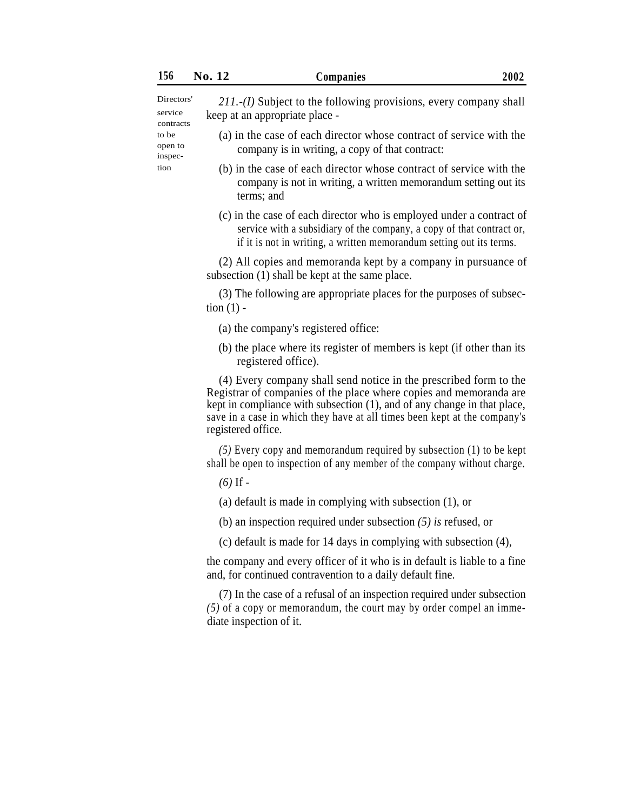| 156                                                                       | No. 12 | Companies                                                                                                                                                                                                                                                                                                              | 2002 |
|---------------------------------------------------------------------------|--------|------------------------------------------------------------------------------------------------------------------------------------------------------------------------------------------------------------------------------------------------------------------------------------------------------------------------|------|
| Directors'<br>service<br>contracts<br>to be<br>open to<br>inspec-<br>tion |        | 211.-(I) Subject to the following provisions, every company shall<br>keep at an appropriate place -                                                                                                                                                                                                                    |      |
|                                                                           |        | (a) in the case of each director whose contract of service with the<br>company is in writing, a copy of that contract:                                                                                                                                                                                                 |      |
|                                                                           |        | (b) in the case of each director whose contract of service with the<br>company is not in writing, a written memorandum setting out its<br>terms; and                                                                                                                                                                   |      |
|                                                                           |        | (c) in the case of each director who is employed under a contract of<br>service with a subsidiary of the company, a copy of that contract or,<br>if it is not in writing, a written memorandum setting out its terms.                                                                                                  |      |
|                                                                           |        | (2) All copies and memoranda kept by a company in pursuance of<br>subsection (1) shall be kept at the same place.                                                                                                                                                                                                      |      |
|                                                                           |        | (3) The following are appropriate places for the purposes of subsec-<br>tion $(1)$ -                                                                                                                                                                                                                                   |      |
|                                                                           |        | (a) the company's registered office:                                                                                                                                                                                                                                                                                   |      |
|                                                                           |        | (b) the place where its register of members is kept (if other than its<br>registered office).                                                                                                                                                                                                                          |      |
|                                                                           |        | (4) Every company shall send notice in the prescribed form to the<br>Registrar of companies of the place where copies and memoranda are<br>kept in compliance with subsection (1), and of any change in that place,<br>save in a case in which they have at all times been kept at the company's<br>registered office. |      |
|                                                                           |        | $(5)$ Every copy and memorandum required by subsection (1) to be kept<br>shall be open to inspection of any member of the company without charge.                                                                                                                                                                      |      |
|                                                                           |        | $(6)$ If -                                                                                                                                                                                                                                                                                                             |      |
|                                                                           |        | (a) default is made in complying with subsection $(1)$ , or                                                                                                                                                                                                                                                            |      |
|                                                                           |        | (b) an inspection required under subsection $(5)$ is refused, or                                                                                                                                                                                                                                                       |      |
|                                                                           |        | (c) default is made for 14 days in complying with subsection (4),                                                                                                                                                                                                                                                      |      |
|                                                                           |        | the company and every officer of it who is in default is liable to a fine<br>and, for continued contravention to a daily default fine.                                                                                                                                                                                 |      |
|                                                                           |        | (7) In the case of a refusal of an inspection required under subsection<br>$(5)$ of a copy or memorandum, the court may by order compel an imme-<br>diate inspection of it.                                                                                                                                            |      |
|                                                                           |        |                                                                                                                                                                                                                                                                                                                        |      |
|                                                                           |        |                                                                                                                                                                                                                                                                                                                        |      |
|                                                                           |        |                                                                                                                                                                                                                                                                                                                        |      |
|                                                                           |        |                                                                                                                                                                                                                                                                                                                        |      |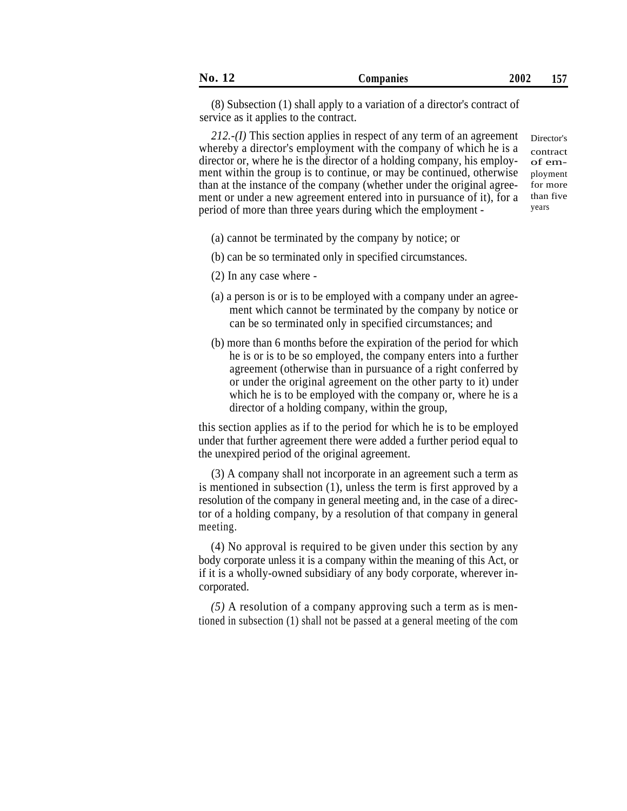| No. | <b>Companies</b> | 0.08<br>$ -$<br>$200 -$<br>▴◡<br>$ -$ |
|-----|------------------|---------------------------------------|
|-----|------------------|---------------------------------------|

(8) Subsection (1) shall apply to a variation of a director's contract of service as it applies to the contract.

*212.-(I)* This section applies in respect of any term of an agreement whereby a director's employment with the company of which he is a director or, where he is the director of a holding company, his employment within the group is to continue, or may be continued, otherwise than at the instance of the company (whether under the original agreement or under a new agreement entered into in pursuance of it), for a period of more than three years during which the employment - Director's contract of employment for more than five years

(a) cannot be terminated by the company by notice; or

(b) can be so terminated only in specified circumstances.

- (2) In any case where -
- (a) a person is or is to be employed with a company under an agreement which cannot be terminated by the company by notice or can be so terminated only in specified circumstances; and
- (b) more than 6 months before the expiration of the period for which he is or is to be so employed, the company enters into a further agreement (otherwise than in pursuance of a right conferred by or under the original agreement on the other party to it) under which he is to be employed with the company or, where he is a director of a holding company, within the group,

this section applies as if to the period for which he is to be employed under that further agreement there were added a further period equal to the unexpired period of the original agreement.

(3) A company shall not incorporate in an agreement such a term as is mentioned in subsection (1), unless the term is first approved by a resolution of the company in general meeting and, in the case of a director of a holding company, by a resolution of that company in general meeting.

(4) No approval is required to be given under this section by any body corporate unless it is a company within the meaning of this Act, or if it is a wholly-owned subsidiary of any body corporate, wherever incorporated.

*(5)* A resolution of a company approving such a term as is mentioned in subsection (1) shall not be passed at a general meeting of the com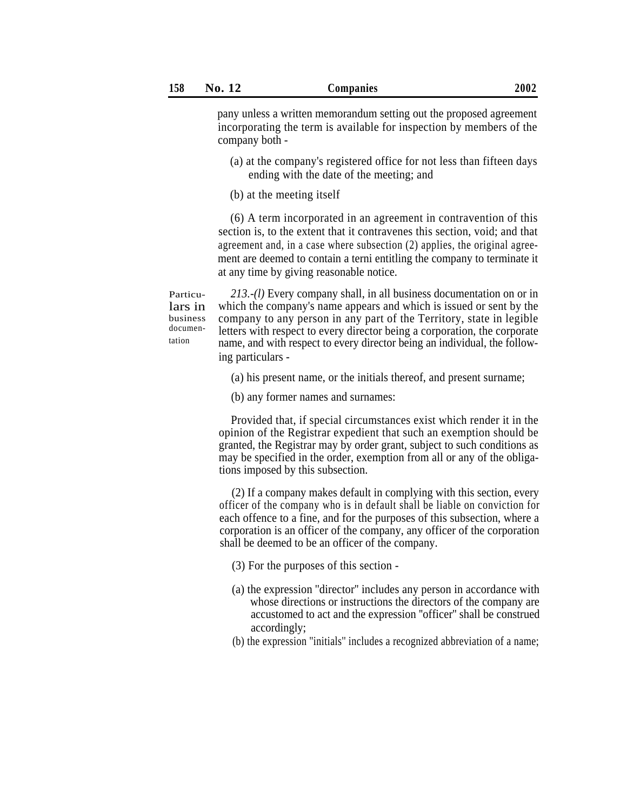pany unless a written memorandum setting out the proposed agreement incorporating the term is available for inspection by members of the company both -

- (a) at the company's registered office for not less than fifteen days ending with the date of the meeting; and
- (b) at the meeting itself

(6) A term incorporated in an agreement in contravention of this section is, to the extent that it contravenes this section, void; and that agreement and, in a case where subsection (2) applies, the original agreement are deemed to contain a terni entitling the company to terminate it at any time by giving reasonable notice.

*213.-(l)* Every company shall, in all business documentation on or in which the company's name appears and which is issued or sent by the company to any person in any part of the Territory, state in legible letters with respect to every director being a corporation, the corporate name, and with respect to every director being an individual, the follow-Particulars in business documentation ing particulars -

(a) his present name, or the initials thereof, and present surname;

(b) any former names and surnames:

Provided that, if special circumstances exist which render it in the opinion of the Registrar expedient that such an exemption should be granted, the Registrar may by order grant, subject to such conditions as may be specified in the order, exemption from all or any of the obligations imposed by this subsection.

(2) If a company makes default in complying with this section, every officer of the company who is in default shall be liable on conviction for each offence to a fine, and for the purposes of this subsection, where a corporation is an officer of the company, any officer of the corporation shall be deemed to be an officer of the company.

(3) For the purposes of this section -

- (a) the expression ''director'' includes any person in accordance with whose directions or instructions the directors of the company are accustomed to act and the expression ''officer'' shall be construed accordingly;
- (b) the expression ''initials'' includes a recognized abbreviation of a name;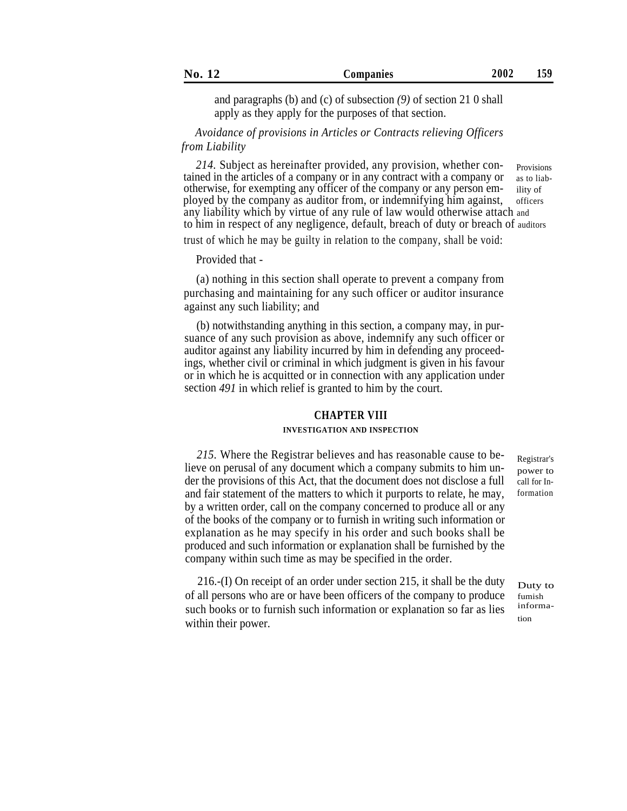and paragraphs (b) and (c) of subsection *(9)* of section 21 0 shall apply as they apply for the purposes of that section.

# *Avoidance of provisions in Articles or Contracts relieving Officers from Liability*

*214.* Subject as hereinafter provided, any provision, whether contained in the articles of a company or in any contract with a company or otherwise, for exempting any officer of the company or any person employed by the company as auditor from, or indemnifying him against, any liability which by virtue of any rule of law would otherwise attach and to him in respect of any negligence, default, breach of duty or breach of auditors Provisions as to liability of officers

trust of which he may be guilty in relation to the company, shall be void:

Provided that -

(a) nothing in this section shall operate to prevent a company from purchasing and maintaining for any such officer or auditor insurance against any such liability; and

(b) notwithstanding anything in this section, a company may, in pursuance of any such provision as above, indemnify any such officer or auditor against any liability incurred by him in defending any proceedings, whether civil or criminal in which judgment is given in his favour or in which he is acquitted or in connection with any application under section *491* in which relief is granted to him by the court.

#### **CHAPTER VIII**

#### **INVESTIGATION AND INSPECTION**

*215.* Where the Registrar believes and has reasonable cause to believe on perusal of any document which a company submits to him under the provisions of this Act, that the document does not disclose a full and fair statement of the matters to which it purports to relate, he may, by a written order, call on the company concerned to produce all or any of the books of the company or to furnish in writing such information or explanation as he may specify in his order and such books shall be produced and such information or explanation shall be furnished by the company within such time as may be specified in the order.

216.-(I) On receipt of an order under section 215, it shall be the duty of all persons who are or have been officers of the company to produce such books or to furnish such information or explanation so far as lies within their power.

Registrar's power to call for Information

Duty to fumish information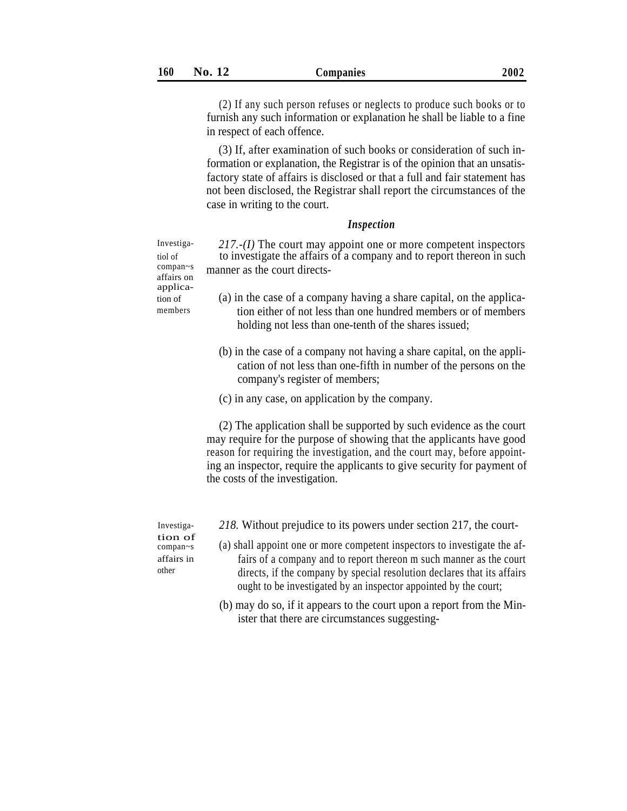(2) If any such person refuses or neglects to produce such books or to furnish any such information or explanation he shall be liable to a fine in respect of each offence.

(3) If, after examination of such books or consideration of such information or explanation, the Registrar is of the opinion that an unsatisfactory state of affairs is disclosed or that a full and fair statement has not been disclosed, the Registrar shall report the circumstances of the case in writing to the court.

## *Inspection*

Investiga- *217.-(I)* The court may appoint one or more competent inspectors tiol of to investigate the affairs of a company and to report thereon in such compan~s manner as the court directs-

- tion of (a) in the case of a company having a share capital, on the application either of not less than one hundred members or of members holding not less than one-tenth of the shares issued;
	- (b) in the case of a company not having a share capital, on the application of not less than one-fifth in number of the persons on the company's register of members;
	- (c) in any case, on application by the company.

(2) The application shall be supported by such evidence as the court may require for the purpose of showing that the applicants have good reason for requiring the investigation, and the court may, before appointing an inspector, require the applicants to give security for payment of the costs of the investigation.

tion of<br>compan~s affairs in other

- Investiga- *218.* Without prejudice to its powers under section 217, the court-
	- $(a)$  shall appoint one or more competent inspectors to investigate the affairs of a company and to report thereon m such manner as the court directs, if the company by special resolution declares that its affairs ought to be investigated by an inspector appointed by the court;
		- (b) may do so, if it appears to the court upon a report from the Minister that there are circumstances suggesting-

affairs on applicamembers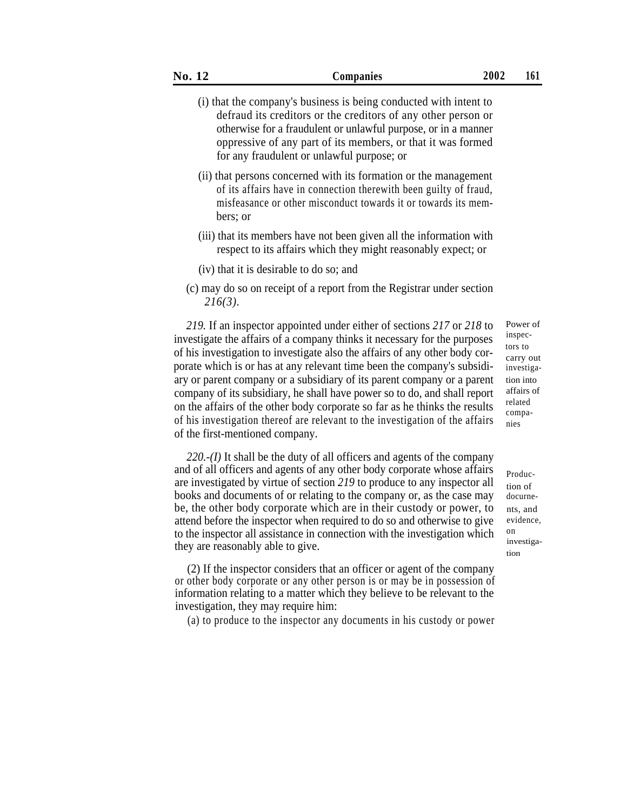- (i) that the company's business is being conducted with intent to defraud its creditors or the creditors of any other person or otherwise for a fraudulent or unlawful purpose, or in a manner oppressive of any part of its members, or that it was formed for any fraudulent or unlawful purpose; or
- (ii) that persons concerned with its formation or the management of its affairs have in connection therewith been guilty of fraud, misfeasance or other misconduct towards it or towards its members; or
- (iii) that its members have not been given all the information with respect to its affairs which they might reasonably expect; or
- (iv) that it is desirable to do so; and
- (c) may do so on receipt of a report from the Registrar under section *216(3).*

*219.* If an inspector appointed under either of sections *217* or *218* to investigate the affairs of a company thinks it necessary for the purposes of his investigation to investigate also the affairs of any other body corporate which is or has at any relevant time been the company's subsidiary or parent company or a subsidiary of its parent company or a parent company of its subsidiary, he shall have power so to do, and shall report on the affairs of the other body corporate so far as he thinks the results of his investigation thereof are relevant to the investigation of the affairs of the first-mentioned company.

*220.-(I)* It shall be the duty of all officers and agents of the company and of all officers and agents of any other body corporate whose affairs are investigated by virtue of section *219* to produce to any inspector all books and documents of or relating to the company or, as the case may be, the other body corporate which are in their custody or power, to attend before the inspector when required to do so and otherwise to give to the inspector all assistance in connection with the investigation which they are reasonably able to give.

(2) If the inspector considers that an officer or agent of the company or other body corporate or any other person is or may be in possession of information relating to a matter which they believe to be relevant to the investigation, they may require him:

(a) to produce to the inspector any documents in his custody or power

Power of inspectors to carry out investigation into affairs of related companies

Production of docurnents, and evidence, on investigation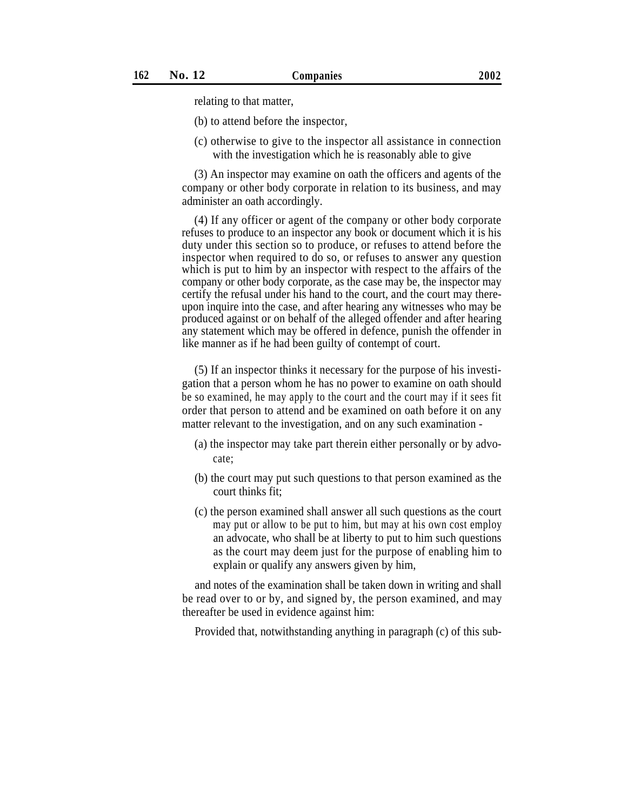relating to that matter,

- (b) to attend before the inspector,
- (c) otherwise to give to the inspector all assistance in connection with the investigation which he is reasonably able to give

(3) An inspector may examine on oath the officers and agents of the company or other body corporate in relation to its business, and may administer an oath accordingly.

(4) If any officer or agent of the company or other body corporate refuses to produce to an inspector any book or document which it is his duty under this section so to produce, or refuses to attend before the inspector when required to do so, or refuses to answer any question which is put to him by an inspector with respect to the affairs of the company or other body corporate, as the case may be, the inspector may certify the refusal under his hand to the court, and the court may thereupon inquire into the case, and after hearing any witnesses who may be produced against or on behalf of the alleged offender and after hearing any statement which may be offered in defence, punish the offender in like manner as if he had been guilty of contempt of court.

(5) If an inspector thinks it necessary for the purpose of his investigation that a person whom he has no power to examine on oath should be so examined, he may apply to the court and the court may if it sees fit order that person to attend and be examined on oath before it on any matter relevant to the investigation, and on any such examination -

- (a) the inspector may take part therein either personally or by advocate;
- (b) the court may put such questions to that person examined as the court thinks fit;
- (c) the person examined shall answer all such questions as the court may put or allow to be put to him, but may at his own cost employ an advocate, who shall be at liberty to put to him such questions as the court may deem just for the purpose of enabling him to explain or qualify any answers given by him,

and notes of the examination shall be taken down in writing and shall be read over to or by, and signed by, the person examined, and may thereafter be used in evidence against him:

Provided that, notwithstanding anything in paragraph (c) of this sub-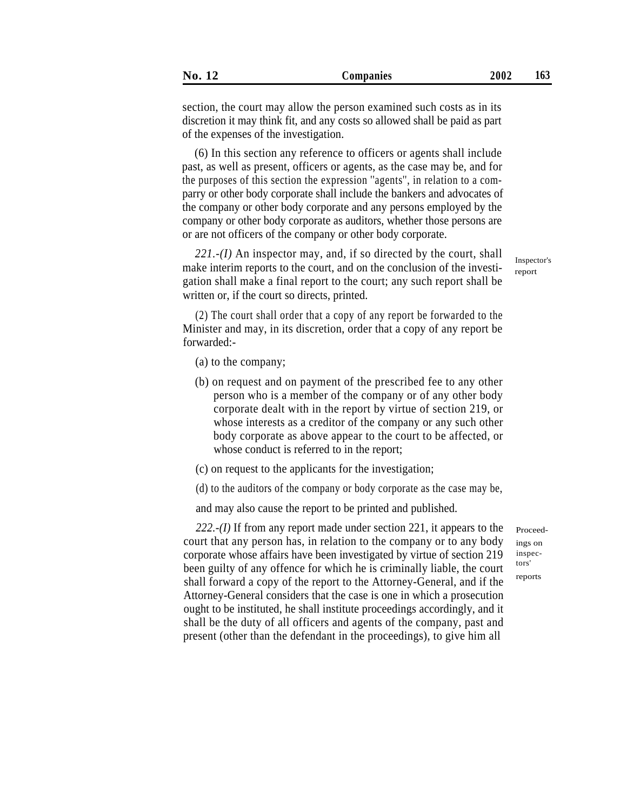section, the court may allow the person examined such costs as in its discretion it may think fit, and any costs so allowed shall be paid as part of the expenses of the investigation.

(6) In this section any reference to officers or agents shall include past, as well as present, officers or agents, as the case may be, and for the purposes of this section the expression ''agents'', in relation to a comparry or other body corporate shall include the bankers and advocates of the company or other body corporate and any persons employed by the company or other body corporate as auditors, whether those persons are or are not officers of the company or other body corporate.

*221.-(I)* An inspector may, and, if so directed by the court, shall make interim reports to the court, and on the conclusion of the investigation shall make a final report to the court; any such report shall be written or, if the court so directs, printed.

(2) The court shall order that a copy of any report be forwarded to the Minister and may, in its discretion, order that a copy of any report be forwarded:-

- (a) to the company;
- (b) on request and on payment of the prescribed fee to any other person who is a member of the company or of any other body corporate dealt with in the report by virtue of section 219, or whose interests as a creditor of the company or any such other body corporate as above appear to the court to be affected, or whose conduct is referred to in the report;
- (c) on request to the applicants for the investigation;
- (d) to the auditors of the company or body corporate as the case may be,

and may also cause the report to be printed and published.

*222.-(I)* If from any report made under section 221, it appears to the court that any person has, in relation to the company or to any body corporate whose affairs have been investigated by virtue of section 219 been guilty of any offence for which he is criminally liable, the court shall forward a copy of the report to the Attorney-General, and if the Attorney-General considers that the case is one in which a prosecution ought to be instituted, he shall institute proceedings accordingly, and it shall be the duty of all officers and agents of the company, past and present (other than the defendant in the proceedings), to give him all

Proceedings on inspectors' reports

Inspector's report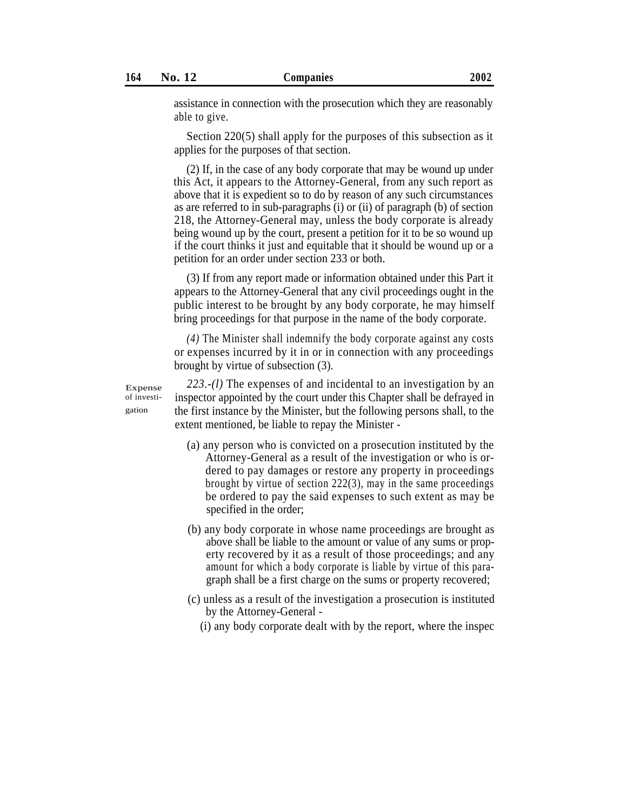assistance in connection with the prosecution which they are reasonably able to give.

Section 220(5) shall apply for the purposes of this subsection as it applies for the purposes of that section.

(2) If, in the case of any body corporate that may be wound up under this Act, it appears to the Attorney-General, from any such report as above that it is expedient so to do by reason of any such circumstances as are referred to in sub-paragraphs (i) or (ii) of paragraph (b) of section 218, the Attorney-General may, unless the body corporate is already being wound up by the court, present a petition for it to be so wound up if the court thinks it just and equitable that it should be wound up or a petition for an order under section 233 or both.

(3) If from any report made or information obtained under this Part it appears to the Attorney-General that any civil proceedings ought in the public interest to be brought by any body corporate, he may himself bring proceedings for that purpose in the name of the body corporate.

*(4)* The Minister shall indemnify the body corporate against any costs or expenses incurred by it in or in connection with any proceedings brought by virtue of subsection (3).

Expense of investigation

*223.-(l)* The expenses of and incidental to an investigation by an inspector appointed by the court under this Chapter shall be defrayed in the first instance by the Minister, but the following persons shall, to the extent mentioned, be liable to repay the Minister -

- (a) any person who is convicted on a prosecution instituted by the Attorney-General as a result of the investigation or who is ordered to pay damages or restore any property in proceedings brought by virtue of section 222(3), may in the same proceedings be ordered to pay the said expenses to such extent as may be specified in the order;
- (b) any body corporate in whose name proceedings are brought as above shall be liable to the amount or value of any sums or property recovered by it as a result of those proceedings; and any amount for which a body corporate is liable by virtue of this paragraph shall be a first charge on the sums or property recovered;
- (c) unless as a result of the investigation a prosecution is instituted by the Attorney-General -
	- (i) any body corporate dealt with by the report, where the inspec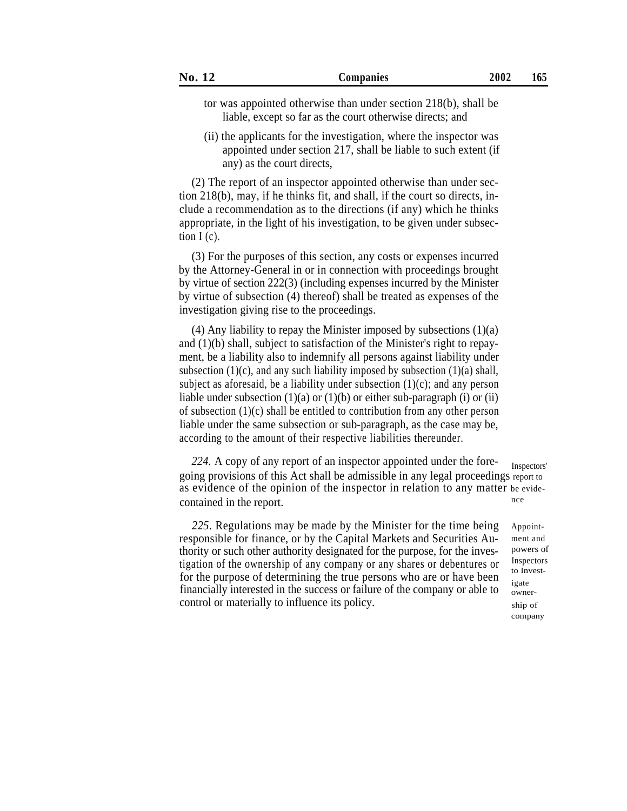- 
- tor was appointed otherwise than under section 218(b), shall be liable, except so far as the court otherwise directs; and
- (ii) the applicants for the investigation, where the inspector was appointed under section 217, shall be liable to such extent (if any) as the court directs,

(2) The report of an inspector appointed otherwise than under section 218(b), may, if he thinks fit, and shall, if the court so directs, include a recommendation as to the directions (if any) which he thinks appropriate, in the light of his investigation, to be given under subsection  $I(c)$ .

(3) For the purposes of this section, any costs or expenses incurred by the Attorney-General in or in connection with proceedings brought by virtue of section 222(3) (including expenses incurred by the Minister by virtue of subsection (4) thereof) shall be treated as expenses of the investigation giving rise to the proceedings.

(4) Any liability to repay the Minister imposed by subsections  $(1)(a)$ and (1)(b) shall, subject to satisfaction of the Minister's right to repayment, be a liability also to indemnify all persons against liability under subsection  $(1)(c)$ , and any such liability imposed by subsection  $(1)(a)$  shall, subject as aforesaid, be a liability under subsection  $(1)(c)$ ; and any person liable under subsection  $(1)(a)$  or  $(1)(b)$  or either sub-paragraph (i) or (ii) of subsection  $(1)(c)$  shall be entitled to contribution from any other person liable under the same subsection or sub-paragraph, as the case may be, according to the amount of their respective liabilities thereunder.

*224.* A copy of any report of an inspector appointed under the fore- Inspectors' going provisions of this Act shall be admissible in any legal proceedings report to as evidence of the opinion of the inspector in relation to any matter be evidecontained in the report.

*225.* Regulations may be made by the Minister for the time being responsible for finance, or by the Capital Markets and Securities Authority or such other authority designated for the purpose, for the investigation of the ownership of any company or any shares or debentures or for the purpose of determining the true persons who are or have been financially interested in the success or failure of the company or able to control or materially to influence its policy.

Appointment and powers of Inspectors to Investigate ownership of company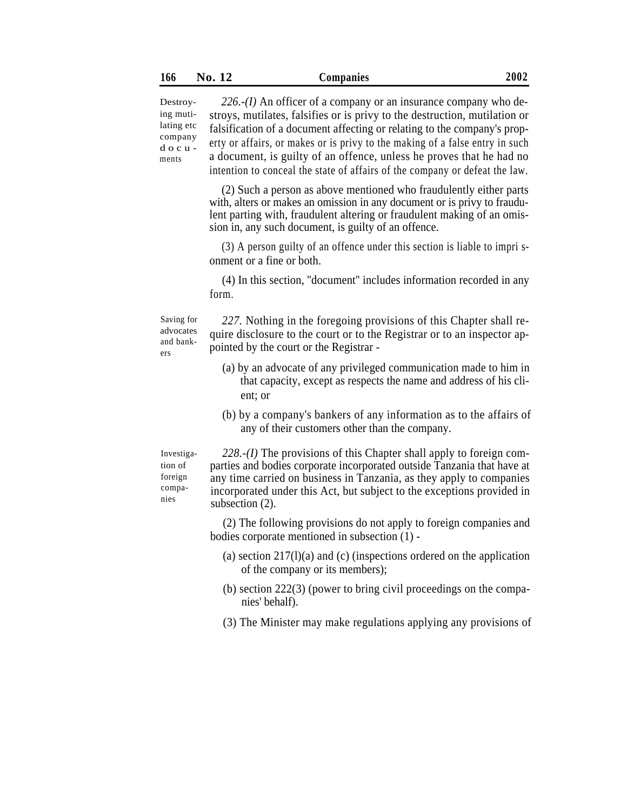*226.-(I)* An officer of a company or an insurance company who destroys, mutilates, falsifies or is privy to the destruction, mutilation or falsification of a document affecting or relating to the company's property or affairs, or makes or is privy to the making of a false entry in such a document, is guilty of an offence, unless he proves that he had no intention to conceal the state of affairs of the company or defeat the law. Destroying mutilating etc company d o c u ments

> (2) Such a person as above mentioned who fraudulently either parts with, alters or makes an omission in any document or is privy to fraudulent parting with, fraudulent altering or fraudulent making of an omission in, any such document, is guilty of an offence.

> (3) A person guilty of an offence under this section is liable to impri sonment or a fine or both.

> (4) In this section, ''document'' includes information recorded in any form.

Saving for advocates and bankers

*227.* Nothing in the foregoing provisions of this Chapter shall require disclosure to the court or to the Registrar or to an inspector appointed by the court or the Registrar -

- (a) by an advocate of any privileged communication made to him in that capacity, except as respects the name and address of his client; or
- (b) by a company's bankers of any information as to the affairs of any of their customers other than the company.

Investigation of foreign companies

*228.-(I)* The provisions of this Chapter shall apply to foreign comparties and bodies corporate incorporated outside Tanzania that have at any time carried on business in Tanzania, as they apply to companies incorporated under this Act, but subject to the exceptions provided in subsection (2).

(2) The following provisions do not apply to foreign companies and bodies corporate mentioned in subsection (1) -

- (a) section  $217(1)(a)$  and (c) (inspections ordered on the application of the company or its members);
- (b) section 222(3) (power to bring civil proceedings on the companies' behalf).
- (3) The Minister may make regulations applying any provisions of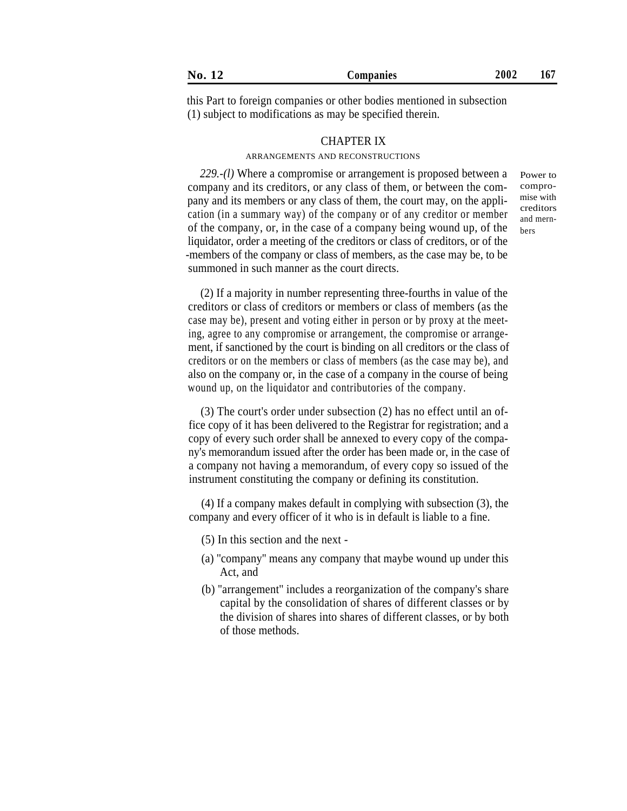| No. | Companies | 2002 | 107 |
|-----|-----------|------|-----|
|-----|-----------|------|-----|

this Part to foreign companies or other bodies mentioned in subsection (1) subject to modifications as may be specified therein.

# CHAPTER IX

#### ARRANGEMENTS AND RECONSTRUCTIONS

*229.-(l)* Where a compromise or arrangement is proposed between a company and its creditors, or any class of them, or between the company and its members or any class of them, the court may, on the application (in a summary way) of the company or of any creditor or member of the company, or, in the case of a company being wound up, of the liquidator, order a meeting of the creditors or class of creditors, or of the -members of the company or class of members, as the case may be, to be summoned in such manner as the court directs.

Power to compromise with creditors and mernbers

(2) If a majority in number representing three-fourths in value of the creditors or class of creditors or members or class of members (as the case may be), present and voting either in person or by proxy at the meeting, agree to any compromise or arrangement, the compromise or arrangement, if sanctioned by the court is binding on all creditors or the class of creditors or on the members or class of members (as the case may be), and also on the company or, in the case of a company in the course of being wound up, on the liquidator and contributories of the company.

(3) The court's order under subsection (2) has no effect until an office copy of it has been delivered to the Registrar for registration; and a copy of every such order shall be annexed to every copy of the company's memorandum issued after the order has been made or, in the case of a company not having a memorandum, of every copy so issued of the instrument constituting the company or defining its constitution.

(4) If a company makes default in complying with subsection (3), the company and every officer of it who is in default is liable to a fine.

(5) In this section and the next -

- (a) ''company'' means any company that maybe wound up under this Act, and
- (b) ''arrangement'' includes a reorganization of the company's share capital by the consolidation of shares of different classes or by the division of shares into shares of different classes, or by both of those methods.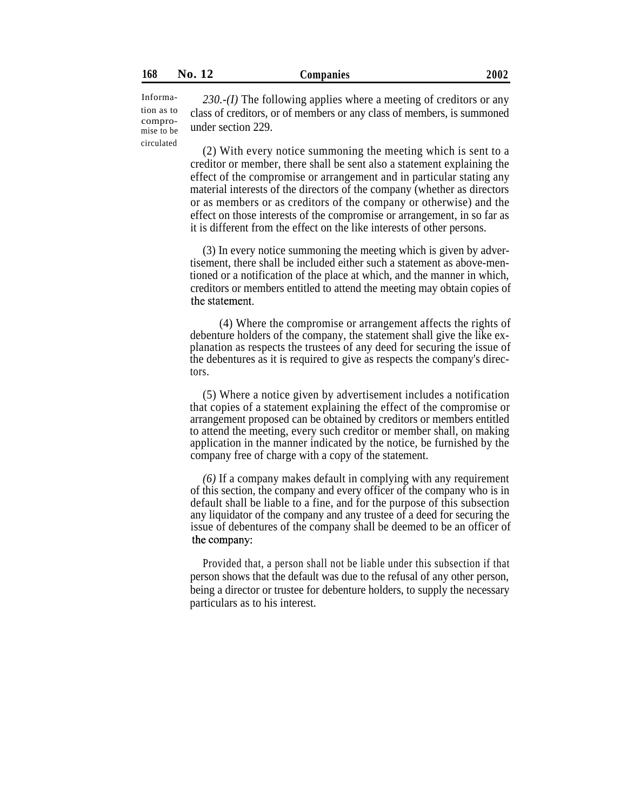tion as to compromise to be circulated

Informa- *230.-(I)* The following applies where a meeting of creditors or any class of creditors, or of members or any class of members, is summoned under section 229.

> (2) With every notice summoning the meeting which is sent to a creditor or member, there shall be sent also a statement explaining the effect of the compromise or arrangement and in particular stating any material interests of the directors of the company (whether as directors or as members or as creditors of the company or otherwise) and the effect on those interests of the compromise or arrangement, in so far as it is different from the effect on the like interests of other persons.

> (3) In every notice summoning the meeting which is given by advertisement, there shall be included either such a statement as above-mentioned or a notification of the place at which, and the manner in which, creditors or members entitled to attend the meeting may obtain copies of the statement.

> (4) Where the compromise or arrangement affects the rights of debenture holders of the company, the statement shall give the like explanation as respects the trustees of any deed for securing the issue of the debentures as it is required to give as respects the company's directors.

> (5) Where a notice given by advertisement includes a notification that copies of a statement explaining the effect of the compromise or arrangement proposed can be obtained by creditors or members entitled to attend the meeting, every such creditor or member shall, on making application in the manner indicated by the notice, be furnished by the company free of charge with a copy of the statement.

> *(6)* If a company makes default in complying with any requirement of this section, the company and every officer of the company who is in default shall be liable to a fine, and for the purpose of this subsection any liquidator of the company and any trustee of a deed for securing the issue of debentures of the company shall be deemed to be an officer of the company:

> Provided that, a person shall not be liable under this subsection if that person shows that the default was due to the refusal of any other person, being a director or trustee for debenture holders, to supply the necessary particulars as to his interest.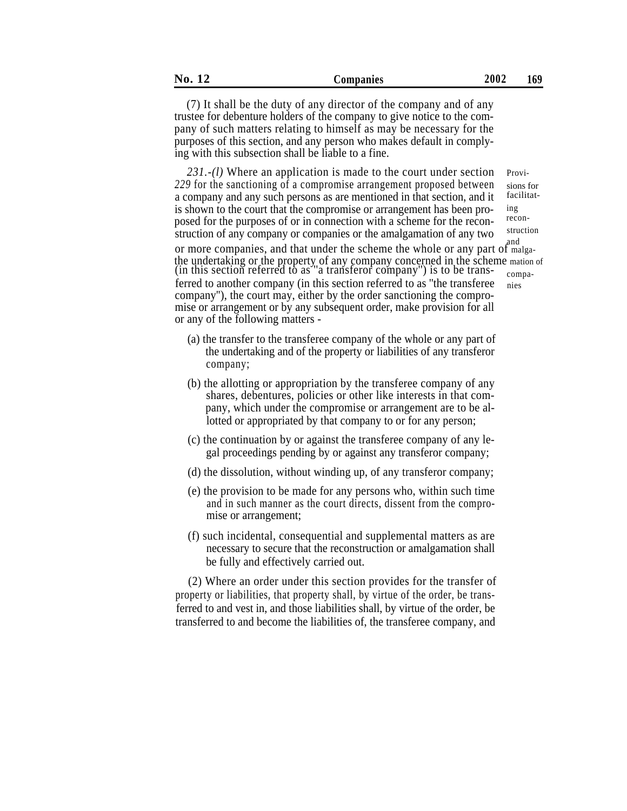(7) It shall be the duty of any director of the company and of any trustee for debenture holders of the company to give notice to the company of such matters relating to himself as may be necessary for the purposes of this section, and any person who makes default in complying with this subsection shall be liable to a fine.

*231.-(l)* Where an application is made to the court under section *229* for the sanctioning of a compromise arrangement proposed between a company and any such persons as are mentioned in that section, and it is shown to the court that the compromise or arrangement has been proposed for the purposes of or in connection with a scheme for the reconstruction of any company or companies or the amalgamation of any two Provisions for facilitating reconstruction or more companies, and that under the scheme the whole or any part of malgathe undertaking or the property of any company concerned in the scheme mation of (in this section referred to as "a transferor company") is to be trans- $_{\text{compa}}$ . ferred to another company (in this section referred to as ''the transferee company''), the court may, either by the order sanctioning the compromise or arrangement or by any subsequent order, make provision for all or any of the following matters nies

- (a) the transfer to the transferee company of the whole or any part of the undertaking and of the property or liabilities of any transferor company;
- (b) the allotting or appropriation by the transferee company of any shares, debentures, policies or other like interests in that company, which under the compromise or arrangement are to be allotted or appropriated by that company to or for any person;
- (c) the continuation by or against the transferee company of any legal proceedings pending by or against any transferor company;
- (d) the dissolution, without winding up, of any transferor company;
- (e) the provision to be made for any persons who, within such time and in such manner as the court directs, dissent from the compromise or arrangement;
- (f) such incidental, consequential and supplemental matters as are necessary to secure that the reconstruction or amalgamation shall be fully and effectively carried out.

(2) Where an order under this section provides for the transfer of property or liabilities, that property shall, by virtue of the order, be transferred to and vest in, and those liabilities shall, by virtue of the order, be transferred to and become the liabilities of, the transferee company, and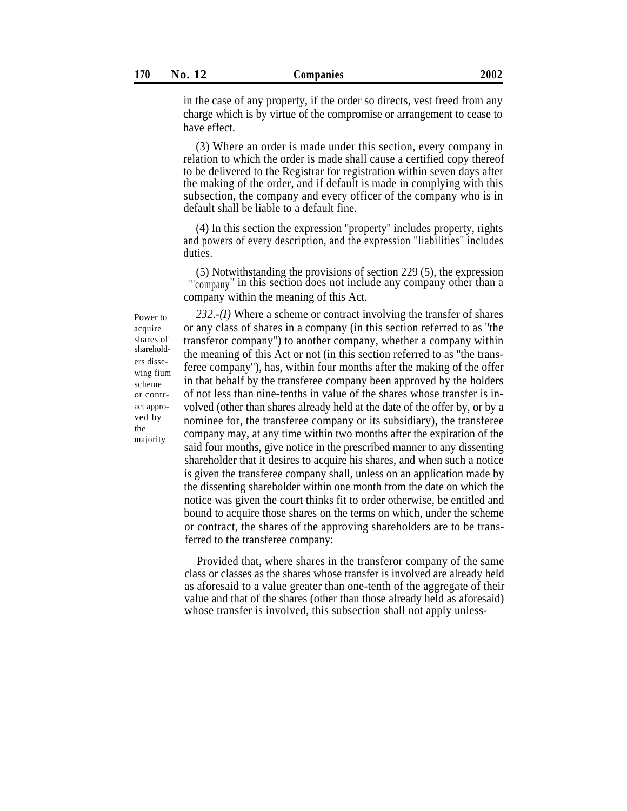in the case of any property, if the order so directs, vest freed from any charge which is by virtue of the compromise or arrangement to cease to have effect.

(3) Where an order is made under this section, every company in relation to which the order is made shall cause a certified copy thereof to be delivered to the Registrar for registration within seven days after the making of the order, and if default is made in complying with this subsection, the company and every officer of the company who is in default shall be liable to a default fine.

(4) In this section the expression ''property'' includes property, rights and powers of every description, and the expression ''liabilities'' includes duties.

(5) Notwithstanding the provisions of section 229 (5), the expression '''company'' in this section does not include any company other than a company within the meaning of this Act.

Power to acquire shares of shareholders dissewing fium scheme or contract approved by the majority

*232.-(I)* Where a scheme or contract involving the transfer of shares or any class of shares in a company (in this section referred to as ''the transferor company'') to another company, whether a company within the meaning of this Act or not (in this section referred to as ''the transferee company''), has, within four months after the making of the offer in that behalf by the transferee company been approved by the holders of not less than nine-tenths in value of the shares whose transfer is involved (other than shares already held at the date of the offer by, or by a nominee for, the transferee company or its subsidiary), the transferee company may, at any time within two months after the expiration of the said four months, give notice in the prescribed manner to any dissenting shareholder that it desires to acquire his shares, and when such a notice is given the transferee company shall, unless on an application made by the dissenting shareholder within one month from the date on which the notice was given the court thinks fit to order otherwise, be entitled and bound to acquire those shares on the terms on which, under the scheme or contract, the shares of the approving shareholders are to be transferred to the transferee company:

Provided that, where shares in the transferor company of the same class or classes as the shares whose transfer is involved are already held as aforesaid to a value greater than one-tenth of the aggregate of their value and that of the shares (other than those already held as aforesaid) whose transfer is involved, this subsection shall not apply unless-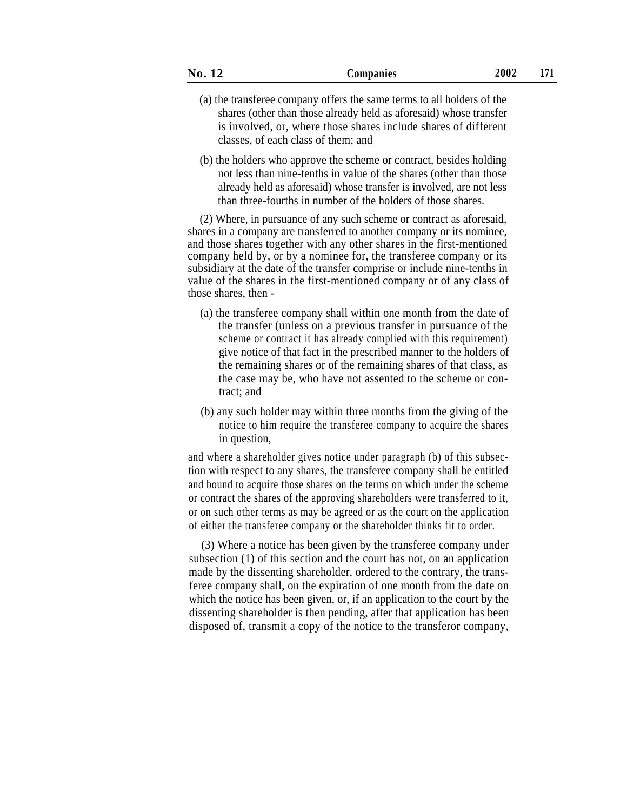- (a) the transferee company offers the same terms to all holders of the shares (other than those already held as aforesaid) whose transfer is involved, or, where those shares include shares of different classes, of each class of them; and
- (b) the holders who approve the scheme or contract, besides holding not less than nine-tenths in value of the shares (other than those already held as aforesaid) whose transfer is involved, are not less than three-fourths in number of the holders of those shares.

(2) Where, in pursuance of any such scheme or contract as aforesaid, shares in a company are transferred to another company or its nominee, and those shares together with any other shares in the first-mentioned company held by, or by a nominee for, the transferee company or its subsidiary at the date of the transfer comprise or include nine-tenths in value of the shares in the first-mentioned company or of any class of those shares, then -

- (a) the transferee company shall within one month from the date of the transfer (unless on a previous transfer in pursuance of the scheme or contract it has already complied with this requirement) give notice of that fact in the prescribed manner to the holders of the remaining shares or of the remaining shares of that class, as the case may be, who have not assented to the scheme or contract; and
- (b) any such holder may within three months from the giving of the notice to him require the transferee company to acquire the shares in question,

and where a shareholder gives notice under paragraph (b) of this subsection with respect to any shares, the transferee company shall be entitled and bound to acquire those shares on the terms on which under the scheme or contract the shares of the approving shareholders were transferred to it, or on such other terms as may be agreed or as the court on the application of either the transferee company or the shareholder thinks fit to order.

(3) Where a notice has been given by the transferee company under subsection (1) of this section and the court has not, on an application made by the dissenting shareholder, ordered to the contrary, the transferee company shall, on the expiration of one month from the date on which the notice has been given, or, if an application to the court by the dissenting shareholder is then pending, after that application has been disposed of, transmit a copy of the notice to the transferor company,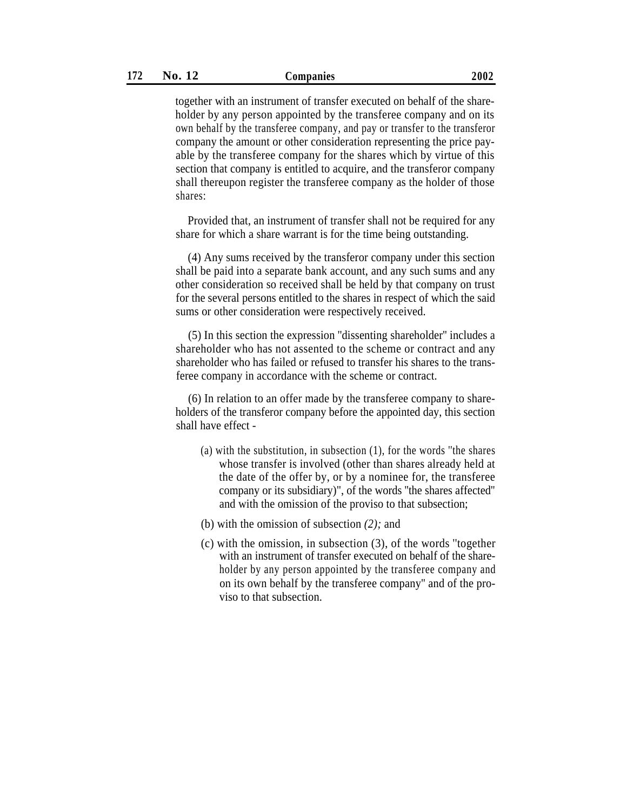together with an instrument of transfer executed on behalf of the shareholder by any person appointed by the transferee company and on its own behalf by the transferee company, and pay or transfer to the transferor company the amount or other consideration representing the price payable by the transferee company for the shares which by virtue of this section that company is entitled to acquire, and the transferor company shall thereupon register the transferee company as the holder of those shares:

Provided that, an instrument of transfer shall not be required for any share for which a share warrant is for the time being outstanding.

(4) Any sums received by the transferor company under this section shall be paid into a separate bank account, and any such sums and any other consideration so received shall be held by that company on trust for the several persons entitled to the shares in respect of which the said sums or other consideration were respectively received.

(5) In this section the expression ''dissenting shareholder'' includes a shareholder who has not assented to the scheme or contract and any shareholder who has failed or refused to transfer his shares to the transferee company in accordance with the scheme or contract.

(6) In relation to an offer made by the transferee company to shareholders of the transferor company before the appointed day, this section shall have effect -

- (a) with the substitution, in subsection (1), for the words ''the shares whose transfer is involved (other than shares already held at the date of the offer by, or by a nominee for, the transferee company or its subsidiary)", of the words ''the shares affected'' and with the omission of the proviso to that subsection;
- (b) with the omission of subsection *(2);* and
- (c) with the omission, in subsection (3), of the words ''together with an instrument of transfer executed on behalf of the shareholder by any person appointed by the transferee company and on its own behalf by the transferee company'' and of the proviso to that subsection.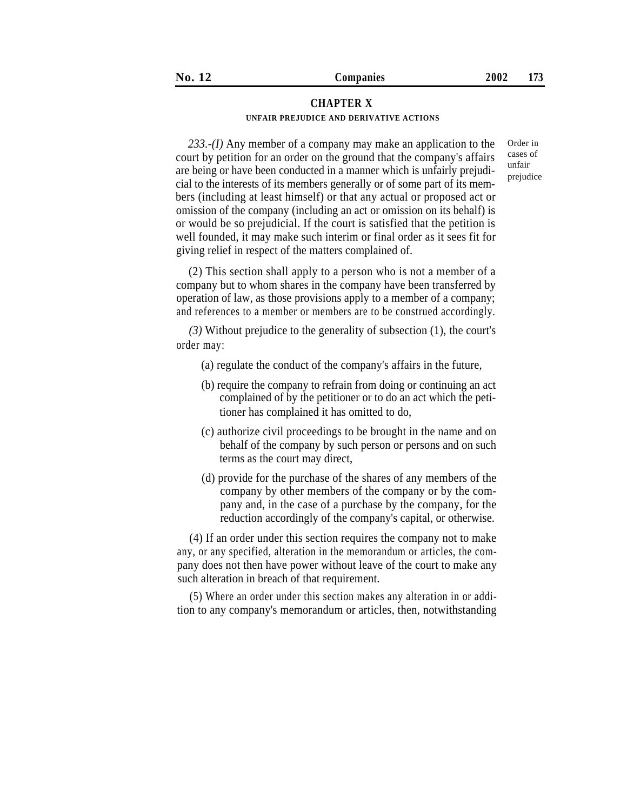Order in cases of unfair prejudice

# **CHAPTER X**

## **UNFAIR PREJUDICE AND DERIVATIVE ACTIONS**

*233.-(I)* Any member of a company may make an application to the court by petition for an order on the ground that the company's affairs are being or have been conducted in a manner which is unfairly prejudicial to the interests of its members generally or of some part of its members (including at least himself) or that any actual or proposed act or omission of the company (including an act or omission on its behalf) is or would be so prejudicial. If the court is satisfied that the petition is well founded, it may make such interim or final order as it sees fit for giving relief in respect of the matters complained of.

(2) This section shall apply to a person who is not a member of a company but to whom shares in the company have been transferred by operation of law, as those provisions apply to a member of a company; and references to a member or members are to be construed accordingly.

*(3)* Without prejudice to the generality of subsection (1), the court's order may:

- (a) regulate the conduct of the company's affairs in the future,
- (b) require the company to refrain from doing or continuing an act complained of by the petitioner or to do an act which the petitioner has complained it has omitted to do,
- (c) authorize civil proceedings to be brought in the name and on behalf of the company by such person or persons and on such terms as the court may direct,
- (d) provide for the purchase of the shares of any members of the company by other members of the company or by the company and, in the case of a purchase by the company, for the reduction accordingly of the company's capital, or otherwise.

(4) If an order under this section requires the company not to make any, or any specified, alteration in the memorandum or articles, the company does not then have power without leave of the court to make any such alteration in breach of that requirement.

(5) Where an order under this section makes any alteration in or addition to any company's memorandum or articles, then, notwithstanding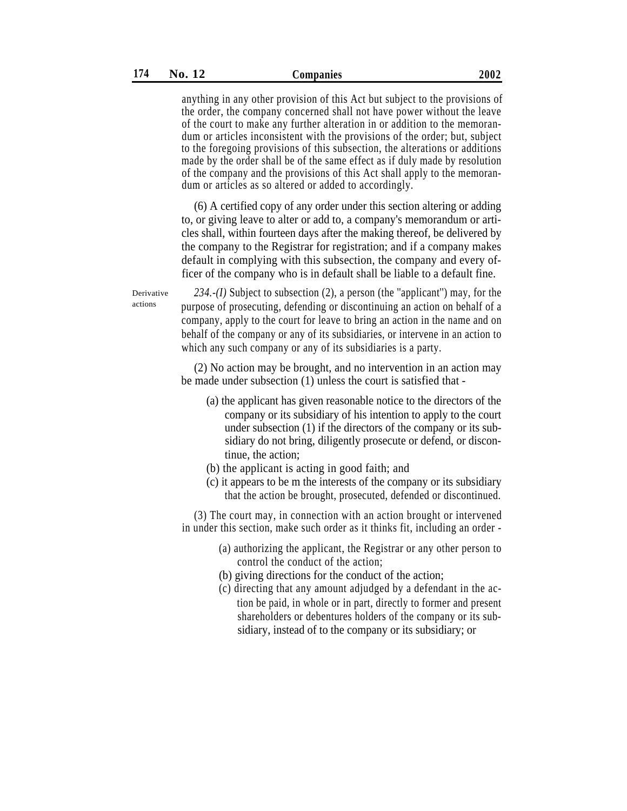anything in any other provision of this Act but subject to the provisions of the order, the company concerned shall not have power without the leave of the court to make any further alteration in or addition to the memorandum or articles inconsistent with the provisions of the order; but, subject to the foregoing provisions of this subsection, the alterations or additions made by the order shall be of the same effect as if duly made by resolution of the company and the provisions of this Act shall apply to the memorandum or articles as so altered or added to accordingly.

(6) A certified copy of any order under this section altering or adding to, or giving leave to alter or add to, a company's memorandum or articles shall, within fourteen days after the making thereof, be delivered by the company to the Registrar for registration; and if a company makes default in complying with this subsection, the company and every officer of the company who is in default shall be liable to a default fine.

Derivative actions

*234.-(I)* Subject to subsection (2), a person (the ''applicant'') may, for the purpose of prosecuting, defending or discontinuing an action on behalf of a company, apply to the court for leave to bring an action in the name and on behalf of the company or any of its subsidiaries, or intervene in an action to which any such company or any of its subsidiaries is a party.

(2) No action may be brought, and no intervention in an action may be made under subsection (1) unless the court is satisfied that -

- (a) the applicant has given reasonable notice to the directors of the company or its subsidiary of his intention to apply to the court under subsection (1) if the directors of the company or its subsidiary do not bring, diligently prosecute or defend, or discontinue, the action;
- (b) the applicant is acting in good faith; and
- (c) it appears to be m the interests of the company or its subsidiary that the action be brought, prosecuted, defended or discontinued.

(3) The court may, in connection with an action brought or intervened in under this section, make such order as it thinks fit, including an order -

- (a) authorizing the applicant, the Registrar or any other person to control the conduct of the action;
- (b) giving directions for the conduct of the action;
- (c) directing that any amount adjudged by a defendant in the action be paid, in whole or in part, directly to former and present shareholders or debentures holders of the company or its subsidiary, instead of to the company or its subsidiary; or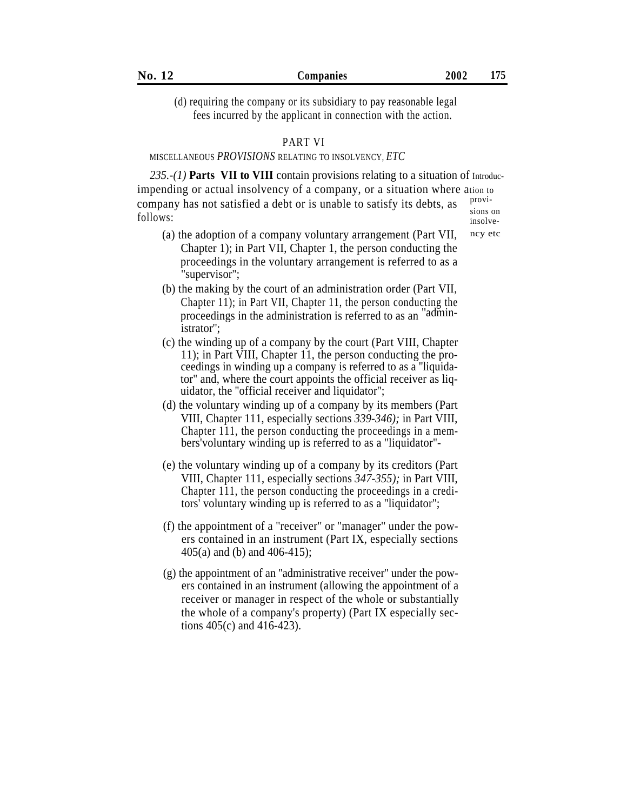| N o | Companies | 400C | -- |
|-----|-----------|------|----|
|     |           |      |    |

(d) requiring the company or its subsidiary to pay reasonable legal fees incurred by the applicant in connection with the action.

# PART VI

# MISCELLANEOUS *PROVISIONS* RELATING TO INSOLVENCY, *ETC*

235.-(1) **Parts VII to VIII** contain provisions relating to a situation of Introducimpending or actual insolvency of a company, or a situation where ation to company has not satisfied a debt or is unable to satisfy its debts, as  $\frac{\text{prox}}{\text{sions on}}$  follows:

- 
- (a) the adoption of a company voluntary arrangement (Part VII, ncy etc Chapter 1); in Part VII, Chapter 1, the person conducting the proceedings in the voluntary arrangement is referred to as a ''supervisor'';
- (b) the making by the court of an administration order (Part VII, Chapter 11); in Part VII, Chapter 11, the person conducting the proceedings in the administration is referred to as an  $"$ administrator'';
- (c) the winding up of a company by the court (Part VIII, Chapter 11); in Part VIII, Chapter 11, the person conducting the proceedings in winding up a company is referred to as a ''liquidator'' and, where the court appoints the official receiver as liquidator, the ''official receiver and liquidator'';
- (d) the voluntary winding up of a company by its members (Part VIII, Chapter 111, especially sections *339-346);* in Part VIII, Chapter 111, the person conducting the proceedings in a members'voluntary winding up is referred to as a ''liquidator''-
- (e) the voluntary winding up of a company by its creditors (Part VIII, Chapter 111, especially sections *347-355);* in Part VIII, Chapter 111, the person conducting the proceedings in a creditors' voluntary winding up is referred to as a ''liquidator'';
- (f) the appointment of a ''receiver'' or ''manager'' under the powers contained in an instrument (Part IX, especially sections 405(a) and (b) and 406-415);
- (g) the appointment of an ''administrative receiver'' under the powers contained in an instrument (allowing the appointment of a receiver or manager in respect of the whole or substantially the whole of a company's property) (Part IX especially sections 405(c) and 416-423).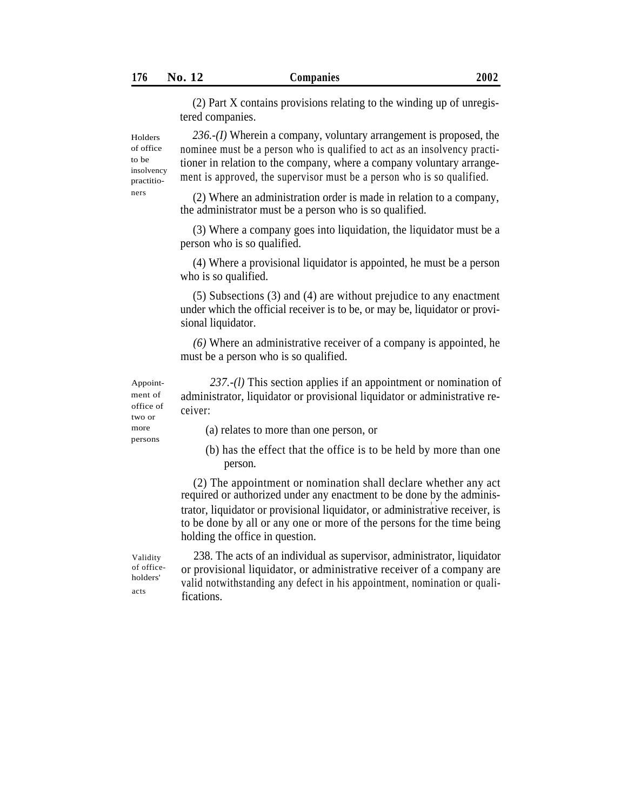Holders of office to be

(2) Part X contains provisions relating to the winding up of unregistered companies.

*236.-(I)* Wherein a company, voluntary arrangement is proposed, the nominee must be a person who is qualified to act as an insolvency practitioner in relation to the company, where a company voluntary arrangement is approved, the supervisor must be a person who is so qualified. insolvency practitio-

ners (2) Where an administration order is made in relation to a company, the administrator must be a person who is so qualified.

> (3) Where a company goes into liquidation, the liquidator must be a person who is so qualified.

> (4) Where a provisional liquidator is appointed, he must be a person who is so qualified.

> (5) Subsections (3) and (4) are without prejudice to any enactment under which the official receiver is to be, or may be, liquidator or provisional liquidator.

> *(6)* Where an administrative receiver of a company is appointed, he must be a person who is so qualified.

> *237.-(l)* This section applies if an appointment or nomination of administrator, liquidator or provisional liquidator or administrative receiver:

more (a) relates to more than one person, or

(b) has the effect that the office is to be held by more than one person.

(2) The appointment or nomination shall declare whether any act required or authorized under any enactment to be done by the adminis trator, liquidator or provisional liquidator, or administrative receiver, is to be done by all or any one or more of the persons for the time being holding the office in question.

Validity of officeholders' acts

238. The acts of an individual as supervisor, administrator, liquidator or provisional liquidator, or administrative receiver of a company are valid notwithstanding any defect in his appointment, nomination or qualifications.

Appointment of office of two or persons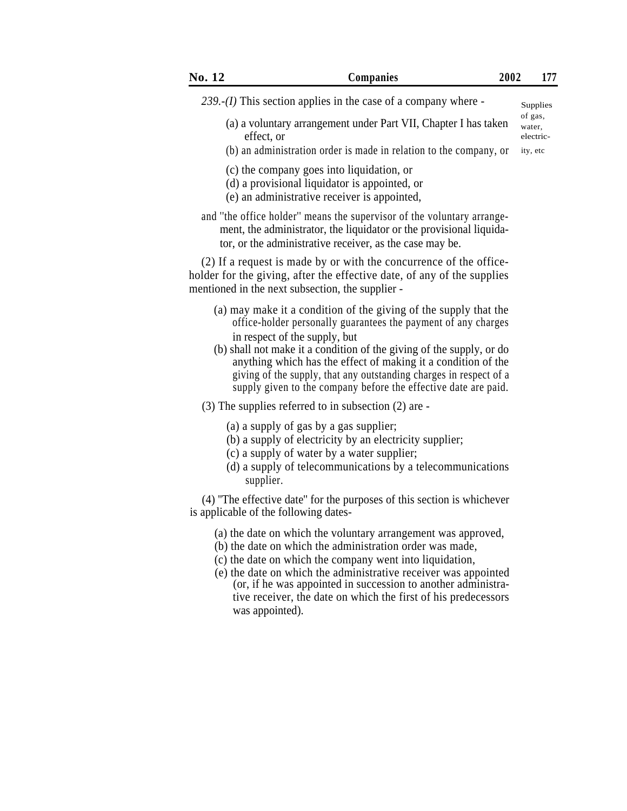| <b>No. 12</b> | Companies                                                         | 2002 | 177      |
|---------------|-------------------------------------------------------------------|------|----------|
|               | 239.- $(I)$ This section applies in the case of a company where - |      | Supplies |

- (a) a voluntary arrangement under Part VII, Chapter I has taken  $\sigma$   $\frac{1}{\text{water}}$  effect or
- effect, or (b) an administration order is made in relation to the company, or ity, etc
- (c) the company goes into liquidation, or
- (d) a provisional liquidator is appointed, or
- (e) an administrative receiver is appointed,
- and ''the office holder'' means the supervisor of the voluntary arrangement, the administrator, the liquidator or the provisional liquidator, or the administrative receiver, as the case may be.

(2) If a request is made by or with the concurrence of the officeholder for the giving, after the effective date, of any of the supplies mentioned in the next subsection, the supplier -

- (a) may make it a condition of the giving of the supply that the office-holder personally guarantees the payment of any charges in respect of the supply, but
- (b) shall not make it a condition of the giving of the supply, or do anything which has the effect of making it a condition of the giving of the supply, that any outstanding charges in respect of a supply given to the company before the effective date are paid.
- (3) The supplies referred to in subsection (2) are
	- (a) a supply of gas by a gas supplier;
	- (b) a supply of electricity by an electricity supplier;
	- (c) a supply of water by a water supplier;
	- (d) a supply of telecommunications by a telecommunications supplier.

(4) ''The effective date'' for the purposes of this section is whichever is applicable of the following dates-

- (a) the date on which the voluntary arrangement was approved,
- (b) the date on which the administration order was made,
- (c) the date on which the company went into liquidation,
- (e) the date on which the administrative receiver was appointed (or, if he was appointed in succession to another administrative receiver, the date on which the first of his predecessors was appointed).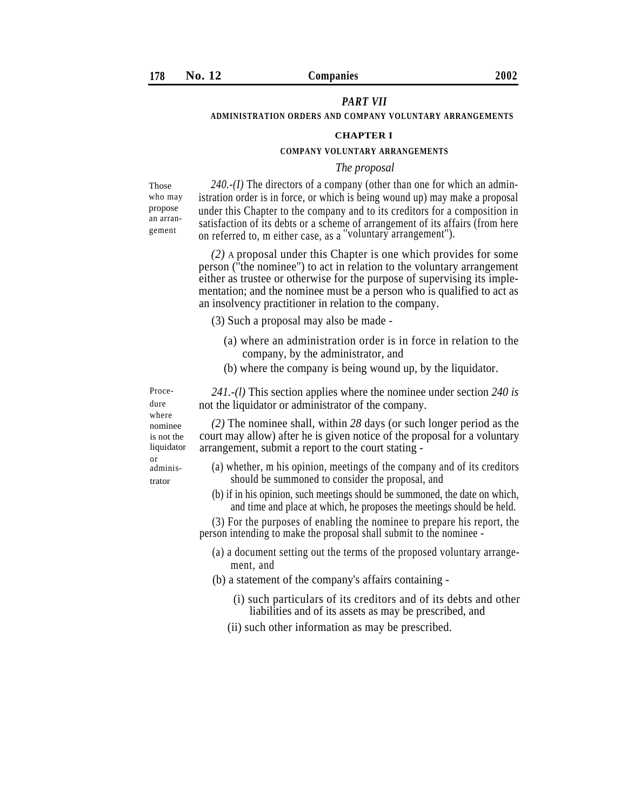# *PART VII*

#### **ADMINISTRATION ORDERS AND COMPANY VOLUNTARY ARRANGEMENTS**

## **CHAPTER I**

#### **COMPANY VOLUNTARY ARRANGEMENTS**

### *The proposal*

Those who may propose

*240.-(I)* The directors of a company (other than one for which an administration order is in force, or which is being wound up) may make a proposal under this Chapter to the company and to its creditors for a composition in an arran-<br>satisfaction of its debts or a scheme of arrangement of its affairs (from here<br>on referred to, m either case, as a "voluntary arrangement").

> *(2)* A proposal under this Chapter is one which provides for some person (''the nominee'') to act in relation to the voluntary arrangement either as trustee or otherwise for the purpose of supervising its implementation; and the nominee must be a person who is qualified to act as an insolvency practitioner in relation to the company.

(3) Such a proposal may also be made -

- (a) where an administration order is in force in relation to the company, by the administrator, and
- (b) where the company is being wound up, by the liquidator.

*241.-(l)* This section applies where the nominee under section *240 is* not the liquidator or administrator of the company.

*(2)* The nominee shall, within *28* days (or such longer period as the court may allow) after he is given notice of the proposal for a voluntary arrangement, submit a report to the court stating -

- or (a) whether, m his opinion, meetings of the company and of its creditors should be summoned to consider the proposal, and
	- (b) if in his opinion, such meetings should be summoned, the date on which, and time and place at which, he proposes the meetings should be held.

(3) For the purposes of enabling the nominee to prepare his report, the person intending to make the proposal shall submit to the nominee -

- (a) a document setting out the terms of the proposed voluntary arrangement, and
- (b) a statement of the company's affairs containing
	- (i) such particulars of its creditors and of its debts and other liabilities and of its assets as may be prescribed, and
	- (ii) such other information as may be prescribed.

dure where nominee is not the liquidator administrator

Proce-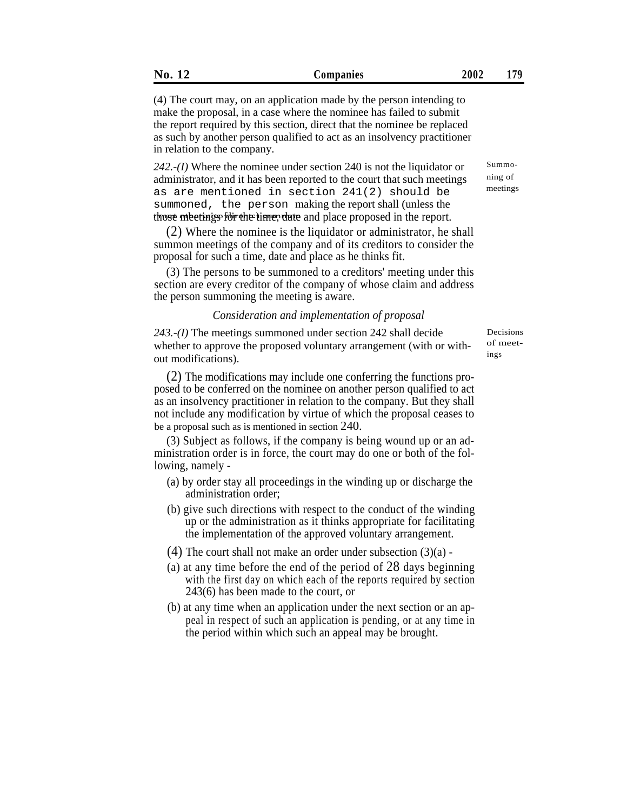(4) The court may, on an application made by the person intending to make the proposal, in a case where the nominee has failed to submit the report required by this section, direct that the nominee be replaced as such by another person qualified to act as an insolvency practitioner in relation to the company.

*242.-(I)* Where the nominee under section 240 is not the liquidator or administrator, and it has been reported to the court that such meetings as are mentioned in section 241(2) should be summoned, the person making the report shall (unless the those meetings for the time, date and place proposed in the report.

(2) Where the nominee is the liquidator or administrator, he shall summon meetings of the company and of its creditors to consider the proposal for such a time, date and place as he thinks fit.

(3) The persons to be summoned to a creditors' meeting under this section are every creditor of the company of whose claim and address the person summoning the meeting is aware.

# *Consideration and implementation of proposal*

*243.-(I)* The meetings summoned under section 242 shall decide whether to approve the proposed voluntary arrangement (with or without modifications).

(2) The modifications may include one conferring the functions proposed to be conferred on the nominee on another person qualified to act as an insolvency practitioner in relation to the company. But they shall not include any modification by virtue of which the proposal ceases to be a proposal such as is mentioned in section 240.

(3) Subject as follows, if the company is being wound up or an administration order is in force, the court may do one or both of the following, namely -

- (a) by order stay all proceedings in the winding up or discharge the administration order;
- (b) give such directions with respect to the conduct of the winding up or the administration as it thinks appropriate for facilitating the implementation of the approved voluntary arrangement.
- (4) The court shall not make an order under subsection  $(3)(a)$  -
- (a) at any time before the end of the period of 28 days beginning with the first day on which each of the reports required by section 243(6) has been made to the court, or
- (b) at any time when an application under the next section or an appeal in respect of such an application is pending, or at any time in the period within which such an appeal may be brought.

Decisions of meetings

Summoning of meetings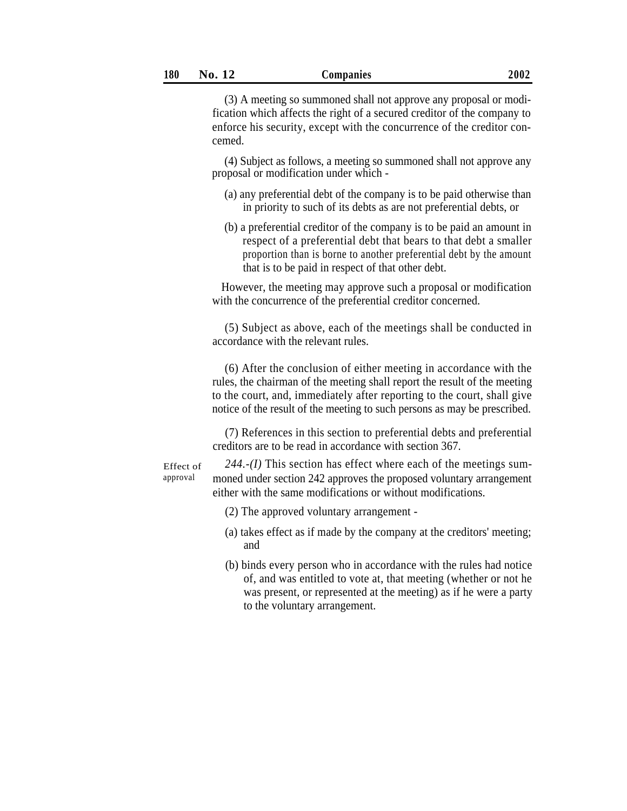(3) A meeting so summoned shall not approve any proposal or modification which affects the right of a secured creditor of the company to enforce his security, except with the concurrence of the creditor concemed.

(4) Subject as follows, a meeting so summoned shall not approve any proposal or modification under which -

- (a) any preferential debt of the company is to be paid otherwise than in priority to such of its debts as are not preferential debts, or
- (b) a preferential creditor of the company is to be paid an amount in respect of a preferential debt that bears to that debt a smaller proportion than is borne to another preferential debt by the amount that is to be paid in respect of that other debt.

However, the meeting may approve such a proposal or modification with the concurrence of the preferential creditor concerned.

(5) Subject as above, each of the meetings shall be conducted in accordance with the relevant rules.

(6) After the conclusion of either meeting in accordance with the rules, the chairman of the meeting shall report the result of the meeting to the court, and, immediately after reporting to the court, shall give notice of the result of the meeting to such persons as may be prescribed.

(7) References in this section to preferential debts and preferential creditors are to be read in accordance with section 367.

Effect of approval

*244.-(I)* This section has effect where each of the meetings summoned under section 242 approves the proposed voluntary arrangement either with the same modifications or without modifications.

(2) The approved voluntary arrangement -

- (a) takes effect as if made by the company at the creditors' meeting; and
- (b) binds every person who in accordance with the rules had notice of, and was entitled to vote at, that meeting (whether or not he was present, or represented at the meeting) as if he were a party to the voluntary arrangement.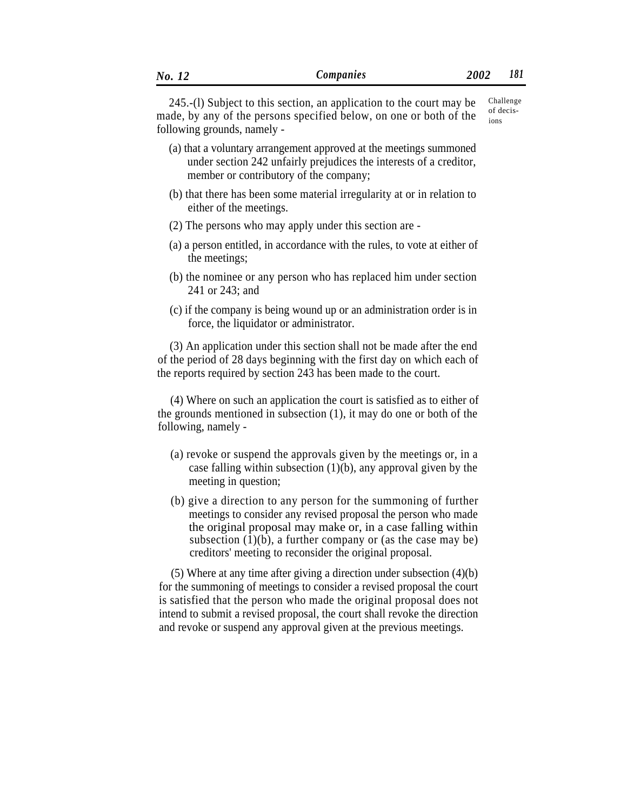245.-(l) Subject to this section, an application to the court may be made, by any of the persons specified below, on one or both of the following grounds, namely - Challenge of decisions

- (a) that a voluntary arrangement approved at the meetings summoned under section 242 unfairly prejudices the interests of a creditor, member or contributory of the company;
- (b) that there has been some material irregularity at or in relation to either of the meetings.
- (2) The persons who may apply under this section are -
- (a) a person entitled, in accordance with the rules, to vote at either of the meetings;
- (b) the nominee or any person who has replaced him under section 241 or 243; and
- (c) if the company is being wound up or an administration order is in force, the liquidator or administrator.

(3) An application under this section shall not be made after the end of the period of 28 days beginning with the first day on which each of the reports required by section 243 has been made to the court.

(4) Where on such an application the court is satisfied as to either of the grounds mentioned in subsection (1), it may do one or both of the following, namely -

- (a) revoke or suspend the approvals given by the meetings or, in a case falling within subsection  $(1)(b)$ , any approval given by the meeting in question;
- (b) give a direction to any person for the summoning of further meetings to consider any revised proposal the person who made the original proposal may make or, in a case falling within subsection  $(1)(b)$ , a further company or (as the case may be) creditors' meeting to reconsider the original proposal.

(5) Where at any time after giving a direction under subsection (4)(b) for the summoning of meetings to consider a revised proposal the court is satisfied that the person who made the original proposal does not intend to submit a revised proposal, the court shall revoke the direction and revoke or suspend any approval given at the previous meetings.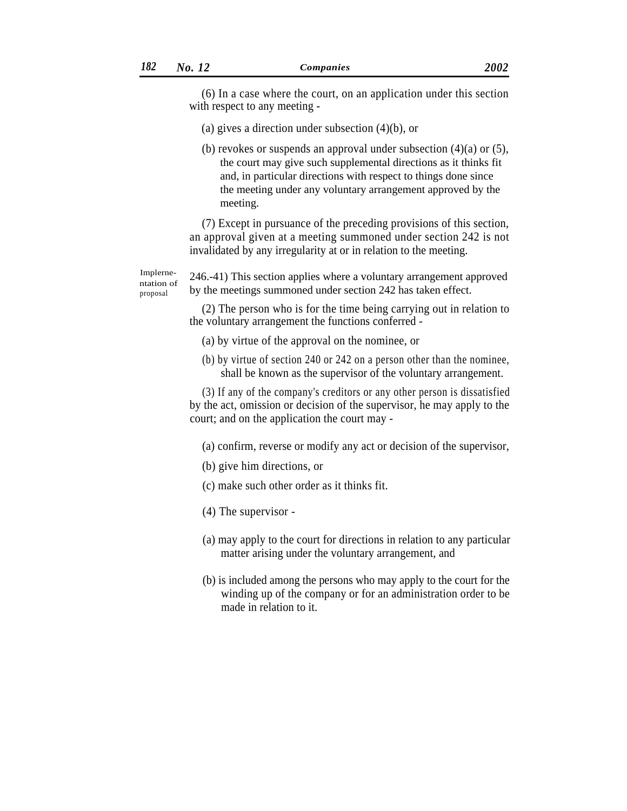- (a) gives a direction under subsection (4)(b), or
- (b) revokes or suspends an approval under subsection  $(4)(a)$  or  $(5)$ , the court may give such supplemental directions as it thinks fit and, in particular directions with respect to things done since the meeting under any voluntary arrangement approved by the meeting.

(7) Except in pursuance of the preceding provisions of this section, an approval given at a meeting summoned under section 242 is not invalidated by any irregularity at or in relation to the meeting.

proposal

Implerne-<br>
246.-41) This section applies where a voluntary arrangement approved<br>  $\frac{1}{2}$ by the meetings summoned under section 242 has taken effect.

> (2) The person who is for the time being carrying out in relation to the voluntary arrangement the functions conferred -

- (a) by virtue of the approval on the nominee, or
- (b) by virtue of section 240 or 242 on a person other than the nominee, shall be known as the supervisor of the voluntary arrangement.

(3) If any of the company's creditors or any other person is dissatisfied by the act, omission or decision of the supervisor, he may apply to the court; and on the application the court may -

(a) confirm, reverse or modify any act or decision of the supervisor,

- (b) give him directions, or
- (c) make such other order as it thinks fit.
- (4) The supervisor -
- (a) may apply to the court for directions in relation to any particular matter arising under the voluntary arrangement, and
- (b) is included among the persons who may apply to the court for the winding up of the company or for an administration order to be made in relation to it.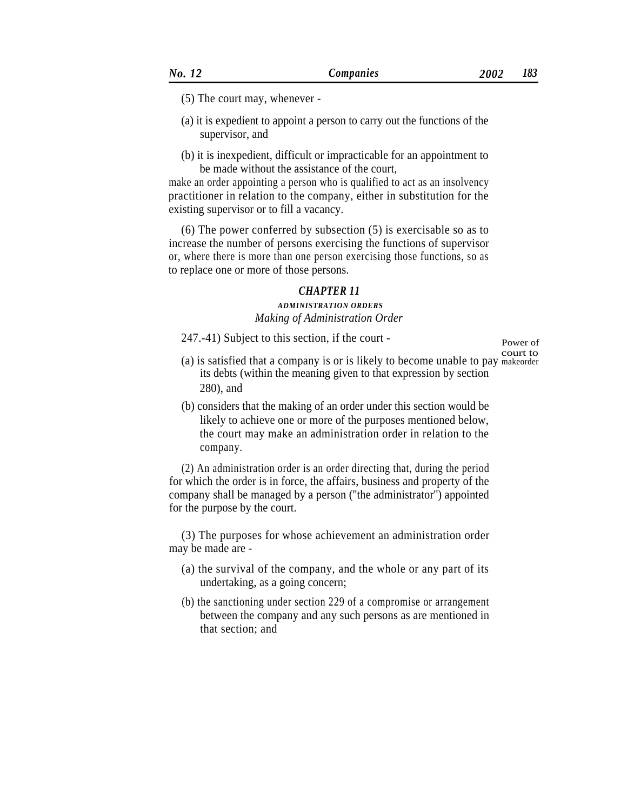- (5) The court may, whenever -
- (a) it is expedient to appoint a person to carry out the functions of the supervisor, and
- (b) it is inexpedient, difficult or impracticable for an appointment to be made without the assistance of the court,

make an order appointing a person who is qualified to act as an insolvency practitioner in relation to the company, either in substitution for the existing supervisor or to fill a vacancy.

(6) The power conferred by subsection (5) is exercisable so as to increase the number of persons exercising the functions of supervisor or, where there is more than one person exercising those functions, so as to replace one or more of those persons.

### *CHAPTER 11*

# *ADMINISTRATION ORDERS Making of Administration Order*

247.-41) Subject to this section, if the court - Power of

court to

- (a) is satisfied that a company is or is likely to become unable to pay makeorder its debts (within the meaning given to that expression by section 280), and
- (b) considers that the making of an order under this section would be likely to achieve one or more of the purposes mentioned below, the court may make an administration order in relation to the company.

(2) An administration order is an order directing that, during the period for which the order is in force, the affairs, business and property of the company shall be managed by a person (''the administrator'') appointed for the purpose by the court.

(3) The purposes for whose achievement an administration order may be made are -

- (a) the survival of the company, and the whole or any part of its undertaking, as a going concern;
- (b) the sanctioning under section 229 of a compromise or arrangement between the company and any such persons as are mentioned in that section; and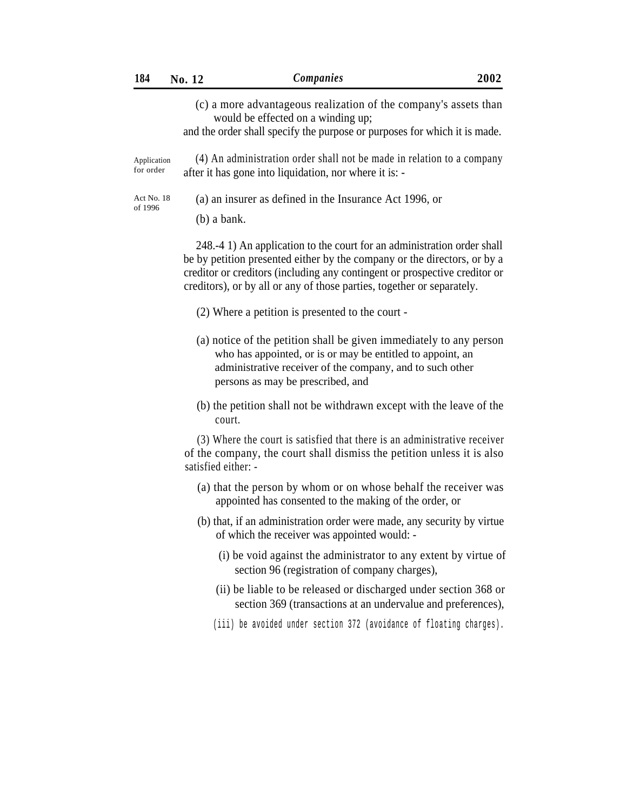(c) a more advantageous realization of the company's assets than would be effected on a winding up;

and the order shall specify the purpose or purposes for which it is made.

(4) An administration order shall not be made in relation to a company after it has gone into liquidation, nor where it is: - Application for order

Act No. 18 (a) an insurer as defined in the Insurance Act 1996, or of 1996

(b) a bank.

248.-4 1) An application to the court for an administration order shall be by petition presented either by the company or the directors, or by a creditor or creditors (including any contingent or prospective creditor or creditors), or by all or any of those parties, together or separately.

- (2) Where a petition is presented to the court -
- (a) notice of the petition shall be given immediately to any person who has appointed, or is or may be entitled to appoint, an administrative receiver of the company, and to such other persons as may be prescribed, and
- (b) the petition shall not be withdrawn except with the leave of the court.

(3) Where the court is satisfied that there is an administrative receiver of the company, the court shall dismiss the petition unless it is also satisfied either: -

- (a) that the person by whom or on whose behalf the receiver was appointed has consented to the making of the order, or
- (b) that, if an administration order were made, any security by virtue of which the receiver was appointed would: -
	- (i) be void against the administrator to any extent by virtue of section 96 (registration of company charges),
	- (ii) be liable to be released or discharged under section 368 or section 369 (transactions at an undervalue and preferences),
	- (iii) be avoided under section 372 (avoidance of floating charges).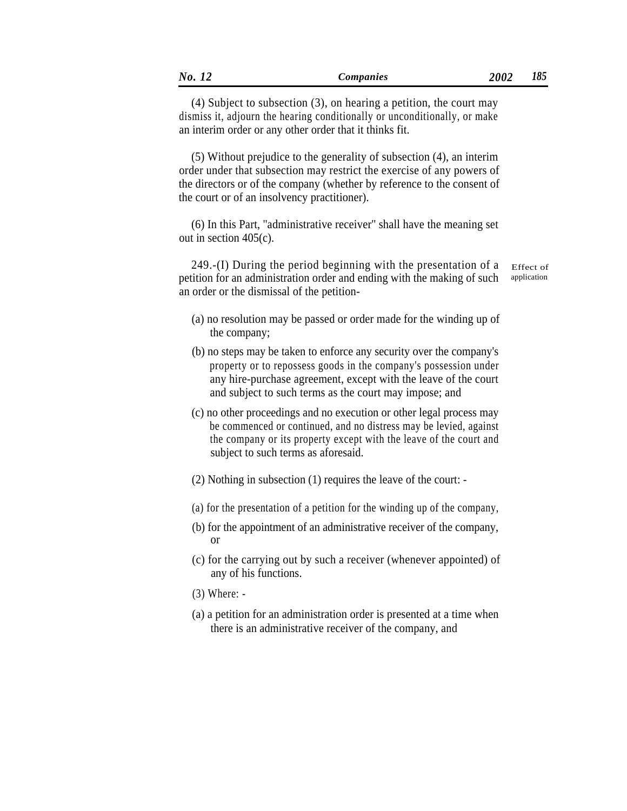an interim order or any other order that it thinks fit.

(4) Subject to subsection (3), on hearing a petition, the court may dismiss it, adjourn the hearing conditionally or unconditionally, or make

(5) Without prejudice to the generality of subsection (4), an interim order under that subsection may restrict the exercise of any powers of the directors or of the company (whether by reference to the consent of the court or of an insolvency practitioner).

(6) In this Part, ''administrative receiver'' shall have the meaning set out in section 405(c).

249.-(I) During the period beginning with the presentation of a petition for an administration order and ending with the making of such an order or the dismissal of the petition-Effect of application

- (a) no resolution may be passed or order made for the winding up of the company;
- (b) no steps may be taken to enforce any security over the company's property or to repossess goods in the company's possession under any hire-purchase agreement, except with the leave of the court and subject to such terms as the court may impose; and
- (c) no other proceedings and no execution or other legal process may be commenced or continued, and no distress may be levied, against the company or its property except with the leave of the court and subject to such terms as aforesaid.
- (2) Nothing in subsection (1) requires the leave of the court: -
- (a) for the presentation of a petition for the winding up of the company,
- (b) for the appointment of an administrative receiver of the company, or
- (c) for the carrying out by such a receiver (whenever appointed) of any of his functions.
- (3) Where: -
- (a) a petition for an administration order is presented at a time when there is an administrative receiver of the company, and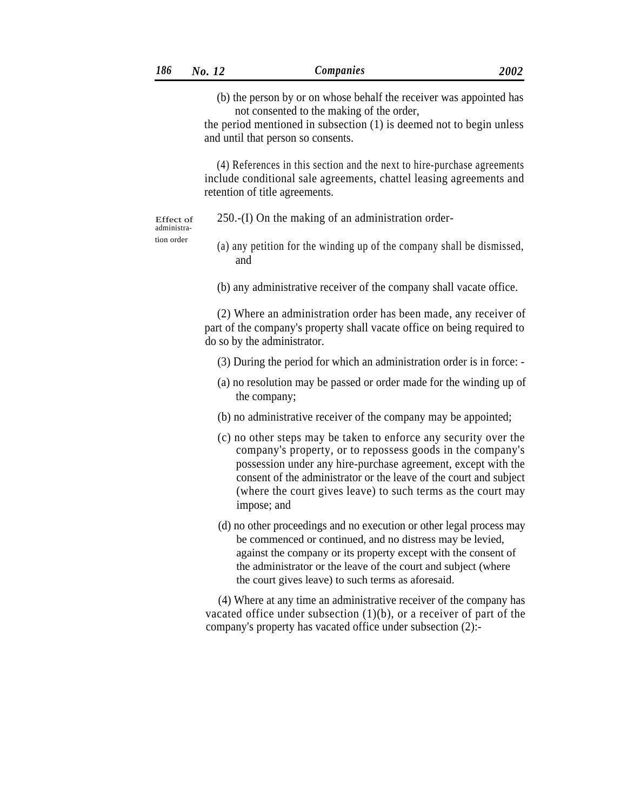(b) the person by or on whose behalf the receiver was appointed has not consented to the making of the order,

the period mentioned in subsection (1) is deemed not to begin unless and until that person so consents.

(4) References in this section and the next to hire-purchase agreements include conditional sale agreements, chattel leasing agreements and retention of title agreements.

Effect of 250.-(I) On the making of an administration order-

administra-

- tion order (a) any petition for the winding up of the company shall be dismissed, and
	- (b) any administrative receiver of the company shall vacate office.

(2) Where an administration order has been made, any receiver of part of the company's property shall vacate office on being required to do so by the administrator.

- (3) During the period for which an administration order is in force: -
- (a) no resolution may be passed or order made for the winding up of the company;
- (b) no administrative receiver of the company may be appointed;
- (c) no other steps may be taken to enforce any security over the company's property, or to repossess goods in the company's possession under any hire-purchase agreement, except with the consent of the administrator or the leave of the court and subject (where the court gives leave) to such terms as the court may impose; and
- (d) no other proceedings and no execution or other legal process may be commenced or continued, and no distress may be levied, against the company or its property except with the consent of the administrator or the leave of the court and subject (where the court gives leave) to such terms as aforesaid.

(4) Where at any time an administrative receiver of the company has vacated office under subsection  $(1)(b)$ , or a receiver of part of the company's property has vacated office under subsection (2):-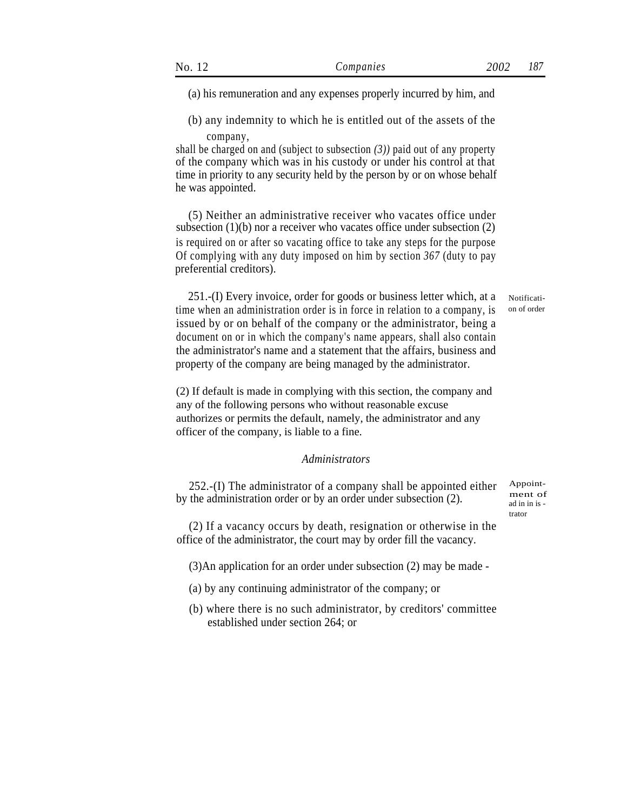(a) his remuneration and any expenses properly incurred by him, and

(b) any indemnity to which he is entitled out of the assets of the company,

shall be charged on and (subject to subsection *(3))* paid out of any property of the company which was in his custody or under his control at that time in priority to any security held by the person by or on whose behalf he was appointed.

(5) Neither an administrative receiver who vacates office under subsection  $(1)(b)$  nor a receiver who vacates office under subsection  $(2)$ is required on or after so vacating office to take any steps for the purpose Of complying with any duty imposed on him by section *367* (duty to pay preferential creditors).

251.-(I) Every invoice, order for goods or business letter which, at a time when an administration order is in force in relation to a company, is issued by or on behalf of the company or the administrator, being a document on or in which the company's name appears, shall also contain the administrator's name and a statement that the affairs, business and property of the company are being managed by the administrator.

Notification of order

(2) If default is made in complying with this section, the company and any of the following persons who without reasonable excuse authorizes or permits the default, namely, the administrator and any officer of the company, is liable to a fine.

#### *Administrators*

252.-(I) The administrator of a company shall be appointed either by the administration order or by an order under subsection (2).

Appointment of ad in in is trator

(2) If a vacancy occurs by death, resignation or otherwise in the office of the administrator, the court may by order fill the vacancy.

- (3)An application for an order under subsection (2) may be made -
- (a) by any continuing administrator of the company; or
- (b) where there is no such administrator, by creditors' committee established under section 264; or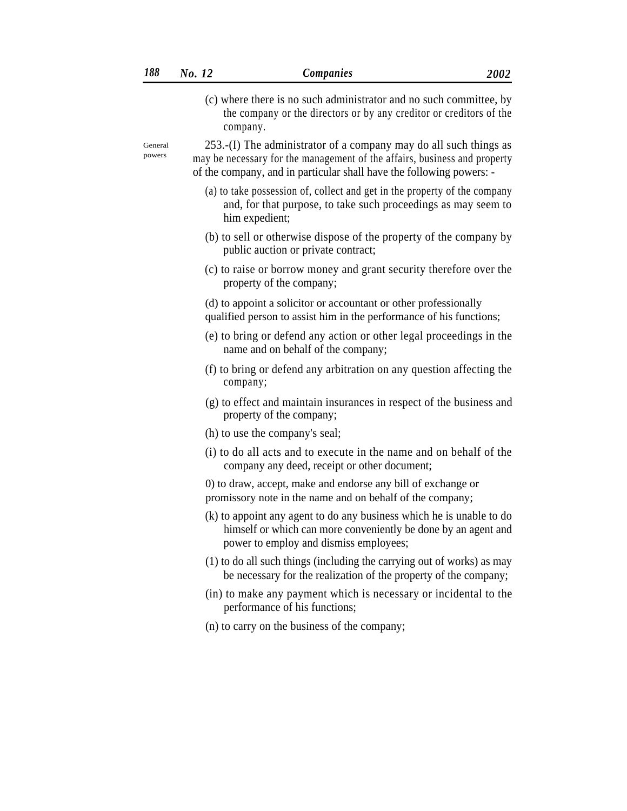(c) where there is no such administrator and no such committee, by the company or the directors or by any creditor or creditors of the company.

General powers

253.-(I) The administrator of a company may do all such things as may be necessary for the management of the affairs, business and property of the company, and in particular shall have the following powers: -

- (a) to take possession of, collect and get in the property of the company and, for that purpose, to take such proceedings as may seem to him expedient;
- (b) to sell or otherwise dispose of the property of the company by public auction or private contract;
- (c) to raise or borrow money and grant security therefore over the property of the company;
- (d) to appoint a solicitor or accountant or other professionally
- qualified person to assist him in the performance of his functions;
- (e) to bring or defend any action or other legal proceedings in the name and on behalf of the company;
- (f) to bring or defend any arbitration on any question affecting the company;
- (g) to effect and maintain insurances in respect of the business and property of the company;
- (h) to use the company's seal;
- (i) to do all acts and to execute in the name and on behalf of the company any deed, receipt or other document;
- 0) to draw, accept, make and endorse any bill of exchange or promissory note in the name and on behalf of the company;
- (k) to appoint any agent to do any business which he is unable to do himself or which can more conveniently be done by an agent and power to employ and dismiss employees;
- (1) to do all such things (including the carrying out of works) as may be necessary for the realization of the property of the company;
- (in) to make any payment which is necessary or incidental to the performance of his functions;
- (n) to carry on the business of the company;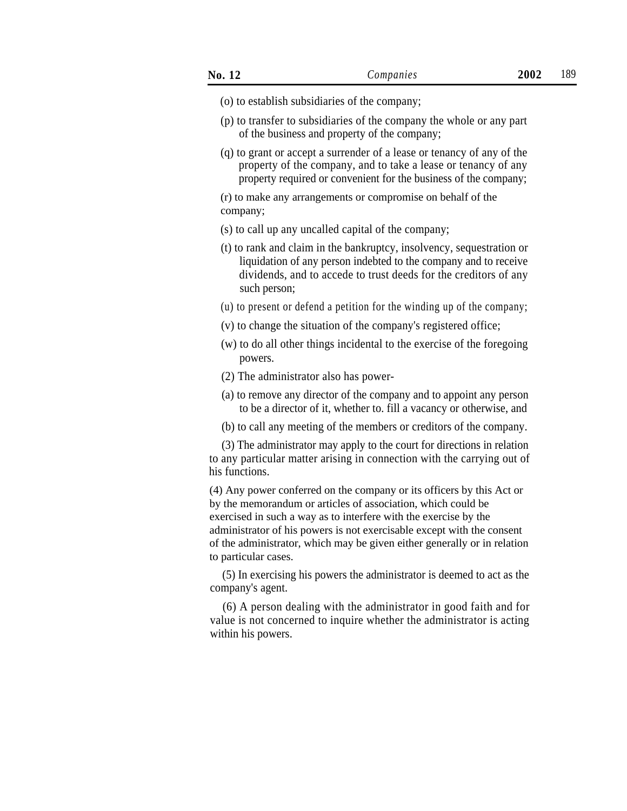- (o) to establish subsidiaries of the company;
- (p) to transfer to subsidiaries of the company the whole or any part of the business and property of the company;
- (q) to grant or accept a surrender of a lease or tenancy of any of the property of the company, and to take a lease or tenancy of any property required or convenient for the business of the company;

(r) to make any arrangements or compromise on behalf of the company;

- (s) to call up any uncalled capital of the company;
- (t) to rank and claim in the bankruptcy, insolvency, sequestration or liquidation of any person indebted to the company and to receive dividends, and to accede to trust deeds for the creditors of any such person;
- (u) to present or defend a petition for the winding up of the company;
- (v) to change the situation of the company's registered office;
- (w) to do all other things incidental to the exercise of the foregoing powers.
- (2) The administrator also has power-
- (a) to remove any director of the company and to appoint any person to be a director of it, whether to. fill a vacancy or otherwise, and
- (b) to call any meeting of the members or creditors of the company.

(3) The administrator may apply to the court for directions in relation to any particular matter arising in connection with the carrying out of his functions.

(4) Any power conferred on the company or its officers by this Act or by the memorandum or articles of association, which could be exercised in such a way as to interfere with the exercise by the administrator of his powers is not exercisable except with the consent of the administrator, which may be given either generally or in relation to particular cases.

(5) In exercising his powers the administrator is deemed to act as the company's agent.

(6) A person dealing with the administrator in good faith and for value is not concerned to inquire whether the administrator is acting within his powers.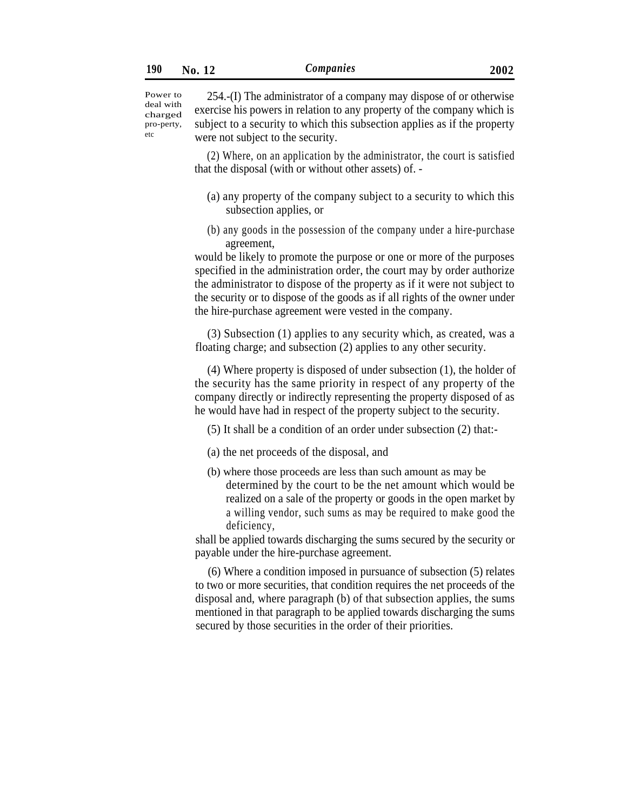Power to deal with charged pro-perty, etc

254.-(I) The administrator of a company may dispose of or otherwise exercise his powers in relation to any property of the company which is subject to a security to which this subsection applies as if the property were not subject to the security.

(2) Where, on an application by the administrator, the court is satisfied that the disposal (with or without other assets) of. -

- (a) any property of the company subject to a security to which this subsection applies, or
- (b) any goods in the possession of the company under a hire-purchase agreement,

would be likely to promote the purpose or one or more of the purposes specified in the administration order, the court may by order authorize the administrator to dispose of the property as if it were not subject to the security or to dispose of the goods as if all rights of the owner under the hire-purchase agreement were vested in the company.

(3) Subsection (1) applies to any security which, as created, was a floating charge; and subsection (2) applies to any other security.

(4) Where property is disposed of under subsection (1), the holder of the security has the same priority in respect of any property of the company directly or indirectly representing the property disposed of as he would have had in respect of the property subject to the security.

(5) It shall be a condition of an order under subsection (2) that:-

- (a) the net proceeds of the disposal, and
- (b) where those proceeds are less than such amount as may be determined by the court to be the net amount which would be realized on a sale of the property or goods in the open market by a willing vendor, such sums as may be required to make good the deficiency,

shall be applied towards discharging the sums secured by the security or payable under the hire-purchase agreement.

(6) Where a condition imposed in pursuance of subsection (5) relates to two or more securities, that condition requires the net proceeds of the disposal and, where paragraph (b) of that subsection applies, the sums mentioned in that paragraph to be applied towards discharging the sums secured by those securities in the order of their priorities.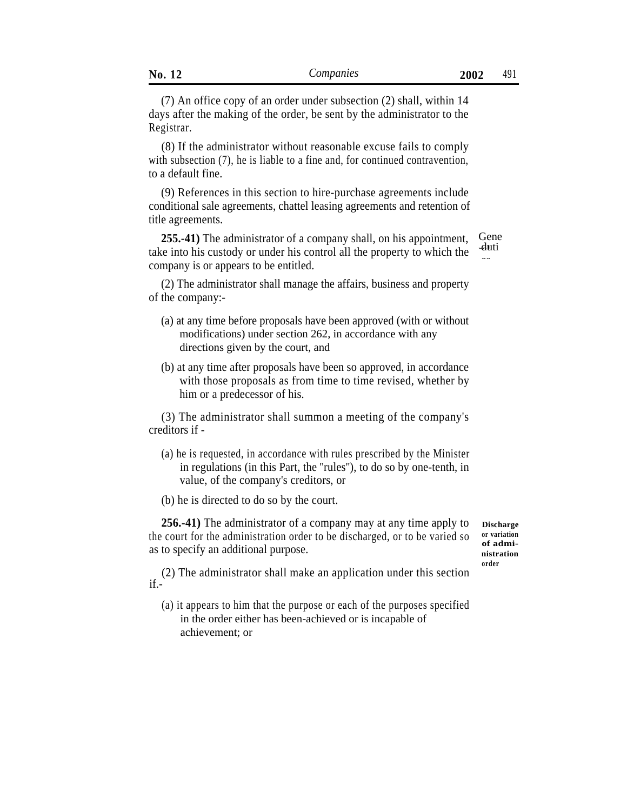(7) An office copy of an order under subsection (2) shall, within 14 days after the making of the order, be sent by the administrator to the Registrar.

(8) If the administrator without reasonable excuse fails to comply with subsection (7), he is liable to a fine and, for continued contravention, to a default fine.

(9) References in this section to hire-purchase agreements include conditional sale agreements, chattel leasing agreements and retention of title agreements.

**255.-41)** The administrator of a company shall, on his appointment, take into his custody or under his control all the property to which the company is or appears to be entitled.

(2) The administrator shall manage the affairs, business and property of the company:-

- (a) at any time before proposals have been approved (with or without modifications) under section 262, in accordance with any directions given by the court, and
- (b) at any time after proposals have been so approved, in accordance with those proposals as from time to time revised, whether by him or a predecessor of his.

(3) The administrator shall summon a meeting of the company's creditors if -

- (a) he is requested, in accordance with rules prescribed by the Minister in regulations (in this Part, the ''rules''), to do so by one-tenth, in value, of the company's creditors, or
- (b) he is directed to do so by the court.

**256.-41)** The administrator of a company may at any time apply to the court for the administration order to be discharged, or to be varied so as to specify an additional purpose.

**Discharge or variation of administration order**

(2) The administrator shall make an application under this section if.-

(a) it appears to him that the purpose or each of the purposes specified in the order either has been-achieved or is incapable of achievement; or

Gene .duti es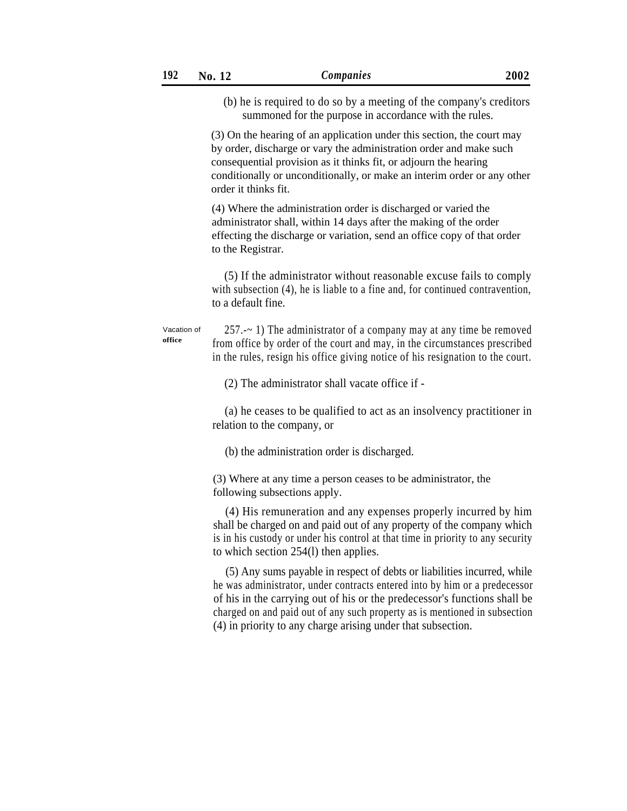(b) he is required to do so by a meeting of the company's creditors summoned for the purpose in accordance with the rules.

(3) On the hearing of an application under this section, the court may by order, discharge or vary the administration order and make such consequential provision as it thinks fit, or adjourn the hearing conditionally or unconditionally, or make an interim order or any other order it thinks fit.

(4) Where the administration order is discharged or varied the administrator shall, within 14 days after the making of the order effecting the discharge or variation, send an office copy of that order to the Registrar.

(5) If the administrator without reasonable excuse fails to comply with subsection (4), he is liable to a fine and, for continued contravention. to a default fine.

257.-~ 1) The administrator of a company may at any time be removed from office by order of the court and may, in the circumstances prescribed in the rules, resign his office giving notice of his resignation to the court. Vacation of **office**

(2) The administrator shall vacate office if -

(a) he ceases to be qualified to act as an insolvency practitioner in relation to the company, or

(b) the administration order is discharged.

(3) Where at any time a person ceases to be administrator, the following subsections apply.

(4) His remuneration and any expenses properly incurred by him shall be charged on and paid out of any property of the company which is in his custody or under his control at that time in priority to any security to which section 254(l) then applies.

(5) Any sums payable in respect of debts or liabilities incurred, while he was administrator, under contracts entered into by him or a predecessor of his in the carrying out of his or the predecessor's functions shall be charged on and paid out of any such property as is mentioned in subsection (4) in priority to any charge arising under that subsection.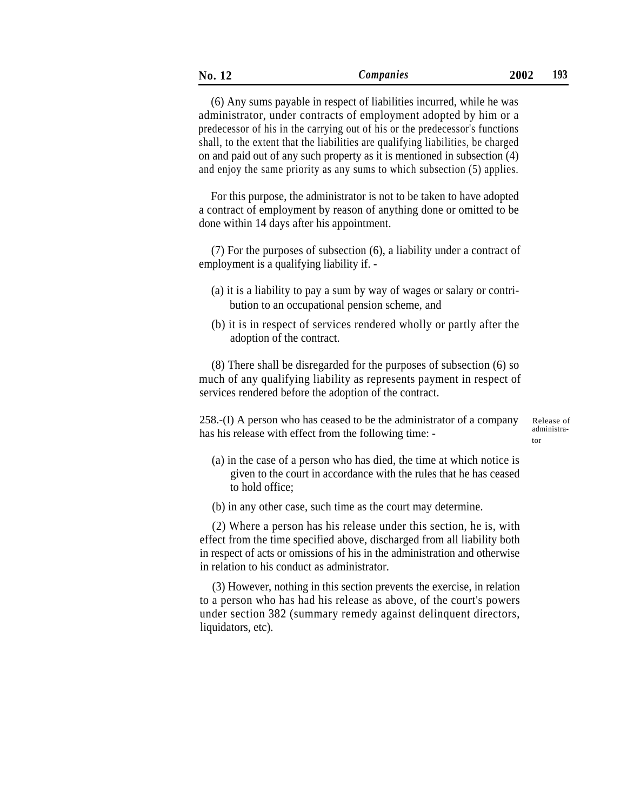| 2002<br>No. 12<br>Companies |
|-----------------------------|
|-----------------------------|

(6) Any sums payable in respect of liabilities incurred, while he was administrator, under contracts of employment adopted by him or a predecessor of his in the carrying out of his or the predecessor's functions shall, to the extent that the liabilities are qualifying liabilities, be charged on and paid out of any such property as it is mentioned in subsection (4) and enjoy the same priority as any sums to which subsection (5) applies.

For this purpose, the administrator is not to be taken to have adopted a contract of employment by reason of anything done or omitted to be done within 14 days after his appointment.

(7) For the purposes of subsection (6), a liability under a contract of employment is a qualifying liability if. -

- (a) it is a liability to pay a sum by way of wages or salary or contribution to an occupational pension scheme, and
- (b) it is in respect of services rendered wholly or partly after the adoption of the contract.

(8) There shall be disregarded for the purposes of subsection (6) so much of any qualifying liability as represents payment in respect of services rendered before the adoption of the contract.

258.-(I) A person who has ceased to be the administrator of a company has his release with effect from the following time: -

Release of administrator

- (a) in the case of a person who has died, the time at which notice is given to the court in accordance with the rules that he has ceased to hold office;
- (b) in any other case, such time as the court may determine.

(2) Where a person has his release under this section, he is, with effect from the time specified above, discharged from all liability both in respect of acts or omissions of his in the administration and otherwise in relation to his conduct as administrator.

(3) However, nothing in this section prevents the exercise, in relation to a person who has had his release as above, of the court's powers under section 382 (summary remedy against delinquent directors, liquidators, etc).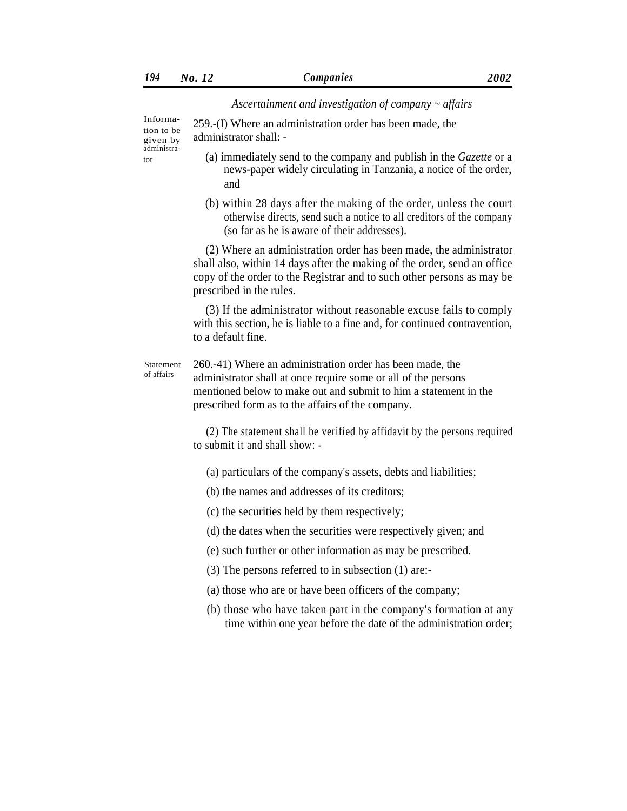*Ascertainment and investigation of company ~ affairs*

| Informa-<br>tion to be<br>given by | 259.-(I) Where an administration order has been made, the<br>administrator shall: -                                                                                                                                                                  |  |  |
|------------------------------------|------------------------------------------------------------------------------------------------------------------------------------------------------------------------------------------------------------------------------------------------------|--|--|
| administra-<br>tor                 | (a) immediately send to the company and publish in the <i>Gazette</i> or a<br>news-paper widely circulating in Tanzania, a notice of the order,<br>and                                                                                               |  |  |
|                                    | (b) within 28 days after the making of the order, unless the court<br>otherwise directs, send such a notice to all creditors of the company<br>(so far as he is aware of their addresses).                                                           |  |  |
|                                    | (2) Where an administration order has been made, the administrator<br>shall also, within 14 days after the making of the order, send an office<br>copy of the order to the Registrar and to such other persons as may be<br>prescribed in the rules. |  |  |
|                                    | (3) If the administrator without reasonable excuse fails to comply<br>with this section, he is liable to a fine and, for continued contravention,<br>to a default fine.                                                                              |  |  |
| Statement<br>of affairs            | 260.-41) Where an administration order has been made, the<br>administrator shall at once require some or all of the persons<br>mentioned below to make out and submit to him a statement in the<br>prescribed form as to the affairs of the company. |  |  |
|                                    | (2) The statement shall be verified by affidavit by the persons required<br>to submit it and shall show: -                                                                                                                                           |  |  |
|                                    | (a) particulars of the company's assets, debts and liabilities;                                                                                                                                                                                      |  |  |
|                                    | (b) the names and addresses of its creditors;                                                                                                                                                                                                        |  |  |
|                                    | (c) the securities held by them respectively;                                                                                                                                                                                                        |  |  |
|                                    | (d) the dates when the securities were respectively given; and                                                                                                                                                                                       |  |  |
|                                    | (e) such further or other information as may be prescribed.                                                                                                                                                                                          |  |  |
|                                    | $(3)$ The persons referred to in subsection $(1)$ are:-                                                                                                                                                                                              |  |  |
|                                    | (a) those who are or have been officers of the company;                                                                                                                                                                                              |  |  |
|                                    | (b) those who have taken part in the company's formation at any<br>time within one year before the date of the administration order;                                                                                                                 |  |  |
|                                    |                                                                                                                                                                                                                                                      |  |  |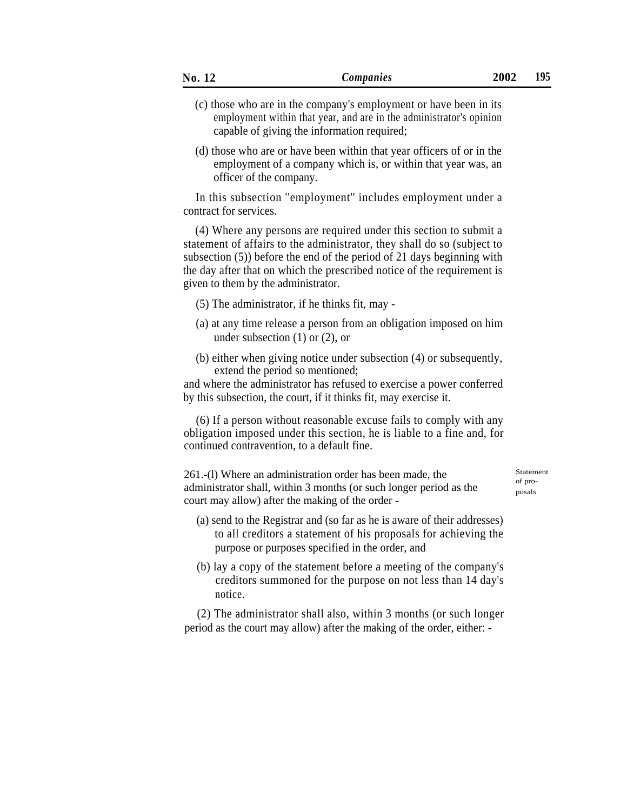- (c) those who are in the company's employment or have been in its employment within that year, and are in the administrator's opinion capable of giving the information required;
- (d) those who are or have been within that year officers of or in the employment of a company which is, or within that year was, an officer of the company.

In this subsection ''employment'' includes employment under a contract for services.

(4) Where any persons are required under this section to submit a statement of affairs to the administrator, they shall do so (subject to subsection (5)) before the end of the period of 21 days beginning with the day after that on which the prescribed notice of the requirement is given to them by the administrator.

- (5) The administrator, if he thinks fit, may -
- (a) at any time release a person from an obligation imposed on him under subsection (1) or (2), or
- (b) either when giving notice under subsection (4) or subsequently, extend the period so mentioned;

and where the administrator has refused to exercise a power conferred by this subsection, the court, if it thinks fit, may exercise it.

(6) If a person without reasonable excuse fails to comply with any obligation imposed under this section, he is liable to a fine and, for continued contravention, to a default fine.

261.-(l) Where an administration order has been made, the administrator shall, within 3 months (or such longer period as the court may allow) after the making of the order -

Statement of proposals

- (a) send to the Registrar and (so far as he is aware of their addresses) to all creditors a statement of his proposals for achieving the purpose or purposes specified in the order, and
- (b) lay a copy of the statement before a meeting of the company's creditors summoned for the purpose on not less than 14 day's notice.

(2) The administrator shall also, within 3 months (or such longer period as the court may allow) after the making of the order, either: -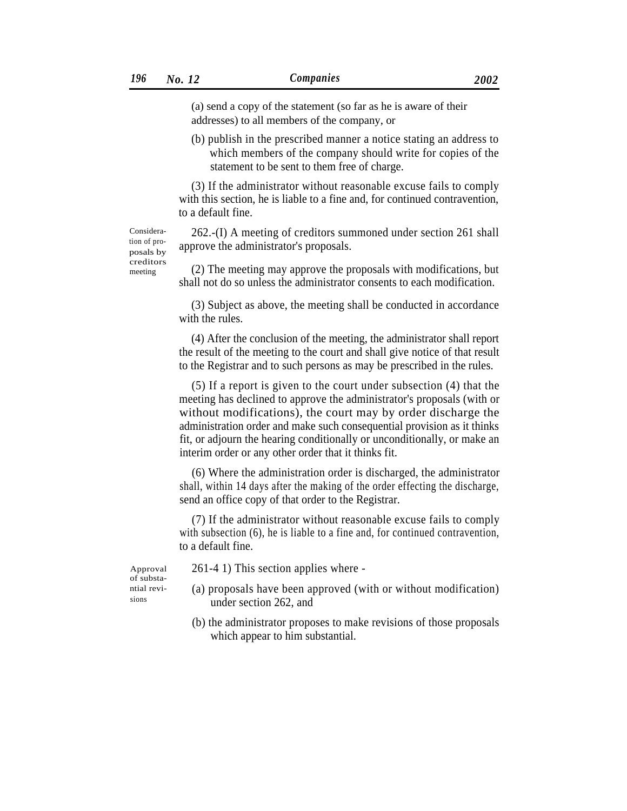Consideration of proposals by

meeting

(a) send a copy of the statement (so far as he is aware of their addresses) to all members of the company, or

(b) publish in the prescribed manner a notice stating an address to which members of the company should write for copies of the statement to be sent to them free of charge.

(3) If the administrator without reasonable excuse fails to comply with this section, he is liable to a fine and, for continued contravention, to a default fine.

262.-(I) A meeting of creditors summoned under section 261 shall approve the administrator's proposals.

creditors (2) The meeting may approve the proposals with modifications, but shall not do so unless the administrator consents to each modification.

> (3) Subject as above, the meeting shall be conducted in accordance with the rules.

> (4) After the conclusion of the meeting, the administrator shall report the result of the meeting to the court and shall give notice of that result to the Registrar and to such persons as may be prescribed in the rules.

> (5) If a report is given to the court under subsection (4) that the meeting has declined to approve the administrator's proposals (with or without modifications), the court may by order discharge the administration order and make such consequential provision as it thinks fit, or adjourn the hearing conditionally or unconditionally, or make an interim order or any other order that it thinks fit.

> (6) Where the administration order is discharged, the administrator shall, within 14 days after the making of the order effecting the discharge, send an office copy of that order to the Registrar.

> (7) If the administrator without reasonable excuse fails to comply with subsection (6), he is liable to a fine and, for continued contravention, to a default fine.

Approval 261-4 1) This section applies where -

- (a) proposals have been approved (with or without modification) under section 262, and
- (b) the administrator proposes to make revisions of those proposals which appear to him substantial.

of substa ntial revisions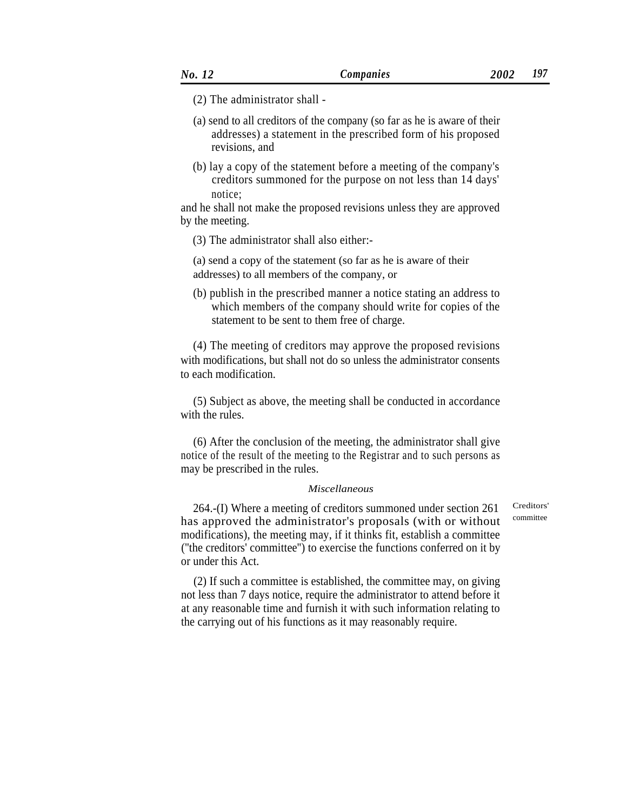- (2) The administrator shall -
- (a) send to all creditors of the company (so far as he is aware of their addresses) a statement in the prescribed form of his proposed revisions, and
- (b) lay a copy of the statement before a meeting of the company's creditors summoned for the purpose on not less than 14 days' notice;

and he shall not make the proposed revisions unless they are approved by the meeting.

(3) The administrator shall also either:-

(a) send a copy of the statement (so far as he is aware of their addresses) to all members of the company, or

(b) publish in the prescribed manner a notice stating an address to which members of the company should write for copies of the statement to be sent to them free of charge.

(4) The meeting of creditors may approve the proposed revisions with modifications, but shall not do so unless the administrator consents to each modification.

(5) Subject as above, the meeting shall be conducted in accordance with the rules.

(6) After the conclusion of the meeting, the administrator shall give notice of the result of the meeting to the Registrar and to such persons as may be prescribed in the rules.

### *Miscellaneous*

264.-(I) Where a meeting of creditors summoned under section 261 has approved the administrator's proposals (with or without modifications), the meeting may, if it thinks fit, establish a committee (''the creditors' committee'') to exercise the functions conferred on it by or under this Act.

(2) If such a committee is established, the committee may, on giving not less than 7 days notice, require the administrator to attend before it at any reasonable time and furnish it with such information relating to the carrying out of his functions as it may reasonably require.

Creditors' committee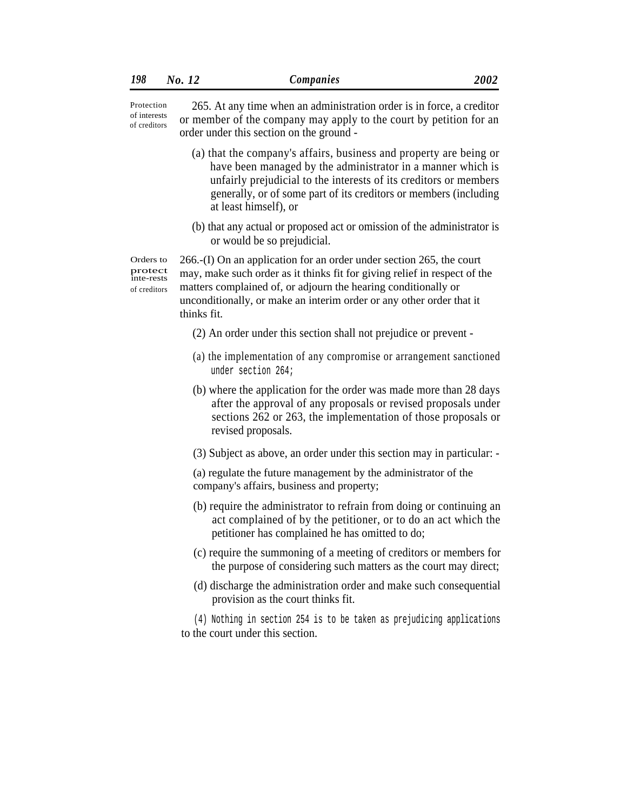265. At any time when an administration order is in force, a creditor or member of the company may apply to the court by petition for an order under this section on the ground - Protection of interests of creditors

- (a) that the company's affairs, business and property are being or have been managed by the administrator in a manner which is unfairly prejudicial to the interests of its creditors or members generally, or of some part of its creditors or members (including at least himself), or
- (b) that any actual or proposed act or omission of the administrator is or would be so prejudicial.

Orders to protect inte-rests of creditors

266.-(I) On an application for an order under section 265, the court may, make such order as it thinks fit for giving relief in respect of the matters complained of, or adjourn the hearing conditionally or unconditionally, or make an interim order or any other order that it thinks fit.

- (2) An order under this section shall not prejudice or prevent -
- (a) the implementation of any compromise or arrangement sanctioned under section 264;
- (b) where the application for the order was made more than 28 days after the approval of any proposals or revised proposals under sections 262 or 263, the implementation of those proposals or revised proposals.
- (3) Subject as above, an order under this section may in particular: -

(a) regulate the future management by the administrator of the company's affairs, business and property;

- (b) require the administrator to refrain from doing or continuing an act complained of by the petitioner, or to do an act which the petitioner has complained he has omitted to do;
- (c) require the summoning of a meeting of creditors or members for the purpose of considering such matters as the court may direct;
- (d) discharge the administration order and make such consequential provision as the court thinks fit.

(4) Nothing in section 254 is to be taken as prejudicing applications to the court under this section.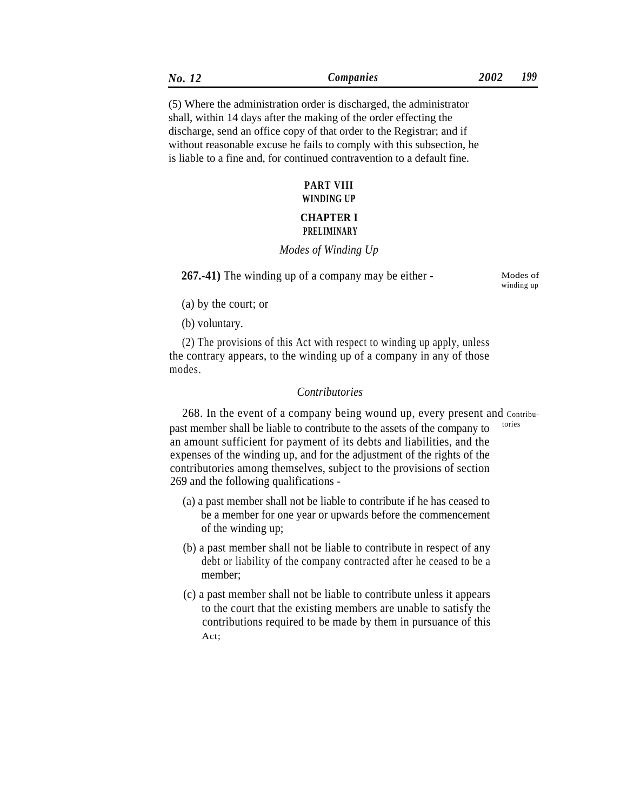|  |  | Companies | 2002 | 100 |
|--|--|-----------|------|-----|
|--|--|-----------|------|-----|

(5) Where the administration order is discharged, the administrator shall, within 14 days after the making of the order effecting the discharge, send an office copy of that order to the Registrar; and if without reasonable excuse he fails to comply with this subsection, he is liable to a fine and, for continued contravention to a default fine.

# **PART VIII WINDING UP CHAPTER I**

# **PRELIMINARY**

# *Modes of Winding Up*

**267.-41**) The winding up of a company may be either - Modes of

winding up

(a) by the court; or

(b) voluntary.

(2) The provisions of this Act with respect to winding up apply, unless the contrary appears, to the winding up of a company in any of those modes.

# *Contributories*

268. In the event of a company being wound up, every present and Contribupast member shall be liable to contribute to the assets of the company to <sup>tories</sup> an amount sufficient for payment of its debts and liabilities, and the expenses of the winding up, and for the adjustment of the rights of the contributories among themselves, subject to the provisions of section 269 and the following qualifications -

- (a) a past member shall not be liable to contribute if he has ceased to be a member for one year or upwards before the commencement of the winding up;
- (b) a past member shall not be liable to contribute in respect of any debt or liability of the company contracted after he ceased to be a member;
- (c) a past member shall not be liable to contribute unless it appears to the court that the existing members are unable to satisfy the contributions required to be made by them in pursuance of this Act;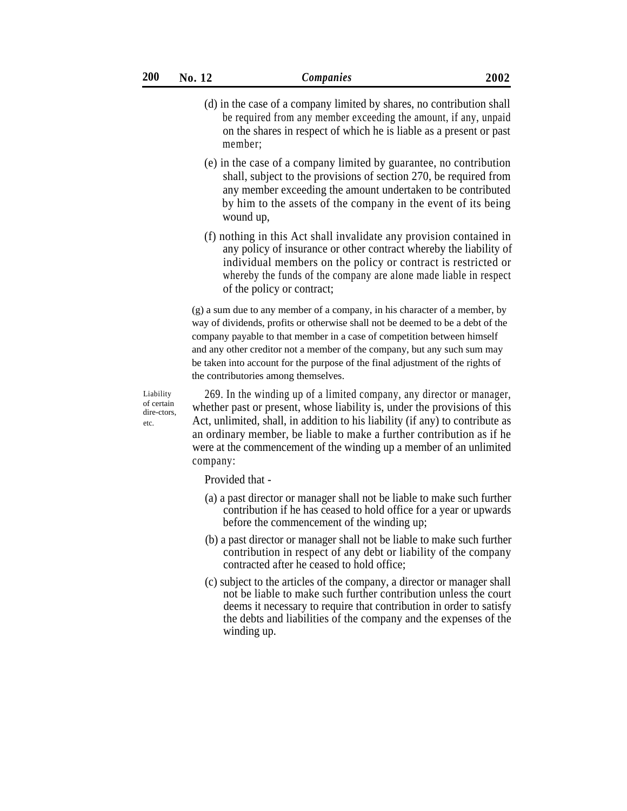- (d) in the case of a company limited by shares, no contribution shall be required from any member exceeding the amount, if any, unpaid on the shares in respect of which he is liable as a present or past member;
- (e) in the case of a company limited by guarantee, no contribution shall, subject to the provisions of section 270, be required from any member exceeding the amount undertaken to be contributed by him to the assets of the company in the event of its being wound up,
- (f) nothing in this Act shall invalidate any provision contained in any policy of insurance or other contract whereby the liability of individual members on the policy or contract is restricted or whereby the funds of the company are alone made liable in respect of the policy or contract;

(g) a sum due to any member of a company, in his character of a member, by way of dividends, profits or otherwise shall not be deemed to be a debt of the company payable to that member in a case of competition between himself and any other creditor not a member of the company, but any such sum may be taken into account for the purpose of the final adjustment of the rights of the contributories among themselves.

Liability of certain dire-ctors, etc.

269. In the winding up of a limited company, any director or manager, whether past or present, whose liability is, under the provisions of this Act, unlimited, shall, in addition to his liability (if any) to contribute as an ordinary member, be liable to make a further contribution as if he were at the commencement of the winding up a member of an unlimited company:

Provided that -

- (a) a past director or manager shall not be liable to make such further contribution if he has ceased to hold office for a year or upwards before the commencement of the winding up;
- (b) a past director or manager shall not be liable to make such further contribution in respect of any debt or liability of the company contracted after he ceased to hold office;
- (c) subject to the articles of the company, a director or manager shall not be liable to make such further contribution unless the court deems it necessary to require that contribution in order to satisfy the debts and liabilities of the company and the expenses of the winding up.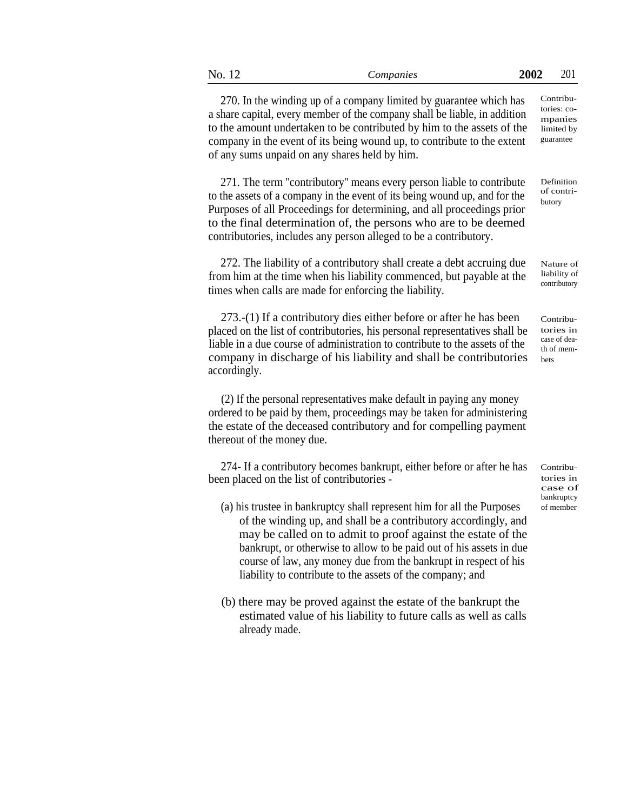| No. | Companies | 2002 | 201 |
|-----|-----------|------|-----|
|     |           |      |     |

270. In the winding up of a company limited by guarantee which has a share capital, every member of the company shall be liable, in addition to the amount undertaken to be contributed by him to the assets of the company in the event of its being wound up, to contribute to the extent of any sums unpaid on any shares held by him. Contributories: companies limited by guarantee

271. The term ''contributory'' means every person liable to contribute to the assets of a company in the event of its being wound up, and for the Purposes of all Proceedings for determining, and all proceedings prior to the final determination of, the persons who are to be deemed contributories, includes any person alleged to be a contributory. Definition of contributory

272. The liability of a contributory shall create a debt accruing due from him at the time when his liability commenced, but payable at the times when calls are made for enforcing the liability.

273.-(1) If a contributory dies either before or after he has been placed on the list of contributories, his personal representatives shall be liable in a due course of administration to contribute to the assets of the company in discharge of his liability and shall be contributories accordingly.

(2) If the personal representatives make default in paying any money ordered to be paid by them, proceedings may be taken for administering the estate of the deceased contributory and for compelling payment thereout of the money due.

274- If a contributory becomes bankrupt, either before or after he has been placed on the list of contributories -

- (a) his trustee in bankruptcy shall represent him for all the Purposes of member of the winding up, and shall be a contributory accordingly, and may be called on to admit to proof against the estate of the bankrupt, or otherwise to allow to be paid out of his assets in due course of law, any money due from the bankrupt in respect of his liability to contribute to the assets of the company; and
- (b) there may be proved against the estate of the bankrupt the estimated value of his liability to future calls as well as calls already made.

Contributories in case of bankruptcy

Nature of liability of contributory

Contributories in case of death of membets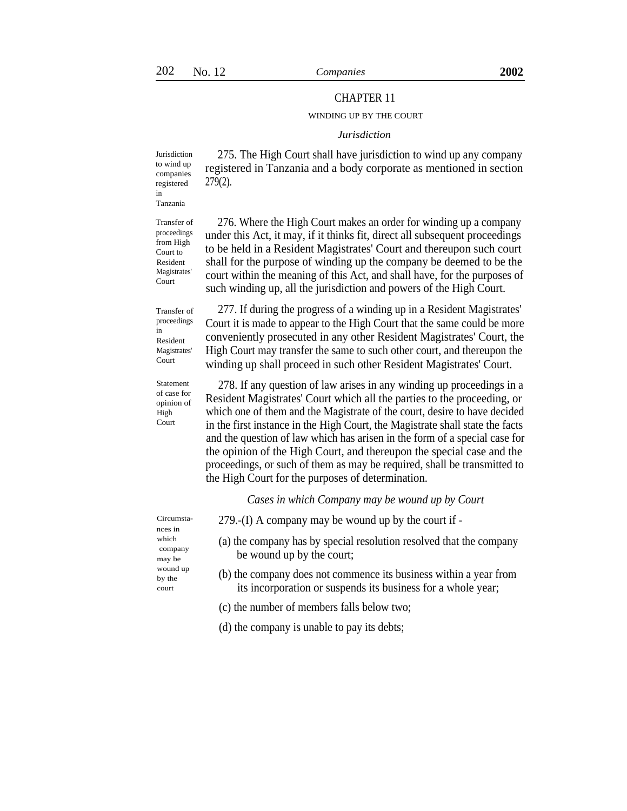## CHAPTER 11

#### WINDING UP BY THE COURT

### *Jurisdiction*

275. The High Court shall have jurisdiction to wind up any company registered in Tanzania and a body corporate as mentioned in section 279(2). **Jurisdiction** to wind up

in Tanzania Transfer of

companies registered

proceedings from High Court to Resident Magistrates' Court

Transfer of proceedings in Resident Magistrates' Court

Statement of case for opinion of High Court

nces in which company may be by the court

276. Where the High Court makes an order for winding up a company under this Act, it may, if it thinks fit, direct all subsequent proceedings to be held in a Resident Magistrates' Court and thereupon such court shall for the purpose of winding up the company be deemed to be the court within the meaning of this Act, and shall have, for the purposes of such winding up, all the jurisdiction and powers of the High Court.

277. If during the progress of a winding up in a Resident Magistrates' Court it is made to appear to the High Court that the same could be more conveniently prosecuted in any other Resident Magistrates' Court, the High Court may transfer the same to such other court, and thereupon the winding up shall proceed in such other Resident Magistrates' Court.

278. If any question of law arises in any winding up proceedings in a Resident Magistrates' Court which all the parties to the proceeding, or which one of them and the Magistrate of the court, desire to have decided in the first instance in the High Court, the Magistrate shall state the facts and the question of law which has arisen in the form of a special case for the opinion of the High Court, and thereupon the special case and the proceedings, or such of them as may be required, shall be transmitted to the High Court for the purposes of determination.

*Cases in which Company may be wound up by Court*

 $Circumsta-$  279.-(I) A company may be wound up by the court if -

- (a) the company has by special resolution resolved that the company be wound up by the court;
- wound up<br>by the (b) the company does not commence its business within a year from its incorporation or suspends its business for a whole year;
	- (c) the number of members falls below two;
	- (d) the company is unable to pay its debts;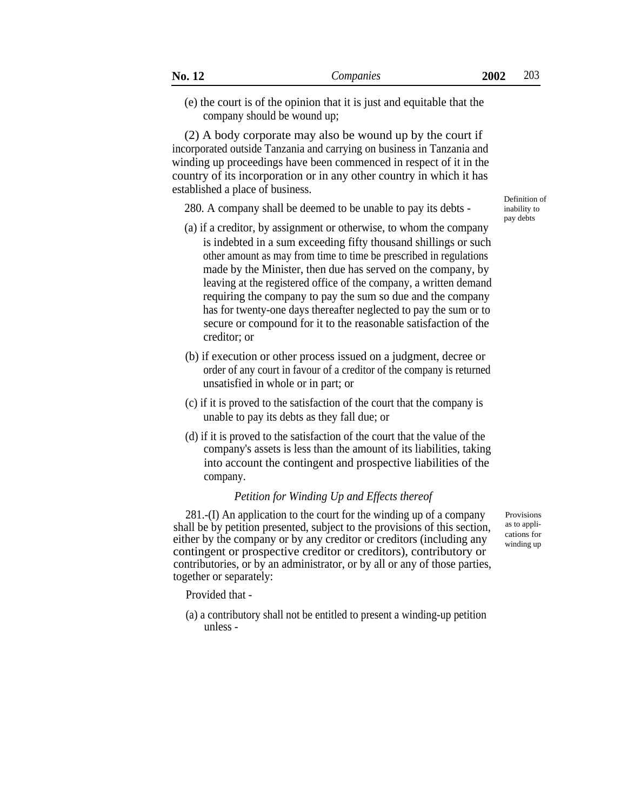(e) the court is of the opinion that it is just and equitable that the company should be wound up;

(2) A body corporate may also be wound up by the court if incorporated outside Tanzania and carrying on business in Tanzania and winding up proceedings have been commenced in respect of it in the country of its incorporation or in any other country in which it has established a place of business.

280. A company shall be deemed to be unable to pay its debts -

- (a) if a creditor, by assignment or otherwise, to whom the company is indebted in a sum exceeding fifty thousand shillings or such other amount as may from time to time be prescribed in regulations made by the Minister, then due has served on the company, by leaving at the registered office of the company, a written demand requiring the company to pay the sum so due and the company has for twenty-one days thereafter neglected to pay the sum or to secure or compound for it to the reasonable satisfaction of the creditor; or
- (b) if execution or other process issued on a judgment, decree or order of any court in favour of a creditor of the company is returned unsatisfied in whole or in part; or
- (c) if it is proved to the satisfaction of the court that the company is unable to pay its debts as they fall due; or
- (d) if it is proved to the satisfaction of the court that the value of the company's assets is less than the amount of its liabilities, taking into account the contingent and prospective liabilities of the company.

# *Petition for Winding Up and Effects thereof*

281.-(I) An application to the court for the winding up of a company shall be by petition presented, subject to the provisions of this section, either by the company or by any creditor or creditors (including any contingent or prospective creditor or creditors), contributory or contributories, or by an administrator, or by all or any of those parties, together or separately:

Provided that -

(a) a contributory shall not be entitled to present a winding-up petition unless -

Definition of inability to pay debts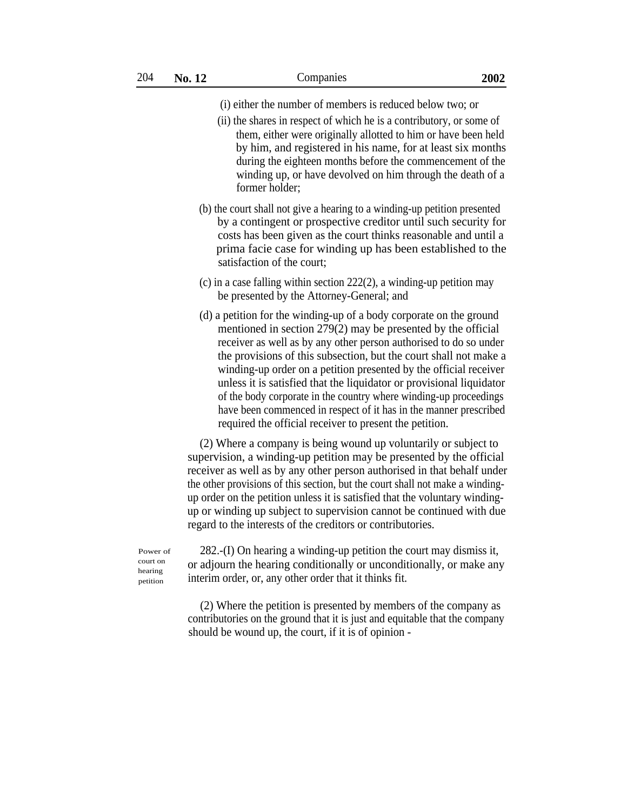- (i) either the number of members is reduced below two; or
- (ii) the shares in respect of which he is a contributory, or some of them, either were originally allotted to him or have been held by him, and registered in his name, for at least six months during the eighteen months before the commencement of the winding up, or have devolved on him through the death of a former holder;
- (b) the court shall not give a hearing to a winding-up petition presented by a contingent or prospective creditor until such security for costs has been given as the court thinks reasonable and until a prima facie case for winding up has been established to the satisfaction of the court;
- (c) in a case falling within section 222(2), a winding-up petition may be presented by the Attorney-General; and
- (d) a petition for the winding-up of a body corporate on the ground mentioned in section 279(2) may be presented by the official receiver as well as by any other person authorised to do so under the provisions of this subsection, but the court shall not make a winding-up order on a petition presented by the official receiver unless it is satisfied that the liquidator or provisional liquidator of the body corporate in the country where winding-up proceedings have been commenced in respect of it has in the manner prescribed required the official receiver to present the petition.

(2) Where a company is being wound up voluntarily or subject to supervision, a winding-up petition may be presented by the official receiver as well as by any other person authorised in that behalf under the other provisions of this section, but the court shall not make a windingup order on the petition unless it is satisfied that the voluntary windingup or winding up subject to supervision cannot be continued with due regard to the interests of the creditors or contributories.

Power of court on hearing petition

282.-(I) On hearing a winding-up petition the court may dismiss it, or adjourn the hearing conditionally or unconditionally, or make any interim order, or, any other order that it thinks fit.

(2) Where the petition is presented by members of the company as contributories on the ground that it is just and equitable that the company should be wound up, the court, if it is of opinion -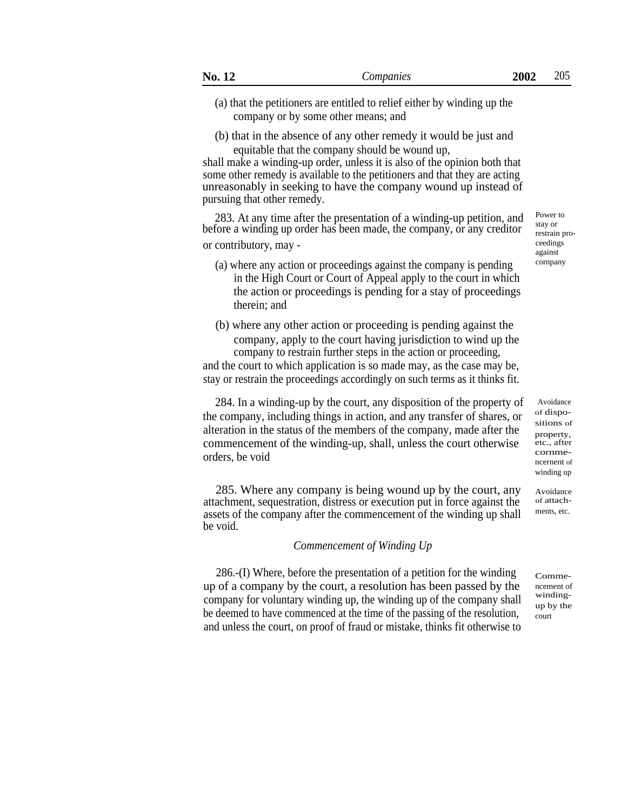- (a) that the petitioners are entitled to relief either by winding up the company or by some other means; and
- (b) that in the absence of any other remedy it would be just and equitable that the company should be wound up,

shall make a winding-up order, unless it is also of the opinion both that some other remedy is available to the petitioners and that they are acting unreasonably in seeking to have the company wound up instead of pursuing that other remedy.

283. At any time after the presentation of a winding-up petition, and before a winding up order has been made, the company, or any creditor or contributory, may -

- (a) where any action or proceedings against the company is pending in the High Court or Court of Appeal apply to the court in which the action or proceedings is pending for a stay of proceedings therein; and
- (b) where any other action or proceeding is pending against the company, apply to the court having jurisdiction to wind up the company to restrain further steps in the action or proceeding,

and the court to which application is so made may, as the case may be, stay or restrain the proceedings accordingly on such terms as it thinks fit.

284. In a winding-up by the court, any disposition of the property of Avoidance the company, including things in action, and any transfer of shares, or alteration in the status of the members of the company, made after the commencement of the winding-up, shall, unless the court otherwise orders, be void

285. Where any company is being wound up by the court, any attachment, sequestration, distress or execution put in force against the assets of the company after the commencement of the winding up shall be void.

### *Commencement of Winding Up*

286.-(I) Where, before the presentation of a petition for the winding up of a company by the court, a resolution has been passed by the company for voluntary winding up, the winding up of the company shall be deemed to have commenced at the time of the passing of the resolution, and unless the court, on proof of fraud or mistake, thinks fit otherwise to

Power to stay or restrain proceedings against cornpany

sitions of property, etc., after cornmencernent of winding up

Avoidance of attachments, etc.

Commencement of windingup by the court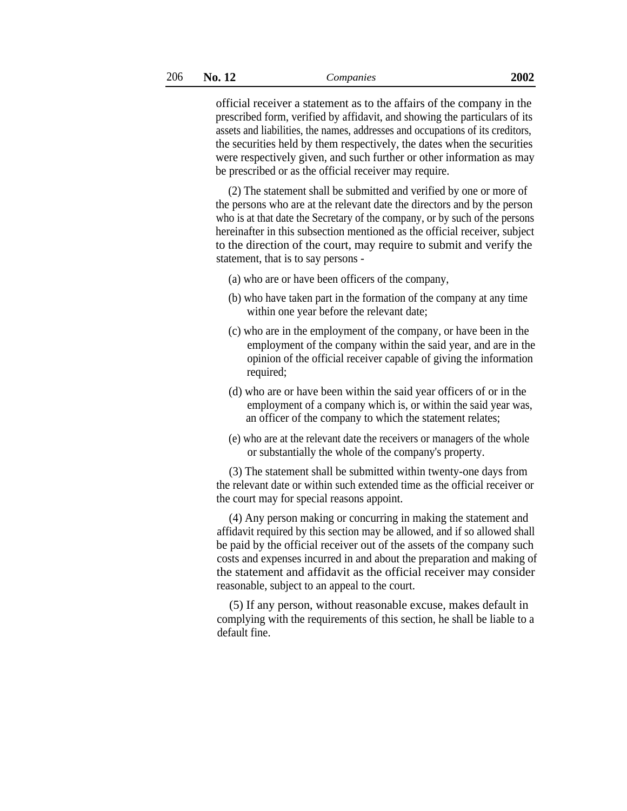official receiver a statement as to the affairs of the company in the prescribed form, verified by affidavit, and showing the particulars of its assets and liabilities, the names, addresses and occupations of its creditors, the securities held by them respectively, the dates when the securities were respectively given, and such further or other information as may be prescribed or as the official receiver may require.

(2) The statement shall be submitted and verified by one or more of the persons who are at the relevant date the directors and by the person who is at that date the Secretary of the company, or by such of the persons hereinafter in this subsection mentioned as the official receiver, subject to the direction of the court, may require to submit and verify the statement, that is to say persons -

- (a) who are or have been officers of the company,
- (b) who have taken part in the formation of the company at any time within one year before the relevant date;
- (c) who are in the employment of the company, or have been in the employment of the company within the said year, and are in the opinion of the official receiver capable of giving the information required;
- (d) who are or have been within the said year officers of or in the employment of a company which is, or within the said year was, an officer of the company to which the statement relates;
- (e) who are at the relevant date the receivers or managers of the whole or substantially the whole of the company's property.

(3) The statement shall be submitted within twenty-one days from the relevant date or within such extended time as the official receiver or the court may for special reasons appoint.

(4) Any person making or concurring in making the statement and affidavit required by this section may be allowed, and if so allowed shall be paid by the official receiver out of the assets of the company such costs and expenses incurred in and about the preparation and making of the statement and affidavit as the official receiver may consider reasonable, subject to an appeal to the court.

(5) If any person, without reasonable excuse, makes default in complying with the requirements of this section, he shall be liable to a default fine.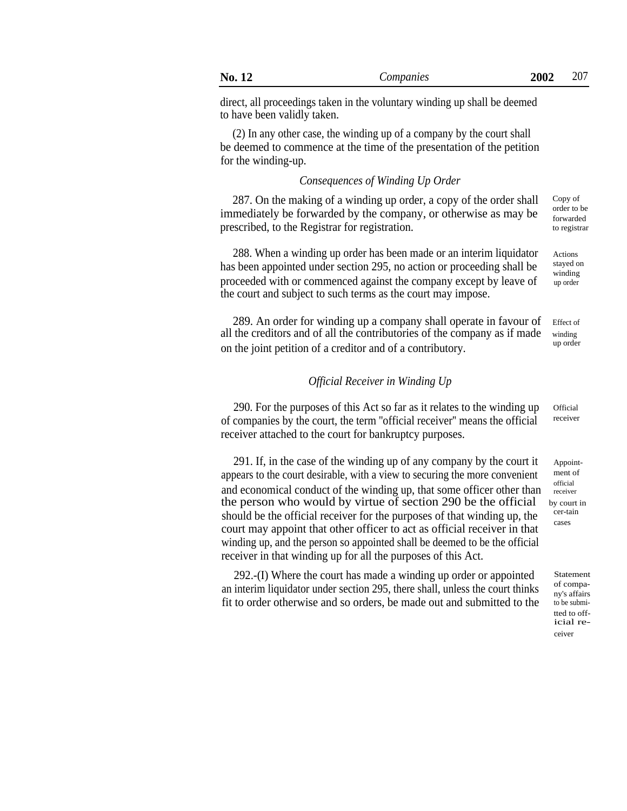direct, all proceedings taken in the voluntary winding up shall be deemed to have been validly taken.

(2) In any other case, the winding up of a company by the court shall be deemed to commence at the time of the presentation of the petition for the winding-up.

# *Consequences of Winding Up Order*

287. On the making of a winding up order, a copy of the order shall immediately be forwarded by the company, or otherwise as may be prescribed, to the Registrar for registration. forwarded to registrar

288. When a winding up order has been made or an interim liquidator has been appointed under section 295, no action or proceeding shall be proceeded with or commenced against the company except by leave of the court and subject to such terms as the court may impose.

289. An order for winding up a company shall operate in favour of Effect of all the creditors and of all the contributories of the company as if made  $\frac{1}{2}$  winding on the joint petition of a creditor and of a contributory.

## *Official Receiver in Winding Up*

290. For the purposes of this Act so far as it relates to the winding up of companies by the court, the term ''official receiver'' means the official receiver attached to the court for bankruptcy purposes. **Official** receiver

291. If, in the case of the winding up of any company by the court it appears to the court desirable, with a view to securing the more convenient and economical conduct of the winding up, that some officer other than receiver the person who would by virtue of section 290 be the official by court in should be the official receiver for the purposes of that winding up, the court may appoint that other officer to act as official receiver in that winding up, and the person so appointed shall be deemed to be the official receiver in that winding up for all the purposes of this Act.

292.-(I) Where the court has made a winding up order or appointed an interim liquidator under section 295, there shall, unless the court thinks fit to order otherwise and so orders, be made out and submitted to the

Appointment of cases

Statement of company's affairs to be submitted to official receiver

Copy of order to be

Actions stayed on winding<br>up order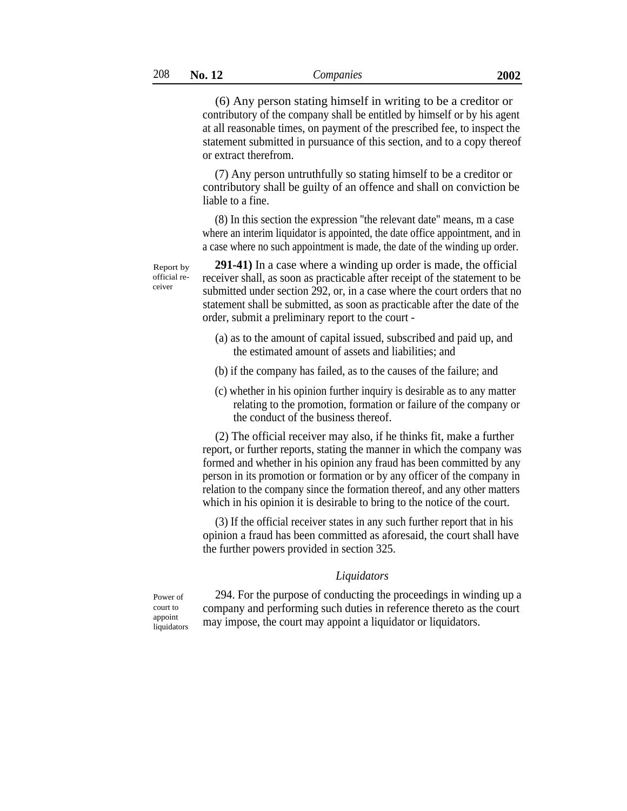(6) Any person stating himself in writing to be a creditor or contributory of the company shall be entitled by himself or by his agent at all reasonable times, on payment of the prescribed fee, to inspect the statement submitted in pursuance of this section, and to a copy thereof or extract therefrom.

(7) Any person untruthfully so stating himself to be a creditor or contributory shall be guilty of an offence and shall on conviction be liable to a fine.

(8) In this section the expression ''the relevant date'' means, m a case where an interim liquidator is appointed, the date office appointment, and in a case where no such appointment is made, the date of the winding up order.

Report by official receiver

**291-41)** In a case where a winding up order is made, the official receiver shall, as soon as practicable after receipt of the statement to be submitted under section 292, or, in a case where the court orders that no statement shall be submitted, as soon as practicable after the date of the order, submit a preliminary report to the court -

- (a) as to the amount of capital issued, subscribed and paid up, and the estimated amount of assets and liabilities; and
- (b) if the company has failed, as to the causes of the failure; and
- (c) whether in his opinion further inquiry is desirable as to any matter relating to the promotion, formation or failure of the company or the conduct of the business thereof.

(2) The official receiver may also, if he thinks fit, make a further report, or further reports, stating the manner in which the company was formed and whether in his opinion any fraud has been committed by any person in its promotion or formation or by any officer of the company in relation to the company since the formation thereof, and any other matters which in his opinion it is desirable to bring to the notice of the court.

(3) If the official receiver states in any such further report that in his opinion a fraud has been committed as aforesaid, the court shall have the further powers provided in section 325.

### *Liquidators*

Power of court to appoint liquidators

294. For the purpose of conducting the proceedings in winding up a company and performing such duties in reference thereto as the court may impose, the court may appoint a liquidator or liquidators.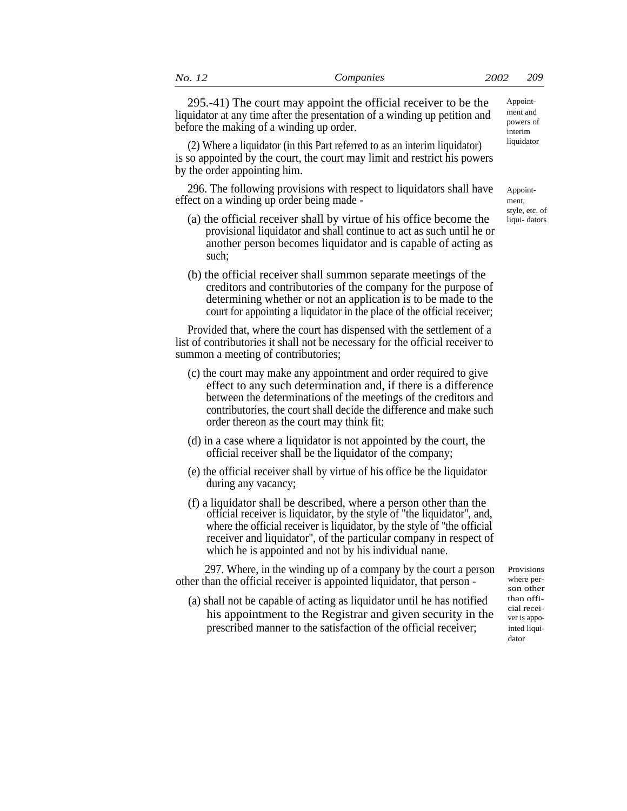295.-41) The court may appoint the official receiver to be the liquidator at any time after the presentation of a winding up petition and before the making of a winding up order.

(2) Where a liquidator (in this Part referred to as an interim liquidator)  $\frac{1}{\text{liquidator}}$ is so appointed by the court, the court may limit and restrict his powers by the order appointing him.

296. The following provisions with respect to liquidators shall have effect on a winding up order being made -

- $(a)$  the official receiver shall by virtue of his office become the provisional liquidator and shall continue to act as such until he or another person becomes liquidator and is capable of acting as such;
- (b) the official receiver shall summon separate meetings of the creditors and contributories of the company for the purpose of determining whether or not an application is to be made to the court for appointing a liquidator in the place of the official receiver;

Provided that, where the court has dispensed with the settlement of a list of contributories it shall not be necessary for the official receiver to summon a meeting of contributories;

- (c) the court may make any appointment and order required to give effect to any such determination and, if there is a difference between the determinations of the meetings of the creditors and contributories, the court shall decide the difference and make such order thereon as the court may think fit;
- (d) in a case where a liquidator is not appointed by the court, the official receiver shall be the liquidator of the company;
- (e) the official receiver shall by virtue of his office be the liquidator during any vacancy;
- (f) a liquidator shall be described, where a person other than the official receiver is liquidator, by the style of ''the liquidator'', and, where the official receiver is liquidator, by the style of ''the official receiver and liquidator'', of the particular company in respect of which he is appointed and not by his individual name.

297. Where, in the winding up of a company by the court a person other than the official receiver is appointed liquidator, that person -

(a) shall not be capable of acting as liquidator until he has notified than official his appointment to the Registrar and given security in the prescribed manner to the satisfaction of the official receiver;

Provisions where person other ver is appointed liquidator

Appointment and powers of interim

Appointment, style, etc. of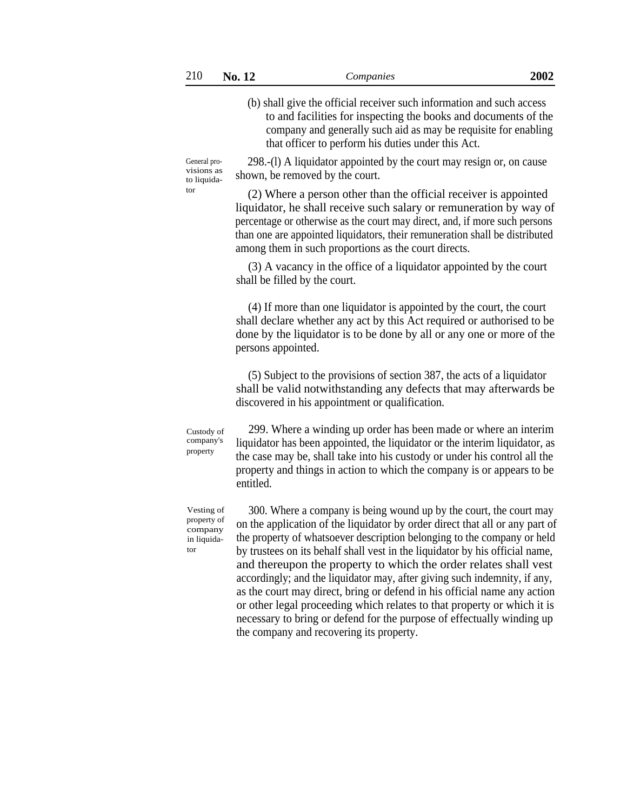(b) shall give the official receiver such information and such access to and facilities for inspecting the books and documents of the company and generally such aid as may be requisite for enabling that officer to perform his duties under this Act.

General provisions as to liquida-

298.-(l) A liquidator appointed by the court may resign or, on cause shown, be removed by the court.

tor (2) Where a person other than the official receiver is appointed liquidator, he shall receive such salary or remuneration by way of percentage or otherwise as the court may direct, and, if more such persons than one are appointed liquidators, their remuneration shall be distributed among them in such proportions as the court directs.

> (3) A vacancy in the office of a liquidator appointed by the court shall be filled by the court.

(4) If more than one liquidator is appointed by the court, the court shall declare whether any act by this Act required or authorised to be done by the liquidator is to be done by all or any one or more of the persons appointed.

(5) Subject to the provisions of section 387, the acts of a liquidator shall be valid notwithstanding any defects that may afterwards be discovered in his appointment or qualification.

Custody of company's property

299. Where a winding up order has been made or where an interim liquidator has been appointed, the liquidator or the interim liquidator, as the case may be, shall take into his custody or under his control all the property and things in action to which the company is or appears to be entitled.

Vesting of property of company in liquidator

300. Where a company is being wound up by the court, the court may on the application of the liquidator by order direct that all or any part of the property of whatsoever description belonging to the company or held by trustees on its behalf shall vest in the liquidator by his official name, and thereupon the property to which the order relates shall vest accordingly; and the liquidator may, after giving such indemnity, if any, as the court may direct, bring or defend in his official name any action or other legal proceeding which relates to that property or which it is necessary to bring or defend for the purpose of effectually winding up the company and recovering its property.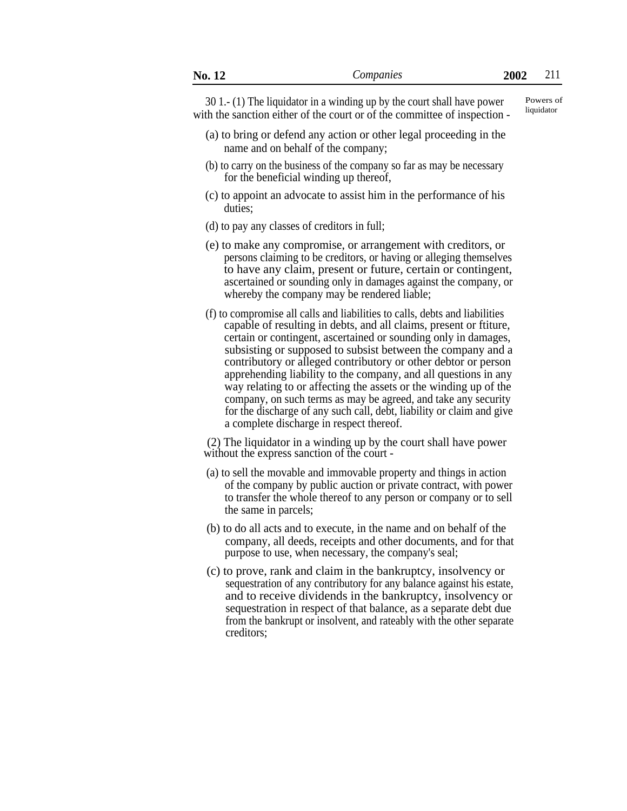30 1.- (1) The liquidator in a winding up by the court shall have power with the sanction either of the court or of the committee of inspection - Powers of liquidator

- (a) to bring or defend any action or other legal proceeding in the name and on behalf of the company;
- (b) to carry on the business of the company so far as may be necessary for the beneficial winding up thereof,
- (c) to appoint an advocate to assist him in the performance of his duties;
- (d) to pay any classes of creditors in full;
- (e) to make any compromise, or arrangement with creditors, or persons claiming to be creditors, or having or alleging themselves to have any claim, present or future, certain or contingent, ascertained or sounding only in damages against the company, or whereby the company may be rendered liable;
- (f) to compromise all calls and liabilities to calls, debts and liabilities capable of resulting in debts, and all claims, present or ftiture, certain or contingent, ascertained or sounding only in damages, subsisting or supposed to subsist between the company and a contributory or alleged contributory or other debtor or person apprehending liability to the company, and all questions in any way relating to or affecting the assets or the winding up of the company, on such terms as may be agreed, and take any security for the discharge of any such call, debt, liability or claim and give a complete discharge in respect thereof.

(2) The liquidator in a winding up by the court shall have power without the express sanction of the court -

- (a) to sell the movable and immovable property and things in action of the company by public auction or private contract, with power to transfer the whole thereof to any person or company or to sell the same in parcels;
- (b) to do all acts and to execute, in the name and on behalf of the company, all deeds, receipts and other documents, and for that purpose to use, when necessary, the company's seal;
- (c) to prove, rank and claim in the bankruptcy, insolvency or sequestration of any contributory for any balance against his estate, and to receive dividends in the bankruptcy, insolvency or sequestration in respect of that balance, as a separate debt due from the bankrupt or insolvent, and rateably with the other separate creditors;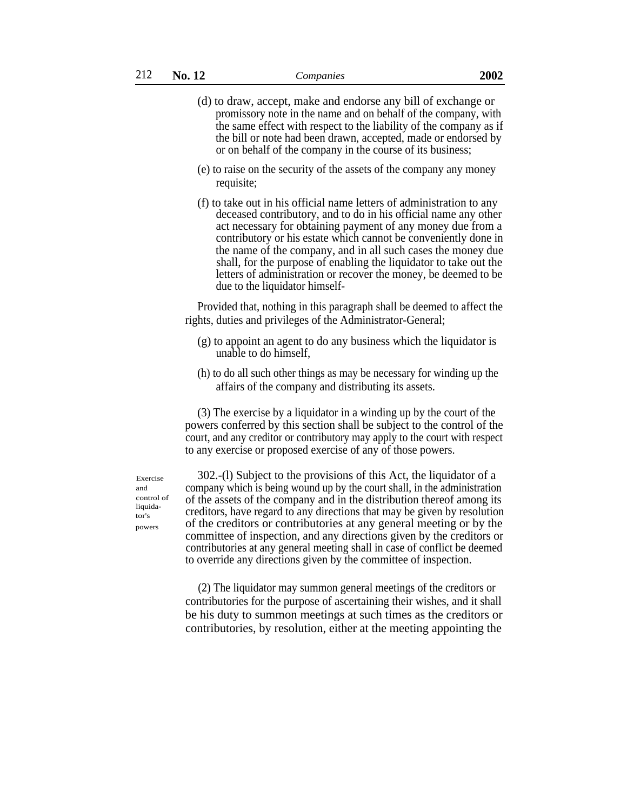- (d) to draw, accept, make and endorse any bill of exchange or promissory note in the name and on behalf of the company, with the same effect with respect to the liability of the company as if the bill or note had been drawn, accepted, made or endorsed by or on behalf of the company in the course of its business;
- (e) to raise on the security of the assets of the company any money requisite;
- (f) to take out in his official name letters of administration to any deceased contributory, and to do in his official name any other act necessary for obtaining payment of any money due from a contributory or his estate which cannot be conveniently done in the name of the company, and in all such cases the money due shall, for the purpose of enabling the liquidator to take out the letters of administration or recover the money, be deemed to be due to the liquidator himself-

Provided that, nothing in this paragraph shall be deemed to affect the rights, duties and privileges of the Administrator-General;

- (g) to appoint an agent to do any business which the liquidator is unable to do himself,
- (h) to do all such other things as may be necessary for winding up the affairs of the company and distributing its assets.

(3) The exercise by a liquidator in a winding up by the court of the powers conferred by this section shall be subject to the control of the court, and any creditor or contributory may apply to the court with respect to any exercise or proposed exercise of any of those powers.

Exercise and control of liquidator's powers

302.-(l) Subject to the provisions of this Act, the liquidator of a company which is being wound up by the court shall, in the administration of the assets of the company and in the distribution thereof among its creditors, have regard to any directions that may be given by resolution of the creditors or contributories at any general meeting or by the committee of inspection, and any directions given by the creditors or contributories at any general meeting shall in case of conflict be deemed to override any directions given by the committee of inspection.

(2) The liquidator may summon general meetings of the creditors or contributories for the purpose of ascertaining their wishes, and it shall be his duty to summon meetings at such times as the creditors or contributories, by resolution, either at the meeting appointing the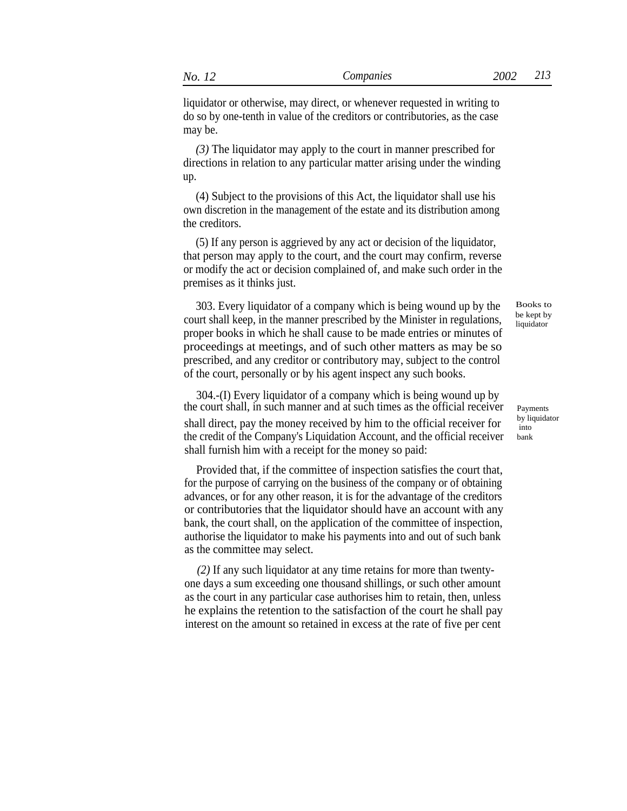liquidator or otherwise, may direct, or whenever requested in writing to do so by one-tenth in value of the creditors or contributories, as the case may be.

*(3)* The liquidator may apply to the court in manner prescribed for directions in relation to any particular matter arising under the winding up.

(4) Subject to the provisions of this Act, the liquidator shall use his own discretion in the management of the estate and its distribution among the creditors.

(5) If any person is aggrieved by any act or decision of the liquidator, that person may apply to the court, and the court may confirm, reverse or modify the act or decision complained of, and make such order in the premises as it thinks just.

303. Every liquidator of a company which is being wound up by the court shall keep, in the manner prescribed by the Minister in regulations, proper books in which he shall cause to be made entries or minutes of proceedings at meetings, and of such other matters as may be so prescribed, and any creditor or contributory may, subject to the control of the court, personally or by his agent inspect any such books.

304.-(I) Every liquidator of a company which is being wound up by the court shall, in such manner and at such times as the official receiver shall direct, pay the money received by him to the official receiver for the credit of the Company's Liquidation Account, and the official receiver shall furnish him with a receipt for the money so paid:

Provided that, if the committee of inspection satisfies the court that, for the purpose of carrying on the business of the company or of obtaining advances, or for any other reason, it is for the advantage of the creditors or contributories that the liquidator should have an account with any bank, the court shall, on the application of the committee of inspection, authorise the liquidator to make his payments into and out of such bank as the committee may select.

*(2)* If any such liquidator at any time retains for more than twentyone days a sum exceeding one thousand shillings, or such other amount as the court in any particular case authorises him to retain, then, unless he explains the retention to the satisfaction of the court he shall pay interest on the amount so retained in excess at the rate of five per cent

Books to be kept by liquidator

Payments by liquidator into bank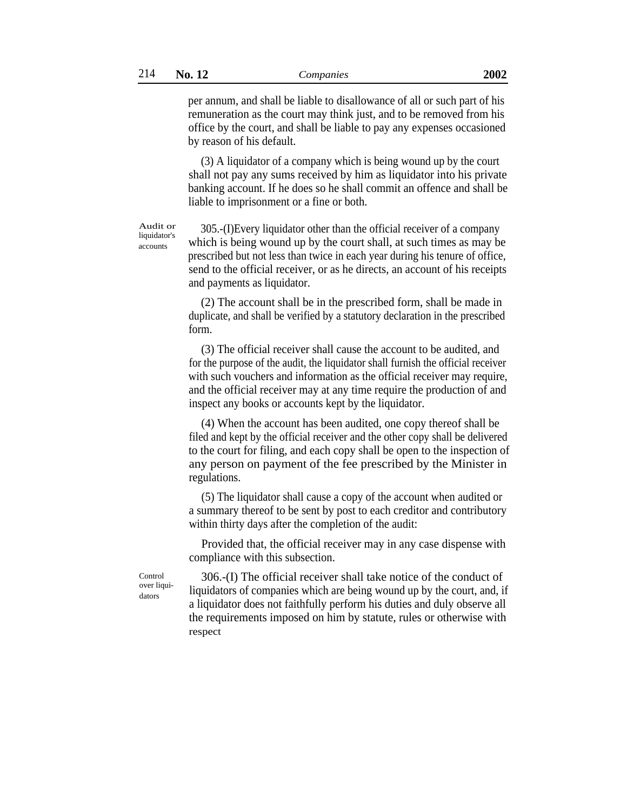per annum, and shall be liable to disallowance of all or such part of his remuneration as the court may think just, and to be removed from his office by the court, and shall be liable to pay any expenses occasioned by reason of his default.

(3) A liquidator of a company which is being wound up by the court shall not pay any sums received by him as liquidator into his private banking account. If he does so he shall commit an offence and shall be liable to imprisonment or a fine or both.

Audit or liquidator's accounts

305.-(I)Every liquidator other than the official receiver of a company which is being wound up by the court shall, at such times as may be prescribed but not less than twice in each year during his tenure of office, send to the official receiver, or as he directs, an account of his receipts and payments as liquidator.

(2) The account shall be in the prescribed form, shall be made in duplicate, and shall be verified by a statutory declaration in the prescribed form.

(3) The official receiver shall cause the account to be audited, and for the purpose of the audit, the liquidator shall furnish the official receiver with such vouchers and information as the official receiver may require, and the official receiver may at any time require the production of and inspect any books or accounts kept by the liquidator.

(4) When the account has been audited, one copy thereof shall be filed and kept by the official receiver and the other copy shall be delivered to the court for filing, and each copy shall be open to the inspection of any person on payment of the fee prescribed by the Minister in regulations.

(5) The liquidator shall cause a copy of the account when audited or a summary thereof to be sent by post to each creditor and contributory within thirty days after the completion of the audit:

Provided that, the official receiver may in any case dispense with compliance with this subsection.

306.-(I) The official receiver shall take notice of the conduct of liquidators of companies which are being wound up by the court, and, if a liquidator does not faithfully perform his duties and duly observe all the requirements imposed on him by statute, rules or otherwise with respect

Control over liquidators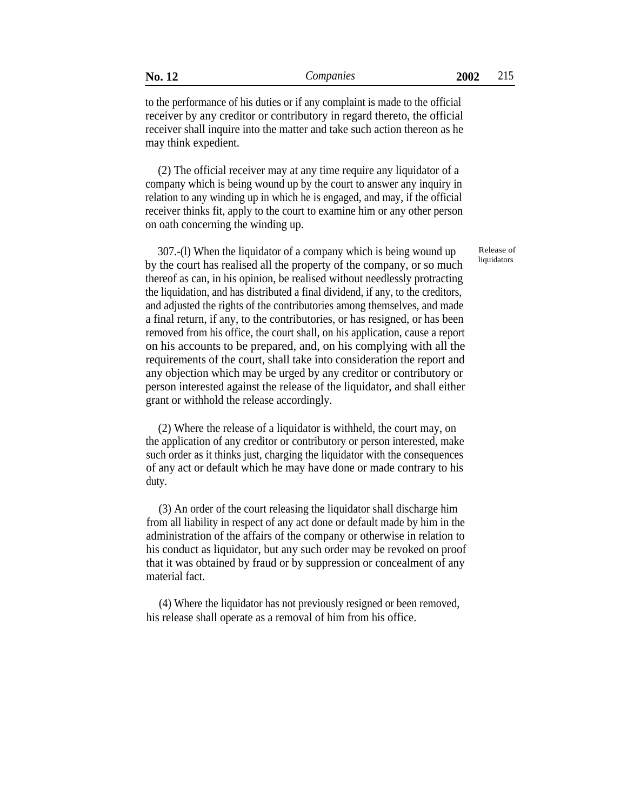| No. |  |  |
|-----|--|--|
|-----|--|--|

to the performance of his duties or if any complaint is made to the official receiver by any creditor or contributory in regard thereto, the official receiver shall inquire into the matter and take such action thereon as he may think expedient.

(2) The official receiver may at any time require any liquidator of a company which is being wound up by the court to answer any inquiry in relation to any winding up in which he is engaged, and may, if the official receiver thinks fit, apply to the court to examine him or any other person on oath concerning the winding up.

307.-(l) When the liquidator of a company which is being wound up by the court has realised all the property of the company, or so much thereof as can, in his opinion, be realised without needlessly protracting the liquidation, and has distributed a final dividend, if any, to the creditors, and adjusted the rights of the contributories among themselves, and made a final return, if any, to the contributories, or has resigned, or has been removed from his office, the court shall, on his application, cause a report on his accounts to be prepared, and, on his complying with all the requirements of the court, shall take into consideration the report and any objection which may be urged by any creditor or contributory or person interested against the release of the liquidator, and shall either grant or withhold the release accordingly.

(2) Where the release of a liquidator is withheld, the court may, on the application of any creditor or contributory or person interested, make such order as it thinks just, charging the liquidator with the consequences of any act or default which he may have done or made contrary to his duty.

(3) An order of the court releasing the liquidator shall discharge him from all liability in respect of any act done or default made by him in the administration of the affairs of the company or otherwise in relation to his conduct as liquidator, but any such order may be revoked on proof that it was obtained by fraud or by suppression or concealment of any material fact.

(4) Where the liquidator has not previously resigned or been removed, his release shall operate as a removal of him from his office.

Release of liquidators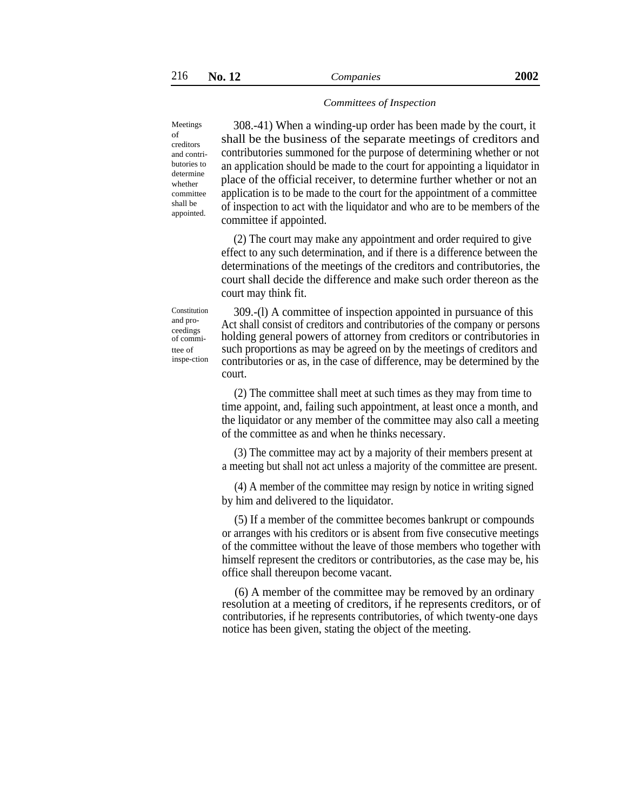#### *Committees of Inspection*

Meetings of creditors and contributories to determine whether committee shall be appointed.

308.-41) When a winding-up order has been made by the court, it shall be the business of the separate meetings of creditors and contributories summoned for the purpose of determining whether or not an application should be made to the court for appointing a liquidator in place of the official receiver, to determine further whether or not an application is to be made to the court for the appointment of a committee of inspection to act with the liquidator and who are to be members of the committee if appointed.

(2) The court may make any appointment and order required to give effect to any such determination, and if there is a difference between the determinations of the meetings of the creditors and contributories, the court shall decide the difference and make such order thereon as the court may think fit.

Constitution and proceedings of committee of inspe-ction

309.-(l) A committee of inspection appointed in pursuance of this Act shall consist of creditors and contributories of the company or persons holding general powers of attorney from creditors or contributories in such proportions as may be agreed on by the meetings of creditors and contributories or as, in the case of difference, may be determined by the court.

(2) The committee shall meet at such times as they may from time to time appoint, and, failing such appointment, at least once a month, and the liquidator or any member of the committee may also call a meeting of the committee as and when he thinks necessary.

(3) The committee may act by a majority of their members present at a meeting but shall not act unless a majority of the committee are present.

(4) A member of the committee may resign by notice in writing signed by him and delivered to the liquidator.

(5) If a member of the committee becomes bankrupt or compounds or arranges with his creditors or is absent from five consecutive meetings of the committee without the leave of those members who together with himself represent the creditors or contributories, as the case may be, his office shall thereupon become vacant.

(6) A member of the committee may be removed by an ordinary resolution at a meeting of creditors, if he represents creditors, or of contributories, if he represents contributories, of which twenty-one days notice has been given, stating the object of the meeting.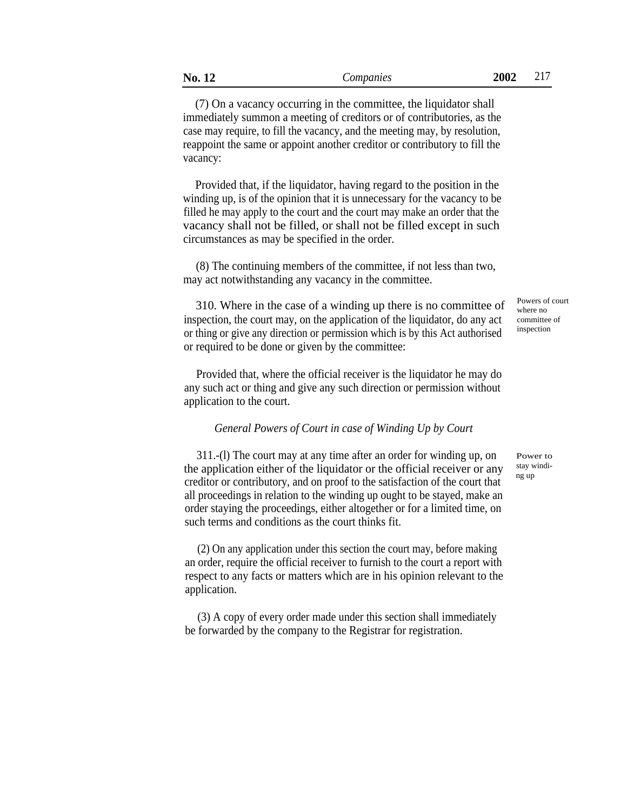(7) On a vacancy occurring in the committee, the liquidator shall immediately summon a meeting of creditors or of contributories, as the case may require, to fill the vacancy, and the meeting may, by resolution, reappoint the same or appoint another creditor or contributory to fill the vacancy:

Provided that, if the liquidator, having regard to the position in the winding up, is of the opinion that it is unnecessary for the vacancy to be filled he may apply to the court and the court may make an order that the vacancy shall not be filled, or shall not be filled except in such circumstances as may be specified in the order.

(8) The continuing members of the committee, if not less than two, may act notwithstanding any vacancy in the committee.

310. Where in the case of a winding up there is no committee of  $\frac{\text{Powers of court}}{\text{where no}}$ inspection, the court may, on the application of the liquidator, do any act or thing or give any direction or permission which is by this Act authorised or required to be done or given by the committee:

Provided that, where the official receiver is the liquidator he may do any such act or thing and give any such direction or permission without application to the court.

# *General Powers of Court in case of Winding Up by Court*

311.-(l) The court may at any time after an order for winding up, on the application either of the liquidator or the official receiver or any creditor or contributory, and on proof to the satisfaction of the court that all proceedings in relation to the winding up ought to be stayed, make an order staying the proceedings, either altogether or for a limited time, on such terms and conditions as the court thinks fit.

(2) On any application under this section the court may, before making an order, require the official receiver to furnish to the court a report with respect to any facts or matters which are in his opinion relevant to the application.

(3) A copy of every order made under this section shall immediately be forwarded by the company to the Registrar for registration.

where no committee of inspection

Power to stay winding up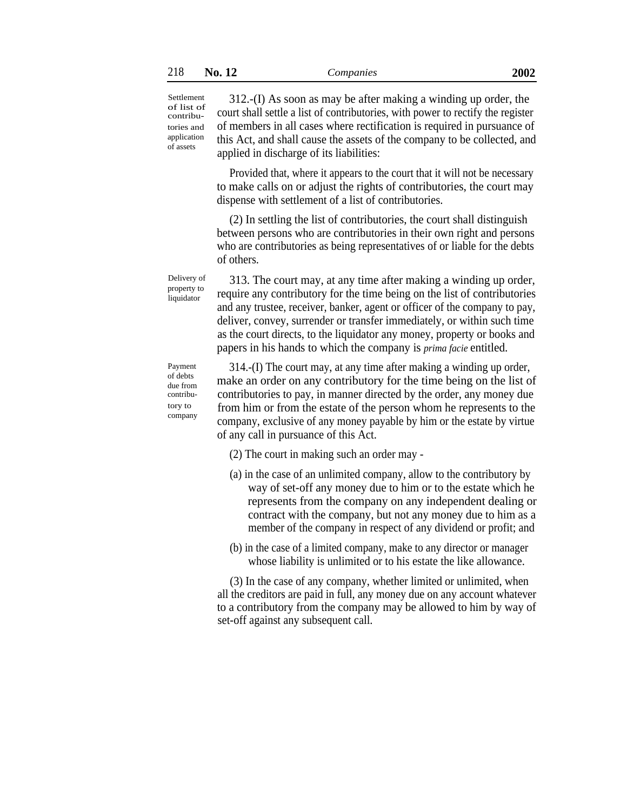Settlement of list of contributories and application of assets

312.-(I) As soon as may be after making a winding up order, the court shall settle a list of contributories, with power to rectify the register of members in all cases where rectification is required in pursuance of this Act, and shall cause the assets of the company to be collected, and applied in discharge of its liabilities:

Provided that, where it appears to the court that it will not be necessary to make calls on or adjust the rights of contributories, the court may dispense with settlement of a list of contributories.

(2) In settling the list of contributories, the court shall distinguish between persons who are contributories in their own right and persons who are contributories as being representatives of or liable for the debts of others.

313. The court may, at any time after making a winding up order, require any contributory for the time being on the list of contributories and any trustee, receiver, banker, agent or officer of the company to pay, deliver, convey, surrender or transfer immediately, or within such time as the court directs, to the liquidator any money, property or books and papers in his hands to which the company is *prima facie* entitled.

Payment of debts due from contributory to company

Delivery of property to liquidator

> 314.-(I) The court may, at any time after making a winding up order, make an order on any contributory for the time being on the list of contributories to pay, in manner directed by the order, any money due from him or from the estate of the person whom he represents to the company, exclusive of any money payable by him or the estate by virtue of any call in pursuance of this Act.

- (2) The court in making such an order may -
- (a) in the case of an unlimited company, allow to the contributory by way of set-off any money due to him or to the estate which he represents from the company on any independent dealing or contract with the company, but not any money due to him as a member of the company in respect of any dividend or profit; and
- (b) in the case of a limited company, make to any director or manager whose liability is unlimited or to his estate the like allowance.

(3) In the case of any company, whether limited or unlimited, when all the creditors are paid in full, any money due on any account whatever to a contributory from the company may be allowed to him by way of set-off against any subsequent call.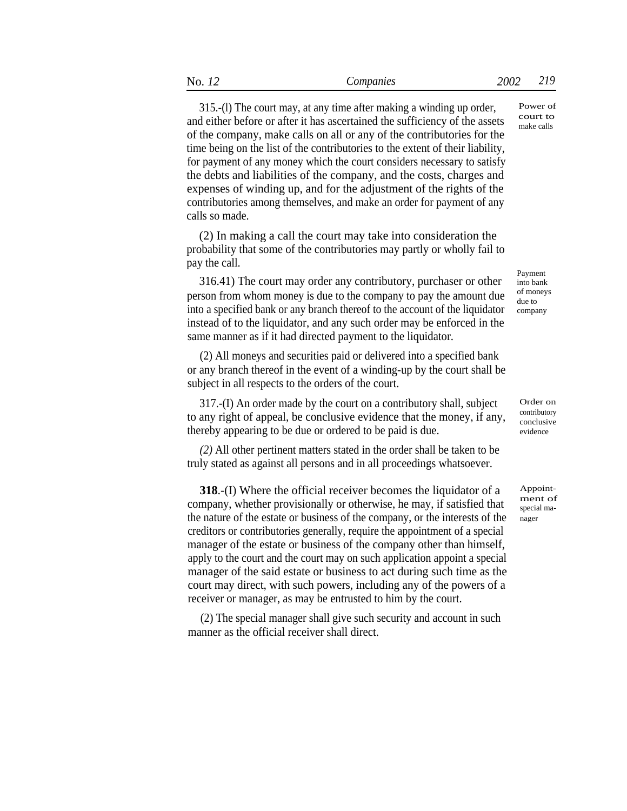315.-(l) The court may, at any time after making a winding up order, and either before or after it has ascertained the sufficiency of the assets of the company, make calls on all or any of the contributories for the time being on the list of the contributories to the extent of their liability, for payment of any money which the court considers necessary to satisfy the debts and liabilities of the company, and the costs, charges and expenses of winding up, and for the adjustment of the rights of the contributories among themselves, and make an order for payment of any calls so made. Power of court to make calls

(2) In making a call the court may take into consideration the probability that some of the contributories may partly or wholly fail to pay the call.

316.41) The court may order any contributory, purchaser or other person from whom money is due to the company to pay the amount due into a specified bank or any branch thereof to the account of the liquidator instead of to the liquidator, and any such order may be enforced in the same manner as if it had directed payment to the liquidator.

(2) All moneys and securities paid or delivered into a specified bank or any branch thereof in the event of a winding-up by the court shall be subject in all respects to the orders of the court.

317.-(I) An order made by the court on a contributory shall, subject to any right of appeal, be conclusive evidence that the money, if any, thereby appearing to be due or ordered to be paid is due.

*(2)* All other pertinent matters stated in the order shall be taken to be truly stated as against all persons and in all proceedings whatsoever.

**318**.-(I) Where the official receiver becomes the liquidator of a company, whether provisionally or otherwise, he may, if satisfied that the nature of the estate or business of the company, or the interests of the creditors or contributories generally, require the appointment of a special manager of the estate or business of the company other than himself, apply to the court and the court may on such application appoint a special manager of the said estate or business to act during such time as the court may direct, with such powers, including any of the powers of a receiver or manager, as may be entrusted to him by the court.

(2) The special manager shall give such security and account in such manner as the official receiver shall direct.

Order on contributory conclusive

evidence

Payment into bank of moneys due to company

Appointment of special manager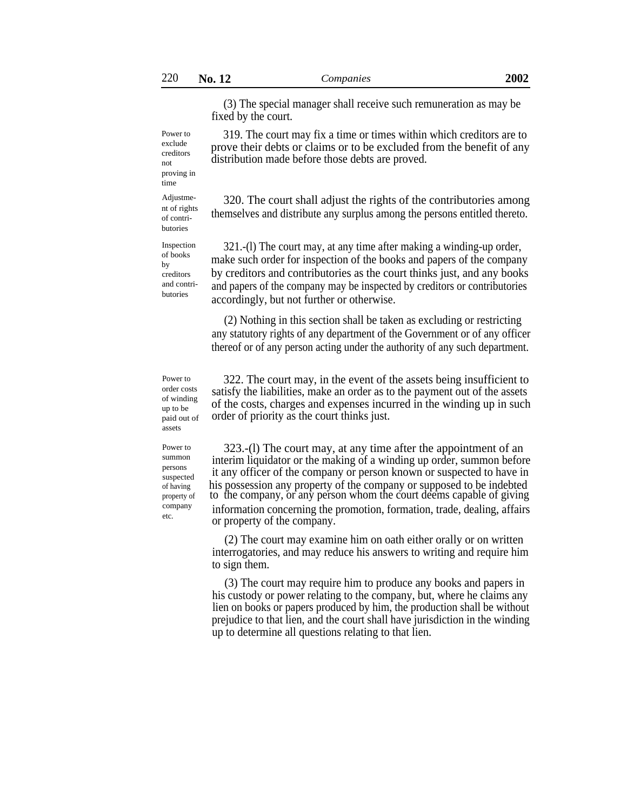(3) The special manager shall receive such remuneration as may be fixed by the court.

319. The court may fix a time or times within which creditors are to prove their debts or claims or to be excluded from the benefit of any distribution made before those debts are proved.

not proving in time

Power to exclude creditors

Adjustment of rights of contributories

Inspection of books by creditors and contributories

320. The court shall adjust the rights of the contributories among themselves and distribute any surplus among the persons entitled thereto.

321.-(l) The court may, at any time after making a winding-up order, make such order for inspection of the books and papers of the company by creditors and contributories as the court thinks just, and any books and papers of the company may be inspected by creditors or contributories accordingly, but not further or otherwise.

(2) Nothing in this section shall be taken as excluding or restricting any statutory rights of any department of the Government or of any officer thereof or of any person acting under the authority of any such department.

Power to order costs of winding up to be paid out of assets

Power to summon persons suspected company etc.

322. The court may, in the event of the assets being insufficient to satisfy the liabilities, make an order as to the payment out of the assets of the costs, charges and expenses incurred in the winding up in such order of priority as the court thinks just.

323.-(l) The court may, at any time after the appointment of an interim liquidator or the making of a winding up order, summon before it any officer of the company or person known or suspected to have in of having his possession any property of the company or supposed to be indebted property of to the company, or any person whom the court deems capable of giving information concerning the promotion, formation, trade, dealing, affairs or property of the company.

> (2) The court may examine him on oath either orally or on written interrogatories, and may reduce his answers to writing and require him to sign them.

> (3) The court may require him to produce any books and papers in his custody or power relating to the company, but, where he claims any lien on books or papers produced by him, the production shall be without prejudice to that lien, and the court shall have jurisdiction in the winding up to determine all questions relating to that lien.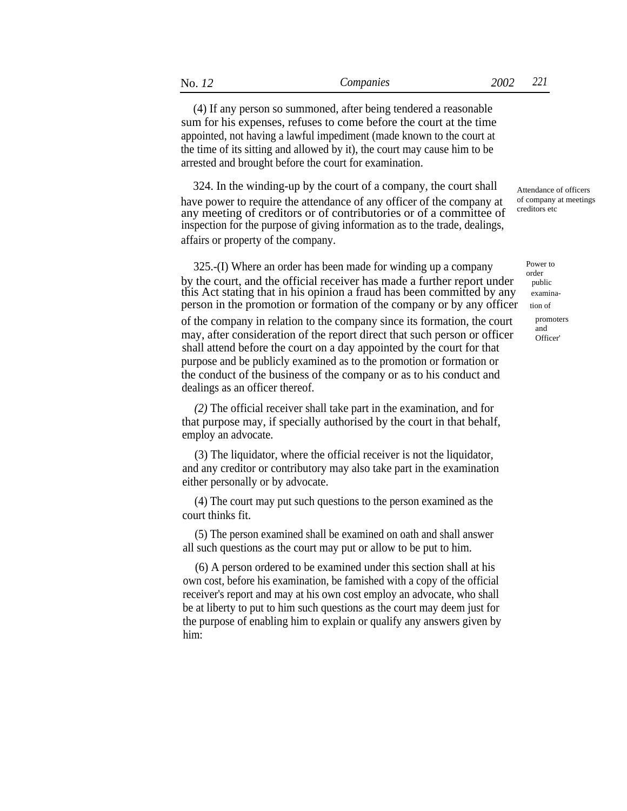(4) If any person so summoned, after being tendered a reasonable sum for his expenses, refuses to come before the court at the time appointed, not having a lawful impediment (made known to the court at the time of its sitting and allowed by it), the court may cause him to be arrested and brought before the court for examination.

324. In the winding-up by the court of a company, the court shall  $A_{t}$  Attendance of officers have power to require the attendance of any officer of the company at any meeting of creditors or of contributories or of a committee of inspection for the purpose of giving information as to the trade, dealings, affairs or property of the company.

325.-(I) Where an order has been made for winding up a company  $\frac{P_{\text{ower to order}}}{\text{order}}$  the court, and the official receiver has made a further report under  $\frac{P_{\text{lower}}}{\text{public}}$ by the court, and the official receiver has made a further report under this Act stating that in his opinion a fraud has been committed by any examinaperson in the promotion or formation of the company or by any officer tion of

of the company in relation to the company since its formation, the court may, after consideration of the report direct that such person or officer shall attend before the court on a day appointed by the court for that purpose and be publicly examined as to the promotion or formation or the conduct of the business of the company or as to his conduct and dealings as an officer thereof.

*(2)* The official receiver shall take part in the examination, and for that purpose may, if specially authorised by the court in that behalf, employ an advocate.

(3) The liquidator, where the official receiver is not the liquidator, and any creditor or contributory may also take part in the examination either personally or by advocate.

(4) The court may put such questions to the person examined as the court thinks fit.

(5) The person examined shall be examined on oath and shall answer all such questions as the court may put or allow to be put to him.

(6) A person ordered to be examined under this section shall at his own cost, before his examination, be famished with a copy of the official receiver's report and may at his own cost employ an advocate, who shall be at liberty to put to him such questions as the court may deem just for the purpose of enabling him to explain or qualify any answers given by him:

of company at meetings creditors etc

> promoters and Officer'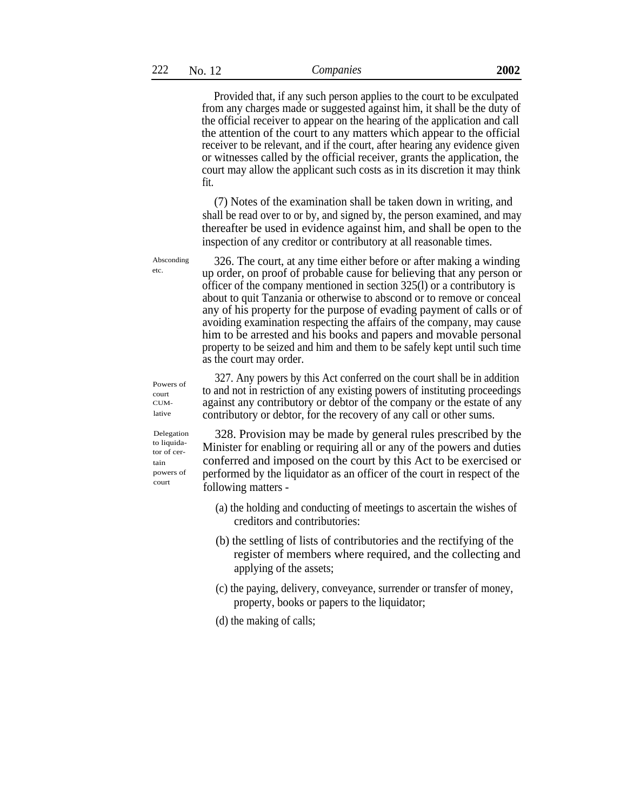Provided that, if any such person applies to the court to be exculpated from any charges made or suggested against him, it shall be the duty of the official receiver to appear on the hearing of the application and call the attention of the court to any matters which appear to the official receiver to be relevant, and if the court, after hearing any evidence given or witnesses called by the official receiver, grants the application, the court may allow the applicant such costs as in its discretion it may think fit.

(7) Notes of the examination shall be taken down in writing, and shall be read over to or by, and signed by, the person examined, and may thereafter be used in evidence against him, and shall be open to the inspection of any creditor or contributory at all reasonable times.

326. The court, at any time either before or after making a winding up order, on proof of probable cause for believing that any person or officer of the company mentioned in section 325(l) or a contributory is about to quit Tanzania or otherwise to abscond or to remove or conceal any of his property for the purpose of evading payment of calls or of avoiding examination respecting the affairs of the company, may cause him to be arrested and his books and papers and movable personal property to be seized and him and them to be safely kept until such time as the court may order.

327. Any powers by this Act conferred on the court shall be in addition to and not in restriction of any existing powers of instituting proceedings against any contributory or debtor of the company or the estate of any contributory or debtor, for the recovery of any call or other sums.

328. Provision may be made by general rules prescribed by the Minister for enabling or requiring all or any of the powers and duties conferred and imposed on the court by this Act to be exercised or performed by the liquidator as an officer of the court in respect of the following matters -

- (a) the holding and conducting of meetings to ascertain the wishes of creditors and contributories:
- (b) the settling of lists of contributories and the rectifying of the register of members where required, and the collecting and applying of the assets;
- (c) the paying, delivery, conveyance, surrender or transfer of money, property, books or papers to the liquidator;
- (d) the making of calls;

Delegation to liquidator of certain powers of court

Powers of court CUMlative

Absconding etc.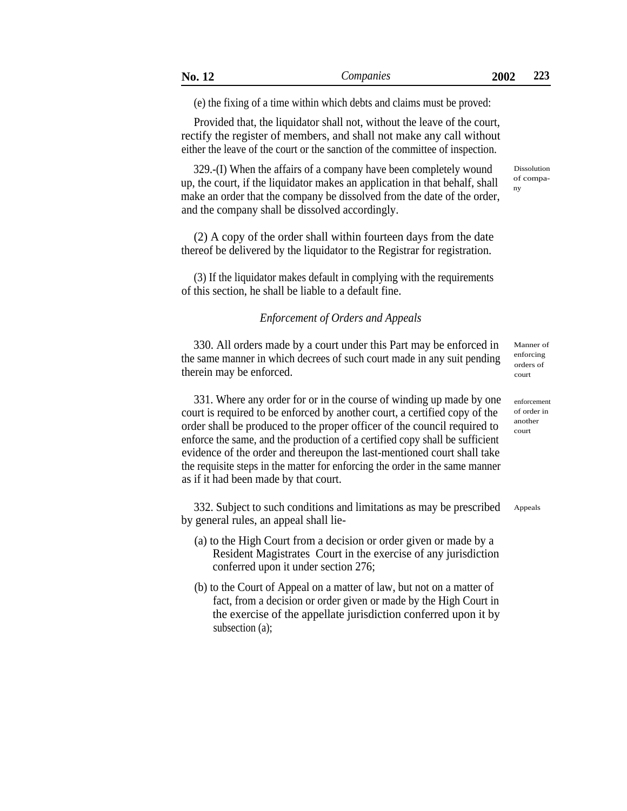(e) the fixing of a time within which debts and claims must be proved:

Provided that, the liquidator shall not, without the leave of the court, rectify the register of members, and shall not make any call without either the leave of the court or the sanction of the committee of inspection.

329.-(I) When the affairs of a company have been completely wound up, the court, if the liquidator makes an application in that behalf, shall make an order that the company be dissolved from the date of the order, and the company shall be dissolved accordingly.

(2) A copy of the order shall within fourteen days from the date thereof be delivered by the liquidator to the Registrar for registration.

(3) If the liquidator makes default in complying with the requirements of this section, he shall be liable to a default fine.

# *Enforcement of Orders and Appeals*

330. All orders made by a court under this Part may be enforced in the same manner in which decrees of such court made in any suit pending therein may be enforced.

331. Where any order for or in the course of winding up made by one court is required to be enforced by another court, a certified copy of the order shall be produced to the proper officer of the council required to enforce the same, and the production of a certified copy shall be sufficient evidence of the order and thereupon the last-mentioned court shall take the requisite steps in the matter for enforcing the order in the same manner as if it had been made by that court.

332. Subject to such conditions and limitations as may be prescribed by general rules, an appeal shall lie-

- (a) to the High Court from a decision or order given or made by a Resident Magistrates Court in the exercise of any jurisdiction conferred upon it under section 276;
- (b) to the Court of Appeal on a matter of law, but not on a matter of fact, from a decision or order given or made by the High Court in the exercise of the appellate jurisdiction conferred upon it by subsection (a);

Dissolution of company

Manner of enforcing orders of court

enforcement of order in another court

Appeals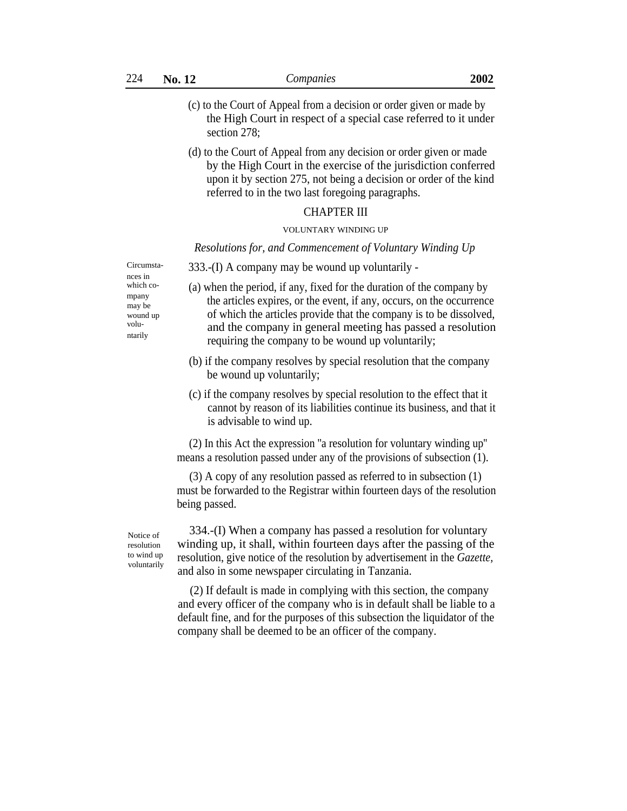- (c) to the Court of Appeal from a decision or order given or made by the High Court in respect of a special case referred to it under section 278;
- (d) to the Court of Appeal from any decision or order given or made by the High Court in the exercise of the jurisdiction conferred upon it by section 275, not being a decision or order of the kind referred to in the two last foregoing paragraphs.

#### CHAPTER III

#### VOLUNTARY WINDING UP

#### *Resolutions for, and Commencement of Voluntary Winding Up*

nces in may be wound up voluntarily

- $Circumsta-$  333.-(I) A company may be wound up voluntarily -
- which co- $\qquad$  (a) when the period, if any, fixed for the duration of the company by meany the articles expires, or the event, if any, occurs, on the occurrence of which the articles provide that the company is to be dissolved, and the company in general meeting has passed a resolution requiring the company to be wound up voluntarily;
	- (b) if the company resolves by special resolution that the company be wound up voluntarily;
	- (c) if the company resolves by special resolution to the effect that it cannot by reason of its liabilities continue its business, and that it is advisable to wind up.

(2) In this Act the expression ''a resolution for voluntary winding up'' means a resolution passed under any of the provisions of subsection (1).

(3) A copy of any resolution passed as referred to in subsection (1) must be forwarded to the Registrar within fourteen days of the resolution being passed.

Notice of resolution to wind up voluntarily

334.-(I) When a company has passed a resolution for voluntary winding up, it shall, within fourteen days after the passing of the resolution, give notice of the resolution by advertisement in the *Gazette,* and also in some newspaper circulating in Tanzania.

(2) If default is made in complying with this section, the company and every officer of the company who is in default shall be liable to a default fine, and for the purposes of this subsection the liquidator of the company shall be deemed to be an officer of the company.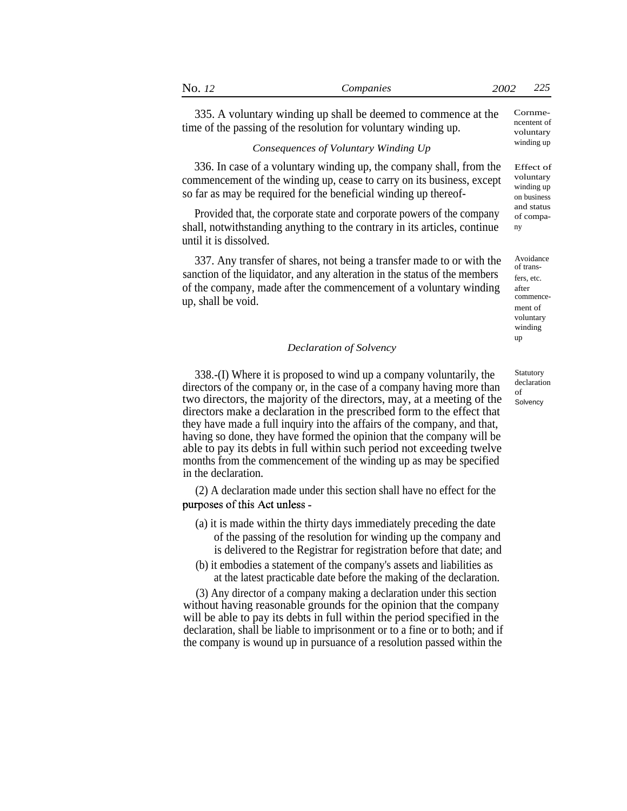| - - | ues<br>--- |  | --- |
|-----|------------|--|-----|
|-----|------------|--|-----|

335. A voluntary winding up shall be deemed to commence at the time of the passing of the resolution for voluntary winding up.

# winding up *Consequences of Voluntary Winding Up*

336. In case of a voluntary winding up, the company shall, from the commencement of the winding up, cease to carry on its business, except so far as may be required for the beneficial winding up thereof-

and status Provided that, the corporate state and corporate powers of the company shall, notwithstanding anything to the contrary in its articles, continue until it is dissolved.

337. Any transfer of shares, not being a transfer made to or with the sanction of the liquidator, and any alteration in the status of the members of the company, made after the commencement of a voluntary winding up, shall be void.

#### *Declaration of Solvency*

338.-(I) Where it is proposed to wind up a company voluntarily, the directors of the company or, in the case of a company having more than two directors, the majority of the directors, may, at a meeting of the directors make a declaration in the prescribed form to the effect that they have made a full inquiry into the affairs of the company, and that, having so done, they have formed the opinion that the company will be able to pay its debts in full within such period not exceeding twelve months from the commencement of the winding up as may be specified in the declaration.

(2) A declaration made under this section shall have no effect for the purposes of this Act unless -

- (a) it is made within the thirty days immediately preceding the date of the passing of the resolution for winding up the company and is delivered to the Registrar for registration before that date; and
- (b) it embodies a statement of the company's assets and liabilities as at the latest practicable date before the making of the declaration.

(3) Any director of a company making a declaration under this section without having reasonable grounds for the opinion that the company will be able to pay its debts in full within the period specified in the declaration, shall be liable to imprisonment or to a fine or to both; and if the company is wound up in pursuance of a resolution passed within the

Cornmencentent of voluntary

Effect of voluntary winding up on business of company

Avoidance of transfers, etc. after commencement of voluntary winding up

**Statutory** declaration of **Solvency**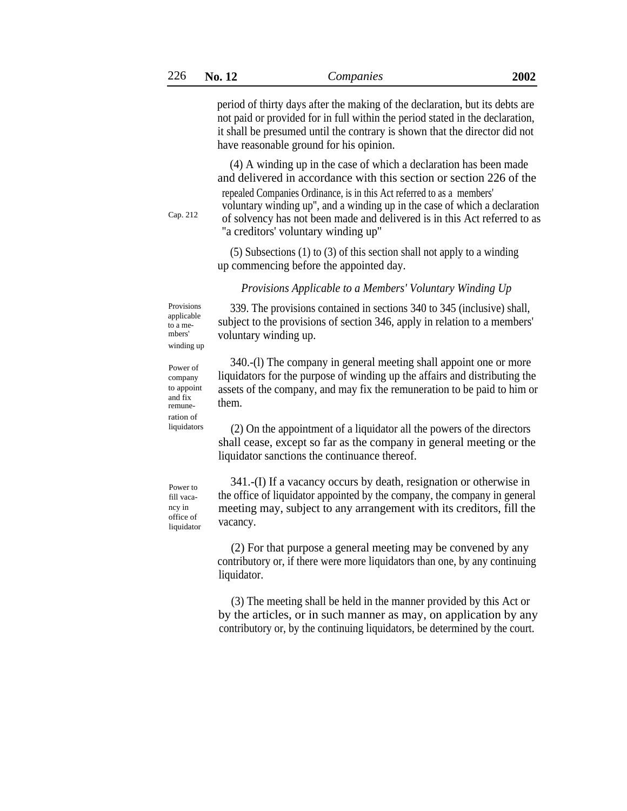period of thirty days after the making of the declaration, but its debts are not paid or provided for in full within the period stated in the declaration, it shall be presumed until the contrary is shown that the director did not have reasonable ground for his opinion.

(4) A winding up in the case of which a declaration has been made and delivered in accordance with this section or section 226 of the repealed Companies Ordinance, is in this Act referred to as a members' voluntary winding up'', and a winding up in the case of which a declaration of solvency has not been made and delivered is in this Act referred to as ''a creditors' voluntary winding up''

(5) Subsections (1) to (3) of this section shall not apply to a winding up commencing before the appointed day.

## *Provisions Applicable to a Members' Voluntary Winding Up*

Provisions applicable to a members' winding up

Power of company to appoint and fix remuneration of

liquidators

Cap. 212

339. The provisions contained in sections 340 to 345 (inclusive) shall, subject to the provisions of section 346, apply in relation to a members' voluntary winding up.

340.-(l) The company in general meeting shall appoint one or more liquidators for the purpose of winding up the affairs and distributing the assets of the company, and may fix the remuneration to be paid to him or them.

(2) On the appointment of a liquidator all the powers of the directors shall cease, except so far as the company in general meeting or the liquidator sanctions the continuance thereof.

Power to fill vacancy in office of liquidator

341.-(I) If a vacancy occurs by death, resignation or otherwise in the office of liquidator appointed by the company, the company in general meeting may, subject to any arrangement with its creditors, fill the vacancy.

(2) For that purpose a general meeting may be convened by any contributory or, if there were more liquidators than one, by any continuing liquidator.

(3) The meeting shall be held in the manner provided by this Act or by the articles, or in such manner as may, on application by any contributory or, by the continuing liquidators, be determined by the court.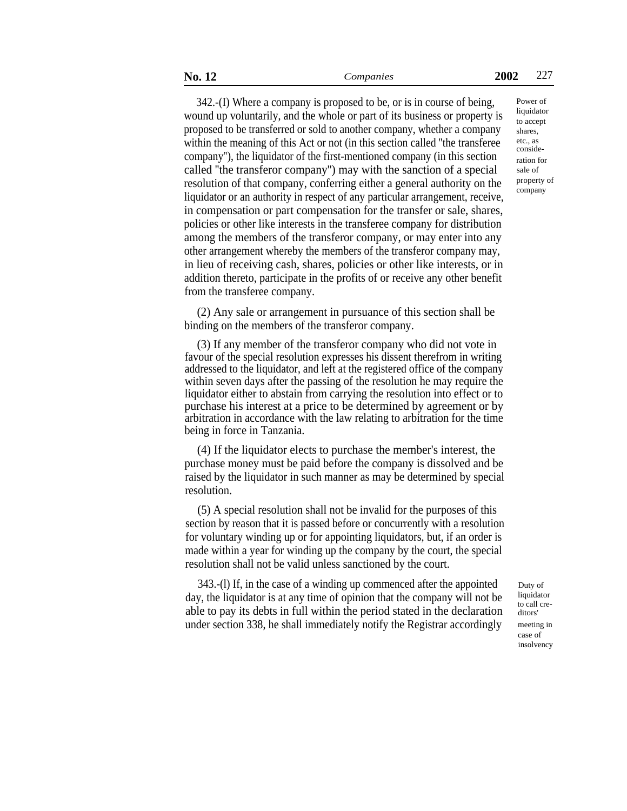342.-(I) Where a company is proposed to be, or is in course of being, wound up voluntarily, and the whole or part of its business or property is proposed to be transferred or sold to another company, whether a company within the meaning of this Act or not (in this section called ''the transferee company''), the liquidator of the first-mentioned company (in this section called ''the transferor company'') may with the sanction of a special resolution of that company, conferring either a general authority on the liquidator or an authority in respect of any particular arrangement, receive, in compensation or part compensation for the transfer or sale, shares, policies or other like interests in the transferee company for distribution among the members of the transferor company, or may enter into any other arrangement whereby the members of the transferor company may, in lieu of receiving cash, shares, policies or other like interests, or in addition thereto, participate in the profits of or receive any other benefit from the transferee company.

(2) Any sale or arrangement in pursuance of this section shall be binding on the members of the transferor company.

(3) If any member of the transferor company who did not vote in favour of the special resolution expresses his dissent therefrom in writing addressed to the liquidator, and left at the registered office of the company within seven days after the passing of the resolution he may require the liquidator either to abstain from carrying the resolution into effect or to purchase his interest at a price to be determined by agreement or by arbitration in accordance with the law relating to arbitration for the time being in force in Tanzania.

(4) If the liquidator elects to purchase the member's interest, the purchase money must be paid before the company is dissolved and be raised by the liquidator in such manner as may be determined by special resolution.

(5) A special resolution shall not be invalid for the purposes of this section by reason that it is passed before or concurrently with a resolution for voluntary winding up or for appointing liquidators, but, if an order is made within a year for winding up the company by the court, the special resolution shall not be valid unless sanctioned by the court.

343.-(l) If, in the case of a winding up commenced after the appointed day, the liquidator is at any time of opinion that the company will not be able to pay its debts in full within the period stated in the declaration under section 338, he shall immediately notify the Registrar accordingly

Duty of liquidator to call creditors' meeting in case of insolvency

Power of liquidator to accept shares, etc., as consideration for sale of property of company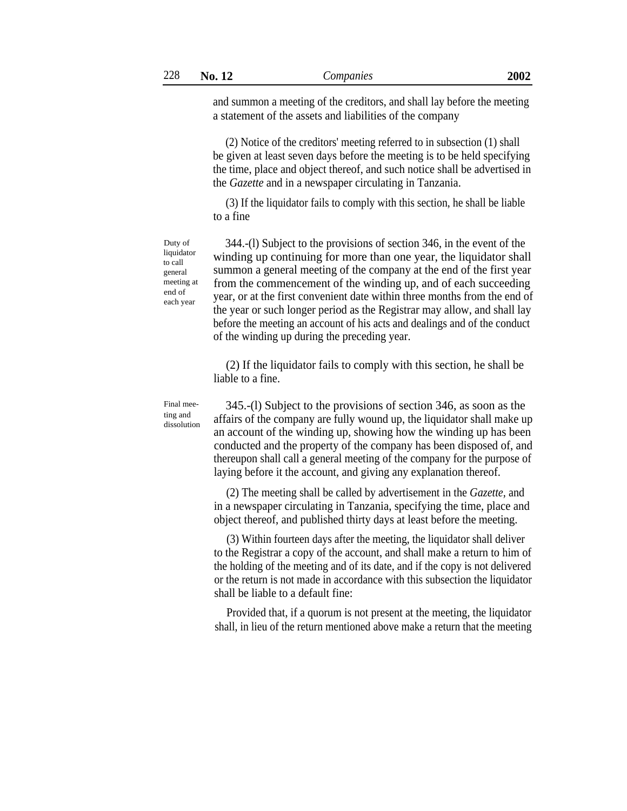and summon a meeting of the creditors, and shall lay before the meeting a statement of the assets and liabilities of the company

(2) Notice of the creditors' meeting referred to in subsection (1) shall be given at least seven days before the meeting is to be held specifying the time, place and object thereof, and such notice shall be advertised in the *Gazette* and in a newspaper circulating in Tanzania.

(3) If the liquidator fails to comply with this section, he shall be liable to a fine

Duty of liquidator to call general meeting at end of each year

344.-(l) Subject to the provisions of section 346, in the event of the winding up continuing for more than one year, the liquidator shall summon a general meeting of the company at the end of the first year from the commencement of the winding up, and of each succeeding year, or at the first convenient date within three months from the end of the year or such longer period as the Registrar may allow, and shall lay before the meeting an account of his acts and dealings and of the conduct of the winding up during the preceding year.

(2) If the liquidator fails to comply with this section, he shall be liable to a fine.

345.-(l) Subject to the provisions of section 346, as soon as the affairs of the company are fully wound up, the liquidator shall make up an account of the winding up, showing how the winding up has been conducted and the property of the company has been disposed of, and thereupon shall call a general meeting of the company for the purpose of laying before it the account, and giving any explanation thereof.

(2) The meeting shall be called by advertisement in the *Gazette,* and in a newspaper circulating in Tanzania, specifying the time, place and object thereof, and published thirty days at least before the meeting.

(3) Within fourteen days after the meeting, the liquidator shall deliver to the Registrar a copy of the account, and shall make a return to him of the holding of the meeting and of its date, and if the copy is not delivered or the return is not made in accordance with this subsection the liquidator shall be liable to a default fine:

Provided that, if a quorum is not present at the meeting, the liquidator shall, in lieu of the return mentioned above make a return that the meeting

Final meeting and dissolution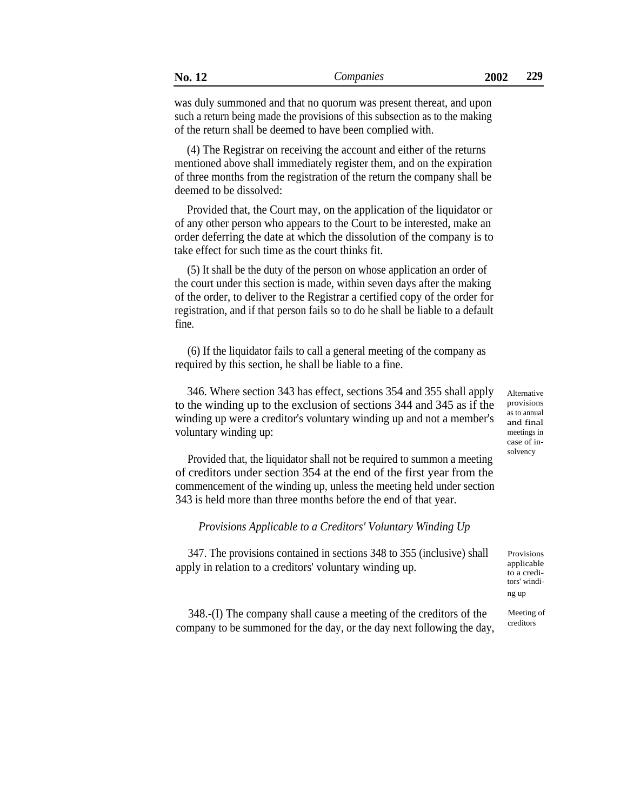was duly summoned and that no quorum was present thereat, and upon such a return being made the provisions of this subsection as to the making of the return shall be deemed to have been complied with.

(4) The Registrar on receiving the account and either of the returns mentioned above shall immediately register them, and on the expiration of three months from the registration of the return the company shall be deemed to be dissolved:

Provided that, the Court may, on the application of the liquidator or of any other person who appears to the Court to be interested, make an order deferring the date at which the dissolution of the company is to take effect for such time as the court thinks fit.

(5) It shall be the duty of the person on whose application an order of the court under this section is made, within seven days after the making of the order, to deliver to the Registrar a certified copy of the order for registration, and if that person fails so to do he shall be liable to a default fine.

(6) If the liquidator fails to call a general meeting of the company as required by this section, he shall be liable to a fine.

346. Where section 343 has effect, sections 354 and 355 shall apply to the winding up to the exclusion of sections 344 and 345 as if the winding up were a creditor's voluntary winding up and not a member's voluntary winding up:

Alternative provisions as to annual and final meetings in case of in-

Provided that, the liquidator shall not be required to summon a meeting solver in the liquidator shall not be required to summon a meeting of creditors under section 354 at the end of the first year from the commencement of the winding up, unless the meeting held under section 343 is held more than three months before the end of that year.

## *Provisions Applicable to a Creditors' Voluntary Winding Up*

347. The provisions contained in sections 348 to 355 (inclusive) shall apply in relation to a creditors' voluntary winding up.

Provisions applicable to a creditors' winding up

348.-(I) The company shall cause a meeting of the creditors of the company to be summoned for the day, or the day next following the day,

Meeting of creditors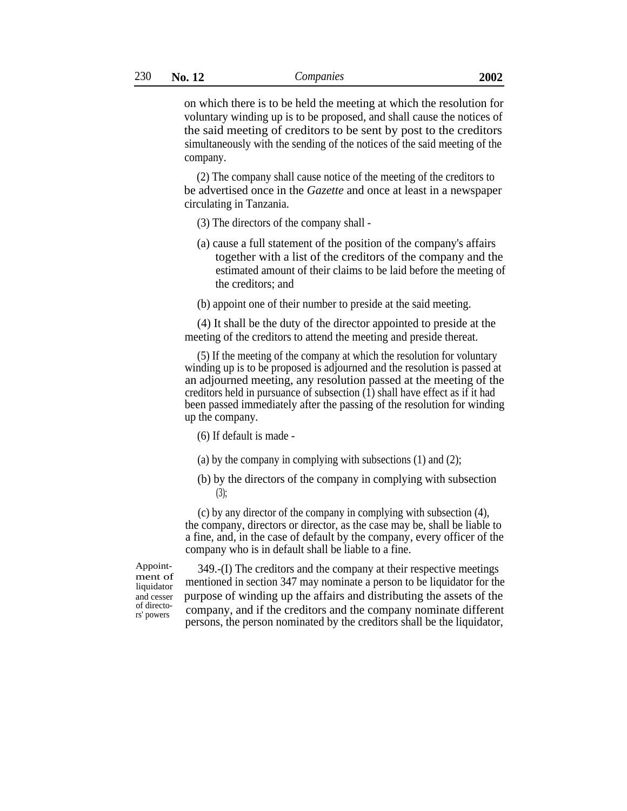on which there is to be held the meeting at which the resolution for voluntary winding up is to be proposed, and shall cause the notices of the said meeting of creditors to be sent by post to the creditors simultaneously with the sending of the notices of the said meeting of the company.

(2) The company shall cause notice of the meeting of the creditors to be advertised once in the *Gazette* and once at least in a newspaper circulating in Tanzania.

- (3) The directors of the company shall -
- (a) cause a full statement of the position of the company's affairs together with a list of the creditors of the company and the estimated amount of their claims to be laid before the meeting of the creditors; and
- (b) appoint one of their number to preside at the said meeting.

(4) It shall be the duty of the director appointed to preside at the meeting of the creditors to attend the meeting and preside thereat.

(5) If the meeting of the company at which the resolution for voluntary winding up is to be proposed is adjourned and the resolution is passed at an adjourned meeting, any resolution passed at the meeting of the creditors held in pursuance of subsection (1) shall have effect as if it had been passed immediately after the passing of the resolution for winding up the company.

- (6) If default is made -
- (a) by the company in complying with subsections (1) and (2);
- (b) by the directors of the company in complying with subsection  $(3);$

(c) by any director of the company in complying with subsection (4), the company, directors or director, as the case may be, shall be liable to a fine, and, in the case of default by the company, every officer of the company who is in default shall be liable to a fine.

liquidator of directo-

Appoint-<br>
349.-(I) The creditors and the company at their respective meetings<br>  $\frac{349}{100}$ mentioned in section 347 may nominate a person to be liquidator for the and cesser purpose of winding up the affairs and distributing the assets of the of directors company, and if the creditors and the company nominate different persons, the person nominated by the creditors shall be the liquidator,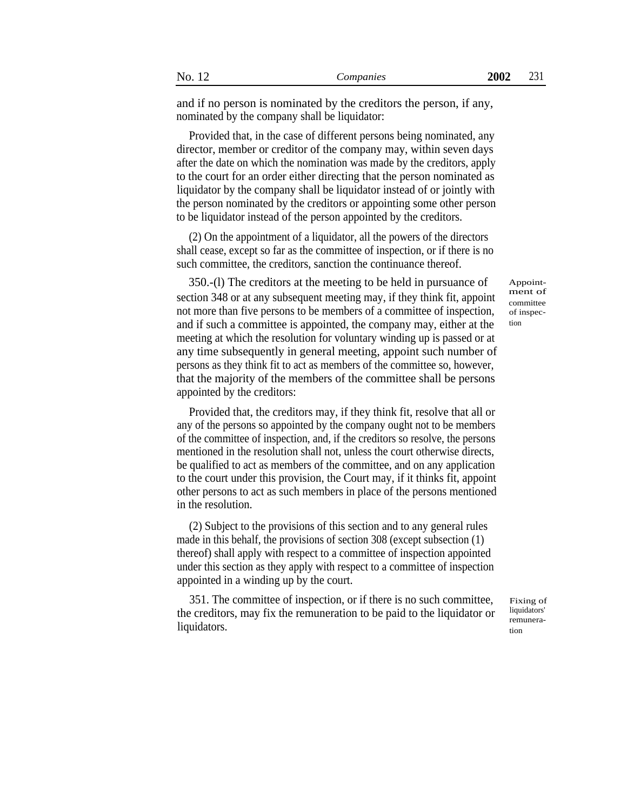and if no person is nominated by the creditors the person, if any, nominated by the company shall be liquidator:

Provided that, in the case of different persons being nominated, any director, member or creditor of the company may, within seven days after the date on which the nomination was made by the creditors, apply to the court for an order either directing that the person nominated as liquidator by the company shall be liquidator instead of or jointly with the person nominated by the creditors or appointing some other person to be liquidator instead of the person appointed by the creditors.

(2) On the appointment of a liquidator, all the powers of the directors shall cease, except so far as the committee of inspection, or if there is no such committee, the creditors, sanction the continuance thereof.

350.-(1) The creditors at the meeting to be held in pursuance of Appointsection 348 or at any subsequent meeting may, if they think fit, appoint not more than five persons to be members of a committee of inspection, and if such a committee is appointed, the company may, either at the meeting at which the resolution for voluntary winding up is passed or at any time subsequently in general meeting, appoint such number of persons as they think fit to act as members of the committee so, however, that the majority of the members of the committee shall be persons appointed by the creditors:

Provided that, the creditors may, if they think fit, resolve that all or any of the persons so appointed by the company ought not to be members of the committee of inspection, and, if the creditors so resolve, the persons mentioned in the resolution shall not, unless the court otherwise directs, be qualified to act as members of the committee, and on any application to the court under this provision, the Court may, if it thinks fit, appoint other persons to act as such members in place of the persons mentioned in the resolution.

(2) Subject to the provisions of this section and to any general rules made in this behalf, the provisions of section 308 (except subsection (1) thereof) shall apply with respect to a committee of inspection appointed under this section as they apply with respect to a committee of inspection appointed in a winding up by the court.

351. The committee of inspection, or if there is no such committee, the creditors, may fix the remuneration to be paid to the liquidator or liquidators.

committee of inspection

Fixing of liquidators' remuneration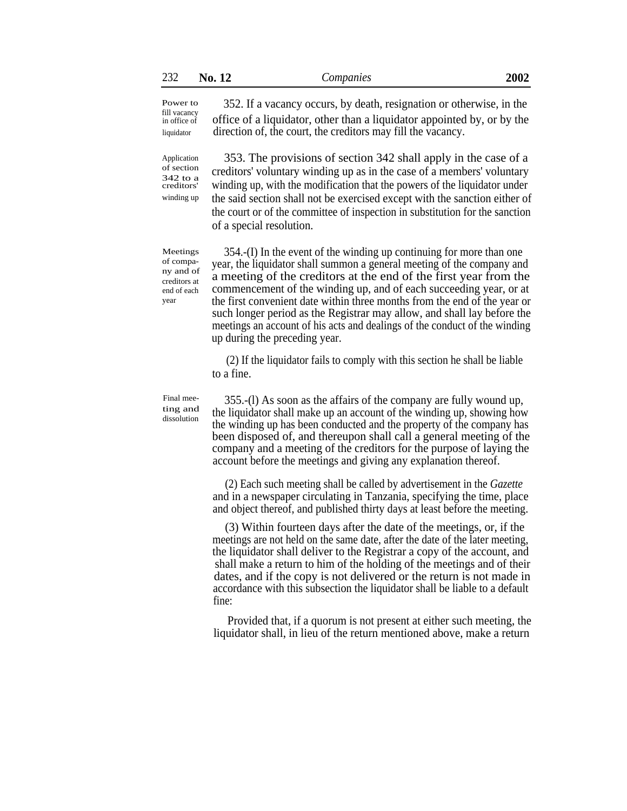fill vacancy

Power to 352. If a vacancy occurs, by death, resignation or otherwise, in the office of a liquidator, other than a liquidator appointed by, or by the liquidator direction of, the court, the creditors may fill the vacancy.

353. The provisions of section 342 shall apply in the case of a creditors' voluntary winding up as in the case of a members' voluntary winding up, with the modification that the powers of the liquidator under the said section shall not be exercised except with the sanction either of the court or of the committee of inspection in substitution for the sanction of a special resolution. Application of section 342 to a creditors' winding up

Meetings of company and of creditors at end of each year

354.-(I) In the event of the winding up continuing for more than one year, the liquidator shall summon a general meeting of the company and a meeting of the creditors at the end of the first year from the commencement of the winding up, and of each succeeding year, or at the first convenient date within three months from the end of the year or such longer period as the Registrar may allow, and shall lay before the meetings an account of his acts and dealings of the conduct of the winding up during the preceding year.

(2) If the liquidator fails to comply with this section he shall be liable to a fine.

Final meeting and dissolution

355.-(l) As soon as the affairs of the company are fully wound up, the liquidator shall make up an account of the winding up, showing how the winding up has been conducted and the property of the company has been disposed of, and thereupon shall call a general meeting of the company and a meeting of the creditors for the purpose of laying the account before the meetings and giving any explanation thereof.

(2) Each such meeting shall be called by advertisement in the *Gazette* and in a newspaper circulating in Tanzania, specifying the time, place and object thereof, and published thirty days at least before the meeting.

(3) Within fourteen days after the date of the meetings, or, if the meetings are not held on the same date, after the date of the later meeting, the liquidator shall deliver to the Registrar a copy of the account, and shall make a return to him of the holding of the meetings and of their dates, and if the copy is not delivered or the return is not made in accordance with this subsection the liquidator shall be liable to a default fine:

Provided that, if a quorum is not present at either such meeting, the liquidator shall, in lieu of the return mentioned above, make a return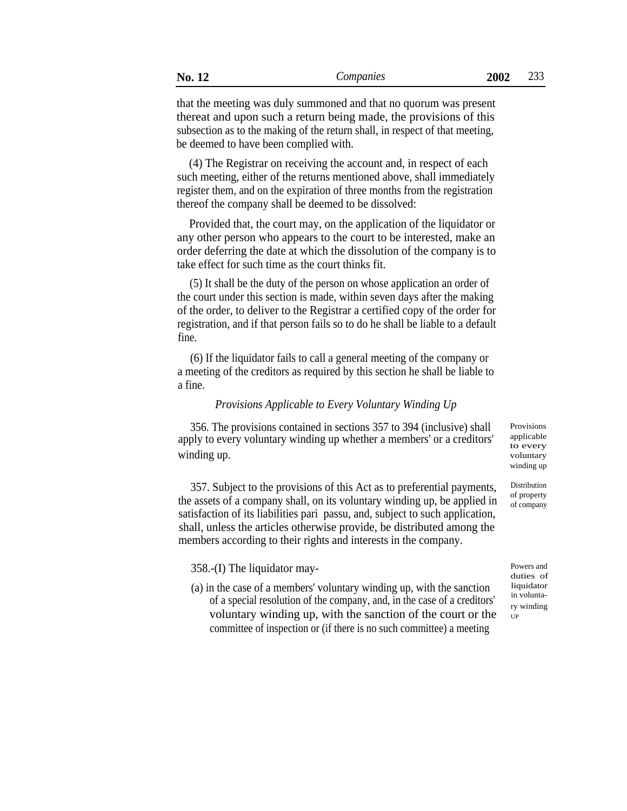that the meeting was duly summoned and that no quorum was present thereat and upon such a return being made, the provisions of this subsection as to the making of the return shall, in respect of that meeting, be deemed to have been complied with.

(4) The Registrar on receiving the account and, in respect of each such meeting, either of the returns mentioned above, shall immediately register them, and on the expiration of three months from the registration thereof the company shall be deemed to be dissolved:

Provided that, the court may, on the application of the liquidator or any other person who appears to the court to be interested, make an order deferring the date at which the dissolution of the company is to take effect for such time as the court thinks fit.

(5) It shall be the duty of the person on whose application an order of the court under this section is made, within seven days after the making of the order, to deliver to the Registrar a certified copy of the order for registration, and if that person fails so to do he shall be liable to a default fine.

(6) If the liquidator fails to call a general meeting of the company or a meeting of the creditors as required by this section he shall be liable to a fine.

#### *Provisions Applicable to Every Voluntary Winding Up*

356. The provisions contained in sections 357 to 394 (inclusive) shall apply to every voluntary winding up whether a members' or a creditors' winding up. voluntary

357. Subject to the provisions of this Act as to preferential payments, the assets of a company shall, on its voluntary winding up, be applied in satisfaction of its liabilities pari passu, and, subject to such application, shall, unless the articles otherwise provide, be distributed among the members according to their rights and interests in the company.

358.-(I) The liquidator may- Powers and

(a) in the case of a members' voluntary winding up, with the sanction  $\frac{1}{2}$  liquidator of a special resolution of the company, and, in the case of a creditors' voluntary winding up, with the sanction of the court or the committee of inspection or (if there is no such committee) a meeting

Provisions applicable to every winding up

Distribution of property of company

duties of<br>liquidator ry winding UP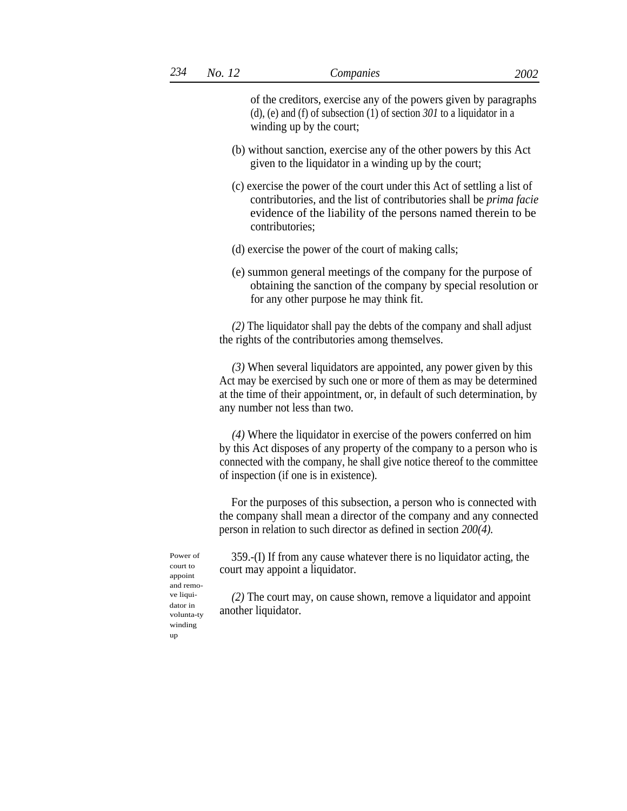of the creditors, exercise any of the powers given by paragraphs (d), (e) and (f) of subsection (1) of section *301* to a liquidator in a winding up by the court;

- (b) without sanction, exercise any of the other powers by this Act given to the liquidator in a winding up by the court;
- (c) exercise the power of the court under this Act of settling a list of contributories, and the list of contributories shall be *prima facie* evidence of the liability of the persons named therein to be contributories;
- (d) exercise the power of the court of making calls;
- (e) summon general meetings of the company for the purpose of obtaining the sanction of the company by special resolution or for any other purpose he may think fit.

*(2)* The liquidator shall pay the debts of the company and shall adjust the rights of the contributories among themselves.

*(3)* When several liquidators are appointed, any power given by this Act may be exercised by such one or more of them as may be determined at the time of their appointment, or, in default of such determination, by any number not less than two.

*(4)* Where the liquidator in exercise of the powers conferred on him by this Act disposes of any property of the company to a person who is connected with the company, he shall give notice thereof to the committee of inspection (if one is in existence).

For the purposes of this subsection, a person who is connected with the company shall mean a director of the company and any connected person in relation to such director as defined in section *200(4).*

Power of court to appoint and remo ve liquidator in volunta-ty winding up

359.-(I) If from any cause whatever there is no liquidator acting, the court may appoint a liquidator.

*(2)* The court may, on cause shown, remove a liquidator and appoint another liquidator.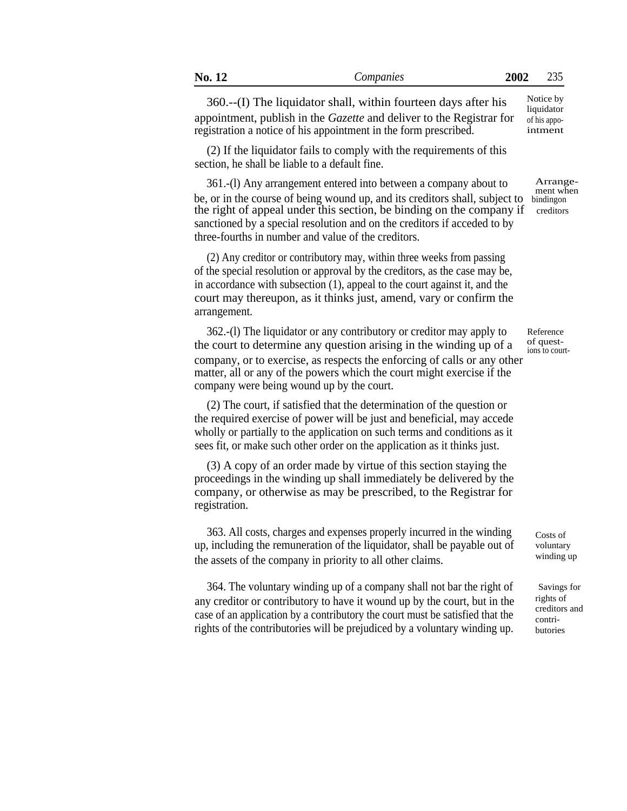| $\mathbf{N_0}, \mathbf{1_2}$ | companies | 2002<br>⊷ |
|------------------------------|-----------|-----------|
|                              |           |           |

 $360$ .--(I) The liquidator shall, within fourteen days after his Notice by appointment, publish in the *Gazette* and deliver to the Registrar for registration a notice of his appointment in the form prescribed.

(2) If the liquidator fails to comply with the requirements of this section, he shall be liable to a default fine.

361.-(l) Any arrangement entered into between a company about to Arrange-<br>ment when be, or in the course of being wound up, and its creditors shall, subject to binding on the right of appeal under this section, be binding on the company if creditors sanctioned by a special resolution and on the creditors if acceded to by three-fourths in number and value of the creditors.

(2) Any creditor or contributory may, within three weeks from passing of the special resolution or approval by the creditors, as the case may be, in accordance with subsection (1), appeal to the court against it, and the court may thereupon, as it thinks just, amend, vary or confirm the arrangement.

362.-(l) The liquidator or any contributory or creditor may apply to the court to determine any question arising in the winding up of a company, or to exercise, as respects the enforcing of calls or any other matter, all or any of the powers which the court might exercise if the company were being wound up by the court.

(2) The court, if satisfied that the determination of the question or the required exercise of power will be just and beneficial, may accede wholly or partially to the application on such terms and conditions as it sees fit, or make such other order on the application as it thinks just.

(3) A copy of an order made by virtue of this section staying the proceedings in the winding up shall immediately be delivered by the company, or otherwise as may be prescribed, to the Registrar for registration.

363. All costs, charges and expenses properly incurred in the winding up, including the remuneration of the liquidator, shall be payable out of the assets of the company in priority to all other claims.

364. The voluntary winding up of a company shall not bar the right of Savings for any creditor or contributory to have it wound up by the court, but in the case of an application by a contributory the court must be satisfied that the rights of the contributories will be prejudiced by a voluntary winding up.

of questions to court-

Reference

liquidator of his appointment

> Costs of voluntary winding up

rights of creditors and contributories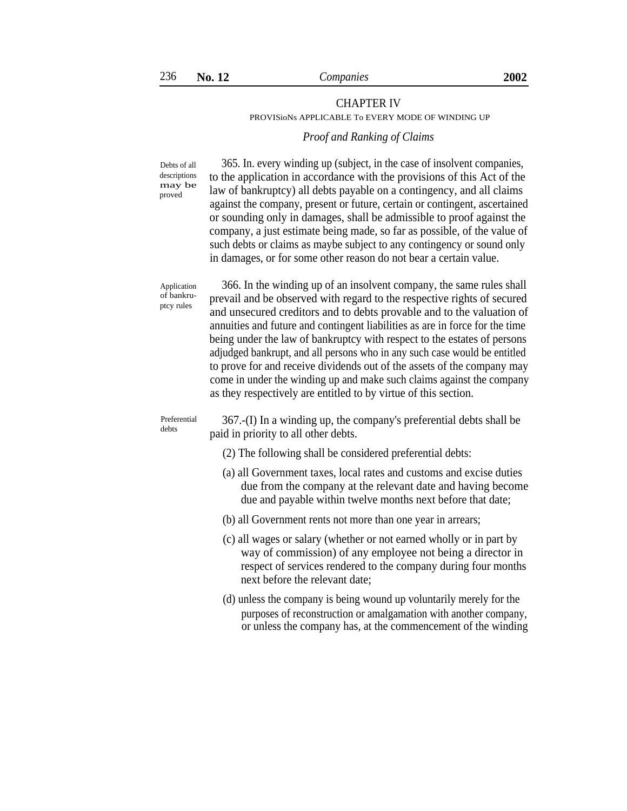# CHAPTER IV PROVISioNs APPLICABLE To EVERY MODE OF WINDING UP

#### *Proof and Ranking of Claims*

Debts of all descriptions may be proved

365. In. every winding up (subject, in the case of insolvent companies, to the application in accordance with the provisions of this Act of the law of bankruptcy) all debts payable on a contingency, and all claims against the company, present or future, certain or contingent, ascertained or sounding only in damages, shall be admissible to proof against the company, a just estimate being made, so far as possible, of the value of such debts or claims as maybe subject to any contingency or sound only in damages, or for some other reason do not bear a certain value.

366. In the winding up of an insolvent company, the same rules shall prevail and be observed with regard to the respective rights of secured and unsecured creditors and to debts provable and to the valuation of annuities and future and contingent liabilities as are in force for the time being under the law of bankruptcy with respect to the estates of persons adjudged bankrupt, and all persons who in any such case would be entitled to prove for and receive dividends out of the assets of the company may come in under the winding up and make such claims against the company as they respectively are entitled to by virtue of this section. Application of bankruptcy rules

Preferential debts

367.-(I) In a winding up, the company's preferential debts shall be paid in priority to all other debts.

- (2) The following shall be considered preferential debts:
- (a) all Government taxes, local rates and customs and excise duties due from the company at the relevant date and having become due and payable within twelve months next before that date;
- (b) all Government rents not more than one year in arrears;
- (c) all wages or salary (whether or not earned wholly or in part by way of commission) of any employee not being a director in respect of services rendered to the company during four months next before the relevant date;
- (d) unless the company is being wound up voluntarily merely for the purposes of reconstruction or amalgamation with another company, or unless the company has, at the commencement of the winding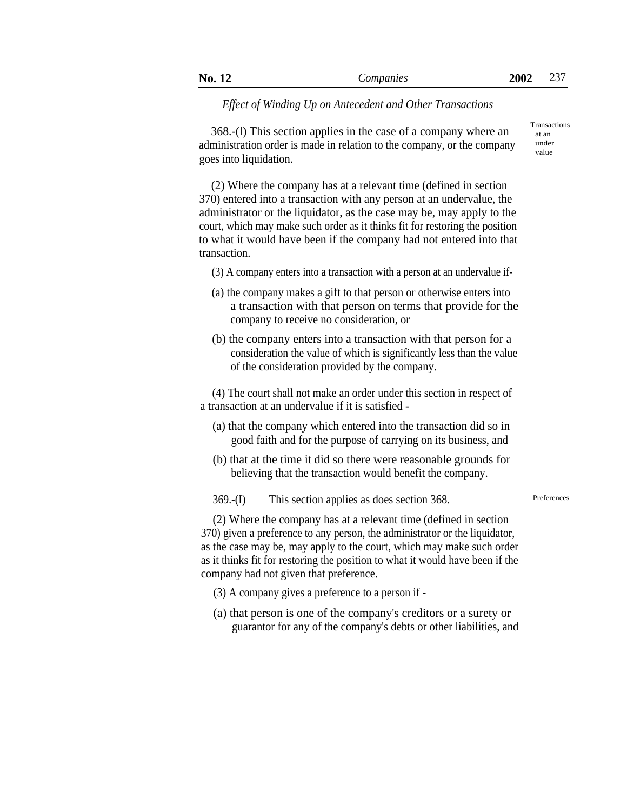| No. 12 | Companies | 2002 | דמר<br>، ب ر |
|--------|-----------|------|--------------|
|--------|-----------|------|--------------|

# *Effect of Winding Up on Antecedent and Other Transactions*

368.-(l) This section applies in the case of a company where an administration order is made in relation to the company, or the company goes into liquidation.

(2) Where the company has at a relevant time (defined in section 370) entered into a transaction with any person at an undervalue, the administrator or the liquidator, as the case may be, may apply to the court, which may make such order as it thinks fit for restoring the position to what it would have been if the company had not entered into that transaction.

- (3) A company enters into a transaction with a person at an undervalue if-
- (a) the company makes a gift to that person or otherwise enters into a transaction with that person on terms that provide for the company to receive no consideration, or
- (b) the company enters into a transaction with that person for a consideration the value of which is significantly less than the value of the consideration provided by the company.

(4) The court shall not make an order under this section in respect of a transaction at an undervalue if it is satisfied -

- (a) that the company which entered into the transaction did so in good faith and for the purpose of carrying on its business, and
- (b) that at the time it did so there were reasonable grounds for believing that the transaction would benefit the company.

369.-(I) This section applies as does section 368. Preferences

(2) Where the company has at a relevant time (defined in section 370) given a preference to any person, the administrator or the liquidator, as the case may be, may apply to the court, which may make such order as it thinks fit for restoring the position to what it would have been if the company had not given that preference.

- (3) A company gives a preference to a person if -
- (a) that person is one of the company's creditors or a surety or guarantor for any of the company's debts or other liabilities, and

Transactions at an under value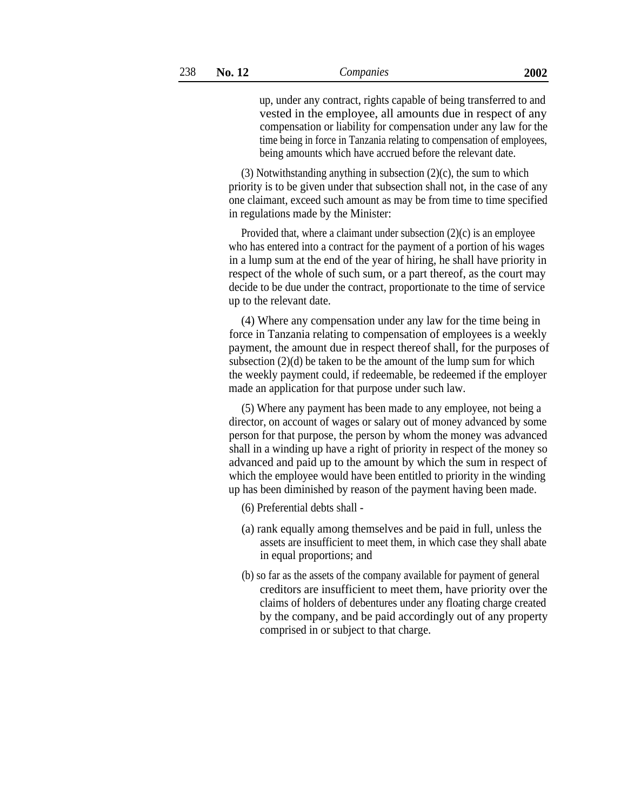up, under any contract, rights capable of being transferred to and vested in the employee, all amounts due in respect of any compensation or liability for compensation under any law for the time being in force in Tanzania relating to compensation of employees, being amounts which have accrued before the relevant date.

(3) Notwithstanding anything in subsection  $(2)(c)$ , the sum to which priority is to be given under that subsection shall not, in the case of any one claimant, exceed such amount as may be from time to time specified in regulations made by the Minister:

Provided that, where a claimant under subsection (2)(c) is an employee who has entered into a contract for the payment of a portion of his wages in a lump sum at the end of the year of hiring, he shall have priority in respect of the whole of such sum, or a part thereof, as the court may decide to be due under the contract, proportionate to the time of service up to the relevant date.

(4) Where any compensation under any law for the time being in force in Tanzania relating to compensation of employees is a weekly payment, the amount due in respect thereof shall, for the purposes of subsection (2)(d) be taken to be the amount of the lump sum for which the weekly payment could, if redeemable, be redeemed if the employer made an application for that purpose under such law.

(5) Where any payment has been made to any employee, not being a director, on account of wages or salary out of money advanced by some person for that purpose, the person by whom the money was advanced shall in a winding up have a right of priority in respect of the money so advanced and paid up to the amount by which the sum in respect of which the employee would have been entitled to priority in the winding up has been diminished by reason of the payment having been made.

(6) Preferential debts shall -

- (a) rank equally among themselves and be paid in full, unless the assets are insufficient to meet them, in which case they shall abate in equal proportions; and
- (b) so far as the assets of the company available for payment of general creditors are insufficient to meet them, have priority over the claims of holders of debentures under any floating charge created by the company, and be paid accordingly out of any property comprised in or subject to that charge.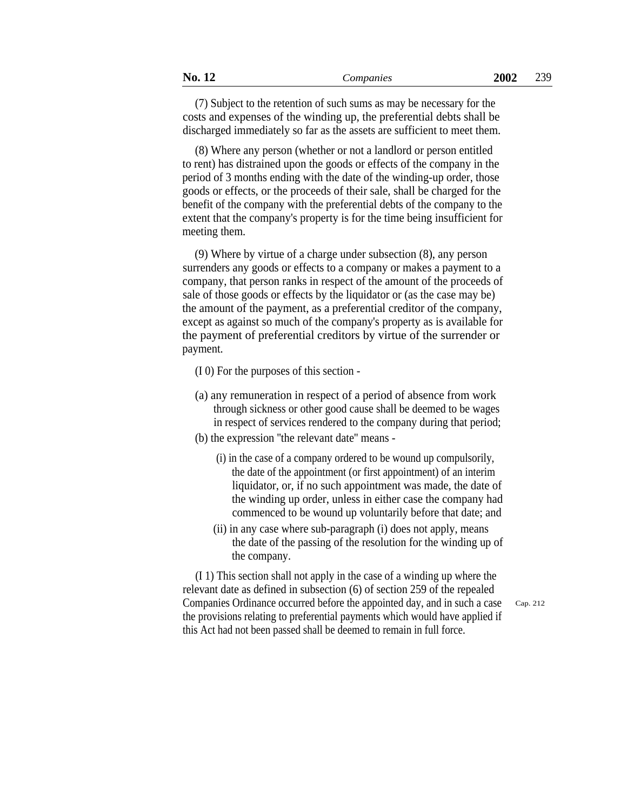(7) Subject to the retention of such sums as may be necessary for the costs and expenses of the winding up, the preferential debts shall be discharged immediately so far as the assets are sufficient to meet them.

(8) Where any person (whether or not a landlord or person entitled to rent) has distrained upon the goods or effects of the company in the period of 3 months ending with the date of the winding-up order, those goods or effects, or the proceeds of their sale, shall be charged for the benefit of the company with the preferential debts of the company to the extent that the company's property is for the time being insufficient for meeting them.

(9) Where by virtue of a charge under subsection (8), any person surrenders any goods or effects to a company or makes a payment to a company, that person ranks in respect of the amount of the proceeds of sale of those goods or effects by the liquidator or (as the case may be) the amount of the payment, as a preferential creditor of the company, except as against so much of the company's property as is available for the payment of preferential creditors by virtue of the surrender or payment.

- (I 0) For the purposes of this section -
- (a) any remuneration in respect of a period of absence from work through sickness or other good cause shall be deemed to be wages in respect of services rendered to the company during that period;
- (b) the expression ''the relevant date'' means
	- (i) in the case of a company ordered to be wound up compulsorily, the date of the appointment (or first appointment) of an interim liquidator, or, if no such appointment was made, the date of the winding up order, unless in either case the company had commenced to be wound up voluntarily before that date; and
	- (ii) in any case where sub-paragraph (i) does not apply, means the date of the passing of the resolution for the winding up of the company.

(I 1) This section shall not apply in the case of a winding up where the relevant date as defined in subsection (6) of section 259 of the repealed Companies Ordinance occurred before the appointed day, and in such a case the provisions relating to preferential payments which would have applied if this Act had not been passed shall be deemed to remain in full force.

Cap. 212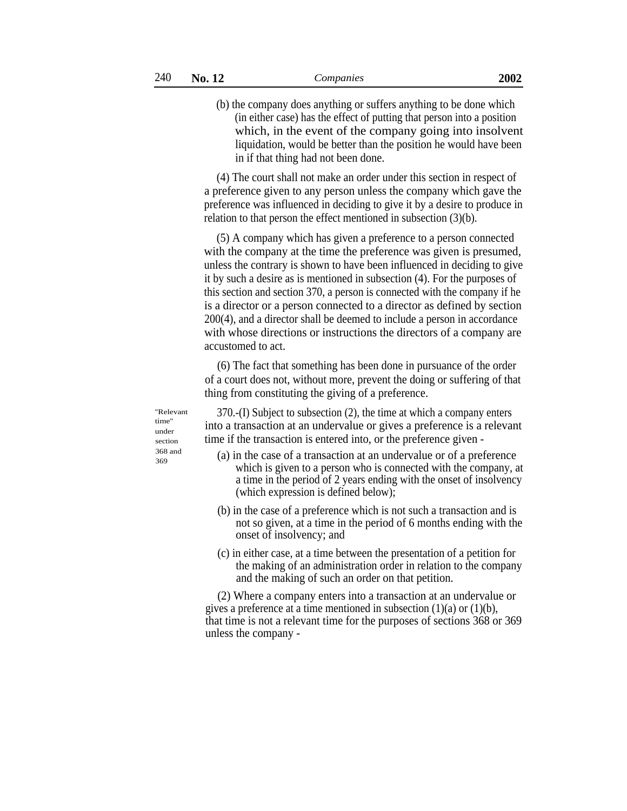(b) the company does anything or suffers anything to be done which (in either case) has the effect of putting that person into a position which, in the event of the company going into insolvent liquidation, would be better than the position he would have been in if that thing had not been done.

(4) The court shall not make an order under this section in respect of a preference given to any person unless the company which gave the preference was influenced in deciding to give it by a desire to produce in relation to that person the effect mentioned in subsection (3)(b).

(5) A company which has given a preference to a person connected with the company at the time the preference was given is presumed, unless the contrary is shown to have been influenced in deciding to give it by such a desire as is mentioned in subsection (4). For the purposes of this section and section 370, a person is connected with the company if he is a director or a person connected to a director as defined by section 200(4), and a director shall be deemed to include a person in accordance with whose directions or instructions the directors of a company are accustomed to act.

(6) The fact that something has been done in pursuance of the order of a court does not, without more, prevent the doing or suffering of that thing from constituting the giving of a preference.

''Relevant time'' under section

370.-(I) Subject to subsection (2), the time at which a company enters into a transaction at an undervalue or gives a preference is a relevant time if the transaction is entered into, or the preference given -

- <sup>368 and</sup> (a) in the case of a transaction at an undervalue or of a preference which is given to a person who is connected with the company, at a time in the period of 2 years ending with the onset of insolvency (which expression is defined below);
	- (b) in the case of a preference which is not such a transaction and is not so given, at a time in the period of 6 months ending with the onset of insolvency; and
	- (c) in either case, at a time between the presentation of a petition for the making of an administration order in relation to the company and the making of such an order on that petition.

(2) Where a company enters into a transaction at an undervalue or gives a preference at a time mentioned in subsection  $(1)(a)$  or  $(1)(b)$ , that time is not a relevant time for the purposes of sections 368 or 369 unless the company -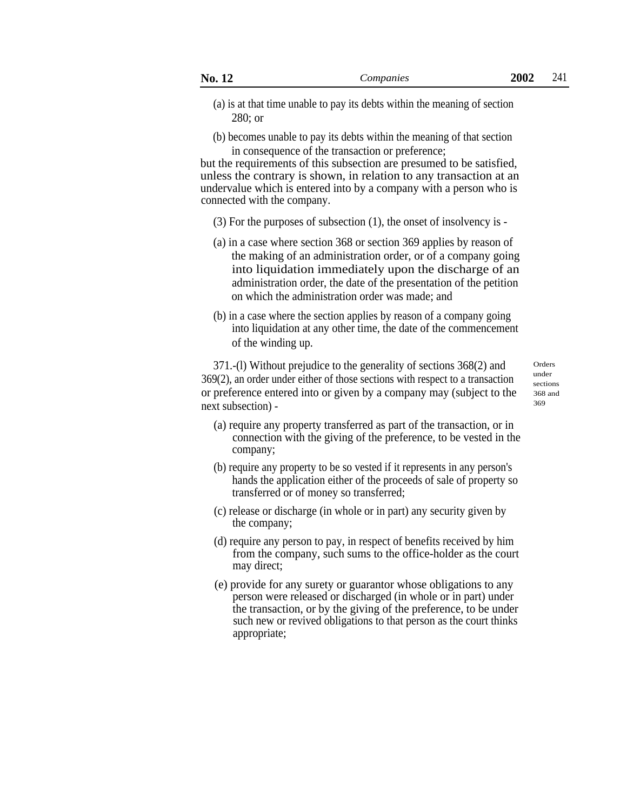- (a) is at that time unable to pay its debts within the meaning of section 280; or
- (b) becomes unable to pay its debts within the meaning of that section in consequence of the transaction or preference;

but the requirements of this subsection are presumed to be satisfied, unless the contrary is shown, in relation to any transaction at an undervalue which is entered into by a company with a person who is connected with the company.

(3) For the purposes of subsection (1), the onset of insolvency is -

- (a) in a case where section 368 or section 369 applies by reason of the making of an administration order, or of a company going into liquidation immediately upon the discharge of an administration order, the date of the presentation of the petition on which the administration order was made; and
- (b) in a case where the section applies by reason of a company going into liquidation at any other time, the date of the commencement of the winding up.

371.-(l) Without prejudice to the generality of sections 368(2) and 369(2), an order under either of those sections with respect to a transaction or preference entered into or given by a company may (subject to the next subsection) -

Orders under sections 368 and 369

- (a) require any property transferred as part of the transaction, or in connection with the giving of the preference, to be vested in the company;
- (b) require any property to be so vested if it represents in any person's hands the application either of the proceeds of sale of property so transferred or of money so transferred;
- (c) release or discharge (in whole or in part) any security given by the company;
- (d) require any person to pay, in respect of benefits received by him from the company, such sums to the office-holder as the court may direct;
- (e) provide for any surety or guarantor whose obligations to any person were released or discharged (in whole or in part) under the transaction, or by the giving of the preference, to be under such new or revived obligations to that person as the court thinks appropriate;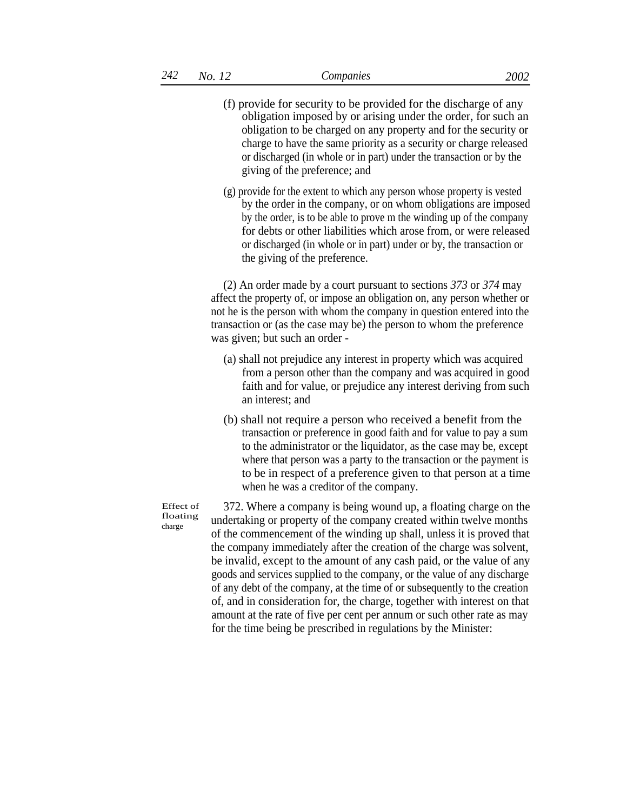- (f) provide for security to be provided for the discharge of any obligation imposed by or arising under the order, for such an obligation to be charged on any property and for the security or charge to have the same priority as a security or charge released or discharged (in whole or in part) under the transaction or by the giving of the preference; and
- (g) provide for the extent to which any person whose property is vested by the order in the company, or on whom obligations are imposed by the order, is to be able to prove m the winding up of the company for debts or other liabilities which arose from, or were released or discharged (in whole or in part) under or by, the transaction or the giving of the preference.

(2) An order made by a court pursuant to sections *373* or *374* may affect the property of, or impose an obligation on, any person whether or not he is the person with whom the company in question entered into the transaction or (as the case may be) the person to whom the preference was given; but such an order -

- (a) shall not prejudice any interest in property which was acquired from a person other than the company and was acquired in good faith and for value, or prejudice any interest deriving from such an interest; and
- (b) shall not require a person who received a benefit from the transaction or preference in good faith and for value to pay a sum to the administrator or the liquidator, as the case may be, except where that person was a party to the transaction or the payment is to be in respect of a preference given to that person at a time when he was a creditor of the company.

Effect of floating charge

372. Where a company is being wound up, a floating charge on the undertaking or property of the company created within twelve months of the commencement of the winding up shall, unless it is proved that the company immediately after the creation of the charge was solvent, be invalid, except to the amount of any cash paid, or the value of any goods and services supplied to the company, or the value of any discharge of any debt of the company, at the time of or subsequently to the creation of, and in consideration for, the charge, together with interest on that amount at the rate of five per cent per annum or such other rate as may for the time being be prescribed in regulations by the Minister: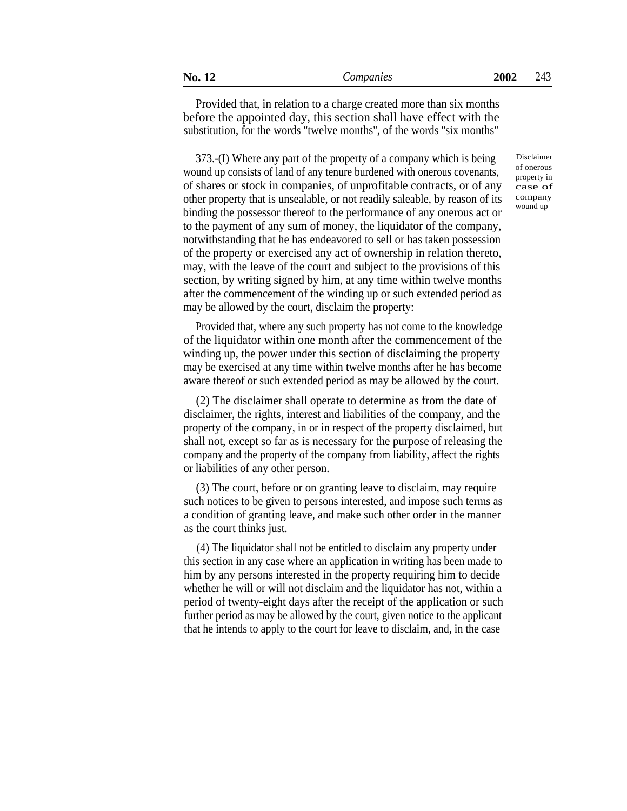Provided that, in relation to a charge created more than six months before the appointed day, this section shall have effect with the substitution, for the words ''twelve months'', of the words ''six months''

373.-(I) Where any part of the property of a company which is being wound up consists of land of any tenure burdened with onerous covenants, of shares or stock in companies, of unprofitable contracts, or of any other property that is unsealable, or not readily saleable, by reason of its binding the possessor thereof to the performance of any onerous act or to the payment of any sum of money, the liquidator of the company, notwithstanding that he has endeavored to sell or has taken possession of the property or exercised any act of ownership in relation thereto, may, with the leave of the court and subject to the provisions of this section, by writing signed by him, at any time within twelve months after the commencement of the winding up or such extended period as may be allowed by the court, disclaim the property:

Provided that, where any such property has not come to the knowledge of the liquidator within one month after the commencement of the winding up, the power under this section of disclaiming the property may be exercised at any time within twelve months after he has become aware thereof or such extended period as may be allowed by the court.

(2) The disclaimer shall operate to determine as from the date of disclaimer, the rights, interest and liabilities of the company, and the property of the company, in or in respect of the property disclaimed, but shall not, except so far as is necessary for the purpose of releasing the company and the property of the company from liability, affect the rights or liabilities of any other person.

(3) The court, before or on granting leave to disclaim, may require such notices to be given to persons interested, and impose such terms as a condition of granting leave, and make such other order in the manner as the court thinks just.

(4) The liquidator shall not be entitled to disclaim any property under this section in any case where an application in writing has been made to him by any persons interested in the property requiring him to decide whether he will or will not disclaim and the liquidator has not, within a period of twenty-eight days after the receipt of the application or such further period as may be allowed by the court, given notice to the applicant that he intends to apply to the court for leave to disclaim, and, in the case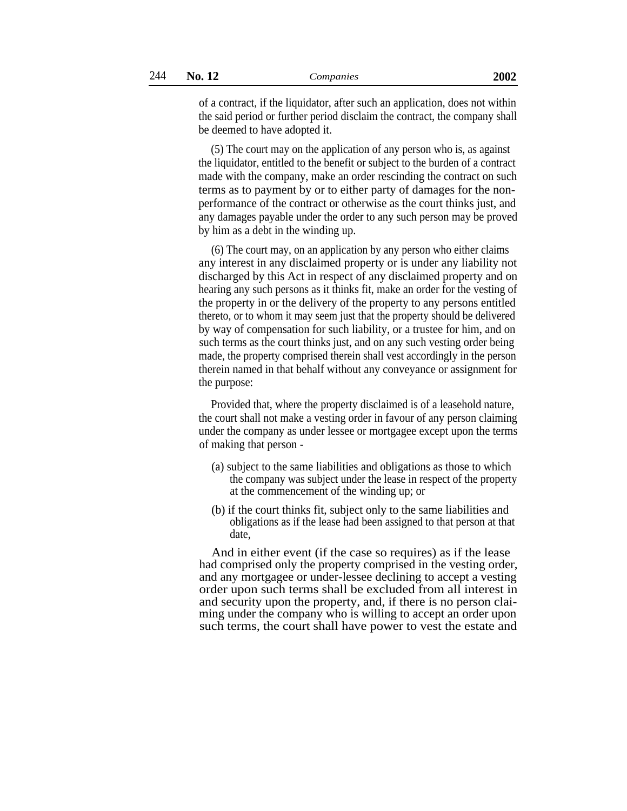of a contract, if the liquidator, after such an application, does not within the said period or further period disclaim the contract, the company shall be deemed to have adopted it.

(5) The court may on the application of any person who is, as against the liquidator, entitled to the benefit or subject to the burden of a contract made with the company, make an order rescinding the contract on such terms as to payment by or to either party of damages for the nonperformance of the contract or otherwise as the court thinks just, and any damages payable under the order to any such person may be proved by him as a debt in the winding up.

(6) The court may, on an application by any person who either claims any interest in any disclaimed property or is under any liability not discharged by this Act in respect of any disclaimed property and on hearing any such persons as it thinks fit, make an order for the vesting of the property in or the delivery of the property to any persons entitled thereto, or to whom it may seem just that the property should be delivered by way of compensation for such liability, or a trustee for him, and on such terms as the court thinks just, and on any such vesting order being made, the property comprised therein shall vest accordingly in the person therein named in that behalf without any conveyance or assignment for the purpose:

Provided that, where the property disclaimed is of a leasehold nature, the court shall not make a vesting order in favour of any person claiming under the company as under lessee or mortgagee except upon the terms of making that person -

- (a) subject to the same liabilities and obligations as those to which the company was subject under the lease in respect of the property at the commencement of the winding up; or
- (b) if the court thinks fit, subject only to the same liabilities and obligations as if the lease had been assigned to that person at that date,

And in either event (if the case so requires) as if the lease had comprised only the property comprised in the vesting order, and any mortgagee or under-lessee declining to accept a vesting order upon such terms shall be excluded from all interest in and security upon the property, and, if there is no person claiming under the company who is willing to accept an order upon such terms, the court shall have power to vest the estate and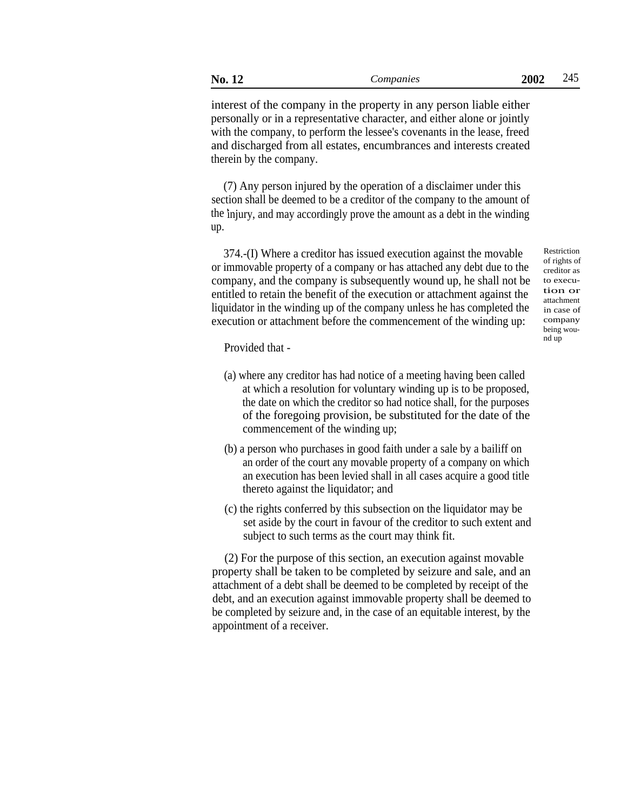| <b>No. 12</b> | Companies | 2002 | 245 |
|---------------|-----------|------|-----|
|               |           |      |     |

interest of the company in the property in any person liable either personally or in a representative character, and either alone or jointly with the company, to perform the lessee's covenants in the lease, freed and discharged from all estates, encumbrances and interests created therein by the company.

(7) Any person injured by the operation of a disclaimer under this section shall be deemed to be a creditor of the company to the amount of the ' injury, and may accordingly prove the amount as a debt in the winding up.

 $R$ <sup>274.-(I)</sup> Where a creditor has issued execution against the movable  $R$ <sup>Restriction</sup> or immovable property of a company or has attached any debt due to the company, and the company is subsequently wound up, he shall not be entitled to retain the benefit of the execution or attachment against the liquidator in the winding up of the company unless he has completed the execution or attachment before the commencement of the winding up:

of rights of creditor as to execution or attachment in case of company being wound up

Provided that -

- (a) where any creditor has had notice of a meeting having been called at which a resolution for voluntary winding up is to be proposed, the date on which the creditor so had notice shall, for the purposes of the foregoing provision, be substituted for the date of the commencement of the winding up;
- (b) a person who purchases in good faith under a sale by a bailiff on an order of the court any movable property of a company on which an execution has been levied shall in all cases acquire a good title thereto against the liquidator; and
- (c) the rights conferred by this subsection on the liquidator may be set aside by the court in favour of the creditor to such extent and subject to such terms as the court may think fit.

(2) For the purpose of this section, an execution against movable property shall be taken to be completed by seizure and sale, and an attachment of a debt shall be deemed to be completed by receipt of the debt, and an execution against immovable property shall be deemed to be completed by seizure and, in the case of an equitable interest, by the appointment of a receiver.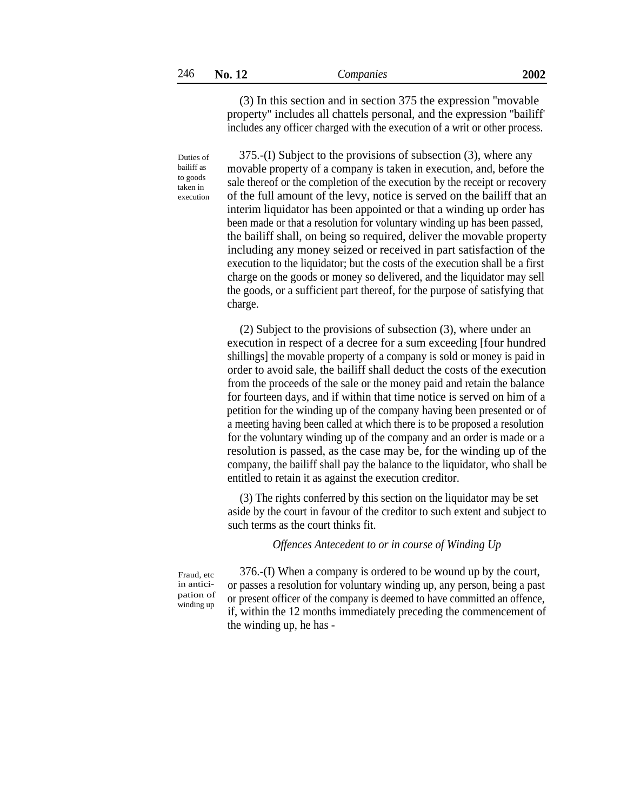(3) In this section and in section 375 the expression ''movable property'' includes all chattels personal, and the expression ''bailiff' includes any officer charged with the execution of a writ or other process.

Duties of bailiff as to goods taken in execution

375.-(I) Subject to the provisions of subsection (3), where any movable property of a company is taken in execution, and, before the sale thereof or the completion of the execution by the receipt or recovery of the full amount of the levy, notice is served on the bailiff that an interim liquidator has been appointed or that a winding up order has been made or that a resolution for voluntary winding up has been passed, the bailiff shall, on being so required, deliver the movable property including any money seized or received in part satisfaction of the execution to the liquidator; but the costs of the execution shall be a first charge on the goods or money so delivered, and the liquidator may sell the goods, or a sufficient part thereof, for the purpose of satisfying that charge.

(2) Subject to the provisions of subsection (3), where under an execution in respect of a decree for a sum exceeding [four hundred shillings] the movable property of a company is sold or money is paid in order to avoid sale, the bailiff shall deduct the costs of the execution from the proceeds of the sale or the money paid and retain the balance for fourteen days, and if within that time notice is served on him of a petition for the winding up of the company having been presented or of a meeting having been called at which there is to be proposed a resolution for the voluntary winding up of the company and an order is made or a resolution is passed, as the case may be, for the winding up of the company, the bailiff shall pay the balance to the liquidator, who shall be entitled to retain it as against the execution creditor.

(3) The rights conferred by this section on the liquidator may be set aside by the court in favour of the creditor to such extent and subject to such terms as the court thinks fit.

## *Offences Antecedent to or in course of Winding Up*

Fraud, etc in anticipation of winding up

376.-(I) When a company is ordered to be wound up by the court, or passes a resolution for voluntary winding up, any person, being a past or present officer of the company is deemed to have committed an offence, if, within the 12 months immediately preceding the commencement of the winding up, he has -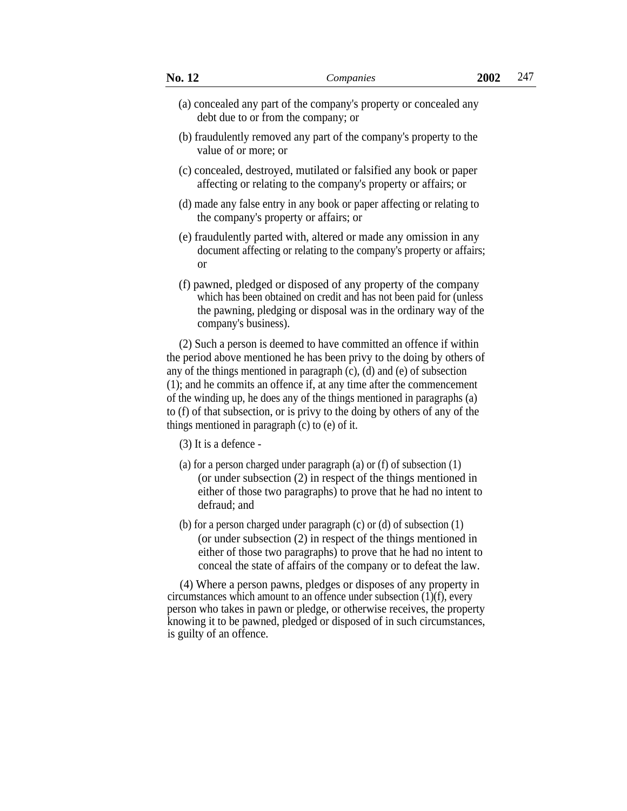- (a) concealed any part of the company's property or concealed any debt due to or from the company; or
- (b) fraudulently removed any part of the company's property to the value of or more; or
- (c) concealed, destroyed, mutilated or falsified any book or paper affecting or relating to the company's property or affairs; or
- (d) made any false entry in any book or paper affecting or relating to the company's property or affairs; or
- (e) fraudulently parted with, altered or made any omission in any document affecting or relating to the company's property or affairs; or
- (f) pawned, pledged or disposed of any property of the company which has been obtained on credit and has not been paid for (unless the pawning, pledging or disposal was in the ordinary way of the company's business).

(2) Such a person is deemed to have committed an offence if within the period above mentioned he has been privy to the doing by others of any of the things mentioned in paragraph (c), (d) and (e) of subsection (1); and he commits an offence if, at any time after the commencement of the winding up, he does any of the things mentioned in paragraphs (a) to (f) of that subsection, or is privy to the doing by others of any of the things mentioned in paragraph (c) to (e) of it.

- (3) It is a defence -
- (a) for a person charged under paragraph (a) or (f) of subsection (1) (or under subsection (2) in respect of the things mentioned in either of those two paragraphs) to prove that he had no intent to defraud; and
- (b) for a person charged under paragraph (c) or (d) of subsection (1) (or under subsection (2) in respect of the things mentioned in either of those two paragraphs) to prove that he had no intent to conceal the state of affairs of the company or to defeat the law.

(4) Where a person pawns, pledges or disposes of any property in circumstances which amount to an offence under subsection  $(1)(f)$ , every person who takes in pawn or pledge, or otherwise receives, the property knowing it to be pawned, pledged or disposed of in such circumstances, is guilty of an offence.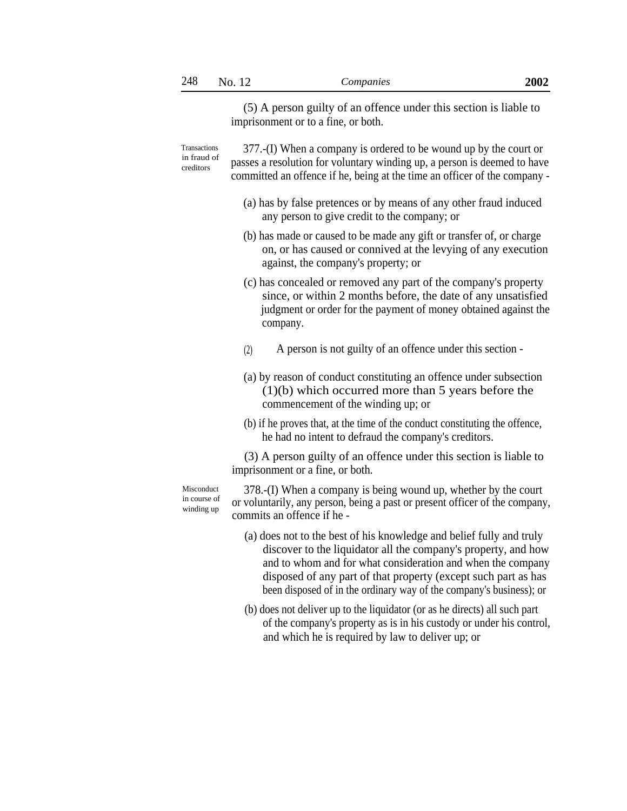(5) A person guilty of an offence under this section is liable to imprisonment or to a fine, or both.

377.-(I) When a company is ordered to be wound up by the court or passes a resolution for voluntary winding up, a person is deemed to have committed an offence if he, being at the time an officer of the company - Transactions in fraud of creditors

- (a) has by false pretences or by means of any other fraud induced any person to give credit to the company; or
- (b) has made or caused to be made any gift or transfer of, or charge on, or has caused or connived at the levying of any execution against, the company's property; or
- (c) has concealed or removed any part of the company's property since, or within 2 months before, the date of any unsatisfied judgment or order for the payment of money obtained against the company.
- (2) A person is not guilty of an offence under this section -
- (a) by reason of conduct constituting an offence under subsection (1)(b) which occurred more than 5 years before the commencement of the winding up; or
- (b) if he proves that, at the time of the conduct constituting the offence, he had no intent to defraud the company's creditors.

(3) A person guilty of an offence under this section is liable to imprisonment or a fine, or both.

Misconduct in course of winding up

378.-(I) When a company is being wound up, whether by the court or voluntarily, any person, being a past or present officer of the company, commits an offence if he -

- (a) does not to the best of his knowledge and belief fully and truly discover to the liquidator all the company's property, and how and to whom and for what consideration and when the company disposed of any part of that property (except such part as has been disposed of in the ordinary way of the company's business); or
- (b) does not deliver up to the liquidator (or as he directs) all such part of the company's property as is in his custody or under his control, and which he is required by law to deliver up; or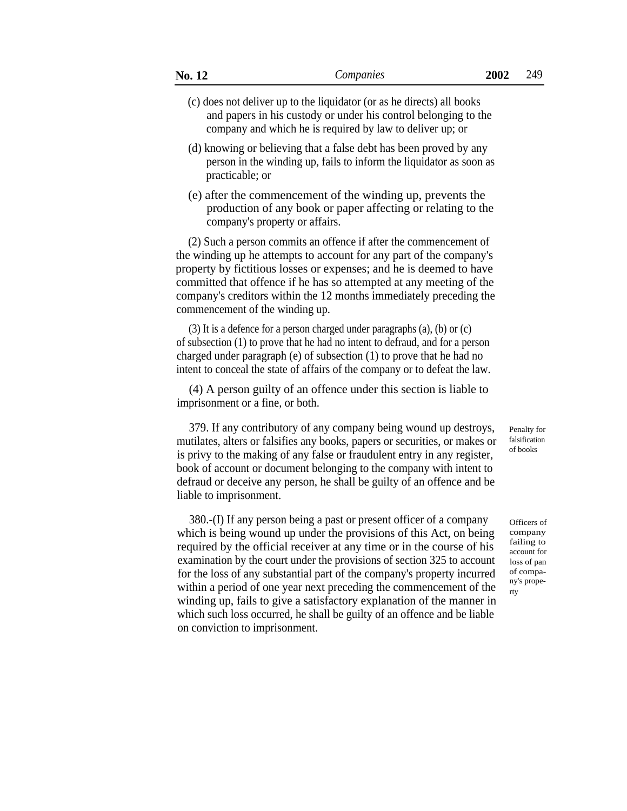- (c) does not deliver up to the liquidator (or as he directs) all books and papers in his custody or under his control belonging to the company and which he is required by law to deliver up; or
- (d) knowing or believing that a false debt has been proved by any person in the winding up, fails to inform the liquidator as soon as practicable; or
- (e) after the commencement of the winding up, prevents the production of any book or paper affecting or relating to the company's property or affairs.

(2) Such a person commits an offence if after the commencement of the winding up he attempts to account for any part of the company's property by fictitious losses or expenses; and he is deemed to have committed that offence if he has so attempted at any meeting of the company's creditors within the 12 months immediately preceding the commencement of the winding up.

(3) It is a defence for a person charged under paragraphs (a), (b) or (c) of subsection (1) to prove that he had no intent to defraud, and for a person charged under paragraph (e) of subsection (1) to prove that he had no intent to conceal the state of affairs of the company or to defeat the law.

(4) A person guilty of an offence under this section is liable to imprisonment or a fine, or both.

379. If any contributory of any company being wound up destroys, mutilates, alters or falsifies any books, papers or securities, or makes or is privy to the making of any false or fraudulent entry in any register, book of account or document belonging to the company with intent to defraud or deceive any person, he shall be guilty of an offence and be liable to imprisonment.

380.-(I) If any person being a past or present officer of a company which is being wound up under the provisions of this Act, on being required by the official receiver at any time or in the course of his examination by the court under the provisions of section 325 to account for the loss of any substantial part of the company's property incurred within a period of one year next preceding the commencement of the winding up, fails to give a satisfactory explanation of the manner in which such loss occurred, he shall be guilty of an offence and be liable on conviction to imprisonment.

Penalty for falsification of books

Officers of company failing to account for loss of pan of company's property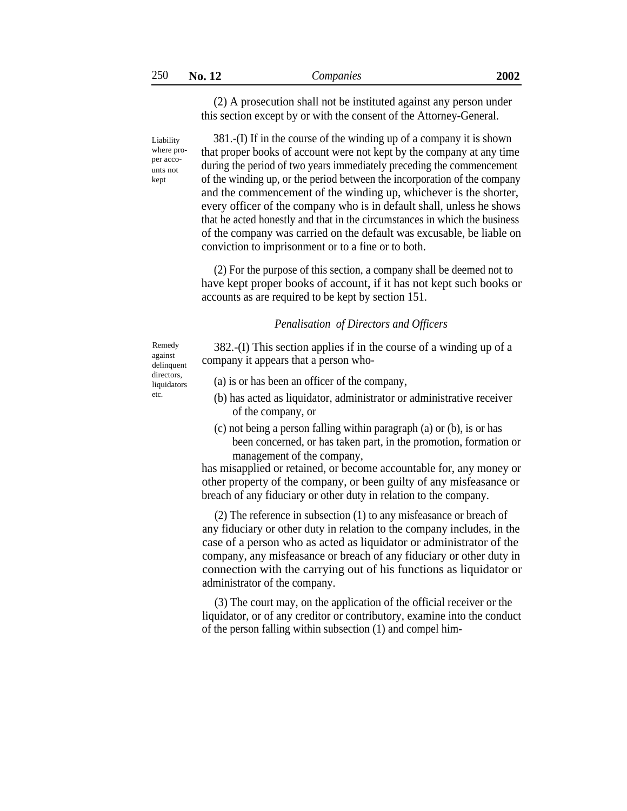(2) A prosecution shall not be instituted against any person under this section except by or with the consent of the Attorney-General.

Liability where proper accounts not kept

381.-(I) If in the course of the winding up of a company it is shown that proper books of account were not kept by the company at any time during the period of two years immediately preceding the commencement of the winding up, or the period between the incorporation of the company and the commencement of the winding up, whichever is the shorter, every officer of the company who is in default shall, unless he shows that he acted honestly and that in the circumstances in which the business of the company was carried on the default was excusable, be liable on conviction to imprisonment or to a fine or to both.

(2) For the purpose of this section, a company shall be deemed not to have kept proper books of account, if it has not kept such books or accounts as are required to be kept by section 151.

#### *Penalisation of Directors and Officers*

Remedy against delinquent

382.-(I) This section applies if in the course of a winding up of a company it appears that a person who-

directors, (a) is or has been an officer of the company,

- etc. (b) has acted as liquidator, administrator or administrative receiver of the company, or
	- (c) not being a person falling within paragraph (a) or (b), is or has been concerned, or has taken part, in the promotion, formation or management of the company,

has misapplied or retained, or become accountable for, any money or other property of the company, or been guilty of any misfeasance or breach of any fiduciary or other duty in relation to the company.

(2) The reference in subsection (1) to any misfeasance or breach of any fiduciary or other duty in relation to the company includes, in the case of a person who as acted as liquidator or administrator of the company, any misfeasance or breach of any fiduciary or other duty in connection with the carrying out of his functions as liquidator or administrator of the company.

(3) The court may, on the application of the official receiver or the liquidator, or of any creditor or contributory, examine into the conduct of the person falling within subsection (1) and compel him-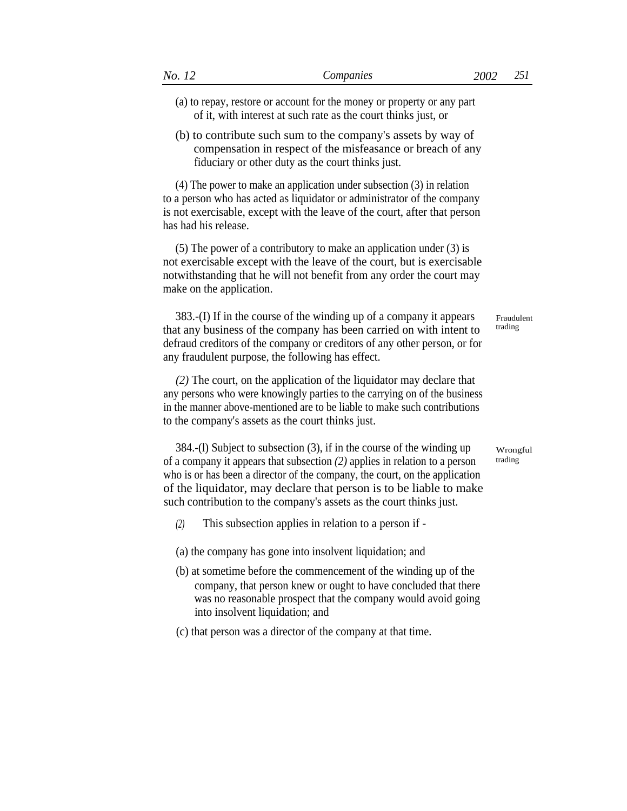- (a) to repay, restore or account for the money or property or any part of it, with interest at such rate as the court thinks just, or
- (b) to contribute such sum to the company's assets by way of compensation in respect of the misfeasance or breach of any fiduciary or other duty as the court thinks just.

(4) The power to make an application under subsection (3) in relation to a person who has acted as liquidator or administrator of the company is not exercisable, except with the leave of the court, after that person has had his release.

(5) The power of a contributory to make an application under (3) is not exercisable except with the leave of the court, but is exercisable notwithstanding that he will not benefit from any order the court may make on the application.

383.-(I) If in the course of the winding up of a company it appears that any business of the company has been carried on with intent to defraud creditors of the company or creditors of any other person, or for any fraudulent purpose, the following has effect.

*(2)* The court, on the application of the liquidator may declare that any persons who were knowingly parties to the carrying on of the business in the manner above-mentioned are to be liable to make such contributions to the company's assets as the court thinks just.

384.-(l) Subject to subsection (3), if in the course of the winding up of a company it appears that subsection *(2)* applies in relation to a person who is or has been a director of the company, the court, on the application of the liquidator, may declare that person is to be liable to make such contribution to the company's assets as the court thinks just.

- *(2)* This subsection applies in relation to a person if -
- (a) the company has gone into insolvent liquidation; and
- (b) at sometime before the commencement of the winding up of the company, that person knew or ought to have concluded that there was no reasonable prospect that the company would avoid going into insolvent liquidation; and
- (c) that person was a director of the company at that time.

Fraudulent trading

Wrongful trading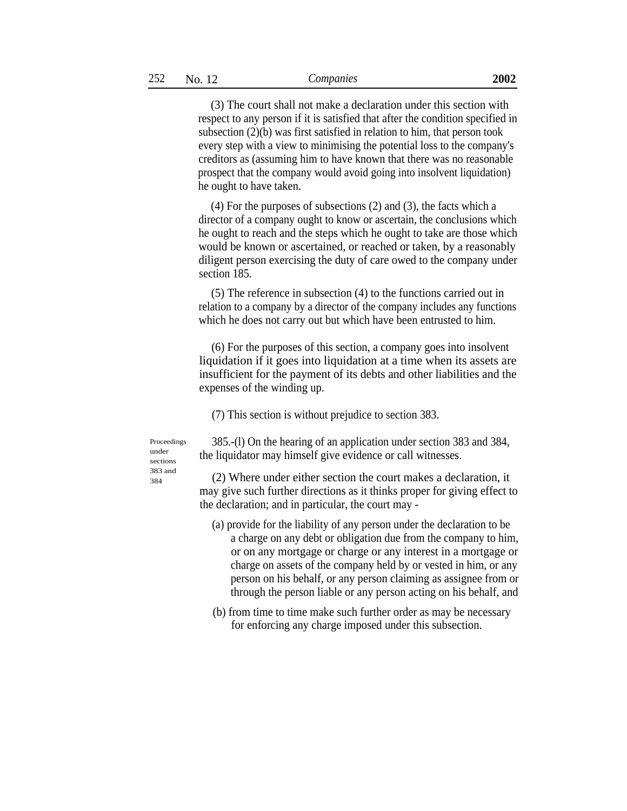(3) The court shall not make a declaration under this section with respect to any person if it is satisfied that after the condition specified in subsection (2)(b) was first satisfied in relation to him, that person took every step with a view to minimising the potential loss to the company's creditors as (assuming him to have known that there was no reasonable prospect that the company would avoid going into insolvent liquidation) he ought to have taken.

(4) For the purposes of subsections (2) and (3), the facts which a director of a company ought to know or ascertain, the conclusions which he ought to reach and the steps which he ought to take are those which would be known or ascertained, or reached or taken, by a reasonably diligent person exercising the duty of care owed to the company under section 185.

(5) The reference in subsection (4) to the functions carried out in relation to a company by a director of the company includes any functions which he does not carry out but which have been entrusted to him.

(6) For the purposes of this section, a company goes into insolvent liquidation if it goes into liquidation at a time when its assets are insufficient for the payment of its debts and other liabilities and the expenses of the winding up.

(7) This section is without prejudice to section 383.

Proceedings under sections 384

385.-(l) On the hearing of an application under section 383 and 384, the liquidator may himself give evidence or call witnesses.

 $\frac{383 \text{ and}}{384}$  (2) Where under either section the court makes a declaration, it may give such further directions as it thinks proper for giving effect to the declaration; and in particular, the court may -

- (a) provide for the liability of any person under the declaration to be a charge on any debt or obligation due from the company to him, or on any mortgage or charge or any interest in a mortgage or charge on assets of the company held by or vested in him, or any person on his behalf, or any person claiming as assignee from or through the person liable or any person acting on his behalf, and
- (b) from time to time make such further order as may be necessary for enforcing any charge imposed under this subsection.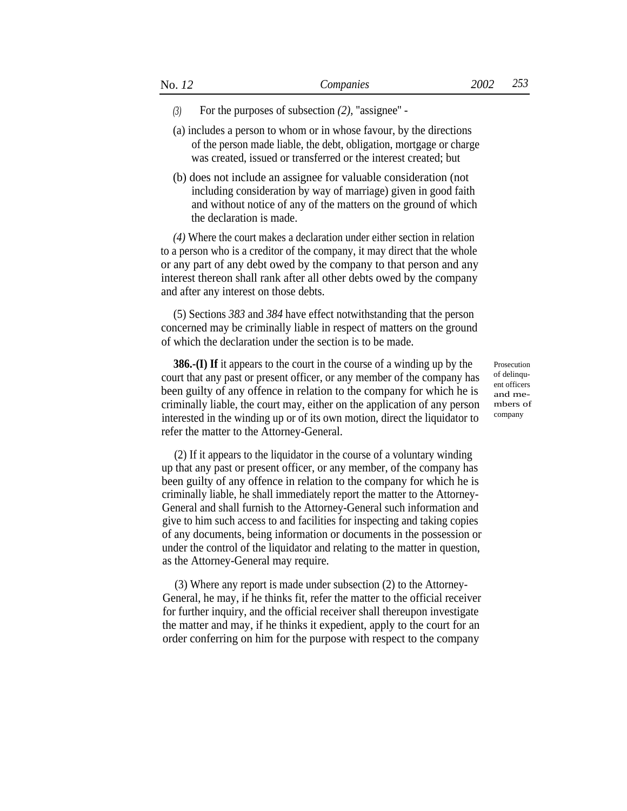- *(3)* For the purposes of subsection *(2),* ''assignee'' -
- (a) includes a person to whom or in whose favour, by the directions of the person made liable, the debt, obligation, mortgage or charge was created, issued or transferred or the interest created; but
- (b) does not include an assignee for valuable consideration (not including consideration by way of marriage) given in good faith and without notice of any of the matters on the ground of which the declaration is made.

*(4)* Where the court makes a declaration under either section in relation to a person who is a creditor of the company, it may direct that the whole or any part of any debt owed by the company to that person and any interest thereon shall rank after all other debts owed by the company and after any interest on those debts.

(5) Sections *383* and *384* have effect notwithstanding that the person concerned may be criminally liable in respect of matters on the ground of which the declaration under the section is to be made.

**386.-(I) If** it appears to the court in the course of a winding up by the court that any past or present officer, or any member of the company has been guilty of any offence in relation to the company for which he is criminally liable, the court may, either on the application of any person interested in the winding up or of its own motion, direct the liquidator to refer the matter to the Attorney-General.

(2) If it appears to the liquidator in the course of a voluntary winding up that any past or present officer, or any member, of the company has been guilty of any offence in relation to the company for which he is criminally liable, he shall immediately report the matter to the Attorney-General and shall furnish to the Attorney-General such information and give to him such access to and facilities for inspecting and taking copies of any documents, being information or documents in the possession or under the control of the liquidator and relating to the matter in question, as the Attorney-General may require.

(3) Where any report is made under subsection (2) to the Attorney-General, he may, if he thinks fit, refer the matter to the official receiver for further inquiry, and the official receiver shall thereupon investigate the matter and may, if he thinks it expedient, apply to the court for an order conferring on him for the purpose with respect to the company

Prosecution of delinquent officers and members of company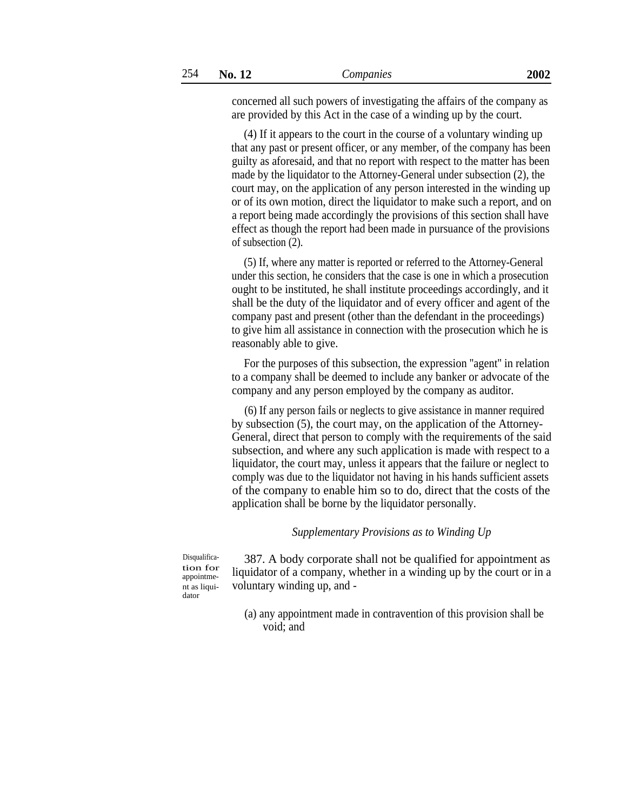concerned all such powers of investigating the affairs of the company as are provided by this Act in the case of a winding up by the court.

(4) If it appears to the court in the course of a voluntary winding up that any past or present officer, or any member, of the company has been guilty as aforesaid, and that no report with respect to the matter has been made by the liquidator to the Attorney-General under subsection (2), the court may, on the application of any person interested in the winding up or of its own motion, direct the liquidator to make such a report, and on a report being made accordingly the provisions of this section shall have effect as though the report had been made in pursuance of the provisions of subsection (2).

(5) If, where any matter is reported or referred to the Attorney-General under this section, he considers that the case is one in which a prosecution ought to be instituted, he shall institute proceedings accordingly, and it shall be the duty of the liquidator and of every officer and agent of the company past and present (other than the defendant in the proceedings) to give him all assistance in connection with the prosecution which he is reasonably able to give.

For the purposes of this subsection, the expression ''agent'' in relation to a company shall be deemed to include any banker or advocate of the company and any person employed by the company as auditor.

(6) If any person fails or neglects to give assistance in manner required by subsection (5), the court may, on the application of the Attorney-General, direct that person to comply with the requirements of the said subsection, and where any such application is made with respect to a liquidator, the court may, unless it appears that the failure or neglect to comply was due to the liquidator not having in his hands sufficient assets of the company to enable him so to do, direct that the costs of the application shall be borne by the liquidator personally.

## *Supplementary Provisions as to Winding Up*

Disqualification for appointment as liquidator

387. A body corporate shall not be qualified for appointment as liquidator of a company, whether in a winding up by the court or in a voluntary winding up, and -

(a) any appointment made in contravention of this provision shall be void; and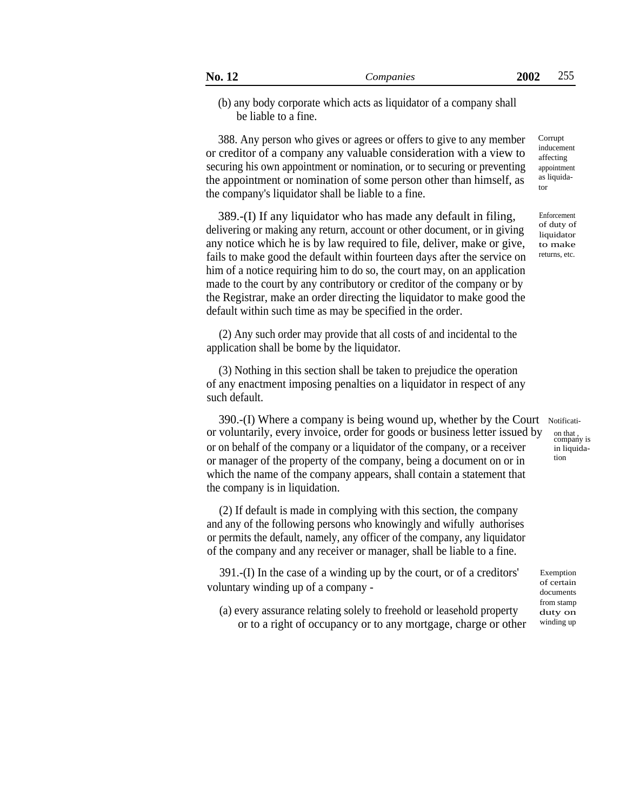(b) any body corporate which acts as liquidator of a company shall be liable to a fine.

388. Any person who gives or agrees or offers to give to any member or creditor of a company any valuable consideration with a view to securing his own appointment or nomination, or to securing or preventing the appointment or nomination of some person other than himself, as the company's liquidator shall be liable to a fine.

389.-(I) If any liquidator who has made any default in filing, delivering or making any return, account or other document, or in giving any notice which he is by law required to file, deliver, make or give, fails to make good the default within fourteen days after the service on him of a notice requiring him to do so, the court may, on an application made to the court by any contributory or creditor of the company or by the Registrar, make an order directing the liquidator to make good the default within such time as may be specified in the order.

(2) Any such order may provide that all costs of and incidental to the application shall be bome by the liquidator.

(3) Nothing in this section shall be taken to prejudice the operation of any enactment imposing penalties on a liquidator in respect of any such default.

 $390$ .-(I) Where a company is being wound up, whether by the Court Notificatior voluntarily, every invoice, order for goods or business letter issued by or on behalf of the company or a liquidator of the company, or a receiver or manager of the property of the company, being a document on or in which the name of the company appears, shall contain a statement that the company is in liquidation.

(2) If default is made in complying with this section, the company and any of the following persons who knowingly and wifully authorises or permits the default, namely, any officer of the company, any liquidator of the company and any receiver or manager, shall be liable to a fine.

391.-(I) In the case of a winding up by the court, or of a creditors' voluntary winding up of a company -

(a) every assurance relating solely to freehold or leasehold property or to a right of occupancy or to any mortgage, charge or other Corrupt inducement affecting appointment as liquidator

Enforcement of duty of liquidator to make returns, etc.

> company is in liquidation

Exemption of certain documents from stamp duty on winding up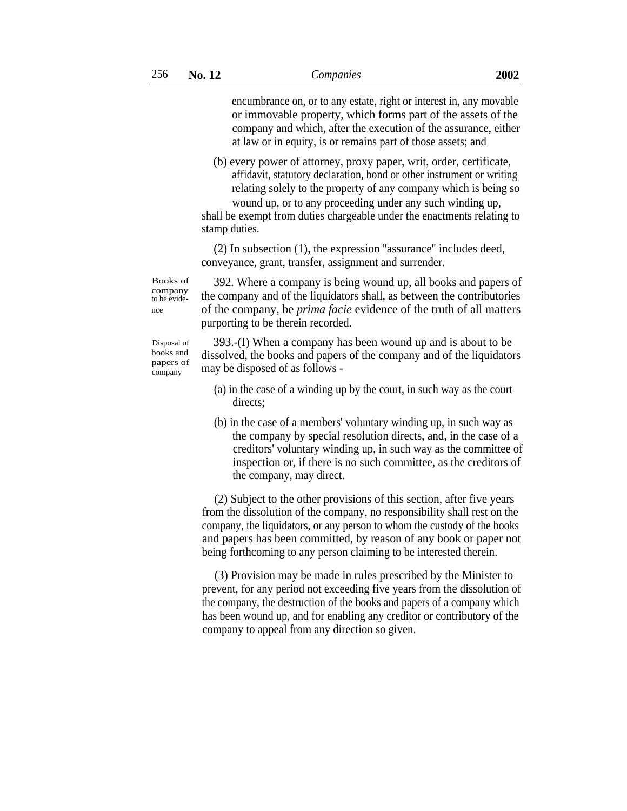encumbrance on, or to any estate, right or interest in, any movable or immovable property, which forms part of the assets of the company and which, after the execution of the assurance, either at law or in equity, is or remains part of those assets; and

(b) every power of attorney, proxy paper, writ, order, certificate, affidavit, statutory declaration, bond or other instrument or writing relating solely to the property of any company which is being so wound up, or to any proceeding under any such winding up,

shall be exempt from duties chargeable under the enactments relating to stamp duties.

(2) In subsection (1), the expression ''assurance'' includes deed, conveyance, grant, transfer, assignment and surrender.

Books of company to be evidence

392. Where a company is being wound up, all books and papers of the company and of the liquidators shall, as between the contributories of the company, be *prima facie* evidence of the truth of all matters purporting to be therein recorded.

Disposal of books and papers of company

393.-(I) When a company has been wound up and is about to be dissolved, the books and papers of the company and of the liquidators may be disposed of as follows -

- (a) in the case of a winding up by the court, in such way as the court directs;
- (b) in the case of a members' voluntary winding up, in such way as the company by special resolution directs, and, in the case of a creditors' voluntary winding up, in such way as the committee of inspection or, if there is no such committee, as the creditors of the company, may direct.

(2) Subject to the other provisions of this section, after five years from the dissolution of the company, no responsibility shall rest on the company, the liquidators, or any person to whom the custody of the books and papers has been committed, by reason of any book or paper not being forthcoming to any person claiming to be interested therein.

(3) Provision may be made in rules prescribed by the Minister to prevent, for any period not exceeding five years from the dissolution of the company, the destruction of the books and papers of a company which has been wound up, and for enabling any creditor or contributory of the company to appeal from any direction so given.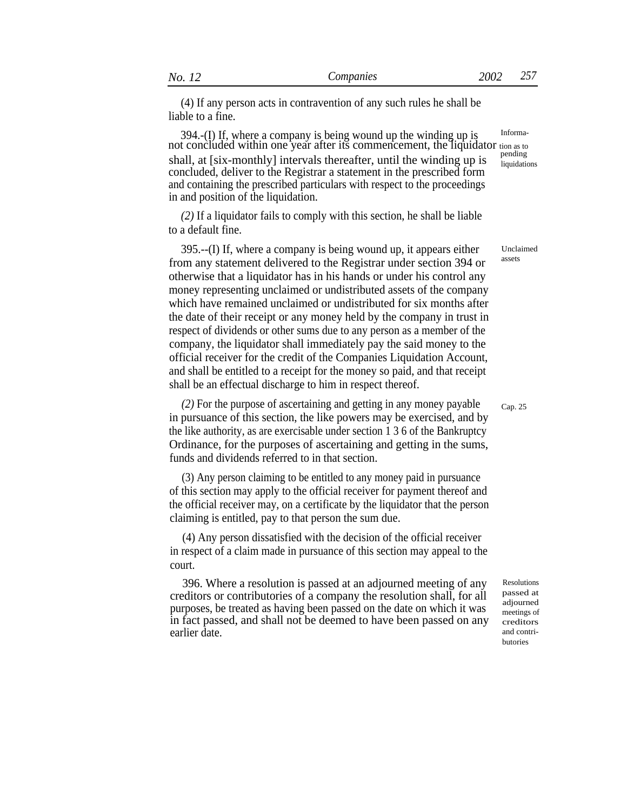(4) If any person acts in contravention of any such rules he shall be liable to a fine.

 $394.-(I)$  If, where a company is being wound up the winding up is  $\frac{In forma}{\frac{I}{I}}$ not concluded within one year after its commencement, the liquidator tion as to shall, at [six-monthly] intervals thereafter, until the winding up is concluded, deliver to the Registrar a statement in the prescribed form and containing the prescribed particulars with respect to the proceedings in and position of the liquidation. liquidations

*(2)* If a liquidator fails to comply with this section, he shall be liable to a default fine.

395.--(I) If, where a company is being wound up, it appears either from any statement delivered to the Registrar under section 394 or otherwise that a liquidator has in his hands or under his control any money representing unclaimed or undistributed assets of the company which have remained unclaimed or undistributed for six months after the date of their receipt or any money held by the company in trust in respect of dividends or other sums due to any person as a member of the company, the liquidator shall immediately pay the said money to the official receiver for the credit of the Companies Liquidation Account, and shall be entitled to a receipt for the money so paid, and that receipt shall be an effectual discharge to him in respect thereof.

*(2)* For the purpose of ascertaining and getting in any money payable in pursuance of this section, the like powers may be exercised, and by the like authority, as are exercisable under section 1 3 6 of the Bankruptcy Ordinance, for the purposes of ascertaining and getting in the sums, funds and dividends referred to in that section.

(3) Any person claiming to be entitled to any money paid in pursuance of this section may apply to the official receiver for payment thereof and the official receiver may, on a certificate by the liquidator that the person claiming is entitled, pay to that person the sum due.

(4) Any person dissatisfied with the decision of the official receiver in respect of a claim made in pursuance of this section may appeal to the court.

396. Where a resolution is passed at an adjourned meeting of any creditors or contributories of a company the resolution shall, for all purposes, be treated as having been passed on the date on which it was in fact passed, and shall not be deemed to have been passed on any earlier date.

Resolutions passed at adjourned meetings of creditors and contributories

Unclaimed assets

Cap. 25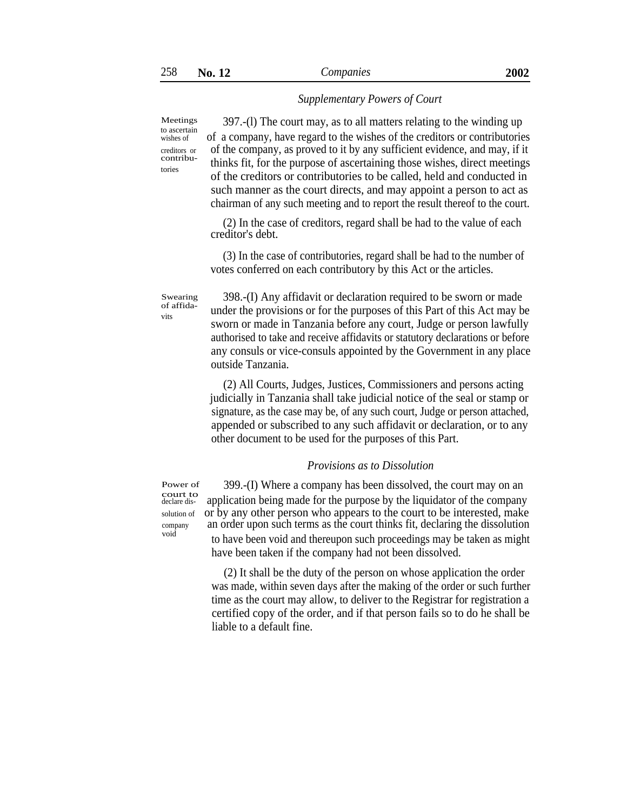## *Supplementary Powers of Court*

to ascertain tories

Meetings 397.-(l) The court may, as to all matters relating to the winding up of a company, have regard to the wishes of the creditors or contributories creditors or of the company, as proved to it by any sufficient evidence, and may, if it thinks fit, for the purpose of ascertaining those wishes, direct meetings of the creditors or contributories to be called, held and conducted in such manner as the court directs, and may appoint a person to act as chairman of any such meeting and to report the result thereof to the court.

> (2) In the case of creditors, regard shall be had to the value of each creditor's debt.

> (3) In the case of contributories, regard shall be had to the number of votes conferred on each contributory by this Act or the articles.

Swearing of affidavits

398.-(I) Any affidavit or declaration required to be sworn or made under the provisions or for the purposes of this Part of this Act may be sworn or made in Tanzania before any court, Judge or person lawfully authorised to take and receive affidavits or statutory declarations or before any consuls or vice-consuls appointed by the Government in any place outside Tanzania.

(2) All Courts, Judges, Justices, Commissioners and persons acting judicially in Tanzania shall take judicial notice of the seal or stamp or signature, as the case may be, of any such court, Judge or person attached, appended or subscribed to any such affidavit or declaration, or to any other document to be used for the purposes of this Part.

## *Provisions as to Dissolution*

court to<br>declare dis-

Power of 399.-(I) Where a company has been dissolved, the court may on an application being made for the purpose by the liquidator of the company solution of or by any other person who appears to the court to be interested, make company an order upon such terms as the court thinks fit, declaring the dissolution to have been void and thereupon such proceedings may be taken as might have been taken if the company had not been dissolved.

> (2) It shall be the duty of the person on whose application the order was made, within seven days after the making of the order or such further time as the court may allow, to deliver to the Registrar for registration a certified copy of the order, and if that person fails so to do he shall be liable to a default fine.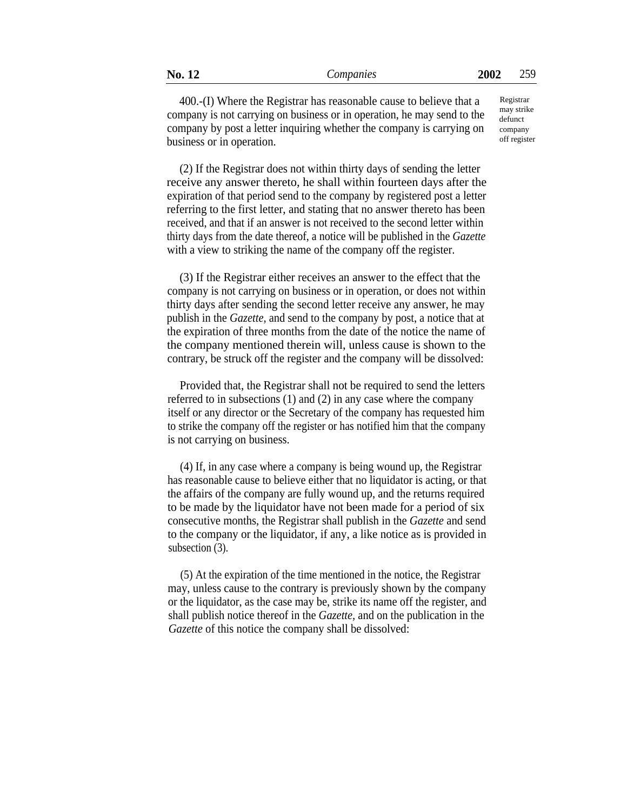Registrar may strike defunct company off register

(2) If the Registrar does not within thirty days of sending the letter receive any answer thereto, he shall within fourteen days after the expiration of that period send to the company by registered post a letter referring to the first letter, and stating that no answer thereto has been received, and that if an answer is not received to the second letter within thirty days from the date thereof, a notice will be published in the *Gazette* with a view to striking the name of the company off the register.

(3) If the Registrar either receives an answer to the effect that the company is not carrying on business or in operation, or does not within thirty days after sending the second letter receive any answer, he may publish in the *Gazette,* and send to the company by post, a notice that at the expiration of three months from the date of the notice the name of the company mentioned therein will, unless cause is shown to the contrary, be struck off the register and the company will be dissolved:

Provided that, the Registrar shall not be required to send the letters referred to in subsections (1) and (2) in any case where the company itself or any director or the Secretary of the company has requested him to strike the company off the register or has notified him that the company is not carrying on business.

(4) If, in any case where a company is being wound up, the Registrar has reasonable cause to believe either that no liquidator is acting, or that the affairs of the company are fully wound up, and the returns required to be made by the liquidator have not been made for a period of six consecutive months, the Registrar shall publish in the *Gazette* and send to the company or the liquidator, if any, a like notice as is provided in subsection (3).

(5) At the expiration of the time mentioned in the notice, the Registrar may, unless cause to the contrary is previously shown by the company or the liquidator, as the case may be, strike its name off the register, and shall publish notice thereof in the *Gazette,* and on the publication in the *Gazette* of this notice the company shall be dissolved: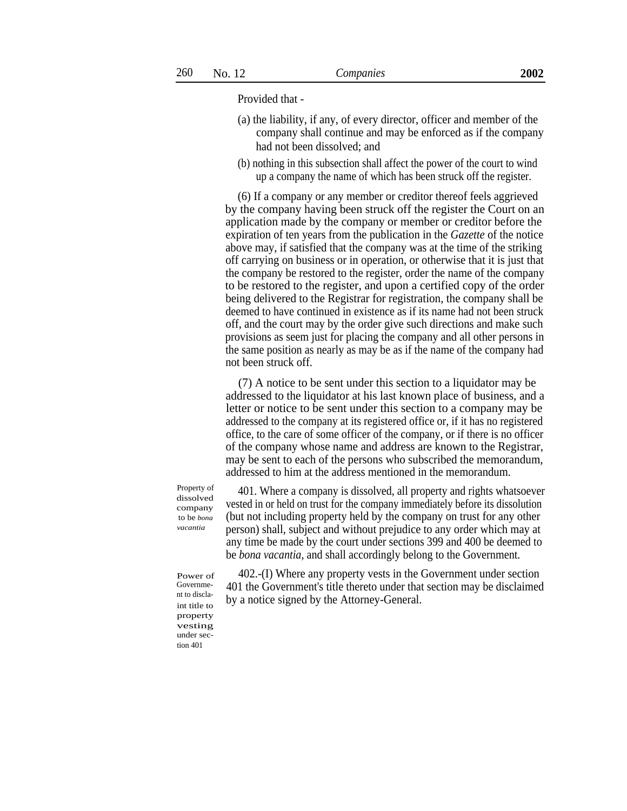Provided that -

- (a) the liability, if any, of every director, officer and member of the company shall continue and may be enforced as if the company had not been dissolved; and
- (b) nothing in this subsection shall affect the power of the court to wind up a company the name of which has been struck off the register.

(6) If a company or any member or creditor thereof feels aggrieved by the company having been struck off the register the Court on an application made by the company or member or creditor before the expiration of ten years from the publication in the *Gazette* of the notice above may, if satisfied that the company was at the time of the striking off carrying on business or in operation, or otherwise that it is just that the company be restored to the register, order the name of the company to be restored to the register, and upon a certified copy of the order being delivered to the Registrar for registration, the company shall be deemed to have continued in existence as if its name had not been struck off, and the court may by the order give such directions and make such provisions as seem just for placing the company and all other persons in the same position as nearly as may be as if the name of the company had not been struck off.

(7) A notice to be sent under this section to a liquidator may be addressed to the liquidator at his last known place of business, and a letter or notice to be sent under this section to a company may be addressed to the company at its registered office or, if it has no registered office, to the care of some officer of the company, or if there is no officer of the company whose name and address are known to the Registrar, may be sent to each of the persons who subscribed the memorandum, addressed to him at the address mentioned in the memorandum.

dissolved company to be *bona vacantia*

Property of 401. Where a company is dissolved, all property and rights whatsoever vested in or held on trust for the company immediately before its dissolution (but not including property held by the company on trust for any other person) shall, subject and without prejudice to any order which may at any time be made by the court under sections 399 and 400 be deemed to be *bona vacantia,* and shall accordingly belong to the Government.

> 402.-(I) Where any property vests in the Government under section 401 the Government's title thereto under that section may be disclaimed by a notice signed by the Attorney-General.

Power of Government to disclaint title to property vesting under section 401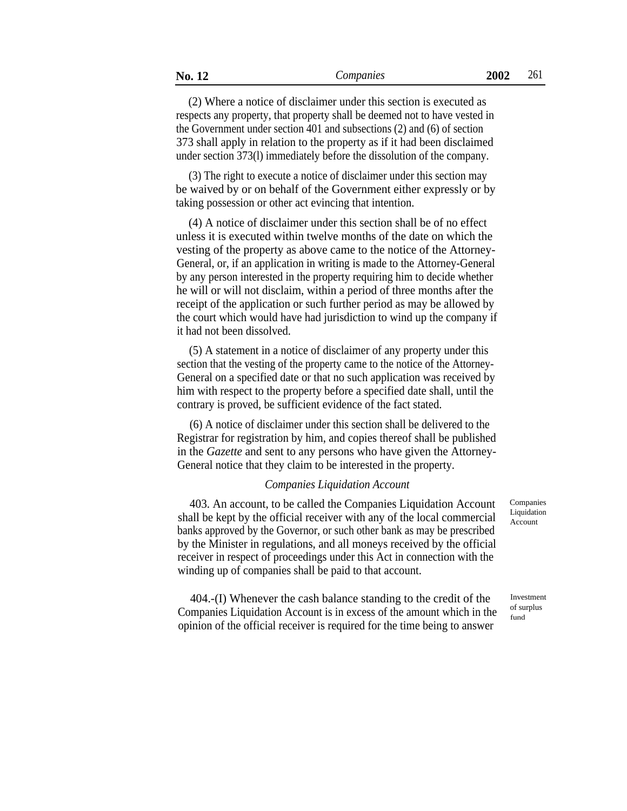(2) Where a notice of disclaimer under this section is executed as respects any property, that property shall be deemed not to have vested in the Government under section 401 and subsections (2) and (6) of section 373 shall apply in relation to the property as if it had been disclaimed under section 373(l) immediately before the dissolution of the company.

(3) The right to execute a notice of disclaimer under this section may be waived by or on behalf of the Government either expressly or by taking possession or other act evincing that intention.

(4) A notice of disclaimer under this section shall be of no effect unless it is executed within twelve months of the date on which the vesting of the property as above came to the notice of the Attorney-General, or, if an application in writing is made to the Attorney-General by any person interested in the property requiring him to decide whether he will or will not disclaim, within a period of three months after the receipt of the application or such further period as may be allowed by the court which would have had jurisdiction to wind up the company if it had not been dissolved.

(5) A statement in a notice of disclaimer of any property under this section that the vesting of the property came to the notice of the Attorney-General on a specified date or that no such application was received by him with respect to the property before a specified date shall, until the contrary is proved, be sufficient evidence of the fact stated.

(6) A notice of disclaimer under this section shall be delivered to the Registrar for registration by him, and copies thereof shall be published in the *Gazette* and sent to any persons who have given the Attorney-General notice that they claim to be interested in the property.

# *Companies Liquidation Account*

403. An account, to be called the Companies Liquidation Account shall be kept by the official receiver with any of the local commercial banks approved by the Governor, or such other bank as may be prescribed by the Minister in regulations, and all moneys received by the official receiver in respect of proceedings under this Act in connection with the winding up of companies shall be paid to that account.

404.-(I) Whenever the cash balance standing to the credit of the Companies Liquidation Account is in excess of the amount which in the opinion of the official receiver is required for the time being to answer

Companies Liquidation Account

Investment of surplus fund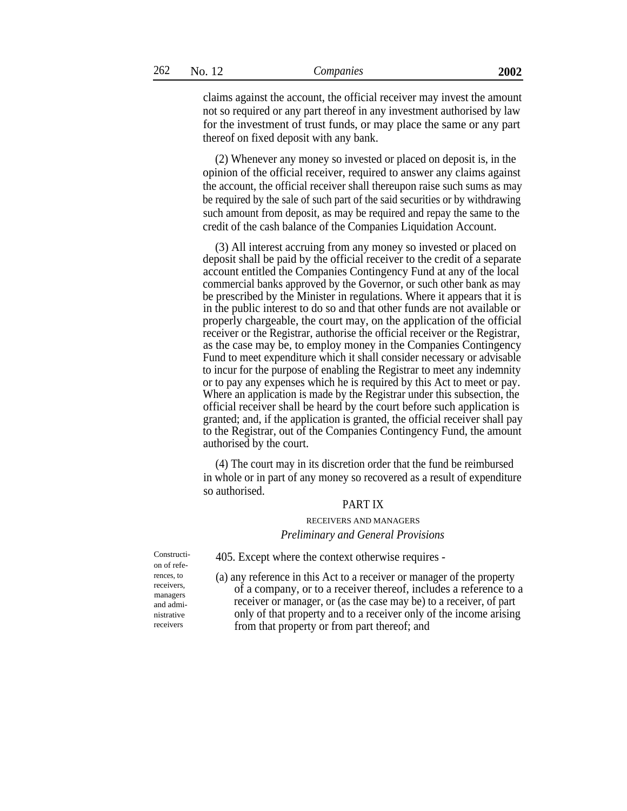claims against the account, the official receiver may invest the amount not so required or any part thereof in any investment authorised by law for the investment of trust funds, or may place the same or any part thereof on fixed deposit with any bank.

(2) Whenever any money so invested or placed on deposit is, in the opinion of the official receiver, required to answer any claims against the account, the official receiver shall thereupon raise such sums as may be required by the sale of such part of the said securities or by withdrawing such amount from deposit, as may be required and repay the same to the credit of the cash balance of the Companies Liquidation Account.

(3) All interest accruing from any money so invested or placed on deposit shall be paid by the official receiver to the credit of a separate account entitled the Companies Contingency Fund at any of the local commercial banks approved by the Governor, or such other bank as may be prescribed by the Minister in regulations. Where it appears that it is in the public interest to do so and that other funds are not available or properly chargeable, the court may, on the application of the official receiver or the Registrar, authorise the official receiver or the Registrar, as the case may be, to employ money in the Companies Contingency Fund to meet expenditure which it shall consider necessary or advisable to incur for the purpose of enabling the Registrar to meet any indemnity or to pay any expenses which he is required by this Act to meet or pay. Where an application is made by the Registrar under this subsection, the official receiver shall be heard by the court before such application is granted; and, if the application is granted, the official receiver shall pay to the Registrar, out of the Companies Contingency Fund, the amount authorised by the court.

(4) The court may in its discretion order that the fund be reimbursed in whole or in part of any money so recovered as a result of expenditure so authorised.

## PART IX

# RECEIVERS AND MANAGERS *Preliminary and General Provisions*

Constructi- 405. Except where the context otherwise requires on of refemanagers and administrative receivers

- rences, to (a) any reference in this Act to a receiver or manager of the property receivers.
	- of a company, or to a receiver thereof, includes a reference to a receiver or manager, or (as the case may be) to a receiver, of part only of that property and to a receiver only of the income arising from that property or from part thereof; and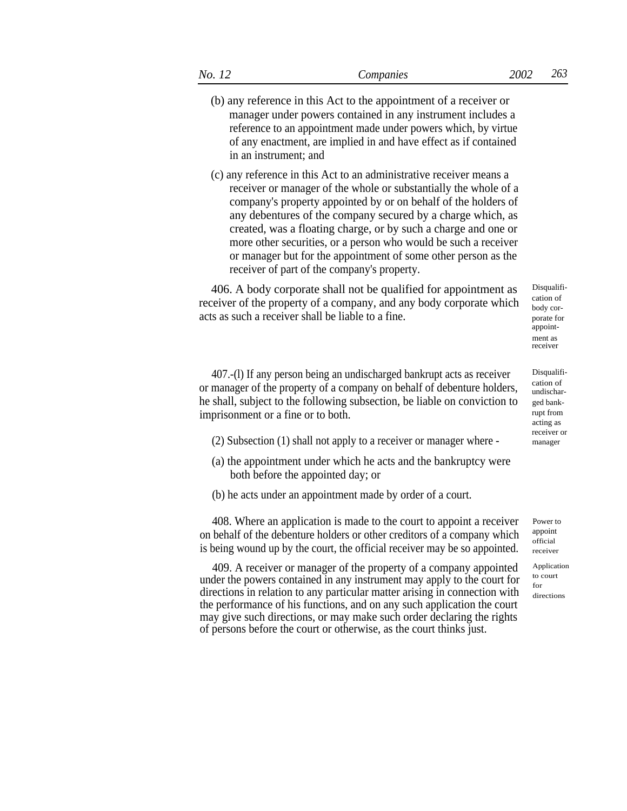- (b) any reference in this Act to the appointment of a receiver or manager under powers contained in any instrument includes a reference to an appointment made under powers which, by virtue of any enactment, are implied in and have effect as if contained in an instrument; and
- (c) any reference in this Act to an administrative receiver means a receiver or manager of the whole or substantially the whole of a company's property appointed by or on behalf of the holders of any debentures of the company secured by a charge which, as created, was a floating charge, or by such a charge and one or more other securities, or a person who would be such a receiver or manager but for the appointment of some other person as the receiver of part of the company's property.

406. A body corporate shall not be qualified for appointment as receiver of the property of a company, and any body corporate which acts as such a receiver shall be liable to a fine.

407.-(l) If any person being an undischarged bankrupt acts as receiver or manager of the property of a company on behalf of debenture holders, he shall, subject to the following subsection, be liable on conviction to imprisonment or a fine or to both.

- (2) Subsection (1) shall not apply to a receiver or manager where manager
- (a) the appointment under which he acts and the bankruptcy were both before the appointed day; or
- (b) he acts under an appointment made by order of a court.

408. Where an application is made to the court to appoint a receiver on behalf of the debenture holders or other creditors of a company which is being wound up by the court, the official receiver may be so appointed.

409. A receiver or manager of the property of a company appointed under the powers contained in any instrument may apply to the court for directions in relation to any particular matter arising in connection with the performance of his functions, and on any such application the court may give such directions, or may make such order declaring the rights of persons before the court or otherwise, as the court thinks just.

Disqualification of body corporate for appointment as receiver

Disqualification of undischarged bankrupt from acting as receiver or

Power to appoint official receiver

Application to court for directions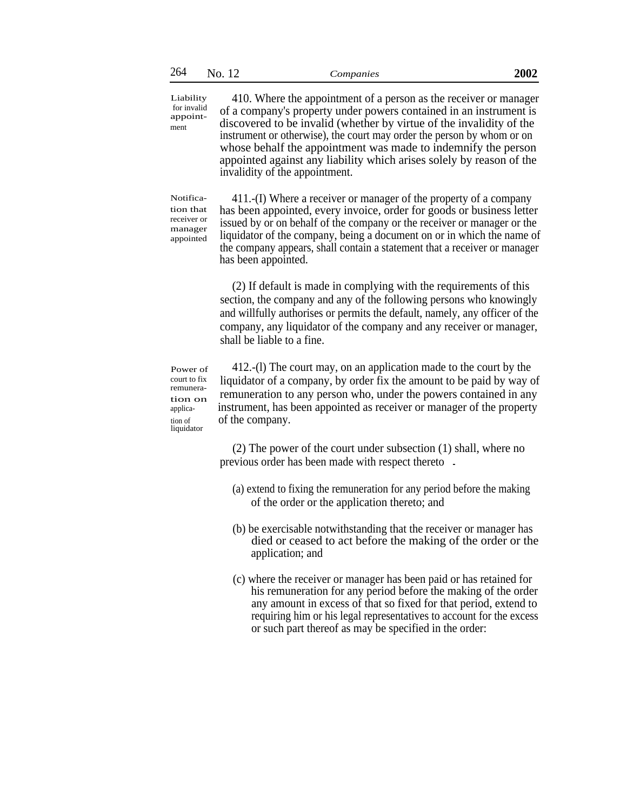| 264 | No. 12 | Companies | 2002 |
|-----|--------|-----------|------|
|     |        |           |      |

| Liability<br>for invalid<br>appoint-<br>ment                                          | 410. Where the appointment of a person as the receiver or manager<br>of a company's property under powers contained in an instrument is<br>discovered to be invalid (whether by virtue of the invalidity of the<br>instrument or otherwise), the court may order the person by whom or on<br>whose behalf the appointment was made to indemnify the person<br>appointed against any liability which arises solely by reason of the<br>invalidity of the appointment. |
|---------------------------------------------------------------------------------------|----------------------------------------------------------------------------------------------------------------------------------------------------------------------------------------------------------------------------------------------------------------------------------------------------------------------------------------------------------------------------------------------------------------------------------------------------------------------|
| Notifica-<br>tion that<br>receiver or<br>manager<br>appointed                         | 411.-(I) Where a receiver or manager of the property of a company<br>has been appointed, every invoice, order for goods or business letter<br>issued by or on behalf of the company or the receiver or manager or the<br>liquidator of the company, being a document on or in which the name of<br>the company appears, shall contain a statement that a receiver or manager<br>has been appointed.                                                                  |
|                                                                                       | (2) If default is made in complying with the requirements of this<br>section, the company and any of the following persons who knowingly<br>and willfully authorises or permits the default, namely, any officer of the<br>company, any liquidator of the company and any receiver or manager,<br>shall be liable to a fine.                                                                                                                                         |
| Power of<br>court to fix<br>remunera-<br>tion on<br>applica-<br>tion of<br>liquidator | 412.-(1) The court may, on an application made to the court by the<br>liquidator of a company, by order fix the amount to be paid by way of<br>remuneration to any person who, under the powers contained in any<br>instrument, has been appointed as receiver or manager of the property<br>of the company.                                                                                                                                                         |
|                                                                                       | (2) The power of the court under subsection (1) shall, where no<br>previous order has been made with respect thereto -                                                                                                                                                                                                                                                                                                                                               |
|                                                                                       | (a) extend to fixing the remuneration for any period before the making<br>of the order or the application thereto; and                                                                                                                                                                                                                                                                                                                                               |
|                                                                                       | (b) be exercisable notwithstanding that the receiver or manager has<br>died or ceased to act before the making of the order or the<br>application; and                                                                                                                                                                                                                                                                                                               |
|                                                                                       | (c) where the receiver or manager has been paid or has retained for<br>his remuneration for any period before the making of the order<br>any amount in excess of that so fixed for that period, extend to                                                                                                                                                                                                                                                            |

requiring him or his legal representatives to account for the excess

or such part thereof as may be specified in the order: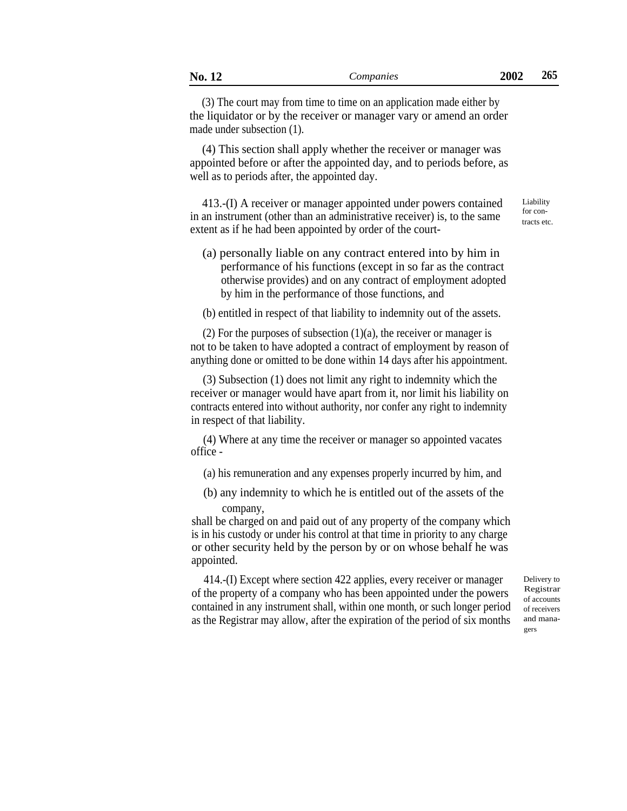(3) The court may from time to time on an application made either by the liquidator or by the receiver or manager vary or amend an order made under subsection (1).

(4) This section shall apply whether the receiver or manager was appointed before or after the appointed day, and to periods before, as well as to periods after, the appointed day.

413.-(I) A receiver or manager appointed under powers contained in an instrument (other than an administrative receiver) is, to the same extent as if he had been appointed by order of the court-

- Liability for contracts etc.
- (a) personally liable on any contract entered into by him in performance of his functions (except in so far as the contract otherwise provides) and on any contract of employment adopted by him in the performance of those functions, and

(b) entitled in respect of that liability to indemnity out of the assets.

(2) For the purposes of subsection  $(1)(a)$ , the receiver or manager is not to be taken to have adopted a contract of employment by reason of anything done or omitted to be done within 14 days after his appointment.

(3) Subsection (1) does not limit any right to indemnity which the receiver or manager would have apart from it, nor limit his liability on contracts entered into without authority, nor confer any right to indemnity in respect of that liability.

(4) Where at any time the receiver or manager so appointed vacates office -

- (a) his remuneration and any expenses properly incurred by him, and
- (b) any indemnity to which he is entitled out of the assets of the company,

shall be charged on and paid out of any property of the company which is in his custody or under his control at that time in priority to any charge or other security held by the person by or on whose behalf he was appointed.

414.-(I) Except where section 422 applies, every receiver or manager of the property of a company who has been appointed under the powers contained in any instrument shall, within one month, or such longer period as the Registrar may allow, after the expiration of the period of six months Delivery to Registrar of accounts of receivers and managers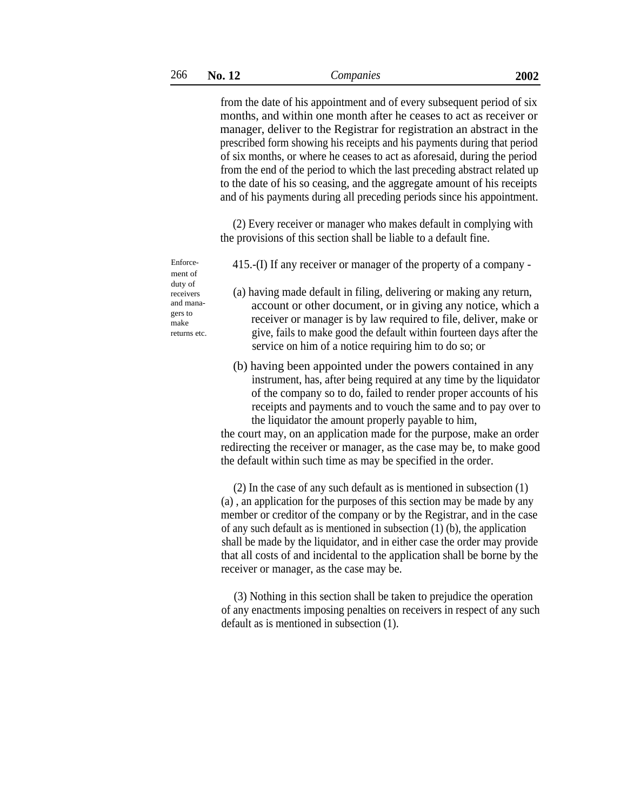from the date of his appointment and of every subsequent period of six months, and within one month after he ceases to act as receiver or manager, deliver to the Registrar for registration an abstract in the prescribed form showing his receipts and his payments during that period of six months, or where he ceases to act as aforesaid, during the period from the end of the period to which the last preceding abstract related up to the date of his so ceasing, and the aggregate amount of his receipts and of his payments during all preceding periods since his appointment.

(2) Every receiver or manager who makes default in complying with the provisions of this section shall be liable to a default fine.

415.-(I) If any receiver or manager of the property of a company - Enforcement of duty of and managers to make returns etc.

receivers (a) having made default in filing, delivering or making any return, account or other document, or in giving any notice, which a receiver or manager is by law required to file, deliver, make or give, fails to make good the default within fourteen days after the service on him of a notice requiring him to do so; or

> (b) having been appointed under the powers contained in any instrument, has, after being required at any time by the liquidator of the company so to do, failed to render proper accounts of his receipts and payments and to vouch the same and to pay over to the liquidator the amount properly payable to him,

the court may, on an application made for the purpose, make an order redirecting the receiver or manager, as the case may be, to make good the default within such time as may be specified in the order.

(2) In the case of any such default as is mentioned in subsection (1) (a) , an application for the purposes of this section may be made by any member or creditor of the company or by the Registrar, and in the case of any such default as is mentioned in subsection (1) (b), the application shall be made by the liquidator, and in either case the order may provide that all costs of and incidental to the application shall be borne by the receiver or manager, as the case may be.

(3) Nothing in this section shall be taken to prejudice the operation of any enactments imposing penalties on receivers in respect of any such default as is mentioned in subsection (1).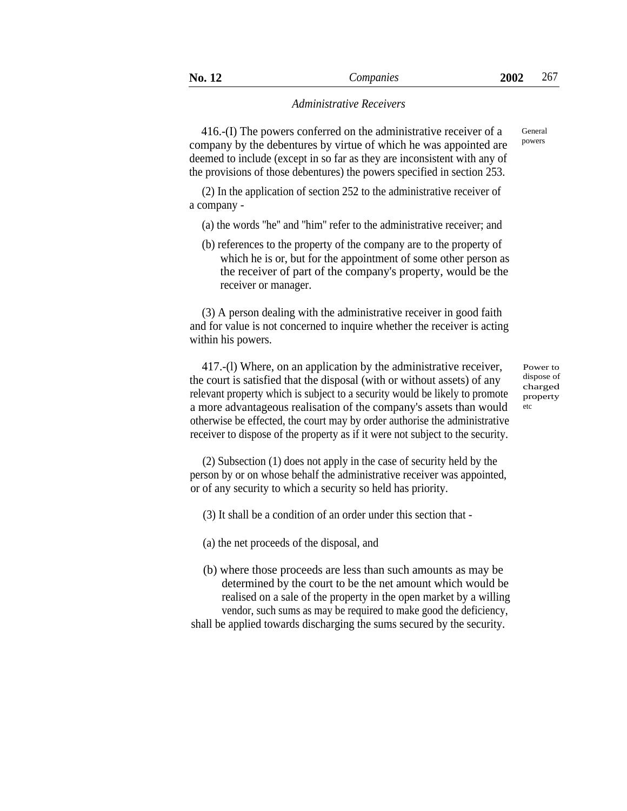416.-(I) The powers conferred on the administrative receiver of a company by the debentures by virtue of which he was appointed are deemed to include (except in so far as they are inconsistent with any of the provisions of those debentures) the powers specified in section 253. General powers

(2) In the application of section 252 to the administrative receiver of a company -

- (a) the words ''he'' and ''him'' refer to the administrative receiver; and
- (b) references to the property of the company are to the property of which he is or, but for the appointment of some other person as the receiver of part of the company's property, would be the receiver or manager.

(3) A person dealing with the administrative receiver in good faith and for value is not concerned to inquire whether the receiver is acting within his powers.

417.-(l) Where, on an application by the administrative receiver, the court is satisfied that the disposal (with or without assets) of any relevant property which is subject to a security would be likely to promote a more advantageous realisation of the company's assets than would otherwise be effected, the court may by order authorise the administrative receiver to dispose of the property as if it were not subject to the security.

Power to dispose of charged property etc

(2) Subsection (1) does not apply in the case of security held by the person by or on whose behalf the administrative receiver was appointed, or of any security to which a security so held has priority.

(3) It shall be a condition of an order under this section that -

(a) the net proceeds of the disposal, and

(b) where those proceeds are less than such amounts as may be determined by the court to be the net amount which would be realised on a sale of the property in the open market by a willing vendor, such sums as may be required to make good the deficiency,

shall be applied towards discharging the sums secured by the security.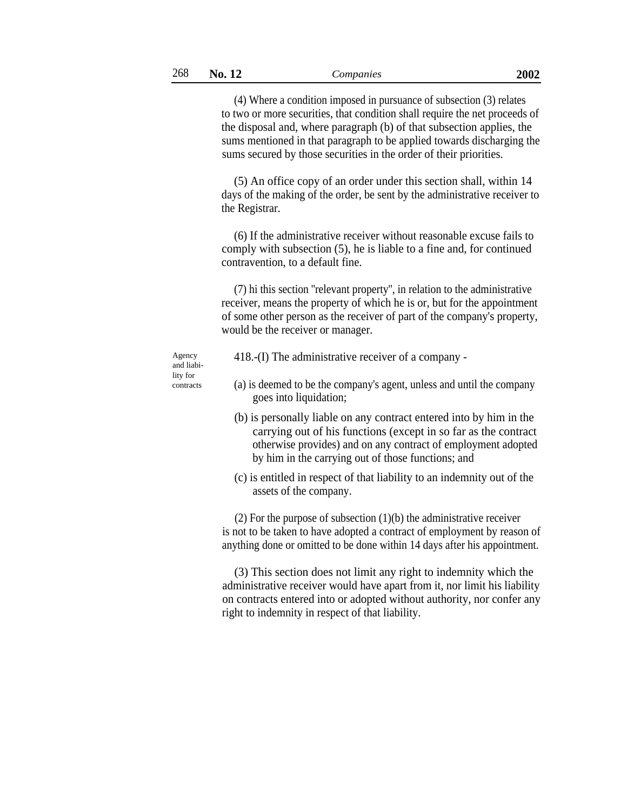(4) Where a condition imposed in pursuance of subsection (3) relates to two or more securities, that condition shall require the net proceeds of the disposal and, where paragraph (b) of that subsection applies, the sums mentioned in that paragraph to be applied towards discharging the sums secured by those securities in the order of their priorities.

(5) An office copy of an order under this section shall, within 14 days of the making of the order, be sent by the administrative receiver to the Registrar.

(6) If the administrative receiver without reasonable excuse fails to comply with subsection (5), he is liable to a fine and, for continued contravention, to a default fine.

(7) hi this section ''relevant property'', in relation to the administrative receiver, means the property of which he is or, but for the appointment of some other person as the receiver of part of the company's property, would be the receiver or manager.

and liability for contracts

- Agency 418.-(I) The administrative receiver of a company -
	- (a) is deemed to be the company's agent, unless and until the company goes into liquidation;
	- (b) is personally liable on any contract entered into by him in the carrying out of his functions (except in so far as the contract otherwise provides) and on any contract of employment adopted by him in the carrying out of those functions; and
	- (c) is entitled in respect of that liability to an indemnity out of the assets of the company.

(2) For the purpose of subsection  $(1)(b)$  the administrative receiver is not to be taken to have adopted a contract of employment by reason of anything done or omitted to be done within 14 days after his appointment.

(3) This section does not limit any right to indemnity which the administrative receiver would have apart from it, nor limit his liability on contracts entered into or adopted without authority, nor confer any right to indemnity in respect of that liability.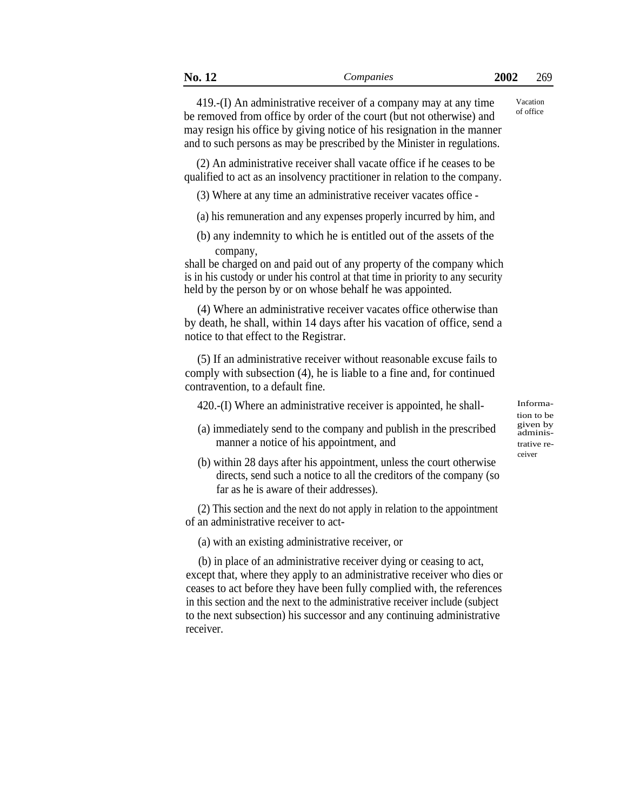419.-(I) An administrative receiver of a company may at any time be removed from office by order of the court (but not otherwise) and may resign his office by giving notice of his resignation in the manner and to such persons as may be prescribed by the Minister in regulations.

(2) An administrative receiver shall vacate office if he ceases to be qualified to act as an insolvency practitioner in relation to the company.

(3) Where at any time an administrative receiver vacates office -

- (a) his remuneration and any expenses properly incurred by him, and
- (b) any indemnity to which he is entitled out of the assets of the company,

shall be charged on and paid out of any property of the company which is in his custody or under his control at that time in priority to any security held by the person by or on whose behalf he was appointed.

(4) Where an administrative receiver vacates office otherwise than by death, he shall, within 14 days after his vacation of office, send a notice to that effect to the Registrar.

(5) If an administrative receiver without reasonable excuse fails to comply with subsection (4), he is liable to a fine and, for continued contravention, to a default fine.

420.-(I) Where an administrative receiver is appointed, he shall-<br>Informa-

- (a) immediately send to the company and publish in the prescribed manner a notice of his appointment, and
- (b) within 28 days after his appointment, unless the court otherwise directs, send such a notice to all the creditors of the company (so far as he is aware of their addresses).

(2) This section and the next do not apply in relation to the appointment of an administrative receiver to act-

(a) with an existing administrative receiver, or

(b) in place of an administrative receiver dying or ceasing to act, except that, where they apply to an administrative receiver who dies or ceases to act before they have been fully complied with, the references in this section and the next to the administrative receiver include (subject to the next subsection) his successor and any continuing administrative receiver.

Vacation of office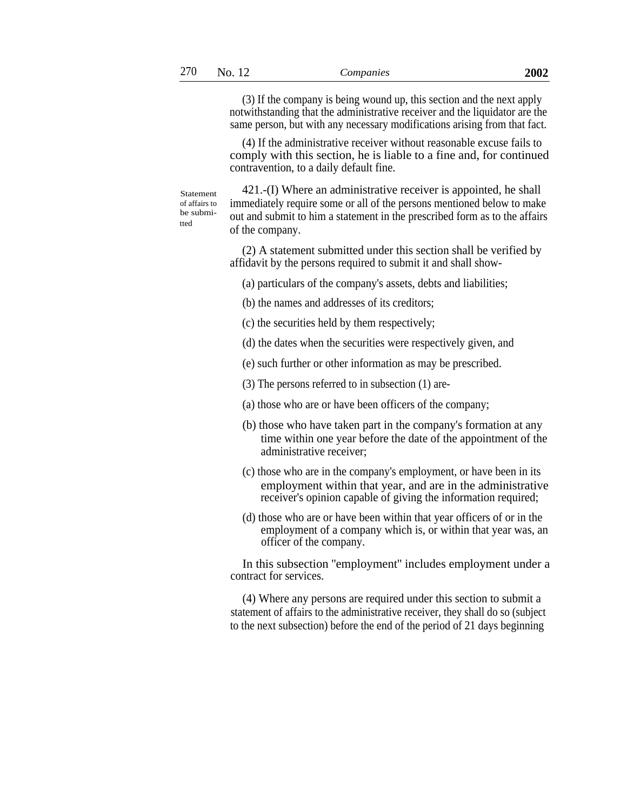(3) If the company is being wound up, this section and the next apply notwithstanding that the administrative receiver and the liquidator are the same person, but with any necessary modifications arising from that fact.

(4) If the administrative receiver without reasonable excuse fails to comply with this section, he is liable to a fine and, for continued contravention, to a daily default fine.

Statement of affairs to be submitted

421.-(I) Where an administrative receiver is appointed, he shall immediately require some or all of the persons mentioned below to make out and submit to him a statement in the prescribed form as to the affairs of the company.

(2) A statement submitted under this section shall be verified by affidavit by the persons required to submit it and shall show-

- (a) particulars of the company's assets, debts and liabilities;
- (b) the names and addresses of its creditors;
- (c) the securities held by them respectively;
- (d) the dates when the securities were respectively given, and
- (e) such further or other information as may be prescribed.
- (3) The persons referred to in subsection (1) are-
- (a) those who are or have been officers of the company;
- (b) those who have taken part in the company's formation at any time within one year before the date of the appointment of the administrative receiver;
- (c) those who are in the company's employment, or have been in its employment within that year, and are in the administrative receiver's opinion capable of giving the information required;
- (d) those who are or have been within that year officers of or in the employment of a company which is, or within that year was, an officer of the company.

In this subsection ''employment'' includes employment under a contract for services.

(4) Where any persons are required under this section to submit a statement of affairs to the administrative receiver, they shall do so (subject to the next subsection) before the end of the period of 21 days beginning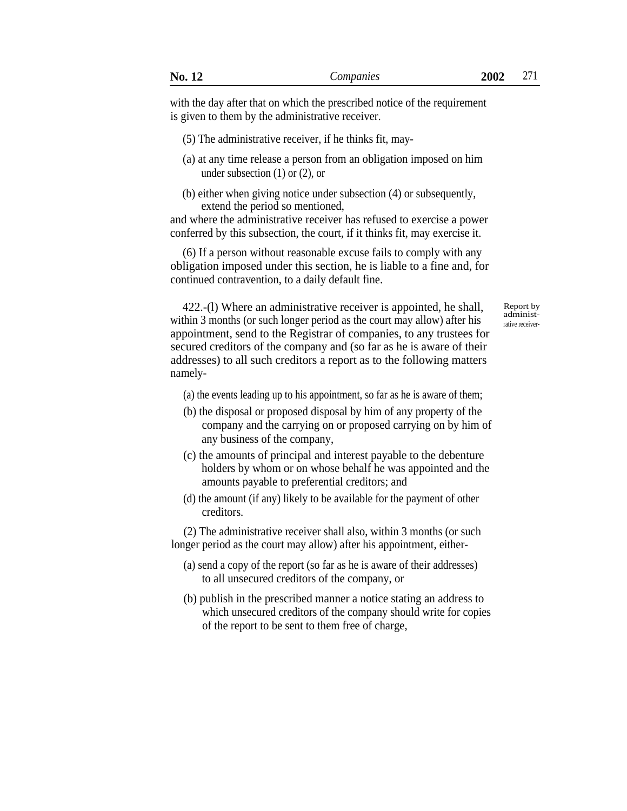with the day after that on which the prescribed notice of the requirement is given to them by the administrative receiver.

- (5) The administrative receiver, if he thinks fit, may-
- (a) at any time release a person from an obligation imposed on him under subsection (1) or (2), or
- (b) either when giving notice under subsection (4) or subsequently, extend the period so mentioned,

and where the administrative receiver has refused to exercise a power conferred by this subsection, the court, if it thinks fit, may exercise it.

(6) If a person without reasonable excuse fails to comply with any obligation imposed under this section, he is liable to a fine and, for continued contravention, to a daily default fine.

422.-(l) Where an administrative receiver is appointed, he shall, within 3 months (or such longer period as the court may allow) after his appointment, send to the Registrar of companies, to any trustees for secured creditors of the company and (so far as he is aware of their addresses) to all such creditors a report as to the following matters namelyReport by administrative receiver-

(a) the events leading up to his appointment, so far as he is aware of them;

- (b) the disposal or proposed disposal by him of any property of the company and the carrying on or proposed carrying on by him of any business of the company,
- (c) the amounts of principal and interest payable to the debenture holders by whom or on whose behalf he was appointed and the amounts payable to preferential creditors; and
- (d) the amount (if any) likely to be available for the payment of other creditors.

(2) The administrative receiver shall also, within 3 months (or such longer period as the court may allow) after his appointment, either-

- (a) send a copy of the report (so far as he is aware of their addresses) to all unsecured creditors of the company, or
- (b) publish in the prescribed manner a notice stating an address to which unsecured creditors of the company should write for copies of the report to be sent to them free of charge,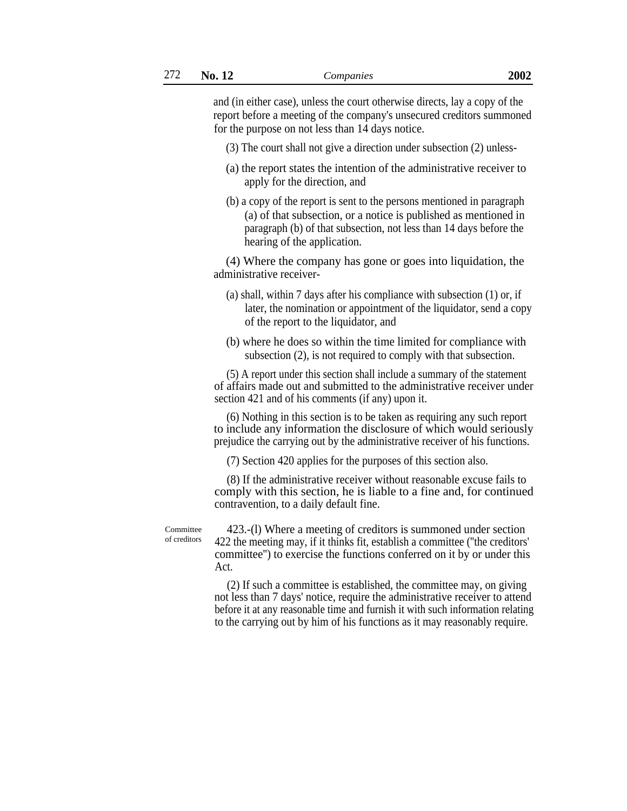and (in either case), unless the court otherwise directs, lay a copy of the report before a meeting of the company's unsecured creditors summoned for the purpose on not less than 14 days notice.

- (3) The court shall not give a direction under subsection (2) unless-
- (a) the report states the intention of the administrative receiver to apply for the direction, and
- (b) a copy of the report is sent to the persons mentioned in paragraph (a) of that subsection, or a notice is published as mentioned in paragraph (b) of that subsection, not less than 14 days before the hearing of the application.

(4) Where the company has gone or goes into liquidation, the administrative receiver-

- (a) shall, within 7 days after his compliance with subsection (1) or, if later, the nomination or appointment of the liquidator, send a copy of the report to the liquidator, and
- (b) where he does so within the time limited for compliance with subsection (2), is not required to comply with that subsection.

(5) A report under this section shall include a summary of the statement of affairs made out and submitted to the administrative receiver under section 421 and of his comments (if any) upon it.

(6) Nothing in this section is to be taken as requiring any such report to include any information the disclosure of which would seriously prejudice the carrying out by the administrative receiver of his functions.

(7) Section 420 applies for the purposes of this section also.

(8) If the administrative receiver without reasonable excuse fails to comply with this section, he is liable to a fine and, for continued contravention, to a daily default fine.

**Committee** of creditors

423.-(l) Where a meeting of creditors is summoned under section 422 the meeting may, if it thinks fit, establish a committee (''the creditors' committee'') to exercise the functions conferred on it by or under this Act.

(2) If such a committee is established, the committee may, on giving not less than 7 days' notice, require the administrative receiver to attend before it at any reasonable time and furnish it with such information relating to the carrying out by him of his functions as it may reasonably require.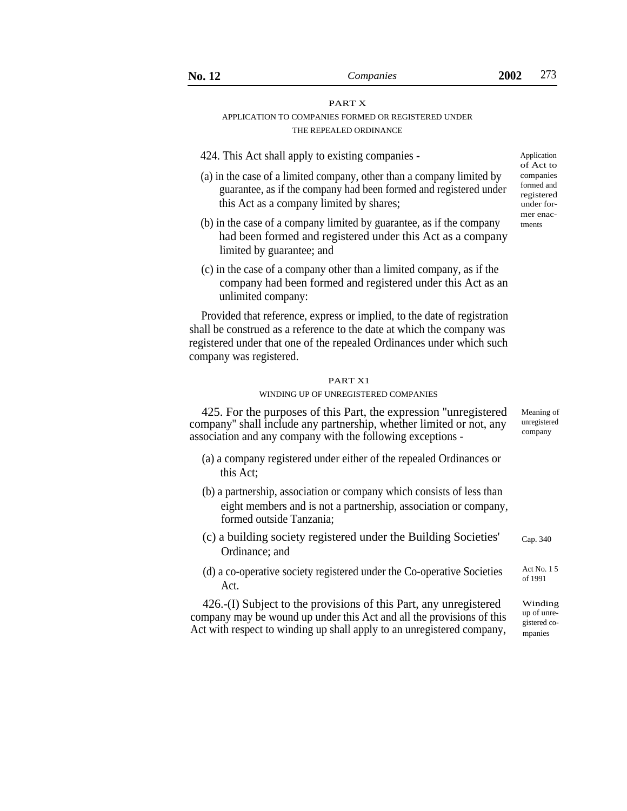#### PART X

## APPLICATION TO COMPANIES FORMED OR REGISTERED UNDER THE REPEALED ORDINANCE

#### 424. This Act shall apply to existing companies - Application

- (a) in the case of a limited company, other than a company limited by companies guarantee, as if the company had been formed and registered under this Act as a company limited by shares;
- $(b)$  in the case of a company limited by guarantee, as if the company  $t_{\text{ments}}$ had been formed and registered under this Act as a company limited by guarantee; and
- (c) in the case of a company other than a limited company, as if the company had been formed and registered under this Act as an unlimited company:

Provided that reference, express or implied, to the date of registration shall be construed as a reference to the date at which the company was registered under that one of the repealed Ordinances under which such company was registered.

## PART X1 WINDING UP OF UNREGISTERED COMPANIES

425. For the purposes of this Part, the expression ''unregistered company'' shall include any partnership, whether limited or not, any association and any company with the following exceptions - Meaning of unregistered company

- (a) a company registered under either of the repealed Ordinances or this Act;
- (b) a partnership, association or company which consists of less than eight members and is not a partnership, association or company, formed outside Tanzania;
- (c) a building society registered under the Building Societies' Ordinance; and Cap. 340
- (d) a co-operative society registered under the Co-operative Societies  $\frac{\text{Act No. 15}}{61991}$ of 1991<br>Act.

426.-(I) Subject to the provisions of this Part, any unregistered company may be wound up under this Act and all the provisions of this Act with respect to winding up shall apply to an unregistered company, Winding up of unregistered companies

of Act to registered under former enac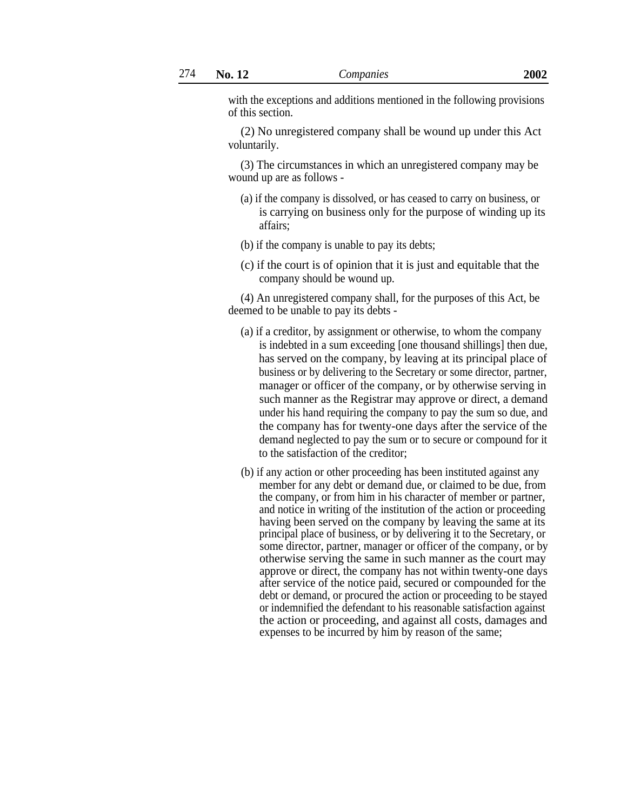with the exceptions and additions mentioned in the following provisions of this section.

(2) No unregistered company shall be wound up under this Act voluntarily.

(3) The circumstances in which an unregistered company may be wound up are as follows -

- (a) if the company is dissolved, or has ceased to carry on business, or is carrying on business only for the purpose of winding up its affairs;
- (b) if the company is unable to pay its debts;
- (c) if the court is of opinion that it is just and equitable that the company should be wound up.

(4) An unregistered company shall, for the purposes of this Act, be deemed to be unable to pay its debts -

- (a) if a creditor, by assignment or otherwise, to whom the company is indebted in a sum exceeding [one thousand shillings] then due, has served on the company, by leaving at its principal place of business or by delivering to the Secretary or some director, partner, manager or officer of the company, or by otherwise serving in such manner as the Registrar may approve or direct, a demand under his hand requiring the company to pay the sum so due, and the company has for twenty-one days after the service of the demand neglected to pay the sum or to secure or compound for it to the satisfaction of the creditor;
- (b) if any action or other proceeding has been instituted against any member for any debt or demand due, or claimed to be due, from the company, or from him in his character of member or partner, and notice in writing of the institution of the action or proceeding having been served on the company by leaving the same at its principal place of business, or by delivering it to the Secretary, or some director, partner, manager or officer of the company, or by otherwise serving the same in such manner as the court may approve or direct, the company has not within twenty-one days after service of the notice paid, secured or compounded for the debt or demand, or procured the action or proceeding to be stayed or indemnified the defendant to his reasonable satisfaction against the action or proceeding, and against all costs, damages and expenses to be incurred by him by reason of the same;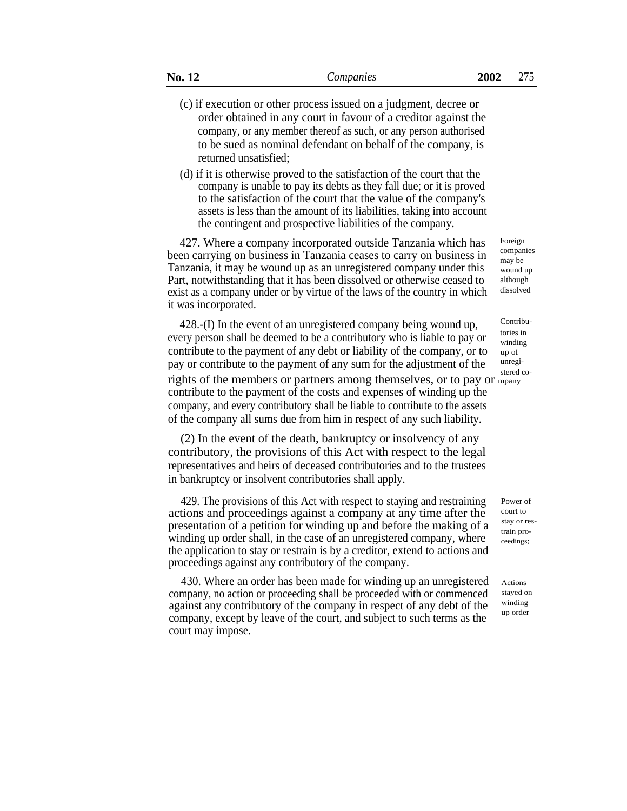- (c) if execution or other process issued on a judgment, decree or order obtained in any court in favour of a creditor against the company, or any member thereof as such, or any person authorised to be sued as nominal defendant on behalf of the company, is returned unsatisfied;
- (d) if it is otherwise proved to the satisfaction of the court that the company is unable to pay its debts as they fall due; or it is proved to the satisfaction of the court that the value of the company's assets is less than the amount of its liabilities, taking into account the contingent and prospective liabilities of the company.

427. Where a company incorporated outside Tanzania which has been carrying on business in Tanzania ceases to carry on business in Tanzania, it may be wound up as an unregistered company under this Part, notwithstanding that it has been dissolved or otherwise ceased to exist as a company under or by virtue of the laws of the country in which it was incorporated.

 $428-(I)$  In the event of an unregistered company being wound up,  $\frac{\text{Contribution}}{I}$ every person shall be deemed to be a contributory who is liable to pay or contribute to the payment of any debt or liability of the company, or to pay or contribute to the payment of any sum for the adjustment of the rights of the members or partners among themselves, or to pay or mpany contribute to the payment of the costs and expenses of winding up the company, and every contributory shall be liable to contribute to the assets of the company all sums due from him in respect of any such liability.

(2) In the event of the death, bankruptcy or insolvency of any contributory, the provisions of this Act with respect to the legal representatives and heirs of deceased contributories and to the trustees in bankruptcy or insolvent contributories shall apply.

429. The provisions of this Act with respect to staying and restraining actions and proceedings against a company at any time after the presentation of a petition for winding up and before the making of a winding up order shall, in the case of an unregistered company, where the application to stay or restrain is by a creditor, extend to actions and proceedings against any contributory of the company.

430. Where an order has been made for winding up an unregistered company, no action or proceeding shall be proceeded with or commenced against any contributory of the company in respect of any debt of the company, except by leave of the court, and subject to such terms as the court may impose.

Foreign companies may be wound up although dissolved

tories in winding up of unregistered co-

Power of court to stay or restrain proceedings;

Actions stayed on winding up order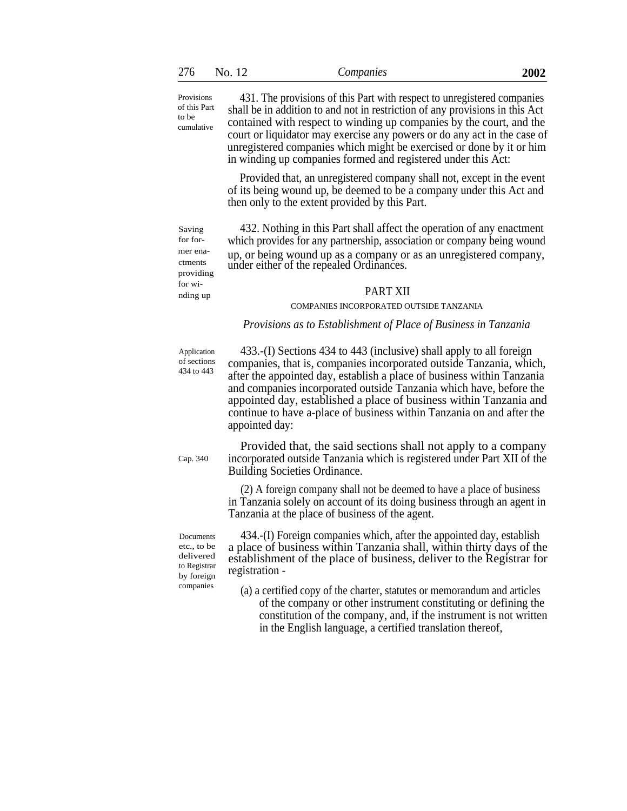| 276 | No. 12 | Companies | 2002 |
|-----|--------|-----------|------|
|     |        |           |      |

Provisions of this Part to be cumulative

Saving for for-

providing for wi-

431. The provisions of this Part with respect to unregistered companies shall be in addition to and not in restriction of any provisions in this Act contained with respect to winding up companies by the court, and the court or liquidator may exercise any powers or do any act in the case of unregistered companies which might be exercised or done by it or him in winding up companies formed and registered under this Act:

Provided that, an unregistered company shall not, except in the event of its being wound up, be deemed to be a company under this Act and then only to the extent provided by this Part.

432. Nothing in this Part shall affect the operation of any enactment which provides for any partnership, association or company being wound mer ena-<br>the original up as a company or as an unregistered company,<br>the wage of the graded Ordinance under either of the repealed Ordinances.

# nding up PART XII

## COMPANIES INCORPORATED OUTSIDE TANZANIA

### *Provisions as to Establishment of Place of Business in Tanzania*

Application of sections 434 to 443

Cap. 340

433.-(I) Sections 434 to 443 (inclusive) shall apply to all foreign companies, that is, companies incorporated outside Tanzania, which, after the appointed day, establish a place of business within Tanzania and companies incorporated outside Tanzania which have, before the appointed day, established a place of business within Tanzania and continue to have a-place of business within Tanzania on and after the appointed day:

Provided that, the said sections shall not apply to a company incorporated outside Tanzania which is registered under Part XII of the Building Societies Ordinance.

(2) A foreign company shall not be deemed to have a place of business in Tanzania solely on account of its doing business through an agent in Tanzania at the place of business of the agent.

Documents etc., to be delivered to Registrar by foreign

434.-(I) Foreign companies which, after the appointed day, establish a place of business within Tanzania shall, within thirty days of the establishment of the place of business, deliver to the Registrar for registration -

companies (a) a certified copy of the charter, statutes or memorandum and articles of the company or other instrument constituting or defining the constitution of the company, and, if the instrument is not written in the English language, a certified translation thereof,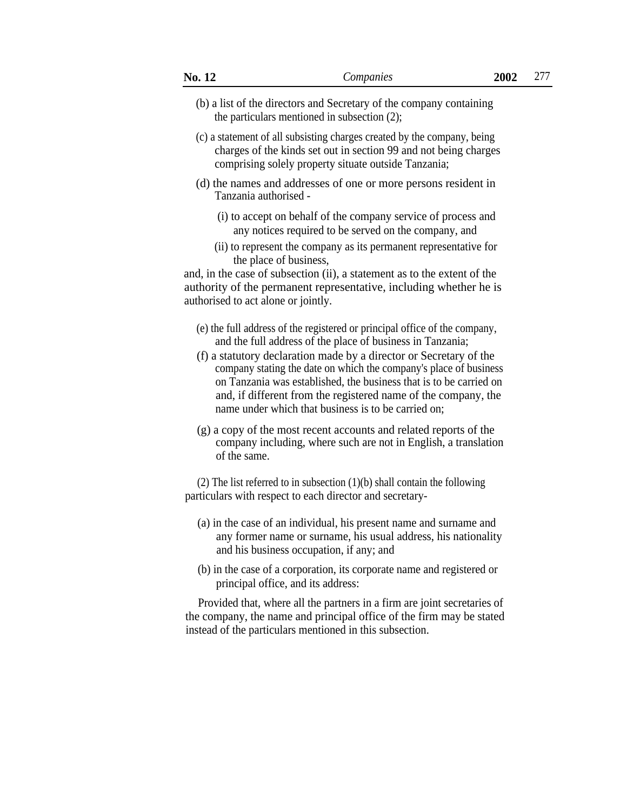- (b) a list of the directors and Secretary of the company containing the particulars mentioned in subsection (2);
- (c) a statement of all subsisting charges created by the company, being charges of the kinds set out in section 99 and not being charges comprising solely property situate outside Tanzania;
- (d) the names and addresses of one or more persons resident in Tanzania authorised -
	- (i) to accept on behalf of the company service of process and any notices required to be served on the company, and
	- (ii) to represent the company as its permanent representative for the place of business,

and, in the case of subsection (ii), a statement as to the extent of the authority of the permanent representative, including whether he is authorised to act alone or jointly.

- (e) the full address of the registered or principal office of the company, and the full address of the place of business in Tanzania;
- (f) a statutory declaration made by a director or Secretary of the company stating the date on which the company's place of business on Tanzania was established, the business that is to be carried on and, if different from the registered name of the company, the name under which that business is to be carried on;
- (g) a copy of the most recent accounts and related reports of the company including, where such are not in English, a translation of the same.

(2) The list referred to in subsection  $(1)(b)$  shall contain the following particulars with respect to each director and secretary-

- (a) in the case of an individual, his present name and surname and any former name or surname, his usual address, his nationality and his business occupation, if any; and
- (b) in the case of a corporation, its corporate name and registered or principal office, and its address:

Provided that, where all the partners in a firm are joint secretaries of the company, the name and principal office of the firm may be stated instead of the particulars mentioned in this subsection.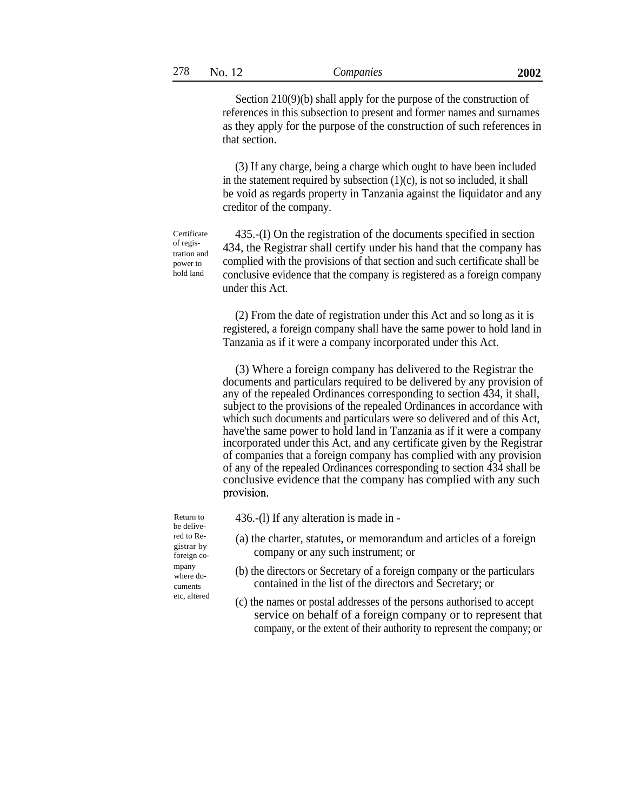Section 210(9)(b) shall apply for the purpose of the construction of references in this subsection to present and former names and surnames as they apply for the purpose of the construction of such references in that section.

(3) If any charge, being a charge which ought to have been included in the statement required by subsection  $(1)(c)$ , is not so included, it shall be void as regards property in Tanzania against the liquidator and any creditor of the company.

**Certificate** of registration and power to hold land

435.-(I) On the registration of the documents specified in section 434, the Registrar shall certify under his hand that the company has complied with the provisions of that section and such certificate shall be conclusive evidence that the company is registered as a foreign company under this Act.

(2) From the date of registration under this Act and so long as it is registered, a foreign company shall have the same power to hold land in Tanzania as if it were a company incorporated under this Act.

(3) Where a foreign company has delivered to the Registrar the documents and particulars required to be delivered by any provision of any of the repealed Ordinances corresponding to section 434, it shall, subject to the provisions of the repealed Ordinances in accordance with which such documents and particulars were so delivered and of this Act, have'the same power to hold land in Tanzania as if it were a company incorporated under this Act, and any certificate given by the Registrar of companies that a foreign company has complied with any provision of any of the repealed Ordinances corresponding to section 434 shall be conclusive evidence that the company has complied with any such provision.

be delive red to Registrar by foreign cowhere documents

- Return to 436.-(l) If any alteration is made in
	- (a) the charter, statutes, or memorandum and articles of a foreign company or any such instrument; or
- $\frac{mpany}{mpany}$  (b) the directors or Secretary of a foreign company or the particulars contained in the list of the directors and Secretary; or
- etc, altered (c) the names or postal addresses of the persons authorised to accept service on behalf of a foreign company or to represent that company, or the extent of their authority to represent the company; or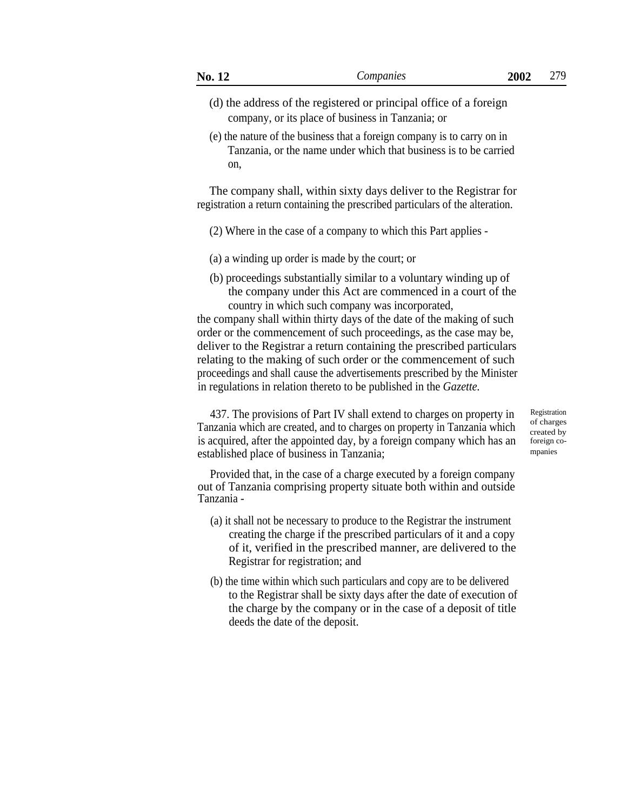- (d) the address of the registered or principal office of a foreign company, or its place of business in Tanzania; or
- (e) the nature of the business that a foreign company is to carry on in Tanzania, or the name under which that business is to be carried on,

The company shall, within sixty days deliver to the Registrar for registration a return containing the prescribed particulars of the alteration.

- (2) Where in the case of a company to which this Part applies -
- (a) a winding up order is made by the court; or
- (b) proceedings substantially similar to a voluntary winding up of the company under this Act are commenced in a court of the country in which such company was incorporated,

the company shall within thirty days of the date of the making of such order or the commencement of such proceedings, as the case may be, deliver to the Registrar a return containing the prescribed particulars relating to the making of such order or the commencement of such proceedings and shall cause the advertisements prescribed by the Minister in regulations in relation thereto to be published in the *Gazette.*

437. The provisions of Part IV shall extend to charges on property in Tanzania which are created, and to charges on property in Tanzania which is acquired, after the appointed day, by a foreign company which has an established place of business in Tanzania;

Registration of charges created by foreign companies

Provided that, in the case of a charge executed by a foreign company out of Tanzania comprising property situate both within and outside Tanzania -

- (a) it shall not be necessary to produce to the Registrar the instrument creating the charge if the prescribed particulars of it and a copy of it, verified in the prescribed manner, are delivered to the Registrar for registration; and
- (b) the time within which such particulars and copy are to be delivered to the Registrar shall be sixty days after the date of execution of the charge by the company or in the case of a deposit of title deeds the date of the deposit.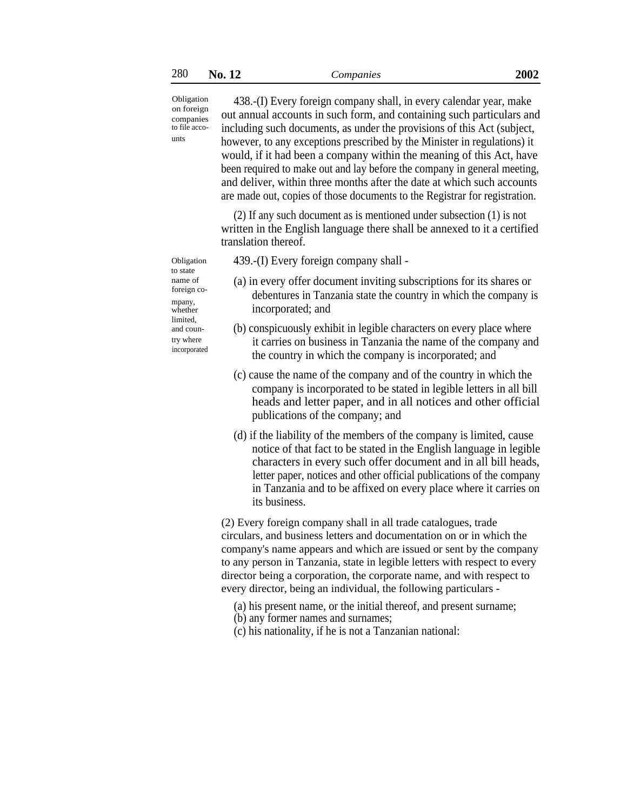| Obligation<br>on foreign<br>companies<br>to file acco-<br>unts | 438.-(I) Every foreign company shall, in every calendar year, make<br>out annual accounts in such form, and containing such particulars and<br>including such documents, as under the provisions of this Act (subject,<br>however, to any exceptions prescribed by the Minister in regulations) it<br>would, if it had been a company within the meaning of this Act, have<br>been required to make out and lay before the company in general meeting,<br>and deliver, within three months after the date at which such accounts<br>are made out, copies of those documents to the Registrar for registration. |
|----------------------------------------------------------------|----------------------------------------------------------------------------------------------------------------------------------------------------------------------------------------------------------------------------------------------------------------------------------------------------------------------------------------------------------------------------------------------------------------------------------------------------------------------------------------------------------------------------------------------------------------------------------------------------------------|
|                                                                | (2) If any such document as is mentioned under subsection (1) is not<br>written in the English language there shall be annexed to it a certified<br>translation thereof.                                                                                                                                                                                                                                                                                                                                                                                                                                       |
| Obligation<br>to state                                         | 439.-(I) Every foreign company shall -                                                                                                                                                                                                                                                                                                                                                                                                                                                                                                                                                                         |
| name of<br>foreign co-<br>mpany,<br>whether                    | (a) in every offer document inviting subscriptions for its shares or<br>debentures in Tanzania state the country in which the company is<br>incorporated; and                                                                                                                                                                                                                                                                                                                                                                                                                                                  |
| limited,<br>and coun-<br>try where<br>incorporated             | (b) conspicuously exhibit in legible characters on every place where<br>it carries on business in Tanzania the name of the company and<br>the country in which the company is incorporated; and                                                                                                                                                                                                                                                                                                                                                                                                                |
|                                                                | (c) cause the name of the company and of the country in which the<br>company is incorporated to be stated in legible letters in all bill<br>heads and letter paper, and in all notices and other official<br>publications of the company; and                                                                                                                                                                                                                                                                                                                                                                  |
|                                                                | (d) if the liability of the members of the company is limited, cause<br>notice of that fact to be stated in the English language in legible<br>characters in every such offer document and in all bill heads,<br>letter paper, notices and other official publications of the company<br>in Tanzania and to be affixed on every place where it carries on<br>its business.                                                                                                                                                                                                                                     |
|                                                                | (2) Every foreign company shall in all trade catalogues, trade<br>circulars, and business letters and documentation on or in which the<br>company's name appears and which are issued or sent by the company<br>to any person in Tanzania, state in legible letters with respect to every<br>director being a corporation, the corporate name, and with respect to<br>every director, being an individual, the following particulars -                                                                                                                                                                         |

- (a) his present name, or the initial thereof, and present surname;
- (b) any former names and surnames;
- (c) his nationality, if he is not a Tanzanian national: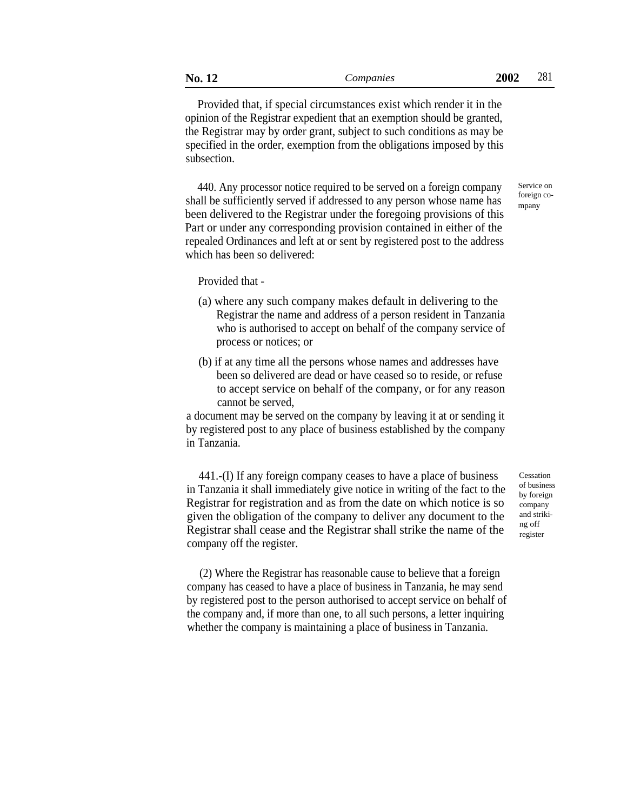| No. 12<br>Companies | 2002 | 281 |
|---------------------|------|-----|
|---------------------|------|-----|

Provided that, if special circumstances exist which render it in the opinion of the Registrar expedient that an exemption should be granted, the Registrar may by order grant, subject to such conditions as may be specified in the order, exemption from the obligations imposed by this subsection.

440. Any processor notice required to be served on a foreign company shall be sufficiently served if addressed to any person whose name has been delivered to the Registrar under the foregoing provisions of this Part or under any corresponding provision contained in either of the repealed Ordinances and left at or sent by registered post to the address which has been so delivered:

Service on foreign company

Provided that -

- (a) where any such company makes default in delivering to the Registrar the name and address of a person resident in Tanzania who is authorised to accept on behalf of the company service of process or notices; or
- (b) if at any time all the persons whose names and addresses have been so delivered are dead or have ceased so to reside, or refuse to accept service on behalf of the company, or for any reason cannot be served,

a document may be served on the company by leaving it at or sending it by registered post to any place of business established by the company in Tanzania.

441.-(I) If any foreign company ceases to have a place of business in Tanzania it shall immediately give notice in writing of the fact to the Registrar for registration and as from the date on which notice is so given the obligation of the company to deliver any document to the Registrar shall cease and the Registrar shall strike the name of the company off the register.

Cessation of business by foreign company and striking off register

(2) Where the Registrar has reasonable cause to believe that a foreign company has ceased to have a place of business in Tanzania, he may send by registered post to the person authorised to accept service on behalf of the company and, if more than one, to all such persons, a letter inquiring whether the company is maintaining a place of business in Tanzania.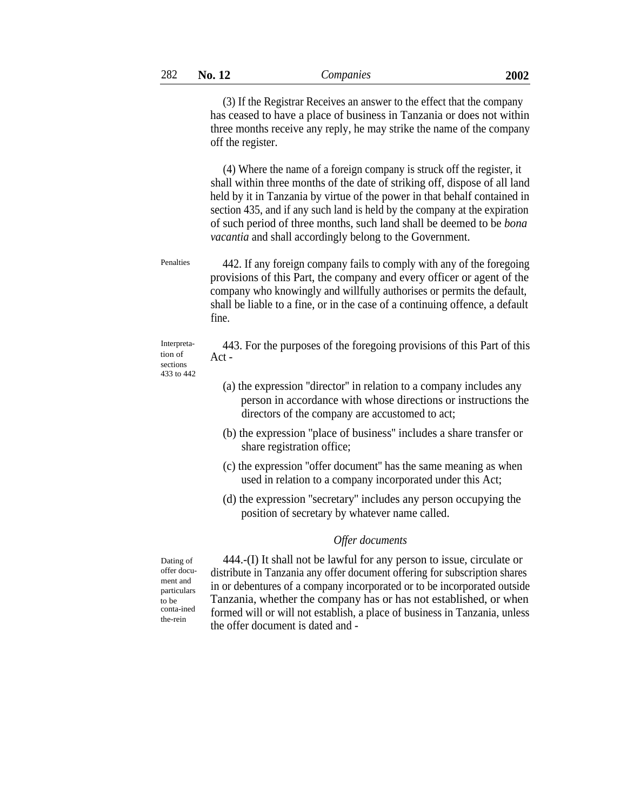(3) If the Registrar Receives an answer to the effect that the company has ceased to have a place of business in Tanzania or does not within three months receive any reply, he may strike the name of the company off the register.

(4) Where the name of a foreign company is struck off the register, it shall within three months of the date of striking off, dispose of all land held by it in Tanzania by virtue of the power in that behalf contained in section 435, and if any such land is held by the company at the expiration of such period of three months, such land shall be deemed to be *bona vacantia* and shall accordingly belong to the Government.

442. If any foreign company fails to comply with any of the foregoing provisions of this Part, the company and every officer or agent of the company who knowingly and willfully authorises or permits the default, shall be liable to a fine, or in the case of a continuing offence, a default fine. Penalties

sections 433 to 442

Interpreta-443. For the purposes of the foregoing provisions of this Part of this  $\frac{\Delta ct}{\Delta}$ Act  $-$ 

- (a) the expression ''director'' in relation to a company includes any person in accordance with whose directions or instructions the directors of the company are accustomed to act;
- (b) the expression ''place of business'' includes a share transfer or share registration office;
- (c) the expression ''offer document'' has the same meaning as when used in relation to a company incorporated under this Act;
- (d) the expression ''secretary'' includes any person occupying the position of secretary by whatever name called.

# *Offer documents*

Dating of offer document and particulars to be conta-ined the-rein

444.-(I) It shall not be lawful for any person to issue, circulate or distribute in Tanzania any offer document offering for subscription shares in or debentures of a company incorporated or to be incorporated outside Tanzania, whether the company has or has not established, or when formed will or will not establish, a place of business in Tanzania, unless the offer document is dated and -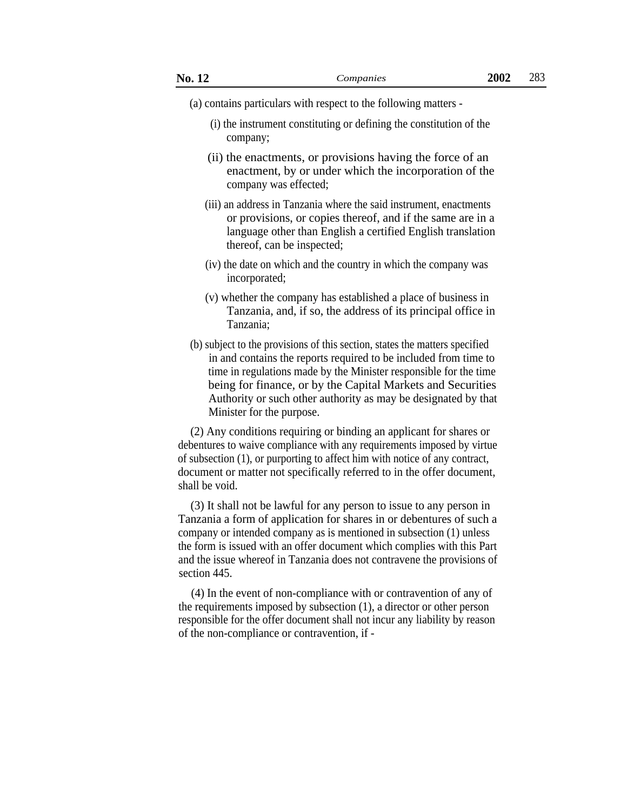- (a) contains particulars with respect to the following matters
	- (i) the instrument constituting or defining the constitution of the company;
	- (ii) the enactments, or provisions having the force of an enactment, by or under which the incorporation of the company was effected;
	- (iii) an address in Tanzania where the said instrument, enactments or provisions, or copies thereof, and if the same are in a language other than English a certified English translation thereof, can be inspected;
	- (iv) the date on which and the country in which the company was incorporated;
	- (v) whether the company has established a place of business in Tanzania, and, if so, the address of its principal office in Tanzania;
- (b) subject to the provisions of this section, states the matters specified in and contains the reports required to be included from time to time in regulations made by the Minister responsible for the time being for finance, or by the Capital Markets and Securities Authority or such other authority as may be designated by that Minister for the purpose.

(2) Any conditions requiring or binding an applicant for shares or debentures to waive compliance with any requirements imposed by virtue of subsection (1), or purporting to affect him with notice of any contract, document or matter not specifically referred to in the offer document, shall be void.

(3) It shall not be lawful for any person to issue to any person in Tanzania a form of application for shares in or debentures of such a company or intended company as is mentioned in subsection (1) unless the form is issued with an offer document which complies with this Part and the issue whereof in Tanzania does not contravene the provisions of section 445.

(4) In the event of non-compliance with or contravention of any of the requirements imposed by subsection (1), a director or other person responsible for the offer document shall not incur any liability by reason of the non-compliance or contravention, if -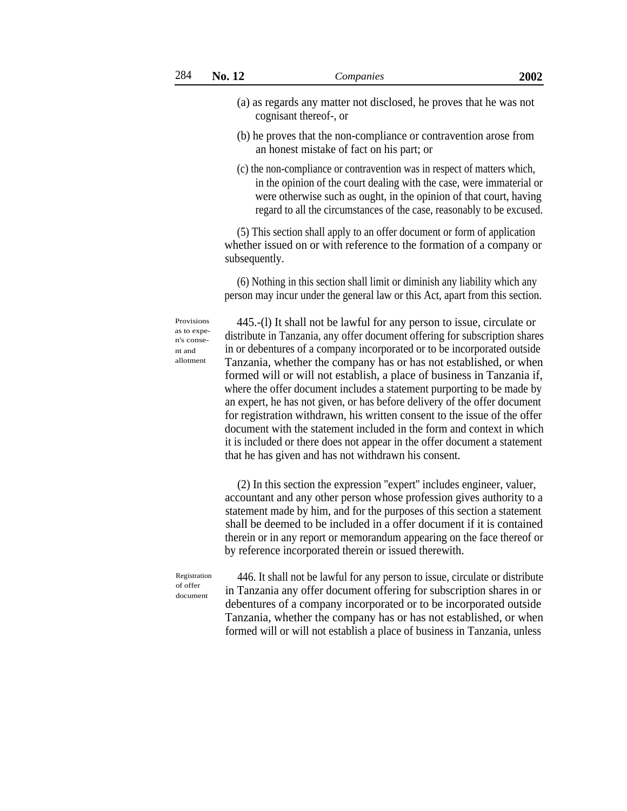- (a) as regards any matter not disclosed, he proves that he was not cognisant thereof-, or
- (b) he proves that the non-compliance or contravention arose from an honest mistake of fact on his part; or
- (c) the non-compliance or contravention was in respect of matters which, in the opinion of the court dealing with the case, were immaterial or were otherwise such as ought, in the opinion of that court, having regard to all the circumstances of the case, reasonably to be excused.

(5) This section shall apply to an offer document or form of application whether issued on or with reference to the formation of a company or subsequently.

(6) Nothing in this section shall limit or diminish any liability which any person may incur under the general law or this Act, apart from this section.

Provisions as to expen's consent and allotment

445.-(l) It shall not be lawful for any person to issue, circulate or distribute in Tanzania, any offer document offering for subscription shares in or debentures of a company incorporated or to be incorporated outside Tanzania, whether the company has or has not established, or when formed will or will not establish, a place of business in Tanzania if, where the offer document includes a statement purporting to be made by an expert, he has not given, or has before delivery of the offer document for registration withdrawn, his written consent to the issue of the offer document with the statement included in the form and context in which it is included or there does not appear in the offer document a statement that he has given and has not withdrawn his consent.

(2) In this section the expression ''expert'' includes engineer, valuer, accountant and any other person whose profession gives authority to a statement made by him, and for the purposes of this section a statement shall be deemed to be included in a offer document if it is contained therein or in any report or memorandum appearing on the face thereof or by reference incorporated therein or issued therewith.

Registration of offer document

446. It shall not be lawful for any person to issue, circulate or distribute in Tanzania any offer document offering for subscription shares in or debentures of a company incorporated or to be incorporated outside Tanzania, whether the company has or has not established, or when formed will or will not establish a place of business in Tanzania, unless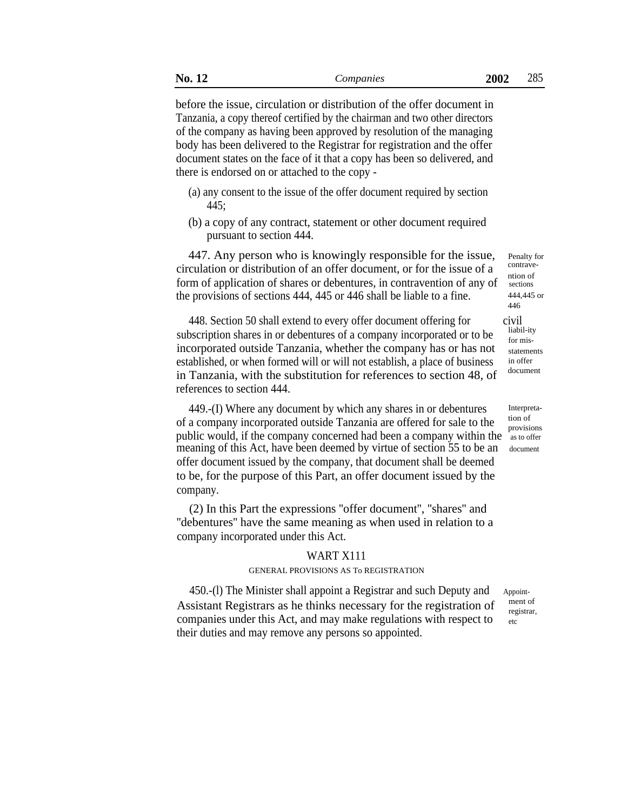before the issue, circulation or distribution of the offer document in Tanzania, a copy thereof certified by the chairman and two other directors of the company as having been approved by resolution of the managing body has been delivered to the Registrar for registration and the offer document states on the face of it that a copy has been so delivered, and there is endorsed on or attached to the copy -

- (a) any consent to the issue of the offer document required by section 445;
- (b) a copy of any contract, statement or other document required pursuant to section 444.

447. Any person who is knowingly responsible for the issue, circulation or distribution of an offer document, or for the issue of a From of application of shares or debentures, in contravention of any of sections the provisions of sections 444, 445 or 446 shall be liable to a fine. 444,445 or

448. Section 50 shall extend to every offer document offering for civil<br>liabil-ity subscription shares in or debentures of a company incorporated or to be incorporated outside Tanzania, whether the company has or has not established, or when formed will or will not establish, a place of business in Tanzania, with the substitution for references to section 48, of references to section 444.

449.-(I) Where any document by which any shares in or debentures of a company incorporated outside Tanzania are offered for sale to the public would, if the company concerned had been a company within the meaning of this Act, have been deemed by virtue of section 55 to be an document offer document issued by the company, that document shall be deemed to be, for the purpose of this Part, an offer document issued by the company.

(2) In this Part the expressions ''offer document'', ''shares'' and ''debentures'' have the same meaning as when used in relation to a company incorporated under this Act.

## WART X111

#### GENERAL PROVISIONS AS To REGISTRATION

450.-(1) The Minister shall appoint a Registrar and such Deputy and Appoint-Assistant Registrars as he thinks necessary for the registration of  $\frac{\text{ment of}}{\text{inter}}$ companies under this Act, and may make regulations with respect to their duties and may remove any persons so appointed.

contrave-446 for misstatements in offer document

Penalty for

Interpretation of provisions<br>as to offer

registrar, etc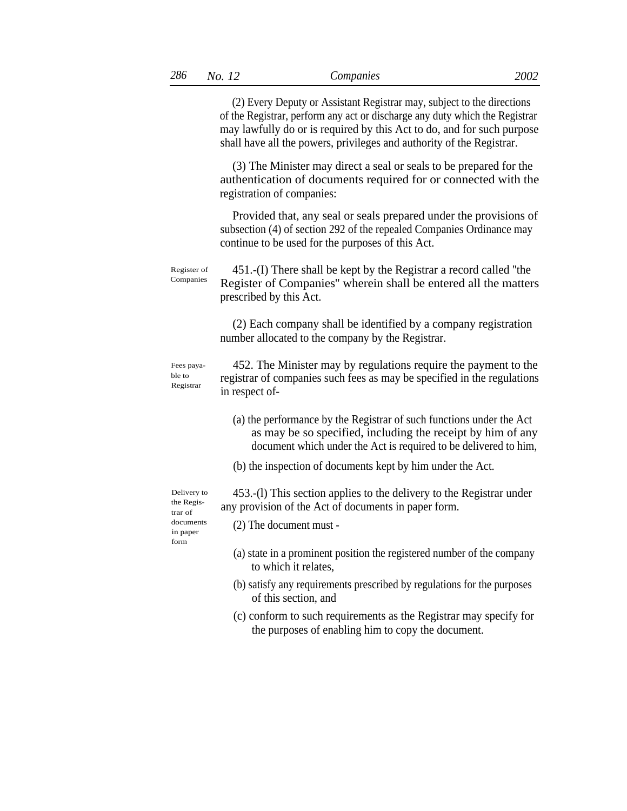(2) Every Deputy or Assistant Registrar may, subject to the directions of the Registrar, perform any act or discharge any duty which the Registrar may lawfully do or is required by this Act to do, and for such purpose shall have all the powers, privileges and authority of the Registrar. (3) The Minister may direct a seal or seals to be prepared for the authentication of documents required for or connected with the registration of companies: Provided that, any seal or seals prepared under the provisions of subsection (4) of section 292 of the repealed Companies Ordinance may continue to be used for the purposes of this Act. 451.-(I) There shall be kept by the Registrar a record called ''the Register of Companies'' wherein shall be entered all the matters prescribed by this Act. Register of Companies (2) Each company shall be identified by a company registration number allocated to the company by the Registrar. 452. The Minister may by regulations require the payment to the registrar of companies such fees as may be specified in the regulations in respect of-Fees payable to Registrar (a) the performance by the Registrar of such functions under the Act as may be so specified, including the receipt by him of any document which under the Act is required to be delivered to him, (b) the inspection of documents kept by him under the Act. 453.-(l) This section applies to the delivery to the Registrar under any provision of the Act of documents in paper form. Delivery to the Registrar of  $\frac{1}{2}$  documents (2) The document must in paper form (a) state in a prominent position the registered number of the company to which it relates, (b) satisfy any requirements prescribed by regulations for the purposes of this section, and

> (c) conform to such requirements as the Registrar may specify for the purposes of enabling him to copy the document.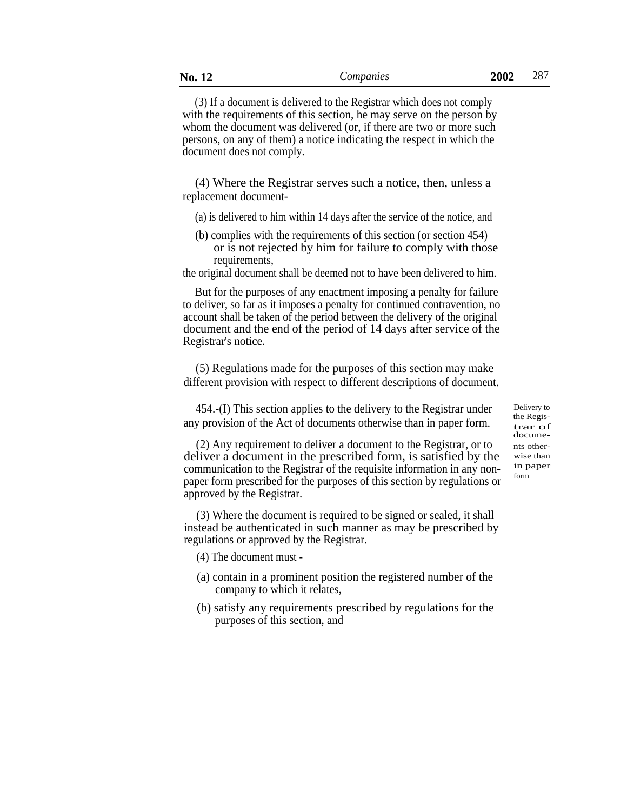(4) Where the Registrar serves such a notice, then, unless a replacement document-

- (a) is delivered to him within 14 days after the service of the notice, and
- (b) complies with the requirements of this section (or section 454) or is not rejected by him for failure to comply with those requirements,

the original document shall be deemed not to have been delivered to him.

But for the purposes of any enactment imposing a penalty for failure to deliver, so far as it imposes a penalty for continued contravention, no account shall be taken of the period between the delivery of the original document and the end of the period of 14 days after service of the Registrar's notice.

(5) Regulations made for the purposes of this section may make different provision with respect to different descriptions of document.

454.-(I) This section applies to the delivery to the Registrar under any provision of the Act of documents otherwise than in paper form.

(2) Any requirement to deliver a document to the Registrar, or to deliver a document in the prescribed form, is satisfied by the communication to the Registrar of the requisite information in any nonpaper form prescribed for the purposes of this section by regulations or approved by the Registrar.

(3) Where the document is required to be signed or sealed, it shall instead be authenticated in such manner as may be prescribed by regulations or approved by the Registrar.

- (4) The document must -
- (a) contain in a prominent position the registered number of the company to which it relates,
- (b) satisfy any requirements prescribed by regulations for the purposes of this section, and

Delivery to the Registrar of docume nts otherwise than in paper form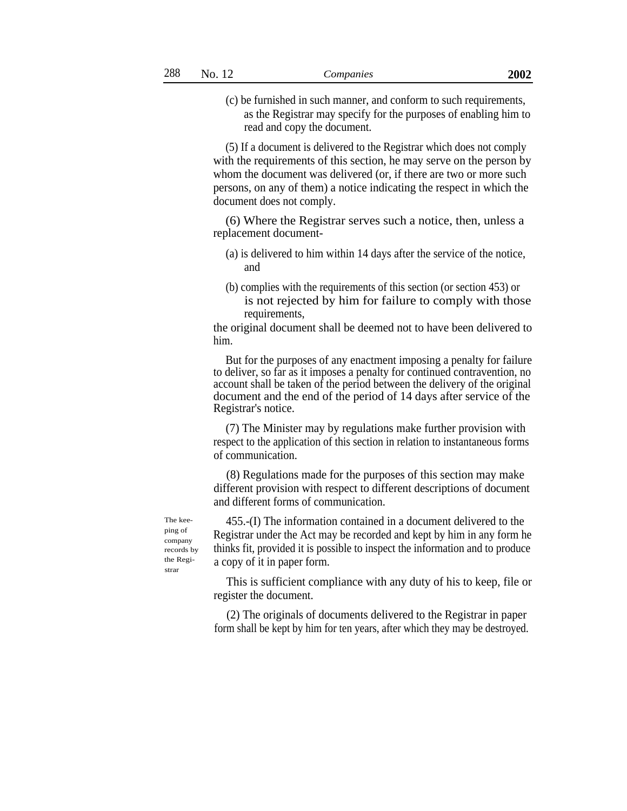(c) be furnished in such manner, and conform to such requirements, as the Registrar may specify for the purposes of enabling him to read and copy the document.

(5) If a document is delivered to the Registrar which does not comply with the requirements of this section, he may serve on the person by whom the document was delivered (or, if there are two or more such persons, on any of them) a notice indicating the respect in which the document does not comply.

(6) Where the Registrar serves such a notice, then, unless a replacement document-

- (a) is delivered to him within 14 days after the service of the notice, and
- (b) complies with the requirements of this section (or section 453) or is not rejected by him for failure to comply with those requirements,

the original document shall be deemed not to have been delivered to him.

But for the purposes of any enactment imposing a penalty for failure to deliver, so far as it imposes a penalty for continued contravention, no account shall be taken of the period between the delivery of the original document and the end of the period of 14 days after service of the Registrar's notice.

(7) The Minister may by regulations make further provision with respect to the application of this section in relation to instantaneous forms of communication.

(8) Regulations made for the purposes of this section may make different provision with respect to different descriptions of document and different forms of communication.

The keeping of company records by the Registrar

455.-(I) The information contained in a document delivered to the Registrar under the Act may be recorded and kept by him in any form he thinks fit, provided it is possible to inspect the information and to produce a copy of it in paper form.

This is sufficient compliance with any duty of his to keep, file or register the document.

(2) The originals of documents delivered to the Registrar in paper form shall be kept by him for ten years, after which they may be destroyed.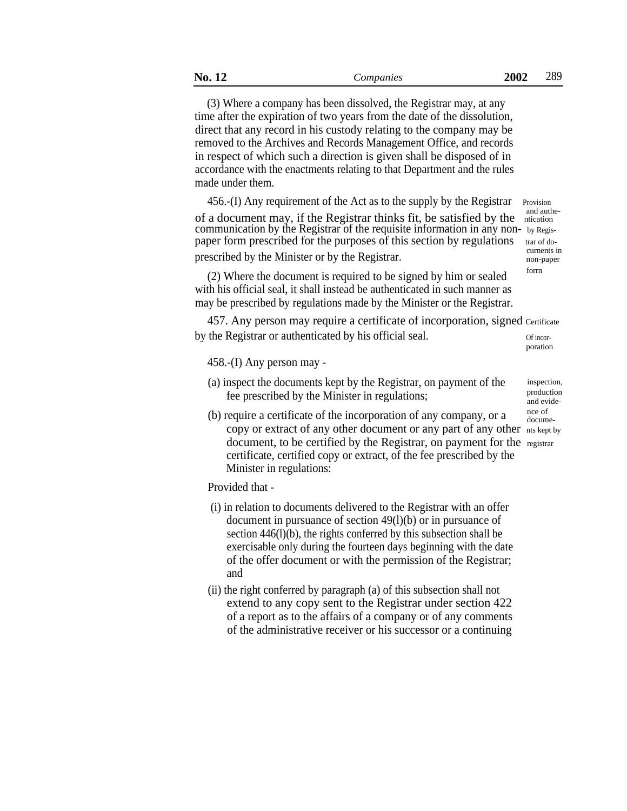(3) Where a company has been dissolved, the Registrar may, at any time after the expiration of two years from the date of the dissolution, direct that any record in his custody relating to the company may be removed to the Archives and Records Management Office, and records in respect of which such a direction is given shall be disposed of in accordance with the enactments relating to that Department and the rules made under them.

456.-(I) Any requirement of the Act as to the supply by the Registrar  $P_{\text{provision}}$  and auther

of a document may, if the Registrar thinks fit, be satisfied by the ntication communication by the Registrar of the requisite information in any non- by Regispaper form prescribed for the purposes of this section by regulations  $\frac{\text{tr}_a}{\text{tr}_a}$  trar of do-

prescribed by the Minister or by the Registrar. The currents in

 $(2)$  Where the document is required to be signed by him or sealed  $\frac{60 \text{ cm}}{2}$ with his official seal, it shall instead be authenticated in such manner as may be prescribed by regulations made by the Minister or the Registrar.

457. Any person may require a certificate of incorporation, signed Certificate by the Registrar or authenticated by his official seal.  $\qquad \qquad \text{of incorrect}$ 

poration

458.-(I) Any person may -

(a) inspect the documents kept by the Registrar, on payment of the fee prescribed by the Minister in regulations;

(b) require a certificate of the incorporation of any company, or a  $\Gamma_{\text{downen}}^{\text{rec of}}$ copy or extract of any other document or any part of any other nts kept by document, to be certified by the Registrar, on payment for the registrar certificate, certified copy or extract, of the fee prescribed by the Minister in regulations:

Provided that -

- (i) in relation to documents delivered to the Registrar with an offer document in pursuance of section 49(l)(b) or in pursuance of section 446(l)(b), the rights conferred by this subsection shall be exercisable only during the fourteen days beginning with the date of the offer document or with the permission of the Registrar; and
- (ii) the right conferred by paragraph (a) of this subsection shall not extend to any copy sent to the Registrar under section 422 of a report as to the affairs of a company or of any comments of the administrative receiver or his successor or a continuing

inspection, production and evide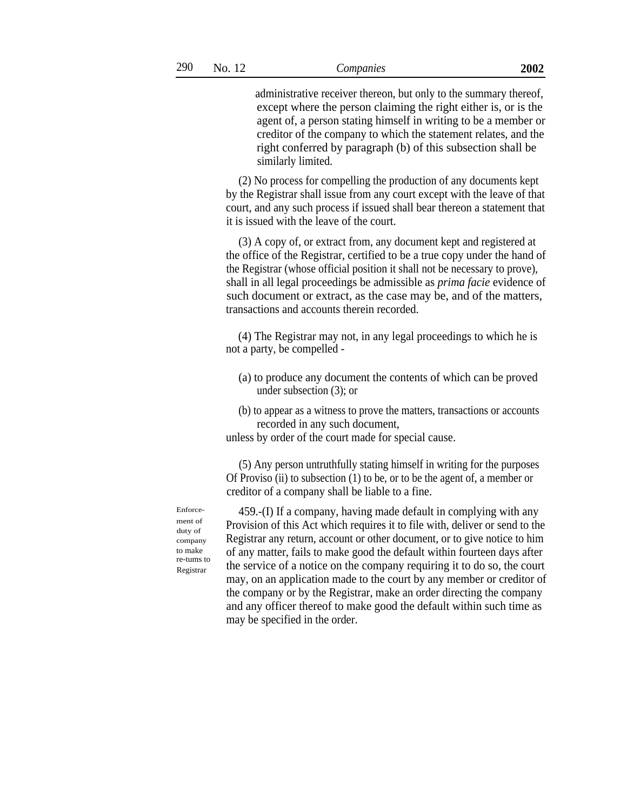administrative receiver thereon, but only to the summary thereof, except where the person claiming the right either is, or is the agent of, a person stating himself in writing to be a member or creditor of the company to which the statement relates, and the right conferred by paragraph (b) of this subsection shall be similarly limited.

(2) No process for compelling the production of any documents kept by the Registrar shall issue from any court except with the leave of that court, and any such process if issued shall bear thereon a statement that it is issued with the leave of the court.

(3) A copy of, or extract from, any document kept and registered at the office of the Registrar, certified to be a true copy under the hand of the Registrar (whose official position it shall not be necessary to prove), shall in all legal proceedings be admissible as *prima facie* evidence of such document or extract, as the case may be, and of the matters, transactions and accounts therein recorded.

(4) The Registrar may not, in any legal proceedings to which he is not a party, be compelled -

- (a) to produce any document the contents of which can be proved under subsection (3); or
- (b) to appear as a witness to prove the matters, transactions or accounts recorded in any such document,

unless by order of the court made for special cause.

(5) Any person untruthfully stating himself in writing for the purposes Of Proviso (ii) to subsection (1) to be, or to be the agent of, a member or creditor of a company shall be liable to a fine.

Enforcement of duty of company to make re-tums to Registrar

459.-(I) If a company, having made default in complying with any Provision of this Act which requires it to file with, deliver or send to the Registrar any return, account or other document, or to give notice to him of any matter, fails to make good the default within fourteen days after the service of a notice on the company requiring it to do so, the court may, on an application made to the court by any member or creditor of the company or by the Registrar, make an order directing the company and any officer thereof to make good the default within such time as may be specified in the order.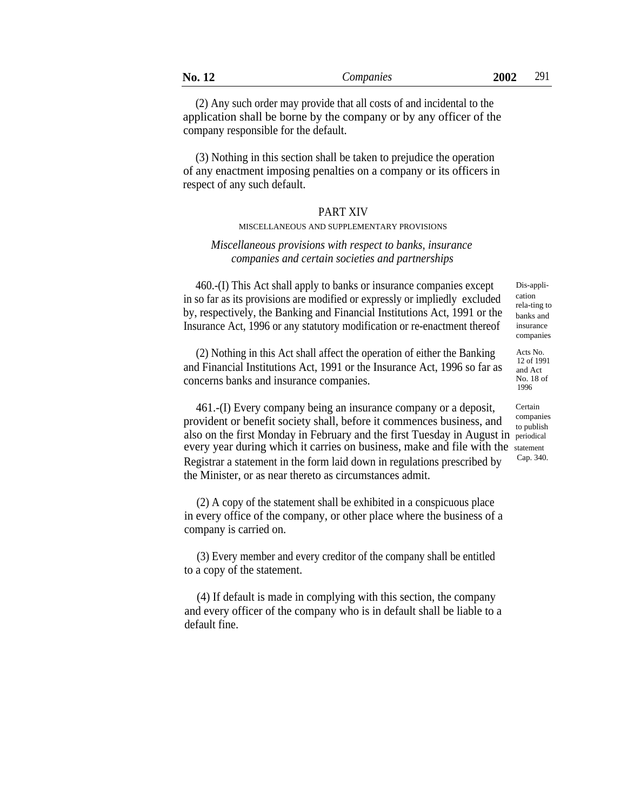(2) Any such order may provide that all costs of and incidental to the application shall be borne by the company or by any officer of the company responsible for the default.

(3) Nothing in this section shall be taken to prejudice the operation of any enactment imposing penalties on a company or its officers in respect of any such default.

# PART XIV

## MISCELLANEOUS AND SUPPLEMENTARY PROVISIONS

# *Miscellaneous provisions with respect to banks, insurance companies and certain societies and partnerships*

460.-(I) This Act shall apply to banks or insurance companies except in so far as its provisions are modified or expressly or impliedly excluded by, respectively, the Banking and Financial Institutions Act, 1991 or the Insurance Act, 1996 or any statutory modification or re-enactment thereof

(2) Nothing in this Act shall affect the operation of either the Banking and Financial Institutions Act, 1991 or the Insurance Act, 1996 so far as concerns banks and insurance companies.

461.-(I) Every company being an insurance company or a deposit, provident or benefit society shall, before it commences business, and also on the first Monday in February and the first Tuesday in August in periodical every year during which it carries on business, make and file with the statement<br>Designed a statement in the form laid days in applicing agreealized by Registrar a statement in the form laid down in regulations prescribed by the Minister, or as near thereto as circumstances admit.

(2) A copy of the statement shall be exhibited in a conspicuous place in every office of the company, or other place where the business of a company is carried on.

(3) Every member and every creditor of the company shall be entitled to a copy of the statement.

(4) If default is made in complying with this section, the company and every officer of the company who is in default shall be liable to a default fine.

Dis-application rela-ting to banks and insurance companies

Acts No. 12 of 1991 and Act No. 18 of 1996

**Certain** companies to publish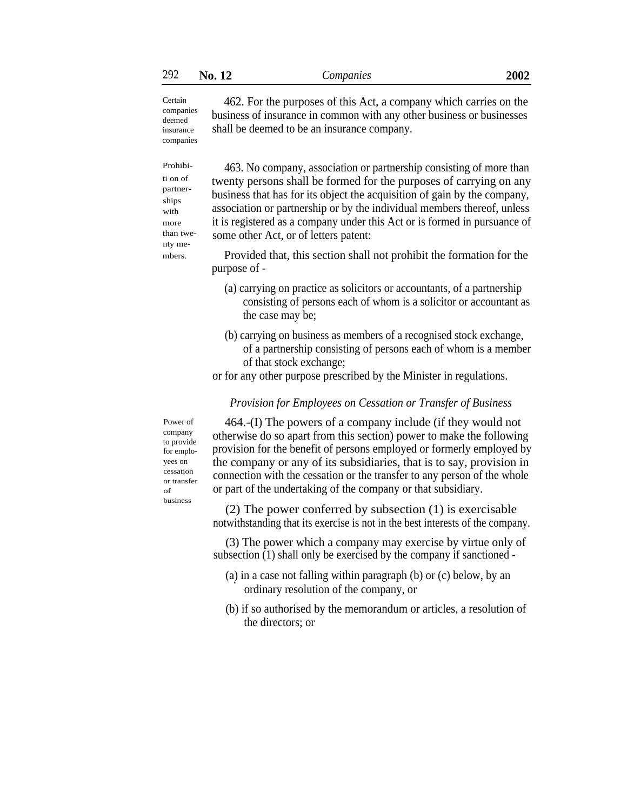Certain companies deemed insurance companies

Prohibiti on of partnerships with more than twenty me-

mbers.

of

462. For the purposes of this Act, a company which carries on the business of insurance in common with any other business or businesses shall be deemed to be an insurance company.

463. No company, association or partnership consisting of more than twenty persons shall be formed for the purposes of carrying on any business that has for its object the acquisition of gain by the company, association or partnership or by the individual members thereof, unless it is registered as a company under this Act or is formed in pursuance of some other Act, or of letters patent:

Provided that, this section shall not prohibit the formation for the purpose of -

- (a) carrying on practice as solicitors or accountants, of a partnership consisting of persons each of whom is a solicitor or accountant as the case may be;
- (b) carrying on business as members of a recognised stock exchange, of a partnership consisting of persons each of whom is a member of that stock exchange;

or for any other purpose prescribed by the Minister in regulations.

# *Provision for Employees on Cessation or Transfer of Business*

Power of company to provide for employees on cessation or transfer business

464.-(I) The powers of a company include (if they would not otherwise do so apart from this section) power to make the following provision for the benefit of persons employed or formerly employed by the company or any of its subsidiaries, that is to say, provision in connection with the cessation or the transfer to any person of the whole or part of the undertaking of the company or that subsidiary.

(2) The power conferred by subsection (1) is exercisable notwithstanding that its exercise is not in the best interests of the company.

(3) The power which a company may exercise by virtue only of subsection (1) shall only be exercised by the company if sanctioned -

- (a) in a case not falling within paragraph  $(b)$  or  $(c)$  below, by an ordinary resolution of the company, or
- (b) if so authorised by the memorandum or articles, a resolution of the directors; or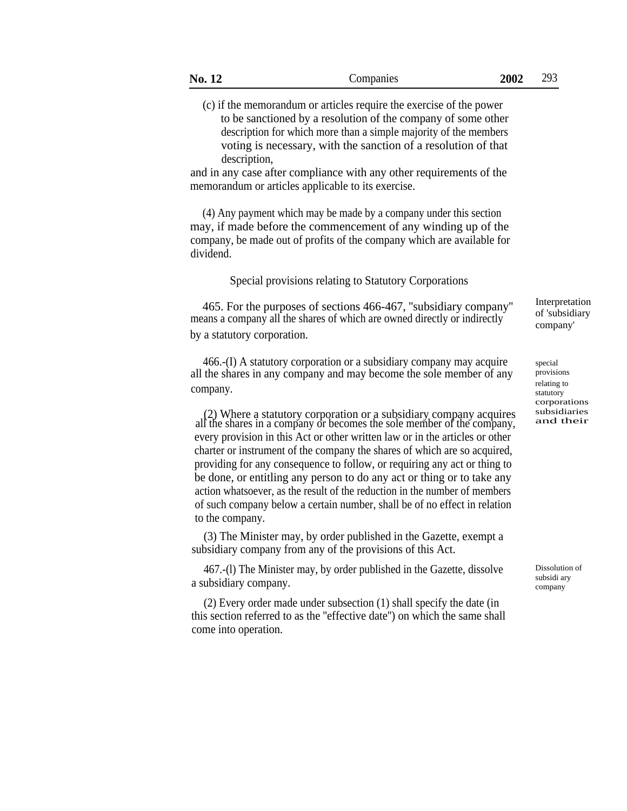(c) if the memorandum or articles require the exercise of the power to be sanctioned by a resolution of the company of some other description for which more than a simple majority of the members voting is necessary, with the sanction of a resolution of that description,

and in any case after compliance with any other requirements of the memorandum or articles applicable to its exercise.

(4) Any payment which may be made by a company under this section may, if made before the commencement of any winding up of the company, be made out of profits of the company which are available for dividend.

Special provisions relating to Statutory Corporations

465. For the purposes of sections 466-467, ''subsidiary company'' means a company all the shares of which are owned directly or indirectly by a statutory corporation.

466.-(I) A statutory corporation or a subsidiary company may acquire all the shares in any company and may become the sole member of any company.<br>statutory statutory

(2) Where a statutory corporation or a subsidiary company acquires all the shares in a company or becomes the sole member of the company, every provision in this Act or other written law or in the articles or other charter or instrument of the company the shares of which are so acquired, providing for any consequence to follow, or requiring any act or thing to be done, or entitling any person to do any act or thing or to take any action whatsoever, as the result of the reduction in the number of members of such company below a certain number, shall be of no effect in relation to the company.

(3) The Minister may, by order published in the Gazette, exempt a subsidiary company from any of the provisions of this Act.

467.-(l) The Minister may, by order published in the Gazette, dissolve a subsidiary company.

(2) Every order made under subsection (1) shall specify the date (in this section referred to as the ''effective date'') on which the same shall come into operation.

Interpretation of 'subsidiary company'

relating to<br>statutory corporations subsidiaries and their special provisions

Dissolution of subsidi ary company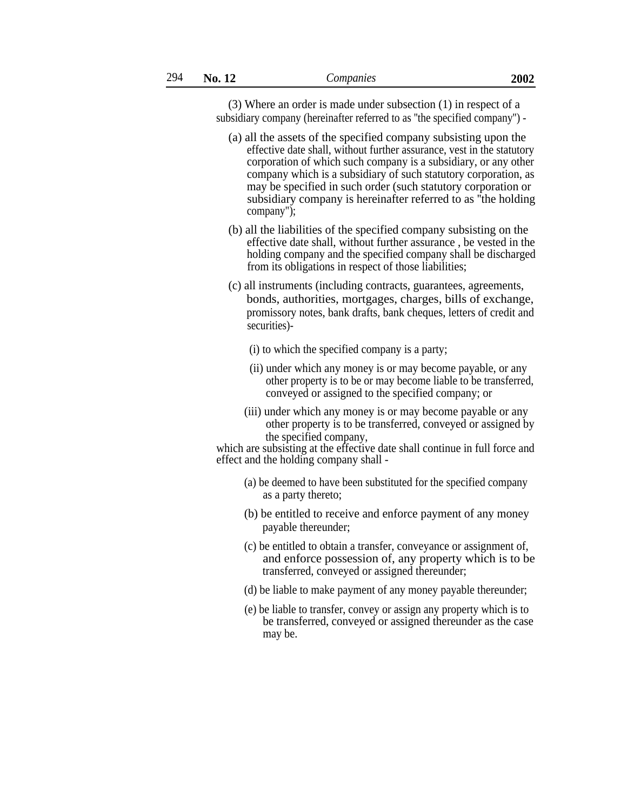(3) Where an order is made under subsection (1) in respect of a subsidiary company (hereinafter referred to as ''the specified company'') -

- (a) all the assets of the specified company subsisting upon the effective date shall, without further assurance, vest in the statutory corporation of which such company is a subsidiary, or any other company which is a subsidiary of such statutory corporation, as may be specified in such order (such statutory corporation or subsidiary company is hereinafter referred to as ''the holding company");
- (b) all the liabilities of the specified company subsisting on the effective date shall, without further assurance , be vested in the holding company and the specified company shall be discharged from its obligations in respect of those liabilities;
- (c) all instruments (including contracts, guarantees, agreements, bonds, authorities, mortgages, charges, bills of exchange, promissory notes, bank drafts, bank cheques, letters of credit and securities)-
	- (i) to which the specified company is a party;
	- (ii) under which any money is or may become payable, or any other property is to be or may become liable to be transferred, conveyed or assigned to the specified company; or
	- (iii) under which any money is or may become payable or any other property is to be transferred, conveyed or assigned by the specified company,

which are subsisting at the effective date shall continue in full force and effect and the holding company shall -

- (a) be deemed to have been substituted for the specified company as a party thereto;
- (b) be entitled to receive and enforce payment of any money payable thereunder;
- (c) be entitled to obtain a transfer, conveyance or assignment of, and enforce possession of, any property which is to be transferred, conveyed or assigned thereunder;
- (d) be liable to make payment of any money payable thereunder;
- (e) be liable to transfer, convey or assign any property which is to be transferred, conveyed or assigned thereunder as the case may be.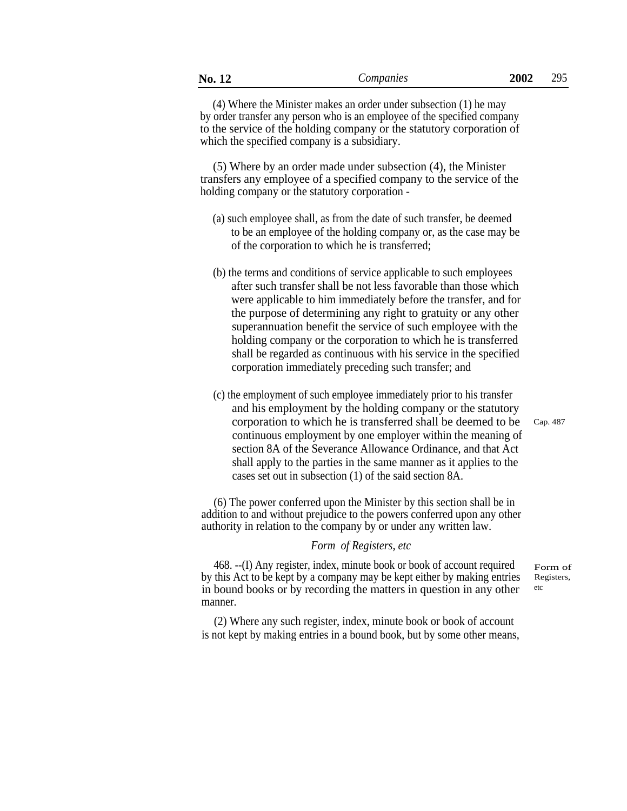(4) Where the Minister makes an order under subsection (1) he may by order transfer any person who is an employee of the specified company to the service of the holding company or the statutory corporation of which the specified company is a subsidiary.

(5) Where by an order made under subsection (4), the Minister transfers any employee of a specified company to the service of the holding company or the statutory corporation -

- (a) such employee shall, as from the date of such transfer, be deemed to be an employee of the holding company or, as the case may be of the corporation to which he is transferred;
- (b) the terms and conditions of service applicable to such employees after such transfer shall be not less favorable than those which were applicable to him immediately before the transfer, and for the purpose of determining any right to gratuity or any other superannuation benefit the service of such employee with the holding company or the corporation to which he is transferred shall be regarded as continuous with his service in the specified corporation immediately preceding such transfer; and
- (c) the employment of such employee immediately prior to his transfer and his employment by the holding company or the statutory corporation to which he is transferred shall be deemed to be continuous employment by one employer within the meaning of section 8A of the Severance Allowance Ordinance, and that Act shall apply to the parties in the same manner as it applies to the cases set out in subsection (1) of the said section 8A.

(6) The power conferred upon the Minister by this section shall be in addition to and without prejudice to the powers conferred upon any other authority in relation to the company by or under any written law.

# *Form of Registers, etc*

468. --(I) Any register, index, minute book or book of account required by this Act to be kept by a company may be kept either by making entries in bound books or by recording the matters in question in any other manner.

(2) Where any such register, index, minute book or book of account is not kept by making entries in a bound book, but by some other means, Cap. 487

Form of Registers, etc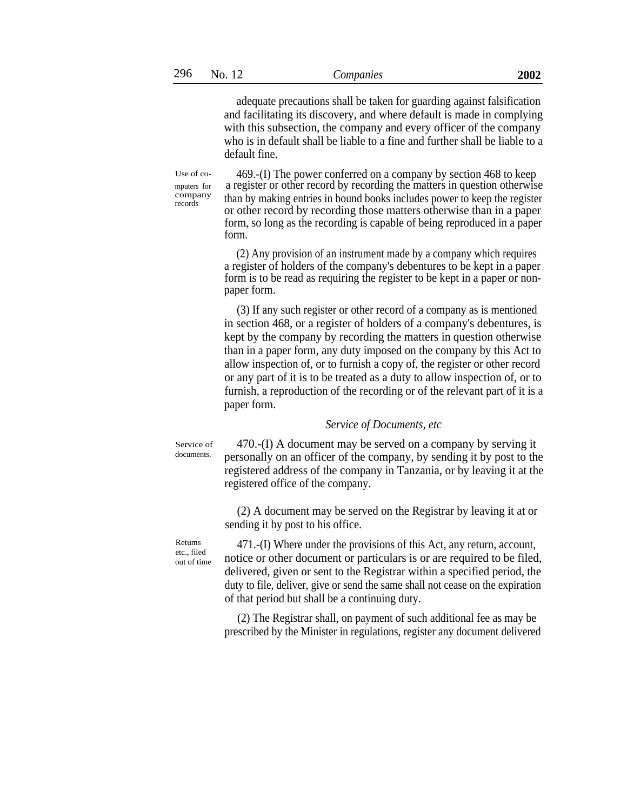adequate precautions shall be taken for guarding against falsification and facilitating its discovery, and where default is made in complying with this subsection, the company and every officer of the company who is in default shall be liable to a fine and further shall be liable to a default fine.

company

Use of co- 469.-(I) The power conferred on a company by section 468 to keep mputers for a register or other record by recording the matters in question otherwise  $\frac{\text{company}}{\text{records}}$  than by making entries in bound books includes power to keep the register or other record by recording those matters otherwise than in a paper form, so long as the recording is capable of being reproduced in a paper form.

> (2) Any provision of an instrument made by a company which requires a register of holders of the company's debentures to be kept in a paper form is to be read as requiring the register to be kept in a paper or nonpaper form.

> (3) If any such register or other record of a company as is mentioned in section 468, or a register of holders of a company's debentures, is kept by the company by recording the matters in question otherwise than in a paper form, any duty imposed on the company by this Act to allow inspection of, or to furnish a copy of, the register or other record or any part of it is to be treated as a duty to allow inspection of, or to furnish, a reproduction of the recording or of the relevant part of it is a paper form.

# *Service of Documents, etc*

Service of documents.

470.-(I) A document may be served on a company by serving it personally on an officer of the company, by sending it by post to the registered address of the company in Tanzania, or by leaving it at the registered office of the company.

(2) A document may be served on the Registrar by leaving it at or sending it by post to his office.

Retums etc., filed out of time

471.-(I) Where under the provisions of this Act, any return, account, notice or other document or particulars is or are required to be filed, delivered, given or sent to the Registrar within a specified period, the duty to file, deliver, give or send the same shall not cease on the expiration of that period but shall be a continuing duty.

(2) The Registrar shall, on payment of such additional fee as may be prescribed by the Minister in regulations, register any document delivered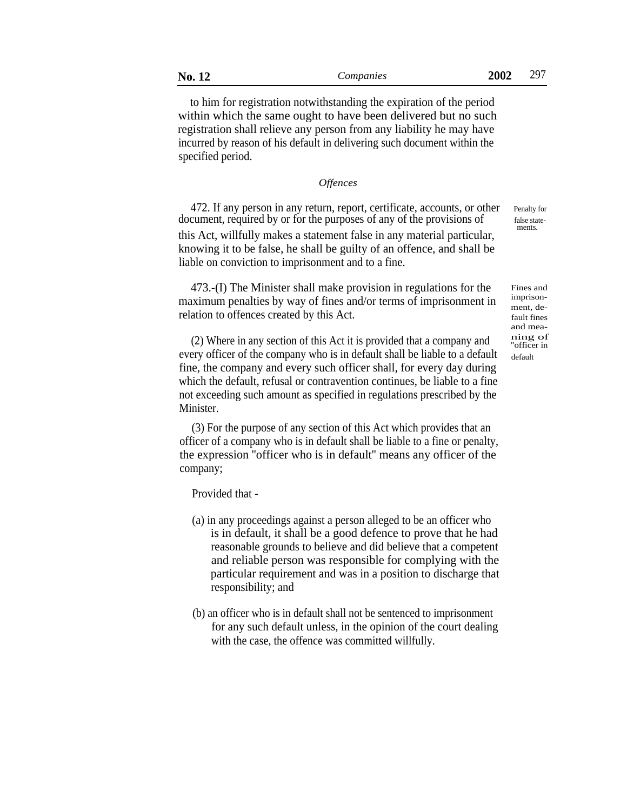| No. 12 | Companies | 2002 | 207 |
|--------|-----------|------|-----|
|--------|-----------|------|-----|

to him for registration notwithstanding the expiration of the period within which the same ought to have been delivered but no such registration shall relieve any person from any liability he may have incurred by reason of his default in delivering such document within the specified period.

# *Offences*

472. If any person in any return, report, certificate, accounts, or other Penalty for document, required by or for the purposes of any of the provisions of false statethis Act, willfully makes a statement false in any material particular, knowing it to be false, he shall be guilty of an offence, and shall be liable on conviction to imprisonment and to a fine.

473.-(I) The Minister shall make provision in regulations for the maximum penalties by way of fines and/or terms of imprisonment in relation to offences created by this Act.

(2) Where in any section of this Act it is provided that a company and  $\frac{\text{ning of}}{\text{cofficer in}}$ every officer of the company who is in default shall be liable to a default fine, the company and every such officer shall, for every day during which the default, refusal or contravention continues, be liable to a fine not exceeding such amount as specified in regulations prescribed by the Minister.

(3) For the purpose of any section of this Act which provides that an officer of a company who is in default shall be liable to a fine or penalty, the expression ''officer who is in default'' means any officer of the company;

Provided that -

- (a) in any proceedings against a person alleged to be an officer who is in default, it shall be a good defence to prove that he had reasonable grounds to believe and did believe that a competent and reliable person was responsible for complying with the particular requirement and was in a position to discharge that responsibility; and
- (b) an officer who is in default shall not be sentenced to imprisonment for any such default unless, in the opinion of the court dealing with the case, the offence was committed willfully.

ments.

Fines and imprisonment, default fines and mea-''officer in default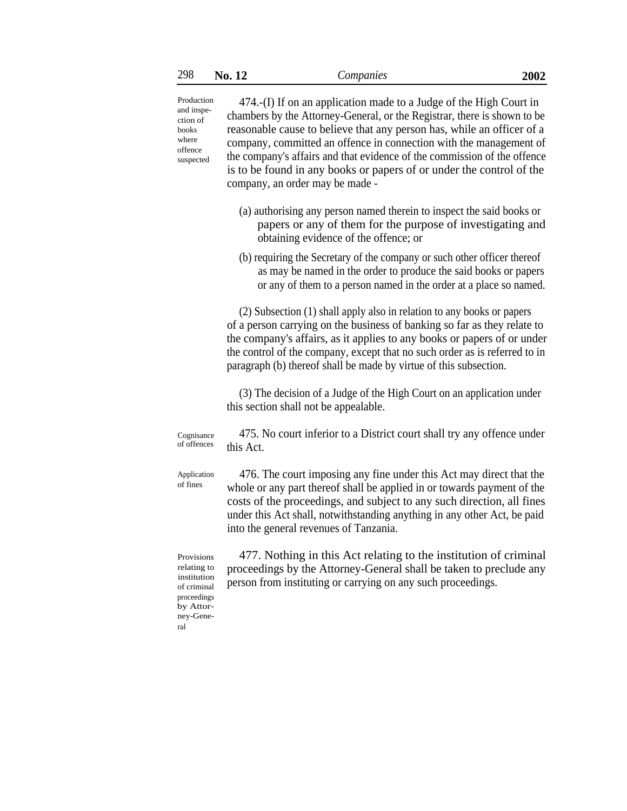| 298 | <b>No. 12</b> | Companies | 2002 |
|-----|---------------|-----------|------|
|-----|---------------|-----------|------|

| Production<br>and inspe-<br>ction of<br>books<br>where<br>offence<br>suspected | 474.-(I) If on an application made to a Judge of the High Court in<br>chambers by the Attorney-General, or the Registrar, there is shown to be<br>reasonable cause to believe that any person has, while an officer of a<br>company, committed an offence in connection with the management of<br>the company's affairs and that evidence of the commission of the offence<br>is to be found in any books or papers of or under the control of the<br>company, an order may be made - |
|--------------------------------------------------------------------------------|---------------------------------------------------------------------------------------------------------------------------------------------------------------------------------------------------------------------------------------------------------------------------------------------------------------------------------------------------------------------------------------------------------------------------------------------------------------------------------------|
|                                                                                | (a) authorising any person named therein to inspect the said books or<br>papers or any of them for the purpose of investigating and<br>obtaining evidence of the offence; or                                                                                                                                                                                                                                                                                                          |
|                                                                                | (b) requiring the Secretary of the company or such other officer thereof<br>as may be named in the order to produce the said books or papers<br>or any of them to a person named in the order at a place so named.                                                                                                                                                                                                                                                                    |
|                                                                                | (2) Subsection (1) shall apply also in relation to any books or papers<br>of a person carrying on the business of banking so far as they relate to<br>the company's affairs, as it applies to any books or papers of or under<br>the control of the company, except that no such order as is referred to in<br>paragraph (b) thereof shall be made by virtue of this subsection.                                                                                                      |
|                                                                                | (3) The decision of a Judge of the High Court on an application under<br>this section shall not be appealable.                                                                                                                                                                                                                                                                                                                                                                        |
| Cognisance<br>of offences                                                      | 475. No court inferior to a District court shall try any offence under<br>this Act.                                                                                                                                                                                                                                                                                                                                                                                                   |
| Application<br>of fines                                                        | 476. The court imposing any fine under this Act may direct that the<br>whole or any part thereof shall be applied in or towards payment of the<br>costs of the proceedings, and subject to any such direction, all fines<br>under this Act shall, notwithstanding anything in any other Act, be paid<br>into the general revenues of Tanzania.                                                                                                                                        |
| Provisions<br>relating to<br>institution<br>of criminal                        | 477. Nothing in this Act relating to the institution of criminal<br>proceedings by the Attorney-General shall be taken to preclude any<br>person from instituting or carrying on any such proceedings.                                                                                                                                                                                                                                                                                |

proceedings by Attorney-General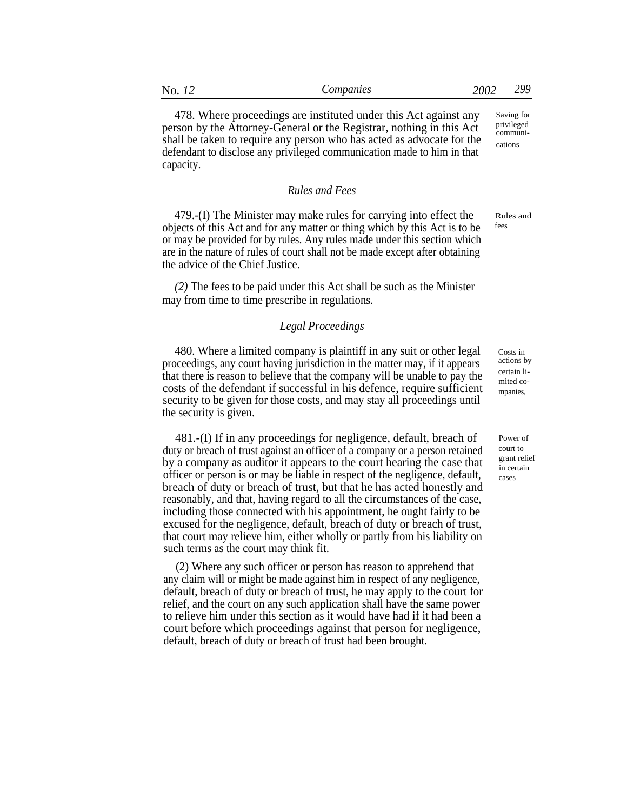| N<br>$\mathbf{z}$ | ompanies | л | $\sim$ $\sim$<br>- |
|-------------------|----------|---|--------------------|
|                   |          |   |                    |

478. Where proceedings are instituted under this Act against any person by the Attorney-General or the Registrar, nothing in this Act shall be taken to require any person who has acted as advocate for the defendant to disclose any privileged communication made to him in that capacity. Saving for privileged communications

# *Rules and Fees*

479.-(I) The Minister may make rules for carrying into effect the objects of this Act and for any matter or thing which by this Act is to be or may be provided for by rules. Any rules made under this section which are in the nature of rules of court shall not be made except after obtaining the advice of the Chief Justice. Rules and fees

*(2)* The fees to be paid under this Act shall be such as the Minister may from time to time prescribe in regulations.

# *Legal Proceedings*

480. Where a limited company is plaintiff in any suit or other legal proceedings, any court having jurisdiction in the matter may, if it appears that there is reason to believe that the company will be unable to pay the costs of the defendant if successful in his defence, require sufficient security to be given for those costs, and may stay all proceedings until the security is given.

481.-(I) If in any proceedings for negligence, default, breach of duty or breach of trust against an officer of a company or a person retained by a company as auditor it appears to the court hearing the case that officer or person is or may be liable in respect of the negligence, default, breach of duty or breach of trust, but that he has acted honestly and reasonably, and that, having regard to all the circumstances of the case, including those connected with his appointment, he ought fairly to be excused for the negligence, default, breach of duty or breach of trust, that court may relieve him, either wholly or partly from his liability on such terms as the court may think fit.

(2) Where any such officer or person has reason to apprehend that any claim will or might be made against him in respect of any negligence, default, breach of duty or breach of trust, he may apply to the court for relief, and the court on any such application shall have the same power to relieve him under this section as it would have had if it had been a court before which proceedings against that person for negligence, default, breach of duty or breach of trust had been brought.

Costs in actions by certain limited companies,

Power of court to grant relief in certain cases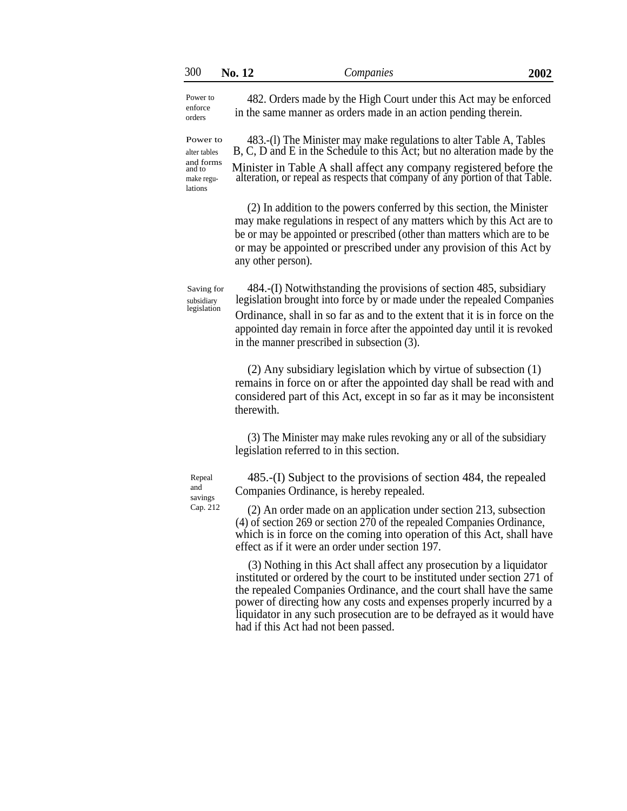| 300                                                                      | <b>No. 12</b> | Companies                                                                                                                                                                                                                                                                                                                  | 2002 |
|--------------------------------------------------------------------------|---------------|----------------------------------------------------------------------------------------------------------------------------------------------------------------------------------------------------------------------------------------------------------------------------------------------------------------------------|------|
| Power to<br>enforce<br>orders                                            |               | 482. Orders made by the High Court under this Act may be enforced<br>in the same manner as orders made in an action pending therein.                                                                                                                                                                                       |      |
| Power to<br>alter tables<br>and forms<br>and to<br>make regu-<br>lations |               | 483.-(1) The Minister may make regulations to alter Table A, Tables B, C, D and E in the Schedule to this Act; but no alteration made by the<br>Minister in Table A shall affect any company registered before the alteration, or repeal as respects that company of any portion of that Table.                            |      |
|                                                                          |               | (2) In addition to the powers conferred by this section, the Minister<br>may make regulations in respect of any matters which by this Act are to<br>be or may be appointed or prescribed (other than matters which are to be<br>or may be appointed or prescribed under any provision of this Act by<br>any other person). |      |

legislation

Saving for 484.-(I) Notwithstanding the provisions of section 485, subsidiary subsidiary legislation brought into force by or made under the repealed Companies Ordinance, shall in so far as and to the extent that it is in force on the appointed day remain in force after the appointed day until it is revoked in the manner prescribed in subsection (3).

> (2) Any subsidiary legislation which by virtue of subsection (1) remains in force on or after the appointed day shall be read with and considered part of this Act, except in so far as it may be inconsistent therewith.

(3) The Minister may make rules revoking any or all of the subsidiary legislation referred to in this section.

Repeal and savings

485.-(I) Subject to the provisions of section 484, the repealed Companies Ordinance, is hereby repealed.

 $Cap. 212$  (2) An order made on an application under section 213, subsection (4) of section 269 or section 270 of the repealed Companies Ordinance, which is in force on the coming into operation of this Act, shall have effect as if it were an order under section 197.

> (3) Nothing in this Act shall affect any prosecution by a liquidator instituted or ordered by the court to be instituted under section 271 of the repealed Companies Ordinance, and the court shall have the same power of directing how any costs and expenses properly incurred by a liquidator in any such prosecution are to be defrayed as it would have had if this Act had not been passed.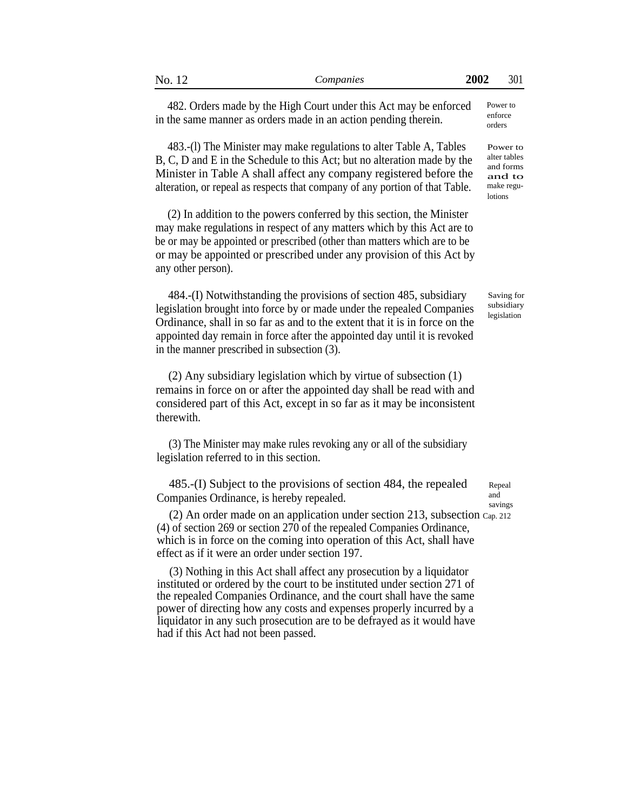482. Orders made by the High Court under this Act may be enforced in the same manner as orders made in an action pending therein. Power to

483.-(l) The Minister may make regulations to alter Table A, Tables B, C, D and E in the Schedule to this Act; but no alteration made by the Minister in Table A shall affect any company registered before the alteration, or repeal as respects that company of any portion of that Table.

(2) In addition to the powers conferred by this section, the Minister may make regulations in respect of any matters which by this Act are to be or may be appointed or prescribed (other than matters which are to be or may be appointed or prescribed under any provision of this Act by any other person).

484.-(I) Notwithstanding the provisions of section 485, subsidiary legislation brought into force by or made under the repealed Companies Ordinance, shall in so far as and to the extent that it is in force on the appointed day remain in force after the appointed day until it is revoked in the manner prescribed in subsection (3).

(2) Any subsidiary legislation which by virtue of subsection (1) remains in force on or after the appointed day shall be read with and considered part of this Act, except in so far as it may be inconsistent therewith.

(3) The Minister may make rules revoking any or all of the subsidiary legislation referred to in this section.

485.-(I) Subject to the provisions of section 484, the repealed Companies Ordinance, is hereby repealed. Repeal and savings

(2) An order made on an application under section 213, subsection Cap. 212 (4) of section 269 or section 270 of the repealed Companies Ordinance, which is in force on the coming into operation of this Act, shall have effect as if it were an order under section 197.

(3) Nothing in this Act shall affect any prosecution by a liquidator instituted or ordered by the court to be instituted under section 271 of the repealed Companies Ordinance, and the court shall have the same power of directing how any costs and expenses properly incurred by a liquidator in any such prosecution are to be defrayed as it would have had if this Act had not been passed.

enforce orders Power to alter tables and forms

and to make regu**lotions** 

Saving for subsidiary legislation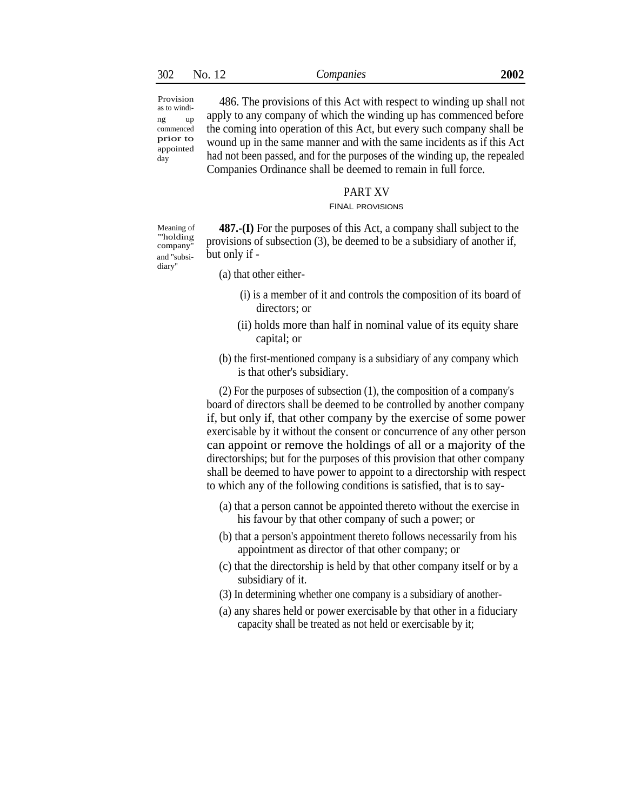Provision as to winding up commenced prior to appointed day

486. The provisions of this Act with respect to winding up shall not apply to any company of which the winding up has commenced before the coming into operation of this Act, but every such company shall be wound up in the same manner and with the same incidents as if this Act had not been passed, and for the purposes of the winding up, the repealed Companies Ordinance shall be deemed to remain in full force.

# PART XV

# FINAL PROVISIONS

**487.-(I)** For the purposes of this Act, a company shall subject to the provisions of subsection (3), be deemed to be a subsidiary of another if, but only if -

(a) that other either-

- (i) is a member of it and controls the composition of its board of directors; or
- (ii) holds more than half in nominal value of its equity share capital; or
- (b) the first-mentioned company is a subsidiary of any company which is that other's subsidiary.

(2) For the purposes of subsection (1), the composition of a company's board of directors shall be deemed to be controlled by another company if, but only if, that other company by the exercise of some power exercisable by it without the consent or concurrence of any other person can appoint or remove the holdings of all or a majority of the directorships; but for the purposes of this provision that other company shall be deemed to have power to appoint to a directorship with respect to which any of the following conditions is satisfied, that is to say-

- (a) that a person cannot be appointed thereto without the exercise in his favour by that other company of such a power; or
- (b) that a person's appointment thereto follows necessarily from his appointment as director of that other company; or
- (c) that the directorship is held by that other company itself or by a subsidiary of it.
- (3) In determining whether one company is a subsidiary of another-
- (a) any shares held or power exercisable by that other in a fiduciary capacity shall be treated as not held or exercisable by it;

Meaning of "'holding company'' and ''subsidiary''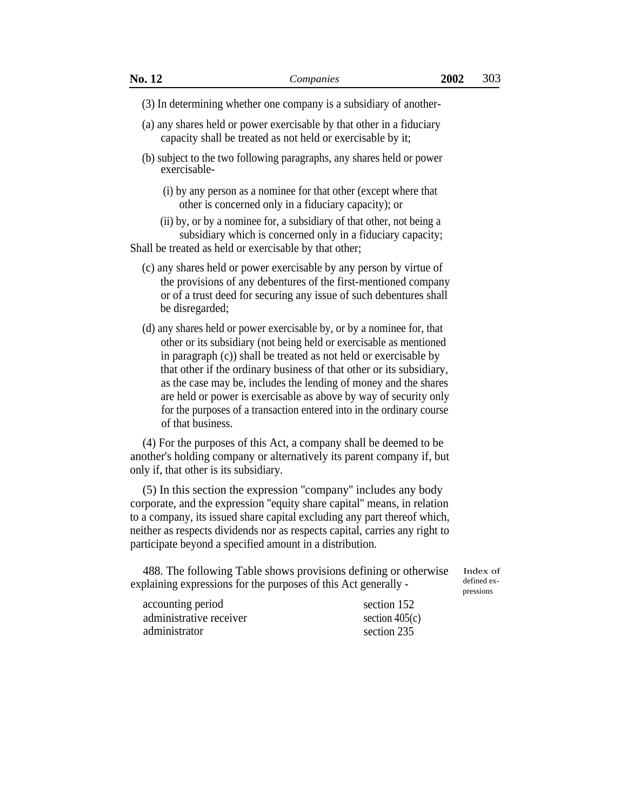| No. 12                                 | Companies                                                                                                                                                                                                                                                                                                                                                                                                                                                                                                   | 2002 | 303                                  |
|----------------------------------------|-------------------------------------------------------------------------------------------------------------------------------------------------------------------------------------------------------------------------------------------------------------------------------------------------------------------------------------------------------------------------------------------------------------------------------------------------------------------------------------------------------------|------|--------------------------------------|
|                                        | (3) In determining whether one company is a subsidiary of another-                                                                                                                                                                                                                                                                                                                                                                                                                                          |      |                                      |
|                                        | (a) any shares held or power exercisable by that other in a fiduciary<br>capacity shall be treated as not held or exercisable by it;                                                                                                                                                                                                                                                                                                                                                                        |      |                                      |
| exercisable-                           | (b) subject to the two following paragraphs, any shares held or power                                                                                                                                                                                                                                                                                                                                                                                                                                       |      |                                      |
|                                        | (i) by any person as a nominee for that other (except where that<br>other is concerned only in a fiduciary capacity); or                                                                                                                                                                                                                                                                                                                                                                                    |      |                                      |
|                                        | (ii) by, or by a nominee for, a subsidiary of that other, not being a<br>subsidiary which is concerned only in a fiduciary capacity;<br>Shall be treated as held or exercisable by that other;                                                                                                                                                                                                                                                                                                              |      |                                      |
| be disregarded;                        | (c) any shares held or power exercisable by any person by virtue of<br>the provisions of any debentures of the first-mentioned company<br>or of a trust deed for securing any issue of such debentures shall                                                                                                                                                                                                                                                                                                |      |                                      |
| of that business.                      | (d) any shares held or power exercisable by, or by a nominee for, that<br>other or its subsidiary (not being held or exercisable as mentioned<br>in paragraph (c)) shall be treated as not held or exercisable by<br>that other if the ordinary business of that other or its subsidiary,<br>as the case may be, includes the lending of money and the shares<br>are held or power is exercisable as above by way of security only<br>for the purposes of a transaction entered into in the ordinary course |      |                                      |
| only if, that other is its subsidiary. | (4) For the purposes of this Act, a company shall be deemed to be<br>another's holding company or alternatively its parent company if, but                                                                                                                                                                                                                                                                                                                                                                  |      |                                      |
|                                        | (5) In this section the expression "company" includes any body<br>corporate, and the expression "equity share capital" means, in relation<br>to a company, its issued share capital excluding any part thereof which,<br>neither as respects dividends nor as respects capital, carries any right to<br>participate beyond a specified amount in a distribution.                                                                                                                                            |      |                                      |
|                                        | 488. The following Table shows provisions defining or otherwise<br>explaining expressions for the purposes of this Act generally -                                                                                                                                                                                                                                                                                                                                                                          |      | Index of<br>defined ex-<br>pressions |
| accounting period                      | section 152                                                                                                                                                                                                                                                                                                                                                                                                                                                                                                 |      |                                      |

| accounting period       | section $152$    |
|-------------------------|------------------|
| administrative receiver | section $405(c)$ |
| administrator           | section 235      |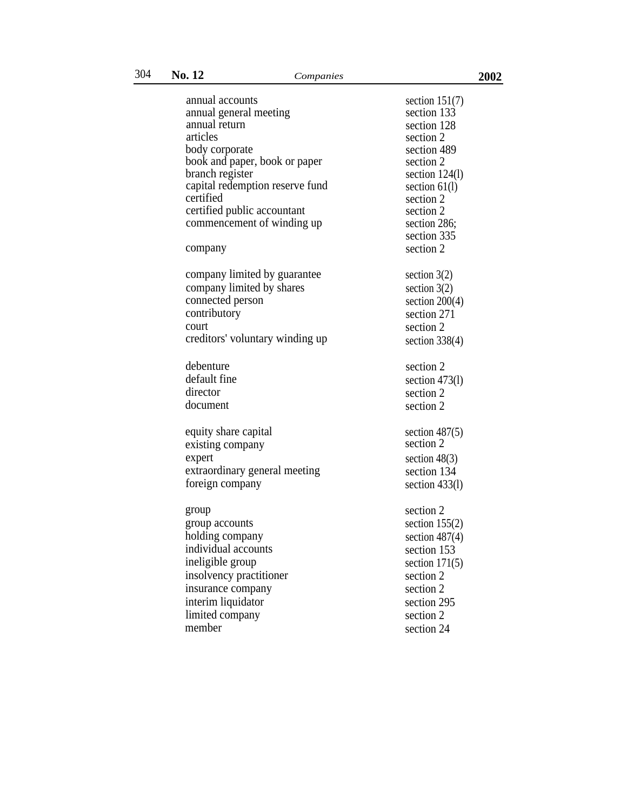| annual accounts<br>annual general meeting<br>annual return<br>articles<br>body corporate<br>book and paper, book or paper<br>branch register<br>capital redemption reserve fund<br>certified<br>certified public accountant<br>commencement of winding up<br>company | section $151(7)$<br>section 133<br>section 128<br>section 2<br>section 489<br>section 2<br>section $124(1)$<br>section $61(1)$<br>section 2<br>section 2<br>section 286;<br>section 335<br>section 2 |
|----------------------------------------------------------------------------------------------------------------------------------------------------------------------------------------------------------------------------------------------------------------------|------------------------------------------------------------------------------------------------------------------------------------------------------------------------------------------------------|
| company limited by guarantee                                                                                                                                                                                                                                         | section $3(2)$                                                                                                                                                                                       |
| company limited by shares                                                                                                                                                                                                                                            | section $3(2)$                                                                                                                                                                                       |
| connected person                                                                                                                                                                                                                                                     | section $200(4)$                                                                                                                                                                                     |
| contributory                                                                                                                                                                                                                                                         | section 271                                                                                                                                                                                          |
| court                                                                                                                                                                                                                                                                | section 2                                                                                                                                                                                            |
| creditors' voluntary winding up                                                                                                                                                                                                                                      | section $338(4)$                                                                                                                                                                                     |
| debenture                                                                                                                                                                                                                                                            | section 2                                                                                                                                                                                            |
| default fine                                                                                                                                                                                                                                                         | section $473(1)$                                                                                                                                                                                     |
| director                                                                                                                                                                                                                                                             | section 2                                                                                                                                                                                            |
| document                                                                                                                                                                                                                                                             | section 2                                                                                                                                                                                            |
| equity share capital                                                                                                                                                                                                                                                 | section $487(5)$                                                                                                                                                                                     |
| existing company                                                                                                                                                                                                                                                     | section 2                                                                                                                                                                                            |
| expert                                                                                                                                                                                                                                                               | section $48(3)$                                                                                                                                                                                      |
| extraordinary general meeting                                                                                                                                                                                                                                        | section 134                                                                                                                                                                                          |
| foreign company                                                                                                                                                                                                                                                      | section 433(1)                                                                                                                                                                                       |
| group                                                                                                                                                                                                                                                                | section 2                                                                                                                                                                                            |
| group accounts                                                                                                                                                                                                                                                       | section $155(2)$                                                                                                                                                                                     |
| holding company                                                                                                                                                                                                                                                      | section $487(4)$                                                                                                                                                                                     |
| individual accounts                                                                                                                                                                                                                                                  | section 153                                                                                                                                                                                          |
| ineligible group                                                                                                                                                                                                                                                     | section $171(5)$                                                                                                                                                                                     |
| insolvency practitioner                                                                                                                                                                                                                                              | section 2                                                                                                                                                                                            |
| insurance company                                                                                                                                                                                                                                                    | section 2                                                                                                                                                                                            |
| interim liquidator                                                                                                                                                                                                                                                   | section 295                                                                                                                                                                                          |
| limited company                                                                                                                                                                                                                                                      | section 2                                                                                                                                                                                            |
| member                                                                                                                                                                                                                                                               | section 24                                                                                                                                                                                           |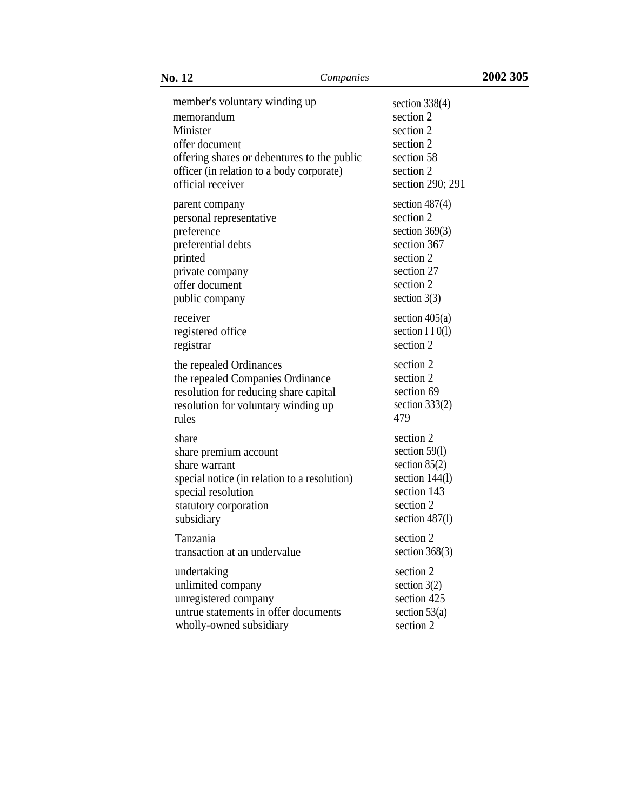| member's voluntary winding up                | section $338(4)$   |
|----------------------------------------------|--------------------|
| memorandum                                   | section 2          |
| Minister                                     | section 2          |
| offer document                               | section 2          |
| offering shares or debentures to the public  | section 58         |
| officer (in relation to a body corporate)    | section 2          |
| official receiver                            | section 290; 291   |
| parent company                               | section $487(4)$   |
| personal representative                      | section 2          |
| preference                                   | section $369(3)$   |
| preferential debts                           | section 367        |
| printed                                      | section 2          |
| private company                              | section 27         |
| offer document                               | section 2          |
| public company                               | section $3(3)$     |
| receiver                                     | section $405(a)$   |
| registered office                            | section I $1 0(1)$ |
| registrar                                    | section 2          |
| the repealed Ordinances                      | section 2          |
| the repealed Companies Ordinance             | section 2          |
| resolution for reducing share capital        | section 69         |
| resolution for voluntary winding up          | section $333(2)$   |
| rules                                        | 479                |
| share                                        | section 2          |
| share premium account                        | section 59(1)      |
| share warrant                                | section $85(2)$    |
| special notice (in relation to a resolution) | section $144(1)$   |
| special resolution                           | section 143        |
| statutory corporation                        | section 2          |
| subsidiary                                   | section $487(1)$   |
| Tanzania                                     | section 2          |
| transaction at an undervalue                 | section $368(3)$   |
| undertaking                                  | section 2          |
| unlimited company                            | section $3(2)$     |
| unregistered company                         | section 425        |
| untrue statements in offer documents         | section $53(a)$    |
| wholly-owned subsidiary                      | section 2          |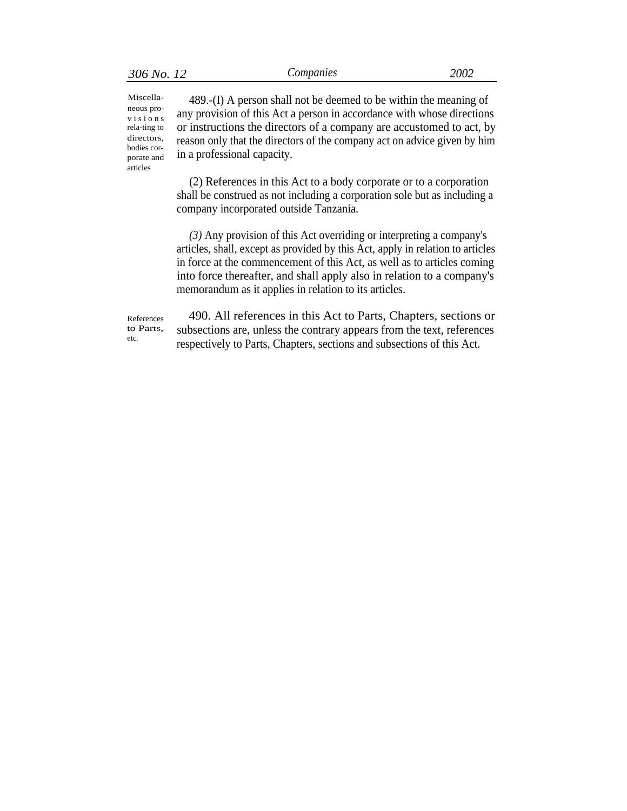*306 No. 12 Companies 2002*

neous prov i s i o n s rela-ting to directors, bodies corporate and articles

Miscella- 489.-(I) A person shall not be deemed to be within the meaning of any provision of this Act a person in accordance with whose directions or instructions the directors of a company are accustomed to act, by reason only that the directors of the company act on advice given by him in a professional capacity.

> (2) References in this Act to a body corporate or to a corporation shall be construed as not including a corporation sole but as including a company incorporated outside Tanzania.

> *(3)* Any provision of this Act overriding or interpreting a company's articles, shall, except as provided by this Act, apply in relation to articles in force at the commencement of this Act, as well as to articles coming into force thereafter, and shall apply also in relation to a company's memorandum as it applies in relation to its articles.

References to Parts, etc.

490. All references in this Act to Parts, Chapters, sections or subsections are, unless the contrary appears from the text, references respectively to Parts, Chapters, sections and subsections of this Act.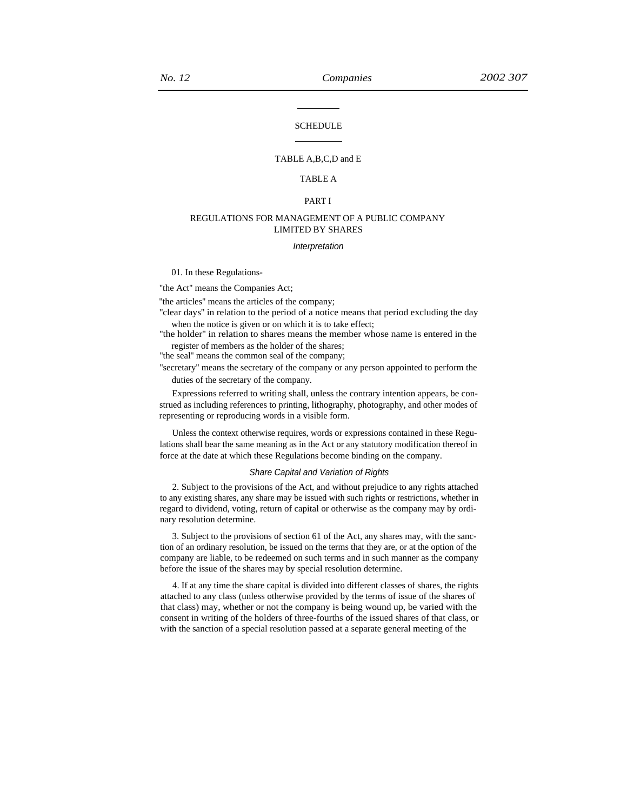## SCHEDULE

## TABLE A,B,C,D and E

# TABLE A

## PART I

# REGULATIONS FOR MANAGEMENT OF A PUBLIC COMPANY LIMITED BY SHARES

## *Interpretation*

## 01. In these Regulations-

''the Act'' means the Companies Act;

''the articles'' means the articles of the company;

"clear days" in relation to the period of a notice means that period excluding the day when the notice is given or on which it is to take effect;

''the holder'' in relation to shares means the member whose name is entered in the register of members as the holder of the shares;

''the seal'' means the common seal of the company;

''secretary'' means the secretary of the company or any person appointed to perform the duties of the secretary of the company.

Expressions referred to writing shall, unless the contrary intention appears, be construed as including references to printing, lithography, photography, and other modes of representing or reproducing words in a visible form.

Unless the context otherwise requires, words or expressions contained in these Regulations shall bear the same meaning as in the Act or any statutory modification thereof in force at the date at which these Regulations become binding on the company.

## *Share Capital and Variation of Rights*

2. Subject to the provisions of the Act, and without prejudice to any rights attached to any existing shares, any share may be issued with such rights or restrictions, whether in regard to dividend, voting, return of capital or otherwise as the company may by ordinary resolution determine.

3. Subject to the provisions of section 61 of the Act, any shares may, with the sanction of an ordinary resolution, be issued on the terms that they are, or at the option of the company are liable, to be redeemed on such terms and in such manner as the company before the issue of the shares may by special resolution determine.

4. If at any time the share capital is divided into different classes of shares, the rights attached to any class (unless otherwise provided by the terms of issue of the shares of that class) may, whether or not the company is being wound up, be varied with the consent in writing of the holders of three-fourths of the issued shares of that class, or with the sanction of a special resolution passed at a separate general meeting of the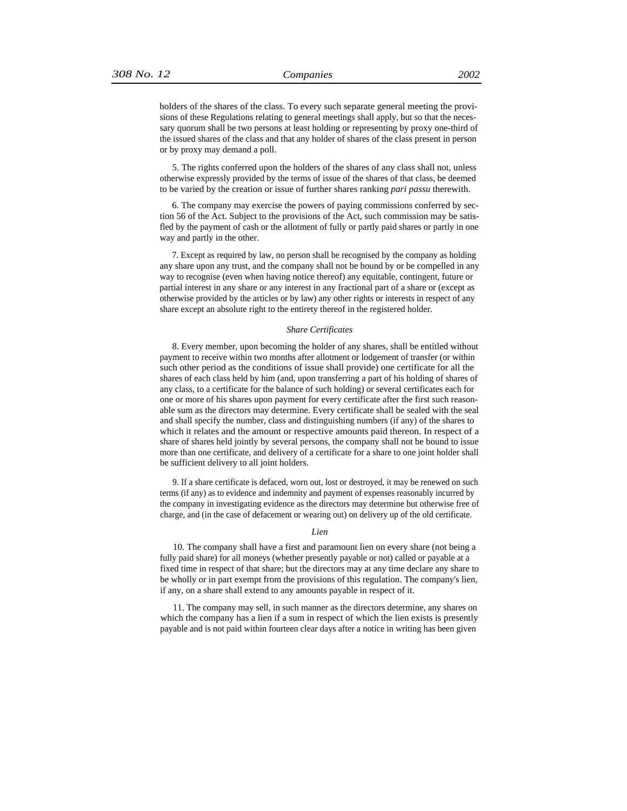holders of the shares of the class. To every such separate general meeting the provisions of these Regulations relating to general meetings shall apply, but so that the necessary quorum shall be two persons at least holding or representing by proxy one-third of the issued shares of the class and that any holder of shares of the class present in person or by proxy may demand a poll.

5. The rights conferred upon the holders of the shares of any class shall not, unless otherwise expressly provided by the terms of issue of the shares of that class, be deemed to be varied by the creation or issue of further shares ranking *pari passu* therewith.

6. The company may exercise the powers of paying commissions conferred by section 56 of the Act. Subject to the provisions of the Act, such commission may be satisfled by the payment of cash or the allotment of fully or partly paid shares or partly in one way and partly in the other.

7. Except as required by law, no person shall be recognised by the company as holding any share upon any trust, and the company shall not be bound by or be compelled in any way to recognise (even when having notice thereof) any equitable, contingent, future or partial interest in any share or any interest in any fractional part of a share or (except as otherwise provided by the articles or by law) any other rights or interests in respect of any share except an absolute right to the entirety thereof in the registered holder.

#### *Share Certificates*

8. Every member, upon becoming the holder of any shares, shall be entitled without payment to receive within two months after allotment or lodgement of transfer (or within such other period as the conditions of issue shall provide) one certificate for all the shares of each class held by him (and, upon transferring a part of his holding of shares of any class, to a certificate for the balance of such holding) or several certificates each for one or more of his shares upon payment for every certificate after the first such reasonable sum as the directors may determine. Every certificate shall be sealed with the seal and shall specify the number, class and distinguishing numbers (if any) of the shares to which it relates and the amount or respective amounts paid thereon. In respect of a share of shares held jointly by several persons, the company shall not be bound to issue more than one certificate, and delivery of a certificate for a share to one joint holder shall be sufficient delivery to all joint holders.

9. If a share certificate is defaced, worn out, lost or destroyed, it may be renewed on such terms (if any) as to evidence and indemnity and payment of expenses reasonably incurred by the company in investigating evidence as the directors may determine but otherwise free of charge, and (in the case of defacement or wearing out) on delivery up of the old certificate.

#### *Lien*

10. The company shall have a first and paramount lien on every share (not being a fully paid share) for all moneys (whether presently payable or not) called or payable at a fixed time in respect of that share; but the directors may at any time declare any share to be wholly or in part exempt from the provisions of this regulation. The company's lien, if any, on a share shall extend to any amounts payable in respect of it.

11. The company may sell, in such manner as the directors determine, any shares on which the company has a lien if a sum in respect of which the lien exists is presently payable and is not paid within fourteen clear days after a notice in writing has been given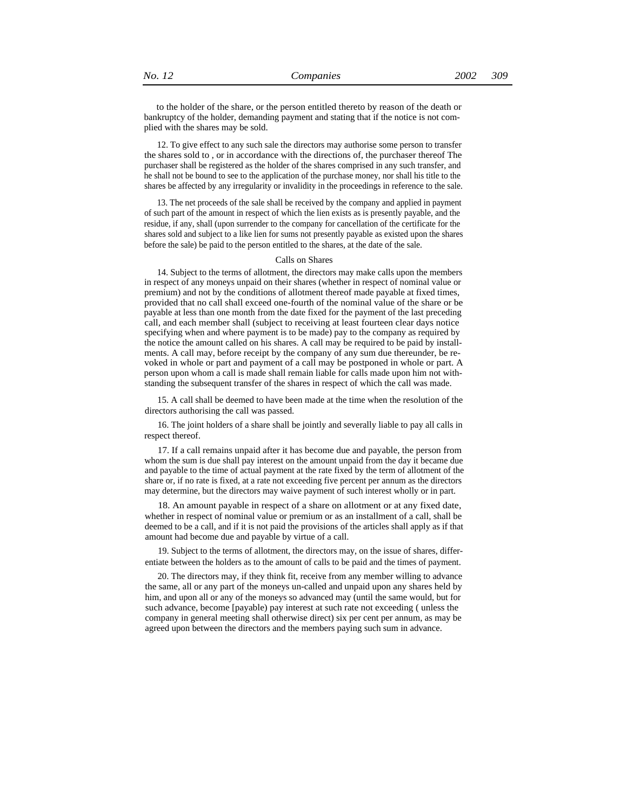to the holder of the share, or the person entitled thereto by reason of the death or bankruptcy of the holder, demanding payment and stating that if the notice is not complied with the shares may be sold.

12. To give effect to any such sale the directors may authorise some person to transfer the shares sold to , or in accordance with the directions of, the purchaser thereof The purchaser shall be registered as the holder of the shares comprised in any such transfer, and he shall not be bound to see to the application of the purchase money, nor shall his title to the shares be affected by any irregularity or invalidity in the proceedings in reference to the sale.

13. The net proceeds of the sale shall be received by the company and applied in payment of such part of the amount in respect of which the lien exists as is presently payable, and the residue, if any, shall (upon surrender to the company for cancellation of the certificate for the shares sold and subject to a like lien for sums not presently payable as existed upon the shares before the sale) be paid to the person entitled to the shares, at the date of the sale.

## Calls on Shares

14. Subject to the terms of allotment, the directors may make calls upon the members in respect of any moneys unpaid on their shares (whether in respect of nominal value or premium) and not by the conditions of allotment thereof made payable at fixed times, provided that no call shall exceed one-fourth of the nominal value of the share or be payable at less than one month from the date fixed for the payment of the last preceding call, and each member shall (subject to receiving at least fourteen clear days notice specifying when and where payment is to be made) pay to the company as required by the notice the amount called on his shares. A call may be required to be paid by installments. A call may, before receipt by the company of any sum due thereunder, be revoked in whole or part and payment of a call may be postponed in whole or part. A person upon whom a call is made shall remain liable for calls made upon him not withstanding the subsequent transfer of the shares in respect of which the call was made.

15. A call shall be deemed to have been made at the time when the resolution of the directors authorising the call was passed.

16. The joint holders of a share shall be jointly and severally liable to pay all calls in respect thereof.

17. If a call remains unpaid after it has become due and payable, the person from whom the sum is due shall pay interest on the amount unpaid from the day it became due and payable to the time of actual payment at the rate fixed by the term of allotment of the share or, if no rate is fixed, at a rate not exceeding five percent per annum as the directors may determine, but the directors may waive payment of such interest wholly or in part.

18. An amount payable in respect of a share on allotment or at any fixed date, whether in respect of nominal value or premium or as an installment of a call, shall be deemed to be a call, and if it is not paid the provisions of the articles shall apply as if that amount had become due and payable by virtue of a call.

19. Subject to the terms of allotment, the directors may, on the issue of shares, differentiate between the holders as to the amount of calls to be paid and the times of payment.

20. The directors may, if they think fit, receive from any member willing to advance the same, all or any part of the moneys un-called and unpaid upon any shares held by him, and upon all or any of the moneys so advanced may (until the same would, but for such advance, become [payable) pay interest at such rate not exceeding ( unless the company in general meeting shall otherwise direct) six per cent per annum, as may be agreed upon between the directors and the members paying such sum in advance.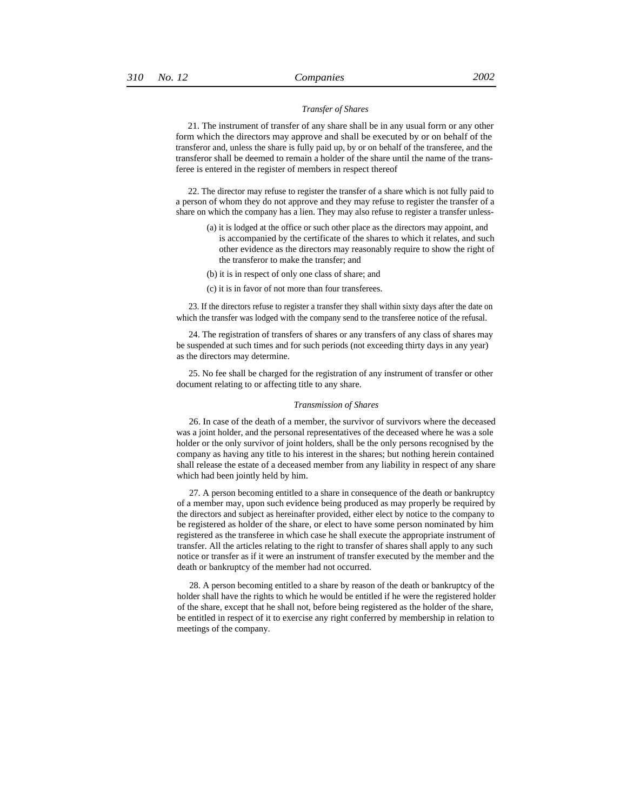#### *Transfer of Shares*

21. The instrument of transfer of any share shall be in any usual forrn or any other form which the directors may approve and shall be executed by or on behalf of the transferor and, unless the share is fully paid up, by or on behalf of the transferee, and the transferor shall be deemed to remain a holder of the share until the name of the transferee is entered in the register of members in respect thereof

22. The director may refuse to register the transfer of a share which is not fully paid to a person of whom they do not approve and they may refuse to register the transfer of a share on which the company has a lien. They may also refuse to register a transfer unless-

- (a) it is lodged at the office or such other place as the directors may appoint, and is accompanied by the certificate of the shares to which it relates, and such other evidence as the directors may reasonably require to show the right of the transferor to make the transfer; and
- (b) it is in respect of only one class of share; and
- (c) it is in favor of not more than four transferees.

23. If the directors refuse to register a transfer they shall within sixty days after the date on which the transfer was lodged with the company send to the transferee notice of the refusal.

24. The registration of transfers of shares or any transfers of any class of shares may be suspended at such times and for such periods (not exceeding thirty days in any year) as the directors may determine.

25. No fee shall be charged for the registration of any instrument of transfer or other document relating to or affecting title to any share.

#### *Transmission of Shares*

26. In case of the death of a member, the survivor of survivors where the deceased was a joint holder, and the personal representatives of the deceased where he was a sole holder or the only survivor of joint holders, shall be the only persons recognised by the company as having any title to his interest in the shares; but nothing herein contained shall release the estate of a deceased member from any liability in respect of any share which had been jointly held by him.

27. A person becoming entitled to a share in consequence of the death or bankruptcy of a member may, upon such evidence being produced as may properly be required by the directors and subject as hereinafter provided, either elect by notice to the company to be registered as holder of the share, or elect to have some person nominated by him registered as the transferee in which case he shall execute the appropriate instrument of transfer. All the articles relating to the right to transfer of shares shall apply to any such notice or transfer as if it were an instrument of transfer executed by the member and the death or bankruptcy of the member had not occurred.

28. A person becoming entitled to a share by reason of the death or bankruptcy of the holder shall have the rights to which he would be entitled if he were the registered holder of the share, except that he shall not, before being registered as the holder of the share, be entitled in respect of it to exercise any right conferred by membership in relation to meetings of the company.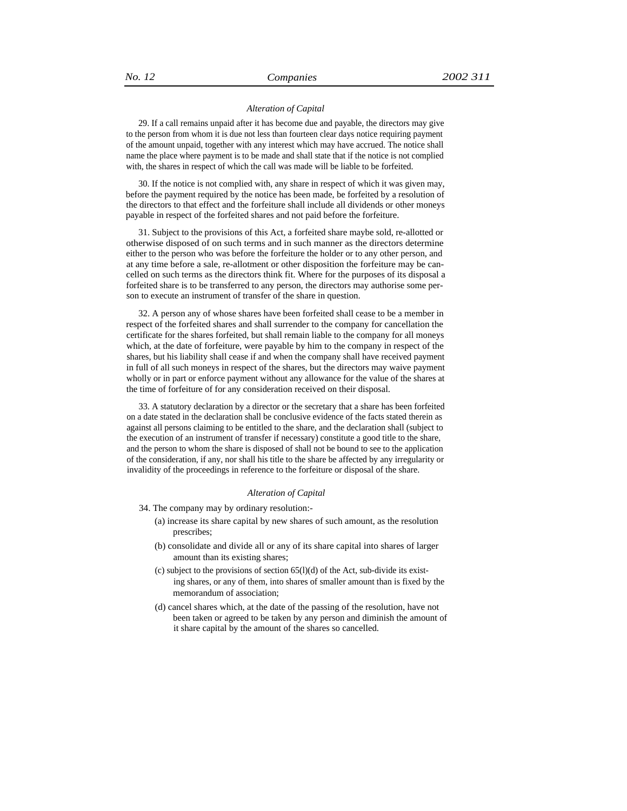#### *Alteration of Capital*

29. If a call remains unpaid after it has become due and payable, the directors may give to the person from whom it is due not less than fourteen clear days notice requiring payment of the amount unpaid, together with any interest which may have accrued. The notice shall name the place where payment is to be made and shall state that if the notice is not complied with, the shares in respect of which the call was made will be liable to be forfeited.

30. If the notice is not complied with, any share in respect of which it was given may, before the payment required by the notice has been made, be forfeited by a resolution of the directors to that effect and the forfeiture shall include all dividends or other moneys payable in respect of the forfeited shares and not paid before the forfeiture.

31. Subject to the provisions of this Act, a forfeited share maybe sold, re-allotted or otherwise disposed of on such terms and in such manner as the directors determine either to the person who was before the forfeiture the holder or to any other person, and at any time before a sale, re-allotment or other disposition the forfeiture may be cancelled on such terms as the directors think fit. Where for the purposes of its disposal a forfeited share is to be transferred to any person, the directors may authorise some person to execute an instrument of transfer of the share in question.

32. A person any of whose shares have been forfeited shall cease to be a member in respect of the forfeited shares and shall surrender to the company for cancellation the certificate for the shares forfeited, but shall remain liable to the company for all moneys which, at the date of forfeiture, were payable by him to the company in respect of the shares, but his liability shall cease if and when the company shall have received payment in full of all such moneys in respect of the shares, but the directors may waive payment wholly or in part or enforce payment without any allowance for the value of the shares at the time of forfeiture of for any consideration received on their disposal.

33. A statutory declaration by a director or the secretary that a share has been forfeited on a date stated in the declaration shall be conclusive evidence of the facts stated therein as against all persons claiming to be entitled to the share, and the declaration shall (subject to the execution of an instrument of transfer if necessary) constitute a good title to the share, and the person to whom the share is disposed of shall not be bound to see to the application of the consideration, if any, nor shall his title to the share be affected by any irregularity or invalidity of the proceedings in reference to the forfeiture or disposal of the share.

#### *Alteration of Capital*

- 34. The company may by ordinary resolution:-
	- (a) increase its share capital by new shares of such amount, as the resolution prescribes;
	- (b) consolidate and divide all or any of its share capital into shares of larger amount than its existing shares;
	- (c) subject to the provisions of section  $65(l)(d)$  of the Act, sub-divide its existing shares, or any of them, into shares of smaller amount than is fixed by the memorandum of association;
	- (d) cancel shares which, at the date of the passing of the resolution, have not been taken or agreed to be taken by any person and diminish the amount of it share capital by the amount of the shares so cancelled.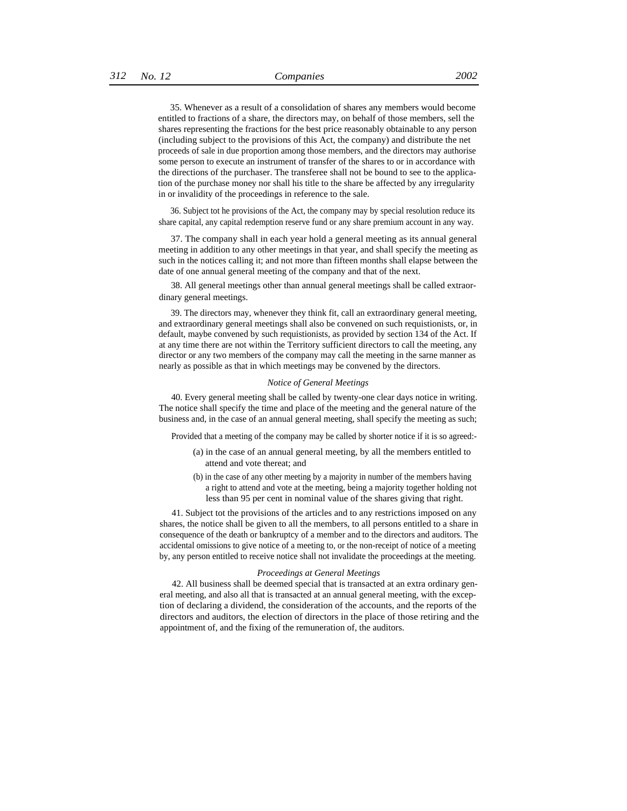35. Whenever as a result of a consolidation of shares any members would become entitled to fractions of a share, the directors may, on behalf of those members, sell the shares representing the fractions for the best price reasonably obtainable to any person (including subject to the provisions of this Act, the company) and distribute the net proceeds of sale in due proportion among those members, and the directors may authorise some person to execute an instrument of transfer of the shares to or in accordance with the directions of the purchaser. The transferee shall not be bound to see to the application of the purchase money nor shall his title to the share be affected by any irregularity in or invalidity of the proceedings in reference to the sale.

36. Subject tot he provisions of the Act, the company may by special resolution reduce its share capital, any capital redemption reserve fund or any share premium account in any way.

37. The company shall in each year hold a general meeting as its annual general meeting in addition to any other meetings in that year, and shall specify the meeting as such in the notices calling it; and not more than fifteen months shall elapse between the date of one annual general meeting of the company and that of the next.

38. All general meetings other than annual general meetings shall be called extraordinary general meetings.

39. The directors may, whenever they think fit, call an extraordinary general meeting, and extraordinary general meetings shall also be convened on such requistionists, or, in default, maybe convened by such requistionists, as provided by section 134 of the Act. If at any time there are not within the Territory sufficient directors to call the meeting, any director or any two members of the company may call the meeting in the sarne manner as nearly as possible as that in which meetings may be convened by the directors.

## *Notice of General Meetings*

40. Every general meeting shall be called by twenty-one clear days notice in writing. The notice shall specify the time and place of the meeting and the general nature of the business and, in the case of an annual general meeting, shall specify the meeting as such;

Provided that a meeting of the company may be called by shorter notice if it is so agreed:-

- (a) in the case of an annual general meeting, by all the members entitled to attend and vote thereat; and
- (b) in the case of any other meeting by a majority in number of the members having a right to attend and vote at the meeting, being a majority together holding not less than 95 per cent in nominal value of the shares giving that right.

41. Subject tot the provisions of the articles and to any restrictions imposed on any shares, the notice shall be given to all the members, to all persons entitled to a share in consequence of the death or bankruptcy of a member and to the directors and auditors. The accidental omissions to give notice of a meeting to, or the non-receipt of notice of a meeting by, any person entitled to receive notice shall not invalidate the proceedings at the meeting.

#### *Proceedings at General Meetings*

42. All business shall be deemed special that is transacted at an extra ordinary general meeting, and also all that is transacted at an annual general meeting, with the exception of declaring a dividend, the consideration of the accounts, and the reports of the directors and auditors, the election of directors in the place of those retiring and the appointment of, and the fixing of the remuneration of, the auditors.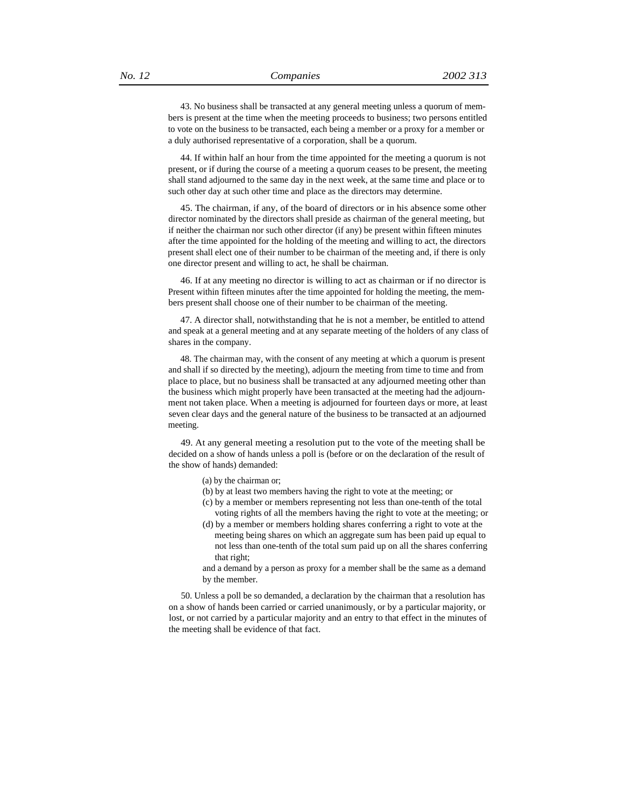43. No business shall be transacted at any general meeting unless a quorum of members is present at the time when the meeting proceeds to business; two persons entitled to vote on the business to be transacted, each being a member or a proxy for a member or a duly authorised representative of a corporation, shall be a quorum.

44. If within half an hour from the time appointed for the meeting a quorum is not present, or if during the course of a meeting a quorum ceases to be present, the meeting shall stand adjourned to the same day in the next week, at the same time and place or to such other day at such other time and place as the directors may determine.

45. The chairman, if any, of the board of directors or in his absence some other director nominated by the directors shall preside as chairman of the general meeting, but if neither the chairman nor such other director (if any) be present within fifteen minutes after the time appointed for the holding of the meeting and willing to act, the directors present shall elect one of their number to be chairman of the meeting and, if there is only one director present and willing to act, he shall be chairman.

46. If at any meeting no director is willing to act as chairman or if no director is Present within fifteen minutes after the time appointed for holding the meeting, the members present shall choose one of their number to be chairman of the meeting.

47. A director shall, notwithstanding that he is not a member, be entitled to attend and speak at a general meeting and at any separate meeting of the holders of any class of shares in the company.

48. The chairman may, with the consent of any meeting at which a quorum is present and shall if so directed by the meeting), adjourn the meeting from time to time and from place to place, but no business shall be transacted at any adjourned meeting other than the business which might properly have been transacted at the meeting had the adjournment not taken place. When a meeting is adjourned for fourteen days or more, at least seven clear days and the general nature of the business to be transacted at an adjourned meeting.

49. At any general meeting a resolution put to the vote of the meeting shall be decided on a show of hands unless a poll is (before or on the declaration of the result of the show of hands) demanded:

- (a) by the chairman or;
- (b) by at least two members having the right to vote at the meeting; or
- (c) by a member or members representing not less than one-tenth of the total voting rights of all the members having the right to vote at the meeting; or
- (d) by a member or members holding shares conferring a right to vote at the meeting being shares on which an aggregate sum has been paid up equal to not less than one-tenth of the total sum paid up on all the shares conferring that right;

and a demand by a person as proxy for a member shall be the same as a demand by the member.

50. Unless a poll be so demanded, a declaration by the chairman that a resolution has on a show of hands been carried or carried unanimously, or by a particular majority, or lost, or not carried by a particular majority and an entry to that effect in the minutes of the meeting shall be evidence of that fact.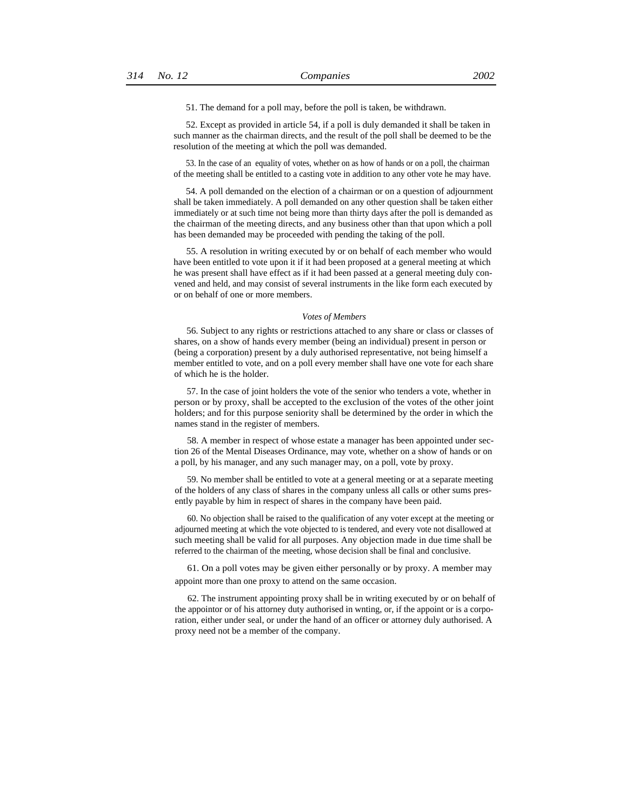51. The demand for a poll may, before the poll is taken, be withdrawn.

52. Except as provided in article 54, if a poll is duly demanded it shall be taken in such manner as the chairman directs, and the result of the poll shall be deemed to be the resolution of the meeting at which the poll was demanded.

53. In the case of an equality of votes, whether on as how of hands or on a poll, the chairman of the meeting shall be entitled to a casting vote in addition to any other vote he may have.

54. A poll demanded on the election of a chairman or on a question of adjournment shall be taken immediately. A poll demanded on any other question shall be taken either immediately or at such time not being more than thirty days after the poll is demanded as the chairman of the meeting directs, and any business other than that upon which a poll has been demanded may be proceeded with pending the taking of the poll.

55. A resolution in writing executed by or on behalf of each member who would have been entitled to vote upon it if it had been proposed at a general meeting at which he was present shall have effect as if it had been passed at a general meeting duly convened and held, and may consist of several instruments in the like form each executed by or on behalf of one or more members.

#### *Votes of Members*

56. Subject to any rights or restrictions attached to any share or class or classes of shares, on a show of hands every member (being an individual) present in person or (being a corporation) present by a duly authorised representative, not being himself a member entitled to vote, and on a poll every member shall have one vote for each share of which he is the holder.

57. In the case of joint holders the vote of the senior who tenders a vote, whether in person or by proxy, shall be accepted to the exclusion of the votes of the other joint holders; and for this purpose seniority shall be determined by the order in which the names stand in the register of members.

58. A member in respect of whose estate a manager has been appointed under section 26 of the Mental Diseases Ordinance, may vote, whether on a show of hands or on a poll, by his manager, and any such manager may, on a poll, vote by proxy.

59. No member shall be entitled to vote at a general meeting or at a separate meeting of the holders of any class of shares in the company unless all calls or other sums presently payable by him in respect of shares in the company have been paid.

60. No objection shall be raised to the qualification of any voter except at the meeting or adjourned meeting at which the vote objected to is tendered, and every vote not disallowed at such meeting shall be valid for all purposes. Any objection made in due time shall be referred to the chairman of the meeting, whose decision shall be final and conclusive.

61. On a poll votes may be given either personally or by proxy. A member may appoint more than one proxy to attend on the same occasion.

62. The instrument appointing proxy shall be in writing executed by or on behalf of the appointor or of his attorney duty authorised in wnting, or, if the appoint or is a corporation, either under seal, or under the hand of an officer or attorney duly authorised. A proxy need not be a member of the company.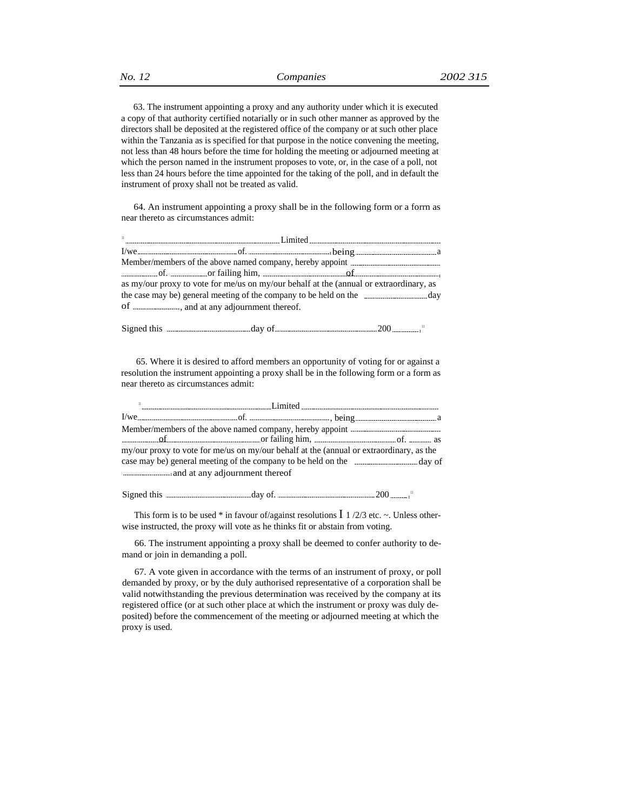63. The instrument appointing a proxy and any authority under which it is executed a copy of that authority certified notarially or in such other manner as approved by the directors shall be deposited at the registered office of the company or at such other place within the Tanzania as is specified for that purpose in the notice convening the meeting, not less than 48 hours before the time for holding the meeting or adjourned meeting at which the person named in the instrument proposes to vote, or, in the case of a poll, not less than 24 hours before the time appointed for the taking of the poll, and in default the instrument of proxy shall not be treated as valid.

64. An instrument appointing a proxy shall be in the following form or a forrn as near thereto as circumstances admit:

| $\mathbf{H}$ |                                                                                        |  |
|--------------|----------------------------------------------------------------------------------------|--|
|              |                                                                                        |  |
|              |                                                                                        |  |
|              |                                                                                        |  |
|              | as my/our proxy to vote for me/us on my/our behalf at the (annual or extraordinary, as |  |
|              |                                                                                        |  |
|              |                                                                                        |  |
|              |                                                                                        |  |
|              |                                                                                        |  |

Signed this day of 200 <sup>11</sup> I

65. Where it is desired to afford members an opportunity of voting for or against a resolution the instrument appointing a proxy shall be in the following form or a form as near thereto as circumstances admit:

....Limited ..................... I/we of. , being a Member/members of the above named company, hereby appoint of <u>or failing</u> him, **and the contract of contract of and the set of all in the set of assume as** my/our proxy to vote for me/us on my/our behalf at the (annual or extraordinary, as the case may be) general meeting of the company to be held on the day of Influencement thereof

Signed this day of. 200 <sup>11</sup> I

This form is to be used \* in favour of/against resolutions  $\overline{I}$  1/2/3 etc. ~. Unless otherwise instructed, the proxy will vote as he thinks fit or abstain from voting.

66. The instrument appointing a proxy shall be deemed to confer authority to demand or join in demanding a poll.

67. A vote given in accordance with the terms of an instrument of proxy, or poll demanded by proxy, or by the duly authorised representative of a corporation shall be valid notwithstanding the previous determination was received by the company at its registered office (or at such other place at which the instrument or proxy was duly deposited) before the commencement of the meeting or adjourned meeting at which the proxy is used.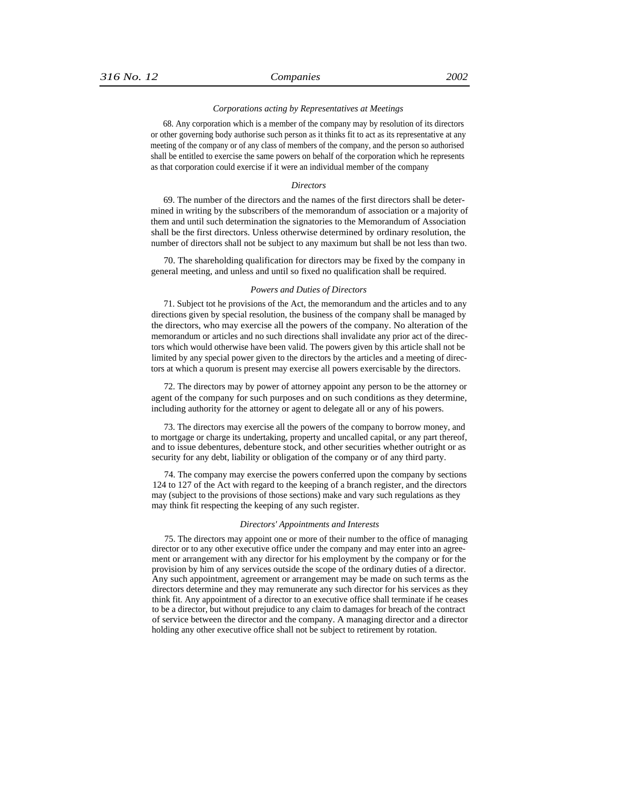## *Corporations acting by Representatives at Meetings*

68. Any corporation which is a member of the company may by resolution of its directors or other governing body authorise such person as it thinks fit to act as its representative at any meeting of the company or of any class of members of the company, and the person so authorised shall be entitled to exercise the same powers on behalf of the corporation which he represents as that corporation could exercise if it were an individual member of the company

#### *Directors*

69. The number of the directors and the names of the first directors shall be determined in writing by the subscribers of the memorandum of association or a majority of them and until such determination the signatories to the Memorandum of Association shall be the first directors. Unless otherwise determined by ordinary resolution, the number of directors shall not be subject to any maximum but shall be not less than two.

70. The shareholding qualification for directors may be fixed by the company in general meeting, and unless and until so fixed no qualification shall be required.

#### *Powers and Duties of Directors*

71. Subject tot he provisions of the Act, the memorandum and the articles and to any directions given by special resolution, the business of the company shall be managed by the directors, who may exercise all the powers of the company. No alteration of the memorandum or articles and no such directions shall invalidate any prior act of the directors which would otherwise have been valid. The powers given by this article shall not be limited by any special power given to the directors by the articles and a meeting of directors at which a quorum is present may exercise all powers exercisable by the directors.

72. The directors may by power of attorney appoint any person to be the attorney or agent of the company for such purposes and on such conditions as they determine, including authority for the attorney or agent to delegate all or any of his powers.

73. The directors may exercise all the powers of the company to borrow money, and to mortgage or charge its undertaking, property and uncalled capital, or any part thereof, and to issue debentures, debenture stock, and other securities whether outright or as security for any debt, liability or obligation of the company or of any third party.

74. The company may exercise the powers conferred upon the company by sections 124 to 127 of the Act with regard to the keeping of a branch register, and the directors may (subject to the provisions of those sections) make and vary such regulations as they may think fit respecting the keeping of any such register.

## *Directors' Appointments and Interests*

75. The directors may appoint one or more of their number to the office of managing director or to any other executive office under the company and may enter into an agreement or arrangement with any director for his employment by the company or for the provision by him of any services outside the scope of the ordinary duties of a director. Any such appointment, agreement or arrangement may be made on such terms as the directors determine and they may remunerate any such director for his services as they think fit. Any appointment of a director to an executive office shall terminate if he ceases to be a director, but without prejudice to any claim to damages for breach of the contract of service between the director and the company. A managing director and a director holding any other executive office shall not be subject to retirement by rotation.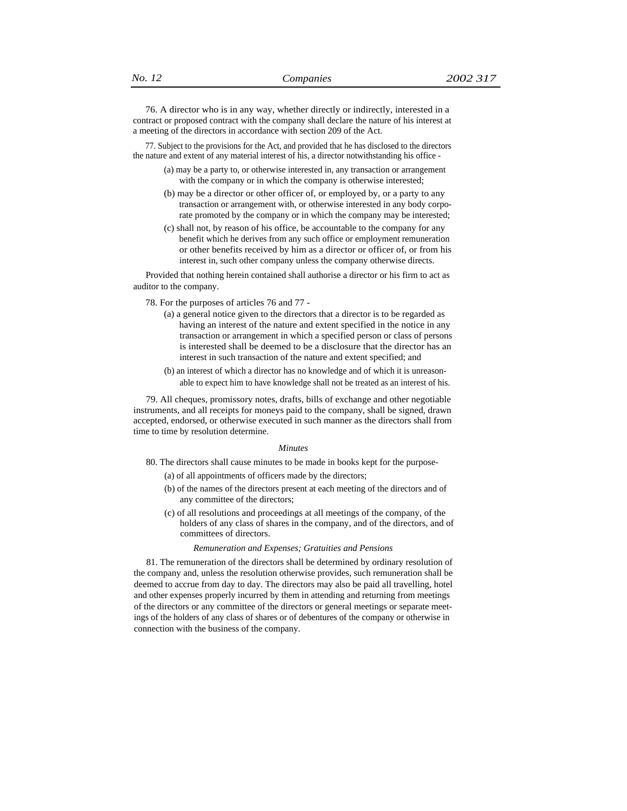76. A director who is in any way, whether directly or indirectly, interested in a contract or proposed contract with the company shall declare the nature of his interest at a meeting of the directors in accordance with section 209 of the Act.

77. Subject to the provisions for the Act, and provided that he has disclosed to the directors the nature and extent of any material interest of his, a director notwithstanding his office -

- (a) may be a party to, or otherwise interested in, any transaction or arrangement with the company or in which the company is otherwise interested;
- (b) may be a director or other officer of, or employed by, or a party to any transaction or arrangement with, or otherwise interested in any body corporate promoted by the company or in which the company may be interested;
- (c) shall not, by reason of his office, be accountable to the company for any benefit which he derives from any such office or employment remuneration or other benefits received by him as a director or officer of, or from his interest in, such other company unless the company otherwise directs.

Provided that nothing herein contained shall authorise a director or his firm to act as auditor to the company.

78. For the purposes of articles 76 and 77 -

- (a) a general notice given to the directors that a director is to be regarded as having an interest of the nature and extent specified in the notice in any transaction or arrangement in which a specified person or class of persons is interested shall be deemed to be a disclosure that the director has an interest in such transaction of the nature and extent specified; and
- (b) an interest of which a director has no knowledge and of which it is unreasonable to expect him to have knowledge shall not be treated as an interest of his.

79. All cheques, promissory notes, drafts, bills of exchange and other negotiable instruments, and all receipts for moneys paid to the company, shall be signed, drawn accepted, endorsed, or otherwise executed in such manner as the directors shall from time to time by resolution determine.

#### *Minutes*

- 80. The directors shall cause minutes to be made in books kept for the purpose-
	- (a) of all appointments of officers made by the directors;
	- (b) of the names of the directors present at each meeting of the directors and of any committee of the directors;
	- (c) of all resolutions and proceedings at all meetings of the company, of the holders of any class of shares in the company, and of the directors, and of committees of directors.

#### *Remuneration and Expenses; Gratuities and Pensions*

81. The remuneration of the directors shall be determined by ordinary resolution of the company and, unless the resolution otherwise provides, such remuneration shall be deemed to accrue from day to day. The directors may also be paid all travelling, hotel and other expenses properly incurred by them in attending and returning from meetings of the directors or any committee of the directors or general meetings or separate meetings of the holders of any class of shares or of debentures of the company or otherwise in connection with the business of the company.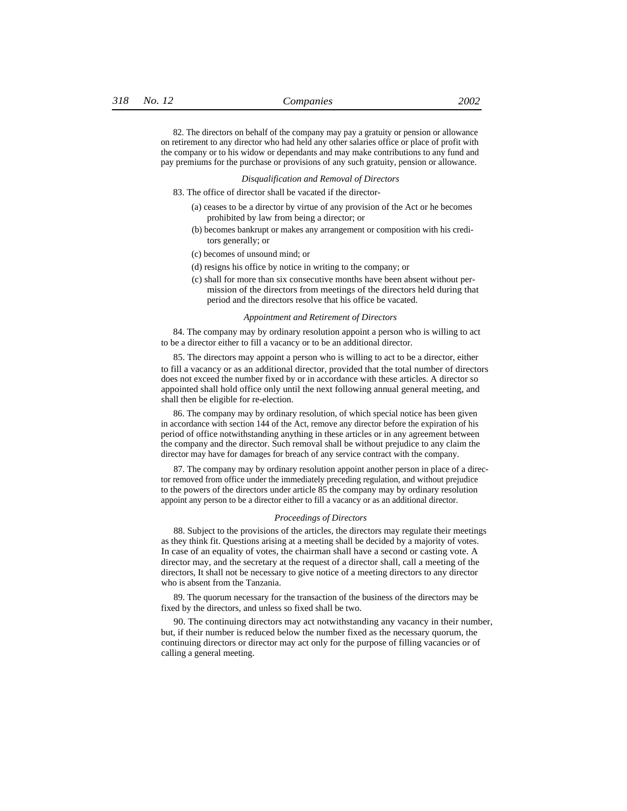82. The directors on behalf of the company may pay a gratuity or pension or allowance on retirement to any director who had held any other salaries office or place of profit with the company or to his widow or dependants and may make contributions to any fund and pay premiums for the purchase or provisions of any such gratuity, pension or allowance.

## *Disqualification and Removal of Directors*

83. The office of director shall be vacated if the director-

- (a) ceases to be a director by virtue of any provision of the Act or he becomes prohibited by law from being a director; or
- (b) becomes bankrupt or makes any arrangement or composition with his creditors generally; or
- (c) becomes of unsound mind; or
- (d) resigns his office by notice in writing to the company; or
- (c) shall for more than six consecutive months have been absent without permission of the directors from meetings of the directors held during that period and the directors resolve that his office be vacated.

#### *Appointment and Retirement of Directors*

84. The company may by ordinary resolution appoint a person who is willing to act to be a director either to fill a vacancy or to be an additional director.

85. The directors may appoint a person who is willing to act to be a director, either to fill a vacancy or as an additional director, provided that the total number of directors does not exceed the number fixed by or in accordance with these articles. A director so appointed shall hold office only until the next following annual general meeting, and shall then be eligible for re-election.

86. The company may by ordinary resolution, of which special notice has been given in accordance with section 144 of the Act, remove any director before the expiration of his period of office notwithstanding anything in these articles or in any agreement between the company and the director. Such removal shall be without prejudice to any claim the director may have for damages for breach of any service contract with the company.

87. The company may by ordinary resolution appoint another person in place of a director removed from office under the immediately preceding regulation, and without prejudice to the powers of the directors under article 85 the company may by ordinary resolution appoint any person to be a director either to fill a vacancy or as an additional director.

#### *Proceedings of Directors*

88. Subject to the provisions of the articles, the directors may regulate their meetings as they think fit. Questions arising at a meeting shall be decided by a majority of votes. In case of an equality of votes, the chairman shall have a second or casting vote. A director may, and the secretary at the request of a director shall, call a meeting of the directors, It shall not be necessary to give notice of a meeting directors to any director who is absent from the Tanzania.

89. The quorum necessary for the transaction of the business of the directors may be fixed by the directors, and unless so fixed shall be two.

90. The continuing directors may act notwithstanding any vacancy in their number, but, if their number is reduced below the number fixed as the necessary quorum, the continuing directors or director may act only for the purpose of filling vacancies or of calling a general meeting.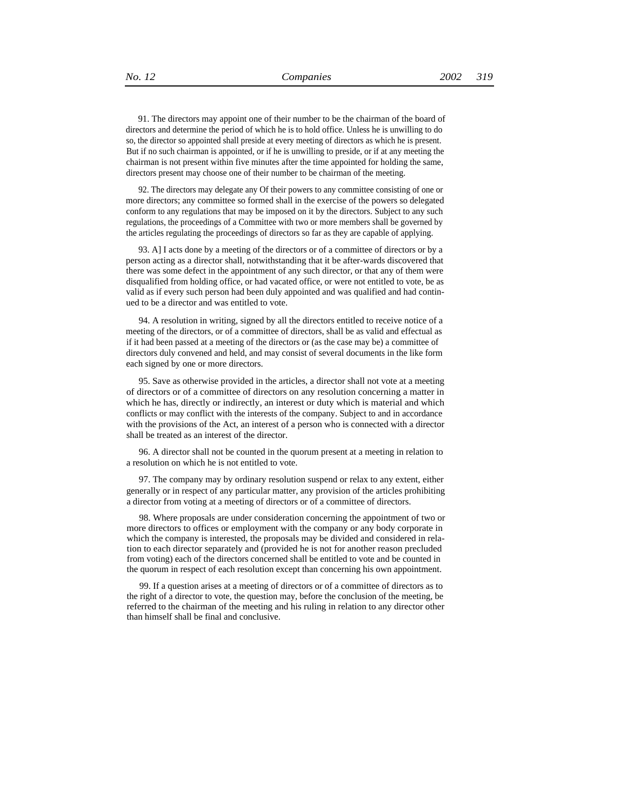91. The directors may appoint one of their number to be the chairman of the board of directors and determine the period of which he is to hold office. Unless he is unwilling to do so, the director so appointed shall preside at every meeting of directors as which he is present. But if no such chairman is appointed, or if he is unwilling to preside, or if at any meeting the chairman is not present within five minutes after the time appointed for holding the same, directors present may choose one of their number to be chairman of the meeting.

92. The directors may delegate any Of their powers to any committee consisting of one or more directors; any committee so formed shall in the exercise of the powers so delegated conform to any regulations that may be imposed on it by the directors. Subject to any such regulations, the proceedings of a Committee with two or more members shall be governed by the articles regulating the proceedings of directors so far as they are capable of applying.

93. A] I acts done by a meeting of the directors or of a committee of directors or by a person acting as a director shall, notwithstanding that it be after-wards discovered that there was some defect in the appointment of any such director, or that any of them were disqualified from holding office, or had vacated office, or were not entitled to vote, be as valid as if every such person had been duly appointed and was qualified and had continued to be a director and was entitled to vote.

94. A resolution in writing, signed by all the directors entitled to receive notice of a meeting of the directors, or of a committee of directors, shall be as valid and effectual as if it had been passed at a meeting of the directors or (as the case may be) a committee of directors duly convened and held, and may consist of several documents in the like form each signed by one or more directors.

95. Save as otherwise provided in the articles, a director shall not vote at a meeting of directors or of a committee of directors on any resolution concerning a matter in which he has, directly or indirectly, an interest or duty which is material and which conflicts or may conflict with the interests of the company. Subject to and in accordance with the provisions of the Act, an interest of a person who is connected with a director shall be treated as an interest of the director.

96. A director shall not be counted in the quorum present at a meeting in relation to a resolution on which he is not entitled to vote.

97. The company may by ordinary resolution suspend or relax to any extent, either generally or in respect of any particular matter, any provision of the articles prohibiting a director from voting at a meeting of directors or of a committee of directors.

98. Where proposals are under consideration concerning the appointment of two or more directors to offices or employment with the company or any body corporate in which the company is interested, the proposals may be divided and considered in relation to each director separately and (provided he is not for another reason precluded from voting) each of the directors concerned shall be entitled to vote and be counted in the quorum in respect of each resolution except than concerning his own appointment.

99. If a question arises at a meeting of directors or of a committee of directors as to the right of a director to vote, the question may, before the conclusion of the meeting, be referred to the chairman of the meeting and his ruling in relation to any director other than himself shall be final and conclusive.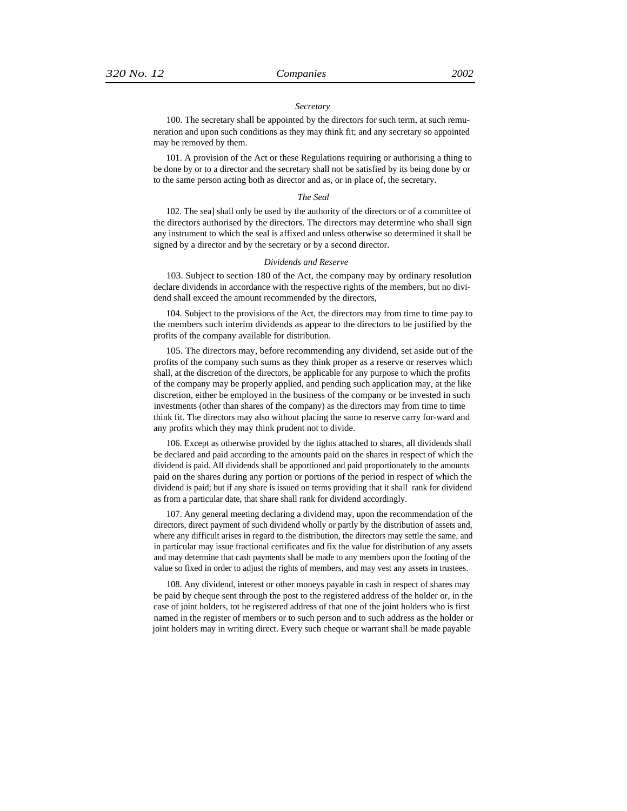## *Secretary*

100. The secretary shall be appointed by the directors for such term, at such remuneration and upon such conditions as they may think fit; and any secretary so appointed may be removed by them.

101. A provision of the Act or these Regulations requiring or authorising a thing to be done by or to a director and the secretary shall not be satisfied by its being done by or to the same person acting both as director and as, or in place of, the secretary.

## *The Seal*

102. The sea] shall only be used by the authority of the directors or of a committee of the directors authorised by the directors. The directors may determine who shall sign any instrument to which the seal is affixed and unless otherwise so determined it shall be signed by a director and by the secretary or by a second director.

## *Dividends and Reserve*

103. Subject to section 180 of the Act, the company may by ordinary resolution declare dividends in accordance with the respective rights of the members, but no dividend shall exceed the amount recommended by the directors,

104. Subject to the provisions of the Act, the directors may from time to time pay to the members such interim dividends as appear to the directors to be justified by the profits of the company available for distribution.

105. The directors may, before recommending any dividend, set aside out of the profits of the company such sums as they think proper as a reserve or reserves which shall, at the discretion of the directors, be applicable for any purpose to which the profits of the company may be properly applied, and pending such application may, at the like discretion, either be employed in the business of the company or be invested in such investments (other than shares of the company) as the directors may from time to time think fit. The directors may also without placing the same to reserve carry for-ward and any profits which they may think prudent not to divide.

106. Except as otherwise provided by the tights attached to shares, all dividends shall be declared and paid according to the amounts paid on the shares in respect of which the dividend is paid. All dividends shall be apportioned and paid proportionately to the amounts paid on the shares during any portion or portions of the period in respect of which the dividend is paid; but if any share is issued on terms providing that it shall rank for dividend as from a particular date, that share shall rank for dividend accordingly.

107. Any general meeting declaring a dividend may, upon the recommendation of the directors, direct payment of such dividend wholly or partly by the distribution of assets and, where any difficult arises in regard to the distribution, the directors may settle the same, and in particular may issue fractional certificates and fix the value for distribution of any assets and may determine that cash payments shall be made to any members upon the footing of the value so fixed in order to adjust the rights of members, and may vest any assets in trustees.

108. Any dividend, interest or other moneys payable in cash in respect of shares may be paid by cheque sent through the post to the registered address of the holder or, in the case of joint holders, tot he registered address of that one of the joint holders who is first named in the register of members or to such person and to such address as the holder or joint holders may in writing direct. Every such cheque or warrant shall be made payable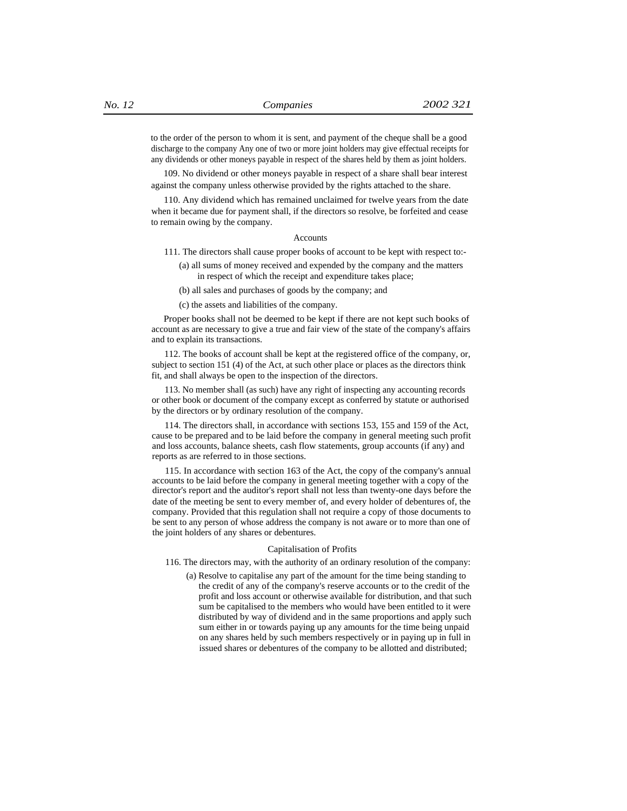to the order of the person to whom it is sent, and payment of the cheque shall be a good discharge to the company Any one of two or more joint holders may give effectual receipts for any dividends or other moneys payable in respect of the shares held by them as joint holders.

109. No dividend or other moneys payable in respect of a share shall bear interest against the company unless otherwise provided by the rights attached to the share.

110. Any dividend which has remained unclaimed for twelve years from the date when it became due for payment shall, if the directors so resolve, be forfeited and cease to remain owing by the company.

## Accounts

111. The directors shall cause proper books of account to be kept with respect to:-

- (a) all sums of money received and expended by the company and the matters in respect of which the receipt and expenditure takes place;
- (b) all sales and purchases of goods by the company; and
- (c) the assets and liabilities of the company.

Proper books shall not be deemed to be kept if there are not kept such books of account as are necessary to give a true and fair view of the state of the company's affairs and to explain its transactions.

112. The books of account shall be kept at the registered office of the company, or, subject to section 151 (4) of the Act, at such other place or places as the directors think fit, and shall always be open to the inspection of the directors.

113. No member shall (as such) have any right of inspecting any accounting records or other book or document of the company except as conferred by statute or authorised by the directors or by ordinary resolution of the company.

114. The directors shall, in accordance with sections 153, 155 and 159 of the Act, cause to be prepared and to be laid before the company in general meeting such profit and loss accounts, balance sheets, cash flow statements, group accounts (if any) and reports as are referred to in those sections.

115. In accordance with section 163 of the Act, the copy of the company's annual accounts to be laid before the company in general meeting together with a copy of the director's report and the auditor's report shall not less than twenty-one days before the date of the meeting be sent to every member of, and every holder of debentures of, the company. Provided that this regulation shall not require a copy of those documents to be sent to any person of whose address the company is not aware or to more than one of the joint holders of any shares or debentures.

## Capitalisation of Profits

116. The directors may, with the authority of an ordinary resolution of the company:

(a) Resolve to capitalise any part of the amount for the time being standing to the credit of any of the company's reserve accounts or to the credit of the profit and loss account or otherwise available for distribution, and that such sum be capitalised to the members who would have been entitled to it were distributed by way of dividend and in the same proportions and apply such sum either in or towards paying up any amounts for the time being unpaid on any shares held by such members respectively or in paying up in full in issued shares or debentures of the company to be allotted and distributed;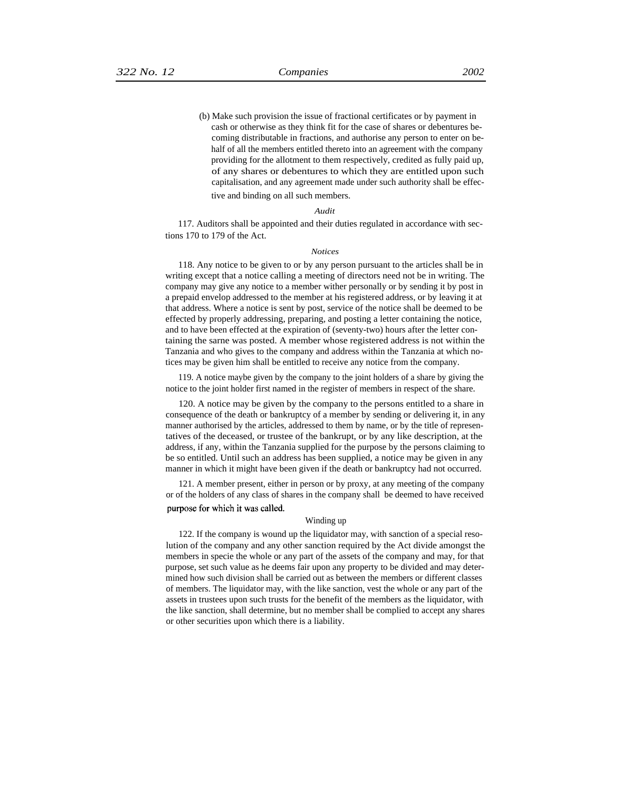(b) Make such provision the issue of fractional certificates or by payment in cash or otherwise as they think fit for the case of shares or debentures becoming distributable in fractions, and authorise any person to enter on behalf of all the members entitled thereto into an agreement with the company providing for the allotment to them respectively, credited as fully paid up, of any shares or debentures to which they are entitled upon such capitalisation, and any agreement made under such authority shall be effective and binding on all such members.

#### *Audit*

117. Auditors shall be appointed and their duties regulated in accordance with sections 170 to 179 of the Act.

#### *Notices*

118. Any notice to be given to or by any person pursuant to the articles shall be in writing except that a notice calling a meeting of directors need not be in writing. The company may give any notice to a member wither personally or by sending it by post in a prepaid envelop addressed to the member at his registered address, or by leaving it at that address. Where a notice is sent by post, service of the notice shall be deemed to be effected by properly addressing, preparing, and posting a letter containing the notice, and to have been effected at the expiration of (seventy-two) hours after the letter containing the sarne was posted. A member whose registered address is not within the Tanzania and who gives to the company and address within the Tanzania at which notices may be given him shall be entitled to receive any notice from the company.

119. A notice maybe given by the company to the joint holders of a share by giving the notice to the joint holder first named in the register of members in respect of the share.

120. A notice may be given by the company to the persons entitled to a share in consequence of the death or bankruptcy of a member by sending or delivering it, in any manner authorised by the articles, addressed to them by name, or by the title of representatives of the deceased, or trustee of the bankrupt, or by any like description, at the address, if any, within the Tanzania supplied for the purpose by the persons claiming to be so entitled. Until such an address has been supplied, a notice may be given in any manner in which it might have been given if the death or bankruptcy had not occurred.

121. A member present, either in person or by proxy, at any meeting of the company or of the holders of any class of shares in the company shall be deemed to have received purpose for which it was called.

#### Winding up

122. If the company is wound up the liquidator may, with sanction of a special resolution of the company and any other sanction required by the Act divide amongst the members in specie the whole or any part of the assets of the company and may, for that purpose, set such value as he deems fair upon any property to be divided and may determined how such division shall be carried out as between the members or different classes of members. The liquidator may, with the like sanction, vest the whole or any part of the assets in trustees upon such trusts for the benefit of the members as the liquidator, with the like sanction, shall determine, but no member shall be complied to accept any shares or other securities upon which there is a liability.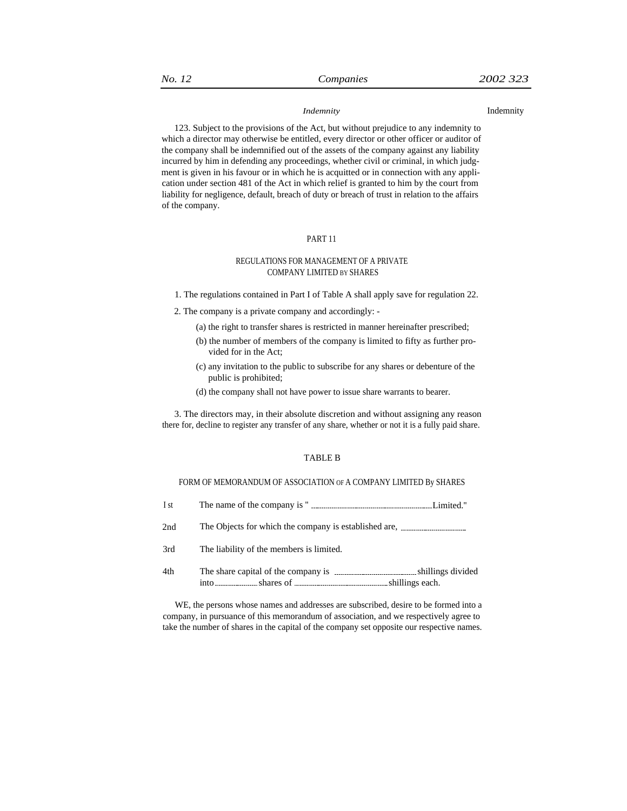## *Indemnity* **Indemnity**

123. Subject to the provisions of the Act, but without prejudice to any indemnity to which a director may otherwise be entitled, every director or other officer or auditor of the company shall be indemnified out of the assets of the company against any liability incurred by him in defending any proceedings, whether civil or criminal, in which judgment is given in his favour or in which he is acquitted or in connection with any application under section 481 of the Act in which relief is granted to him by the court from liability for negligence, default, breach of duty or breach of trust in relation to the affairs of the company.

# PART 11

## REGULATIONS FOR MANAGEMENT OF A PRIVATE COMPANY LIMITED BY SHARES

1. The regulations contained in Part I of Table A shall apply save for regulation 22.

2. The company is a private company and accordingly: -

- (a) the right to transfer shares is restricted in manner hereinafter prescribed;
- (b) the number of members of the company is limited to fifty as further provided for in the Act;
- (c) any invitation to the public to subscribe for any shares or debenture of the public is prohibited;
- (d) the company shall not have power to issue share warrants to bearer.

3. The directors may, in their absolute discretion and without assigning any reason there for, decline to register any transfer of any share, whether or not it is a fully paid share.

## TABLE B

### FORM OF MEMORANDUM OF ASSOCIATION OF A COMPANY LIMITED By SHARES

- I st The name of the company is '' Limited.''
- 2nd The Objects for which the company is established are,
- 3rd The liability of the members is limited.

4th The share capital of the company is  $\frac{1}{100}$  shillings divided into shares of shillings each.

WE, the persons whose names and addresses are subscribed, desire to be formed into a company, in pursuance of this memorandum of association, and we respectively agree to take the number of shares in the capital of the company set opposite our respective names.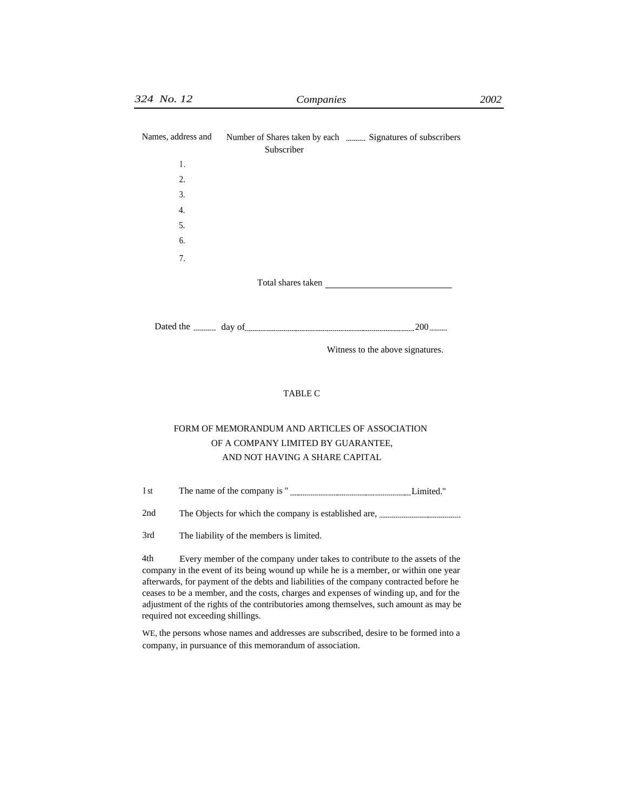|    | Names, address and Number of Shares taken by each  Signatures of subscribers<br>Subscriber |  |
|----|--------------------------------------------------------------------------------------------|--|
| Ι. |                                                                                            |  |
| 2. |                                                                                            |  |
| 3. |                                                                                            |  |
| 4. |                                                                                            |  |
| 5. |                                                                                            |  |
| 6. |                                                                                            |  |
| 7. |                                                                                            |  |
|    | Total shares taken                                                                         |  |

Dated the day of 200

Witness to the above signatures.

# TABLE C

# FORM OF MEMORANDUM AND ARTICLES OF ASSOCIATION OF A COMPANY LIMITED BY GUARANTEE, AND NOT HAVING A SHARE CAPITAL

I st The name of the company is '' Limited.''

2nd The Objects for which the company is established are,

3rd The liability of the members is limited.

4th Every member of the company under takes to contribute to the assets of the company in the event of its being wound up while he is a member, or within one year afterwards, for payment of the debts and liabilities of the company contracted before he ceases to be a member, and the costs, charges and expenses of winding up, and for the adjustment of the rights of the contributories among themselves, such amount as may be required not exceeding shillings.

WE, the persons whose names and addresses are subscribed, desire to be formed into a company, in pursuance of this memorandum of association.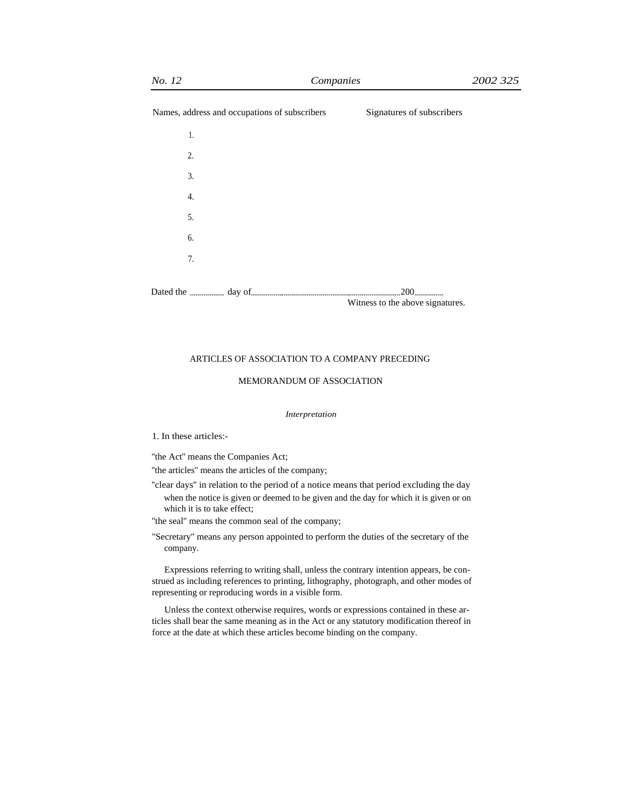| No. 12                                        | Companies                        |  |
|-----------------------------------------------|----------------------------------|--|
| Names, address and occupations of subscribers | Signatures of subscribers        |  |
| 1.                                            |                                  |  |
| 2.                                            |                                  |  |
| 3.                                            |                                  |  |
| 4.                                            |                                  |  |
| 5.                                            |                                  |  |
| 6.                                            |                                  |  |
| 7.                                            |                                  |  |
|                                               |                                  |  |
|                                               | Witness to the above signatures. |  |

# ARTICLES OF ASSOCIATION TO A COMPANY PRECEDING

# MEMORANDUM OF ASSOCIATION

## *Interpretation*

1. In these articles:-

''the Act'' means the Companies Act;

''the articles'' means the articles of the company;

''clear days'' in relation to the period of a notice means that period excluding the day when the notice is given or deemed to be given and the day for which it is given or on which it is to take effect;

''the seal'' means the common seal of the company;

''Secretary'' means any person appointed to perform the duties of the secretary of the company.

Expressions referring to writing shall, unless the contrary intention appears, be construed as including references to printing, lithography, photograph, and other modes of representing or reproducing words in a visible form.

Unless the context otherwise requires, words or expressions contained in these articles shall bear the same meaning as in the Act or any statutory modification thereof in force at the date at which these articles become binding on the company.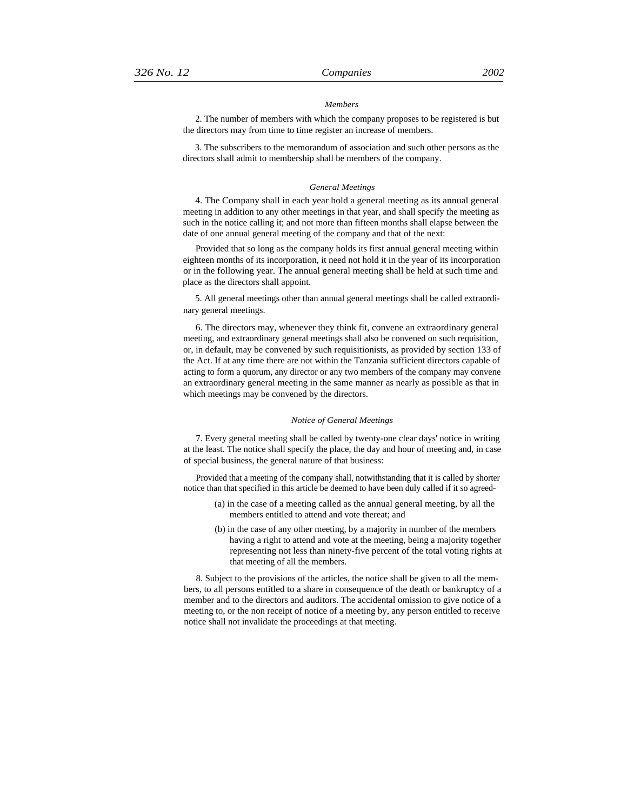### *Members*

2. The number of members with which the company proposes to be registered is but the directors may from time to time register an increase of members.

3. The subscribers to the memorandum of association and such other persons as the directors shall admit to membership shall be members of the company.

## *General Meetings*

4. The Company shall in each year hold a general meeting as its annual general meeting in addition to any other meetings in that year, and shall specify the meeting as such in the notice calling it; and not more than fifteen months shall elapse between the date of one annual general meeting of the company and that of the next:

Provided that so long as the company holds its first annual general meeting within eighteen months of its incorporation, it need not hold it in the year of its incorporation or in the following year. The annual general meeting shall be held at such time and place as the directors shall appoint.

5. All general meetings other than annual general meetings shall be called extraordinary general meetings.

6. The directors may, whenever they think fit, convene an extraordinary general meeting, and extraordinary general meetings shall also be convened on such requisition, or, in default, may be convened by such requisitionists, as provided by section 133 of the Act. If at any time there are not within the Tanzania sufficient directors capable of acting to form a quorum, any director or any two members of the company may convene an extraordinary general meeting in the same manner as nearly as possible as that in which meetings may be convened by the directors.

### *Notice of General Meetings*

7. Every general meeting shall be called by twenty-one clear days' notice in writing at the least. The notice shall specify the place, the day and hour of meeting and, in case of special business, the general nature of that business:

Provided that a meeting of the company shall, notwithstanding that it is called by shorter notice than that specified in this article be deemed to have been duly called if it so agreed-

- (a) in the case of a meeting called as the annual general meeting, by all the members entitled to attend and vote thereat; and
- (b) in the case of any other meeting, by a majority in number of the members having a right to attend and vote at the meeting, being a majority together representing not less than ninety-five percent of the total voting rights at that meeting of all the members.

8. Subject to the provisions of the articles, the notice shall be given to all the members, to all persons entitled to a share in consequence of the death or bankruptcy of a member and to the directors and auditors. The accidental omission to give notice of a meeting to, or the non receipt of notice of a meeting by, any person entitled to receive notice shall not invalidate the proceedings at that meeting.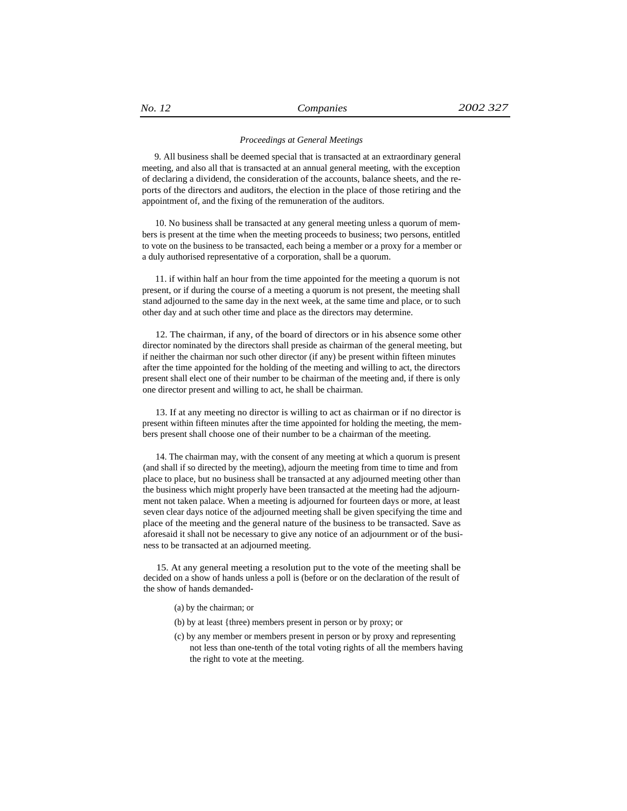## *Proceedings at General Meetings*

9. All business shall be deemed special that is transacted at an extraordinary general meeting, and also all that is transacted at an annual general meeting, with the exception of declaring a dividend, the consideration of the accounts, balance sheets, and the reports of the directors and auditors, the election in the place of those retiring and the appointment of, and the fixing of the remuneration of the auditors.

10. No business shall be transacted at any general meeting unless a quorum of members is present at the time when the meeting proceeds to business; two persons, entitled to vote on the business to be transacted, each being a member or a proxy for a member or a duly authorised representative of a corporation, shall be a quorum.

11. if within half an hour from the time appointed for the meeting a quorum is not present, or if during the course of a meeting a quorum is not present, the meeting shall stand adjourned to the same day in the next week, at the same time and place, or to such other day and at such other time and place as the directors may determine.

12. The chairman, if any, of the board of directors or in his absence some other director nominated by the directors shall preside as chairman of the general meeting, but if neither the chairman nor such other director (if any) be present within fifteen minutes after the time appointed for the holding of the meeting and willing to act, the directors present shall elect one of their number to be chairman of the meeting and, if there is only one director present and willing to act, he shall be chairman.

13. If at any meeting no director is willing to act as chairman or if no director is present within fifteen minutes after the time appointed for holding the meeting, the members present shall choose one of their number to be a chairman of the meeting.

14. The chairman may, with the consent of any meeting at which a quorum is present (and shall if so directed by the meeting), adjourn the meeting from time to time and from place to place, but no business shall be transacted at any adjourned meeting other than the business which might properly have been transacted at the meeting had the adjournment not taken palace. When a meeting is adjourned for fourteen days or more, at least seven clear days notice of the adjourned meeting shall be given specifying the time and place of the meeting and the general nature of the business to be transacted. Save as aforesaid it shall not be necessary to give any notice of an adjournment or of the business to be transacted at an adjourned meeting.

15. At any general meeting a resolution put to the vote of the meeting shall be decided on a show of hands unless a poll is (before or on the declaration of the result of the show of hands demanded-

- (a) by the chairman; or
- (b) by at least {three) members present in person or by proxy; or
- (c) by any member or members present in person or by proxy and representing not less than one-tenth of the total voting rights of all the members having the right to vote at the meeting.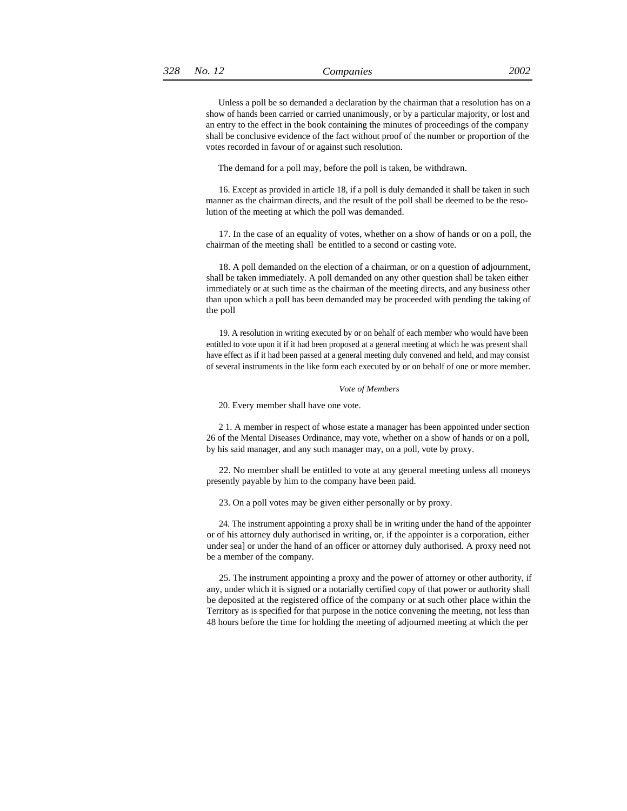Unless a poll be so demanded a declaration by the chairman that a resolution has on a show of hands been carried or carried unanimously, or by a particular majority, or lost and an entry to the effect in the book containing the minutes of proceedings of the company shall be conclusive evidence of the fact without proof of the number or proportion of the votes recorded in favour of or against such resolution.

The demand for a poll may, before the poll is taken, be withdrawn.

16. Except as provided in article 18, if a poll is duly demanded it shall be taken in such manner as the chairman directs, and the result of the poll shall be deemed to be the resolution of the meeting at which the poll was demanded.

17. In the case of an equality of votes, whether on a show of hands or on a poll, the chairman of the meeting shall be entitled to a second or casting vote.

18. A poll demanded on the election of a chairman, or on a question of adjournment, shall be taken immediately. A poll demanded on any other question shall be taken either immediately or at such time as the chairman of the meeting directs, and any business other than upon which a poll has been demanded may be proceeded with pending the taking of the poll

19. A resolution in writing executed by or on behalf of each member who would have been entitled to vote upon it if it had been proposed at a general meeting at which he was present shall have effect as if it had been passed at a general meeting duly convened and held, and may consist of several instruments in the like form each executed by or on behalf of one or more member.

# *Vote of Members*

20. Every member shall have one vote.

2 1. A member in respect of whose estate a manager has been appointed under section 26 of the Mental Diseases Ordinance, may vote, whether on a show of hands or on a poll, by his said manager, and any such manager may, on a poll, vote by proxy.

22. No member shall be entitled to vote at any general meeting unless all moneys presently payable by him to the company have been paid.

23. On a poll votes may be given either personally or by proxy.

24. The instrument appointing a proxy shall be in writing under the hand of the appointer or of his attorney duly authorised in writing, or, if the appointer is a corporation, either under sea] or under the hand of an officer or attorney duly authorised. A proxy need not be a member of the company.

25. The instrument appointing a proxy and the power of attorney or other authority, if any, under which it is signed or a notarially certified copy of that power or authority shall be deposited at the registered office of the company or at such other place within the Territory as is specified for that purpose in the notice convening the meeting, not less than 48 hours before the time for holding the meeting of adjourned meeting at which the per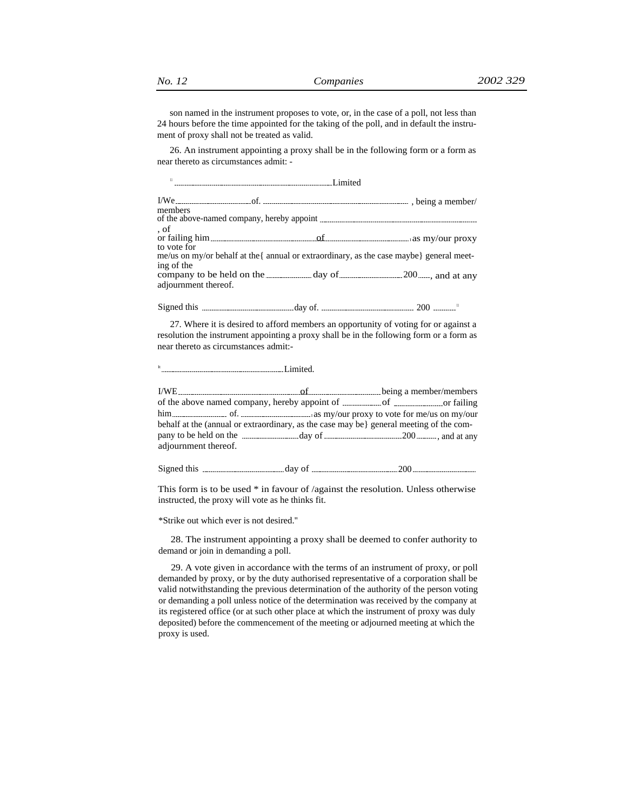26. An instrument appointing a proxy shall be in the following form or a form as near thereto as circumstances admit: -

Limited

I/We of. , being a member/ members of the above-named company, hereby appoint , of or failing him of <sup>I</sup>as my/our proxy to vote for me/us on my/or behalf at the{ annual or extraordinary, as the case maybe} general meeting of the company to be held on the day of 200 , and at any adjournment thereof.

Signed this day of. 200 <sup>11</sup>

27. Where it is desired to afford members an opportunity of voting for or against a resolution the instrument appointing a proxy shall be in the following form or a form as near thereto as circumstances admit:-

Limited.

I/WE of being a member/members of the above named company, hereby appoint of <u>maximum</u> of <u>maximum</u> or failing him <u>Iam of.</u> International methods in the method is my-our proxy to vote for me/us on my/our behalf at the (annual or extraordinary, as the case may be} general meeting of the company to be held on the  $\ldots$   $\ldots$   $\ldots$   $\ldots$   $\ldots$   $\ldots$   $\ldots$   $\ldots$   $\ldots$   $\ldots$   $\ldots$   $\ldots$   $\ldots$   $\ldots$  and at any adjournment thereof.

Signed this day of 200

This form is to be used \* in favour of /against the resolution. Unless otherwise instructed, the proxy will vote as he thinks fit.

\*Strike out which ever is not desired.''

28. The instrument appointing a proxy shall be deemed to confer authority to demand or join in demanding a poll.

29. A vote given in accordance with the terms of an instrument of proxy, or poll demanded by proxy, or by the duty authorised representative of a corporation shall be valid notwithstanding the previous determination of the authority of the person voting or demanding a poll unless notice of the determination was received by the company at its registered office (or at such other place at which the instrument of proxy was duly deposited) before the commencement of the meeting or adjourned meeting at which the proxy is used.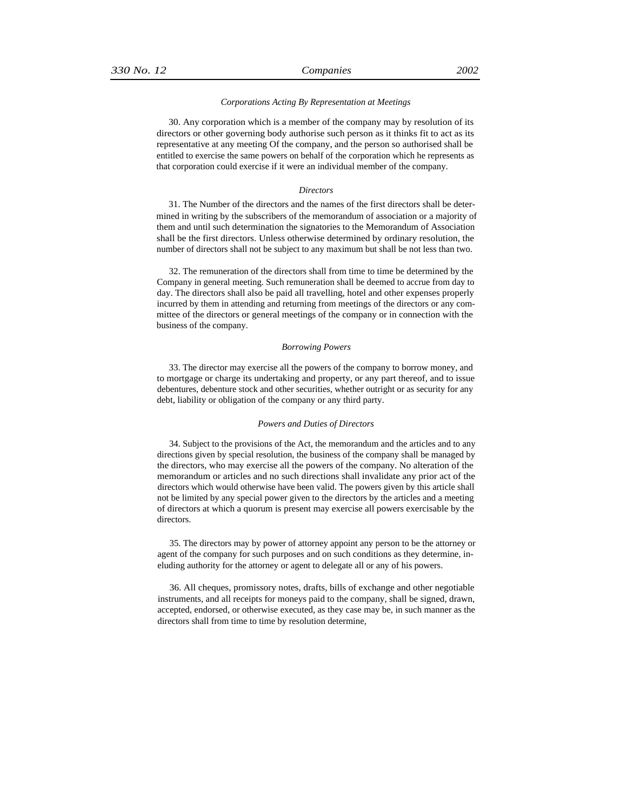## *Corporations Acting By Representation at Meetings*

30. Any corporation which is a member of the company may by resolution of its directors or other governing body authorise such person as it thinks fit to act as its representative at any meeting Of the company, and the person so authorised shall be entitled to exercise the same powers on behalf of the corporation which he represents as that corporation could exercise if it were an individual member of the company.

## *Directors*

31. The Number of the directors and the names of the first directors shall be determined in writing by the subscribers of the memorandum of association or a majority of them and until such determination the signatories to the Memorandum of Association shall be the first directors. Unless otherwise determined by ordinary resolution, the number of directors shall not be subject to any maximum but shall be not less than two.

32. The remuneration of the directors shall from time to time be determined by the Company in general meeting. Such remuneration shall be deemed to accrue from day to day. The directors shall also be paid all travelling, hotel and other expenses properly incurred by them in attending and returning from meetings of the directors or any committee of the directors or general meetings of the company or in connection with the business of the company.

## *Borrowing Powers*

33. The director may exercise all the powers of the company to borrow money, and to mortgage or charge its undertaking and property, or any part thereof, and to issue debentures, debenture stock and other securities, whether outright or as security for any debt, liability or obligation of the company or any third party.

## *Powers and Duties of Directors*

34. Subject to the provisions of the Act, the memorandum and the articles and to any directions given by special resolution, the business of the company shall be managed by the directors, who may exercise all the powers of the company. No alteration of the memorandum or articles and no such directions shall invalidate any prior act of the directors which would otherwise have been valid. The powers given by this article shall not be limited by any special power given to the directors by the articles and a meeting of directors at which a quorum is present may exercise all powers exercisable by the directors.

35. The directors may by power of attorney appoint any person to be the attorney or agent of the company for such purposes and on such conditions as they determine, ineluding authority for the attorney or agent to delegate all or any of his powers.

36. All cheques, promissory notes, drafts, bills of exchange and other negotiable instruments, and all receipts for moneys paid to the company, shall be signed, drawn, accepted, endorsed, or otherwise executed, as they case may be, in such manner as the directors shall from time to time by resolution determine,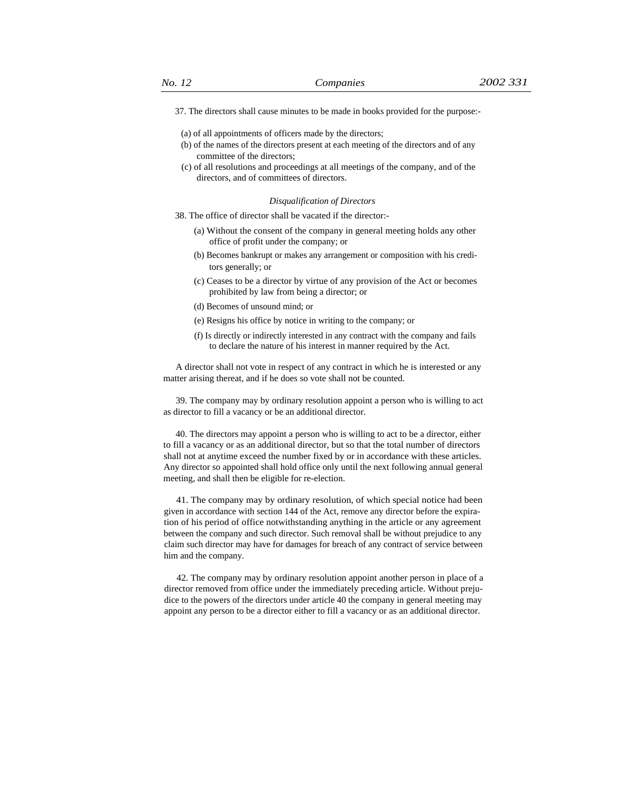37. The directors shall cause minutes to be made in books provided for the purpose:-

- (a) of all appointments of officers made by the directors;
- (b) of the names of the directors present at each meeting of the directors and of any committee of the directors;
- (c) of all resolutions and proceedings at all meetings of the company, and of the directors, and of committees of directors.

*Disqualification of Directors*

- 38. The office of director shall be vacated if the director:-
	- (a) Without the consent of the company in general meeting holds any other office of profit under the company; or
	- (b) Becomes bankrupt or makes any arrangement or composition with his creditors generally; or
	- (c) Ceases to be a director by virtue of any provision of the Act or becomes prohibited by law from being a director; or
	- (d) Becomes of unsound mind; or
	- (e) Resigns his office by notice in writing to the company; or
	- (f) Is directly or indirectly interested in any contract with the company and fails to declare the nature of his interest in manner required by the Act.

A director shall not vote in respect of any contract in which he is interested or any matter arising thereat, and if he does so vote shall not be counted.

39. The company may by ordinary resolution appoint a person who is willing to act as director to fill a vacancy or be an additional director.

40. The directors may appoint a person who is willing to act to be a director, either to fill a vacancy or as an additional director, but so that the total number of directors shall not at anytime exceed the number fixed by or in accordance with these articles. Any director so appointed shall hold office only until the next following annual general meeting, and shall then be eligible for re-election.

41. The company may by ordinary resolution, of which special notice had been given in accordance with section 144 of the Act, remove any director before the expiration of his period of office notwithstanding anything in the article or any agreement between the company and such director. Such removal shall be without prejudice to any claim such director may have for damages for breach of any contract of service between him and the company.

42. The company may by ordinary resolution appoint another person in place of a director removed from office under the immediately preceding article. Without prejudice to the powers of the directors under article 40 the company in general meeting may appoint any person to be a director either to fill a vacancy or as an additional director.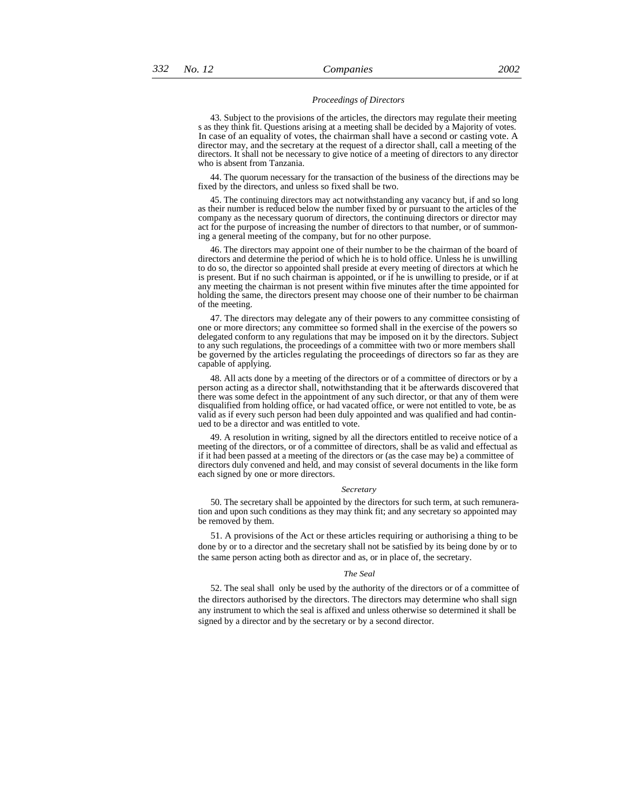# *Proceedings of Directors*

43. Subject to the provisions of the articles, the directors may regulate their meeting s as they think fit. Questions arising at a meeting shall be decided by a Majority of votes. In case of an equality of votes, the chairman shall have a second or casting vote. A director may, and the secretary at the request of a director shall, call a meeting of the directors. It shall not be necessary to give notice of a meeting of directors to any director who is absent from Tanzania.

44. The quorum necessary for the transaction of the business of the directions may be fixed by the directors, and unless so fixed shall be two.

45. The continuing directors may act notwithstanding any vacancy but, if and so long as their number is reduced below the number fixed by or pursuant to the articles of the company as the necessary quorum of directors, the continuing directors or director may act for the purpose of increasing the number of directors to that number, or of summoning a general meeting of the company, but for no other purpose.

46. The directors may appoint one of their number to be the chairman of the board of directors and determine the period of which he is to hold office. Unless he is unwilling to do so, the director so appointed shall preside at every meeting of directors at which he is present. But if no such chairman is appointed, or if he is unwilling to preside, or if at any meeting the chairman is not present within five minutes after the time appointed for holding the same, the directors present may choose one of their number to be chairman of the meeting.

47. The directors may delegate any of their powers to any committee consisting of one or more directors; any committee so formed shall in the exercise of the powers so delegated conform to any regulations that may be imposed on it by the directors. Subject to any such regulations, the proceedings of a committee with two or more members shall be governed by the articles regulating the proceedings of directors so far as they are capable of applying.

48. All acts done by a meeting of the directors or of a committee of directors or by a person acting as a director shall, notwithstanding that it be afterwards discovered that there was some defect in the appointment of any such director, or that any of them were disqualified from holding office, or had vacated office, or were not entitled to vote, be as valid as if every such person had been duly appointed and was qualified and had continued to be a director and was entitled to vote.

49. A resolution in writing, signed by all the directors entitled to receive notice of a meeting of the directors, or of a committee of directors, shall be as valid and effectual as if it had been passed at a meeting of the directors or (as the case may be) a committee of directors duly convened and held, and may consist of several documents in the like form each signed by one or more directors.

#### *Secretary*

50. The secretary shall be appointed by the directors for such term, at such remuneration and upon such conditions as they may think fit; and any secretary so appointed may be removed by them.

51. A provisions of the Act or these articles requiring or authorising a thing to be done by or to a director and the secretary shall not be satisfied by its being done by or to the same person acting both as director and as, or in place of, the secretary.

## *The Seal*

52. The seal shall only be used by the authority of the directors or of a committee of the directors authorised by the directors. The directors may determine who shall sign any instrument to which the seal is affixed and unless otherwise so determined it shall be signed by a director and by the secretary or by a second director.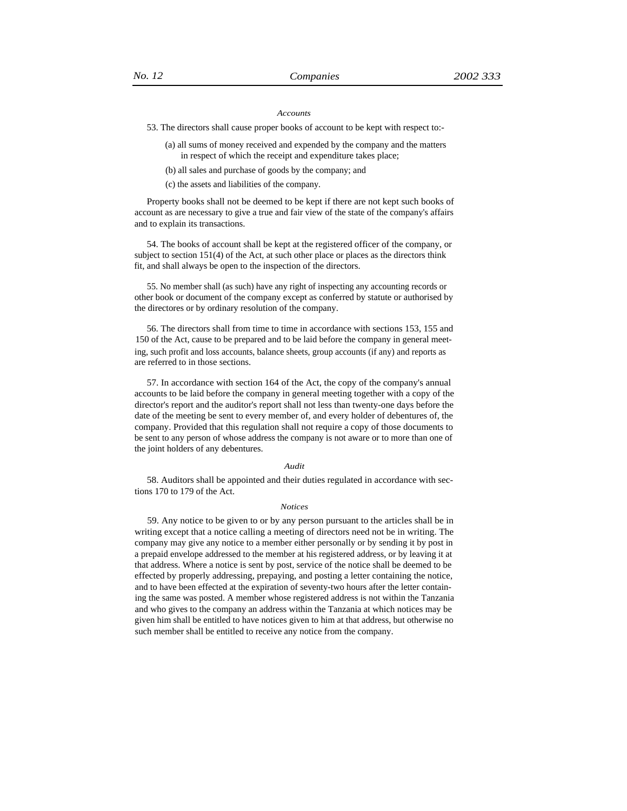## *Accounts*

53. The directors shall cause proper books of account to be kept with respect to:-

- (a) all sums of money received and expended by the company and the matters in respect of which the receipt and expenditure takes place;
- (b) all sales and purchase of goods by the company; and
- (c) the assets and liabilities of the company.

Property books shall not be deemed to be kept if there are not kept such books of account as are necessary to give a true and fair view of the state of the company's affairs and to explain its transactions.

54. The books of account shall be kept at the registered officer of the company, or subject to section 151(4) of the Act, at such other place or places as the directors think fit, and shall always be open to the inspection of the directors.

55. No member shall (as such) have any right of inspecting any accounting records or other book or document of the company except as conferred by statute or authorised by the directores or by ordinary resolution of the company.

56. The directors shall from time to time in accordance with sections 153, 155 and 150 of the Act, cause to be prepared and to be laid before the company in general meeting, such profit and loss accounts, balance sheets, group accounts (if any) and reports as are referred to in those sections.

57. In accordance with section 164 of the Act, the copy of the company's annual accounts to be laid before the company in general meeting together with a copy of the director's report and the auditor's report shall not less than twenty-one days before the date of the meeting be sent to every member of, and every holder of debentures of, the company. Provided that this regulation shall not require a copy of those documents to be sent to any person of whose address the company is not aware or to more than one of the joint holders of any debentures.

# *Audit*

58. Auditors shall be appointed and their duties regulated in accordance with sections 170 to 179 of the Act.

# *Notices*

59. Any notice to be given to or by any person pursuant to the articles shall be in writing except that a notice calling a meeting of directors need not be in writing. The company may give any notice to a member either personally or by sending it by post in a prepaid envelope addressed to the member at his registered address, or by leaving it at that address. Where a notice is sent by post, service of the notice shall be deemed to be effected by properly addressing, prepaying, and posting a letter containing the notice, and to have been effected at the expiration of seventy-two hours after the letter containing the same was posted. A member whose registered address is not within the Tanzania and who gives to the company an address within the Tanzania at which notices may be given him shall be entitled to have notices given to him at that address, but otherwise no such member shall be entitled to receive any notice from the company.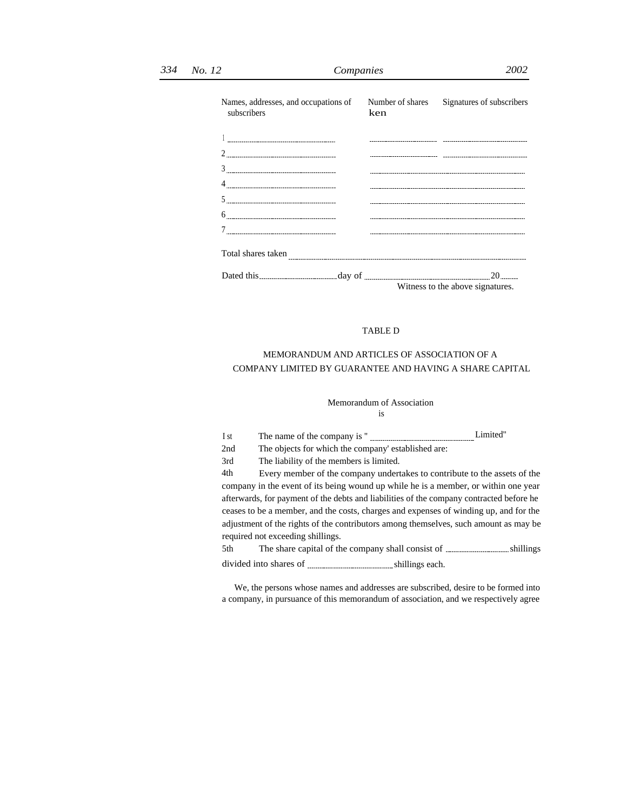| 334 No. 12 |  | Companies                                                            |  | 2002 |                                  |
|------------|--|----------------------------------------------------------------------|--|------|----------------------------------|
|            |  | Names, addresses, and occupations of Number of shares<br>subscribers |  | ken  | Signatures of subscribers        |
|            |  |                                                                      |  |      |                                  |
|            |  |                                                                      |  |      |                                  |
|            |  |                                                                      |  |      |                                  |
|            |  |                                                                      |  |      |                                  |
|            |  |                                                                      |  |      |                                  |
|            |  |                                                                      |  |      |                                  |
|            |  |                                                                      |  |      |                                  |
|            |  | Total shares taken                                                   |  |      |                                  |
|            |  |                                                                      |  |      |                                  |
|            |  |                                                                      |  |      | Witness to the above signatures. |

TABLE D

# MEMORANDUM AND ARTICLES OF ASSOCIATION OF A COMPANY LIMITED BY GUARANTEE AND HAVING A SHARE CAPITAL

# Memorandum of Association is

| I st | The name of the company is "                        | Limited" |
|------|-----------------------------------------------------|----------|
| 2nd  | The objects for which the company' established are: |          |

3rd The liability of the members is limited.

4th Every member of the company undertakes to contribute to the assets of the company in the event of its being wound up while he is a member, or within one year afterwards, for payment of the debts and liabilities of the company contracted before he ceases to be a member, and the costs, charges and expenses of winding up, and for the adjustment of the rights of the contributors among themselves, such amount as may be required not exceeding shillings.

5th The share capital of the company shall consist of shillings divided into shares of  $\frac{1}{2}$  shillings each.

We, the persons whose names and addresses are subscribed, desire to be formed into a company, in pursuance of this memorandum of association, and we respectively agree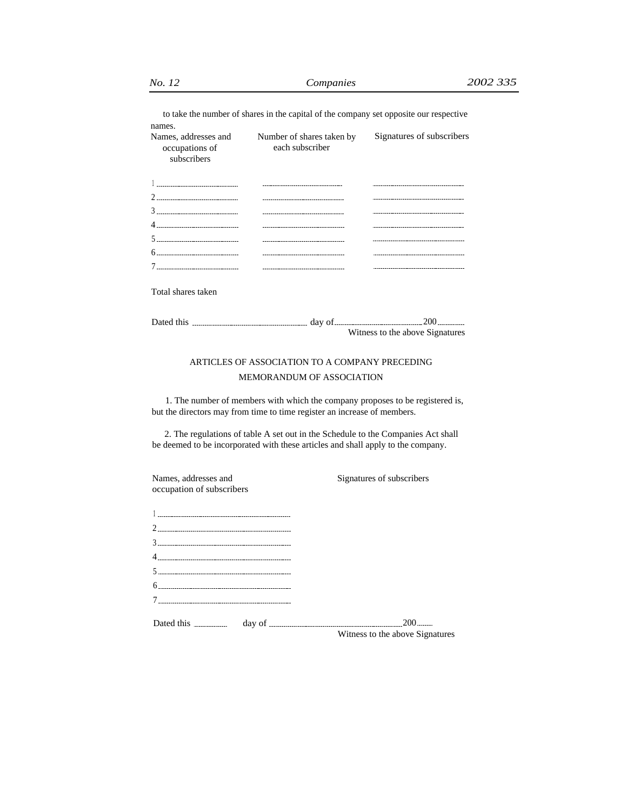to take the number of shares in the capital of the company set opposite our respective names.

| Names, addresses and<br>occupations of<br>subscribers | Number of shares taken by<br>each subscriber | Signatures of subscribers |
|-------------------------------------------------------|----------------------------------------------|---------------------------|
|                                                       |                                              |                           |
| -------------------------------------                 |                                              |                           |
|                                                       |                                              |                           |
|                                                       |                                              |                           |
| --------------------------------------                |                                              |                           |
| -------------------------------------                 |                                              |                           |
|                                                       |                                              |                           |
| Total shares taken                                    |                                              |                           |

| Dated this |  |                                 |
|------------|--|---------------------------------|
|            |  | Witness to the above Signatures |

# ARTICLES OF ASSOCIATION TO A COMPANY PRECEDING MEMORANDUM OF ASSOCIATION

1. The number of members with which the company proposes to be registered is, but the directors may from time to time register an increase of members.

2. The regulations of table A set out in the Schedule to the Companies Act shall be deemed to be incorporated with these articles and shall apply to the company.

| Names, addresses and      | Signatures of subscribers       |
|---------------------------|---------------------------------|
| occupation of subscribers |                                 |
|                           |                                 |
|                           |                                 |
|                           |                                 |
|                           |                                 |
|                           |                                 |
|                           |                                 |
|                           |                                 |
|                           |                                 |
|                           |                                 |
|                           |                                 |
|                           | Witness to the above Signatures |